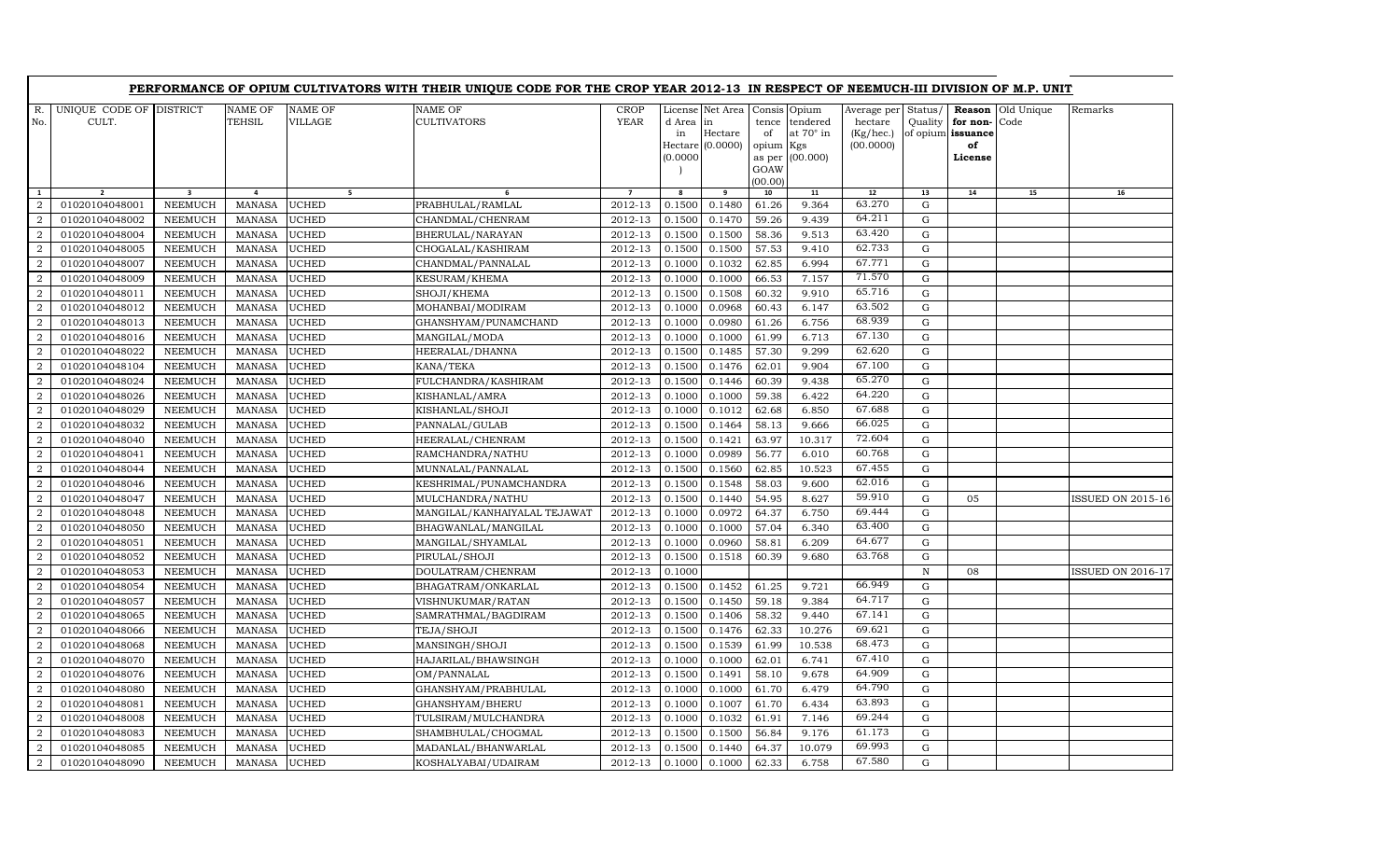| UNIQUE CODE OF DISTRICT<br>R.<br>NAME OF<br><b>NAME OF</b><br>NAME OF<br><b>CROP</b><br>License Net Area Consis Opium<br>Average per Status/<br>Reason<br>Old Unique<br>Remarks<br>TEHSIL<br><b>VILLAGE</b><br><b>CULTIVATORS</b><br>YEAR<br>No.<br>CULT.<br>d Area in<br>tendered<br>hectare<br>Quality<br>for non-<br>Code<br>tence<br>at 70° in<br>(Kg/hec.)<br>Hectare<br>of<br>of opium issuance<br>in<br>Hectare (0.0000)<br>(00.0000)<br>opium Kgs<br>of<br>(0.0000)<br>as per (00.000)<br>License<br>GOAW<br>(00.00)<br>10<br>12<br>13<br>14<br>$\overline{\mathbf{3}}$<br>5 <sub>1</sub><br>8<br>9<br>11<br>15<br>16<br>1<br>$\overline{2}$<br>4<br>6<br>$\overline{7}$<br>63.270<br>01020104048001<br><b>NEEMUCH</b><br><b>MANASA</b><br><b>UCHED</b><br>PRABHULAL/RAMLAL<br>2012-13<br>0.1500<br>0.1480<br>61.26<br>9.364<br>$\mathbf G$<br>$\mathcal{D}$<br>64.211<br><b>UCHED</b><br>59.26<br>9.439<br>$\mathbf G$<br>01020104048002<br><b>NEEMUCH</b><br><b>MANASA</b><br>CHANDMAL/CHENRAM<br>2012-13<br>0.1500<br>0.1470<br>2<br>2012-13<br>58.36<br>9.513<br>63.420<br>$\mathbf G$<br>2<br>01020104048004<br><b>NEEMUCH</b><br><b>MANASA</b><br><b>UCHED</b><br>BHERULAL/NARAYAN<br>0.1500<br>0.1500<br>62.733<br>$\mathbf G$<br>01020104048005<br><b>NEEMUCH</b><br><b>MANASA</b><br><b>UCHED</b><br>2012-13<br>0.1500<br>0.1500<br>57.53<br>9.410<br>2<br>CHOGALAL/KASHIRAM<br>67.771<br><b>UCHED</b><br>2012-13<br>0.1032<br>6.994<br>$\mathbf G$<br>2<br>01020104048007<br><b>NEEMUCH</b><br>MANASA<br>CHANDMAL/PANNALAL<br>0.1000<br>62.85<br>71.570<br>01020104048009<br>2012-13<br>0.1000<br>66.53<br>7.157<br>$\mathbf G$<br>$\overline{2}$<br><b>NEEMUCH</b><br><b>MANASA</b><br><b>UCHED</b><br><b>KESURAM/KHEMA</b><br>0.1000<br>65.716<br><b>UCHED</b><br>01020104048011<br><b>NEEMUCH</b><br><b>MANASA</b><br>2012-13<br>0.1500<br>0.1508<br>60.32<br>9.910<br>${\rm G}$<br>SHOJI/KHEMA<br>$\overline{2}$<br>63.502<br><b>UCHED</b><br>2012-13<br>0.1000<br>0.0968<br>60.43<br>6.147<br>$\mathbf G$<br>2<br>01020104048012<br><b>NEEMUCH</b><br><b>MANASA</b><br>MOHANBAI/MODIRAM<br>68.939<br>$\mathbf G$<br>2<br>01020104048013<br><b>NEEMUCH</b><br><b>MANASA</b><br><b>UCHED</b><br>GHANSHYAM/PUNAMCHAND<br>2012-13<br>0.1000<br>0.0980<br>61.26<br>6.756<br>67.130<br>${\bf G}$<br>01020104048016<br><b>NEEMUCH</b><br><b>UCHED</b><br>2012-13<br>0.1000<br>61.99<br>6.713<br>2<br><b>MANASA</b><br>MANGILAL/MODA<br>0.1000<br>62.620<br>$\overline{2}$<br>01020104048022<br>2012-13<br>0.1485<br>57.30<br>9.299<br>$\mathbf G$<br><b>NEEMUCH</b><br><b>MANASA</b><br><b>UCHED</b><br>HEERALAL/DHANNA<br>0.1500<br>67.100<br><b>UCHED</b><br>${\bf G}$<br>01020104048104<br><b>NEEMUCH</b><br><b>MANASA</b><br>KANA/TEKA<br>2012-13<br>0.1500<br>0.1476<br>62.01<br>9.904<br>$\overline{2}$<br>65.270<br>${\bf G}$<br>01020104048024<br><b>NEEMUCH</b><br><b>MANASA</b><br><b>UCHED</b><br>FULCHANDRA/KASHIRAM<br>2012-13<br>0.1500<br>0.1446<br>60.39<br>9.438<br>$\overline{2}$<br>64.220<br><b>NEEMUCH</b><br>2012-13<br>0.1000<br>0.1000<br>59.38<br>$\mathbf G$<br>2<br>01020104048026<br><b>MANASA</b><br><b>UCHED</b><br>KISHANLAL/AMRA<br>6.422<br>67.688<br>2012-13<br>0.1012<br>${\bf G}$<br>01020104048029<br><b>NEEMUCH</b><br><b>MANASA</b><br><b>UCHED</b><br>0.1000<br>62.68<br>6.850<br>2<br>KISHANLAL/SHOJI<br>66.025<br>2<br>01020104048032<br><b>NEEMUCH</b><br><b>UCHED</b><br>PANNALAL/GULAB<br>2012-13<br>0.1500<br>0.1464<br>58.13<br>9.666<br>$\mathbf G$<br><b>MANASA</b><br>72.604<br>01020104048040<br><b>NEEMUCH</b><br><b>UCHED</b><br>0.1500<br>0.1421<br>10.317<br>G<br><b>MANASA</b><br>HEERALAL/CHENRAM<br>2012-13<br>63.97<br>2<br>60.768<br>2012-13<br>0.1000<br>0.0989<br>56.77<br>${\bf G}$<br>01020104048041<br><b>NEEMUCH</b><br><b>MANASA</b><br><b>UCHED</b><br>6.010<br>$\overline{2}$<br>RAMCHANDRA/NATHU<br>67.455<br><b>NEEMUCH</b><br><b>MANASA</b><br><b>UCHED</b><br>2012-13<br>0.1500<br>0.1560<br>62.85<br>10.523<br>${\rm G}$<br>$\overline{a}$<br>01020104048044<br>MUNNALAL/PANNALAL<br>62.016<br>01020104048046<br><b>NEEMUCH</b><br><b>MANASA</b><br><b>UCHED</b><br>2012-13<br>0.1500<br>0.1548<br>58.03<br>9.600<br>$\mathbf G$<br>KESHRIMAL/PUNAMCHANDRA<br>2<br>59.910<br>${\bf G}$<br>01020104048047<br><b>NEEMUCH</b><br><b>UCHED</b><br>2012-13<br>0.1500<br>0.1440<br>54.95<br>8.627<br>05<br>2<br><b>MANASA</b><br>MULCHANDRA/NATHU<br>69.444<br>01020104048048<br><b>NEEMUCH</b><br><b>MANASA</b><br><b>UCHED</b><br>2012-13<br>0.1000<br>0.0972<br>64.37<br>6.750<br>G<br>$\overline{2}$<br>MANGILAL/KANHAIYALAL TEJAWAT<br>63.400<br><b>UCHED</b><br>0.1000<br>57.04<br>6.340<br>G<br>$\overline{2}$<br>01020104048050<br><b>NEEMUCH</b><br><b>MANASA</b><br>BHAGWANLAL/MANGILAL<br>2012-13<br>0.1000<br>64.677<br>01020104048051<br><b>NEEMUCH</b><br><b>MANASA</b><br><b>UCHED</b><br>2012-13<br>0.1000<br>0.0960<br>58.81<br>6.209<br>$\mathbf G$<br>$\overline{a}$<br>MANGILAL/SHYAMLAL<br>63.768<br>$\mathbf G$<br>01020104048052<br><b>NEEMUCH</b><br><b>MANASA</b><br><b>UCHED</b><br>PIRULAL/SHOJI<br>2012-13<br>0.1500<br>0.1518<br>60.39<br>9.680<br>2<br>01020104048053<br><b>NEEMUCH</b><br><b>MANASA</b><br><b>UCHED</b><br>DOULATRAM/CHENRAM<br>2012-13<br>0.1000<br>$\, {\rm N}$<br>2<br>08<br>66.949<br>01020104048054<br><b>NEEMUCH</b><br><b>MANASA</b><br><b>UCHED</b><br>BHAGATRAM/ONKARLAL<br>2012-13<br>0.1500<br>0.1452<br>61.25<br>9.721<br>$\mathbf G$<br>2<br>64.717<br>01020104048057<br><b>NEEMUCH</b><br><b>MANASA</b><br><b>UCHED</b><br>2012-13<br>0.1500<br>0.1450<br>59.18<br>9.384<br>G<br>$\overline{2}$<br>VISHNUKUMAR/RATAN<br>67.141<br>$\mathbf G$<br>01020104048065<br><b>NEEMUCH</b><br><b>MANASA</b><br><b>UCHED</b><br>2012-13<br>0.1500<br>0.1406<br>58.32<br>9.440<br>2<br>SAMRATHMAL/BAGDIRAM<br>69.621<br>2012-13<br>0.1476<br>62.33<br>10.276<br>$\mathbf G$<br>01020104048066<br><b>NEEMUCH</b><br><b>MANASA</b><br><b>UCHED</b><br>TEJA/SHOJI<br>0.1500<br>2<br>68.473<br>01020104048068<br>2012-13<br>0.1500<br>0.1539<br>61.99<br>10.538<br>G<br>2<br><b>NEEMUCH</b><br>MANASA<br><b>UCHED</b><br>MANSINGH/SHOJI<br>67.410<br>${\rm G}$<br><b>UCHED</b><br>2012-13<br>2<br>01020104048070<br><b>NEEMUCH</b><br><b>MANASA</b><br>HAJARILAL/BHAWSINGH<br>0.1000<br>0.1000<br>62.01<br>6.741<br>64.909<br>$\overline{2}$<br>01020104048076<br><b>NEEMUCH</b><br><b>MANASA</b><br><b>UCHED</b><br>2012-13<br>0.1500<br>0.1491<br>58.10<br>9.678<br>G<br>OM/PANNALAL<br>64.790<br>$\mathbf G$<br>6.479<br>2<br>01020104048080<br><b>NEEMUCH</b><br><b>MANASA</b><br><b>UCHED</b><br>GHANSHYAM/PRABHULAL<br>2012-13<br>0.1000<br>0.1000<br>61.70<br>63.893<br>2012-13<br>0.1000<br>0.1007<br>6.434<br>$\mathbf G$<br>2<br>01020104048081<br><b>NEEMUCH</b><br><b>MANASA</b><br><b>UCHED</b><br>GHANSHYAM/BHERU<br>61.70<br>69.244<br>${\bf G}$<br>01020104048008<br>2012-13<br>0.1000<br>0.1032<br>61.91<br>7.146<br>$\overline{2}$<br><b>NEEMUCH</b><br><b>MANASA</b><br><b>UCHED</b><br>TULSIRAM/MULCHANDRA<br>61.173<br>2012-13<br>0.1500<br>9.176<br>G<br>2<br>01020104048083<br><b>NEEMUCH</b><br><b>MANASA</b><br><b>UCHED</b><br>SHAMBHULAL/CHOGMAL<br>0.1500<br>56.84<br>69.993<br>2<br>01020104048085<br><b>NEEMUCH</b><br><b>MANASA</b><br><b>UCHED</b><br>MADANLAL/BHANWARLAL<br>2012-13<br>0.1500<br>0.1440<br>64.37<br>10.079<br>G<br>67.580<br>0.1000<br>6.758<br>01020104048090<br><b>NEEMUCH</b><br><b>MANASA</b><br><b>UCHED</b><br>KOSHALYABAI/UDAIRAM<br>2012-13<br>0.1000<br>62.33<br>G<br>$\overline{a}$ |  |  | PERFORMANCE OF OPIUM CULTIVATORS WITH THEIR UNIQUE CODE FOR THE CROP YEAR 2012-13 IN RESPECT OF NEEMUCH-III DIVISION OF M.P. UNIT |  |  |  |  |                          |
|----------------------------------------------------------------------------------------------------------------------------------------------------------------------------------------------------------------------------------------------------------------------------------------------------------------------------------------------------------------------------------------------------------------------------------------------------------------------------------------------------------------------------------------------------------------------------------------------------------------------------------------------------------------------------------------------------------------------------------------------------------------------------------------------------------------------------------------------------------------------------------------------------------------------------------------------------------------------------------------------------------------------------------------------------------------------------------------------------------------------------------------------------------------------------------------------------------------------------------------------------------------------------------------------------------------------------------------------------------------------------------------------------------------------------------------------------------------------------------------------------------------------------------------------------------------------------------------------------------------------------------------------------------------------------------------------------------------------------------------------------------------------------------------------------------------------------------------------------------------------------------------------------------------------------------------------------------------------------------------------------------------------------------------------------------------------------------------------------------------------------------------------------------------------------------------------------------------------------------------------------------------------------------------------------------------------------------------------------------------------------------------------------------------------------------------------------------------------------------------------------------------------------------------------------------------------------------------------------------------------------------------------------------------------------------------------------------------------------------------------------------------------------------------------------------------------------------------------------------------------------------------------------------------------------------------------------------------------------------------------------------------------------------------------------------------------------------------------------------------------------------------------------------------------------------------------------------------------------------------------------------------------------------------------------------------------------------------------------------------------------------------------------------------------------------------------------------------------------------------------------------------------------------------------------------------------------------------------------------------------------------------------------------------------------------------------------------------------------------------------------------------------------------------------------------------------------------------------------------------------------------------------------------------------------------------------------------------------------------------------------------------------------------------------------------------------------------------------------------------------------------------------------------------------------------------------------------------------------------------------------------------------------------------------------------------------------------------------------------------------------------------------------------------------------------------------------------------------------------------------------------------------------------------------------------------------------------------------------------------------------------------------------------------------------------------------------------------------------------------------------------------------------------------------------------------------------------------------------------------------------------------------------------------------------------------------------------------------------------------------------------------------------------------------------------------------------------------------------------------------------------------------------------------------------------------------------------------------------------------------------------------------------------------------------------------------------------------------------------------------------------------------------------------------------------------------------------------------------------------------------------------------------------------------------------------------------------------------------------------------------------------------------------------------------------------------------------------------------------------------------------------------------------------------------------------------------------------------------------------------------------------------------------------------------------------------------------------------------------------------------------------------------------------------------------------------------------------------------------------------------------------------------------------------------------------------------------------------------------------------------------------------------------------------------------------------------------------------------------------------------------------------------------------------------------------------------------------------------------------------------------------------------------------------------------------------------------------------------------------------------------------------------------------------------------------------------------------------------------------------------------------------------------------------------------------------------------------------------------------------------------------------------------------------------------------------------------------------------------------------------------------------------------------------------------------------------------------------------------------------------------------------------------------------------------------------------------------------------------------------------------------------------------------------------------------------------------------------------------------------------------------------------------------------------------------------------------------------------------------------------------------------------------------------------------------------------------|--|--|-----------------------------------------------------------------------------------------------------------------------------------|--|--|--|--|--------------------------|
|                                                                                                                                                                                                                                                                                                                                                                                                                                                                                                                                                                                                                                                                                                                                                                                                                                                                                                                                                                                                                                                                                                                                                                                                                                                                                                                                                                                                                                                                                                                                                                                                                                                                                                                                                                                                                                                                                                                                                                                                                                                                                                                                                                                                                                                                                                                                                                                                                                                                                                                                                                                                                                                                                                                                                                                                                                                                                                                                                                                                                                                                                                                                                                                                                                                                                                                                                                                                                                                                                                                                                                                                                                                                                                                                                                                                                                                                                                                                                                                                                                                                                                                                                                                                                                                                                                                                                                                                                                                                                                                                                                                                                                                                                                                                                                                                                                                                                                                                                                                                                                                                                                                                                                                                                                                                                                                                                                                                                                                                                                                                                                                                                                                                                                                                                                                                                                                                                                                                                                                                                                                                                                                                                                                                                                                                                                                                                                                                                                                                                                                                                                                                                                                                                                                                                                                                                                                                                                                                                                                                                                                                                                                                                                                                                                                                                                                                                                                                                                                                                                                                                                                  |  |  |                                                                                                                                   |  |  |  |  |                          |
|                                                                                                                                                                                                                                                                                                                                                                                                                                                                                                                                                                                                                                                                                                                                                                                                                                                                                                                                                                                                                                                                                                                                                                                                                                                                                                                                                                                                                                                                                                                                                                                                                                                                                                                                                                                                                                                                                                                                                                                                                                                                                                                                                                                                                                                                                                                                                                                                                                                                                                                                                                                                                                                                                                                                                                                                                                                                                                                                                                                                                                                                                                                                                                                                                                                                                                                                                                                                                                                                                                                                                                                                                                                                                                                                                                                                                                                                                                                                                                                                                                                                                                                                                                                                                                                                                                                                                                                                                                                                                                                                                                                                                                                                                                                                                                                                                                                                                                                                                                                                                                                                                                                                                                                                                                                                                                                                                                                                                                                                                                                                                                                                                                                                                                                                                                                                                                                                                                                                                                                                                                                                                                                                                                                                                                                                                                                                                                                                                                                                                                                                                                                                                                                                                                                                                                                                                                                                                                                                                                                                                                                                                                                                                                                                                                                                                                                                                                                                                                                                                                                                                                                  |  |  |                                                                                                                                   |  |  |  |  |                          |
|                                                                                                                                                                                                                                                                                                                                                                                                                                                                                                                                                                                                                                                                                                                                                                                                                                                                                                                                                                                                                                                                                                                                                                                                                                                                                                                                                                                                                                                                                                                                                                                                                                                                                                                                                                                                                                                                                                                                                                                                                                                                                                                                                                                                                                                                                                                                                                                                                                                                                                                                                                                                                                                                                                                                                                                                                                                                                                                                                                                                                                                                                                                                                                                                                                                                                                                                                                                                                                                                                                                                                                                                                                                                                                                                                                                                                                                                                                                                                                                                                                                                                                                                                                                                                                                                                                                                                                                                                                                                                                                                                                                                                                                                                                                                                                                                                                                                                                                                                                                                                                                                                                                                                                                                                                                                                                                                                                                                                                                                                                                                                                                                                                                                                                                                                                                                                                                                                                                                                                                                                                                                                                                                                                                                                                                                                                                                                                                                                                                                                                                                                                                                                                                                                                                                                                                                                                                                                                                                                                                                                                                                                                                                                                                                                                                                                                                                                                                                                                                                                                                                                                                  |  |  |                                                                                                                                   |  |  |  |  |                          |
|                                                                                                                                                                                                                                                                                                                                                                                                                                                                                                                                                                                                                                                                                                                                                                                                                                                                                                                                                                                                                                                                                                                                                                                                                                                                                                                                                                                                                                                                                                                                                                                                                                                                                                                                                                                                                                                                                                                                                                                                                                                                                                                                                                                                                                                                                                                                                                                                                                                                                                                                                                                                                                                                                                                                                                                                                                                                                                                                                                                                                                                                                                                                                                                                                                                                                                                                                                                                                                                                                                                                                                                                                                                                                                                                                                                                                                                                                                                                                                                                                                                                                                                                                                                                                                                                                                                                                                                                                                                                                                                                                                                                                                                                                                                                                                                                                                                                                                                                                                                                                                                                                                                                                                                                                                                                                                                                                                                                                                                                                                                                                                                                                                                                                                                                                                                                                                                                                                                                                                                                                                                                                                                                                                                                                                                                                                                                                                                                                                                                                                                                                                                                                                                                                                                                                                                                                                                                                                                                                                                                                                                                                                                                                                                                                                                                                                                                                                                                                                                                                                                                                                                  |  |  |                                                                                                                                   |  |  |  |  |                          |
|                                                                                                                                                                                                                                                                                                                                                                                                                                                                                                                                                                                                                                                                                                                                                                                                                                                                                                                                                                                                                                                                                                                                                                                                                                                                                                                                                                                                                                                                                                                                                                                                                                                                                                                                                                                                                                                                                                                                                                                                                                                                                                                                                                                                                                                                                                                                                                                                                                                                                                                                                                                                                                                                                                                                                                                                                                                                                                                                                                                                                                                                                                                                                                                                                                                                                                                                                                                                                                                                                                                                                                                                                                                                                                                                                                                                                                                                                                                                                                                                                                                                                                                                                                                                                                                                                                                                                                                                                                                                                                                                                                                                                                                                                                                                                                                                                                                                                                                                                                                                                                                                                                                                                                                                                                                                                                                                                                                                                                                                                                                                                                                                                                                                                                                                                                                                                                                                                                                                                                                                                                                                                                                                                                                                                                                                                                                                                                                                                                                                                                                                                                                                                                                                                                                                                                                                                                                                                                                                                                                                                                                                                                                                                                                                                                                                                                                                                                                                                                                                                                                                                                                  |  |  |                                                                                                                                   |  |  |  |  |                          |
|                                                                                                                                                                                                                                                                                                                                                                                                                                                                                                                                                                                                                                                                                                                                                                                                                                                                                                                                                                                                                                                                                                                                                                                                                                                                                                                                                                                                                                                                                                                                                                                                                                                                                                                                                                                                                                                                                                                                                                                                                                                                                                                                                                                                                                                                                                                                                                                                                                                                                                                                                                                                                                                                                                                                                                                                                                                                                                                                                                                                                                                                                                                                                                                                                                                                                                                                                                                                                                                                                                                                                                                                                                                                                                                                                                                                                                                                                                                                                                                                                                                                                                                                                                                                                                                                                                                                                                                                                                                                                                                                                                                                                                                                                                                                                                                                                                                                                                                                                                                                                                                                                                                                                                                                                                                                                                                                                                                                                                                                                                                                                                                                                                                                                                                                                                                                                                                                                                                                                                                                                                                                                                                                                                                                                                                                                                                                                                                                                                                                                                                                                                                                                                                                                                                                                                                                                                                                                                                                                                                                                                                                                                                                                                                                                                                                                                                                                                                                                                                                                                                                                                                  |  |  |                                                                                                                                   |  |  |  |  |                          |
|                                                                                                                                                                                                                                                                                                                                                                                                                                                                                                                                                                                                                                                                                                                                                                                                                                                                                                                                                                                                                                                                                                                                                                                                                                                                                                                                                                                                                                                                                                                                                                                                                                                                                                                                                                                                                                                                                                                                                                                                                                                                                                                                                                                                                                                                                                                                                                                                                                                                                                                                                                                                                                                                                                                                                                                                                                                                                                                                                                                                                                                                                                                                                                                                                                                                                                                                                                                                                                                                                                                                                                                                                                                                                                                                                                                                                                                                                                                                                                                                                                                                                                                                                                                                                                                                                                                                                                                                                                                                                                                                                                                                                                                                                                                                                                                                                                                                                                                                                                                                                                                                                                                                                                                                                                                                                                                                                                                                                                                                                                                                                                                                                                                                                                                                                                                                                                                                                                                                                                                                                                                                                                                                                                                                                                                                                                                                                                                                                                                                                                                                                                                                                                                                                                                                                                                                                                                                                                                                                                                                                                                                                                                                                                                                                                                                                                                                                                                                                                                                                                                                                                                  |  |  |                                                                                                                                   |  |  |  |  |                          |
|                                                                                                                                                                                                                                                                                                                                                                                                                                                                                                                                                                                                                                                                                                                                                                                                                                                                                                                                                                                                                                                                                                                                                                                                                                                                                                                                                                                                                                                                                                                                                                                                                                                                                                                                                                                                                                                                                                                                                                                                                                                                                                                                                                                                                                                                                                                                                                                                                                                                                                                                                                                                                                                                                                                                                                                                                                                                                                                                                                                                                                                                                                                                                                                                                                                                                                                                                                                                                                                                                                                                                                                                                                                                                                                                                                                                                                                                                                                                                                                                                                                                                                                                                                                                                                                                                                                                                                                                                                                                                                                                                                                                                                                                                                                                                                                                                                                                                                                                                                                                                                                                                                                                                                                                                                                                                                                                                                                                                                                                                                                                                                                                                                                                                                                                                                                                                                                                                                                                                                                                                                                                                                                                                                                                                                                                                                                                                                                                                                                                                                                                                                                                                                                                                                                                                                                                                                                                                                                                                                                                                                                                                                                                                                                                                                                                                                                                                                                                                                                                                                                                                                                  |  |  |                                                                                                                                   |  |  |  |  |                          |
|                                                                                                                                                                                                                                                                                                                                                                                                                                                                                                                                                                                                                                                                                                                                                                                                                                                                                                                                                                                                                                                                                                                                                                                                                                                                                                                                                                                                                                                                                                                                                                                                                                                                                                                                                                                                                                                                                                                                                                                                                                                                                                                                                                                                                                                                                                                                                                                                                                                                                                                                                                                                                                                                                                                                                                                                                                                                                                                                                                                                                                                                                                                                                                                                                                                                                                                                                                                                                                                                                                                                                                                                                                                                                                                                                                                                                                                                                                                                                                                                                                                                                                                                                                                                                                                                                                                                                                                                                                                                                                                                                                                                                                                                                                                                                                                                                                                                                                                                                                                                                                                                                                                                                                                                                                                                                                                                                                                                                                                                                                                                                                                                                                                                                                                                                                                                                                                                                                                                                                                                                                                                                                                                                                                                                                                                                                                                                                                                                                                                                                                                                                                                                                                                                                                                                                                                                                                                                                                                                                                                                                                                                                                                                                                                                                                                                                                                                                                                                                                                                                                                                                                  |  |  |                                                                                                                                   |  |  |  |  |                          |
|                                                                                                                                                                                                                                                                                                                                                                                                                                                                                                                                                                                                                                                                                                                                                                                                                                                                                                                                                                                                                                                                                                                                                                                                                                                                                                                                                                                                                                                                                                                                                                                                                                                                                                                                                                                                                                                                                                                                                                                                                                                                                                                                                                                                                                                                                                                                                                                                                                                                                                                                                                                                                                                                                                                                                                                                                                                                                                                                                                                                                                                                                                                                                                                                                                                                                                                                                                                                                                                                                                                                                                                                                                                                                                                                                                                                                                                                                                                                                                                                                                                                                                                                                                                                                                                                                                                                                                                                                                                                                                                                                                                                                                                                                                                                                                                                                                                                                                                                                                                                                                                                                                                                                                                                                                                                                                                                                                                                                                                                                                                                                                                                                                                                                                                                                                                                                                                                                                                                                                                                                                                                                                                                                                                                                                                                                                                                                                                                                                                                                                                                                                                                                                                                                                                                                                                                                                                                                                                                                                                                                                                                                                                                                                                                                                                                                                                                                                                                                                                                                                                                                                                  |  |  |                                                                                                                                   |  |  |  |  |                          |
|                                                                                                                                                                                                                                                                                                                                                                                                                                                                                                                                                                                                                                                                                                                                                                                                                                                                                                                                                                                                                                                                                                                                                                                                                                                                                                                                                                                                                                                                                                                                                                                                                                                                                                                                                                                                                                                                                                                                                                                                                                                                                                                                                                                                                                                                                                                                                                                                                                                                                                                                                                                                                                                                                                                                                                                                                                                                                                                                                                                                                                                                                                                                                                                                                                                                                                                                                                                                                                                                                                                                                                                                                                                                                                                                                                                                                                                                                                                                                                                                                                                                                                                                                                                                                                                                                                                                                                                                                                                                                                                                                                                                                                                                                                                                                                                                                                                                                                                                                                                                                                                                                                                                                                                                                                                                                                                                                                                                                                                                                                                                                                                                                                                                                                                                                                                                                                                                                                                                                                                                                                                                                                                                                                                                                                                                                                                                                                                                                                                                                                                                                                                                                                                                                                                                                                                                                                                                                                                                                                                                                                                                                                                                                                                                                                                                                                                                                                                                                                                                                                                                                                                  |  |  |                                                                                                                                   |  |  |  |  |                          |
|                                                                                                                                                                                                                                                                                                                                                                                                                                                                                                                                                                                                                                                                                                                                                                                                                                                                                                                                                                                                                                                                                                                                                                                                                                                                                                                                                                                                                                                                                                                                                                                                                                                                                                                                                                                                                                                                                                                                                                                                                                                                                                                                                                                                                                                                                                                                                                                                                                                                                                                                                                                                                                                                                                                                                                                                                                                                                                                                                                                                                                                                                                                                                                                                                                                                                                                                                                                                                                                                                                                                                                                                                                                                                                                                                                                                                                                                                                                                                                                                                                                                                                                                                                                                                                                                                                                                                                                                                                                                                                                                                                                                                                                                                                                                                                                                                                                                                                                                                                                                                                                                                                                                                                                                                                                                                                                                                                                                                                                                                                                                                                                                                                                                                                                                                                                                                                                                                                                                                                                                                                                                                                                                                                                                                                                                                                                                                                                                                                                                                                                                                                                                                                                                                                                                                                                                                                                                                                                                                                                                                                                                                                                                                                                                                                                                                                                                                                                                                                                                                                                                                                                  |  |  |                                                                                                                                   |  |  |  |  |                          |
|                                                                                                                                                                                                                                                                                                                                                                                                                                                                                                                                                                                                                                                                                                                                                                                                                                                                                                                                                                                                                                                                                                                                                                                                                                                                                                                                                                                                                                                                                                                                                                                                                                                                                                                                                                                                                                                                                                                                                                                                                                                                                                                                                                                                                                                                                                                                                                                                                                                                                                                                                                                                                                                                                                                                                                                                                                                                                                                                                                                                                                                                                                                                                                                                                                                                                                                                                                                                                                                                                                                                                                                                                                                                                                                                                                                                                                                                                                                                                                                                                                                                                                                                                                                                                                                                                                                                                                                                                                                                                                                                                                                                                                                                                                                                                                                                                                                                                                                                                                                                                                                                                                                                                                                                                                                                                                                                                                                                                                                                                                                                                                                                                                                                                                                                                                                                                                                                                                                                                                                                                                                                                                                                                                                                                                                                                                                                                                                                                                                                                                                                                                                                                                                                                                                                                                                                                                                                                                                                                                                                                                                                                                                                                                                                                                                                                                                                                                                                                                                                                                                                                                                  |  |  |                                                                                                                                   |  |  |  |  |                          |
|                                                                                                                                                                                                                                                                                                                                                                                                                                                                                                                                                                                                                                                                                                                                                                                                                                                                                                                                                                                                                                                                                                                                                                                                                                                                                                                                                                                                                                                                                                                                                                                                                                                                                                                                                                                                                                                                                                                                                                                                                                                                                                                                                                                                                                                                                                                                                                                                                                                                                                                                                                                                                                                                                                                                                                                                                                                                                                                                                                                                                                                                                                                                                                                                                                                                                                                                                                                                                                                                                                                                                                                                                                                                                                                                                                                                                                                                                                                                                                                                                                                                                                                                                                                                                                                                                                                                                                                                                                                                                                                                                                                                                                                                                                                                                                                                                                                                                                                                                                                                                                                                                                                                                                                                                                                                                                                                                                                                                                                                                                                                                                                                                                                                                                                                                                                                                                                                                                                                                                                                                                                                                                                                                                                                                                                                                                                                                                                                                                                                                                                                                                                                                                                                                                                                                                                                                                                                                                                                                                                                                                                                                                                                                                                                                                                                                                                                                                                                                                                                                                                                                                                  |  |  |                                                                                                                                   |  |  |  |  |                          |
|                                                                                                                                                                                                                                                                                                                                                                                                                                                                                                                                                                                                                                                                                                                                                                                                                                                                                                                                                                                                                                                                                                                                                                                                                                                                                                                                                                                                                                                                                                                                                                                                                                                                                                                                                                                                                                                                                                                                                                                                                                                                                                                                                                                                                                                                                                                                                                                                                                                                                                                                                                                                                                                                                                                                                                                                                                                                                                                                                                                                                                                                                                                                                                                                                                                                                                                                                                                                                                                                                                                                                                                                                                                                                                                                                                                                                                                                                                                                                                                                                                                                                                                                                                                                                                                                                                                                                                                                                                                                                                                                                                                                                                                                                                                                                                                                                                                                                                                                                                                                                                                                                                                                                                                                                                                                                                                                                                                                                                                                                                                                                                                                                                                                                                                                                                                                                                                                                                                                                                                                                                                                                                                                                                                                                                                                                                                                                                                                                                                                                                                                                                                                                                                                                                                                                                                                                                                                                                                                                                                                                                                                                                                                                                                                                                                                                                                                                                                                                                                                                                                                                                                  |  |  |                                                                                                                                   |  |  |  |  |                          |
|                                                                                                                                                                                                                                                                                                                                                                                                                                                                                                                                                                                                                                                                                                                                                                                                                                                                                                                                                                                                                                                                                                                                                                                                                                                                                                                                                                                                                                                                                                                                                                                                                                                                                                                                                                                                                                                                                                                                                                                                                                                                                                                                                                                                                                                                                                                                                                                                                                                                                                                                                                                                                                                                                                                                                                                                                                                                                                                                                                                                                                                                                                                                                                                                                                                                                                                                                                                                                                                                                                                                                                                                                                                                                                                                                                                                                                                                                                                                                                                                                                                                                                                                                                                                                                                                                                                                                                                                                                                                                                                                                                                                                                                                                                                                                                                                                                                                                                                                                                                                                                                                                                                                                                                                                                                                                                                                                                                                                                                                                                                                                                                                                                                                                                                                                                                                                                                                                                                                                                                                                                                                                                                                                                                                                                                                                                                                                                                                                                                                                                                                                                                                                                                                                                                                                                                                                                                                                                                                                                                                                                                                                                                                                                                                                                                                                                                                                                                                                                                                                                                                                                                  |  |  |                                                                                                                                   |  |  |  |  |                          |
|                                                                                                                                                                                                                                                                                                                                                                                                                                                                                                                                                                                                                                                                                                                                                                                                                                                                                                                                                                                                                                                                                                                                                                                                                                                                                                                                                                                                                                                                                                                                                                                                                                                                                                                                                                                                                                                                                                                                                                                                                                                                                                                                                                                                                                                                                                                                                                                                                                                                                                                                                                                                                                                                                                                                                                                                                                                                                                                                                                                                                                                                                                                                                                                                                                                                                                                                                                                                                                                                                                                                                                                                                                                                                                                                                                                                                                                                                                                                                                                                                                                                                                                                                                                                                                                                                                                                                                                                                                                                                                                                                                                                                                                                                                                                                                                                                                                                                                                                                                                                                                                                                                                                                                                                                                                                                                                                                                                                                                                                                                                                                                                                                                                                                                                                                                                                                                                                                                                                                                                                                                                                                                                                                                                                                                                                                                                                                                                                                                                                                                                                                                                                                                                                                                                                                                                                                                                                                                                                                                                                                                                                                                                                                                                                                                                                                                                                                                                                                                                                                                                                                                                  |  |  |                                                                                                                                   |  |  |  |  |                          |
|                                                                                                                                                                                                                                                                                                                                                                                                                                                                                                                                                                                                                                                                                                                                                                                                                                                                                                                                                                                                                                                                                                                                                                                                                                                                                                                                                                                                                                                                                                                                                                                                                                                                                                                                                                                                                                                                                                                                                                                                                                                                                                                                                                                                                                                                                                                                                                                                                                                                                                                                                                                                                                                                                                                                                                                                                                                                                                                                                                                                                                                                                                                                                                                                                                                                                                                                                                                                                                                                                                                                                                                                                                                                                                                                                                                                                                                                                                                                                                                                                                                                                                                                                                                                                                                                                                                                                                                                                                                                                                                                                                                                                                                                                                                                                                                                                                                                                                                                                                                                                                                                                                                                                                                                                                                                                                                                                                                                                                                                                                                                                                                                                                                                                                                                                                                                                                                                                                                                                                                                                                                                                                                                                                                                                                                                                                                                                                                                                                                                                                                                                                                                                                                                                                                                                                                                                                                                                                                                                                                                                                                                                                                                                                                                                                                                                                                                                                                                                                                                                                                                                                                  |  |  |                                                                                                                                   |  |  |  |  |                          |
|                                                                                                                                                                                                                                                                                                                                                                                                                                                                                                                                                                                                                                                                                                                                                                                                                                                                                                                                                                                                                                                                                                                                                                                                                                                                                                                                                                                                                                                                                                                                                                                                                                                                                                                                                                                                                                                                                                                                                                                                                                                                                                                                                                                                                                                                                                                                                                                                                                                                                                                                                                                                                                                                                                                                                                                                                                                                                                                                                                                                                                                                                                                                                                                                                                                                                                                                                                                                                                                                                                                                                                                                                                                                                                                                                                                                                                                                                                                                                                                                                                                                                                                                                                                                                                                                                                                                                                                                                                                                                                                                                                                                                                                                                                                                                                                                                                                                                                                                                                                                                                                                                                                                                                                                                                                                                                                                                                                                                                                                                                                                                                                                                                                                                                                                                                                                                                                                                                                                                                                                                                                                                                                                                                                                                                                                                                                                                                                                                                                                                                                                                                                                                                                                                                                                                                                                                                                                                                                                                                                                                                                                                                                                                                                                                                                                                                                                                                                                                                                                                                                                                                                  |  |  |                                                                                                                                   |  |  |  |  |                          |
|                                                                                                                                                                                                                                                                                                                                                                                                                                                                                                                                                                                                                                                                                                                                                                                                                                                                                                                                                                                                                                                                                                                                                                                                                                                                                                                                                                                                                                                                                                                                                                                                                                                                                                                                                                                                                                                                                                                                                                                                                                                                                                                                                                                                                                                                                                                                                                                                                                                                                                                                                                                                                                                                                                                                                                                                                                                                                                                                                                                                                                                                                                                                                                                                                                                                                                                                                                                                                                                                                                                                                                                                                                                                                                                                                                                                                                                                                                                                                                                                                                                                                                                                                                                                                                                                                                                                                                                                                                                                                                                                                                                                                                                                                                                                                                                                                                                                                                                                                                                                                                                                                                                                                                                                                                                                                                                                                                                                                                                                                                                                                                                                                                                                                                                                                                                                                                                                                                                                                                                                                                                                                                                                                                                                                                                                                                                                                                                                                                                                                                                                                                                                                                                                                                                                                                                                                                                                                                                                                                                                                                                                                                                                                                                                                                                                                                                                                                                                                                                                                                                                                                                  |  |  |                                                                                                                                   |  |  |  |  |                          |
|                                                                                                                                                                                                                                                                                                                                                                                                                                                                                                                                                                                                                                                                                                                                                                                                                                                                                                                                                                                                                                                                                                                                                                                                                                                                                                                                                                                                                                                                                                                                                                                                                                                                                                                                                                                                                                                                                                                                                                                                                                                                                                                                                                                                                                                                                                                                                                                                                                                                                                                                                                                                                                                                                                                                                                                                                                                                                                                                                                                                                                                                                                                                                                                                                                                                                                                                                                                                                                                                                                                                                                                                                                                                                                                                                                                                                                                                                                                                                                                                                                                                                                                                                                                                                                                                                                                                                                                                                                                                                                                                                                                                                                                                                                                                                                                                                                                                                                                                                                                                                                                                                                                                                                                                                                                                                                                                                                                                                                                                                                                                                                                                                                                                                                                                                                                                                                                                                                                                                                                                                                                                                                                                                                                                                                                                                                                                                                                                                                                                                                                                                                                                                                                                                                                                                                                                                                                                                                                                                                                                                                                                                                                                                                                                                                                                                                                                                                                                                                                                                                                                                                                  |  |  |                                                                                                                                   |  |  |  |  |                          |
|                                                                                                                                                                                                                                                                                                                                                                                                                                                                                                                                                                                                                                                                                                                                                                                                                                                                                                                                                                                                                                                                                                                                                                                                                                                                                                                                                                                                                                                                                                                                                                                                                                                                                                                                                                                                                                                                                                                                                                                                                                                                                                                                                                                                                                                                                                                                                                                                                                                                                                                                                                                                                                                                                                                                                                                                                                                                                                                                                                                                                                                                                                                                                                                                                                                                                                                                                                                                                                                                                                                                                                                                                                                                                                                                                                                                                                                                                                                                                                                                                                                                                                                                                                                                                                                                                                                                                                                                                                                                                                                                                                                                                                                                                                                                                                                                                                                                                                                                                                                                                                                                                                                                                                                                                                                                                                                                                                                                                                                                                                                                                                                                                                                                                                                                                                                                                                                                                                                                                                                                                                                                                                                                                                                                                                                                                                                                                                                                                                                                                                                                                                                                                                                                                                                                                                                                                                                                                                                                                                                                                                                                                                                                                                                                                                                                                                                                                                                                                                                                                                                                                                                  |  |  |                                                                                                                                   |  |  |  |  |                          |
|                                                                                                                                                                                                                                                                                                                                                                                                                                                                                                                                                                                                                                                                                                                                                                                                                                                                                                                                                                                                                                                                                                                                                                                                                                                                                                                                                                                                                                                                                                                                                                                                                                                                                                                                                                                                                                                                                                                                                                                                                                                                                                                                                                                                                                                                                                                                                                                                                                                                                                                                                                                                                                                                                                                                                                                                                                                                                                                                                                                                                                                                                                                                                                                                                                                                                                                                                                                                                                                                                                                                                                                                                                                                                                                                                                                                                                                                                                                                                                                                                                                                                                                                                                                                                                                                                                                                                                                                                                                                                                                                                                                                                                                                                                                                                                                                                                                                                                                                                                                                                                                                                                                                                                                                                                                                                                                                                                                                                                                                                                                                                                                                                                                                                                                                                                                                                                                                                                                                                                                                                                                                                                                                                                                                                                                                                                                                                                                                                                                                                                                                                                                                                                                                                                                                                                                                                                                                                                                                                                                                                                                                                                                                                                                                                                                                                                                                                                                                                                                                                                                                                                                  |  |  |                                                                                                                                   |  |  |  |  |                          |
|                                                                                                                                                                                                                                                                                                                                                                                                                                                                                                                                                                                                                                                                                                                                                                                                                                                                                                                                                                                                                                                                                                                                                                                                                                                                                                                                                                                                                                                                                                                                                                                                                                                                                                                                                                                                                                                                                                                                                                                                                                                                                                                                                                                                                                                                                                                                                                                                                                                                                                                                                                                                                                                                                                                                                                                                                                                                                                                                                                                                                                                                                                                                                                                                                                                                                                                                                                                                                                                                                                                                                                                                                                                                                                                                                                                                                                                                                                                                                                                                                                                                                                                                                                                                                                                                                                                                                                                                                                                                                                                                                                                                                                                                                                                                                                                                                                                                                                                                                                                                                                                                                                                                                                                                                                                                                                                                                                                                                                                                                                                                                                                                                                                                                                                                                                                                                                                                                                                                                                                                                                                                                                                                                                                                                                                                                                                                                                                                                                                                                                                                                                                                                                                                                                                                                                                                                                                                                                                                                                                                                                                                                                                                                                                                                                                                                                                                                                                                                                                                                                                                                                                  |  |  |                                                                                                                                   |  |  |  |  |                          |
|                                                                                                                                                                                                                                                                                                                                                                                                                                                                                                                                                                                                                                                                                                                                                                                                                                                                                                                                                                                                                                                                                                                                                                                                                                                                                                                                                                                                                                                                                                                                                                                                                                                                                                                                                                                                                                                                                                                                                                                                                                                                                                                                                                                                                                                                                                                                                                                                                                                                                                                                                                                                                                                                                                                                                                                                                                                                                                                                                                                                                                                                                                                                                                                                                                                                                                                                                                                                                                                                                                                                                                                                                                                                                                                                                                                                                                                                                                                                                                                                                                                                                                                                                                                                                                                                                                                                                                                                                                                                                                                                                                                                                                                                                                                                                                                                                                                                                                                                                                                                                                                                                                                                                                                                                                                                                                                                                                                                                                                                                                                                                                                                                                                                                                                                                                                                                                                                                                                                                                                                                                                                                                                                                                                                                                                                                                                                                                                                                                                                                                                                                                                                                                                                                                                                                                                                                                                                                                                                                                                                                                                                                                                                                                                                                                                                                                                                                                                                                                                                                                                                                                                  |  |  |                                                                                                                                   |  |  |  |  |                          |
|                                                                                                                                                                                                                                                                                                                                                                                                                                                                                                                                                                                                                                                                                                                                                                                                                                                                                                                                                                                                                                                                                                                                                                                                                                                                                                                                                                                                                                                                                                                                                                                                                                                                                                                                                                                                                                                                                                                                                                                                                                                                                                                                                                                                                                                                                                                                                                                                                                                                                                                                                                                                                                                                                                                                                                                                                                                                                                                                                                                                                                                                                                                                                                                                                                                                                                                                                                                                                                                                                                                                                                                                                                                                                                                                                                                                                                                                                                                                                                                                                                                                                                                                                                                                                                                                                                                                                                                                                                                                                                                                                                                                                                                                                                                                                                                                                                                                                                                                                                                                                                                                                                                                                                                                                                                                                                                                                                                                                                                                                                                                                                                                                                                                                                                                                                                                                                                                                                                                                                                                                                                                                                                                                                                                                                                                                                                                                                                                                                                                                                                                                                                                                                                                                                                                                                                                                                                                                                                                                                                                                                                                                                                                                                                                                                                                                                                                                                                                                                                                                                                                                                                  |  |  |                                                                                                                                   |  |  |  |  |                          |
|                                                                                                                                                                                                                                                                                                                                                                                                                                                                                                                                                                                                                                                                                                                                                                                                                                                                                                                                                                                                                                                                                                                                                                                                                                                                                                                                                                                                                                                                                                                                                                                                                                                                                                                                                                                                                                                                                                                                                                                                                                                                                                                                                                                                                                                                                                                                                                                                                                                                                                                                                                                                                                                                                                                                                                                                                                                                                                                                                                                                                                                                                                                                                                                                                                                                                                                                                                                                                                                                                                                                                                                                                                                                                                                                                                                                                                                                                                                                                                                                                                                                                                                                                                                                                                                                                                                                                                                                                                                                                                                                                                                                                                                                                                                                                                                                                                                                                                                                                                                                                                                                                                                                                                                                                                                                                                                                                                                                                                                                                                                                                                                                                                                                                                                                                                                                                                                                                                                                                                                                                                                                                                                                                                                                                                                                                                                                                                                                                                                                                                                                                                                                                                                                                                                                                                                                                                                                                                                                                                                                                                                                                                                                                                                                                                                                                                                                                                                                                                                                                                                                                                                  |  |  |                                                                                                                                   |  |  |  |  |                          |
|                                                                                                                                                                                                                                                                                                                                                                                                                                                                                                                                                                                                                                                                                                                                                                                                                                                                                                                                                                                                                                                                                                                                                                                                                                                                                                                                                                                                                                                                                                                                                                                                                                                                                                                                                                                                                                                                                                                                                                                                                                                                                                                                                                                                                                                                                                                                                                                                                                                                                                                                                                                                                                                                                                                                                                                                                                                                                                                                                                                                                                                                                                                                                                                                                                                                                                                                                                                                                                                                                                                                                                                                                                                                                                                                                                                                                                                                                                                                                                                                                                                                                                                                                                                                                                                                                                                                                                                                                                                                                                                                                                                                                                                                                                                                                                                                                                                                                                                                                                                                                                                                                                                                                                                                                                                                                                                                                                                                                                                                                                                                                                                                                                                                                                                                                                                                                                                                                                                                                                                                                                                                                                                                                                                                                                                                                                                                                                                                                                                                                                                                                                                                                                                                                                                                                                                                                                                                                                                                                                                                                                                                                                                                                                                                                                                                                                                                                                                                                                                                                                                                                                                  |  |  |                                                                                                                                   |  |  |  |  | <b>ISSUED ON 2015-16</b> |
|                                                                                                                                                                                                                                                                                                                                                                                                                                                                                                                                                                                                                                                                                                                                                                                                                                                                                                                                                                                                                                                                                                                                                                                                                                                                                                                                                                                                                                                                                                                                                                                                                                                                                                                                                                                                                                                                                                                                                                                                                                                                                                                                                                                                                                                                                                                                                                                                                                                                                                                                                                                                                                                                                                                                                                                                                                                                                                                                                                                                                                                                                                                                                                                                                                                                                                                                                                                                                                                                                                                                                                                                                                                                                                                                                                                                                                                                                                                                                                                                                                                                                                                                                                                                                                                                                                                                                                                                                                                                                                                                                                                                                                                                                                                                                                                                                                                                                                                                                                                                                                                                                                                                                                                                                                                                                                                                                                                                                                                                                                                                                                                                                                                                                                                                                                                                                                                                                                                                                                                                                                                                                                                                                                                                                                                                                                                                                                                                                                                                                                                                                                                                                                                                                                                                                                                                                                                                                                                                                                                                                                                                                                                                                                                                                                                                                                                                                                                                                                                                                                                                                                                  |  |  |                                                                                                                                   |  |  |  |  |                          |
|                                                                                                                                                                                                                                                                                                                                                                                                                                                                                                                                                                                                                                                                                                                                                                                                                                                                                                                                                                                                                                                                                                                                                                                                                                                                                                                                                                                                                                                                                                                                                                                                                                                                                                                                                                                                                                                                                                                                                                                                                                                                                                                                                                                                                                                                                                                                                                                                                                                                                                                                                                                                                                                                                                                                                                                                                                                                                                                                                                                                                                                                                                                                                                                                                                                                                                                                                                                                                                                                                                                                                                                                                                                                                                                                                                                                                                                                                                                                                                                                                                                                                                                                                                                                                                                                                                                                                                                                                                                                                                                                                                                                                                                                                                                                                                                                                                                                                                                                                                                                                                                                                                                                                                                                                                                                                                                                                                                                                                                                                                                                                                                                                                                                                                                                                                                                                                                                                                                                                                                                                                                                                                                                                                                                                                                                                                                                                                                                                                                                                                                                                                                                                                                                                                                                                                                                                                                                                                                                                                                                                                                                                                                                                                                                                                                                                                                                                                                                                                                                                                                                                                                  |  |  |                                                                                                                                   |  |  |  |  |                          |
|                                                                                                                                                                                                                                                                                                                                                                                                                                                                                                                                                                                                                                                                                                                                                                                                                                                                                                                                                                                                                                                                                                                                                                                                                                                                                                                                                                                                                                                                                                                                                                                                                                                                                                                                                                                                                                                                                                                                                                                                                                                                                                                                                                                                                                                                                                                                                                                                                                                                                                                                                                                                                                                                                                                                                                                                                                                                                                                                                                                                                                                                                                                                                                                                                                                                                                                                                                                                                                                                                                                                                                                                                                                                                                                                                                                                                                                                                                                                                                                                                                                                                                                                                                                                                                                                                                                                                                                                                                                                                                                                                                                                                                                                                                                                                                                                                                                                                                                                                                                                                                                                                                                                                                                                                                                                                                                                                                                                                                                                                                                                                                                                                                                                                                                                                                                                                                                                                                                                                                                                                                                                                                                                                                                                                                                                                                                                                                                                                                                                                                                                                                                                                                                                                                                                                                                                                                                                                                                                                                                                                                                                                                                                                                                                                                                                                                                                                                                                                                                                                                                                                                                  |  |  |                                                                                                                                   |  |  |  |  |                          |
|                                                                                                                                                                                                                                                                                                                                                                                                                                                                                                                                                                                                                                                                                                                                                                                                                                                                                                                                                                                                                                                                                                                                                                                                                                                                                                                                                                                                                                                                                                                                                                                                                                                                                                                                                                                                                                                                                                                                                                                                                                                                                                                                                                                                                                                                                                                                                                                                                                                                                                                                                                                                                                                                                                                                                                                                                                                                                                                                                                                                                                                                                                                                                                                                                                                                                                                                                                                                                                                                                                                                                                                                                                                                                                                                                                                                                                                                                                                                                                                                                                                                                                                                                                                                                                                                                                                                                                                                                                                                                                                                                                                                                                                                                                                                                                                                                                                                                                                                                                                                                                                                                                                                                                                                                                                                                                                                                                                                                                                                                                                                                                                                                                                                                                                                                                                                                                                                                                                                                                                                                                                                                                                                                                                                                                                                                                                                                                                                                                                                                                                                                                                                                                                                                                                                                                                                                                                                                                                                                                                                                                                                                                                                                                                                                                                                                                                                                                                                                                                                                                                                                                                  |  |  |                                                                                                                                   |  |  |  |  |                          |
|                                                                                                                                                                                                                                                                                                                                                                                                                                                                                                                                                                                                                                                                                                                                                                                                                                                                                                                                                                                                                                                                                                                                                                                                                                                                                                                                                                                                                                                                                                                                                                                                                                                                                                                                                                                                                                                                                                                                                                                                                                                                                                                                                                                                                                                                                                                                                                                                                                                                                                                                                                                                                                                                                                                                                                                                                                                                                                                                                                                                                                                                                                                                                                                                                                                                                                                                                                                                                                                                                                                                                                                                                                                                                                                                                                                                                                                                                                                                                                                                                                                                                                                                                                                                                                                                                                                                                                                                                                                                                                                                                                                                                                                                                                                                                                                                                                                                                                                                                                                                                                                                                                                                                                                                                                                                                                                                                                                                                                                                                                                                                                                                                                                                                                                                                                                                                                                                                                                                                                                                                                                                                                                                                                                                                                                                                                                                                                                                                                                                                                                                                                                                                                                                                                                                                                                                                                                                                                                                                                                                                                                                                                                                                                                                                                                                                                                                                                                                                                                                                                                                                                                  |  |  |                                                                                                                                   |  |  |  |  | <b>ISSUED ON 2016-17</b> |
|                                                                                                                                                                                                                                                                                                                                                                                                                                                                                                                                                                                                                                                                                                                                                                                                                                                                                                                                                                                                                                                                                                                                                                                                                                                                                                                                                                                                                                                                                                                                                                                                                                                                                                                                                                                                                                                                                                                                                                                                                                                                                                                                                                                                                                                                                                                                                                                                                                                                                                                                                                                                                                                                                                                                                                                                                                                                                                                                                                                                                                                                                                                                                                                                                                                                                                                                                                                                                                                                                                                                                                                                                                                                                                                                                                                                                                                                                                                                                                                                                                                                                                                                                                                                                                                                                                                                                                                                                                                                                                                                                                                                                                                                                                                                                                                                                                                                                                                                                                                                                                                                                                                                                                                                                                                                                                                                                                                                                                                                                                                                                                                                                                                                                                                                                                                                                                                                                                                                                                                                                                                                                                                                                                                                                                                                                                                                                                                                                                                                                                                                                                                                                                                                                                                                                                                                                                                                                                                                                                                                                                                                                                                                                                                                                                                                                                                                                                                                                                                                                                                                                                                  |  |  |                                                                                                                                   |  |  |  |  |                          |
|                                                                                                                                                                                                                                                                                                                                                                                                                                                                                                                                                                                                                                                                                                                                                                                                                                                                                                                                                                                                                                                                                                                                                                                                                                                                                                                                                                                                                                                                                                                                                                                                                                                                                                                                                                                                                                                                                                                                                                                                                                                                                                                                                                                                                                                                                                                                                                                                                                                                                                                                                                                                                                                                                                                                                                                                                                                                                                                                                                                                                                                                                                                                                                                                                                                                                                                                                                                                                                                                                                                                                                                                                                                                                                                                                                                                                                                                                                                                                                                                                                                                                                                                                                                                                                                                                                                                                                                                                                                                                                                                                                                                                                                                                                                                                                                                                                                                                                                                                                                                                                                                                                                                                                                                                                                                                                                                                                                                                                                                                                                                                                                                                                                                                                                                                                                                                                                                                                                                                                                                                                                                                                                                                                                                                                                                                                                                                                                                                                                                                                                                                                                                                                                                                                                                                                                                                                                                                                                                                                                                                                                                                                                                                                                                                                                                                                                                                                                                                                                                                                                                                                                  |  |  |                                                                                                                                   |  |  |  |  |                          |
|                                                                                                                                                                                                                                                                                                                                                                                                                                                                                                                                                                                                                                                                                                                                                                                                                                                                                                                                                                                                                                                                                                                                                                                                                                                                                                                                                                                                                                                                                                                                                                                                                                                                                                                                                                                                                                                                                                                                                                                                                                                                                                                                                                                                                                                                                                                                                                                                                                                                                                                                                                                                                                                                                                                                                                                                                                                                                                                                                                                                                                                                                                                                                                                                                                                                                                                                                                                                                                                                                                                                                                                                                                                                                                                                                                                                                                                                                                                                                                                                                                                                                                                                                                                                                                                                                                                                                                                                                                                                                                                                                                                                                                                                                                                                                                                                                                                                                                                                                                                                                                                                                                                                                                                                                                                                                                                                                                                                                                                                                                                                                                                                                                                                                                                                                                                                                                                                                                                                                                                                                                                                                                                                                                                                                                                                                                                                                                                                                                                                                                                                                                                                                                                                                                                                                                                                                                                                                                                                                                                                                                                                                                                                                                                                                                                                                                                                                                                                                                                                                                                                                                                  |  |  |                                                                                                                                   |  |  |  |  |                          |
|                                                                                                                                                                                                                                                                                                                                                                                                                                                                                                                                                                                                                                                                                                                                                                                                                                                                                                                                                                                                                                                                                                                                                                                                                                                                                                                                                                                                                                                                                                                                                                                                                                                                                                                                                                                                                                                                                                                                                                                                                                                                                                                                                                                                                                                                                                                                                                                                                                                                                                                                                                                                                                                                                                                                                                                                                                                                                                                                                                                                                                                                                                                                                                                                                                                                                                                                                                                                                                                                                                                                                                                                                                                                                                                                                                                                                                                                                                                                                                                                                                                                                                                                                                                                                                                                                                                                                                                                                                                                                                                                                                                                                                                                                                                                                                                                                                                                                                                                                                                                                                                                                                                                                                                                                                                                                                                                                                                                                                                                                                                                                                                                                                                                                                                                                                                                                                                                                                                                                                                                                                                                                                                                                                                                                                                                                                                                                                                                                                                                                                                                                                                                                                                                                                                                                                                                                                                                                                                                                                                                                                                                                                                                                                                                                                                                                                                                                                                                                                                                                                                                                                                  |  |  |                                                                                                                                   |  |  |  |  |                          |
|                                                                                                                                                                                                                                                                                                                                                                                                                                                                                                                                                                                                                                                                                                                                                                                                                                                                                                                                                                                                                                                                                                                                                                                                                                                                                                                                                                                                                                                                                                                                                                                                                                                                                                                                                                                                                                                                                                                                                                                                                                                                                                                                                                                                                                                                                                                                                                                                                                                                                                                                                                                                                                                                                                                                                                                                                                                                                                                                                                                                                                                                                                                                                                                                                                                                                                                                                                                                                                                                                                                                                                                                                                                                                                                                                                                                                                                                                                                                                                                                                                                                                                                                                                                                                                                                                                                                                                                                                                                                                                                                                                                                                                                                                                                                                                                                                                                                                                                                                                                                                                                                                                                                                                                                                                                                                                                                                                                                                                                                                                                                                                                                                                                                                                                                                                                                                                                                                                                                                                                                                                                                                                                                                                                                                                                                                                                                                                                                                                                                                                                                                                                                                                                                                                                                                                                                                                                                                                                                                                                                                                                                                                                                                                                                                                                                                                                                                                                                                                                                                                                                                                                  |  |  |                                                                                                                                   |  |  |  |  |                          |
|                                                                                                                                                                                                                                                                                                                                                                                                                                                                                                                                                                                                                                                                                                                                                                                                                                                                                                                                                                                                                                                                                                                                                                                                                                                                                                                                                                                                                                                                                                                                                                                                                                                                                                                                                                                                                                                                                                                                                                                                                                                                                                                                                                                                                                                                                                                                                                                                                                                                                                                                                                                                                                                                                                                                                                                                                                                                                                                                                                                                                                                                                                                                                                                                                                                                                                                                                                                                                                                                                                                                                                                                                                                                                                                                                                                                                                                                                                                                                                                                                                                                                                                                                                                                                                                                                                                                                                                                                                                                                                                                                                                                                                                                                                                                                                                                                                                                                                                                                                                                                                                                                                                                                                                                                                                                                                                                                                                                                                                                                                                                                                                                                                                                                                                                                                                                                                                                                                                                                                                                                                                                                                                                                                                                                                                                                                                                                                                                                                                                                                                                                                                                                                                                                                                                                                                                                                                                                                                                                                                                                                                                                                                                                                                                                                                                                                                                                                                                                                                                                                                                                                                  |  |  |                                                                                                                                   |  |  |  |  |                          |
|                                                                                                                                                                                                                                                                                                                                                                                                                                                                                                                                                                                                                                                                                                                                                                                                                                                                                                                                                                                                                                                                                                                                                                                                                                                                                                                                                                                                                                                                                                                                                                                                                                                                                                                                                                                                                                                                                                                                                                                                                                                                                                                                                                                                                                                                                                                                                                                                                                                                                                                                                                                                                                                                                                                                                                                                                                                                                                                                                                                                                                                                                                                                                                                                                                                                                                                                                                                                                                                                                                                                                                                                                                                                                                                                                                                                                                                                                                                                                                                                                                                                                                                                                                                                                                                                                                                                                                                                                                                                                                                                                                                                                                                                                                                                                                                                                                                                                                                                                                                                                                                                                                                                                                                                                                                                                                                                                                                                                                                                                                                                                                                                                                                                                                                                                                                                                                                                                                                                                                                                                                                                                                                                                                                                                                                                                                                                                                                                                                                                                                                                                                                                                                                                                                                                                                                                                                                                                                                                                                                                                                                                                                                                                                                                                                                                                                                                                                                                                                                                                                                                                                                  |  |  |                                                                                                                                   |  |  |  |  |                          |
|                                                                                                                                                                                                                                                                                                                                                                                                                                                                                                                                                                                                                                                                                                                                                                                                                                                                                                                                                                                                                                                                                                                                                                                                                                                                                                                                                                                                                                                                                                                                                                                                                                                                                                                                                                                                                                                                                                                                                                                                                                                                                                                                                                                                                                                                                                                                                                                                                                                                                                                                                                                                                                                                                                                                                                                                                                                                                                                                                                                                                                                                                                                                                                                                                                                                                                                                                                                                                                                                                                                                                                                                                                                                                                                                                                                                                                                                                                                                                                                                                                                                                                                                                                                                                                                                                                                                                                                                                                                                                                                                                                                                                                                                                                                                                                                                                                                                                                                                                                                                                                                                                                                                                                                                                                                                                                                                                                                                                                                                                                                                                                                                                                                                                                                                                                                                                                                                                                                                                                                                                                                                                                                                                                                                                                                                                                                                                                                                                                                                                                                                                                                                                                                                                                                                                                                                                                                                                                                                                                                                                                                                                                                                                                                                                                                                                                                                                                                                                                                                                                                                                                                  |  |  |                                                                                                                                   |  |  |  |  |                          |
|                                                                                                                                                                                                                                                                                                                                                                                                                                                                                                                                                                                                                                                                                                                                                                                                                                                                                                                                                                                                                                                                                                                                                                                                                                                                                                                                                                                                                                                                                                                                                                                                                                                                                                                                                                                                                                                                                                                                                                                                                                                                                                                                                                                                                                                                                                                                                                                                                                                                                                                                                                                                                                                                                                                                                                                                                                                                                                                                                                                                                                                                                                                                                                                                                                                                                                                                                                                                                                                                                                                                                                                                                                                                                                                                                                                                                                                                                                                                                                                                                                                                                                                                                                                                                                                                                                                                                                                                                                                                                                                                                                                                                                                                                                                                                                                                                                                                                                                                                                                                                                                                                                                                                                                                                                                                                                                                                                                                                                                                                                                                                                                                                                                                                                                                                                                                                                                                                                                                                                                                                                                                                                                                                                                                                                                                                                                                                                                                                                                                                                                                                                                                                                                                                                                                                                                                                                                                                                                                                                                                                                                                                                                                                                                                                                                                                                                                                                                                                                                                                                                                                                                  |  |  |                                                                                                                                   |  |  |  |  |                          |
|                                                                                                                                                                                                                                                                                                                                                                                                                                                                                                                                                                                                                                                                                                                                                                                                                                                                                                                                                                                                                                                                                                                                                                                                                                                                                                                                                                                                                                                                                                                                                                                                                                                                                                                                                                                                                                                                                                                                                                                                                                                                                                                                                                                                                                                                                                                                                                                                                                                                                                                                                                                                                                                                                                                                                                                                                                                                                                                                                                                                                                                                                                                                                                                                                                                                                                                                                                                                                                                                                                                                                                                                                                                                                                                                                                                                                                                                                                                                                                                                                                                                                                                                                                                                                                                                                                                                                                                                                                                                                                                                                                                                                                                                                                                                                                                                                                                                                                                                                                                                                                                                                                                                                                                                                                                                                                                                                                                                                                                                                                                                                                                                                                                                                                                                                                                                                                                                                                                                                                                                                                                                                                                                                                                                                                                                                                                                                                                                                                                                                                                                                                                                                                                                                                                                                                                                                                                                                                                                                                                                                                                                                                                                                                                                                                                                                                                                                                                                                                                                                                                                                                                  |  |  |                                                                                                                                   |  |  |  |  |                          |
|                                                                                                                                                                                                                                                                                                                                                                                                                                                                                                                                                                                                                                                                                                                                                                                                                                                                                                                                                                                                                                                                                                                                                                                                                                                                                                                                                                                                                                                                                                                                                                                                                                                                                                                                                                                                                                                                                                                                                                                                                                                                                                                                                                                                                                                                                                                                                                                                                                                                                                                                                                                                                                                                                                                                                                                                                                                                                                                                                                                                                                                                                                                                                                                                                                                                                                                                                                                                                                                                                                                                                                                                                                                                                                                                                                                                                                                                                                                                                                                                                                                                                                                                                                                                                                                                                                                                                                                                                                                                                                                                                                                                                                                                                                                                                                                                                                                                                                                                                                                                                                                                                                                                                                                                                                                                                                                                                                                                                                                                                                                                                                                                                                                                                                                                                                                                                                                                                                                                                                                                                                                                                                                                                                                                                                                                                                                                                                                                                                                                                                                                                                                                                                                                                                                                                                                                                                                                                                                                                                                                                                                                                                                                                                                                                                                                                                                                                                                                                                                                                                                                                                                  |  |  |                                                                                                                                   |  |  |  |  |                          |
|                                                                                                                                                                                                                                                                                                                                                                                                                                                                                                                                                                                                                                                                                                                                                                                                                                                                                                                                                                                                                                                                                                                                                                                                                                                                                                                                                                                                                                                                                                                                                                                                                                                                                                                                                                                                                                                                                                                                                                                                                                                                                                                                                                                                                                                                                                                                                                                                                                                                                                                                                                                                                                                                                                                                                                                                                                                                                                                                                                                                                                                                                                                                                                                                                                                                                                                                                                                                                                                                                                                                                                                                                                                                                                                                                                                                                                                                                                                                                                                                                                                                                                                                                                                                                                                                                                                                                                                                                                                                                                                                                                                                                                                                                                                                                                                                                                                                                                                                                                                                                                                                                                                                                                                                                                                                                                                                                                                                                                                                                                                                                                                                                                                                                                                                                                                                                                                                                                                                                                                                                                                                                                                                                                                                                                                                                                                                                                                                                                                                                                                                                                                                                                                                                                                                                                                                                                                                                                                                                                                                                                                                                                                                                                                                                                                                                                                                                                                                                                                                                                                                                                                  |  |  |                                                                                                                                   |  |  |  |  |                          |
|                                                                                                                                                                                                                                                                                                                                                                                                                                                                                                                                                                                                                                                                                                                                                                                                                                                                                                                                                                                                                                                                                                                                                                                                                                                                                                                                                                                                                                                                                                                                                                                                                                                                                                                                                                                                                                                                                                                                                                                                                                                                                                                                                                                                                                                                                                                                                                                                                                                                                                                                                                                                                                                                                                                                                                                                                                                                                                                                                                                                                                                                                                                                                                                                                                                                                                                                                                                                                                                                                                                                                                                                                                                                                                                                                                                                                                                                                                                                                                                                                                                                                                                                                                                                                                                                                                                                                                                                                                                                                                                                                                                                                                                                                                                                                                                                                                                                                                                                                                                                                                                                                                                                                                                                                                                                                                                                                                                                                                                                                                                                                                                                                                                                                                                                                                                                                                                                                                                                                                                                                                                                                                                                                                                                                                                                                                                                                                                                                                                                                                                                                                                                                                                                                                                                                                                                                                                                                                                                                                                                                                                                                                                                                                                                                                                                                                                                                                                                                                                                                                                                                                                  |  |  |                                                                                                                                   |  |  |  |  |                          |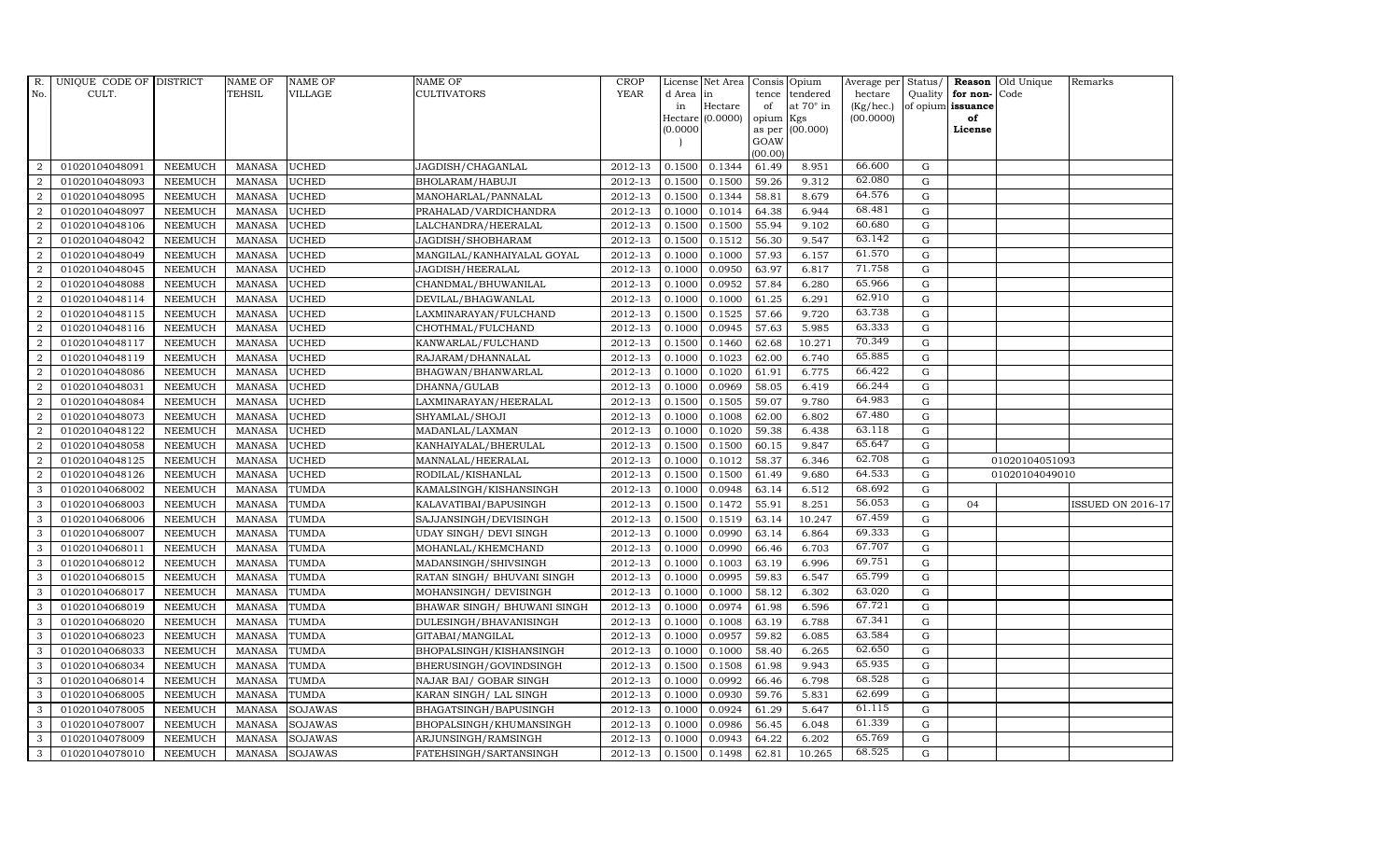| R.             | UNIQUE CODE OF DISTRICT |                | NAME OF       | <b>NAME OF</b> | <b>NAME OF</b>              | CROP        |           | License Net Area   Consis   Opium |           |                  | Average per | Status/     | Reason            | Old Unique     | Remarks                  |
|----------------|-------------------------|----------------|---------------|----------------|-----------------------------|-------------|-----------|-----------------------------------|-----------|------------------|-------------|-------------|-------------------|----------------|--------------------------|
| No.            | CULT.                   |                | <b>TEHSIL</b> | <b>VILLAGE</b> | <b>CULTIVATORS</b>          | <b>YEAR</b> | d Area in |                                   | tence     | tendered         | hectare     | Quality     | for non-          | Code           |                          |
|                |                         |                |               |                |                             |             | in        | Hectare                           | of        | at $70^\circ$ in | (Kg/hec.)   |             | of opium issuance |                |                          |
|                |                         |                |               |                |                             |             |           | Hectare (0.0000)                  | opium Kgs |                  | (00.0000)   |             | of                |                |                          |
|                |                         |                |               |                |                             |             | (0.0000)  |                                   | GOAW      | as per (00.000)  |             |             | License           |                |                          |
|                |                         |                |               |                |                             |             |           |                                   | (00.00)   |                  |             |             |                   |                |                          |
| $\overline{2}$ | 01020104048091          | <b>NEEMUCH</b> | MANASA        | <b>UCHED</b>   | JAGDISH/CHAGANLAL           | 2012-13     | 0.1500    | 0.1344                            | 61.49     | 8.951            | 66.600      | $\mathbf G$ |                   |                |                          |
| $\overline{2}$ | 01020104048093          | <b>NEEMUCH</b> | <b>MANASA</b> | <b>UCHED</b>   | BHOLARAM/HABUJI             | 2012-13     | 0.1500    | 0.1500                            | 59.26     | 9.312            | 62.080      | $\mathbf G$ |                   |                |                          |
| 2              | 01020104048095          | <b>NEEMUCH</b> | <b>MANASA</b> | <b>UCHED</b>   | MANOHARLAL/PANNALAL         | 2012-13     | 0.1500    | 0.1344                            | 58.81     | 8.679            | 64.576      | G           |                   |                |                          |
| $\overline{2}$ | 01020104048097          | <b>NEEMUCH</b> | <b>MANASA</b> | <b>UCHED</b>   | PRAHALAD/VARDICHANDRA       | 2012-13     | 0.1000    | 0.1014                            | 64.38     | 6.944            | 68.481      | $\mathbf G$ |                   |                |                          |
| $\overline{a}$ | 01020104048106          | <b>NEEMUCH</b> | <b>MANASA</b> | <b>UCHED</b>   | LALCHANDRA/HEERALAL         | 2012-13     | 0.1500    | 0.1500                            | 55.94     | 9.102            | 60.680      | ${\bf G}$   |                   |                |                          |
| 2              | 01020104048042          | <b>NEEMUCH</b> | MANASA        | <b>UCHED</b>   | JAGDISH/SHOBHARAM           | 2012-13     | 0.1500    | 0.1512                            | 56.30     | 9.547            | 63.142      | $\mathbf G$ |                   |                |                          |
| $\overline{a}$ | 01020104048049          | <b>NEEMUCH</b> | <b>MANASA</b> | <b>UCHED</b>   | MANGILAL/KANHAIYALAL GOYAL  | 2012-13     | 0.1000    | 0.1000                            | 57.93     | 6.157            | 61.570      | $\mathbf G$ |                   |                |                          |
| $\overline{2}$ | 01020104048045          | <b>NEEMUCH</b> | <b>MANASA</b> | <b>UCHED</b>   | JAGDISH/HEERALAL            | 2012-13     | 0.1000    | 0.0950                            | 63.97     | 6.817            | 71.758      | $\mathbf G$ |                   |                |                          |
| $\overline{2}$ | 01020104048088          | <b>NEEMUCH</b> | <b>MANASA</b> | <b>UCHED</b>   | CHANDMAL/BHUWANILAL         | 2012-13     | 0.1000    | 0.0952                            | 57.84     | 6.280            | 65.966      | $\mathbf G$ |                   |                |                          |
| $\overline{2}$ | 01020104048114          | <b>NEEMUCH</b> | <b>MANASA</b> | <b>UCHED</b>   | DEVILAL/BHAGWANLAL          | 2012-13     | 0.1000    | 0.1000                            | 61.25     | 6.291            | 62.910      | $\mathbf G$ |                   |                |                          |
| $\overline{a}$ | 01020104048115          | <b>NEEMUCH</b> | <b>MANASA</b> | <b>UCHED</b>   | LAXMINARAYAN/FULCHAND       | 2012-13     | 0.1500    | 0.1525                            | 57.66     | 9.720            | 63.738      | ${\rm G}$   |                   |                |                          |
| $\overline{2}$ | 01020104048116          | <b>NEEMUCH</b> | <b>MANASA</b> | <b>UCHED</b>   | CHOTHMAL/FULCHAND           | 2012-13     | 0.1000    | 0.0945                            | 57.63     | 5.985            | 63.333      | G           |                   |                |                          |
| 2              | 01020104048117          | <b>NEEMUCH</b> | <b>MANASA</b> | <b>UCHED</b>   | KANWARLAL/FULCHAND          | 2012-13     | 0.1500    | 0.1460                            | 62.68     | 10.271           | 70.349      | $\mathbf G$ |                   |                |                          |
| 2              | 01020104048119          | <b>NEEMUCH</b> | <b>MANASA</b> | <b>UCHED</b>   | RAJARAM/DHANNALAL           | 2012-13     | 0.1000    | 0.1023                            | 62.00     | 6.740            | 65.885      | G           |                   |                |                          |
| $\overline{2}$ | 01020104048086          | <b>NEEMUCH</b> | <b>MANASA</b> | <b>UCHED</b>   | BHAGWAN/BHANWARLAL          | 2012-13     | 0.1000    | 0.1020                            | 61.91     | 6.775            | 66.422      | G           |                   |                |                          |
| $\overline{a}$ | 01020104048031          | <b>NEEMUCH</b> | <b>MANASA</b> | <b>UCHED</b>   | DHANNA/GULAB                | 2012-13     | 0.1000    | 0.0969                            | 58.05     | 6.419            | 66.244      | $\mathbf G$ |                   |                |                          |
| 2              | 01020104048084          | <b>NEEMUCH</b> | <b>MANASA</b> | <b>UCHED</b>   | LAXMINARAYAN/HEERALAL       | 2012-13     | 0.1500    | 0.1505                            | 59.07     | 9.780            | 64.983      | G           |                   |                |                          |
| 2              | 01020104048073          | <b>NEEMUCH</b> | <b>MANASA</b> | <b>UCHED</b>   | SHYAMLAL/SHOJI              | 2012-13     | 0.1000    | 0.1008                            | 62.00     | 6.802            | 67.480      | $\mathbf G$ |                   |                |                          |
| $\overline{2}$ | 01020104048122          | <b>NEEMUCH</b> | <b>MANASA</b> | <b>UCHED</b>   | MADANLAL/LAXMAN             | 2012-13     | 0.1000    | 0.1020                            | 59.38     | 6.438            | 63.118      | $\mathbf G$ |                   |                |                          |
| $\overline{2}$ | 01020104048058          | <b>NEEMUCH</b> | <b>MANASA</b> | <b>UCHED</b>   | KANHAIYALAL/BHERULAL        | 2012-13     | 0.1500    | 0.1500                            | 60.15     | 9.847            | 65.647      | G           |                   |                |                          |
| 2              | 01020104048125          | <b>NEEMUCH</b> | <b>MANASA</b> | <b>UCHED</b>   | MANNALAL/HEERALAL           | 2012-13     | 0.1000    | 0.1012                            | 58.37     | 6.346            | 62.708      | $\mathbf G$ |                   | 01020104051093 |                          |
| $\overline{2}$ | 01020104048126          | <b>NEEMUCH</b> | <b>MANASA</b> | <b>UCHED</b>   | RODILAL/KISHANLAL           | 2012-13     | 0.1500    | 0.1500                            | 61.49     | 9.680            | 64.533      | ${\rm G}$   |                   | 01020104049010 |                          |
| $\mathbf{3}$   | 01020104068002          | <b>NEEMUCH</b> | <b>MANASA</b> | TUMDA          | KAMALSINGH/KISHANSINGH      | 2012-13     | 0.1000    | 0.0948                            | 63.14     | 6.512            | 68.692      | $\mathbf G$ |                   |                |                          |
| 3              | 01020104068003          | <b>NEEMUCH</b> | <b>MANASA</b> | <b>TUMDA</b>   | KALAVATIBAI/BAPUSINGH       | 2012-13     | 0.1500    | 0.1472                            | 55.91     | 8.251            | 56.053      | $\mathbf G$ | 04                |                | <b>ISSUED ON 2016-17</b> |
| 3              | 01020104068006          | <b>NEEMUCH</b> | <b>MANASA</b> | TUMDA          | SAJJANSINGH/DEVISINGH       | 2012-13     | 0.1500    | 0.1519                            | 63.14     | 10.247           | 67.459      | $\mathbf G$ |                   |                |                          |
| 3              | 01020104068007          | <b>NEEMUCH</b> | <b>MANASA</b> | TUMDA          | UDAY SINGH / DEVI SINGH     | 2012-13     | 0.1000    | 0.0990                            | 63.14     | 6.864            | 69.333      | ${\rm G}$   |                   |                |                          |
| 3              | 01020104068011          | <b>NEEMUCH</b> | <b>MANASA</b> | <b>TUMDA</b>   | MOHANLAL/KHEMCHAND          | 2012-13     | 0.1000    | 0.0990                            | 66.46     | 6.703            | 67.707      | $\mathbf G$ |                   |                |                          |
| 3              | 01020104068012          | <b>NEEMUCH</b> | <b>MANASA</b> | TUMDA          | MADANSINGH/SHIVSINGH        | 2012-13     | 0.1000    | 0.1003                            | 63.19     | 6.996            | 69.751      | $\mathbf G$ |                   |                |                          |
| 3              | 01020104068015          | <b>NEEMUCH</b> | <b>MANASA</b> | <b>TUMDA</b>   | RATAN SINGH/ BHUVANI SINGH  | 2012-13     | 0.1000    | 0.0995                            | 59.83     | 6.547            | 65.799      | $\mathbf G$ |                   |                |                          |
| 3              | 01020104068017          | <b>NEEMUCH</b> | <b>MANASA</b> | <b>TUMDA</b>   | MOHANSINGH/ DEVISINGH       | 2012-13     | 0.1000    | 0.1000                            | 58.12     | 6.302            | 63.020      | $\mathbf G$ |                   |                |                          |
| 3              | 01020104068019          | <b>NEEMUCH</b> | <b>MANASA</b> | TUMDA          | BHAWAR SINGH/ BHUWANI SINGH | 2012-13     | 0.1000    | 0.0974                            | 61.98     | 6.596            | 67.721      | $\mathbf G$ |                   |                |                          |
| 3              | 01020104068020          | <b>NEEMUCH</b> | <b>MANASA</b> | <b>TUMDA</b>   | DULESINGH/BHAVANISINGH      | 2012-13     | 0.1000    | 0.1008                            | 63.19     | 6.788            | 67.341      | ${\rm G}$   |                   |                |                          |
| 3              | 01020104068023          | <b>NEEMUCH</b> | MANASA        | TUMDA          | GITABAI/MANGILAL            | 2012-13     | 0.1000    | 0.0957                            | 59.82     | 6.085            | 63.584      | ${\rm G}$   |                   |                |                          |
| 3              | 01020104068033          | <b>NEEMUCH</b> | <b>MANASA</b> | <b>TUMDA</b>   | BHOPALSINGH/KISHANSINGH     | 2012-13     | 0.1000    | 0.1000                            | 58.40     | 6.265            | 62.650      | $\mathbf G$ |                   |                |                          |
| 3              | 01020104068034          | <b>NEEMUCH</b> | <b>MANASA</b> | TUMDA          | BHERUSINGH/GOVINDSINGH      | 2012-13     | 0.1500    | 0.1508                            | 61.98     | 9.943            | 65.935      | $\mathbf G$ |                   |                |                          |
| 3              | 01020104068014          | <b>NEEMUCH</b> | <b>MANASA</b> | TUMDA          | NAJAR BAI/ GOBAR SINGH      | 2012-13     | 0.1000    | 0.0992                            | 66.46     | 6.798            | 68.528      | $\mathbf G$ |                   |                |                          |
| 3              | 01020104068005          | <b>NEEMUCH</b> | <b>MANASA</b> | <b>TUMDA</b>   | KARAN SINGH/ LAL SINGH      | 2012-13     | 0.1000    | 0.0930                            | 59.76     | 5.831            | 62.699      | ${\rm G}$   |                   |                |                          |
| 3              | 01020104078005          | <b>NEEMUCH</b> | <b>MANASA</b> | SOJAWAS        | BHAGATSINGH/BAPUSINGH       | $2012 - 13$ | 0.1000    | 0.0924                            | 61.29     | 5.647            | 61.115      | $\mathbf G$ |                   |                |                          |
| 3              | 01020104078007          | <b>NEEMUCH</b> | <b>MANASA</b> | <b>SOJAWAS</b> | BHOPALSINGH/KHUMANSINGH     | 2012-13     | 0.1000    | 0.0986                            | 56.45     | 6.048            | 61.339      | $\mathbf G$ |                   |                |                          |
| 3              | 01020104078009          | <b>NEEMUCH</b> | <b>MANASA</b> | <b>SOJAWAS</b> | ARJUNSINGH/RAMSINGH         | 2012-13     | 0.1000    | 0.0943                            | 64.22     | 6.202            | 65.769      | $\mathbf G$ |                   |                |                          |
| 3              | 01020104078010          | <b>NEEMUCH</b> | MANASA        | <b>SOJAWAS</b> | FATEHSINGH/SARTANSINGH      | 2012-13     | 0.1500    | 0.1498                            | 62.81     | 10.265           | 68.525      | G           |                   |                |                          |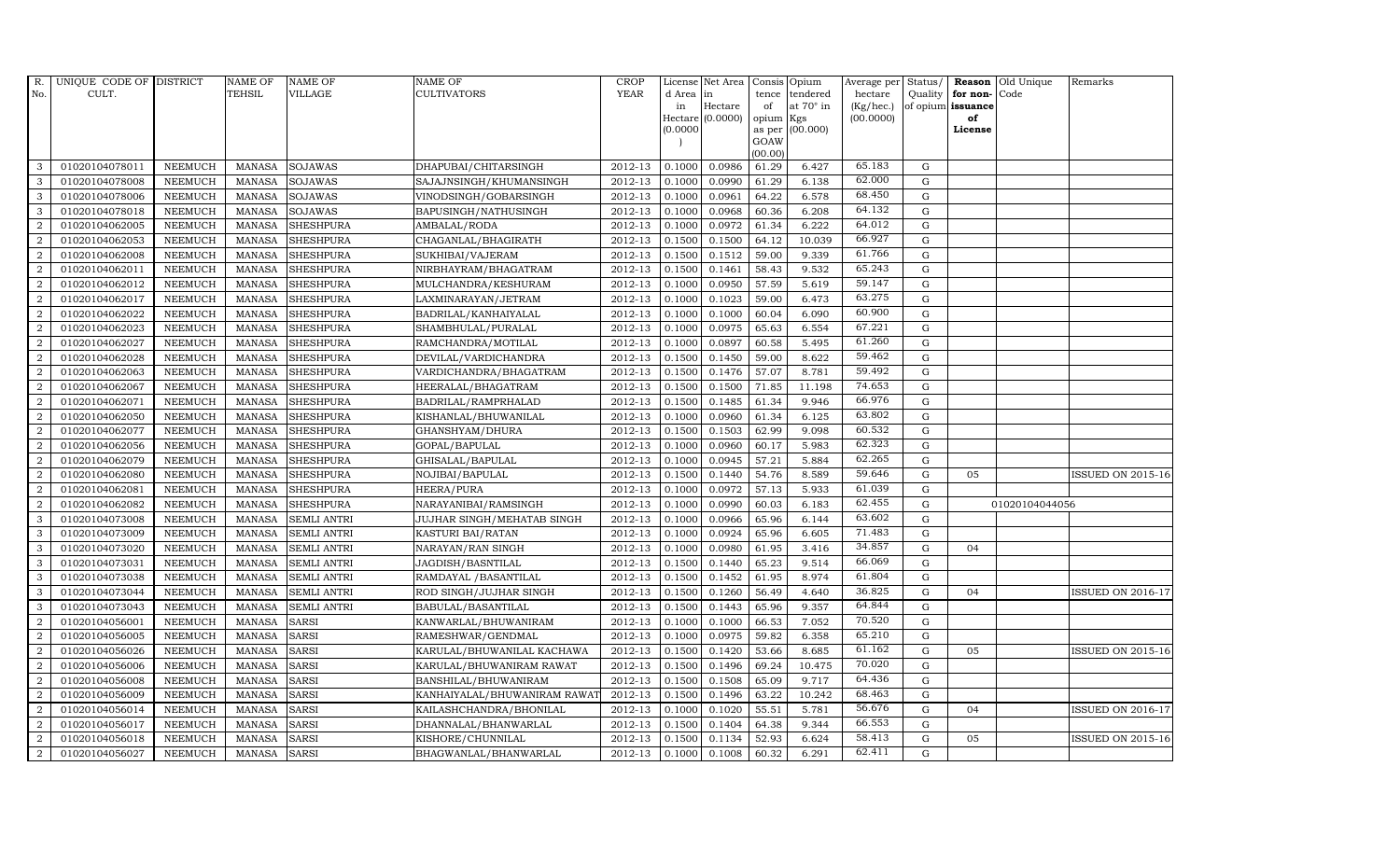| <b>TEHSIL</b><br><b>YEAR</b><br>No.<br>CULT.<br>VILLAGE<br><b>CULTIVATORS</b><br>d Area<br>tence<br>tendered<br>hectare<br>Quality<br>for non-<br>Code<br>in<br>at $70^\circ$ in<br>Hectare<br>(Kg/hec.)<br>of opium issuance<br>in<br>of<br>Hectare (0.0000)<br>(00.0000)<br>opium Kgs<br>of<br>as per (00.000)<br>(0.0000)<br>License<br>GOAW<br>(00.00)<br>65.183<br>0.0986<br>6.427<br>G<br>3<br>01020104078011<br><b>NEEMUCH</b><br>MANASA<br><b>SOJAWAS</b><br>2012-13<br>0.1000<br>61.29<br>DHAPUBAI/CHITARSINGH<br>62.000<br>0.0990<br>$\mathbf G$<br>01020104078008<br><b>SOJAWAS</b><br>2012-13<br>61.29<br>6.138<br>3<br><b>NEEMUCH</b><br><b>MANASA</b><br>SAJAJNSINGH/KHUMANSINGH<br>0.1000<br>68.450<br>3<br>01020104078006<br><b>MANASA</b><br><b>SOJAWAS</b><br>2012-13<br>0.1000<br>0.0961<br>64.22<br>6.578<br><b>NEEMUCH</b><br>VINODSINGH/GOBARSINGH<br>G<br>64.132<br><b>SOJAWAS</b><br>0.0968<br>6.208<br>$\mathbf G$<br>3<br>01020104078018<br><b>NEEMUCH</b><br><b>MANASA</b><br>BAPUSINGH/NATHUSINGH<br>2012-13<br>0.1000<br>60.36<br>64.012<br>$\overline{2}$<br>6.222<br>${\bf G}$<br>01020104062005<br><b>NEEMUCH</b><br><b>MANASA</b><br><b>SHESHPURA</b><br>2012-13<br>0.1000<br>0.0972<br>61.34<br>AMBALAL/RODA<br>66.927<br>$2012 - 13$<br>0.1500<br>${\rm G}$<br>$\overline{2}$<br>01020104062053<br><b>NEEMUCH</b><br><b>MANASA</b><br>0.1500<br>64.12<br>10.039<br><b>SHESHPURA</b><br>CHAGANLAL/BHAGIRATH<br>61.766<br>2012-13<br>${\rm G}$<br>01020104062008<br><b>SHESHPURA</b><br>0.1512<br>59.00<br>9.339<br>$\overline{2}$<br><b>NEEMUCH</b><br><b>MANASA</b><br>SUKHIBAI/VAJERAM<br>0.1500<br>65.243<br>2012-13<br>2<br>01020104062011<br><b>NEEMUCH</b><br><b>SHESHPURA</b><br>0.1500<br>0.1461<br>58.43<br>9.532<br>$\mathbf G$<br><b>MANASA</b><br>NIRBHAYRAM/BHAGATRAM<br>59.147<br>$\overline{2}$<br>01020104062012<br><b>NEEMUCH</b><br><b>MANASA</b><br><b>SHESHPURA</b><br>2012-13<br>0.0950<br>57.59<br>5.619<br>G<br>MULCHANDRA/KESHURAM<br>0.1000<br>63.275<br>2<br>0.1023<br>6.473<br>$\mathbf G$<br>01020104062017<br><b>NEEMUCH</b><br><b>MANASA</b><br><b>SHESHPURA</b><br>2012-13<br>0.1000<br>59.00<br>LAXMINARAYAN/JETRAM<br>60.900<br>$\overline{a}$<br>01020104062022<br><b>NEEMUCH</b><br><b>MANASA</b><br>2012-13<br>0.1000<br>0.1000<br>60.04<br>6.090<br>$\mathbf G$<br><b>SHESHPURA</b><br>BADRILAL/KANHAIYALAL<br>67.221<br>2012-13<br>0.0975<br>$\mathbf G$<br>$\overline{a}$<br>01020104062023<br><b>NEEMUCH</b><br>MANASA<br><b>SHESHPURA</b><br>SHAMBHULAL/PURALAL<br>0.1000<br>65.63<br>6.554<br>61.260<br>2012-13<br>2<br>01020104062027<br><b>NEEMUCH</b><br><b>MANASA</b><br><b>SHESHPURA</b><br>RAMCHANDRA/MOTILAL<br>0.1000<br>0.0897<br>60.58<br>5.495<br>G<br>59.462<br>2012-13<br>0.1450<br>$\mathbf G$<br>$\overline{2}$<br>01020104062028<br><b>NEEMUCH</b><br><b>MANASA</b><br><b>SHESHPURA</b><br>DEVILAL/VARDICHANDRA<br>0.1500<br>59.00<br>8.622<br>59.492<br>$\overline{2}$<br>01020104062063<br><b>NEEMUCH</b><br>MANASA<br><b>SHESHPURA</b><br>2012-13<br>0.1500<br>0.1476<br>57.07<br>8.781<br>$\mathbf G$<br>VARDICHANDRA/BHAGATRAM<br>74.653<br>2012-13<br>0.1500<br>0.1500<br>71.85<br>${\rm G}$<br>2<br>01020104062067<br><b>NEEMUCH</b><br><b>MANASA</b><br><b>SHESHPURA</b><br>HEERALAL/BHAGATRAM<br>11.198<br>66.976<br>2012-13<br>0.1485<br>61.34<br>$\overline{a}$<br>01020104062071<br><b>NEEMUCH</b><br><b>MANASA</b><br><b>SHESHPURA</b><br>BADRILAL/RAMPRHALAD<br>0.1500<br>9.946<br>G<br>63.802<br>$\overline{a}$<br>2012-13<br>0.0960<br>61.34<br>6.125<br>01020104062050<br><b>NEEMUCH</b><br><b>MANASA</b><br><b>SHESHPURA</b><br>KISHANLAL/BHUWANILAL<br>0.1000<br>G<br>60.532<br>$\overline{2}$<br>01020104062077<br>2012-13<br>0.1503<br>62.99<br>$\mathbf G$<br><b>NEEMUCH</b><br><b>MANASA</b><br><b>SHESHPURA</b><br>GHANSHYAM/DHURA<br>0.1500<br>9.098<br>62.323<br>$\overline{2}$<br>$\mathbf G$<br>01020104062056<br>NEEMUCH<br><b>MANASA</b><br><b>SHESHPURA</b><br>2012-13<br>0.1000<br>0.0960<br>60.17<br>5.983<br>GOPAL/BAPULAL<br>62.265<br>${\rm G}$<br>2<br>2012-13<br>0.0945<br>57.21<br>5.884<br>01020104062079<br><b>NEEMUCH</b><br><b>MANASA</b><br><b>SHESHPURA</b><br>GHISALAL/BAPULAL<br>0.1000<br>59.646<br>01020104062080<br>2012-13<br>0.1440<br>54.76<br>2<br><b>NEEMUCH</b><br><b>MANASA</b><br><b>SHESHPURA</b><br>NOJIBAI/BAPULAL<br>0.1500<br>8.589<br>$\mathbf G$<br>05<br>2012-13<br>0.0972<br>61.039<br>$\overline{2}$<br>01020104062081<br><b>NEEMUCH</b><br>0.1000<br>57.13<br>5.933<br>${\rm G}$<br><b>MANASA</b><br><b>SHESHPURA</b><br>HEERA/PURA<br>62.455<br>$\mathbf G$<br>2<br>01020104062082<br><b>NEEMUCH</b><br><b>MANASA</b><br><b>SHESHPURA</b><br>NARAYANIBAI/RAMSINGH<br>2012-13<br>0.1000<br>0.0990<br>60.03<br>6.183<br>01020104044056<br>63.602<br>3<br>0.0966<br>65.96<br>$\mathbf G$<br>01020104073008<br><b>NEEMUCH</b><br><b>MANASA</b><br><b>SEMLI ANTRI</b><br>JUJHAR SINGH/MEHATAB SINGH<br>2012-13<br>0.1000<br>6.144<br>71.483<br>${\rm G}$<br>3<br>2012-13<br>0.1000<br>0.0924<br>65.96<br>01020104073009<br><b>NEEMUCH</b><br><b>MANASA</b><br><b>SEMLI ANTRI</b><br>KASTURI BAI/RATAN<br>6.605<br>34.857<br>3<br>01020104073020<br><b>NEEMUCH</b><br><b>MANASA</b><br>2012-13<br>0.1000<br>0.0980<br>61.95<br>3.416<br>$\mathbf G$<br><b>SEMLI ANTRI</b><br>NARAYAN/RAN SINGH<br>04<br>66.069<br>2012-13<br>0.1440<br>65.23<br>$\mathbf G$<br>3<br>01020104073031<br><b>NEEMUCH</b><br><b>MANASA</b><br><b>SEMLI ANTRI</b><br>JAGDISH/BASNTILAL<br>0.1500<br>9.514<br>61.804<br>2012-13<br>$\mathbf G$<br>01020104073038<br>0.1500<br>0.1452<br>61.95<br>8.974<br>3<br><b>NEEMUCH</b><br><b>MANASA</b><br><b>SEMLI ANTRI</b><br>RAMDAYAL / BASANTILAL<br>36.825<br>3<br>01020104073044<br><b>MANASA</b><br>2012-13<br>0.1500<br>0.1260<br>56.49<br>4.640<br>G<br><b>NEEMUCH</b><br><b>SEMLI ANTRI</b><br>ROD SINGH/JUJHAR SINGH<br>04<br>64.844<br>3<br>9.357<br>$\mathbf G$<br><b>NEEMUCH</b><br><b>MANASA</b><br>2012-13<br>0.1500<br>0.1443<br>65.96<br>01020104073043<br><b>SEMLI ANTRI</b><br>BABULAL/BASANTILAL<br>70.520<br>2012-13<br>2<br>01020104056001<br><b>MANASA</b><br><b>SARSI</b><br>0.1000<br>0.1000<br>66.53<br>7.052<br>${\rm G}$<br><b>NEEMUCH</b><br>KANWARLAL/BHUWANIRAM<br>65.210<br>2<br>01020104056005<br>2012-13<br>0.1000<br>0.0975<br>59.82<br>6.358<br>$\mathbf G$<br><b>NEEMUCH</b><br><b>MANASA</b><br><b>SARSI</b><br>RAMESHWAR/GENDMAL<br>61.162<br>2012-13<br>$\mathbf G$<br>$\overline{a}$<br>01020104056026<br><b>NEEMUCH</b><br><b>MANASA</b><br><b>SARSI</b><br>KARULAL/BHUWANILAL KACHAWA<br>0.1500<br>0.1420<br>53.66<br>8.685<br>05<br>70.020<br>$\overline{2}$<br>01020104056006<br><b>NEEMUCH</b><br><b>MANASA</b><br><b>SARSI</b><br>2012-13<br>0.1500<br>0.1496<br>69.24<br>10.475<br>$\mathbf G$<br>KARULAL/BHUWANIRAM RAWAT<br>64.436<br>$\overline{a}$<br><b>MANASA</b><br><b>SARSI</b><br>2012-13<br>0.1500<br>0.1508<br>65.09<br>9.717<br>G<br>01020104056008<br><b>NEEMUCH</b><br>BANSHILAL/BHUWANIRAM<br>68.463<br>63.22<br>2<br>01020104056009<br><b>NEEMUCH</b><br><b>MANASA</b><br><b>SARSI</b><br>2012-13<br>0.1500<br>0.1496<br>10.242<br>${\rm G}$<br>KANHAIYALAL/BHUWANIRAM RAWAT<br>56.676<br>$\overline{a}$<br>01020104056014<br><b>SARSI</b><br>2012-13<br>0.1020<br>55.51<br>5.781<br>$\mathbf G$<br><b>NEEMUCH</b><br><b>MANASA</b><br>KAILASHCHANDRA/BHONILAL<br>0.1000<br>04<br>66.553<br>2012-13<br>0.1404<br>$\mathbf G$<br>2<br>01020104056017<br><b>NEEMUCH</b><br><b>MANASA</b><br><b>SARSI</b><br>DHANNALAL/BHANWARLAL<br>0.1500<br>64.38<br>9.344<br>58.413<br>2012-13<br>$\overline{2}$<br>01020104056018<br><b>NEEMUCH</b><br><b>MANASA</b><br><b>SARSI</b><br>0.1500<br>0.1134<br>52.93<br>6.624<br>$\mathbf G$<br>KISHORE/CHUNNILAL<br>05 | R.             | UNIQUE CODE OF DISTRICT |                | NAME OF | <b>NAME OF</b> | <b>NAME OF</b>        | CROP    |        | License Net Area   Consis   Opium |       |       | Average per | Status/ | <b>Reason</b> | Old Unique | Remarks                  |
|------------------------------------------------------------------------------------------------------------------------------------------------------------------------------------------------------------------------------------------------------------------------------------------------------------------------------------------------------------------------------------------------------------------------------------------------------------------------------------------------------------------------------------------------------------------------------------------------------------------------------------------------------------------------------------------------------------------------------------------------------------------------------------------------------------------------------------------------------------------------------------------------------------------------------------------------------------------------------------------------------------------------------------------------------------------------------------------------------------------------------------------------------------------------------------------------------------------------------------------------------------------------------------------------------------------------------------------------------------------------------------------------------------------------------------------------------------------------------------------------------------------------------------------------------------------------------------------------------------------------------------------------------------------------------------------------------------------------------------------------------------------------------------------------------------------------------------------------------------------------------------------------------------------------------------------------------------------------------------------------------------------------------------------------------------------------------------------------------------------------------------------------------------------------------------------------------------------------------------------------------------------------------------------------------------------------------------------------------------------------------------------------------------------------------------------------------------------------------------------------------------------------------------------------------------------------------------------------------------------------------------------------------------------------------------------------------------------------------------------------------------------------------------------------------------------------------------------------------------------------------------------------------------------------------------------------------------------------------------------------------------------------------------------------------------------------------------------------------------------------------------------------------------------------------------------------------------------------------------------------------------------------------------------------------------------------------------------------------------------------------------------------------------------------------------------------------------------------------------------------------------------------------------------------------------------------------------------------------------------------------------------------------------------------------------------------------------------------------------------------------------------------------------------------------------------------------------------------------------------------------------------------------------------------------------------------------------------------------------------------------------------------------------------------------------------------------------------------------------------------------------------------------------------------------------------------------------------------------------------------------------------------------------------------------------------------------------------------------------------------------------------------------------------------------------------------------------------------------------------------------------------------------------------------------------------------------------------------------------------------------------------------------------------------------------------------------------------------------------------------------------------------------------------------------------------------------------------------------------------------------------------------------------------------------------------------------------------------------------------------------------------------------------------------------------------------------------------------------------------------------------------------------------------------------------------------------------------------------------------------------------------------------------------------------------------------------------------------------------------------------------------------------------------------------------------------------------------------------------------------------------------------------------------------------------------------------------------------------------------------------------------------------------------------------------------------------------------------------------------------------------------------------------------------------------------------------------------------------------------------------------------------------------------------------------------------------------------------------------------------------------------------------------------------------------------------------------------------------------------------------------------------------------------------------------------------------------------------------------------------------------------------------------------------------------------------------------------------------------------------------------------------------------------------------------------------------------------------------------------------------------------------------------------------------------------------------------------------------------------------------------------------------------------------------------------------------------------------------------------------------------------------------------------------------------------------------------------------------------------------------------------------------------------------------------------------------------------------------------------------------------------------------------------------------------------------------------------------------------------------------------------------------------------------------------------------------------------------------------------------------------------------------------------------------------------------------------------------------------------------------------------------------------------------------------------------------------------------------------------------------------------------------------------------------------------------------------------------------------------------------------------------------------------------------------------------------------------------------------------------------------------------------------------------------|----------------|-------------------------|----------------|---------|----------------|-----------------------|---------|--------|-----------------------------------|-------|-------|-------------|---------|---------------|------------|--------------------------|
|                                                                                                                                                                                                                                                                                                                                                                                                                                                                                                                                                                                                                                                                                                                                                                                                                                                                                                                                                                                                                                                                                                                                                                                                                                                                                                                                                                                                                                                                                                                                                                                                                                                                                                                                                                                                                                                                                                                                                                                                                                                                                                                                                                                                                                                                                                                                                                                                                                                                                                                                                                                                                                                                                                                                                                                                                                                                                                                                                                                                                                                                                                                                                                                                                                                                                                                                                                                                                                                                                                                                                                                                                                                                                                                                                                                                                                                                                                                                                                                                                                                                                                                                                                                                                                                                                                                                                                                                                                                                                                                                                                                                                                                                                                                                                                                                                                                                                                                                                                                                                                                                                                                                                                                                                                                                                                                                                                                                                                                                                                                                                                                                                                                                                                                                                                                                                                                                                                                                                                                                                                                                                                                                                                                                                                                                                                                                                                                                                                                                                                                                                                                                                                                                                                                                                                                                                                                                                                                                                                                                                                                                                                                                                                                                                                                                                                                                                                                                                                                                                                                                                                                                                                                                                                                                                                                                      |                |                         |                |         |                |                       |         |        |                                   |       |       |             |         |               |            |                          |
|                                                                                                                                                                                                                                                                                                                                                                                                                                                                                                                                                                                                                                                                                                                                                                                                                                                                                                                                                                                                                                                                                                                                                                                                                                                                                                                                                                                                                                                                                                                                                                                                                                                                                                                                                                                                                                                                                                                                                                                                                                                                                                                                                                                                                                                                                                                                                                                                                                                                                                                                                                                                                                                                                                                                                                                                                                                                                                                                                                                                                                                                                                                                                                                                                                                                                                                                                                                                                                                                                                                                                                                                                                                                                                                                                                                                                                                                                                                                                                                                                                                                                                                                                                                                                                                                                                                                                                                                                                                                                                                                                                                                                                                                                                                                                                                                                                                                                                                                                                                                                                                                                                                                                                                                                                                                                                                                                                                                                                                                                                                                                                                                                                                                                                                                                                                                                                                                                                                                                                                                                                                                                                                                                                                                                                                                                                                                                                                                                                                                                                                                                                                                                                                                                                                                                                                                                                                                                                                                                                                                                                                                                                                                                                                                                                                                                                                                                                                                                                                                                                                                                                                                                                                                                                                                                                                                      |                |                         |                |         |                |                       |         |        |                                   |       |       |             |         |               |            |                          |
|                                                                                                                                                                                                                                                                                                                                                                                                                                                                                                                                                                                                                                                                                                                                                                                                                                                                                                                                                                                                                                                                                                                                                                                                                                                                                                                                                                                                                                                                                                                                                                                                                                                                                                                                                                                                                                                                                                                                                                                                                                                                                                                                                                                                                                                                                                                                                                                                                                                                                                                                                                                                                                                                                                                                                                                                                                                                                                                                                                                                                                                                                                                                                                                                                                                                                                                                                                                                                                                                                                                                                                                                                                                                                                                                                                                                                                                                                                                                                                                                                                                                                                                                                                                                                                                                                                                                                                                                                                                                                                                                                                                                                                                                                                                                                                                                                                                                                                                                                                                                                                                                                                                                                                                                                                                                                                                                                                                                                                                                                                                                                                                                                                                                                                                                                                                                                                                                                                                                                                                                                                                                                                                                                                                                                                                                                                                                                                                                                                                                                                                                                                                                                                                                                                                                                                                                                                                                                                                                                                                                                                                                                                                                                                                                                                                                                                                                                                                                                                                                                                                                                                                                                                                                                                                                                                                                      |                |                         |                |         |                |                       |         |        |                                   |       |       |             |         |               |            |                          |
|                                                                                                                                                                                                                                                                                                                                                                                                                                                                                                                                                                                                                                                                                                                                                                                                                                                                                                                                                                                                                                                                                                                                                                                                                                                                                                                                                                                                                                                                                                                                                                                                                                                                                                                                                                                                                                                                                                                                                                                                                                                                                                                                                                                                                                                                                                                                                                                                                                                                                                                                                                                                                                                                                                                                                                                                                                                                                                                                                                                                                                                                                                                                                                                                                                                                                                                                                                                                                                                                                                                                                                                                                                                                                                                                                                                                                                                                                                                                                                                                                                                                                                                                                                                                                                                                                                                                                                                                                                                                                                                                                                                                                                                                                                                                                                                                                                                                                                                                                                                                                                                                                                                                                                                                                                                                                                                                                                                                                                                                                                                                                                                                                                                                                                                                                                                                                                                                                                                                                                                                                                                                                                                                                                                                                                                                                                                                                                                                                                                                                                                                                                                                                                                                                                                                                                                                                                                                                                                                                                                                                                                                                                                                                                                                                                                                                                                                                                                                                                                                                                                                                                                                                                                                                                                                                                                                      |                |                         |                |         |                |                       |         |        |                                   |       |       |             |         |               |            |                          |
|                                                                                                                                                                                                                                                                                                                                                                                                                                                                                                                                                                                                                                                                                                                                                                                                                                                                                                                                                                                                                                                                                                                                                                                                                                                                                                                                                                                                                                                                                                                                                                                                                                                                                                                                                                                                                                                                                                                                                                                                                                                                                                                                                                                                                                                                                                                                                                                                                                                                                                                                                                                                                                                                                                                                                                                                                                                                                                                                                                                                                                                                                                                                                                                                                                                                                                                                                                                                                                                                                                                                                                                                                                                                                                                                                                                                                                                                                                                                                                                                                                                                                                                                                                                                                                                                                                                                                                                                                                                                                                                                                                                                                                                                                                                                                                                                                                                                                                                                                                                                                                                                                                                                                                                                                                                                                                                                                                                                                                                                                                                                                                                                                                                                                                                                                                                                                                                                                                                                                                                                                                                                                                                                                                                                                                                                                                                                                                                                                                                                                                                                                                                                                                                                                                                                                                                                                                                                                                                                                                                                                                                                                                                                                                                                                                                                                                                                                                                                                                                                                                                                                                                                                                                                                                                                                                                                      |                |                         |                |         |                |                       |         |        |                                   |       |       |             |         |               |            |                          |
|                                                                                                                                                                                                                                                                                                                                                                                                                                                                                                                                                                                                                                                                                                                                                                                                                                                                                                                                                                                                                                                                                                                                                                                                                                                                                                                                                                                                                                                                                                                                                                                                                                                                                                                                                                                                                                                                                                                                                                                                                                                                                                                                                                                                                                                                                                                                                                                                                                                                                                                                                                                                                                                                                                                                                                                                                                                                                                                                                                                                                                                                                                                                                                                                                                                                                                                                                                                                                                                                                                                                                                                                                                                                                                                                                                                                                                                                                                                                                                                                                                                                                                                                                                                                                                                                                                                                                                                                                                                                                                                                                                                                                                                                                                                                                                                                                                                                                                                                                                                                                                                                                                                                                                                                                                                                                                                                                                                                                                                                                                                                                                                                                                                                                                                                                                                                                                                                                                                                                                                                                                                                                                                                                                                                                                                                                                                                                                                                                                                                                                                                                                                                                                                                                                                                                                                                                                                                                                                                                                                                                                                                                                                                                                                                                                                                                                                                                                                                                                                                                                                                                                                                                                                                                                                                                                                                      |                |                         |                |         |                |                       |         |        |                                   |       |       |             |         |               |            |                          |
|                                                                                                                                                                                                                                                                                                                                                                                                                                                                                                                                                                                                                                                                                                                                                                                                                                                                                                                                                                                                                                                                                                                                                                                                                                                                                                                                                                                                                                                                                                                                                                                                                                                                                                                                                                                                                                                                                                                                                                                                                                                                                                                                                                                                                                                                                                                                                                                                                                                                                                                                                                                                                                                                                                                                                                                                                                                                                                                                                                                                                                                                                                                                                                                                                                                                                                                                                                                                                                                                                                                                                                                                                                                                                                                                                                                                                                                                                                                                                                                                                                                                                                                                                                                                                                                                                                                                                                                                                                                                                                                                                                                                                                                                                                                                                                                                                                                                                                                                                                                                                                                                                                                                                                                                                                                                                                                                                                                                                                                                                                                                                                                                                                                                                                                                                                                                                                                                                                                                                                                                                                                                                                                                                                                                                                                                                                                                                                                                                                                                                                                                                                                                                                                                                                                                                                                                                                                                                                                                                                                                                                                                                                                                                                                                                                                                                                                                                                                                                                                                                                                                                                                                                                                                                                                                                                                                      |                |                         |                |         |                |                       |         |        |                                   |       |       |             |         |               |            |                          |
|                                                                                                                                                                                                                                                                                                                                                                                                                                                                                                                                                                                                                                                                                                                                                                                                                                                                                                                                                                                                                                                                                                                                                                                                                                                                                                                                                                                                                                                                                                                                                                                                                                                                                                                                                                                                                                                                                                                                                                                                                                                                                                                                                                                                                                                                                                                                                                                                                                                                                                                                                                                                                                                                                                                                                                                                                                                                                                                                                                                                                                                                                                                                                                                                                                                                                                                                                                                                                                                                                                                                                                                                                                                                                                                                                                                                                                                                                                                                                                                                                                                                                                                                                                                                                                                                                                                                                                                                                                                                                                                                                                                                                                                                                                                                                                                                                                                                                                                                                                                                                                                                                                                                                                                                                                                                                                                                                                                                                                                                                                                                                                                                                                                                                                                                                                                                                                                                                                                                                                                                                                                                                                                                                                                                                                                                                                                                                                                                                                                                                                                                                                                                                                                                                                                                                                                                                                                                                                                                                                                                                                                                                                                                                                                                                                                                                                                                                                                                                                                                                                                                                                                                                                                                                                                                                                                                      |                |                         |                |         |                |                       |         |        |                                   |       |       |             |         |               |            |                          |
|                                                                                                                                                                                                                                                                                                                                                                                                                                                                                                                                                                                                                                                                                                                                                                                                                                                                                                                                                                                                                                                                                                                                                                                                                                                                                                                                                                                                                                                                                                                                                                                                                                                                                                                                                                                                                                                                                                                                                                                                                                                                                                                                                                                                                                                                                                                                                                                                                                                                                                                                                                                                                                                                                                                                                                                                                                                                                                                                                                                                                                                                                                                                                                                                                                                                                                                                                                                                                                                                                                                                                                                                                                                                                                                                                                                                                                                                                                                                                                                                                                                                                                                                                                                                                                                                                                                                                                                                                                                                                                                                                                                                                                                                                                                                                                                                                                                                                                                                                                                                                                                                                                                                                                                                                                                                                                                                                                                                                                                                                                                                                                                                                                                                                                                                                                                                                                                                                                                                                                                                                                                                                                                                                                                                                                                                                                                                                                                                                                                                                                                                                                                                                                                                                                                                                                                                                                                                                                                                                                                                                                                                                                                                                                                                                                                                                                                                                                                                                                                                                                                                                                                                                                                                                                                                                                                                      |                |                         |                |         |                |                       |         |        |                                   |       |       |             |         |               |            |                          |
|                                                                                                                                                                                                                                                                                                                                                                                                                                                                                                                                                                                                                                                                                                                                                                                                                                                                                                                                                                                                                                                                                                                                                                                                                                                                                                                                                                                                                                                                                                                                                                                                                                                                                                                                                                                                                                                                                                                                                                                                                                                                                                                                                                                                                                                                                                                                                                                                                                                                                                                                                                                                                                                                                                                                                                                                                                                                                                                                                                                                                                                                                                                                                                                                                                                                                                                                                                                                                                                                                                                                                                                                                                                                                                                                                                                                                                                                                                                                                                                                                                                                                                                                                                                                                                                                                                                                                                                                                                                                                                                                                                                                                                                                                                                                                                                                                                                                                                                                                                                                                                                                                                                                                                                                                                                                                                                                                                                                                                                                                                                                                                                                                                                                                                                                                                                                                                                                                                                                                                                                                                                                                                                                                                                                                                                                                                                                                                                                                                                                                                                                                                                                                                                                                                                                                                                                                                                                                                                                                                                                                                                                                                                                                                                                                                                                                                                                                                                                                                                                                                                                                                                                                                                                                                                                                                                                      |                |                         |                |         |                |                       |         |        |                                   |       |       |             |         |               |            |                          |
|                                                                                                                                                                                                                                                                                                                                                                                                                                                                                                                                                                                                                                                                                                                                                                                                                                                                                                                                                                                                                                                                                                                                                                                                                                                                                                                                                                                                                                                                                                                                                                                                                                                                                                                                                                                                                                                                                                                                                                                                                                                                                                                                                                                                                                                                                                                                                                                                                                                                                                                                                                                                                                                                                                                                                                                                                                                                                                                                                                                                                                                                                                                                                                                                                                                                                                                                                                                                                                                                                                                                                                                                                                                                                                                                                                                                                                                                                                                                                                                                                                                                                                                                                                                                                                                                                                                                                                                                                                                                                                                                                                                                                                                                                                                                                                                                                                                                                                                                                                                                                                                                                                                                                                                                                                                                                                                                                                                                                                                                                                                                                                                                                                                                                                                                                                                                                                                                                                                                                                                                                                                                                                                                                                                                                                                                                                                                                                                                                                                                                                                                                                                                                                                                                                                                                                                                                                                                                                                                                                                                                                                                                                                                                                                                                                                                                                                                                                                                                                                                                                                                                                                                                                                                                                                                                                                                      |                |                         |                |         |                |                       |         |        |                                   |       |       |             |         |               |            |                          |
|                                                                                                                                                                                                                                                                                                                                                                                                                                                                                                                                                                                                                                                                                                                                                                                                                                                                                                                                                                                                                                                                                                                                                                                                                                                                                                                                                                                                                                                                                                                                                                                                                                                                                                                                                                                                                                                                                                                                                                                                                                                                                                                                                                                                                                                                                                                                                                                                                                                                                                                                                                                                                                                                                                                                                                                                                                                                                                                                                                                                                                                                                                                                                                                                                                                                                                                                                                                                                                                                                                                                                                                                                                                                                                                                                                                                                                                                                                                                                                                                                                                                                                                                                                                                                                                                                                                                                                                                                                                                                                                                                                                                                                                                                                                                                                                                                                                                                                                                                                                                                                                                                                                                                                                                                                                                                                                                                                                                                                                                                                                                                                                                                                                                                                                                                                                                                                                                                                                                                                                                                                                                                                                                                                                                                                                                                                                                                                                                                                                                                                                                                                                                                                                                                                                                                                                                                                                                                                                                                                                                                                                                                                                                                                                                                                                                                                                                                                                                                                                                                                                                                                                                                                                                                                                                                                                                      |                |                         |                |         |                |                       |         |        |                                   |       |       |             |         |               |            |                          |
|                                                                                                                                                                                                                                                                                                                                                                                                                                                                                                                                                                                                                                                                                                                                                                                                                                                                                                                                                                                                                                                                                                                                                                                                                                                                                                                                                                                                                                                                                                                                                                                                                                                                                                                                                                                                                                                                                                                                                                                                                                                                                                                                                                                                                                                                                                                                                                                                                                                                                                                                                                                                                                                                                                                                                                                                                                                                                                                                                                                                                                                                                                                                                                                                                                                                                                                                                                                                                                                                                                                                                                                                                                                                                                                                                                                                                                                                                                                                                                                                                                                                                                                                                                                                                                                                                                                                                                                                                                                                                                                                                                                                                                                                                                                                                                                                                                                                                                                                                                                                                                                                                                                                                                                                                                                                                                                                                                                                                                                                                                                                                                                                                                                                                                                                                                                                                                                                                                                                                                                                                                                                                                                                                                                                                                                                                                                                                                                                                                                                                                                                                                                                                                                                                                                                                                                                                                                                                                                                                                                                                                                                                                                                                                                                                                                                                                                                                                                                                                                                                                                                                                                                                                                                                                                                                                                                      |                |                         |                |         |                |                       |         |        |                                   |       |       |             |         |               |            |                          |
|                                                                                                                                                                                                                                                                                                                                                                                                                                                                                                                                                                                                                                                                                                                                                                                                                                                                                                                                                                                                                                                                                                                                                                                                                                                                                                                                                                                                                                                                                                                                                                                                                                                                                                                                                                                                                                                                                                                                                                                                                                                                                                                                                                                                                                                                                                                                                                                                                                                                                                                                                                                                                                                                                                                                                                                                                                                                                                                                                                                                                                                                                                                                                                                                                                                                                                                                                                                                                                                                                                                                                                                                                                                                                                                                                                                                                                                                                                                                                                                                                                                                                                                                                                                                                                                                                                                                                                                                                                                                                                                                                                                                                                                                                                                                                                                                                                                                                                                                                                                                                                                                                                                                                                                                                                                                                                                                                                                                                                                                                                                                                                                                                                                                                                                                                                                                                                                                                                                                                                                                                                                                                                                                                                                                                                                                                                                                                                                                                                                                                                                                                                                                                                                                                                                                                                                                                                                                                                                                                                                                                                                                                                                                                                                                                                                                                                                                                                                                                                                                                                                                                                                                                                                                                                                                                                                                      |                |                         |                |         |                |                       |         |        |                                   |       |       |             |         |               |            |                          |
|                                                                                                                                                                                                                                                                                                                                                                                                                                                                                                                                                                                                                                                                                                                                                                                                                                                                                                                                                                                                                                                                                                                                                                                                                                                                                                                                                                                                                                                                                                                                                                                                                                                                                                                                                                                                                                                                                                                                                                                                                                                                                                                                                                                                                                                                                                                                                                                                                                                                                                                                                                                                                                                                                                                                                                                                                                                                                                                                                                                                                                                                                                                                                                                                                                                                                                                                                                                                                                                                                                                                                                                                                                                                                                                                                                                                                                                                                                                                                                                                                                                                                                                                                                                                                                                                                                                                                                                                                                                                                                                                                                                                                                                                                                                                                                                                                                                                                                                                                                                                                                                                                                                                                                                                                                                                                                                                                                                                                                                                                                                                                                                                                                                                                                                                                                                                                                                                                                                                                                                                                                                                                                                                                                                                                                                                                                                                                                                                                                                                                                                                                                                                                                                                                                                                                                                                                                                                                                                                                                                                                                                                                                                                                                                                                                                                                                                                                                                                                                                                                                                                                                                                                                                                                                                                                                                                      |                |                         |                |         |                |                       |         |        |                                   |       |       |             |         |               |            |                          |
|                                                                                                                                                                                                                                                                                                                                                                                                                                                                                                                                                                                                                                                                                                                                                                                                                                                                                                                                                                                                                                                                                                                                                                                                                                                                                                                                                                                                                                                                                                                                                                                                                                                                                                                                                                                                                                                                                                                                                                                                                                                                                                                                                                                                                                                                                                                                                                                                                                                                                                                                                                                                                                                                                                                                                                                                                                                                                                                                                                                                                                                                                                                                                                                                                                                                                                                                                                                                                                                                                                                                                                                                                                                                                                                                                                                                                                                                                                                                                                                                                                                                                                                                                                                                                                                                                                                                                                                                                                                                                                                                                                                                                                                                                                                                                                                                                                                                                                                                                                                                                                                                                                                                                                                                                                                                                                                                                                                                                                                                                                                                                                                                                                                                                                                                                                                                                                                                                                                                                                                                                                                                                                                                                                                                                                                                                                                                                                                                                                                                                                                                                                                                                                                                                                                                                                                                                                                                                                                                                                                                                                                                                                                                                                                                                                                                                                                                                                                                                                                                                                                                                                                                                                                                                                                                                                                                      |                |                         |                |         |                |                       |         |        |                                   |       |       |             |         |               |            |                          |
|                                                                                                                                                                                                                                                                                                                                                                                                                                                                                                                                                                                                                                                                                                                                                                                                                                                                                                                                                                                                                                                                                                                                                                                                                                                                                                                                                                                                                                                                                                                                                                                                                                                                                                                                                                                                                                                                                                                                                                                                                                                                                                                                                                                                                                                                                                                                                                                                                                                                                                                                                                                                                                                                                                                                                                                                                                                                                                                                                                                                                                                                                                                                                                                                                                                                                                                                                                                                                                                                                                                                                                                                                                                                                                                                                                                                                                                                                                                                                                                                                                                                                                                                                                                                                                                                                                                                                                                                                                                                                                                                                                                                                                                                                                                                                                                                                                                                                                                                                                                                                                                                                                                                                                                                                                                                                                                                                                                                                                                                                                                                                                                                                                                                                                                                                                                                                                                                                                                                                                                                                                                                                                                                                                                                                                                                                                                                                                                                                                                                                                                                                                                                                                                                                                                                                                                                                                                                                                                                                                                                                                                                                                                                                                                                                                                                                                                                                                                                                                                                                                                                                                                                                                                                                                                                                                                                      |                |                         |                |         |                |                       |         |        |                                   |       |       |             |         |               |            |                          |
|                                                                                                                                                                                                                                                                                                                                                                                                                                                                                                                                                                                                                                                                                                                                                                                                                                                                                                                                                                                                                                                                                                                                                                                                                                                                                                                                                                                                                                                                                                                                                                                                                                                                                                                                                                                                                                                                                                                                                                                                                                                                                                                                                                                                                                                                                                                                                                                                                                                                                                                                                                                                                                                                                                                                                                                                                                                                                                                                                                                                                                                                                                                                                                                                                                                                                                                                                                                                                                                                                                                                                                                                                                                                                                                                                                                                                                                                                                                                                                                                                                                                                                                                                                                                                                                                                                                                                                                                                                                                                                                                                                                                                                                                                                                                                                                                                                                                                                                                                                                                                                                                                                                                                                                                                                                                                                                                                                                                                                                                                                                                                                                                                                                                                                                                                                                                                                                                                                                                                                                                                                                                                                                                                                                                                                                                                                                                                                                                                                                                                                                                                                                                                                                                                                                                                                                                                                                                                                                                                                                                                                                                                                                                                                                                                                                                                                                                                                                                                                                                                                                                                                                                                                                                                                                                                                                                      |                |                         |                |         |                |                       |         |        |                                   |       |       |             |         |               |            |                          |
|                                                                                                                                                                                                                                                                                                                                                                                                                                                                                                                                                                                                                                                                                                                                                                                                                                                                                                                                                                                                                                                                                                                                                                                                                                                                                                                                                                                                                                                                                                                                                                                                                                                                                                                                                                                                                                                                                                                                                                                                                                                                                                                                                                                                                                                                                                                                                                                                                                                                                                                                                                                                                                                                                                                                                                                                                                                                                                                                                                                                                                                                                                                                                                                                                                                                                                                                                                                                                                                                                                                                                                                                                                                                                                                                                                                                                                                                                                                                                                                                                                                                                                                                                                                                                                                                                                                                                                                                                                                                                                                                                                                                                                                                                                                                                                                                                                                                                                                                                                                                                                                                                                                                                                                                                                                                                                                                                                                                                                                                                                                                                                                                                                                                                                                                                                                                                                                                                                                                                                                                                                                                                                                                                                                                                                                                                                                                                                                                                                                                                                                                                                                                                                                                                                                                                                                                                                                                                                                                                                                                                                                                                                                                                                                                                                                                                                                                                                                                                                                                                                                                                                                                                                                                                                                                                                                                      |                |                         |                |         |                |                       |         |        |                                   |       |       |             |         |               |            |                          |
|                                                                                                                                                                                                                                                                                                                                                                                                                                                                                                                                                                                                                                                                                                                                                                                                                                                                                                                                                                                                                                                                                                                                                                                                                                                                                                                                                                                                                                                                                                                                                                                                                                                                                                                                                                                                                                                                                                                                                                                                                                                                                                                                                                                                                                                                                                                                                                                                                                                                                                                                                                                                                                                                                                                                                                                                                                                                                                                                                                                                                                                                                                                                                                                                                                                                                                                                                                                                                                                                                                                                                                                                                                                                                                                                                                                                                                                                                                                                                                                                                                                                                                                                                                                                                                                                                                                                                                                                                                                                                                                                                                                                                                                                                                                                                                                                                                                                                                                                                                                                                                                                                                                                                                                                                                                                                                                                                                                                                                                                                                                                                                                                                                                                                                                                                                                                                                                                                                                                                                                                                                                                                                                                                                                                                                                                                                                                                                                                                                                                                                                                                                                                                                                                                                                                                                                                                                                                                                                                                                                                                                                                                                                                                                                                                                                                                                                                                                                                                                                                                                                                                                                                                                                                                                                                                                                                      |                |                         |                |         |                |                       |         |        |                                   |       |       |             |         |               |            |                          |
|                                                                                                                                                                                                                                                                                                                                                                                                                                                                                                                                                                                                                                                                                                                                                                                                                                                                                                                                                                                                                                                                                                                                                                                                                                                                                                                                                                                                                                                                                                                                                                                                                                                                                                                                                                                                                                                                                                                                                                                                                                                                                                                                                                                                                                                                                                                                                                                                                                                                                                                                                                                                                                                                                                                                                                                                                                                                                                                                                                                                                                                                                                                                                                                                                                                                                                                                                                                                                                                                                                                                                                                                                                                                                                                                                                                                                                                                                                                                                                                                                                                                                                                                                                                                                                                                                                                                                                                                                                                                                                                                                                                                                                                                                                                                                                                                                                                                                                                                                                                                                                                                                                                                                                                                                                                                                                                                                                                                                                                                                                                                                                                                                                                                                                                                                                                                                                                                                                                                                                                                                                                                                                                                                                                                                                                                                                                                                                                                                                                                                                                                                                                                                                                                                                                                                                                                                                                                                                                                                                                                                                                                                                                                                                                                                                                                                                                                                                                                                                                                                                                                                                                                                                                                                                                                                                                                      |                |                         |                |         |                |                       |         |        |                                   |       |       |             |         |               |            |                          |
|                                                                                                                                                                                                                                                                                                                                                                                                                                                                                                                                                                                                                                                                                                                                                                                                                                                                                                                                                                                                                                                                                                                                                                                                                                                                                                                                                                                                                                                                                                                                                                                                                                                                                                                                                                                                                                                                                                                                                                                                                                                                                                                                                                                                                                                                                                                                                                                                                                                                                                                                                                                                                                                                                                                                                                                                                                                                                                                                                                                                                                                                                                                                                                                                                                                                                                                                                                                                                                                                                                                                                                                                                                                                                                                                                                                                                                                                                                                                                                                                                                                                                                                                                                                                                                                                                                                                                                                                                                                                                                                                                                                                                                                                                                                                                                                                                                                                                                                                                                                                                                                                                                                                                                                                                                                                                                                                                                                                                                                                                                                                                                                                                                                                                                                                                                                                                                                                                                                                                                                                                                                                                                                                                                                                                                                                                                                                                                                                                                                                                                                                                                                                                                                                                                                                                                                                                                                                                                                                                                                                                                                                                                                                                                                                                                                                                                                                                                                                                                                                                                                                                                                                                                                                                                                                                                                                      |                |                         |                |         |                |                       |         |        |                                   |       |       |             |         |               |            |                          |
|                                                                                                                                                                                                                                                                                                                                                                                                                                                                                                                                                                                                                                                                                                                                                                                                                                                                                                                                                                                                                                                                                                                                                                                                                                                                                                                                                                                                                                                                                                                                                                                                                                                                                                                                                                                                                                                                                                                                                                                                                                                                                                                                                                                                                                                                                                                                                                                                                                                                                                                                                                                                                                                                                                                                                                                                                                                                                                                                                                                                                                                                                                                                                                                                                                                                                                                                                                                                                                                                                                                                                                                                                                                                                                                                                                                                                                                                                                                                                                                                                                                                                                                                                                                                                                                                                                                                                                                                                                                                                                                                                                                                                                                                                                                                                                                                                                                                                                                                                                                                                                                                                                                                                                                                                                                                                                                                                                                                                                                                                                                                                                                                                                                                                                                                                                                                                                                                                                                                                                                                                                                                                                                                                                                                                                                                                                                                                                                                                                                                                                                                                                                                                                                                                                                                                                                                                                                                                                                                                                                                                                                                                                                                                                                                                                                                                                                                                                                                                                                                                                                                                                                                                                                                                                                                                                                                      |                |                         |                |         |                |                       |         |        |                                   |       |       |             |         |               |            |                          |
|                                                                                                                                                                                                                                                                                                                                                                                                                                                                                                                                                                                                                                                                                                                                                                                                                                                                                                                                                                                                                                                                                                                                                                                                                                                                                                                                                                                                                                                                                                                                                                                                                                                                                                                                                                                                                                                                                                                                                                                                                                                                                                                                                                                                                                                                                                                                                                                                                                                                                                                                                                                                                                                                                                                                                                                                                                                                                                                                                                                                                                                                                                                                                                                                                                                                                                                                                                                                                                                                                                                                                                                                                                                                                                                                                                                                                                                                                                                                                                                                                                                                                                                                                                                                                                                                                                                                                                                                                                                                                                                                                                                                                                                                                                                                                                                                                                                                                                                                                                                                                                                                                                                                                                                                                                                                                                                                                                                                                                                                                                                                                                                                                                                                                                                                                                                                                                                                                                                                                                                                                                                                                                                                                                                                                                                                                                                                                                                                                                                                                                                                                                                                                                                                                                                                                                                                                                                                                                                                                                                                                                                                                                                                                                                                                                                                                                                                                                                                                                                                                                                                                                                                                                                                                                                                                                                                      |                |                         |                |         |                |                       |         |        |                                   |       |       |             |         |               |            |                          |
|                                                                                                                                                                                                                                                                                                                                                                                                                                                                                                                                                                                                                                                                                                                                                                                                                                                                                                                                                                                                                                                                                                                                                                                                                                                                                                                                                                                                                                                                                                                                                                                                                                                                                                                                                                                                                                                                                                                                                                                                                                                                                                                                                                                                                                                                                                                                                                                                                                                                                                                                                                                                                                                                                                                                                                                                                                                                                                                                                                                                                                                                                                                                                                                                                                                                                                                                                                                                                                                                                                                                                                                                                                                                                                                                                                                                                                                                                                                                                                                                                                                                                                                                                                                                                                                                                                                                                                                                                                                                                                                                                                                                                                                                                                                                                                                                                                                                                                                                                                                                                                                                                                                                                                                                                                                                                                                                                                                                                                                                                                                                                                                                                                                                                                                                                                                                                                                                                                                                                                                                                                                                                                                                                                                                                                                                                                                                                                                                                                                                                                                                                                                                                                                                                                                                                                                                                                                                                                                                                                                                                                                                                                                                                                                                                                                                                                                                                                                                                                                                                                                                                                                                                                                                                                                                                                                                      |                |                         |                |         |                |                       |         |        |                                   |       |       |             |         |               |            |                          |
|                                                                                                                                                                                                                                                                                                                                                                                                                                                                                                                                                                                                                                                                                                                                                                                                                                                                                                                                                                                                                                                                                                                                                                                                                                                                                                                                                                                                                                                                                                                                                                                                                                                                                                                                                                                                                                                                                                                                                                                                                                                                                                                                                                                                                                                                                                                                                                                                                                                                                                                                                                                                                                                                                                                                                                                                                                                                                                                                                                                                                                                                                                                                                                                                                                                                                                                                                                                                                                                                                                                                                                                                                                                                                                                                                                                                                                                                                                                                                                                                                                                                                                                                                                                                                                                                                                                                                                                                                                                                                                                                                                                                                                                                                                                                                                                                                                                                                                                                                                                                                                                                                                                                                                                                                                                                                                                                                                                                                                                                                                                                                                                                                                                                                                                                                                                                                                                                                                                                                                                                                                                                                                                                                                                                                                                                                                                                                                                                                                                                                                                                                                                                                                                                                                                                                                                                                                                                                                                                                                                                                                                                                                                                                                                                                                                                                                                                                                                                                                                                                                                                                                                                                                                                                                                                                                                                      |                |                         |                |         |                |                       |         |        |                                   |       |       |             |         |               |            |                          |
|                                                                                                                                                                                                                                                                                                                                                                                                                                                                                                                                                                                                                                                                                                                                                                                                                                                                                                                                                                                                                                                                                                                                                                                                                                                                                                                                                                                                                                                                                                                                                                                                                                                                                                                                                                                                                                                                                                                                                                                                                                                                                                                                                                                                                                                                                                                                                                                                                                                                                                                                                                                                                                                                                                                                                                                                                                                                                                                                                                                                                                                                                                                                                                                                                                                                                                                                                                                                                                                                                                                                                                                                                                                                                                                                                                                                                                                                                                                                                                                                                                                                                                                                                                                                                                                                                                                                                                                                                                                                                                                                                                                                                                                                                                                                                                                                                                                                                                                                                                                                                                                                                                                                                                                                                                                                                                                                                                                                                                                                                                                                                                                                                                                                                                                                                                                                                                                                                                                                                                                                                                                                                                                                                                                                                                                                                                                                                                                                                                                                                                                                                                                                                                                                                                                                                                                                                                                                                                                                                                                                                                                                                                                                                                                                                                                                                                                                                                                                                                                                                                                                                                                                                                                                                                                                                                                                      |                |                         |                |         |                |                       |         |        |                                   |       |       |             |         |               |            | <b>ISSUED ON 2015-16</b> |
|                                                                                                                                                                                                                                                                                                                                                                                                                                                                                                                                                                                                                                                                                                                                                                                                                                                                                                                                                                                                                                                                                                                                                                                                                                                                                                                                                                                                                                                                                                                                                                                                                                                                                                                                                                                                                                                                                                                                                                                                                                                                                                                                                                                                                                                                                                                                                                                                                                                                                                                                                                                                                                                                                                                                                                                                                                                                                                                                                                                                                                                                                                                                                                                                                                                                                                                                                                                                                                                                                                                                                                                                                                                                                                                                                                                                                                                                                                                                                                                                                                                                                                                                                                                                                                                                                                                                                                                                                                                                                                                                                                                                                                                                                                                                                                                                                                                                                                                                                                                                                                                                                                                                                                                                                                                                                                                                                                                                                                                                                                                                                                                                                                                                                                                                                                                                                                                                                                                                                                                                                                                                                                                                                                                                                                                                                                                                                                                                                                                                                                                                                                                                                                                                                                                                                                                                                                                                                                                                                                                                                                                                                                                                                                                                                                                                                                                                                                                                                                                                                                                                                                                                                                                                                                                                                                                                      |                |                         |                |         |                |                       |         |        |                                   |       |       |             |         |               |            |                          |
|                                                                                                                                                                                                                                                                                                                                                                                                                                                                                                                                                                                                                                                                                                                                                                                                                                                                                                                                                                                                                                                                                                                                                                                                                                                                                                                                                                                                                                                                                                                                                                                                                                                                                                                                                                                                                                                                                                                                                                                                                                                                                                                                                                                                                                                                                                                                                                                                                                                                                                                                                                                                                                                                                                                                                                                                                                                                                                                                                                                                                                                                                                                                                                                                                                                                                                                                                                                                                                                                                                                                                                                                                                                                                                                                                                                                                                                                                                                                                                                                                                                                                                                                                                                                                                                                                                                                                                                                                                                                                                                                                                                                                                                                                                                                                                                                                                                                                                                                                                                                                                                                                                                                                                                                                                                                                                                                                                                                                                                                                                                                                                                                                                                                                                                                                                                                                                                                                                                                                                                                                                                                                                                                                                                                                                                                                                                                                                                                                                                                                                                                                                                                                                                                                                                                                                                                                                                                                                                                                                                                                                                                                                                                                                                                                                                                                                                                                                                                                                                                                                                                                                                                                                                                                                                                                                                                      |                |                         |                |         |                |                       |         |        |                                   |       |       |             |         |               |            |                          |
|                                                                                                                                                                                                                                                                                                                                                                                                                                                                                                                                                                                                                                                                                                                                                                                                                                                                                                                                                                                                                                                                                                                                                                                                                                                                                                                                                                                                                                                                                                                                                                                                                                                                                                                                                                                                                                                                                                                                                                                                                                                                                                                                                                                                                                                                                                                                                                                                                                                                                                                                                                                                                                                                                                                                                                                                                                                                                                                                                                                                                                                                                                                                                                                                                                                                                                                                                                                                                                                                                                                                                                                                                                                                                                                                                                                                                                                                                                                                                                                                                                                                                                                                                                                                                                                                                                                                                                                                                                                                                                                                                                                                                                                                                                                                                                                                                                                                                                                                                                                                                                                                                                                                                                                                                                                                                                                                                                                                                                                                                                                                                                                                                                                                                                                                                                                                                                                                                                                                                                                                                                                                                                                                                                                                                                                                                                                                                                                                                                                                                                                                                                                                                                                                                                                                                                                                                                                                                                                                                                                                                                                                                                                                                                                                                                                                                                                                                                                                                                                                                                                                                                                                                                                                                                                                                                                                      |                |                         |                |         |                |                       |         |        |                                   |       |       |             |         |               |            |                          |
|                                                                                                                                                                                                                                                                                                                                                                                                                                                                                                                                                                                                                                                                                                                                                                                                                                                                                                                                                                                                                                                                                                                                                                                                                                                                                                                                                                                                                                                                                                                                                                                                                                                                                                                                                                                                                                                                                                                                                                                                                                                                                                                                                                                                                                                                                                                                                                                                                                                                                                                                                                                                                                                                                                                                                                                                                                                                                                                                                                                                                                                                                                                                                                                                                                                                                                                                                                                                                                                                                                                                                                                                                                                                                                                                                                                                                                                                                                                                                                                                                                                                                                                                                                                                                                                                                                                                                                                                                                                                                                                                                                                                                                                                                                                                                                                                                                                                                                                                                                                                                                                                                                                                                                                                                                                                                                                                                                                                                                                                                                                                                                                                                                                                                                                                                                                                                                                                                                                                                                                                                                                                                                                                                                                                                                                                                                                                                                                                                                                                                                                                                                                                                                                                                                                                                                                                                                                                                                                                                                                                                                                                                                                                                                                                                                                                                                                                                                                                                                                                                                                                                                                                                                                                                                                                                                                                      |                |                         |                |         |                |                       |         |        |                                   |       |       |             |         |               |            |                          |
|                                                                                                                                                                                                                                                                                                                                                                                                                                                                                                                                                                                                                                                                                                                                                                                                                                                                                                                                                                                                                                                                                                                                                                                                                                                                                                                                                                                                                                                                                                                                                                                                                                                                                                                                                                                                                                                                                                                                                                                                                                                                                                                                                                                                                                                                                                                                                                                                                                                                                                                                                                                                                                                                                                                                                                                                                                                                                                                                                                                                                                                                                                                                                                                                                                                                                                                                                                                                                                                                                                                                                                                                                                                                                                                                                                                                                                                                                                                                                                                                                                                                                                                                                                                                                                                                                                                                                                                                                                                                                                                                                                                                                                                                                                                                                                                                                                                                                                                                                                                                                                                                                                                                                                                                                                                                                                                                                                                                                                                                                                                                                                                                                                                                                                                                                                                                                                                                                                                                                                                                                                                                                                                                                                                                                                                                                                                                                                                                                                                                                                                                                                                                                                                                                                                                                                                                                                                                                                                                                                                                                                                                                                                                                                                                                                                                                                                                                                                                                                                                                                                                                                                                                                                                                                                                                                                                      |                |                         |                |         |                |                       |         |        |                                   |       |       |             |         |               |            |                          |
|                                                                                                                                                                                                                                                                                                                                                                                                                                                                                                                                                                                                                                                                                                                                                                                                                                                                                                                                                                                                                                                                                                                                                                                                                                                                                                                                                                                                                                                                                                                                                                                                                                                                                                                                                                                                                                                                                                                                                                                                                                                                                                                                                                                                                                                                                                                                                                                                                                                                                                                                                                                                                                                                                                                                                                                                                                                                                                                                                                                                                                                                                                                                                                                                                                                                                                                                                                                                                                                                                                                                                                                                                                                                                                                                                                                                                                                                                                                                                                                                                                                                                                                                                                                                                                                                                                                                                                                                                                                                                                                                                                                                                                                                                                                                                                                                                                                                                                                                                                                                                                                                                                                                                                                                                                                                                                                                                                                                                                                                                                                                                                                                                                                                                                                                                                                                                                                                                                                                                                                                                                                                                                                                                                                                                                                                                                                                                                                                                                                                                                                                                                                                                                                                                                                                                                                                                                                                                                                                                                                                                                                                                                                                                                                                                                                                                                                                                                                                                                                                                                                                                                                                                                                                                                                                                                                                      |                |                         |                |         |                |                       |         |        |                                   |       |       |             |         |               |            |                          |
|                                                                                                                                                                                                                                                                                                                                                                                                                                                                                                                                                                                                                                                                                                                                                                                                                                                                                                                                                                                                                                                                                                                                                                                                                                                                                                                                                                                                                                                                                                                                                                                                                                                                                                                                                                                                                                                                                                                                                                                                                                                                                                                                                                                                                                                                                                                                                                                                                                                                                                                                                                                                                                                                                                                                                                                                                                                                                                                                                                                                                                                                                                                                                                                                                                                                                                                                                                                                                                                                                                                                                                                                                                                                                                                                                                                                                                                                                                                                                                                                                                                                                                                                                                                                                                                                                                                                                                                                                                                                                                                                                                                                                                                                                                                                                                                                                                                                                                                                                                                                                                                                                                                                                                                                                                                                                                                                                                                                                                                                                                                                                                                                                                                                                                                                                                                                                                                                                                                                                                                                                                                                                                                                                                                                                                                                                                                                                                                                                                                                                                                                                                                                                                                                                                                                                                                                                                                                                                                                                                                                                                                                                                                                                                                                                                                                                                                                                                                                                                                                                                                                                                                                                                                                                                                                                                                                      |                |                         |                |         |                |                       |         |        |                                   |       |       |             |         |               |            |                          |
|                                                                                                                                                                                                                                                                                                                                                                                                                                                                                                                                                                                                                                                                                                                                                                                                                                                                                                                                                                                                                                                                                                                                                                                                                                                                                                                                                                                                                                                                                                                                                                                                                                                                                                                                                                                                                                                                                                                                                                                                                                                                                                                                                                                                                                                                                                                                                                                                                                                                                                                                                                                                                                                                                                                                                                                                                                                                                                                                                                                                                                                                                                                                                                                                                                                                                                                                                                                                                                                                                                                                                                                                                                                                                                                                                                                                                                                                                                                                                                                                                                                                                                                                                                                                                                                                                                                                                                                                                                                                                                                                                                                                                                                                                                                                                                                                                                                                                                                                                                                                                                                                                                                                                                                                                                                                                                                                                                                                                                                                                                                                                                                                                                                                                                                                                                                                                                                                                                                                                                                                                                                                                                                                                                                                                                                                                                                                                                                                                                                                                                                                                                                                                                                                                                                                                                                                                                                                                                                                                                                                                                                                                                                                                                                                                                                                                                                                                                                                                                                                                                                                                                                                                                                                                                                                                                                                      |                |                         |                |         |                |                       |         |        |                                   |       |       |             |         |               |            | <b>ISSUED ON 2016-17</b> |
|                                                                                                                                                                                                                                                                                                                                                                                                                                                                                                                                                                                                                                                                                                                                                                                                                                                                                                                                                                                                                                                                                                                                                                                                                                                                                                                                                                                                                                                                                                                                                                                                                                                                                                                                                                                                                                                                                                                                                                                                                                                                                                                                                                                                                                                                                                                                                                                                                                                                                                                                                                                                                                                                                                                                                                                                                                                                                                                                                                                                                                                                                                                                                                                                                                                                                                                                                                                                                                                                                                                                                                                                                                                                                                                                                                                                                                                                                                                                                                                                                                                                                                                                                                                                                                                                                                                                                                                                                                                                                                                                                                                                                                                                                                                                                                                                                                                                                                                                                                                                                                                                                                                                                                                                                                                                                                                                                                                                                                                                                                                                                                                                                                                                                                                                                                                                                                                                                                                                                                                                                                                                                                                                                                                                                                                                                                                                                                                                                                                                                                                                                                                                                                                                                                                                                                                                                                                                                                                                                                                                                                                                                                                                                                                                                                                                                                                                                                                                                                                                                                                                                                                                                                                                                                                                                                                                      |                |                         |                |         |                |                       |         |        |                                   |       |       |             |         |               |            |                          |
|                                                                                                                                                                                                                                                                                                                                                                                                                                                                                                                                                                                                                                                                                                                                                                                                                                                                                                                                                                                                                                                                                                                                                                                                                                                                                                                                                                                                                                                                                                                                                                                                                                                                                                                                                                                                                                                                                                                                                                                                                                                                                                                                                                                                                                                                                                                                                                                                                                                                                                                                                                                                                                                                                                                                                                                                                                                                                                                                                                                                                                                                                                                                                                                                                                                                                                                                                                                                                                                                                                                                                                                                                                                                                                                                                                                                                                                                                                                                                                                                                                                                                                                                                                                                                                                                                                                                                                                                                                                                                                                                                                                                                                                                                                                                                                                                                                                                                                                                                                                                                                                                                                                                                                                                                                                                                                                                                                                                                                                                                                                                                                                                                                                                                                                                                                                                                                                                                                                                                                                                                                                                                                                                                                                                                                                                                                                                                                                                                                                                                                                                                                                                                                                                                                                                                                                                                                                                                                                                                                                                                                                                                                                                                                                                                                                                                                                                                                                                                                                                                                                                                                                                                                                                                                                                                                                                      |                |                         |                |         |                |                       |         |        |                                   |       |       |             |         |               |            |                          |
|                                                                                                                                                                                                                                                                                                                                                                                                                                                                                                                                                                                                                                                                                                                                                                                                                                                                                                                                                                                                                                                                                                                                                                                                                                                                                                                                                                                                                                                                                                                                                                                                                                                                                                                                                                                                                                                                                                                                                                                                                                                                                                                                                                                                                                                                                                                                                                                                                                                                                                                                                                                                                                                                                                                                                                                                                                                                                                                                                                                                                                                                                                                                                                                                                                                                                                                                                                                                                                                                                                                                                                                                                                                                                                                                                                                                                                                                                                                                                                                                                                                                                                                                                                                                                                                                                                                                                                                                                                                                                                                                                                                                                                                                                                                                                                                                                                                                                                                                                                                                                                                                                                                                                                                                                                                                                                                                                                                                                                                                                                                                                                                                                                                                                                                                                                                                                                                                                                                                                                                                                                                                                                                                                                                                                                                                                                                                                                                                                                                                                                                                                                                                                                                                                                                                                                                                                                                                                                                                                                                                                                                                                                                                                                                                                                                                                                                                                                                                                                                                                                                                                                                                                                                                                                                                                                                                      |                |                         |                |         |                |                       |         |        |                                   |       |       |             |         |               |            |                          |
|                                                                                                                                                                                                                                                                                                                                                                                                                                                                                                                                                                                                                                                                                                                                                                                                                                                                                                                                                                                                                                                                                                                                                                                                                                                                                                                                                                                                                                                                                                                                                                                                                                                                                                                                                                                                                                                                                                                                                                                                                                                                                                                                                                                                                                                                                                                                                                                                                                                                                                                                                                                                                                                                                                                                                                                                                                                                                                                                                                                                                                                                                                                                                                                                                                                                                                                                                                                                                                                                                                                                                                                                                                                                                                                                                                                                                                                                                                                                                                                                                                                                                                                                                                                                                                                                                                                                                                                                                                                                                                                                                                                                                                                                                                                                                                                                                                                                                                                                                                                                                                                                                                                                                                                                                                                                                                                                                                                                                                                                                                                                                                                                                                                                                                                                                                                                                                                                                                                                                                                                                                                                                                                                                                                                                                                                                                                                                                                                                                                                                                                                                                                                                                                                                                                                                                                                                                                                                                                                                                                                                                                                                                                                                                                                                                                                                                                                                                                                                                                                                                                                                                                                                                                                                                                                                                                                      |                |                         |                |         |                |                       |         |        |                                   |       |       |             |         |               |            | <b>ISSUED ON 2015-16</b> |
|                                                                                                                                                                                                                                                                                                                                                                                                                                                                                                                                                                                                                                                                                                                                                                                                                                                                                                                                                                                                                                                                                                                                                                                                                                                                                                                                                                                                                                                                                                                                                                                                                                                                                                                                                                                                                                                                                                                                                                                                                                                                                                                                                                                                                                                                                                                                                                                                                                                                                                                                                                                                                                                                                                                                                                                                                                                                                                                                                                                                                                                                                                                                                                                                                                                                                                                                                                                                                                                                                                                                                                                                                                                                                                                                                                                                                                                                                                                                                                                                                                                                                                                                                                                                                                                                                                                                                                                                                                                                                                                                                                                                                                                                                                                                                                                                                                                                                                                                                                                                                                                                                                                                                                                                                                                                                                                                                                                                                                                                                                                                                                                                                                                                                                                                                                                                                                                                                                                                                                                                                                                                                                                                                                                                                                                                                                                                                                                                                                                                                                                                                                                                                                                                                                                                                                                                                                                                                                                                                                                                                                                                                                                                                                                                                                                                                                                                                                                                                                                                                                                                                                                                                                                                                                                                                                                                      |                |                         |                |         |                |                       |         |        |                                   |       |       |             |         |               |            |                          |
|                                                                                                                                                                                                                                                                                                                                                                                                                                                                                                                                                                                                                                                                                                                                                                                                                                                                                                                                                                                                                                                                                                                                                                                                                                                                                                                                                                                                                                                                                                                                                                                                                                                                                                                                                                                                                                                                                                                                                                                                                                                                                                                                                                                                                                                                                                                                                                                                                                                                                                                                                                                                                                                                                                                                                                                                                                                                                                                                                                                                                                                                                                                                                                                                                                                                                                                                                                                                                                                                                                                                                                                                                                                                                                                                                                                                                                                                                                                                                                                                                                                                                                                                                                                                                                                                                                                                                                                                                                                                                                                                                                                                                                                                                                                                                                                                                                                                                                                                                                                                                                                                                                                                                                                                                                                                                                                                                                                                                                                                                                                                                                                                                                                                                                                                                                                                                                                                                                                                                                                                                                                                                                                                                                                                                                                                                                                                                                                                                                                                                                                                                                                                                                                                                                                                                                                                                                                                                                                                                                                                                                                                                                                                                                                                                                                                                                                                                                                                                                                                                                                                                                                                                                                                                                                                                                                                      |                |                         |                |         |                |                       |         |        |                                   |       |       |             |         |               |            |                          |
|                                                                                                                                                                                                                                                                                                                                                                                                                                                                                                                                                                                                                                                                                                                                                                                                                                                                                                                                                                                                                                                                                                                                                                                                                                                                                                                                                                                                                                                                                                                                                                                                                                                                                                                                                                                                                                                                                                                                                                                                                                                                                                                                                                                                                                                                                                                                                                                                                                                                                                                                                                                                                                                                                                                                                                                                                                                                                                                                                                                                                                                                                                                                                                                                                                                                                                                                                                                                                                                                                                                                                                                                                                                                                                                                                                                                                                                                                                                                                                                                                                                                                                                                                                                                                                                                                                                                                                                                                                                                                                                                                                                                                                                                                                                                                                                                                                                                                                                                                                                                                                                                                                                                                                                                                                                                                                                                                                                                                                                                                                                                                                                                                                                                                                                                                                                                                                                                                                                                                                                                                                                                                                                                                                                                                                                                                                                                                                                                                                                                                                                                                                                                                                                                                                                                                                                                                                                                                                                                                                                                                                                                                                                                                                                                                                                                                                                                                                                                                                                                                                                                                                                                                                                                                                                                                                                                      |                |                         |                |         |                |                       |         |        |                                   |       |       |             |         |               |            |                          |
|                                                                                                                                                                                                                                                                                                                                                                                                                                                                                                                                                                                                                                                                                                                                                                                                                                                                                                                                                                                                                                                                                                                                                                                                                                                                                                                                                                                                                                                                                                                                                                                                                                                                                                                                                                                                                                                                                                                                                                                                                                                                                                                                                                                                                                                                                                                                                                                                                                                                                                                                                                                                                                                                                                                                                                                                                                                                                                                                                                                                                                                                                                                                                                                                                                                                                                                                                                                                                                                                                                                                                                                                                                                                                                                                                                                                                                                                                                                                                                                                                                                                                                                                                                                                                                                                                                                                                                                                                                                                                                                                                                                                                                                                                                                                                                                                                                                                                                                                                                                                                                                                                                                                                                                                                                                                                                                                                                                                                                                                                                                                                                                                                                                                                                                                                                                                                                                                                                                                                                                                                                                                                                                                                                                                                                                                                                                                                                                                                                                                                                                                                                                                                                                                                                                                                                                                                                                                                                                                                                                                                                                                                                                                                                                                                                                                                                                                                                                                                                                                                                                                                                                                                                                                                                                                                                                                      |                |                         |                |         |                |                       |         |        |                                   |       |       |             |         |               |            | <b>ISSUED ON 2016-17</b> |
|                                                                                                                                                                                                                                                                                                                                                                                                                                                                                                                                                                                                                                                                                                                                                                                                                                                                                                                                                                                                                                                                                                                                                                                                                                                                                                                                                                                                                                                                                                                                                                                                                                                                                                                                                                                                                                                                                                                                                                                                                                                                                                                                                                                                                                                                                                                                                                                                                                                                                                                                                                                                                                                                                                                                                                                                                                                                                                                                                                                                                                                                                                                                                                                                                                                                                                                                                                                                                                                                                                                                                                                                                                                                                                                                                                                                                                                                                                                                                                                                                                                                                                                                                                                                                                                                                                                                                                                                                                                                                                                                                                                                                                                                                                                                                                                                                                                                                                                                                                                                                                                                                                                                                                                                                                                                                                                                                                                                                                                                                                                                                                                                                                                                                                                                                                                                                                                                                                                                                                                                                                                                                                                                                                                                                                                                                                                                                                                                                                                                                                                                                                                                                                                                                                                                                                                                                                                                                                                                                                                                                                                                                                                                                                                                                                                                                                                                                                                                                                                                                                                                                                                                                                                                                                                                                                                                      |                |                         |                |         |                |                       |         |        |                                   |       |       |             |         |               |            |                          |
|                                                                                                                                                                                                                                                                                                                                                                                                                                                                                                                                                                                                                                                                                                                                                                                                                                                                                                                                                                                                                                                                                                                                                                                                                                                                                                                                                                                                                                                                                                                                                                                                                                                                                                                                                                                                                                                                                                                                                                                                                                                                                                                                                                                                                                                                                                                                                                                                                                                                                                                                                                                                                                                                                                                                                                                                                                                                                                                                                                                                                                                                                                                                                                                                                                                                                                                                                                                                                                                                                                                                                                                                                                                                                                                                                                                                                                                                                                                                                                                                                                                                                                                                                                                                                                                                                                                                                                                                                                                                                                                                                                                                                                                                                                                                                                                                                                                                                                                                                                                                                                                                                                                                                                                                                                                                                                                                                                                                                                                                                                                                                                                                                                                                                                                                                                                                                                                                                                                                                                                                                                                                                                                                                                                                                                                                                                                                                                                                                                                                                                                                                                                                                                                                                                                                                                                                                                                                                                                                                                                                                                                                                                                                                                                                                                                                                                                                                                                                                                                                                                                                                                                                                                                                                                                                                                                                      |                |                         |                |         |                |                       |         |        |                                   |       |       |             |         |               |            | <b>ISSUED ON 2015-16</b> |
|                                                                                                                                                                                                                                                                                                                                                                                                                                                                                                                                                                                                                                                                                                                                                                                                                                                                                                                                                                                                                                                                                                                                                                                                                                                                                                                                                                                                                                                                                                                                                                                                                                                                                                                                                                                                                                                                                                                                                                                                                                                                                                                                                                                                                                                                                                                                                                                                                                                                                                                                                                                                                                                                                                                                                                                                                                                                                                                                                                                                                                                                                                                                                                                                                                                                                                                                                                                                                                                                                                                                                                                                                                                                                                                                                                                                                                                                                                                                                                                                                                                                                                                                                                                                                                                                                                                                                                                                                                                                                                                                                                                                                                                                                                                                                                                                                                                                                                                                                                                                                                                                                                                                                                                                                                                                                                                                                                                                                                                                                                                                                                                                                                                                                                                                                                                                                                                                                                                                                                                                                                                                                                                                                                                                                                                                                                                                                                                                                                                                                                                                                                                                                                                                                                                                                                                                                                                                                                                                                                                                                                                                                                                                                                                                                                                                                                                                                                                                                                                                                                                                                                                                                                                                                                                                                                                                      | $\overline{a}$ | 01020104056027          | <b>NEEMUCH</b> | MANASA  | <b>SARSI</b>   | BHAGWANLAL/BHANWARLAL | 2012-13 | 0.1000 | 0.1008                            | 60.32 | 6.291 | 62.411      | G       |               |            |                          |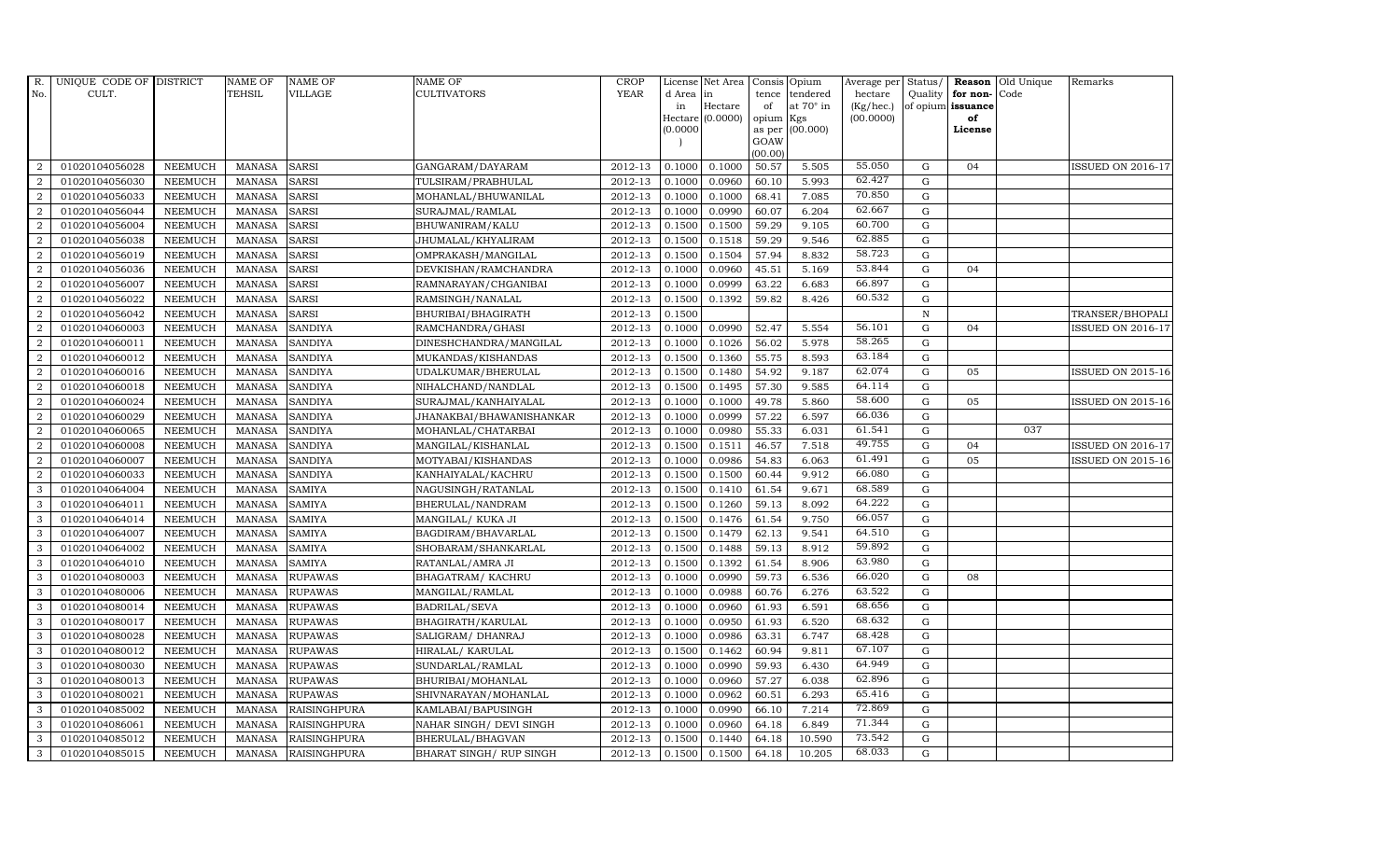| R.               | UNIQUE CODE OF DISTRICT |                | <b>NAME OF</b> | <b>NAME OF</b>      | <b>NAME OF</b>           | CROP        |           | License Net Area | Consis         | Opium            | Average per Status/ |              |                   | <b>Reason</b> Old Unique | Remarks                  |
|------------------|-------------------------|----------------|----------------|---------------------|--------------------------|-------------|-----------|------------------|----------------|------------------|---------------------|--------------|-------------------|--------------------------|--------------------------|
| No.              | CULT.                   |                | <b>TEHSIL</b>  | <b>VILLAGE</b>      | <b>CULTIVATORS</b>       | <b>YEAR</b> | d Area in |                  | tence          | tendered         | hectare             | Quality      | for non-Code      |                          |                          |
|                  |                         |                |                |                     |                          |             | in        | Hectare          | of             | at $70^\circ$ in | (Kg/hec.)           |              | of opium issuance |                          |                          |
|                  |                         |                |                |                     |                          |             | 0.0000    | Hectare (0.0000) | opium          | Kgs<br>(00.000)  | (00.0000)           |              | of<br>License     |                          |                          |
|                  |                         |                |                |                     |                          |             |           |                  | as per<br>GOAW |                  |                     |              |                   |                          |                          |
|                  |                         |                |                |                     |                          |             |           |                  | (00.00)        |                  |                     |              |                   |                          |                          |
| $\overline{2}$   | 01020104056028          | <b>NEEMUCH</b> | <b>MANASA</b>  | <b>SARSI</b>        | GANGARAM/DAYARAM         | 2012-13     | 0.1000    | 0.1000           | 50.57          | 5.505            | 55.050              | G            | 04                |                          | <b>ISSUED ON 2016-17</b> |
| $\overline{2}$   | 01020104056030          | <b>NEEMUCH</b> | <b>MANASA</b>  | <b>SARSI</b>        | TULSIRAM/PRABHULAL       | 2012-13     | 0.1000    | 0.0960           | 60.10          | 5.993            | 62.427              | G            |                   |                          |                          |
| 2                | 01020104056033          | <b>NEEMUCH</b> | <b>MANASA</b>  | <b>SARSI</b>        | MOHANLAL/BHUWANILAL      | 2012-13     | 0.1000    | 0.1000           | 68.41          | 7.085            | 70.850              | G            |                   |                          |                          |
| $\overline{2}$   | 01020104056044          | <b>NEEMUCH</b> | <b>MANASA</b>  | <b>SARSI</b>        | SURAJMAL/RAMLAL          | 2012-13     | 0.1000    | 0.0990           | 60.07          | 6.204            | 62.667              | G            |                   |                          |                          |
| $\overline{2}$   | 01020104056004          | <b>NEEMUCH</b> | <b>MANASA</b>  | <b>SARSI</b>        | BHUWANIRAM/KALU          | 2012-13     | 0.1500    | 0.1500           | 59.29          | 9.105            | 60.700              | G            |                   |                          |                          |
| $\overline{a}$   | 01020104056038          | <b>NEEMUCH</b> | <b>MANASA</b>  | SARSI               | JHUMALAL/KHYALIRAM       | 2012-13     | 0.1500    | 0.1518           | 59.29          | 9.546            | 62.885              | G            |                   |                          |                          |
| $\overline{a}$   | 01020104056019          | <b>NEEMUCH</b> | <b>MANASA</b>  | <b>SARSI</b>        | OMPRAKASH/MANGILAL       | 2012-13     | 0.1500    | 0.1504           | 57.94          | 8.832            | 58.723              | G            |                   |                          |                          |
| 2                | 01020104056036          | <b>NEEMUCH</b> | <b>MANASA</b>  | <b>SARSI</b>        | DEVKISHAN/RAMCHANDRA     | 2012-13     | 0.1000    | 0.0960           | 45.51          | 5.169            | 53.844              | G            | 04                |                          |                          |
| $\overline{2}$   | 01020104056007          | <b>NEEMUCH</b> | <b>MANASA</b>  | <b>SARSI</b>        | RAMNARAYAN/CHGANIBAI     | 2012-13     | 0.1000    | 0.0999           | 63.22          | 6.683            | 66.897              | G            |                   |                          |                          |
| $\boldsymbol{2}$ | 01020104056022          | <b>NEEMUCH</b> | <b>MANASA</b>  | SARSI               | RAMSINGH/NANALAL         | 2012-13     | 0.1500    | 0.1392           | 59.82          | 8.426            | 60.532              | ${\rm G}$    |                   |                          |                          |
| $\overline{2}$   | 01020104056042          | <b>NEEMUCH</b> | <b>MANASA</b>  | <b>SARSI</b>        | BHURIBAI/BHAGIRATH       | 2012-13     | 0.1500    |                  |                |                  |                     | $\, {\rm N}$ |                   |                          | TRANSER/BHOPALI          |
| $\overline{a}$   | 01020104060003          | <b>NEEMUCH</b> | <b>MANASA</b>  | <b>SANDIYA</b>      | RAMCHANDRA/GHASI         | 2012-13     | 0.1000    | 0.0990           | 52.47          | 5.554            | 56.101              | G            | 04                |                          | ISSUED ON 2016-17        |
| $\overline{2}$   | 01020104060011          | <b>NEEMUCH</b> | <b>MANASA</b>  | <b>SANDIYA</b>      | DINESHCHANDRA/MANGILAL   | 2012-13     | 0.1000    | 0.1026           | 56.02          | 5.978            | 58.265              | G            |                   |                          |                          |
| $\overline{2}$   | 01020104060012          | <b>NEEMUCH</b> | <b>MANASA</b>  | <b>SANDIYA</b>      | MUKANDAS/KISHANDAS       | 2012-13     | 0.1500    | 0.1360           | 55.75          | 8.593            | 63.184              | $\mathbf G$  |                   |                          |                          |
| $\overline{2}$   | 01020104060016          | <b>NEEMUCH</b> | <b>MANASA</b>  | <b>SANDIYA</b>      | UDALKUMAR/BHERULAL       | 2012-13     | 0.1500    | 0.1480           | 54.92          | 9.187            | 62.074              | ${\rm G}$    | 05                |                          | ISSUED ON 2015-16        |
| 2                | 01020104060018          | <b>NEEMUCH</b> | <b>MANASA</b>  | <b>SANDIYA</b>      | NIHALCHAND/NANDLAL       | 2012-13     | 0.1500    | 0.1495           | 57.30          | 9.585            | $64.11\overline{4}$ | G            |                   |                          |                          |
| $\overline{a}$   | 01020104060024          | <b>NEEMUCH</b> | <b>MANASA</b>  | <b>SANDIYA</b>      | SURAJMAL/KANHAIYALAL     | 2012-13     | 0.1000    | 0.1000           | 49.78          | 5.860            | 58.600              | G            | 05                |                          | <b>ISSUED ON 2015-16</b> |
| $\overline{a}$   | 01020104060029          | <b>NEEMUCH</b> | <b>MANASA</b>  | <b>SANDIYA</b>      | JHANAKBAI/BHAWANISHANKAR | 2012-13     | 0.1000    | 0.0999           | 57.22          | 6.597            | 66.036              | G            |                   |                          |                          |
| $\overline{2}$   | 01020104060065          | <b>NEEMUCH</b> | <b>MANASA</b>  | <b>SANDIYA</b>      | MOHANLAL/CHATARBAI       | 2012-13     | 0.1000    | 0.0980           | 55.33          | 6.031            | 61.541              | G            |                   | 037                      |                          |
| $\overline{2}$   | 01020104060008          | NEEMUCH        | <b>MANASA</b>  | <b>SANDIYA</b>      | MANGILAL/KISHANLAL       | 2012-13     | 0.1500    | 0.1511           | 46.57          | 7.518            | 49.755              | ${\bf G}$    | 04                |                          | <b>ISSUED ON 2016-17</b> |
| $\overline{2}$   | 01020104060007          | <b>NEEMUCH</b> | <b>MANASA</b>  | <b>SANDIYA</b>      | MOTYABAI/KISHANDAS       | 2012-13     | 0.1000    | 0.0986           | 54.83          | 6.063            | 61.491              | G            | 05                |                          | <b>ISSUED ON 2015-16</b> |
| 2                | 01020104060033          | <b>NEEMUCH</b> | <b>MANASA</b>  | <b>SANDIYA</b>      | KANHAIYALAL/KACHRU       | 2012-13     | 0.1500    | 0.1500           | 60.44          | 9.912            | 66.080              | G            |                   |                          |                          |
| 3                | 01020104064004          | <b>NEEMUCH</b> | <b>MANASA</b>  | <b>SAMIYA</b>       | NAGUSINGH/RATANLAL       | 2012-13     | 0.1500    | 0.1410           | 61.54          | 9.671            | 68.589              | G            |                   |                          |                          |
| 3                | 01020104064011          | <b>NEEMUCH</b> | <b>MANASA</b>  | <b>SAMIYA</b>       | BHERULAL/NANDRAM         | 2012-13     | 0.1500    | 0.1260           | 59.13          | 8.092            | 64.222              | $\mathbf G$  |                   |                          |                          |
| 3                | 01020104064014          | <b>NEEMUCH</b> | <b>MANASA</b>  | <b>SAMIYA</b>       | MANGILAL/KUKA JI         | 2012-13     | 0.1500    | 0.1476           | 61.54          | 9.750            | 66.057              | ${\bf G}$    |                   |                          |                          |
| 3                | 01020104064007          | <b>NEEMUCH</b> | <b>MANASA</b>  | SAMIYA              | BAGDIRAM/BHAVARLAL       | 2012-13     | 0.1500    | 0.1479           | 62.13          | 9.541            | 64.510              | G            |                   |                          |                          |
| 3                | 01020104064002          | <b>NEEMUCH</b> | <b>MANASA</b>  | <b>SAMIYA</b>       | SHOBARAM/SHANKARLAL      | 2012-13     | 0.1500    | 0.1488           | 59.13          | 8.912            | 59.892              | G            |                   |                          |                          |
| 3                | 01020104064010          | <b>NEEMUCH</b> | <b>MANASA</b>  | <b>SAMIYA</b>       | RATANLAL/AMRA JI         | 2012-13     | 0.1500    | 0.1392           | 61.54          | 8.906            | 63.980              | G            |                   |                          |                          |
| 3                | 01020104080003          | <b>NEEMUCH</b> | <b>MANASA</b>  | <b>RUPAWAS</b>      | BHAGATRAM/KACHRU         | 2012-13     | 0.1000    | 0.0990           | 59.73          | 6.536            | 66.020              | G            | 08                |                          |                          |
| 3                | 01020104080006          | <b>NEEMUCH</b> | <b>MANASA</b>  | <b>RUPAWAS</b>      | MANGILAL/RAMLAL          | 2012-13     | 0.1000    | 0.0988           | 60.76          | 6.276            | 63.522              | ${\bf G}$    |                   |                          |                          |
| 3                | 01020104080014          | <b>NEEMUCH</b> | <b>MANASA</b>  | <b>RUPAWAS</b>      | BADRILAL/SEVA            | 2012-13     | 0.1000    | 0.0960           | 61.93          | 6.591            | 68.656              | G            |                   |                          |                          |
| $\mathbf{3}$     | 01020104080017          | <b>NEEMUCH</b> | <b>MANASA</b>  | <b>RUPAWAS</b>      | BHAGIRATH/KARULAL        | 2012-13     | 0.1000    | 0.0950           | 61.93          | 6.520            | 68.632              | ${\bf G}$    |                   |                          |                          |
| 3                | 01020104080028          | <b>NEEMUCH</b> | <b>MANASA</b>  | <b>RUPAWAS</b>      | SALIGRAM/DHANRAJ         | 2012-13     | 0.1000    | 0.0986           | 63.31          | 6.747            | 68.428              | $\mathbf G$  |                   |                          |                          |
| 3                | 01020104080012          | <b>NEEMUCH</b> | <b>MANASA</b>  | <b>RUPAWAS</b>      | HIRALAL/ KARULAL         | 2012-13     | 0.1500    | 0.1462           | 60.94          | 9.811            | 67.107              | G            |                   |                          |                          |
| 3                | 01020104080030          | <b>NEEMUCH</b> | <b>MANASA</b>  | <b>RUPAWAS</b>      | SUNDARLAL/RAMLAL         | 2012-13     | 0.1000    | 0.0990           | 59.93          | 6.430            | 64.949              | G            |                   |                          |                          |
| 3                | 01020104080013          | <b>NEEMUCH</b> | <b>MANASA</b>  | <b>RUPAWAS</b>      | BHURIBAI/MOHANLAL        | 2012-13     | 0.1000    | 0.0960           | 57.27          | 6.038            | 62.896              | G            |                   |                          |                          |
| 3                | 01020104080021          | <b>NEEMUCH</b> | <b>MANASA</b>  | <b>RUPAWAS</b>      | SHIVNARAYAN/MOHANLAL     | 2012-13     | 0.1000    | 0.0962           | 60.51          | 6.293            | 65.416              | G            |                   |                          |                          |
| 3                | 01020104085002          | <b>NEEMUCH</b> | <b>MANASA</b>  | RAISINGHPURA        | KAMLABAI/BAPUSINGH       | 2012-13     | 0.1000    | 0.0990           | 66.10          | 7.214            | 72.869              | G            |                   |                          |                          |
| 3                | 01020104086061          | <b>NEEMUCH</b> | <b>MANASA</b>  | RAISINGHPURA        | NAHAR SINGH/ DEVI SINGH  | 2012-13     | 0.1000    | 0.0960           | 64.18          | 6.849            | 71.344              | G            |                   |                          |                          |
| 3                | 01020104085012          | <b>NEEMUCH</b> | <b>MANASA</b>  | <b>RAISINGHPURA</b> | BHERULAL/BHAGVAN         | 2012-13     | 0.1500    | 0.1440           | 64.18          | 10.590           | 73.542              | G            |                   |                          |                          |
| 3                | 01020104085015          | <b>NEEMUCH</b> | MANASA         | <b>RAISINGHPURA</b> | BHARAT SINGH/ RUP SINGH  | 2012-13     | 0.1500    | 0.1500           | 64.18          | 10.205           | 68.033              | G            |                   |                          |                          |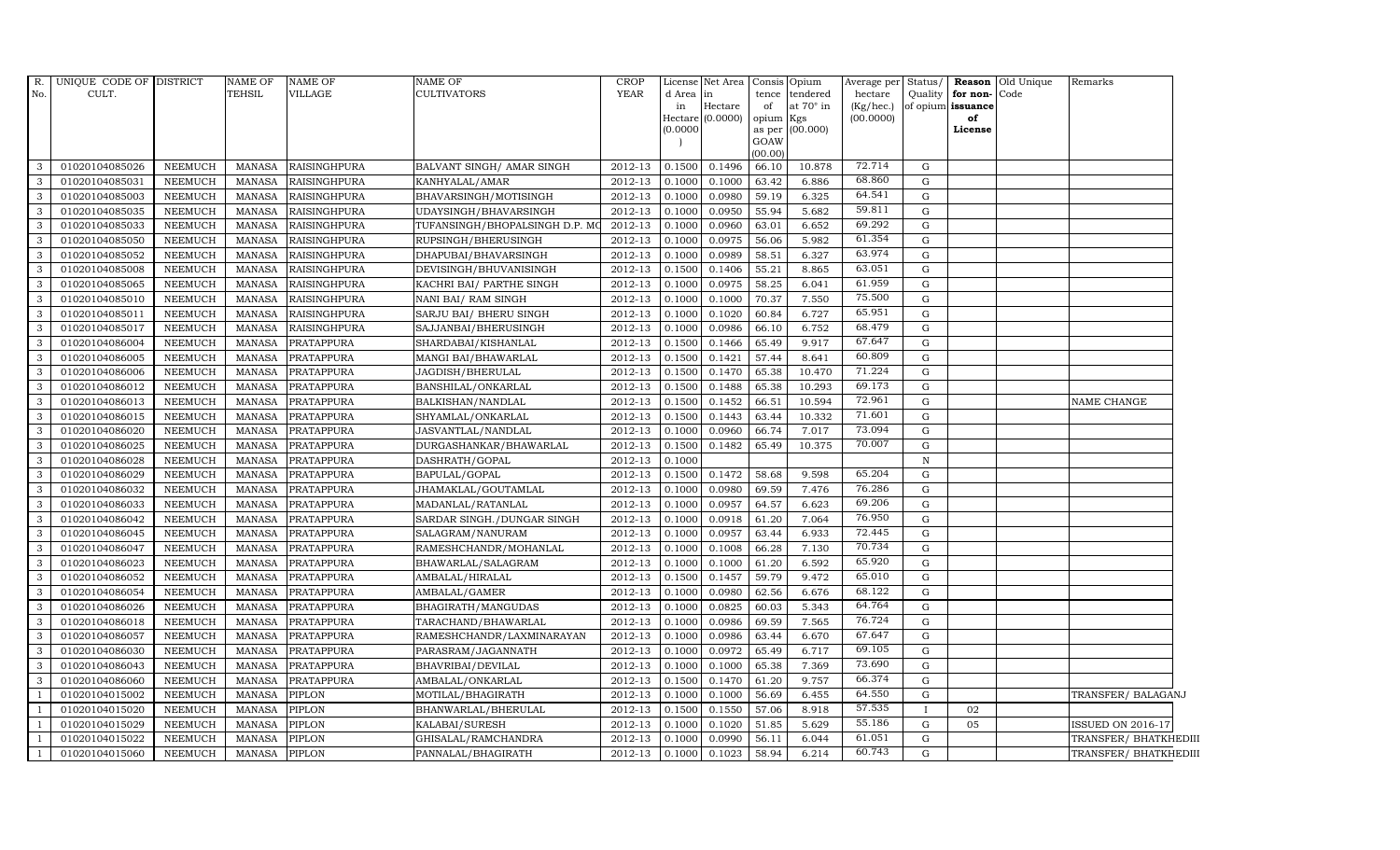| $R$ .<br>No.   | UNIQUE CODE OF DISTRICT<br>CULT. |                | NAME OF<br>TEHSIL | <b>NAME OF</b><br>VILLAGE | <b>NAME OF</b><br><b>CULTIVATORS</b> | <b>CROP</b><br><b>YEAR</b> | d Area in<br>in<br>(0.0000) | License Net Area Consis Opium<br>Hectare<br>Hectare (0.0000) | tence<br>of<br>opium<br>as per<br>GOAW<br>(00.00) | tendered<br>at $70^\circ$ in<br>Kgs<br>(00.000) | Average per Status/<br>hectare<br>(Kg/hec.)<br>(00.0000) | Quality      | for non-Code<br>of opium issuance<br>of<br>License | Reason Old Unique | Remarks                  |
|----------------|----------------------------------|----------------|-------------------|---------------------------|--------------------------------------|----------------------------|-----------------------------|--------------------------------------------------------------|---------------------------------------------------|-------------------------------------------------|----------------------------------------------------------|--------------|----------------------------------------------------|-------------------|--------------------------|
| 3              | 01020104085026                   | <b>NEEMUCH</b> | MANASA            | <b>RAISINGHPURA</b>       | BALVANT SINGH/ AMAR SINGH            | 2012-13                    | 0.1500                      | 0.1496                                                       | 66.10                                             | 10.878                                          | 72.714                                                   | G            |                                                    |                   |                          |
| 3              | 01020104085031                   | <b>NEEMUCH</b> | MANASA            | <b>RAISINGHPURA</b>       | KANHYALAL/AMAR                       | 2012-13                    | 0.1000                      | 0.1000                                                       | 63.42                                             | 6.886                                           | 68.860                                                   | G            |                                                    |                   |                          |
| 3              | 01020104085003                   | <b>NEEMUCH</b> | <b>MANASA</b>     | <b>RAISINGHPURA</b>       | BHAVARSINGH/MOTISINGH                | 2012-13                    | 0.1000                      | 0.0980                                                       | 59.19                                             | 6.325                                           | 64.541                                                   | G            |                                                    |                   |                          |
| 3              | 01020104085035                   | <b>NEEMUCH</b> | <b>MANASA</b>     | <b>RAISINGHPURA</b>       | UDAYSINGH/BHAVARSINGH                | 2012-13                    | 0.1000                      | 0.0950                                                       | 55.94                                             | 5.682                                           | 59.811                                                   | G            |                                                    |                   |                          |
| 3              | 01020104085033                   | <b>NEEMUCH</b> | <b>MANASA</b>     | <b>RAISINGHPURA</b>       | TUFANSINGH/BHOPALSINGH D.P. M        | 2012-13                    | 0.1000                      | 0.0960                                                       | 63.01                                             | 6.652                                           | 69.292                                                   | $\mathbf G$  |                                                    |                   |                          |
| 3              | 01020104085050                   | <b>NEEMUCH</b> | <b>MANASA</b>     | <b>RAISINGHPURA</b>       | RUPSINGH/BHERUSINGH                  | 2012-13                    | 0.1000                      | 0.0975                                                       | 56.06                                             | 5.982                                           | 61.354                                                   | G            |                                                    |                   |                          |
| 3              | 01020104085052                   | <b>NEEMUCH</b> | MANASA            | <b>RAISINGHPURA</b>       | DHAPUBAI/BHAVARSINGH                 | 2012-13                    | 0.1000                      | 0.0989                                                       | 58.51                                             | 6.327                                           | 63.974                                                   | G            |                                                    |                   |                          |
| 3              | 01020104085008                   | <b>NEEMUCH</b> | MANASA            | <b>RAISINGHPURA</b>       | DEVISINGH/BHUVANISINGH               | 2012-13                    | 0.1500                      | 0.1406                                                       | 55.21                                             | 8.865                                           | 63.051                                                   | G            |                                                    |                   |                          |
| 3              | 01020104085065                   | <b>NEEMUCH</b> | <b>MANASA</b>     | <b>RAISINGHPURA</b>       | KACHRI BAI/ PARTHE SINGH             | 2012-13                    | 0.1000                      | 0.0975                                                       | 58.25                                             | 6.041                                           | 61.959                                                   | G            |                                                    |                   |                          |
| 3              | 01020104085010                   | <b>NEEMUCH</b> | MANASA            | <b>RAISINGHPURA</b>       | NANI BAI/ RAM SINGH                  | 2012-13                    | 0.1000                      | 0.1000                                                       | 70.37                                             | 7.550                                           | 75.500                                                   | G            |                                                    |                   |                          |
| 3              | 01020104085011                   | <b>NEEMUCH</b> | MANASA            | <b>RAISINGHPURA</b>       | SARJU BAI/ BHERU SINGH               | 2012-13                    | 0.1000                      | 0.1020                                                       | 60.84                                             | 6.727                                           | 65.951                                                   | G            |                                                    |                   |                          |
| 3              | 01020104085017                   | <b>NEEMUCH</b> | <b>MANASA</b>     | <b>RAISINGHPURA</b>       | SAJJANBAI/BHERUSINGH                 | 2012-13                    | 0.1000                      | 0.0986                                                       | 66.10                                             | 6.752                                           | 68.479                                                   | G            |                                                    |                   |                          |
| 3              | 01020104086004                   | NEEMUCH        | MANASA            | PRATAPPURA                | SHARDABAI/KISHANLAL                  | 2012-13                    | 0.1500                      | 0.1466                                                       | 65.49                                             | 9.917                                           | 67.647                                                   | G            |                                                    |                   |                          |
| 3              | 01020104086005                   | <b>NEEMUCH</b> | MANASA            | <b>PRATAPPURA</b>         | MANGI BAI/BHAWARLAL                  | 2012-13                    | 0.1500                      | 0.1421                                                       | 57.44                                             | 8.641                                           | 60.809                                                   | G            |                                                    |                   |                          |
| 3              | 01020104086006                   | <b>NEEMUCH</b> | <b>MANASA</b>     | <b>PRATAPPURA</b>         | JAGDISH/BHERULAL                     | 2012-13                    | 0.1500                      | 0.1470                                                       | 65.38                                             | 10.470                                          | 71.224                                                   | $\mathbf G$  |                                                    |                   |                          |
| 3              | 01020104086012                   | <b>NEEMUCH</b> | MANASA            | PRATAPPURA                | BANSHILAL/ONKARLAL                   | 2012-13                    | 0.1500                      | 0.1488                                                       | 65.38                                             | 10.293                                          | 69.173                                                   | G            |                                                    |                   |                          |
| 3              | 01020104086013                   | <b>NEEMUCH</b> | MANASA            | PRATAPPURA                | BALKISHAN/NANDLAL                    | 2012-13                    | 0.1500                      | 0.1452                                                       | 66.51                                             | 10.594                                          | 72.961                                                   | G            |                                                    |                   | NAME CHANGE              |
| 3              | 01020104086015                   | <b>NEEMUCH</b> | <b>MANASA</b>     | <b>PRATAPPURA</b>         | SHYAMLAL/ONKARLAL                    | 2012-13                    | 0.1500                      | 0.1443                                                       | 63.44                                             | 10.332                                          | 71.601                                                   | G            |                                                    |                   |                          |
| 3              | 01020104086020                   | <b>NEEMUCH</b> | <b>MANASA</b>     | PRATAPPURA                | JASVANTLAL/NANDLAL                   | 2012-13                    | 0.1000                      | 0.0960                                                       | 66.74                                             | 7.017                                           | 73.094                                                   | G            |                                                    |                   |                          |
| 3              | 01020104086025                   | <b>NEEMUCH</b> | MANASA            | PRATAPPURA                | DURGASHANKAR/BHAWARLAL               | 2012-13                    | 0.1500                      | 0.1482                                                       | 65.49                                             | 10.375                                          | 70.007                                                   | G            |                                                    |                   |                          |
| 3              | 01020104086028                   | <b>NEEMUCH</b> | MANASA            | PRATAPPURA                | DASHRATH/GOPAL                       | 2012-13                    | 0.1000                      |                                                              |                                                   |                                                 |                                                          | $\, {\rm N}$ |                                                    |                   |                          |
| 3              | 01020104086029                   | <b>NEEMUCH</b> | MANASA            | PRATAPPURA                | BAPULAL/GOPAL                        | 2012-13                    | 0.1500                      | 0.1472                                                       | 58.68                                             | 9.598                                           | 65.204                                                   | G            |                                                    |                   |                          |
| 3              | 01020104086032                   | <b>NEEMUCH</b> | MANASA            | PRATAPPURA                | JHAMAKLAL/GOUTAMLAL                  | 2012-13                    | 0.1000                      | 0.0980                                                       | 69.59                                             | 7.476                                           | 76.286                                                   | G            |                                                    |                   |                          |
| 3              | 01020104086033                   | <b>NEEMUCH</b> | <b>MANASA</b>     | PRATAPPURA                | MADANLAL/RATANLAL                    | 2012-13                    | 0.1000                      | 0.0957                                                       | 64.57                                             | 6.623                                           | 69.206                                                   | G            |                                                    |                   |                          |
| $\mathcal{A}$  | 01020104086042                   | <b>NEEMUCH</b> | <b>MANASA</b>     | <b>PRATAPPURA</b>         | SARDAR SINGH./DUNGAR SINGH           | 2012-13                    | 0.1000                      | 0.0918                                                       | 61.20                                             | 7.064                                           | 76.950                                                   | $\mathbf G$  |                                                    |                   |                          |
| 3              | 01020104086045                   | <b>NEEMUCH</b> | MANASA            | <b>PRATAPPURA</b>         | SALAGRAM/NANURAM                     | 2012-13                    | 0.1000                      | 0.0957                                                       | 63.44                                             | 6.933                                           | 72.445                                                   | G            |                                                    |                   |                          |
| 3              | 01020104086047                   | <b>NEEMUCH</b> | <b>MANASA</b>     | PRATAPPURA                | RAMESHCHANDR/MOHANLAL                | 2012-13                    | 0.1000                      | 0.1008                                                       | 66.28                                             | 7.130                                           | 70.734                                                   | G            |                                                    |                   |                          |
| 3              | 01020104086023                   | <b>NEEMUCH</b> | MANASA            | PRATAPPURA                | BHAWARLAL/SALAGRAM                   | 2012-13                    | 0.1000                      | 0.1000                                                       | 61.20                                             | 6.592                                           | 65.920                                                   | G            |                                                    |                   |                          |
| 3              | 01020104086052                   | <b>NEEMUCH</b> | MANASA            | <b>PRATAPPURA</b>         | AMBALAL/HIRALAL                      | 2012-13                    | 0.1500                      | 0.1457                                                       | 59.79                                             | 9.472                                           | 65.010                                                   | G            |                                                    |                   |                          |
| 3              | 01020104086054                   | <b>NEEMUCH</b> | <b>MANASA</b>     | <b>PRATAPPURA</b>         | AMBALAL/GAMER                        | 2012-13                    | 0.1000                      | 0.0980                                                       | 62.56                                             | 6.676                                           | 68.122                                                   | G            |                                                    |                   |                          |
| 3              | 01020104086026                   | <b>NEEMUCH</b> | <b>MANASA</b>     | PRATAPPURA                | BHAGIRATH/MANGUDAS                   | 2012-13                    | 0.1000                      | 0.0825                                                       | 60.03                                             | 5.343                                           | 64.764                                                   | G            |                                                    |                   |                          |
| 3              | 01020104086018                   | <b>NEEMUCH</b> | MANASA            | PRATAPPURA                | TARACHAND/BHAWARLAL                  | 2012-13                    | 0.1000                      | 0.0986                                                       | 69.59                                             | 7.565                                           | 76.724                                                   | G            |                                                    |                   |                          |
| 3              | 01020104086057                   | <b>NEEMUCH</b> | <b>MANASA</b>     | <b>PRATAPPURA</b>         | RAMESHCHANDR/LAXMINARAYAN            | 2012-13                    | 0.1000                      | 0.0986                                                       | 63.44                                             | 6.670                                           | 67.647                                                   | G            |                                                    |                   |                          |
| 3              | 01020104086030                   | <b>NEEMUCH</b> | <b>MANASA</b>     | PRATAPPURA                | PARASRAM/JAGANNATH                   | 2012-13                    | 0.1000                      | 0.0972                                                       | 65.49                                             | 6.717                                           | 69.105                                                   | G            |                                                    |                   |                          |
| 3              | 01020104086043                   | <b>NEEMUCH</b> | <b>MANASA</b>     | <b>PRATAPPURA</b>         | BHAVRIBAI/DEVILAL                    | 2012-13                    | 0.1000                      | 0.1000                                                       | 65.38                                             | 7.369                                           | 73.690                                                   | G            |                                                    |                   |                          |
| 3              | 01020104086060                   | <b>NEEMUCH</b> | <b>MANASA</b>     | <b>PRATAPPURA</b>         | AMBALAL/ONKARLAL                     | 2012-13                    | 0.1500                      | 0.1470                                                       | 61.20                                             | 9.757                                           | 66.374                                                   | G            |                                                    |                   |                          |
|                | 01020104015002                   | <b>NEEMUCH</b> | <b>MANASA</b>     | PIPLON                    | MOTILAL/BHAGIRATH                    | 2012-13                    | 0.1000                      | 0.1000                                                       | 56.69                                             | 6.455                                           | 64.550                                                   | ${\rm G}$    |                                                    |                   | TRANSFER/BALAGANJ        |
|                | 01020104015020                   | <b>NEEMUCH</b> | <b>MANASA</b>     | <b>PIPLON</b>             | BHANWARLAL/BHERULAL                  | 2012-13                    | 0.1500                      | 0.1550                                                       | 57.06                                             | 8.918                                           | 57.535                                                   | $\mathbf{I}$ | 02                                                 |                   |                          |
|                | 01020104015029                   | <b>NEEMUCH</b> | <b>MANASA</b>     | <b>PIPLON</b>             | KALABAI/SURESH                       | 2012-13                    | 0.1000                      | 0.1020                                                       | 51.85                                             | 5.629                                           | 55.186                                                   | G            | 05                                                 |                   | <b>ISSUED ON 2016-17</b> |
| $\overline{1}$ | 01020104015022                   | <b>NEEMUCH</b> | MANASA            | <b>PIPLON</b>             | GHISALAL/RAMCHANDRA                  | 2012-13                    | 0.1000                      | 0.0990                                                       | 56.11                                             | 6.044                                           | 61.051                                                   | G            |                                                    |                   | TRANSFER/ BHATKHEDIII    |
|                | 01020104015060                   | <b>NEEMUCH</b> | MANASA            | <b>PIPLON</b>             | PANNALAL/BHAGIRATH                   | 2012-13                    | 0.1000                      | 0.1023                                                       | 58.94                                             | 6.214                                           | 60.743                                                   | G            |                                                    |                   | TRANSFER/ BHATKHEDIII    |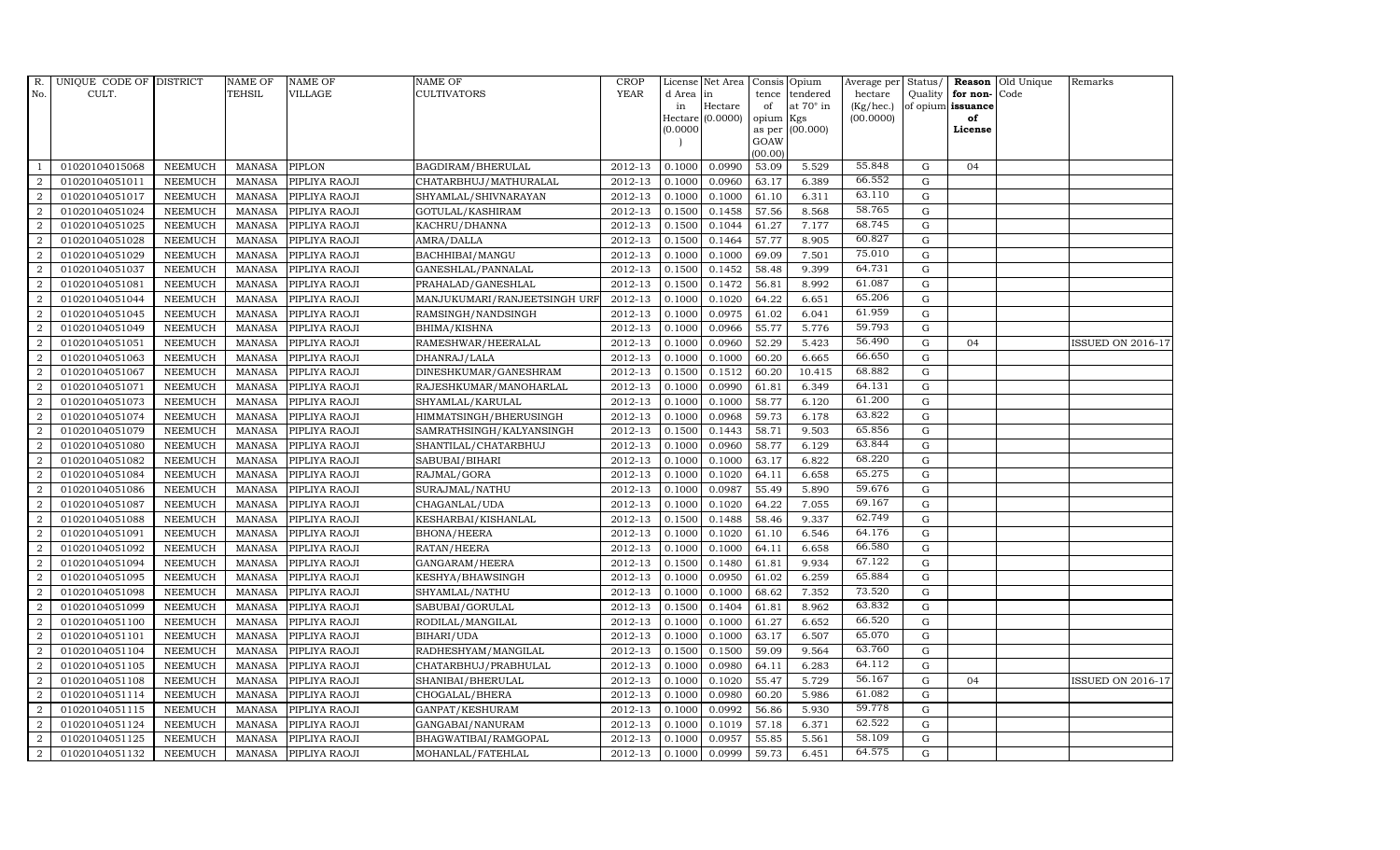| R.             | UNIQUE CODE OF DISTRICT |                | <b>NAME OF</b> | <b>NAME OF</b>       | <b>NAME OF</b>               | CROP        |           | License Net Area   Consis   Opium |           |                  | Average per | Status/     | Reason            | Old Unique | Remarks                  |
|----------------|-------------------------|----------------|----------------|----------------------|------------------------------|-------------|-----------|-----------------------------------|-----------|------------------|-------------|-------------|-------------------|------------|--------------------------|
| No.            | CULT.                   |                | <b>TEHSIL</b>  | <b>VILLAGE</b>       | <b>CULTIVATORS</b>           | <b>YEAR</b> | d Area in |                                   |           | tence tendered   | hectare     | Quality     | for non-          | Code       |                          |
|                |                         |                |                |                      |                              |             | in        | Hectare                           | of        | at $70^\circ$ in | (Kg/hec.)   |             | of opium issuance |            |                          |
|                |                         |                |                |                      |                              |             |           | Hectare (0.0000)                  | opium Kgs |                  | (00.0000)   |             | of<br>License     |            |                          |
|                |                         |                |                |                      |                              |             | (0.0000)  |                                   | GOAW      | as per (00.000)  |             |             |                   |            |                          |
|                |                         |                |                |                      |                              |             |           |                                   | (00.00)   |                  |             |             |                   |            |                          |
|                | 01020104015068          | <b>NEEMUCH</b> | MANASA         | <b>PIPLON</b>        | BAGDIRAM/BHERULAL            | 2012-13     | 0.1000    | 0.0990                            | 53.09     | 5.529            | 55.848      | $\mathbf G$ | 04                |            |                          |
| $\overline{2}$ | 01020104051011          | <b>NEEMUCH</b> | MANASA         | PIPLIYA RAOJI        | CHATARBHUJ/MATHURALAL        | 2012-13     | 0.1000    | 0.0960                            | 63.17     | 6.389            | 66.552      | $\mathbf G$ |                   |            |                          |
| 2              | 01020104051017          | <b>NEEMUCH</b> | <b>MANASA</b>  | PIPLIYA RAOJI        | SHYAMLAL/SHIVNARAYAN         | 2012-13     | 0.1000    | 0.1000                            | 61.10     | 6.311            | 63.110      | G           |                   |            |                          |
| $\overline{2}$ | 01020104051024          | <b>NEEMUCH</b> | MANASA         | PIPLIYA RAOJI        | GOTULAL/KASHIRAM             | 2012-13     | 0.1500    | 0.1458                            | 57.56     | 8.568            | 58.765      | $\mathbf G$ |                   |            |                          |
| $\overline{a}$ | 01020104051025          | <b>NEEMUCH</b> | <b>MANASA</b>  | PIPLIYA RAOJI        | KACHRU/DHANNA                | 2012-13     | 0.1500    | 0.1044                            | 61.27     | 7.177            | 68.745      | ${\rm G}$   |                   |            |                          |
| 2              | 01020104051028          | <b>NEEMUCH</b> | <b>MANASA</b>  | PIPLIYA RAOJI        | AMRA/DALLA                   | 2012-13     | 0.1500    | 0.1464                            | 57.77     | 8.905            | 60.827      | $\mathbf G$ |                   |            |                          |
| $\overline{a}$ | 01020104051029          | <b>NEEMUCH</b> | <b>MANASA</b>  | PIPLIYA RAOJI        | BACHHIBAI/MANGU              | 2012-13     | 0.1000    | 0.1000                            | 69.09     | 7.501            | 75.010      | $\mathbf G$ |                   |            |                          |
| $\overline{2}$ | 01020104051037          | <b>NEEMUCH</b> | <b>MANASA</b>  | PIPLIYA RAOJI        | GANESHLAL/PANNALAL           | 2012-13     | 0.1500    | 0.1452                            | 58.48     | 9.399            | 64.731      | $\mathbf G$ |                   |            |                          |
| $\overline{2}$ | 01020104051081          | <b>NEEMUCH</b> | <b>MANASA</b>  | PIPLIYA RAOJI        | PRAHALAD/GANESHLAL           | 2012-13     | 0.1500    | 0.1472                            | 56.81     | 8.992            | 61.087      | $\mathbf G$ |                   |            |                          |
| $\overline{2}$ | 01020104051044          | <b>NEEMUCH</b> | <b>MANASA</b>  | PIPLIYA RAOJI        | MANJUKUMARI/RANJEETSINGH URF | 2012-13     | 0.1000    | 0.1020                            | 64.22     | 6.651            | 65.206      | $\mathbf G$ |                   |            |                          |
| $\overline{a}$ | 01020104051045          | <b>NEEMUCH</b> | <b>MANASA</b>  | PIPLIYA RAOJI        | RAMSINGH/NANDSINGH           | 2012-13     | 0.1000    | 0.0975                            | 61.02     | 6.041            | 61.959      | ${\rm G}$   |                   |            |                          |
| $\overline{2}$ | 01020104051049          | <b>NEEMUCH</b> | MANASA         | PIPLIYA RAOJI        | BHIMA/KISHNA                 | 2012-13     | 0.1000    | 0.0966                            | 55.77     | 5.776            | 59.793      | G           |                   |            |                          |
| 2              | 01020104051051          | <b>NEEMUCH</b> | <b>MANASA</b>  | PIPLIYA RAOJI        | RAMESHWAR/HEERALAL           | 2012-13     | 0.1000    | 0.0960                            | 52.29     | 5.423            | 56.490      | $\mathbf G$ | 04                |            | <b>ISSUED ON 2016-17</b> |
| $\overline{2}$ | 01020104051063          | <b>NEEMUCH</b> | MANASA         | PIPLIYA RAOJI        | DHANRAJ/LALA                 | 2012-13     | 0.1000    | 0.1000                            | 60.20     | 6.665            | 66.650      | G           |                   |            |                          |
| $\overline{2}$ | 01020104051067          | <b>NEEMUCH</b> | <b>MANASA</b>  | PIPLIYA RAOJI        | DINESHKUMAR/GANESHRAM        | 2012-13     | 0.1500    | 0.1512                            | 60.20     | 10.415           | 68.882      | G           |                   |            |                          |
| $\overline{2}$ | 01020104051071          | <b>NEEMUCH</b> | <b>MANASA</b>  | PIPLIYA RAOJI        | RAJESHKUMAR/MANOHARLAL       | 2012-13     | 0.1000    | 0.0990                            | 61.81     | 6.349            | 64.131      | ${\rm G}$   |                   |            |                          |
| 2              | 01020104051073          | <b>NEEMUCH</b> | <b>MANASA</b>  | PIPLIYA RAOJI        | SHYAMLAL/KARULAL             | 2012-13     | 0.1000    | 0.1000                            | 58.77     | 6.120            | 61.200      | G           |                   |            |                          |
| 2              | 01020104051074          | <b>NEEMUCH</b> | MANASA         | PIPLIYA RAOJI        | HIMMATSINGH/BHERUSINGH       | 2012-13     | 0.1000    | 0.0968                            | 59.73     | 6.178            | 63.822      | $\mathbf G$ |                   |            |                          |
| $\overline{2}$ | 01020104051079          | <b>NEEMUCH</b> | MANASA         | PIPLIYA RAOJI        | SAMRATHSINGH/KALYANSINGH     | 2012-13     | 0.1500    | 0.1443                            | 58.71     | 9.503            | 65.856      | $\mathbf G$ |                   |            |                          |
| $\overline{2}$ | 01020104051080          | <b>NEEMUCH</b> | <b>MANASA</b>  | PIPLIYA RAOJI        | SHANTILAL/CHATARBHUJ         | 2012-13     | 0.1000    | 0.0960                            | 58.77     | 6.129            | 63.844      | $\mathbf G$ |                   |            |                          |
| $\overline{2}$ | 01020104051082          | <b>NEEMUCH</b> | <b>MANASA</b>  | PIPLIYA RAOJI        | SABUBAI/BIHARI               | 2012-13     | 0.1000    | 0.1000                            | 63.17     | 6.822            | 68.220      | ${\rm G}$   |                   |            |                          |
| $\overline{a}$ | 01020104051084          | <b>NEEMUCH</b> | <b>MANASA</b>  | PIPLIYA RAOJI        | RAJMAL/GORA                  | 2012-13     | 0.1000    | 0.1020                            | 64.11     | 6.658            | 65.275      | ${\rm G}$   |                   |            |                          |
| $\overline{a}$ | 01020104051086          | <b>NEEMUCH</b> | MANASA         | PIPLIYA RAOJI        | SURAJMAL/NATHU               | 2012-13     | 0.1000    | 0.0987                            | 55.49     | 5.890            | 59.676      | G           |                   |            |                          |
| $\overline{2}$ | 01020104051087          | <b>NEEMUCH</b> | <b>MANASA</b>  | PIPLIYA RAOJI        | CHAGANLAL/UDA                | 2012-13     | 0.1000    | 0.1020                            | 64.22     | 7.055            | 69.167      | $\mathbf G$ |                   |            |                          |
| $\sqrt{2}$     | 01020104051088          | <b>NEEMUCH</b> | <b>MANASA</b>  | PIPLIYA RAOJI        | KESHARBAI/KISHANLAL          | 2012-13     | 0.1500    | 0.1488                            | 58.46     | 9.337            | 62.749      | $\mathbf G$ |                   |            |                          |
| $\overline{2}$ | 01020104051091          | <b>NEEMUCH</b> | <b>MANASA</b>  | PIPLIYA RAOJI        | <b>BHONA/HEERA</b>           | 2012-13     | 0.1000    | 0.1020                            | 61.10     | 6.546            | 64.176      | G           |                   |            |                          |
| $\overline{a}$ | 01020104051092          | <b>NEEMUCH</b> | <b>MANASA</b>  | PIPLIYA RAOJI        | RATAN/HEERA                  | 2012-13     | 0.1000    | 0.1000                            | 64.11     | 6.658            | 66.580      | ${\rm G}$   |                   |            |                          |
| 2              | 01020104051094          | <b>NEEMUCH</b> | MANASA         | PIPLIYA RAOJI        | GANGARAM/HEERA               | 2012-13     | 0.1500    | 0.1480                            | 61.81     | 9.934            | 67.122      | $\mathbf G$ |                   |            |                          |
| 2              | 01020104051095          | <b>NEEMUCH</b> | <b>MANASA</b>  | PIPLIYA RAOJI        | KESHYA/BHAWSINGH             | 2012-13     | 0.1000    | 0.0950                            | 61.02     | 6.259            | 65.884      | $\mathbf G$ |                   |            |                          |
| $\overline{2}$ | 01020104051098          | <b>NEEMUCH</b> | <b>MANASA</b>  | PIPLIYA RAOJI        | SHYAMLAL/NATHU               | 2012-13     | 0.1000    | 0.1000                            | 68.62     | 7.352            | 73.520      | $\mathbf G$ |                   |            |                          |
| $\overline{2}$ | 01020104051099          | <b>NEEMUCH</b> | <b>MANASA</b>  | PIPLIYA RAOJI        | SABUBAI/GORULAL              | 2012-13     | 0.1500    | 0.1404                            | 61.81     | 8.962            | 63.832      | G           |                   |            |                          |
| $\overline{a}$ | 01020104051100          | <b>NEEMUCH</b> | <b>MANASA</b>  | PIPLIYA RAOJI        | RODILAL/MANGILAL             | 2012-13     | 0.1000    | 0.1000                            | 61.27     | 6.652            | 66.520      | ${\rm G}$   |                   |            |                          |
| $\overline{a}$ | 01020104051101          | <b>NEEMUCH</b> | MANASA         | PIPLIYA RAOJI        | BIHARI/UDA                   | 2012-13     | 0.1000    | 0.1000                            | 63.17     | 6.507            | 65.070      | ${\rm G}$   |                   |            |                          |
| 2              | 01020104051104          | <b>NEEMUCH</b> | <b>MANASA</b>  | PIPLIYA RAOJI        | RADHESHYAM/MANGILAL          | 2012-13     | 0.1500    | 0.1500                            | 59.09     | 9.564            | 63.760      | $\mathbf G$ |                   |            |                          |
| $\overline{2}$ | 01020104051105          | <b>NEEMUCH</b> | <b>MANASA</b>  | PIPLIYA RAOJI        | CHATARBHUJ/PRABHULAL         | 2012-13     | 0.1000    | 0.0980                            | 64.11     | 6.283            | 64.112      | $\mathbf G$ |                   |            |                          |
| $\overline{a}$ | 01020104051108          | <b>NEEMUCH</b> | <b>MANASA</b>  | PIPLIYA RAOJI        | SHANIBAI/BHERULAL            | 2012-13     | 0.1000    | 0.1020                            | 55.47     | 5.729            | 56.167      | ${\rm G}$   | 04                |            | <b>ISSUED ON 2016-17</b> |
| $\overline{2}$ | 01020104051114          | <b>NEEMUCH</b> | <b>MANASA</b>  | PIPLIYA RAOJI        | CHOGALAL/BHERA               | 2012-13     | 0.1000    | 0.0980                            | 60.20     | 5.986            | 61.082      | ${\rm G}$   |                   |            |                          |
| $\overline{a}$ | 01020104051115          | <b>NEEMUCH</b> | <b>MANASA</b>  | PIPLIYA RAOJI        | GANPAT/KESHURAM              | $2012 - 13$ | 0.1000    | 0.0992                            | 56.86     | 5.930            | 59.778      | ${\rm G}$   |                   |            |                          |
| $\overline{2}$ | 01020104051124          | <b>NEEMUCH</b> | <b>MANASA</b>  | PIPLIYA RAOJI        | GANGABAI/NANURAM             | 2012-13     | 0.1000    | 0.1019                            | 57.18     | 6.371            | 62.522      | $\mathbf G$ |                   |            |                          |
| 2              | 01020104051125          | <b>NEEMUCH</b> | <b>MANASA</b>  | PIPLIYA RAOJI        | BHAGWATIBAI/RAMGOPAL         | 2012-13     | 0.1000    | 0.0957                            | 55.85     | 5.561            | 58.109      | $\mathbf G$ |                   |            |                          |
| $\overline{a}$ | 01020104051132          | <b>NEEMUCH</b> |                | MANASA PIPLIYA RAOJI | MOHANLAL/FATEHLAL            | 2012-13     | 0.1000    | 0.0999                            | 59.73     | 6.451            | 64.575      | G           |                   |            |                          |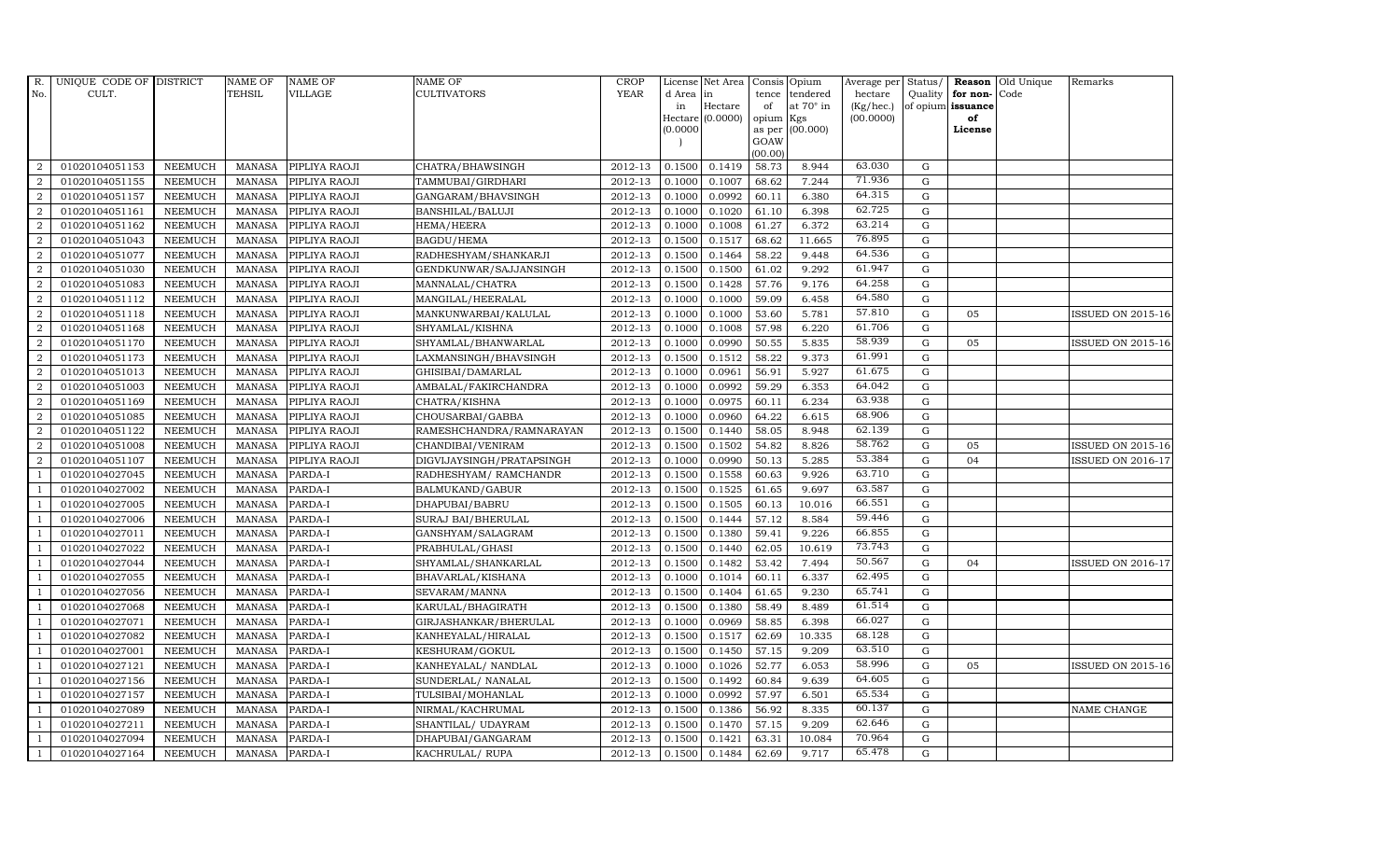| R.             | UNIQUE CODE OF DISTRICT |                | NAME OF        | <b>NAME OF</b> | <b>NAME OF</b>            | CROP                   |          | License Net Area   Consis   Opium |           |                  | Average per | Status/     | Reason            | Old Unique | Remarks                  |
|----------------|-------------------------|----------------|----------------|----------------|---------------------------|------------------------|----------|-----------------------------------|-----------|------------------|-------------|-------------|-------------------|------------|--------------------------|
| No.            | CULT.                   |                | <b>TEHSIL</b>  | <b>VILLAGE</b> | <b>CULTIVATORS</b>        | <b>YEAR</b>            | d Area   | in                                | tence     | tendered         | hectare     | Quality     | for non-          | Code       |                          |
|                |                         |                |                |                |                           |                        | in       | Hectare                           | of        | at $70^\circ$ in | (Kg/hec.)   |             | of opium issuance |            |                          |
|                |                         |                |                |                |                           |                        |          | Hectare (0.0000)                  | opium Kgs |                  | (00.0000)   |             | of                |            |                          |
|                |                         |                |                |                |                           |                        | (0.0000) |                                   | GOAW      | as per (00.000)  |             |             | License           |            |                          |
|                |                         |                |                |                |                           |                        |          |                                   | (00.00)   |                  |             |             |                   |            |                          |
| $\overline{2}$ | 01020104051153          | <b>NEEMUCH</b> | MANASA         | PIPLIYA RAOJI  | CHATRA/BHAWSINGH          | 2012-13                | 0.1500   | 0.1419                            | 58.73     | 8.944            | 63.030      | $\mathbf G$ |                   |            |                          |
| $\overline{2}$ | 01020104051155          | <b>NEEMUCH</b> | MANASA         | PIPLIYA RAOJI  | TAMMUBAI/GIRDHARI         | 2012-13                | 0.1000   | 0.1007                            | 68.62     | 7.244            | 71.936      | $\mathbf G$ |                   |            |                          |
| 2              | 01020104051157          | <b>NEEMUCH</b> | <b>MANASA</b>  | PIPLIYA RAOJI  | GANGARAM/BHAVSINGH        | 2012-13                | 0.1000   | 0.0992                            | 60.11     | 6.380            | 64.315      | G           |                   |            |                          |
| $\overline{2}$ | 01020104051161          | <b>NEEMUCH</b> | MANASA         | PIPLIYA RAOJI  | BANSHILAL/BALUJI          | 2012-13                | 0.1000   | 0.1020                            | 61.10     | 6.398            | 62.725      | $\mathbf G$ |                   |            |                          |
| $\overline{a}$ | 01020104051162          | <b>NEEMUCH</b> | <b>MANASA</b>  | PIPLIYA RAOJI  | HEMA/HEERA                | 2012-13                | 0.1000   | 0.1008                            | 61.27     | 6.372            | 63.214      | ${\rm G}$   |                   |            |                          |
| $\overline{2}$ | 01020104051043          | <b>NEEMUCH</b> | <b>MANASA</b>  | PIPLIYA RAOJI  | BAGDU/HEMA                | 2012-13                | 0.1500   | 0.1517                            | 68.62     | 11.665           | 76.895      | $\mathbf G$ |                   |            |                          |
| $\overline{a}$ | 01020104051077          | <b>NEEMUCH</b> | <b>MANASA</b>  | PIPLIYA RAOJI  | RADHESHYAM/SHANKARJI      | 2012-13                | 0.1500   | 0.1464                            | 58.22     | 9.448            | 64.536      | $\mathbf G$ |                   |            |                          |
| $\overline{2}$ | 01020104051030          | <b>NEEMUCH</b> | <b>MANASA</b>  | PIPLIYA RAOJI  | GENDKUNWAR/SAJJANSINGH    | 2012-13                | 0.1500   | 0.1500                            | 61.02     | 9.292            | 61.947      | $\mathbf G$ |                   |            |                          |
| $\overline{2}$ | 01020104051083          | <b>NEEMUCH</b> | <b>MANASA</b>  | PIPLIYA RAOJI  | MANNALAL/CHATRA           | 2012-13                | 0.1500   | 0.1428                            | 57.76     | 9.176            | 64.258      | $\mathbf G$ |                   |            |                          |
| $\overline{2}$ | 01020104051112          | <b>NEEMUCH</b> | <b>MANASA</b>  | PIPLIYA RAOJI  | MANGILAL/HEERALAL         | 2012-13                | 0.1000   | 0.1000                            | 59.09     | 6.458            | 64.580      | $\mathbf G$ |                   |            |                          |
| $\overline{a}$ | 01020104051118          | <b>NEEMUCH</b> | <b>MANASA</b>  | PIPLIYA RAOJI  | MANKUNWARBAI/KALULAL      | 2012-13                | 0.1000   | 0.1000                            | 53.60     | 5.781            | 57.810      | ${\rm G}$   | 05                |            | <b>ISSUED ON 2015-16</b> |
| $\overline{2}$ | 01020104051168          | <b>NEEMUCH</b> | <b>MANASA</b>  | PIPLIYA RAOJI  | SHYAMLAL/KISHNA           | 2012-13                | 0.1000   | 0.1008                            | 57.98     | 6.220            | 61.706      | $\mathbf G$ |                   |            |                          |
| 2              | 01020104051170          | <b>NEEMUCH</b> | <b>MANASA</b>  | PIPLIYA RAOJI  | SHYAMLAL/BHANWARLAL       | 2012-13                | 0.1000   | 0.0990                            | 50.55     | 5.835            | 58.939      | $\mathbf G$ | 05                |            | <b>ISSUED ON 2015-16</b> |
| $\overline{2}$ | 01020104051173          | <b>NEEMUCH</b> | <b>MANASA</b>  | PIPLIYA RAOJI  | LAXMANSINGH/BHAVSINGH     | 2012-13                | 0.1500   | 0.1512                            | 58.22     | 9.373            | 61.991      | G           |                   |            |                          |
| $\overline{2}$ | 01020104051013          | <b>NEEMUCH</b> | <b>MANASA</b>  | PIPLIYA RAOJI  | GHISIBAI/DAMARLAL         | 2012-13                | 0.1000   | 0.0961                            | 56.91     | 5.927            | 61.675      | ${\rm G}$   |                   |            |                          |
| $\overline{2}$ | 01020104051003          | <b>NEEMUCH</b> | <b>MANASA</b>  | PIPLIYA RAOJI  | AMBALAL/FAKIRCHANDRA      | 2012-13                | 0.1000   | 0.0992                            | 59.29     | 6.353            | 64.042      | ${\rm G}$   |                   |            |                          |
| 2              | 01020104051169          | <b>NEEMUCH</b> | <b>MANASA</b>  | PIPLIYA RAOJI  | CHATRA/KISHNA             | 2012-13                | 0.1000   | 0.0975                            | 60.11     | 6.234            | 63.938      | ${\rm G}$   |                   |            |                          |
| 2              | 01020104051085          | <b>NEEMUCH</b> | MANASA         | PIPLIYA RAOJI  | CHOUSARBAI/GABBA          | 2012-13                | 0.1000   | 0.0960                            | 64.22     | 6.615            | 68.906      | $\mathbf G$ |                   |            |                          |
| $\overline{2}$ | 01020104051122          | <b>NEEMUCH</b> | <b>MANASA</b>  | PIPLIYA RAOJI  | RAMESHCHANDRA/RAMNARAYAN  | 2012-13                | 0.1500   | 0.1440                            | 58.05     | 8.948            | 62.139      | $\mathbf G$ |                   |            |                          |
| $\overline{2}$ | 01020104051008          | <b>NEEMUCH</b> | <b>MANASA</b>  | PIPLIYA RAOJI  | CHANDIBAI/VENIRAM         | 2012-13                | 0.1500   | 0.1502                            | 54.82     | 8.826            | 58.762      | $\mathbf G$ | 05                |            | <b>ISSUED ON 2015-16</b> |
| 2              | 01020104051107          | <b>NEEMUCH</b> | <b>MANASA</b>  | PIPLIYA RAOJI  | DIGVIJAYSINGH/PRATAPSINGH | 2012-13                | 0.1000   | 0.0990                            | 50.13     | 5.285            | 53.384      | ${\rm G}$   | 04                |            | <b>ISSUED ON 2016-17</b> |
| $\overline{1}$ | 01020104027045          | <b>NEEMUCH</b> | <b>MANASA</b>  | PARDA-I        | RADHESHYAM / RAMCHANDR    | 2012-13                | 0.1500   | 0.1558                            | 60.63     | 9.926            | 63.710      | ${\rm G}$   |                   |            |                          |
| $\overline{1}$ | 01020104027002          | <b>NEEMUCH</b> | MANASA         | PARDA-I        | BALMUKAND/GABUR           | 2012-13                | 0.1500   | 0.1525                            | 61.65     | 9.697            | 63.587      | $\mathbf G$ |                   |            |                          |
| $\overline{1}$ | 01020104027005          | <b>NEEMUCH</b> | <b>MANASA</b>  | PARDA-I        | DHAPUBAI/BABRU            | 2012-13                | 0.1500   | 0.1505                            | 60.13     | 10.016           | 66.551      | $\mathbf G$ |                   |            |                          |
|                | 01020104027006          | <b>NEEMUCH</b> | <b>MANASA</b>  | PARDA-I        | SURAJ BAI/BHERULAL        | 2012-13                | 0.1500   | 0.1444                            | 57.12     | 8.584            | 59.446      | $\mathbf G$ |                   |            |                          |
| -1             | 01020104027011          | <b>NEEMUCH</b> | <b>MANASA</b>  | PARDA-I        | GANSHYAM/SALAGRAM         | 2012-13                | 0.1500   | 0.1380                            | 59.41     | 9.226            | 66.855      | ${\rm G}$   |                   |            |                          |
| -1             | 01020104027022          | <b>NEEMUCH</b> | <b>MANASA</b>  | PARDA-I        | PRABHULAL/GHASI           | 2012-13                | 0.1500   | 0.1440                            | 62.05     | 10.619           | 73.743      | ${\rm G}$   |                   |            |                          |
| $\overline{1}$ | 01020104027044          | <b>NEEMUCH</b> | <b>MANASA</b>  | PARDA-I        | SHYAMLAL/SHANKARLAL       | 2012-13                | 0.1500   | 0.1482                            | 53.42     | 7.494            | 50.567      | $\mathbf G$ | 04                |            | <b>ISSUED ON 2016-17</b> |
| $\overline{1}$ | 01020104027055          | <b>NEEMUCH</b> | <b>MANASA</b>  | PARDA-I        | BHAVARLAL/KISHANA         | 2012-13                | 0.1000   | 0.1014                            | 60.11     | 6.337            | 62.495      | $\mathbf G$ |                   |            |                          |
|                | 01020104027056          | <b>NEEMUCH</b> | <b>MANASA</b>  | PARDA-I        | SEVARAM/MANNA             | 2012-13                | 0.1500   | 0.1404                            | 61.65     | 9.230            | 65.741      | $\mathbf G$ |                   |            |                          |
| $\overline{1}$ | 01020104027068          | <b>NEEMUCH</b> | <b>MANASA</b>  | PARDA-I        | KARULAL/BHAGIRATH         | 2012-13                | 0.1500   | 0.1380                            | 58.49     | 8.489            | 61.514      | $\mathbf G$ |                   |            |                          |
|                | 01020104027071          | <b>NEEMUCH</b> | <b>MANASA</b>  | PARDA-I        | GIRJASHANKAR/BHERULAL     | 2012-13                | 0.1000   | 0.0969                            | 58.85     | 6.398            | 66.027      | ${\rm G}$   |                   |            |                          |
| $\overline{1}$ | 01020104027082          | <b>NEEMUCH</b> | MANASA         | PARDA-I        | KANHEYALAL/HIRALAL        | 2012-13                | 0.1500   | 0.1517                            | 62.69     | 10.335           | 68.128      | $\mathbf G$ |                   |            |                          |
| $\overline{1}$ | 01020104027001          | <b>NEEMUCH</b> | <b>MANASA</b>  | PARDA-I        | KESHURAM/GOKUL            | 2012-13                | 0.1500   | 0.1450                            | 57.15     | 9.209            | 63.510      | $\mathbf G$ |                   |            |                          |
|                | 01020104027121          | <b>NEEMUCH</b> | <b>MANASA</b>  | PARDA-I        | KANHEYALAL/ NANDLAL       | 2012-13                | 0.1000   | 0.1026                            | 52.77     | 6.053            | 58.996      | $\mathbf G$ | 05                |            | <b>ISSUED ON 2015-16</b> |
| $\overline{1}$ | 01020104027156          | <b>NEEMUCH</b> | <b>MANASA</b>  | PARDA-I        | SUNDERLAL/ NANALAL        | 2012-13                | 0.1500   | 0.1492                            | 60.84     | 9.639            | 64.605      | ${\rm G}$   |                   |            |                          |
| $\overline{1}$ | 01020104027157          | <b>NEEMUCH</b> | <b>MANASA</b>  | PARDA-I        | TULSIBAI/MOHANLAL         | 2012-13                | 0.1000   | 0.0992                            | 57.97     | 6.501            | 65.534      | ${\rm G}$   |                   |            |                          |
| 1              | 01020104027089          | <b>NEEMUCH</b> | MANASA         | PARDA-I        | NIRMAL/KACHRUMAL          | $\overline{2012} - 13$ | 0.1500   | 0.1386                            | 56.92     | 8.335            | 60.137      | $\mathbf G$ |                   |            | NAME CHANGE              |
| $\overline{1}$ | 01020104027211          | <b>NEEMUCH</b> | <b>MANASA</b>  | PARDA-I        | SHANTILAL/ UDAYRAM        | 2012-13                | 0.1500   | 0.1470                            | 57.15     | 9.209            | 62.646      | $\mathbf G$ |                   |            |                          |
|                | 01020104027094          | <b>NEEMUCH</b> | <b>MANASA</b>  | PARDA-I        | DHAPUBAI/GANGARAM         | 2012-13                | 0.1500   | 0.1421                            | 63.31     | 10.084           | 70.964      | $\mathbf G$ |                   |            |                          |
| $\mathbf{1}$   | 01020104027164          | <b>NEEMUCH</b> | MANASA PARDA-I |                | KACHRULAL/ RUPA           | 2012-13                | 0.1500   | 0.1484                            | 62.69     | 9.717            | 65.478      | G           |                   |            |                          |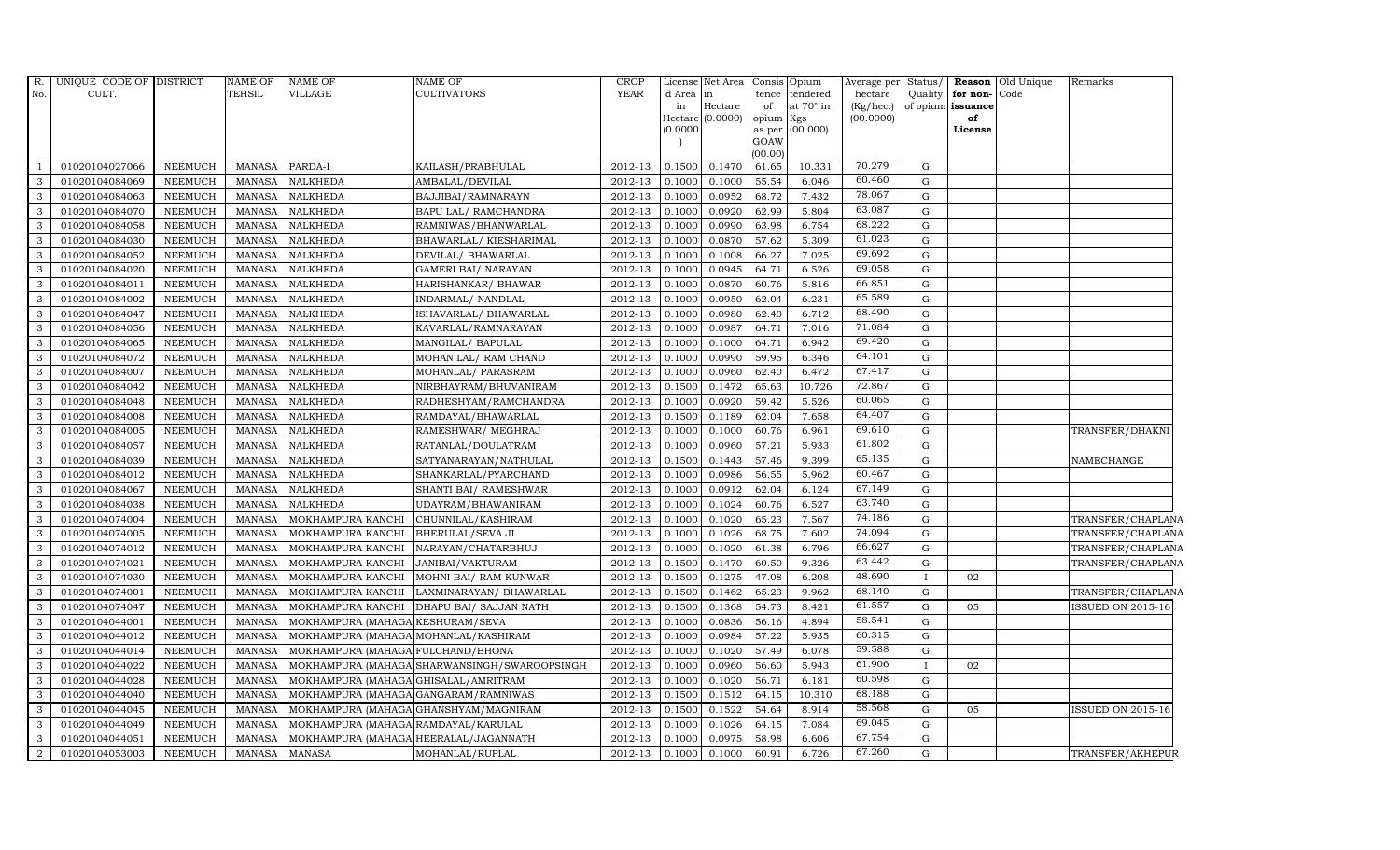| R.             | UNIQUE CODE OF DISTRICT |                | NAME OF       | <b>NAME OF</b>                        | NAME OF                                      | <b>CROP</b> |          | License Net Area   Consis   Opium |                 |                  | Average per Status/    |              |                         | Reason Old Unique | Remarks                  |
|----------------|-------------------------|----------------|---------------|---------------------------------------|----------------------------------------------|-------------|----------|-----------------------------------|-----------------|------------------|------------------------|--------------|-------------------------|-------------------|--------------------------|
| No.            | CULT.                   |                | <b>TEHSIL</b> | VILLAGE                               | <b>CULTIVATORS</b>                           | <b>YEAR</b> | d Area   | lin                               | tence           | tendered         | hectare                |              | Quality   for non- Code |                   |                          |
|                |                         |                |               |                                       |                                              |             | in       | Hectare<br>Hectare $(0.0000)$     | of<br>opium Kgs | at $70^\circ$ in | (Kg/hec.)<br>(00.0000) |              | of opium issuance<br>of |                   |                          |
|                |                         |                |               |                                       |                                              |             | (0.0000) |                                   | as per          | (00.000)         |                        |              | License                 |                   |                          |
|                |                         |                |               |                                       |                                              |             |          |                                   | GOAW            |                  |                        |              |                         |                   |                          |
|                |                         |                |               |                                       |                                              |             |          |                                   | (00.00)         |                  |                        |              |                         |                   |                          |
|                | 01020104027066          | NEEMUCH        | MANASA        | PARDA-I                               | KAILASH/PRABHULAL                            | 2012-13     | 0.1500   | 0.1470                            | 61.65           | 10.331           | 70.279                 | G            |                         |                   |                          |
| 3              | 01020104084069          | NEEMUCH        | <b>MANASA</b> | <b>NALKHEDA</b>                       | AMBALAL/DEVILAL                              | 2012-13     | 0.1000   | 0.1000                            | 55.54           | 6.046            | 60.460                 | G            |                         |                   |                          |
| 3              | 01020104084063          | <b>NEEMUCH</b> | <b>MANASA</b> | <b>NALKHEDA</b>                       | BAJJIBAI/RAMNARAYN                           | 2012-13     | 0.1000   | 0.0952                            | 68.72           | 7.432            | 78.067                 | G            |                         |                   |                          |
| 3              | 01020104084070          | <b>NEEMUCH</b> | <b>MANASA</b> | <b>NALKHEDA</b>                       | BAPU LAL/ RAMCHANDRA                         | 2012-13     | 0.1000   | 0.0920                            | 62.99           | 5.804            | 63.087                 | $\mathbf G$  |                         |                   |                          |
| 3              | 01020104084058          | <b>NEEMUCH</b> | <b>MANASA</b> | <b>NALKHEDA</b>                       | RAMNIWAS/BHANWARLAL                          | 2012-13     | 0.1000   | 0.0990                            | 63.98           | 6.754            | 68.222                 | G            |                         |                   |                          |
| 3              | 01020104084030          | <b>NEEMUCH</b> | <b>MANASA</b> | <b>NALKHEDA</b>                       | BHAWARLAL/ KIESHARIMAL                       | 2012-13     | 0.1000   | 0.0870                            | 57.62           | 5.309            | 61.023                 | G            |                         |                   |                          |
| 3              | 01020104084052          | <b>NEEMUCH</b> | <b>MANASA</b> | <b>NALKHEDA</b>                       | DEVILAL/ BHAWARLAL                           | 2012-13     | 0.1000   | 0.1008                            | 66.27           | 7.025            | 69.692                 | G            |                         |                   |                          |
| 3              | 01020104084020          | <b>NEEMUCH</b> | <b>MANASA</b> | <b>NALKHEDA</b>                       | <b>GAMERI BAI/ NARAYAN</b>                   | 2012-13     | 0.1000   | 0.0945                            | 64.71           | 6.526            | 69.058                 | G            |                         |                   |                          |
| 3              | 01020104084011          | <b>NEEMUCH</b> | <b>MANASA</b> | <b>NALKHEDA</b>                       | HARISHANKAR/ BHAWAR                          | 2012-13     | 0.1000   | 0.0870                            | 60.76           | 5.816            | 66.851                 | G            |                         |                   |                          |
| 3              | 01020104084002          | <b>NEEMUCH</b> | <b>MANASA</b> | <b>NALKHEDA</b>                       | INDARMAL/ NANDLAL                            | 2012-13     | 0.1000   | 0.0950                            | 62.04           | 6.231            | 65.589                 | G            |                         |                   |                          |
| 3              | 01020104084047          | NEEMUCH        | <b>MANASA</b> | <b>NALKHEDA</b>                       | ISHAVARLAL/BHAWARLAL                         | 2012-13     | 0.1000   | 0.0980                            | 62.40           | 6.712            | 68.490                 | G            |                         |                   |                          |
| 3              | 01020104084056          | <b>NEEMUCH</b> | <b>MANASA</b> | <b>NALKHEDA</b>                       | KAVARLAL/RAMNARAYAN                          | 2012-13     | 0.1000   | 0.0987                            | 64.71           | 7.016            | 71.084                 | G            |                         |                   |                          |
| 3              | 01020104084065          | <b>NEEMUCH</b> | <b>MANASA</b> | <b>NALKHEDA</b>                       | MANGILAL/ BAPULAL                            | 2012-13     | 0.1000   | 0.1000                            | 64.71           | 6.942            | 69.420                 | G            |                         |                   |                          |
| 3              | 01020104084072          | <b>NEEMUCH</b> | <b>MANASA</b> | <b>NALKHEDA</b>                       | MOHAN LAL/ RAM CHAND                         | 2012-13     | 0.1000   | 0.0990                            | 59.95           | 6.346            | 64.101                 | G            |                         |                   |                          |
| 3              | 01020104084007          | <b>NEEMUCH</b> | <b>MANASA</b> | <b>NALKHEDA</b>                       | MOHANLAL/ PARASRAM                           | 2012-13     | 0.1000   | 0.0960                            | 62.40           | 6.472            | 67.417                 | G            |                         |                   |                          |
| 3              | 01020104084042          | <b>NEEMUCH</b> | <b>MANASA</b> | <b>NALKHEDA</b>                       | NIRBHAYRAM/BHUVANIRAM                        | 2012-13     | 0.1500   | 0.1472                            | 65.63           | 10.726           | 72.867                 | G            |                         |                   |                          |
| 3              | 01020104084048          | <b>NEEMUCH</b> | <b>MANASA</b> | <b>NALKHEDA</b>                       | RADHESHYAM/RAMCHANDRA                        | 2012-13     | 0.1000   | 0.0920                            | 59.42           | 5.526            | 60.065                 | G            |                         |                   |                          |
| 3              | 01020104084008          | <b>NEEMUCH</b> | <b>MANASA</b> | <b>NALKHEDA</b>                       | RAMDAYAL/BHAWARLAL                           | 2012-13     | 0.1500   | 0.1189                            | 62.04           | 7.658            | 64.407                 | G            |                         |                   |                          |
| 3              | 01020104084005          | <b>NEEMUCH</b> | <b>MANASA</b> | <b>NALKHEDA</b>                       | RAMESHWAR/ MEGHRAJ                           | 2012-13     | 0.1000   | 0.1000                            | 60.76           | 6.961            | 69.610                 | G            |                         |                   | TRANSFER/DHAKNI          |
| 3              | 01020104084057          | <b>NEEMUCH</b> | <b>MANASA</b> | <b>NALKHEDA</b>                       | RATANLAL/DOULATRAM                           | 2012-13     | 0.1000   | 0.0960                            | 57.21           | 5.933            | 61.802                 | G            |                         |                   |                          |
| 3              | 01020104084039          | <b>NEEMUCH</b> | <b>MANASA</b> | <b>NALKHEDA</b>                       | SATYANARAYAN/NATHULAL                        | 2012-13     | 0.1500   | 0.1443                            | 57.46           | 9.399            | 65.135                 | G            |                         |                   | NAMECHANGE               |
| 3              | 01020104084012          | <b>NEEMUCH</b> | <b>MANASA</b> | <b>NALKHEDA</b>                       | SHANKARLAL/PYARCHAND                         | 2012-13     | 0.1000   | 0.0986                            | 56.55           | 5.962            | 60.467                 | $\mathbf{G}$ |                         |                   |                          |
| 3              | 01020104084067          | <b>NEEMUCH</b> | <b>MANASA</b> | <b>NALKHEDA</b>                       | SHANTI BAI/ RAMESHWAR                        | 2012-13     | 0.1000   | 0.0912                            | 62.04           | 6.124            | 67.149                 | G            |                         |                   |                          |
| 3              | 01020104084038          | <b>NEEMUCH</b> | <b>MANASA</b> | <b>NALKHEDA</b>                       | UDAYRAM/BHAWANIRAM                           | 2012-13     | 0.1000   | 0.1024                            | 60.76           | 6.527            | 63.740                 | G            |                         |                   |                          |
| 3              | 01020104074004          | <b>NEEMUCH</b> | <b>MANASA</b> | MOKHAMPURA KANCHI                     | CHUNNILAL/KASHIRAM                           | 2012-13     | 0.1000   | 0.1020                            | 65.23           | 7.567            | 74.186                 | G            |                         |                   | TRANSFER/CHAPLANA        |
| 3              | 01020104074005          | <b>NEEMUCH</b> | <b>MANASA</b> | MOKHAMPURA KANCHI                     | <b>BHERULAL/SEVA JI</b>                      | 2012-13     | 0.1000   | 0.1026                            | 68.75           | 7.602            | 74.094                 | G            |                         |                   | TRANSFER/CHAPLANA        |
| 3              | 01020104074012          | <b>NEEMUCH</b> | <b>MANASA</b> | MOKHAMPURA KANCHI                     | NARAYAN/CHATARBHUJ                           | 2012-13     | 0.1000   | 0.1020                            | 61.38           | 6.796            | 66.627                 | G            |                         |                   | TRANSFER/CHAPLANA        |
| 3              | 01020104074021          | <b>NEEMUCH</b> | <b>MANASA</b> | MOKHAMPURA KANCHI                     | JANIBAI/VAKTURAM                             | 2012-13     | 0.1500   | 0.1470                            | 60.50           | 9.326            | 63.442                 | G            |                         |                   | TRANSFER/CHAPLANA        |
| 3              | 01020104074030          | <b>NEEMUCH</b> | <b>MANASA</b> | MOKHAMPURA KANCHI                     | MOHNI BAI/ RAM KUNWAR                        | 2012-13     | 0.1500   | 0.1275                            | 47.08           | 6.208            | 48.690                 | $\mathbf{I}$ | 02                      |                   |                          |
| 3              | 01020104074001          | <b>NEEMUCH</b> | <b>MANASA</b> | MOKHAMPURA KANCHI                     | LAXMINARAYAN / BHAWARLAL                     | 2012-13     | 0.1500   | 0.1462                            | 65.23           | 9.962            | 68.140                 | G            |                         |                   | TRANSFER/CHAPLANA        |
| 3              | 01020104074047          | <b>NEEMUCH</b> | <b>MANASA</b> | MOKHAMPURA KANCHI                     | DHAPU BAI / SAJJAN NATH                      | 2012-13     | 0.1500   | 0.1368                            | 54.73           | 8.421            | 61.557                 | G            | 05                      |                   | <b>ISSUED ON 2015-16</b> |
| 3              | 01020104044001          | <b>NEEMUCH</b> | <b>MANASA</b> | MOKHAMPURA (MAHAGA KESHURAM/SEVA      |                                              | 2012-13     | 0.1000   | 0.0836                            | 56.16           | 4.894            | 58.541                 | G            |                         |                   |                          |
| 3              | 01020104044012          | <b>NEEMUCH</b> | <b>MANASA</b> | MOKHAMPURA (MAHAGA MOHANLAL/KASHIRAM  |                                              | 2012-13     | 0.1000   | 0.0984                            | 57.22           | 5.935            | 60.315                 | G            |                         |                   |                          |
| 3              | 01020104044014          | <b>NEEMUCH</b> | <b>MANASA</b> | MOKHAMPURA (MAHAGA FULCHAND/BHONA     |                                              | 2012-13     | 0.1000   | 0.1020                            | 57.49           | 6.078            | 59.588                 | G            |                         |                   |                          |
| 3              | 01020104044022          | <b>NEEMUCH</b> | <b>MANASA</b> |                                       | MOKHAMPURA (MAHAGA SHARWANSINGH/SWAROOPSINGH | 2012-13     | 0.1000   | 0.0960                            | 56.60           | 5.943            | 61.906                 | $\mathbf{I}$ | 02                      |                   |                          |
| 3              | 01020104044028          | <b>NEEMUCH</b> | <b>MANASA</b> | MOKHAMPURA (MAHAGA GHISALAL/AMRITRAM  |                                              | 2012-13     | 0.1000   | 0.1020                            | 56.71           | 6.181            | 60.598                 | G            |                         |                   |                          |
| 3              | 01020104044040          | <b>NEEMUCH</b> | <b>MANASA</b> | MOKHAMPURA (MAHAGA GANGARAM/RAMNIWAS  |                                              | 2012-13     | 0.1500   | 0.1512                            | 64.15           | 10.310           | 68.188                 | G            |                         |                   |                          |
| 3              | 01020104044045          | <b>NEEMUCH</b> | <b>MANASA</b> |                                       | MOKHAMPURA (MAHAGA GHANSHYAM/MAGNIRAM        | 2012-13     | 0.1500   | 0.1522                            | 54.64           | 8.914            | 58.568                 | ${\rm G}$    | 05                      |                   | <b>ISSUED ON 2015-16</b> |
| 3              | 01020104044049          | <b>NEEMUCH</b> | <b>MANASA</b> | MOKHAMPURA (MAHAGA RAMDAYAL/KARULAL   |                                              | 2012-13     | 0.1000   | 0.1026                            | 64.15           | 7.084            | 69.045                 | G            |                         |                   |                          |
| 3              | 01020104044051          | <b>NEEMUCH</b> | <b>MANASA</b> | MOKHAMPURA (MAHAGA HEERALAL/JAGANNATH |                                              | 2012-13     | 0.1000   | 0.0975                            | 58.98           | 6.606            | 67.754                 | G            |                         |                   |                          |
| $\overline{a}$ | 01020104053003          | <b>NEEMUCH</b> | MANASA        | <b>MANASA</b>                         | MOHANLAL/RUPLAL                              | 2012-13     | 0.1000   | 0.1000                            | 60.91           | 6.726            | 67.260                 | G            |                         |                   | TRANSFER/AKHEPUR         |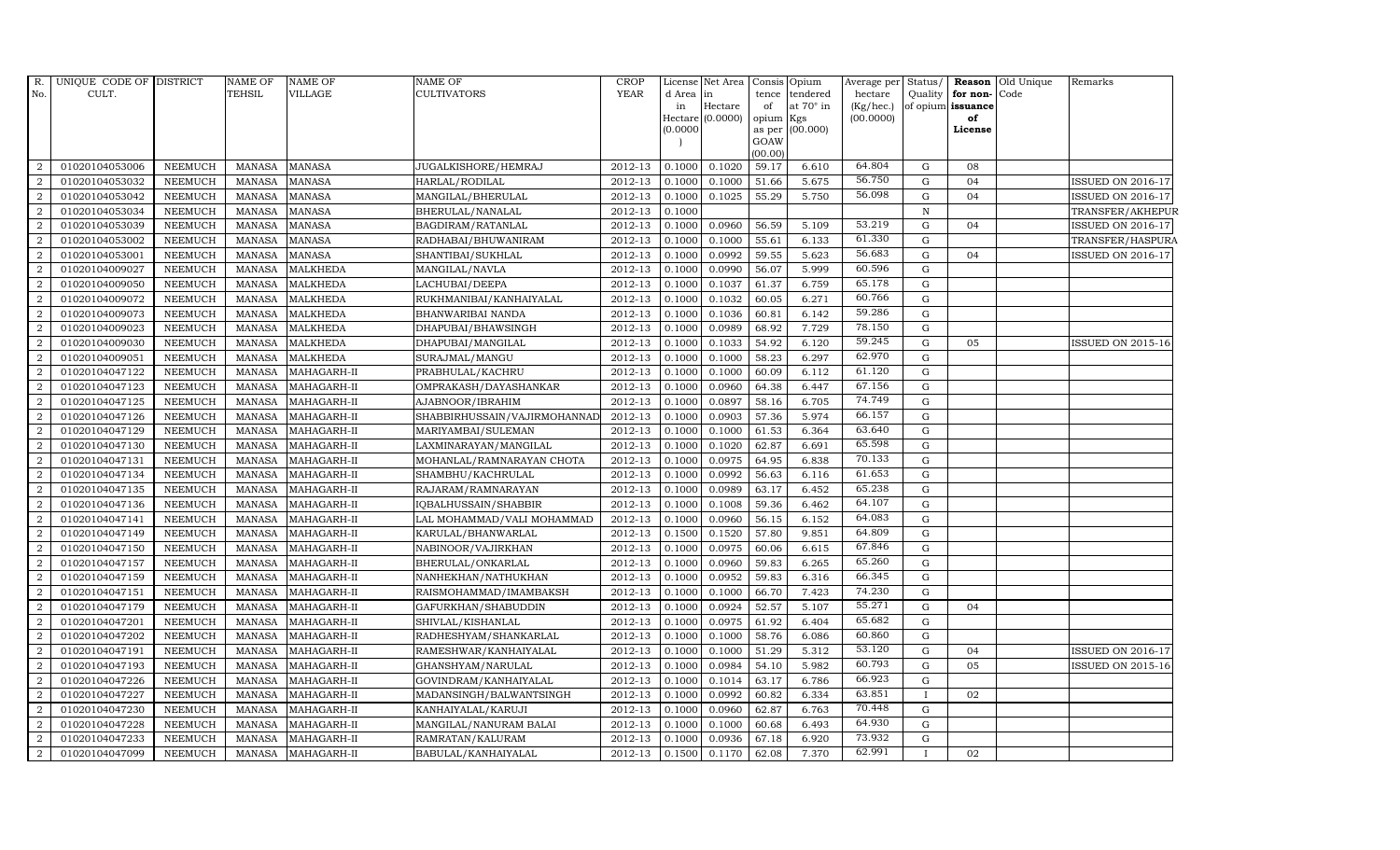|                | R. UNIQUE CODE OF DISTRICT |                | NAME OF       | <b>NAME OF</b>  | <b>NAME OF</b>               | <b>CROP</b> | License       | Net Area            |                 | Consis Opium     | Average per Status/    |              |                         | <b>Reason</b> Old Unique | Remarks                  |
|----------------|----------------------------|----------------|---------------|-----------------|------------------------------|-------------|---------------|---------------------|-----------------|------------------|------------------------|--------------|-------------------------|--------------------------|--------------------------|
| No.            | CULT.                      |                | <b>TEHSIL</b> | VILLAGE         | <b>CULTIVATORS</b>           | <b>YEAR</b> | d Area        | in                  | tence           | tendered         | hectare                |              | Quality for non-Code    |                          |                          |
|                |                            |                |               |                 |                              |             | in<br>Hectare | Hectare<br>(0.0000) | of<br>opium Kgs | at $70^\circ$ in | (Kg/hec.)<br>(00.0000) |              | of opium issuance<br>of |                          |                          |
|                |                            |                |               |                 |                              |             | (0.0000)      |                     |                 | as per (00.000)  |                        |              | License                 |                          |                          |
|                |                            |                |               |                 |                              |             |               |                     | GOAW            |                  |                        |              |                         |                          |                          |
|                |                            |                |               |                 |                              |             |               |                     | (00.00)         |                  |                        |              |                         |                          |                          |
| -2             | 01020104053006             | <b>NEEMUCH</b> | MANASA        | <b>MANASA</b>   | JUGALKISHORE/HEMRAJ          | 2012-13     | 0.1000        | 0.1020              | 59.17           | 6.610            | 64.804                 | G            | 08                      |                          |                          |
| $\overline{2}$ | 01020104053032             | <b>NEEMUCH</b> | <b>MANASA</b> | <b>MANASA</b>   | HARLAL/RODILAL               | 2012-13     | 0.1000        | 0.1000              | 51.66           | 5.675            | 56.750                 | G            | 04                      |                          | ISSUED ON 2016-17        |
| 2              | 01020104053042             | <b>NEEMUCH</b> | <b>MANASA</b> | <b>MANASA</b>   | MANGILAL/BHERULAL            | 2012-13     | 0.1000        | 0.1025              | 55.29           | 5.750            | 56.098                 | G            | 04                      |                          | ISSUED ON 2016-17        |
| $\overline{2}$ | 01020104053034             | <b>NEEMUCH</b> | <b>MANASA</b> | <b>MANASA</b>   | BHERULAL/NANALAL             | 2012-13     | 0.1000        |                     |                 |                  |                        | $\mathbf N$  |                         |                          | TRANSFER/AKHEPUR         |
| 2              | 01020104053039             | <b>NEEMUCH</b> | <b>MANASA</b> | <b>MANASA</b>   | BAGDIRAM/RATANLAL            | 2012-13     | 0.1000        | 0.0960              | 56.59           | 5.109            | 53.219                 | G            | 04                      |                          | <b>ISSUED ON 2016-17</b> |
| 2              | 01020104053002             | <b>NEEMUCH</b> | MANASA        | <b>MANASA</b>   | RADHABAI/BHUWANIRAM          | 2012-13     | 0.1000        | 0.1000              | 55.61           | 6.133            | 61.330                 | G            |                         |                          | TRANSFER/HASPURA         |
| 2              | 01020104053001             | <b>NEEMUCH</b> | <b>MANASA</b> | <b>MANASA</b>   | SHANTIBAI/SUKHLAL            | 2012-13     | 0.1000        | 0.0992              | 59.55           | 5.623            | 56.683                 | G            | 04                      |                          | <b>ISSUED ON 2016-17</b> |
| $\overline{2}$ | 01020104009027             | <b>NEEMUCH</b> | <b>MANASA</b> | <b>MALKHEDA</b> | MANGILAL/NAVLA               | 2012-13     | 0.1000        | 0.0990              | 56.07           | 5.999            | 60.596                 | G            |                         |                          |                          |
| $\overline{2}$ | 01020104009050             | <b>NEEMUCH</b> | <b>MANASA</b> | <b>MALKHEDA</b> | LACHUBAI/DEEPA               | 2012-13     | 0.1000        | 0.1037              | 61.37           | 6.759            | 65.178                 | G            |                         |                          |                          |
| $\overline{a}$ | 01020104009072             | <b>NEEMUCH</b> | <b>MANASA</b> | MALKHEDA        | RUKHMANIBAI/KANHAIYALAL      | 2012-13     | 0.1000        | 0.1032              | 60.05           | 6.271            | 60.766                 | G            |                         |                          |                          |
| $\overline{a}$ | 01020104009073             | <b>NEEMUCH</b> | MANASA        | <b>MALKHEDA</b> | BHANWARIBAI NANDA            | 2012-13     | 0.1000        | 0.1036              | 60.81           | 6.142            | 59.286                 | G            |                         |                          |                          |
| 2              | 01020104009023             | <b>NEEMUCH</b> | <b>MANASA</b> | <b>MALKHEDA</b> | DHAPUBAI/BHAWSINGH           | 2012-13     | 0.1000        | 0.0989              | 68.92           | 7.729            | 78.150                 | G            |                         |                          |                          |
| 2              | 01020104009030             | <b>NEEMUCH</b> | <b>MANASA</b> | <b>MALKHEDA</b> | DHAPUBAI/MANGILAL            | 2012-13     | 0.1000        | 0.1033              | 54.92           | 6.120            | 59.245                 | G            | 05                      |                          | <b>ISSUED ON 2015-16</b> |
| 2              | 01020104009051             | <b>NEEMUCH</b> | <b>MANASA</b> | <b>MALKHEDA</b> | SURAJMAL/MANGU               | 2012-13     | 0.1000        | 0.1000              | 58.23           | 6.297            | 62.970                 | G            |                         |                          |                          |
| -2             | 01020104047122             | <b>NEEMUCH</b> | <b>MANASA</b> | MAHAGARH-II     | PRABHULAL/KACHRU             | 2012-13     | 0.1000        | 0.1000              | 60.09           | 6.112            | 61.120                 | G            |                         |                          |                          |
| 2              | 01020104047123             | <b>NEEMUCH</b> | <b>MANASA</b> | MAHAGARH-II     | OMPRAKASH/DAYASHANKAR        | 2012-13     | 0.1000        | 0.0960              | 64.38           | 6.447            | 67.156                 | G            |                         |                          |                          |
| 2              | 01020104047125             | <b>NEEMUCH</b> | <b>MANASA</b> | MAHAGARH-II     | AJABNOOR/IBRAHIM             | 2012-13     | 0.1000        | 0.0897              | 58.16           | 6.705            | 74.749                 | G            |                         |                          |                          |
| 2              | 01020104047126             | <b>NEEMUCH</b> | <b>MANASA</b> | MAHAGARH-II     | SHABBIRHUSSAIN/VAJIRMOHANNAD | 2012-13     | 0.1000        | 0.0903              | 57.36           | 5.974            | 66.157                 | G            |                         |                          |                          |
| $\overline{2}$ | 01020104047129             | <b>NEEMUCH</b> | <b>MANASA</b> | MAHAGARH-II     | MARIYAMBAI/SULEMAN           | 2012-13     | 0.1000        | 0.1000              | 61.53           | 6.364            | 63.640                 | G            |                         |                          |                          |
| $\overline{2}$ | 01020104047130             | <b>NEEMUCH</b> | <b>MANASA</b> | MAHAGARH-II     | LAXMINARAYAN / MANGILAL      | 2012-13     | 0.1000        | 0.1020              | 62.87           | 6.691            | 65.598                 | G            |                         |                          |                          |
| 2              | 01020104047131             | <b>NEEMUCH</b> | <b>MANASA</b> | MAHAGARH-II     | MOHANLAL/RAMNARAYAN CHOTA    | 2012-13     | 0.1000        | 0.0975              | 64.95           | 6.838            | 70.133                 | G            |                         |                          |                          |
| 2              | 01020104047134             | <b>NEEMUCH</b> | <b>MANASA</b> | MAHAGARH-II     | SHAMBHU/KACHRULAL            | 2012-13     | 0.1000        | 0.0992              | 56.63           | 6.116            | 61.653                 | G            |                         |                          |                          |
| 2              | 01020104047135             | <b>NEEMUCH</b> | <b>MANASA</b> | MAHAGARH-II     | RAJARAM / RAMNARAYAN         | 2012-13     | 0.1000        | 0.0989              | 63.17           | 6.452            | 65.238                 | G            |                         |                          |                          |
| $\overline{2}$ | 01020104047136             | <b>NEEMUCH</b> | <b>MANASA</b> | MAHAGARH-II     | IQBALHUSSAIN/SHABBIR         | 2012-13     | 0.1000        | 0.1008              | 59.36           | 6.462            | 64.107                 | G            |                         |                          |                          |
| $\overline{2}$ | 01020104047141             | <b>NEEMUCH</b> | <b>MANASA</b> | MAHAGARH-II     | LAL MOHAMMAD/VALI MOHAMMAD   | 2012-13     | 0.1000        | 0.0960              | 56.15           | 6.152            | 64.083                 | G            |                         |                          |                          |
| 2              | 01020104047149             | <b>NEEMUCH</b> | <b>MANASA</b> | MAHAGARH-II     | KARULAL/BHANWARLAL           | 2012-13     | 0.1500        | 0.1520              | 57.80           | 9.851            | 64.809                 | G            |                         |                          |                          |
| 2              | 01020104047150             | <b>NEEMUCH</b> | <b>MANASA</b> | MAHAGARH-II     | NABINOOR/VAJIRKHAN           | 2012-13     | 0.1000        | 0.0975              | 60.06           | 6.615            | 67.846                 | G            |                         |                          |                          |
| 2              | 01020104047157             | <b>NEEMUCH</b> | <b>MANASA</b> | MAHAGARH-II     | BHERULAL/ONKARLAL            | 2012-13     | 0.1000        | 0.0960              | 59.83           | 6.265            | 65.260                 | G            |                         |                          |                          |
| 2              | 01020104047159             | <b>NEEMUCH</b> | <b>MANASA</b> | MAHAGARH-II     | NANHEKHAN/NATHUKHAN          | 2012-13     | 0.1000        | 0.0952              | 59.83           | 6.316            | 66.345                 | G            |                         |                          |                          |
| $\overline{2}$ | 01020104047151             | <b>NEEMUCH</b> | <b>MANASA</b> | MAHAGARH-II     | RAISMOHAMMAD/IMAMBAKSH       | 2012-13     | 0.1000        | 0.1000              | 66.70           | 7.423            | 74.230                 | G            |                         |                          |                          |
| 2              | 01020104047179             | <b>NEEMUCH</b> | <b>MANASA</b> | MAHAGARH-II     | GAFURKHAN/SHABUDDIN          | 2012-13     | 0.1000        | 0.0924              | 52.57           | 5.107            | 55.271                 | G            | 04                      |                          |                          |
| 2              | 01020104047201             | <b>NEEMUCH</b> | <b>MANASA</b> | MAHAGARH-II     | SHIVLAL/KISHANLAL            | 2012-13     | 0.1000        | 0.0975              | 61.92           | 6.404            | 65.682                 | G            |                         |                          |                          |
| 2              | 01020104047202             | <b>NEEMUCH</b> | <b>MANASA</b> | MAHAGARH-II     | RADHESHYAM/SHANKARLAL        | 2012-13     | 0.1000        | 0.1000              | 58.76           | 6.086            | 60.860                 | G            |                         |                          |                          |
| -2             | 01020104047191             | <b>NEEMUCH</b> | <b>MANASA</b> | MAHAGARH-II     | RAMESHWAR/KANHAIYALAL        | 2012-13     | 0.1000        | 0.1000              | 51.29           | 5.312            | 53.120                 | G            | 04                      |                          | ISSUED ON 2016-17        |
| $\overline{2}$ | 01020104047193             | <b>NEEMUCH</b> | <b>MANASA</b> | MAHAGARH-II     | GHANSHYAM/NARULAL            | 2012-13     | 0.1000        | 0.0984              | 54.10           | 5.982            | 60.793                 | G            | 05                      |                          | <b>ISSUED ON 2015-16</b> |
| $\overline{2}$ | 01020104047226             | <b>NEEMUCH</b> | MANASA        | MAHAGARH-II     | GOVINDRAM/KANHAIYALAL        | 2012-13     | 0.1000        | 0.1014              | 63.17           | 6.786            | 66.923                 | G            |                         |                          |                          |
| 2              | 01020104047227             | <b>NEEMUCH</b> | <b>MANASA</b> | MAHAGARH-II     | MADANSINGH/BALWANTSINGH      | 2012-13     | 0.1000        | 0.0992              | 60.82           | 6.334            | 63.851                 | $\mathbf{I}$ | 02                      |                          |                          |
| $\overline{2}$ | 01020104047230             | <b>NEEMUCH</b> | MANASA        | MAHAGARH-II     | KANHAIYALAL/KARUJI           | 2012-13     | 0.1000        | 0.0960              | 62.87           | 6.763            | 70.448                 | G            |                         |                          |                          |
| 2              | 01020104047228             | <b>NEEMUCH</b> | <b>MANASA</b> | MAHAGARH-II     | MANGILAL/NANURAM BALAI       | 2012-13     | 0.1000        | 0.1000              | 60.68           | 6.493            | 64.930                 | G            |                         |                          |                          |
| $\overline{2}$ | 01020104047233             | <b>NEEMUCH</b> | <b>MANASA</b> | MAHAGARH-II     | RAMRATAN/KALURAM             | 2012-13     | 0.1000        | 0.0936              | 67.18           | 6.920            | 73.932                 | G            |                         |                          |                          |
| $\overline{2}$ | 01020104047099             | <b>NEEMUCH</b> | MANASA        | MAHAGARH-II     | BABULAL/KANHAIYALAL          | 2012-13     | 0.1500        | 0.1170              | 62.08           | 7.370            | 62.991                 |              | 02                      |                          |                          |
|                |                            |                |               |                 |                              |             |               |                     |                 |                  |                        |              |                         |                          |                          |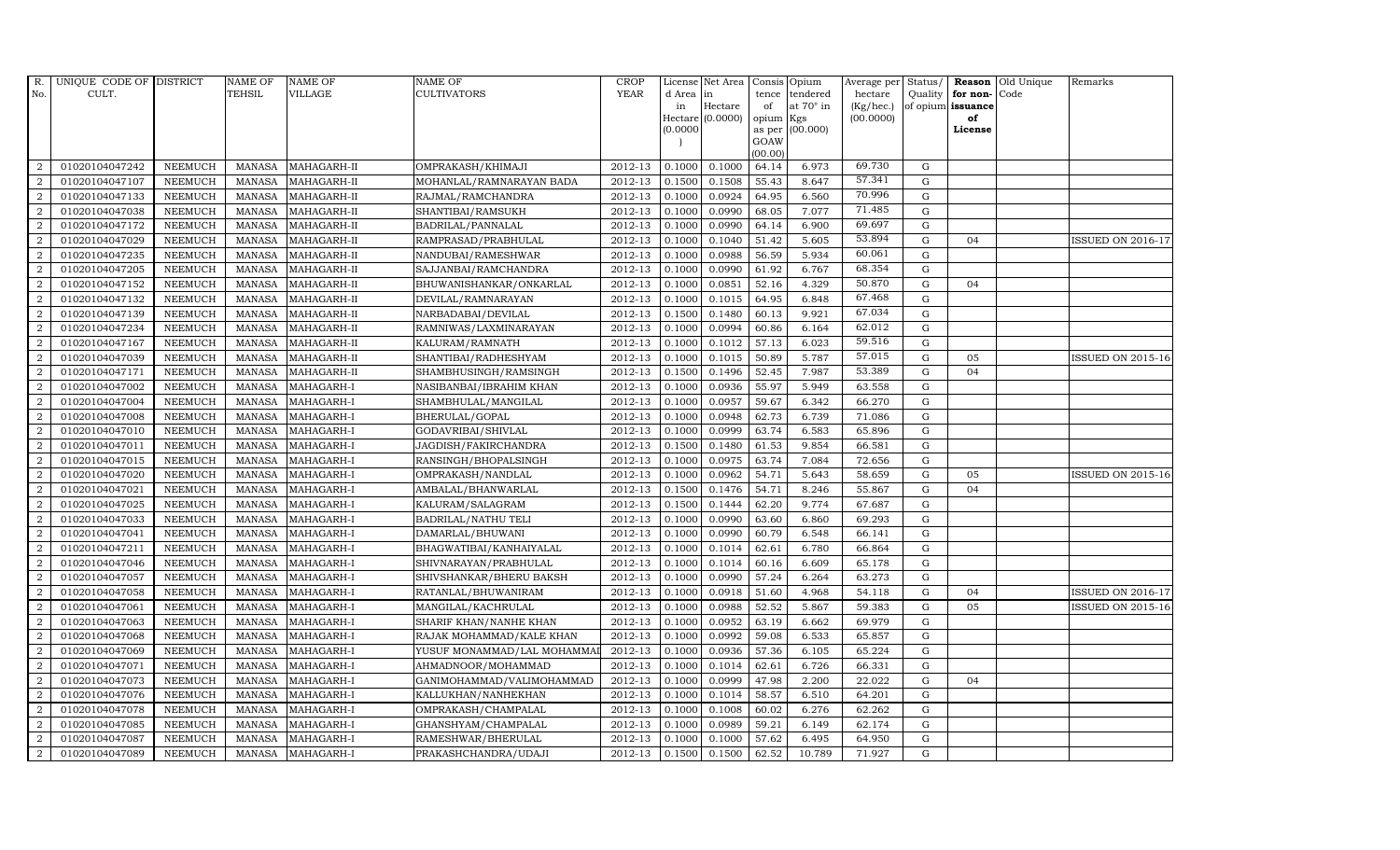| R.               | UNIQUE CODE OF DISTRICT |                | <b>NAME OF</b> | <b>NAME OF</b> | <b>NAME OF</b>             | CROP        |          | License Net Area   |           | Consis Opium     | Average per | Status/     | Reason            | Old Unique | Remarks                  |
|------------------|-------------------------|----------------|----------------|----------------|----------------------------|-------------|----------|--------------------|-----------|------------------|-------------|-------------|-------------------|------------|--------------------------|
| No.              | CULT.                   |                | <b>TEHSIL</b>  | VILLAGE        | CULTIVATORS                | <b>YEAR</b> | d Area   | in                 | tence     | tendered         | hectare     | Quality     | for non-          | Code       |                          |
|                  |                         |                |                |                |                            |             | in       | Hectare            | of        | at $70^\circ$ in | (Kg/hec.)   |             | of opium issuance |            |                          |
|                  |                         |                |                |                |                            |             | (0.0000) | Hectare $(0.0000)$ | opium Kgs | as per (00.000)  | (00.0000)   |             | of<br>License     |            |                          |
|                  |                         |                |                |                |                            |             |          |                    | GOAW      |                  |             |             |                   |            |                          |
|                  |                         |                |                |                |                            |             |          |                    | (00.00)   |                  |             |             |                   |            |                          |
| 2                | 01020104047242          | <b>NEEMUCH</b> | MANASA         | MAHAGARH-II    | OMPRAKASH/KHIMAJI          | 2012-13     | 0.1000   | 0.1000             | 64.14     | 6.973            | 69.730      | G           |                   |            |                          |
| 2                | 01020104047107          | <b>NEEMUCH</b> | <b>MANASA</b>  | MAHAGARH-II    | MOHANLAL/RAMNARAYAN BADA   | 2012-13     | 0.1500   | 0.1508             | 55.43     | 8.647            | 57.341      | $\mathbf G$ |                   |            |                          |
| 2                | 01020104047133          | <b>NEEMUCH</b> | <b>MANASA</b>  | MAHAGARH-II    | RAJMAL/RAMCHANDRA          | 2012-13     | 0.1000   | 0.0924             | 64.95     | 6.560            | 70.996      | G           |                   |            |                          |
| $\overline{2}$   | 01020104047038          | <b>NEEMUCH</b> | <b>MANASA</b>  | MAHAGARH-II    | SHANTIBAI/RAMSUKH          | 2012-13     | 0.1000   | 0.0990             | 68.05     | 7.077            | 71.485      | $\mathbf G$ |                   |            |                          |
| $\overline{2}$   | 01020104047172          | <b>NEEMUCH</b> | <b>MANASA</b>  | MAHAGARH-II    | BADRILAL/PANNALAL          | 2012-13     | 0.1000   | 0.0990             | 64.14     | 6.900            | 69.697      | ${\rm G}$   |                   |            |                          |
| 2                | 01020104047029          | <b>NEEMUCH</b> | <b>MANASA</b>  | MAHAGARH-II    | RAMPRASAD/PRABHULAL        | 2012-13     | 0.1000   | 0.1040             | 51.42     | 5.605            | 53.894      | $\mathbf G$ | 04                |            | <b>ISSUED ON 2016-17</b> |
| 2                | 01020104047235          | <b>NEEMUCH</b> | <b>MANASA</b>  | MAHAGARH-II    | NANDUBAI/RAMESHWAR         | 2012-13     | 0.1000   | 0.0988             | 56.59     | 5.934            | 60.061      | ${\rm G}$   |                   |            |                          |
| 2                | 01020104047205          | <b>NEEMUCH</b> | <b>MANASA</b>  | MAHAGARH-II    | SAJJANBAI/RAMCHANDRA       | 2012-13     | 0.1000   | 0.0990             | 61.92     | 6.767            | 68.354      | $\mathbf G$ |                   |            |                          |
| $\overline{2}$   | 01020104047152          | <b>NEEMUCH</b> | <b>MANASA</b>  | MAHAGARH-II    | BHUWANISHANKAR/ONKARLAL    | 2012-13     | 0.1000   | 0.0851             | 52.16     | 4.329            | 50.870      | G           | 04                |            |                          |
| 2                | 01020104047132          | <b>NEEMUCH</b> | <b>MANASA</b>  | MAHAGARH-II    | DEVILAL/RAMNARAYAN         | 2012-13     | 0.1000   | 0.1015             | 64.95     | 6.848            | 67.468      | ${\rm G}$   |                   |            |                          |
| $\overline{2}$   | 01020104047139          | <b>NEEMUCH</b> | <b>MANASA</b>  | MAHAGARH-II    | NARBADABAI/DEVILAL         | 2012-13     | 0.1500   | 0.1480             | 60.13     | 9.921            | 67.034      | ${\rm G}$   |                   |            |                          |
| 2                | 01020104047234          | <b>NEEMUCH</b> | <b>MANASA</b>  | MAHAGARH-II    | RAMNIWAS/LAXMINARAYAN      | 2012-13     | 0.1000   | 0.0994             | 60.86     | 6.164            | 62.012      | G           |                   |            |                          |
| $\overline{2}$   | 01020104047167          | <b>NEEMUCH</b> | <b>MANASA</b>  | MAHAGARH-II    | KALURAM/RAMNATH            | 2012-13     | 0.1000   | 0.1012             | 57.13     | 6.023            | 59.516      | G           |                   |            |                          |
| $\overline{2}$   | 01020104047039          | <b>NEEMUCH</b> | <b>MANASA</b>  | MAHAGARH-II    | SHANTIBAI/RADHESHYAM       | 2012-13     | 0.1000   | 0.1015             | 50.89     | 5.787            | 57.015      | $\mathbf G$ | 05                |            | <b>ISSUED ON 2015-16</b> |
| 2                | 01020104047171          | <b>NEEMUCH</b> | <b>MANASA</b>  | MAHAGARH-II    | SHAMBHUSINGH/RAMSINGH      | 2012-13     | 0.1500   | 0.1496             | 52.45     | 7.987            | 53.389      | ${\rm G}$   | 04                |            |                          |
| $\overline{2}$   | 01020104047002          | <b>NEEMUCH</b> | <b>MANASA</b>  | MAHAGARH-I     | NASIBANBAI/IBRAHIM KHAN    | 2012-13     | 0.1000   | 0.0936             | 55.97     | 5.949            | 63.558      | ${\rm G}$   |                   |            |                          |
| 2                | 01020104047004          | <b>NEEMUCH</b> | <b>MANASA</b>  | MAHAGARH-I     | SHAMBHULAL/MANGILAL        | 2012-13     | 0.1000   | 0.0957             | 59.67     | 6.342            | 66.270      | G           |                   |            |                          |
| $\overline{2}$   | 01020104047008          | <b>NEEMUCH</b> | <b>MANASA</b>  | MAHAGARH-I     | BHERULAL/GOPAL             | 2012-13     | 0.1000   | 0.0948             | 62.73     | 6.739            | 71.086      | $\mathbf G$ |                   |            |                          |
| $\overline{2}$   | 01020104047010          | <b>NEEMUCH</b> | <b>MANASA</b>  | MAHAGARH-I     | GODAVRIBAI/SHIVLAL         | 2012-13     | 0.1000   | 0.0999             | 63.74     | 6.583            | 65.896      | $\mathbf G$ |                   |            |                          |
| $\overline{2}$   | 01020104047011          | <b>NEEMUCH</b> | <b>MANASA</b>  | MAHAGARH-I     | JAGDISH/FAKIRCHANDRA       | 2012-13     | 0.1500   | 0.1480             | 61.53     | 9.854            | 66.581      | ${\rm G}$   |                   |            |                          |
| $\overline{2}$   | 01020104047015          | <b>NEEMUCH</b> | <b>MANASA</b>  | MAHAGARH-I     | RANSINGH/BHOPALSINGH       | 2012-13     | 0.1000   | 0.0975             | 63.74     | 7.084            | 72.656      | ${\rm G}$   |                   |            |                          |
| $\boldsymbol{2}$ | 01020104047020          | <b>NEEMUCH</b> | <b>MANASA</b>  | MAHAGARH-I     | OMPRAKASH/NANDLAL          | 2012-13     | 0.1000   | 0.0962             | 54.71     | 5.643            | 58.659      | ${\rm G}$   | 05                |            | <b>ISSUED ON 2015-16</b> |
| 2                | 01020104047021          | <b>NEEMUCH</b> | <b>MANASA</b>  | MAHAGARH-I     | AMBALAL/BHANWARLAL         | 2012-13     | 0.1500   | 0.1476             | 54.71     | 8.246            | 55.867      | G           | 04                |            |                          |
| $\overline{2}$   | 01020104047025          | <b>NEEMUCH</b> | <b>MANASA</b>  | MAHAGARH-I     | KALURAM/SALAGRAM           | 2012-13     | 0.1500   | 0.1444             | 62.20     | 9.774            | 67.687      | G           |                   |            |                          |
| $\overline{2}$   | 01020104047033          | <b>NEEMUCH</b> | <b>MANASA</b>  | MAHAGARH-I     | <b>BADRILAL/NATHU TELI</b> | 2012-13     | 0.1000   | 0.0990             | 63.60     | 6.860            | 69.293      | ${\rm G}$   |                   |            |                          |
| 2                | 01020104047041          | <b>NEEMUCH</b> | <b>MANASA</b>  | MAHAGARH-I     | DAMARLAL/BHUWANI           | 2012-13     | 0.1000   | 0.0990             | 60.79     | 6.548            | 66.141      | G           |                   |            |                          |
| $\overline{2}$   | 01020104047211          | <b>NEEMUCH</b> | <b>MANASA</b>  | MAHAGARH-I     | BHAGWATIBAI/KANHAIYALAL    | 2012-13     | 0.1000   | 0.1014             | 62.61     | 6.780            | 66.864      | ${\rm G}$   |                   |            |                          |
| $\overline{2}$   | 01020104047046          | <b>NEEMUCH</b> | <b>MANASA</b>  | MAHAGARH-I     | SHIVNARAYAN/PRABHULAL      | 2012-13     | 0.1000   | 0.1014             | 60.16     | 6.609            | 65.178      | G           |                   |            |                          |
| $\overline{2}$   | 01020104047057          | <b>NEEMUCH</b> | <b>MANASA</b>  | MAHAGARH-I     | SHIVSHANKAR/BHERU BAKSH    | 2012-13     | 0.1000   | 0.0990             | 57.24     | 6.264            | 63.273      | $\mathbf G$ |                   |            |                          |
| $\overline{2}$   | 01020104047058          | <b>NEEMUCH</b> | <b>MANASA</b>  | MAHAGARH-I     | RATANLAL/BHUWANIRAM        | 2012-13     | 0.1000   | 0.0918             | 51.60     | 4.968            | 54.118      | $\mathbf G$ | 04                |            | <b>ISSUED ON 2016-17</b> |
| $\overline{2}$   | 01020104047061          | <b>NEEMUCH</b> | <b>MANASA</b>  | MAHAGARH-I     | MANGILAL/KACHRULAL         | 2012-13     | 0.1000   | 0.0988             | 52.52     | 5.867            | 59.383      | G           | 05                |            | <b>ISSUED ON 2015-16</b> |
| 2                | 01020104047063          | <b>NEEMUCH</b> | <b>MANASA</b>  | MAHAGARH-I     | SHARIF KHAN/NANHE KHAN     | 2012-13     | 0.1000   | 0.0952             | 63.19     | 6.662            | 69.979      | ${\rm G}$   |                   |            |                          |
| $\overline{2}$   | 01020104047068          | <b>NEEMUCH</b> | <b>MANASA</b>  | MAHAGARH-I     | RAJAK MOHAMMAD/KALE KHAN   | 2012-13     | 0.1000   | 0.0992             | 59.08     | 6.533            | 65.857      | ${\rm G}$   |                   |            |                          |
| 2                | 01020104047069          | <b>NEEMUCH</b> | <b>MANASA</b>  | MAHAGARH-I     | YUSUF MONAMMAD/LAL MOHAMMA | 2012-13     | 0.1000   | 0.0936             | 57.36     | 6.105            | 65.224      | $\mathbf G$ |                   |            |                          |
| 2                | 01020104047071          | <b>NEEMUCH</b> | <b>MANASA</b>  | MAHAGARH-I     | AHMADNOOR/MOHAMMAD         | 2012-13     | 0.1000   | 0.1014             | 62.61     | 6.726            | 66.331      | $\mathbf G$ |                   |            |                          |
| $\overline{2}$   | 01020104047073          | <b>NEEMUCH</b> | <b>MANASA</b>  | MAHAGARH-I     | GANIMOHAMMAD/VALIMOHAMMAD  | 2012-13     | 0.1000   | 0.0999             | 47.98     | 2.200            | 22.022      | ${\rm G}$   | 04                |            |                          |
| $\overline{2}$   | 01020104047076          | <b>NEEMUCH</b> | <b>MANASA</b>  | MAHAGARH-I     | KALLUKHAN/NANHEKHAN        | 2012-13     | 0.1000   | 0.1014             | 58.57     | 6.510            | 64.201      | G           |                   |            |                          |
| $\overline{2}$   | 01020104047078          | <b>NEEMUCH</b> | <b>MANASA</b>  | MAHAGARH-I     | OMPRAKASH/CHAMPALAL        | 2012-13     | 0.1000   | 0.1008             | 60.02     | 6.276            | 62.262      | ${\rm G}$   |                   |            |                          |
| 2                | 01020104047085          | <b>NEEMUCH</b> | <b>MANASA</b>  | MAHAGARH-I     | GHANSHYAM/CHAMPALAL        | 2012-13     | 0.1000   | 0.0989             | 59.21     | 6.149            | 62.174      | G           |                   |            |                          |
| 2                | 01020104047087          | <b>NEEMUCH</b> | <b>MANASA</b>  | MAHAGARH-I     | RAMESHWAR/BHERULAL         | 2012-13     | 0.1000   | 0.1000             | 57.62     | 6.495            | 64.950      | $\mathbf G$ |                   |            |                          |
| $\overline{2}$   | 01020104047089          | <b>NEEMUCH</b> | MANASA         | MAHAGARH-I     | PRAKASHCHANDRA/UDAJI       | 2012-13     | 0.1500   | 0.1500             | 62.52     | 10.789           | 71.927      | G           |                   |            |                          |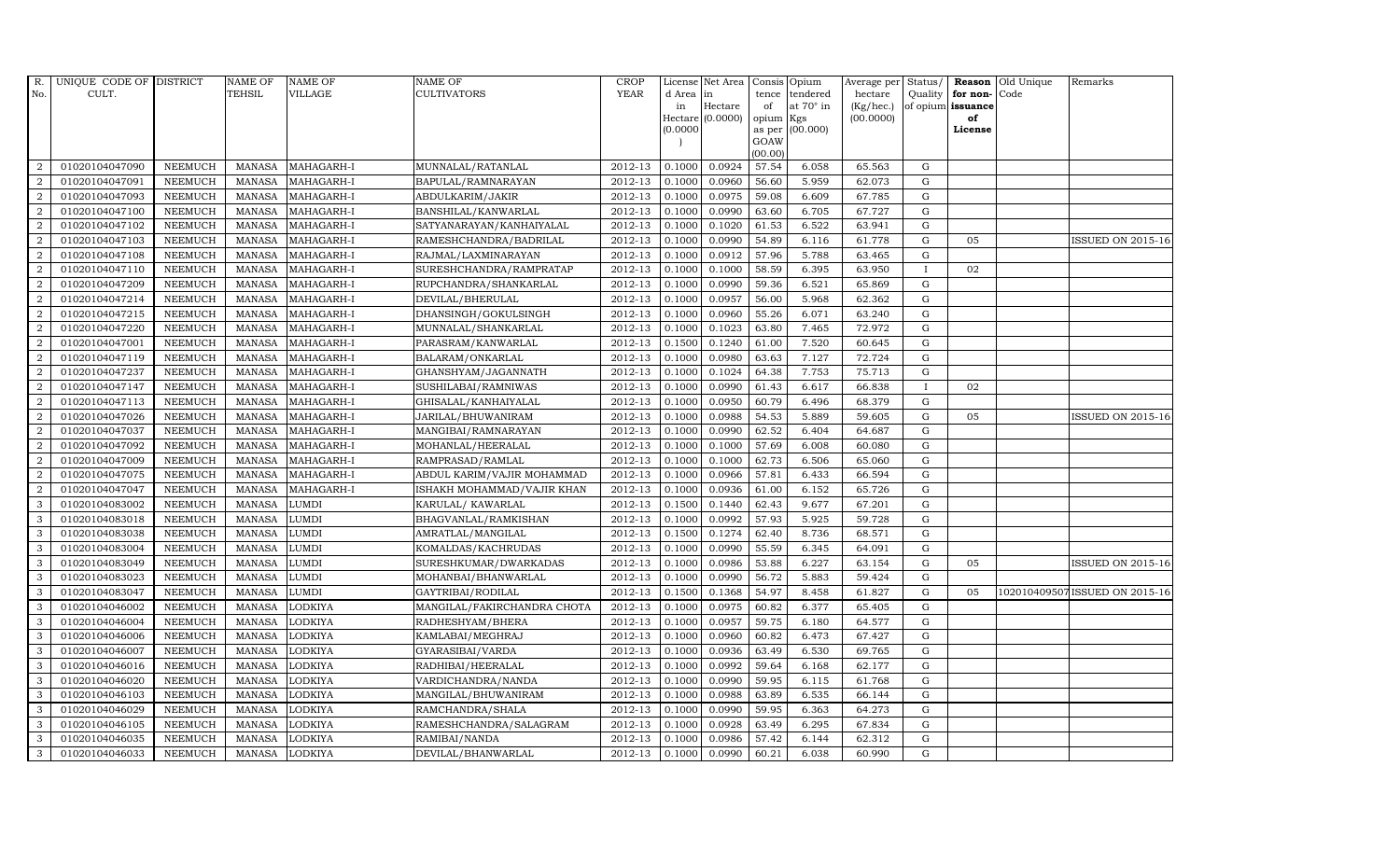| R.             | UNIQUE CODE OF DISTRICT |                | <b>NAME OF</b> | <b>NAME OF</b> | <b>NAME OF</b>              | <b>CROP</b> |          | License Net Area   Consis   Opium |           |                  | Average per | Status/      | Reason            | Old Unique | Remarks                       |
|----------------|-------------------------|----------------|----------------|----------------|-----------------------------|-------------|----------|-----------------------------------|-----------|------------------|-------------|--------------|-------------------|------------|-------------------------------|
| No.            | CULT.                   |                | TEHSIL         | <b>VILLAGE</b> | <b>CULTIVATORS</b>          | YEAR        | d Area   | in                                | tence     | tendered         | hectare     | Quality      | for non-          | Code       |                               |
|                |                         |                |                |                |                             |             | in       | Hectare                           | of        | at $70^\circ$ in | (Kg/hec.)   |              | of opium issuance |            |                               |
|                |                         |                |                |                |                             |             |          | Hectare (0.0000)                  | opium Kgs |                  | (00.0000)   |              | of<br>License     |            |                               |
|                |                         |                |                |                |                             |             | (0.0000) |                                   | GOAW      | as per (00.000)  |             |              |                   |            |                               |
|                |                         |                |                |                |                             |             |          |                                   | (00.00)   |                  |             |              |                   |            |                               |
| $\overline{2}$ | 01020104047090          | <b>NEEMUCH</b> | MANASA         | MAHAGARH-I     | MUNNALAL/RATANLAL           | 2012-13     | 0.1000   | 0.0924                            | 57.54     | 6.058            | 65.563      | ${\rm G}$    |                   |            |                               |
| $\overline{2}$ | 01020104047091          | <b>NEEMUCH</b> | MANASA         | MAHAGARH-I     | BAPULAL/RAMNARAYAN          | 2012-13     | 0.1000   | 0.0960                            | 56.60     | 5.959            | 62.073      | $\mathbf G$  |                   |            |                               |
| 2              | 01020104047093          | <b>NEEMUCH</b> | <b>MANASA</b>  | MAHAGARH-I     | ABDULKARIM/JAKIR            | 2012-13     | 0.1000   | 0.0975                            | 59.08     | 6.609            | 67.785      | G            |                   |            |                               |
| $\overline{2}$ | 01020104047100          | <b>NEEMUCH</b> | <b>MANASA</b>  | MAHAGARH-I     | BANSHILAL/KANWARLAL         | 2012-13     | 0.1000   | 0.0990                            | 63.60     | 6.705            | 67.727      | $\mathbf G$  |                   |            |                               |
| $\overline{a}$ | 01020104047102          | <b>NEEMUCH</b> | <b>MANASA</b>  | MAHAGARH-I     | SATYANARAYAN/KANHAIYALAL    | 2012-13     | 0.1000   | 0.1020                            | 61.53     | 6.522            | 63.941      | ${\rm G}$    |                   |            |                               |
| $\overline{2}$ | 01020104047103          | <b>NEEMUCH</b> | <b>MANASA</b>  | MAHAGARH-I     | RAMESHCHANDRA/BADRILAL      | 2012-13     | 0.1000   | 0.0990                            | 54.89     | 6.116            | 61.778      | $\mathbf G$  | 05                |            | <b>ISSUED ON 2015-16</b>      |
| $\overline{a}$ | 01020104047108          | <b>NEEMUCH</b> | <b>MANASA</b>  | MAHAGARH-I     | RAJMAL/LAXMINARAYAN         | 2012-13     | 0.1000   | 0.0912                            | 57.96     | 5.788            | 63.465      | $\mathbf G$  |                   |            |                               |
| $\overline{2}$ | 01020104047110          | <b>NEEMUCH</b> | <b>MANASA</b>  | MAHAGARH-I     | SURESHCHANDRA/RAMPRATAP     | 2012-13     | 0.1000   | 0.1000                            | 58.59     | 6.395            | 63.950      | $\mathbf{I}$ | 02                |            |                               |
| $\overline{2}$ | 01020104047209          | <b>NEEMUCH</b> | <b>MANASA</b>  | MAHAGARH-I     | RUPCHANDRA/SHANKARLAL       | 2012-13     | 0.1000   | 0.0990                            | 59.36     | 6.521            | 65.869      | $\mathbf G$  |                   |            |                               |
| $\overline{2}$ | 01020104047214          | <b>NEEMUCH</b> | <b>MANASA</b>  | MAHAGARH-I     | DEVILAL/BHERULAL            | 2012-13     | 0.1000   | 0.0957                            | 56.00     | 5.968            | 62.362      | ${\rm G}$    |                   |            |                               |
| $\overline{a}$ | 01020104047215          | <b>NEEMUCH</b> | <b>MANASA</b>  | MAHAGARH-I     | DHANSINGH/GOKULSINGH        | 2012-13     | 0.1000   | 0.0960                            | 55.26     | 6.071            | 63.240      | ${\rm G}$    |                   |            |                               |
| $\overline{2}$ | 01020104047220          | <b>NEEMUCH</b> | <b>MANASA</b>  | MAHAGARH-I     | MUNNALAL/SHANKARLAL         | 2012-13     | 0.1000   | 0.1023                            | 63.80     | 7.465            | 72.972      | G            |                   |            |                               |
| 2              | 01020104047001          | <b>NEEMUCH</b> | <b>MANASA</b>  | MAHAGARH-I     | PARASRAM/KANWARLAL          | 2012-13     | 0.1500   | 0.1240                            | 61.00     | 7.520            | 60.645      | $\mathbf G$  |                   |            |                               |
| $\overline{2}$ | 01020104047119          | <b>NEEMUCH</b> | <b>MANASA</b>  | MAHAGARH-I     | BALARAM/ONKARLAL            | 2012-13     | 0.1000   | 0.0980                            | 63.63     | 7.127            | 72.724      | G            |                   |            |                               |
| $\overline{2}$ | 01020104047237          | <b>NEEMUCH</b> | <b>MANASA</b>  | MAHAGARH-I     | GHANSHYAM/JAGANNATH         | 2012-13     | 0.1000   | 0.1024                            | 64.38     | 7.753            | 75.713      | G            |                   |            |                               |
| $\overline{a}$ | 01020104047147          | <b>NEEMUCH</b> | <b>MANASA</b>  | MAHAGARH-I     | SUSHILABAI/RAMNIWAS         | 2012-13     | 0.1000   | 0.0990                            | 61.43     | 6.617            | 66.838      | <b>I</b>     | 02                |            |                               |
| 2              | 01020104047113          | <b>NEEMUCH</b> | <b>MANASA</b>  | MAHAGARH-I     | GHISALAL/KANHAIYALAL        | 2012-13     | 0.1000   | 0.0950                            | 60.79     | 6.496            | 68.379      | $\mathbf G$  |                   |            |                               |
| 2              | 01020104047026          | <b>NEEMUCH</b> | MANASA         | MAHAGARH-I     | JARILAL/BHUWANIRAM          | 2012-13     | 0.1000   | 0.0988                            | 54.53     | 5.889            | 59.605      | G            | 05                |            | <b>ISSUED ON 2015-16</b>      |
| $\overline{2}$ | 01020104047037          | <b>NEEMUCH</b> | <b>MANASA</b>  | MAHAGARH-I     | MANGIBAI/RAMNARAYAN         | 2012-13     | 0.1000   | 0.0990                            | 62.52     | 6.404            | 64.687      | $\mathbf G$  |                   |            |                               |
| $\overline{2}$ | 01020104047092          | <b>NEEMUCH</b> | <b>MANASA</b>  | MAHAGARH-I     | MOHANLAL/HEERALAL           | 2012-13     | 0.1000   | 0.1000                            | 57.69     | 6.008            | 60.080      | $\mathbf G$  |                   |            |                               |
| $\overline{2}$ | 01020104047009          | <b>NEEMUCH</b> | <b>MANASA</b>  | MAHAGARH-I     | RAMPRASAD/RAMLAL            | 2012-13     | 0.1000   | 0.1000                            | 62.73     | 6.506            | 65.060      | ${\rm G}$    |                   |            |                               |
| $\overline{2}$ | 01020104047075          | <b>NEEMUCH</b> | <b>MANASA</b>  | MAHAGARH-I     | ABDUL KARIM/VAJIR MOHAMMAD  | 2012-13     | 0.1000   | 0.0966                            | 57.81     | 6.433            | 66.594      | ${\rm G}$    |                   |            |                               |
| $\overline{a}$ | 01020104047047          | <b>NEEMUCH</b> | MANASA         | MAHAGARH-I     | ISHAKH MOHAMMAD/VAJIR KHAN  | 2012-13     | 0.1000   | 0.0936                            | 61.00     | 6.152            | 65.726      | G            |                   |            |                               |
| 3              | 01020104083002          | <b>NEEMUCH</b> | <b>MANASA</b>  | <b>LUMDI</b>   | KARULAL/KAWARLAL            | 2012-13     | 0.1500   | 0.1440                            | 62.43     | 9.677            | 67.201      | $\mathbf G$  |                   |            |                               |
| 3              | 01020104083018          | <b>NEEMUCH</b> | <b>MANASA</b>  | <b>LUMDI</b>   | BHAGVANLAL/RAMKISHAN        | 2012-13     | 0.1000   | 0.0992                            | 57.93     | 5.925            | 59.728      | $\mathbf G$  |                   |            |                               |
| 3              | 01020104083038          | <b>NEEMUCH</b> | <b>MANASA</b>  | <b>LUMDI</b>   | AMRATLAL/MANGILAL           | 2012-13     | 0.1500   | 0.1274                            | 62.40     | 8.736            | 68.571      | G            |                   |            |                               |
| 3              | 01020104083004          | <b>NEEMUCH</b> | <b>MANASA</b>  | <b>LUMDI</b>   | KOMALDAS/KACHRUDAS          | 2012-13     | 0.1000   | 0.0990                            | 55.59     | 6.345            | 64.091      | ${\rm G}$    |                   |            |                               |
| 3              | 01020104083049          | <b>NEEMUCH</b> | <b>MANASA</b>  | <b>LUMDI</b>   | SURESHKUMAR/DWARKADAS       | 2012-13     | 0.1000   | 0.0986                            | 53.88     | 6.227            | 63.154      | $\mathbf G$  | 05                |            | <b>ISSUED ON 2015-16</b>      |
| 3              | 01020104083023          | <b>NEEMUCH</b> | <b>MANASA</b>  | <b>LUMDI</b>   | MOHANBAI/BHANWARLAL         | 2012-13     | 0.1000   | 0.0990                            | 56.72     | 5.883            | 59.424      | $\mathbf G$  |                   |            |                               |
| 3              | 01020104083047          | <b>NEEMUCH</b> | <b>MANASA</b>  | <b>LUMDI</b>   | GAYTRIBAI/RODILAL           | 2012-13     | 0.1500   | 0.1368                            | 54.97     | 8.458            | 61.827      | $\mathbf G$  | 05                |            | 102010409507ISSUED ON 2015-16 |
| 3              | 01020104046002          | <b>NEEMUCH</b> | <b>MANASA</b>  | <b>LODKIYA</b> | MANGILAL/FAKIRCHANDRA CHOTA | 2012-13     | 0.1000   | 0.0975                            | 60.82     | 6.377            | 65.405      | G            |                   |            |                               |
| 3              | 01020104046004          | <b>NEEMUCH</b> | <b>MANASA</b>  | <b>LODKIYA</b> | RADHESHYAM/BHERA            | 2012-13     | 0.1000   | 0.0957                            | 59.75     | 6.180            | 64.577      | ${\rm G}$    |                   |            |                               |
| 3              | 01020104046006          | <b>NEEMUCH</b> | MANASA         | <b>LODKIYA</b> | KAMLABAI/MEGHRAJ            | 2012-13     | 0.1000   | 0.0960                            | 60.82     | 6.473            | 67.427      | $\mathbf G$  |                   |            |                               |
| 3              | 01020104046007          | <b>NEEMUCH</b> | <b>MANASA</b>  | <b>LODKIYA</b> | GYARASIBAI/VARDA            | 2012-13     | 0.1000   | 0.0936                            | 63.49     | 6.530            | 69.765      | $\mathbf G$  |                   |            |                               |
| 3              | 01020104046016          | <b>NEEMUCH</b> | <b>MANASA</b>  | <b>LODKIYA</b> | RADHIBAI/HEERALAL           | 2012-13     | 0.1000   | 0.0992                            | 59.64     | 6.168            | 62.177      | $\mathbf G$  |                   |            |                               |
| 3              | 01020104046020          | <b>NEEMUCH</b> | <b>MANASA</b>  | <b>LODKIYA</b> | VARDICHANDRA/NANDA          | 2012-13     | 0.1000   | 0.0990                            | 59.95     | 6.115            | 61.768      | $\mathbf G$  |                   |            |                               |
| 3              | 01020104046103          | <b>NEEMUCH</b> | <b>MANASA</b>  | <b>LODKIYA</b> | MANGILAL/BHUWANIRAM         | 2012-13     | 0.1000   | 0.0988                            | 63.89     | 6.535            | 66.144      | ${\rm G}$    |                   |            |                               |
| 3              | 01020104046029          | <b>NEEMUCH</b> | <b>MANASA</b>  | <b>LODKIYA</b> | RAMCHANDRA/SHALA            | 2012-13     | 0.1000   | 0.0990                            | 59.95     | 6.363            | 64.273      | $\mathbf G$  |                   |            |                               |
| 3              | 01020104046105          | <b>NEEMUCH</b> | <b>MANASA</b>  | <b>LODKIYA</b> | RAMESHCHANDRA/SALAGRAM      | 2012-13     | 0.1000   | 0.0928                            | 63.49     | 6.295            | 67.834      | $\mathbf G$  |                   |            |                               |
| 3              | 01020104046035          | <b>NEEMUCH</b> | <b>MANASA</b>  | <b>LODKIYA</b> | RAMIBAI/NANDA               | 2012-13     | 0.1000   | 0.0986                            | 57.42     | 6.144            | 62.312      | $\mathbf G$  |                   |            |                               |
| 3              | 01020104046033          | <b>NEEMUCH</b> |                | MANASA LODKIYA | DEVILAL/BHANWARLAL          | 2012-13     | 0.1000   | 0.0990                            | 60.21     | 6.038            | 60.990      | G            |                   |            |                               |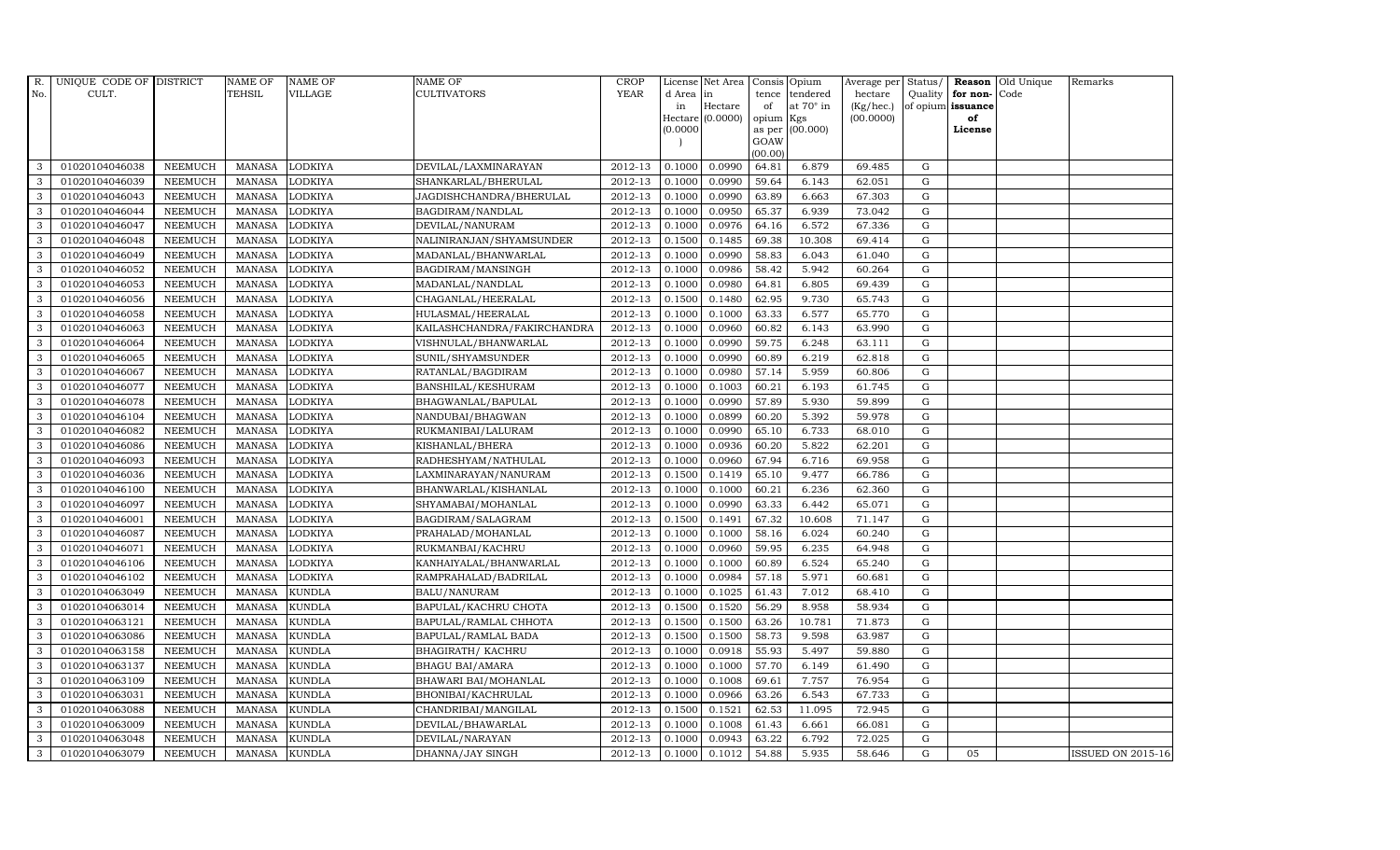| R.           | UNIQUE CODE OF DISTRICT |                | <b>NAME OF</b> | <b>NAME OF</b> | <b>NAME OF</b>              | CROP        |          | License Net Area   Consis   Opium |           |                  | Average per | Status/     | Reason            | Old Unique | Remarks                  |
|--------------|-------------------------|----------------|----------------|----------------|-----------------------------|-------------|----------|-----------------------------------|-----------|------------------|-------------|-------------|-------------------|------------|--------------------------|
| No.          | CULT.                   |                | <b>TEHSIL</b>  | <b>VILLAGE</b> | <b>CULTIVATORS</b>          | <b>YEAR</b> | d Area   | in                                | tence     | tendered         | hectare     | Quality     | for non-          | Code       |                          |
|              |                         |                |                |                |                             |             | in       | Hectare                           | of        | at $70^\circ$ in | (Kg/hec.)   |             | of opium issuance |            |                          |
|              |                         |                |                |                |                             |             |          | Hectare (0.0000)                  | opium Kgs |                  | (00.0000)   |             | of                |            |                          |
|              |                         |                |                |                |                             |             | (0.0000) |                                   | GOAW      | as per (00.000)  |             |             | License           |            |                          |
|              |                         |                |                |                |                             |             |          |                                   | (00.00)   |                  |             |             |                   |            |                          |
| 3            | 01020104046038          | <b>NEEMUCH</b> | MANASA         | <b>LODKIYA</b> | DEVILAL/LAXMINARAYAN        | 2012-13     | 0.1000   | 0.0990                            | 64.81     | 6.879            | 69.485      | $\mathbf G$ |                   |            |                          |
| 3            | 01020104046039          | <b>NEEMUCH</b> | MANASA         | <b>LODKIYA</b> | SHANKARLAL/BHERULAL         | 2012-13     | 0.1000   | 0.0990                            | 59.64     | 6.143            | 62.051      | $\mathbf G$ |                   |            |                          |
| 3            | 01020104046043          | <b>NEEMUCH</b> | <b>MANASA</b>  | <b>LODKIYA</b> | JAGDISHCHANDRA/BHERULAL     | 2012-13     | 0.1000   | 0.0990                            | 63.89     | 6.663            | 67.303      | G           |                   |            |                          |
| 3            | 01020104046044          | <b>NEEMUCH</b> | <b>MANASA</b>  | <b>LODKIYA</b> | BAGDIRAM/NANDLAL            | 2012-13     | 0.1000   | 0.0950                            | 65.37     | 6.939            | 73.042      | $\mathbf G$ |                   |            |                          |
| 3            | 01020104046047          | <b>NEEMUCH</b> | <b>MANASA</b>  | <b>LODKIYA</b> | DEVILAL/NANURAM             | 2012-13     | 0.1000   | 0.0976                            | 64.16     | 6.572            | 67.336      | ${\rm G}$   |                   |            |                          |
| $\mathbf{3}$ | 01020104046048          | <b>NEEMUCH</b> | MANASA         | <b>LODKIYA</b> | NALINIRANJAN/SHYAMSUNDER    | 2012-13     | 0.1500   | 0.1485                            | 69.38     | 10.308           | 69.414      | $\mathbf G$ |                   |            |                          |
| 3            | 01020104046049          | <b>NEEMUCH</b> | <b>MANASA</b>  | <b>LODKIYA</b> | MADANLAL/BHANWARLAL         | 2012-13     | 0.1000   | 0.0990                            | 58.83     | 6.043            | 61.040      | $\mathbf G$ |                   |            |                          |
| 3            | 01020104046052          | <b>NEEMUCH</b> | <b>MANASA</b>  | <b>LODKIYA</b> | BAGDIRAM/MANSINGH           | 2012-13     | 0.1000   | 0.0986                            | 58.42     | 5.942            | 60.264      | $\mathbf G$ |                   |            |                          |
| 3            | 01020104046053          | <b>NEEMUCH</b> | <b>MANASA</b>  | <b>LODKIYA</b> | MADANLAL/NANDLAL            | 2012-13     | 0.1000   | 0.0980                            | 64.81     | 6.805            | 69.439      | $\mathbf G$ |                   |            |                          |
| 3            | 01020104046056          | <b>NEEMUCH</b> | <b>MANASA</b>  | <b>LODKIYA</b> | CHAGANLAL/HEERALAL          | 2012-13     | 0.1500   | 0.1480                            | 62.95     | 9.730            | 65.743      | ${\rm G}$   |                   |            |                          |
| 3            | 01020104046058          | <b>NEEMUCH</b> | <b>MANASA</b>  | <b>LODKIYA</b> | HULASMAL/HEERALAL           | 2012-13     | 0.1000   | 0.1000                            | 63.33     | 6.577            | 65.770      | ${\rm G}$   |                   |            |                          |
| 3            | 01020104046063          | <b>NEEMUCH</b> | <b>MANASA</b>  | <b>LODKIYA</b> | KAILASHCHANDRA/FAKIRCHANDRA | 2012-13     | 0.1000   | 0.0960                            | 60.82     | 6.143            | 63.990      | $\mathbf G$ |                   |            |                          |
| 3            | 01020104046064          | <b>NEEMUCH</b> | <b>MANASA</b>  | <b>LODKIYA</b> | VISHNULAL/BHANWARLAL        | 2012-13     | 0.1000   | 0.0990                            | 59.75     | 6.248            | 63.111      | $\mathbf G$ |                   |            |                          |
| 3            | 01020104046065          | <b>NEEMUCH</b> | <b>MANASA</b>  | <b>LODKIYA</b> | SUNIL/SHYAMSUNDER           | 2012-13     | 0.1000   | 0.0990                            | 60.89     | 6.219            | 62.818      | G           |                   |            |                          |
| 3            | 01020104046067          | <b>NEEMUCH</b> | <b>MANASA</b>  | <b>LODKIYA</b> | RATANLAL/BAGDIRAM           | 2012-13     | 0.1000   | 0.0980                            | 57.14     | 5.959            | 60.806      | G           |                   |            |                          |
| 3            | 01020104046077          | <b>NEEMUCH</b> | <b>MANASA</b>  | <b>LODKIYA</b> | BANSHILAL/KESHURAM          | 2012-13     | 0.1000   | 0.1003                            | 60.21     | 6.193            | 61.745      | ${\rm G}$   |                   |            |                          |
| 3            | 01020104046078          | <b>NEEMUCH</b> | <b>MANASA</b>  | <b>LODKIYA</b> | BHAGWANLAL/BAPULAL          | 2012-13     | 0.1000   | 0.0990                            | 57.89     | 5.930            | 59.899      | $\mathbf G$ |                   |            |                          |
| 3            | 01020104046104          | <b>NEEMUCH</b> | MANASA         | <b>LODKIYA</b> | NANDUBAI/BHAGWAN            | 2012-13     | 0.1000   | 0.0899                            | 60.20     | 5.392            | 59.978      | G           |                   |            |                          |
| 3            | 01020104046082          | <b>NEEMUCH</b> | <b>MANASA</b>  | <b>LODKIYA</b> | RUKMANIBAI/LALURAM          | 2012-13     | 0.1000   | 0.0990                            | 65.10     | 6.733            | 68.010      | $\mathbf G$ |                   |            |                          |
| 3            | 01020104046086          | <b>NEEMUCH</b> | <b>MANASA</b>  | <b>LODKIYA</b> | KISHANLAL/BHERA             | 2012-13     | 0.1000   | 0.0936                            | 60.20     | 5.822            | 62.201      | $\mathbf G$ |                   |            |                          |
| $\mathbf{3}$ | 01020104046093          | <b>NEEMUCH</b> | <b>MANASA</b>  | <b>LODKIYA</b> | RADHESHYAM/NATHULAL         | 2012-13     | 0.1000   | 0.0960                            | 67.94     | 6.716            | 69.958      | ${\rm G}$   |                   |            |                          |
| 3            | 01020104046036          | <b>NEEMUCH</b> | <b>MANASA</b>  | <b>LODKIYA</b> | LAXMINARAYAN/NANURAM        | 2012-13     | 0.1500   | 0.1419                            | 65.10     | 9.477            | 66.786      | ${\rm G}$   |                   |            |                          |
| $\mathbf{3}$ | 01020104046100          | <b>NEEMUCH</b> | <b>MANASA</b>  | <b>LODKIYA</b> | BHANWARLAL/KISHANLAL        | 2012-13     | 0.1000   | 0.1000                            | 60.21     | 6.236            | 62.360      | G           |                   |            |                          |
| 3            | 01020104046097          | <b>NEEMUCH</b> | <b>MANASA</b>  | <b>LODKIYA</b> | SHYAMABAI/MOHANLAL          | 2012-13     | 0.1000   | 0.0990                            | 63.33     | 6.442            | 65.071      | $\mathbf G$ |                   |            |                          |
| 3            | 01020104046001          | NEEMUCH        | <b>MANASA</b>  | <b>LODKIYA</b> | BAGDIRAM/SALAGRAM           | 2012-13     | 0.1500   | 0.1491                            | 67.32     | 10.608           | 71.147      | $\mathbf G$ |                   |            |                          |
| 3            | 01020104046087          | <b>NEEMUCH</b> | <b>MANASA</b>  | <b>LODKIYA</b> | PRAHALAD/MOHANLAL           | 2012-13     | 0.1000   | 0.1000                            | 58.16     | 6.024            | 60.240      | G           |                   |            |                          |
| 3            | 01020104046071          | <b>NEEMUCH</b> | <b>MANASA</b>  | <b>LODKIYA</b> | RUKMANBAI/KACHRU            | 2012-13     | 0.1000   | 0.0960                            | 59.95     | 6.235            | 64.948      | ${\rm G}$   |                   |            |                          |
| 3            | 01020104046106          | <b>NEEMUCH</b> | MANASA         | <b>LODKIYA</b> | KANHAIYALAL/BHANWARLAL      | 2012-13     | 0.1000   | 0.1000                            | 60.89     | 6.524            | 65.240      | $\mathbf G$ |                   |            |                          |
| 3            | 01020104046102          | <b>NEEMUCH</b> | <b>MANASA</b>  | <b>LODKIYA</b> | RAMPRAHALAD/BADRILAL        | 2012-13     | 0.1000   | 0.0984                            | 57.18     | 5.971            | 60.681      | $\mathbf G$ |                   |            |                          |
| 3            | 01020104063049          | <b>NEEMUCH</b> | <b>MANASA</b>  | <b>KUNDLA</b>  | BALU/NANURAM                | 2012-13     | 0.1000   | 0.1025                            | 61.43     | 7.012            | 68.410      | $\mathbf G$ |                   |            |                          |
| 3            | 01020104063014          | <b>NEEMUCH</b> | <b>MANASA</b>  | <b>KUNDLA</b>  | BAPULAL/KACHRU CHOTA        | 2012-13     | 0.1500   | 0.1520                            | 56.29     | 8.958            | 58.934      | G           |                   |            |                          |
| 3            | 01020104063121          | <b>NEEMUCH</b> | <b>MANASA</b>  | <b>KUNDLA</b>  | BAPULAL/RAMLAL CHHOTA       | 2012-13     | 0.1500   | 0.1500                            | 63.26     | 10.781           | 71.873      | ${\rm G}$   |                   |            |                          |
| 3            | 01020104063086          | <b>NEEMUCH</b> | MANASA         | <b>KUNDLA</b>  | BAPULAL/RAMLAL BADA         | 2012-13     | 0.1500   | 0.1500                            | 58.73     | 9.598            | 63.987      | $\mathbf G$ |                   |            |                          |
| 3            | 01020104063158          | <b>NEEMUCH</b> | <b>MANASA</b>  | <b>KUNDLA</b>  | <b>BHAGIRATH/ KACHRU</b>    | 2012-13     | 0.1000   | 0.0918                            | 55.93     | 5.497            | 59.880      | $\mathbf G$ |                   |            |                          |
| 3            | 01020104063137          | <b>NEEMUCH</b> | <b>MANASA</b>  | <b>KUNDLA</b>  | <b>BHAGU BAI/AMARA</b>      | 2012-13     | 0.1000   | 0.1000                            | 57.70     | 6.149            | 61.490      | $\mathbf G$ |                   |            |                          |
| 3            | 01020104063109          | <b>NEEMUCH</b> | <b>MANASA</b>  | <b>KUNDLA</b>  | BHAWARI BAI/MOHANLAL        | 2012-13     | 0.1000   | 0.1008                            | 69.61     | 7.757            | 76.954      | ${\rm G}$   |                   |            |                          |
| 3            | 01020104063031          | <b>NEEMUCH</b> | <b>MANASA</b>  | <b>KUNDLA</b>  | BHONIBAI/KACHRULAL          | 2012-13     | 0.1000   | 0.0966                            | 63.26     | 6.543            | 67.733      | ${\rm G}$   |                   |            |                          |
| 3            | 01020104063088          | <b>NEEMUCH</b> | <b>MANASA</b>  | <b>KUNDLA</b>  | CHANDRIBAI/MANGILAL         | $2012 - 13$ | 0.1500   | 0.1521                            | 62.53     | 11.095           | 72.945      | $\mathbf G$ |                   |            |                          |
| 3            | 01020104063009          | <b>NEEMUCH</b> | <b>MANASA</b>  | <b>KUNDLA</b>  | DEVILAL/BHAWARLAL           | 2012-13     | 0.1000   | 0.1008                            | 61.43     | 6.661            | 66.081      | G           |                   |            |                          |
| 3            | 01020104063048          | <b>NEEMUCH</b> | <b>MANASA</b>  | <b>KUNDLA</b>  | DEVILAL/NARAYAN             | 2012-13     | 0.1000   | 0.0943                            | 63.22     | 6.792            | 72.025      | $\mathbf G$ |                   |            |                          |
| 3            | 01020104063079          | <b>NEEMUCH</b> | MANASA KUNDLA  |                | DHANNA/JAY SINGH            | 2012-13     | 0.1000   | 0.1012                            | 54.88     | 5.935            | 58.646      | G           | 05                |            | <b>ISSUED ON 2015-16</b> |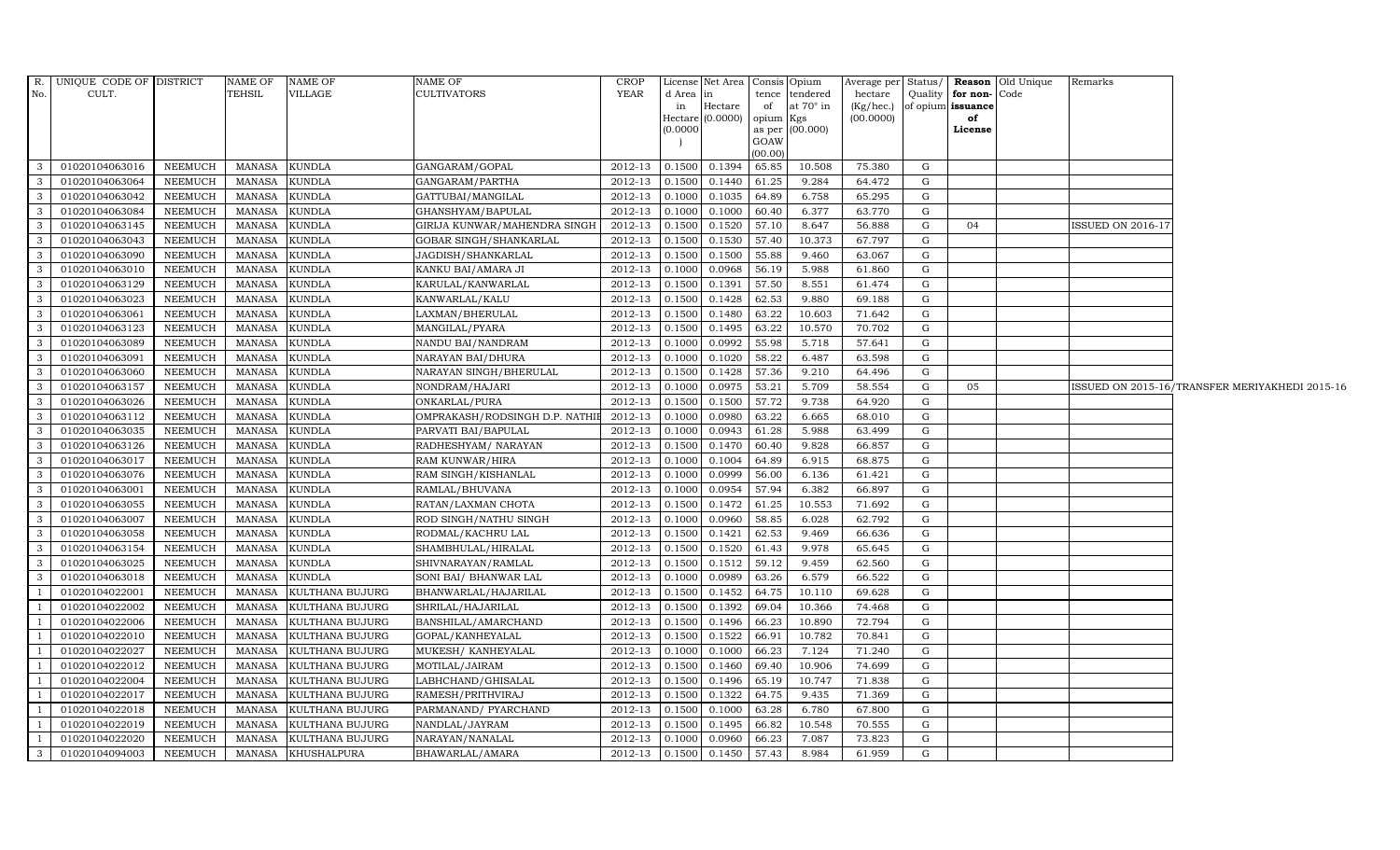| R.           | UNIQUE CODE OF DISTRICT |                | NAME OF       | <b>NAME OF</b>     | NAME OF                        | <b>CROP</b>    |          | License Net Area Consis Opium |           |                  | Average per  | Status/ |                   | <b>Reason</b> Old Unique | Remarks                  |                                                |
|--------------|-------------------------|----------------|---------------|--------------------|--------------------------------|----------------|----------|-------------------------------|-----------|------------------|--------------|---------|-------------------|--------------------------|--------------------------|------------------------------------------------|
| No.          | CULT.                   |                | TEHSIL        | VILLAGE            | <b>CULTIVATORS</b>             | YEAR           | d Area   | in                            |           | tence tendered   | hectare      | Quality | for non-Code      |                          |                          |                                                |
|              |                         |                |               |                    |                                |                | in       | Hectare                       | of        | at $70^\circ$ in | $(Kg/$ hec.) |         | of opium issuance |                          |                          |                                                |
|              |                         |                |               |                    |                                |                | (0.0000) | Hectare $(0.0000)$            | opium Kgs | as per (00.000)  | (00.0000)    |         | of<br>License     |                          |                          |                                                |
|              |                         |                |               |                    |                                |                |          |                               | GOAW      |                  |              |         |                   |                          |                          |                                                |
|              |                         |                |               |                    |                                |                |          |                               | (00.00)   |                  |              |         |                   |                          |                          |                                                |
| 3            | 01020104063016          | NEEMUCH        | MANASA        | <b>KUNDLA</b>      | GANGARAM/GOPAL                 | 2012-13        | 0.1500   | 0.1394                        | 65.85     | 10.508           | 75.380       | G       |                   |                          |                          |                                                |
| 3            | 01020104063064          | <b>NEEMUCH</b> | MANASA        | <b>KUNDLA</b>      | GANGARAM/PARTHA                | 2012-13        | 0.1500   | 0.1440                        | 61.25     | 9.284            | 64.472       | G       |                   |                          |                          |                                                |
| $\mathbf{3}$ | 01020104063042          | <b>NEEMUCH</b> | <b>MANASA</b> | <b>KUNDLA</b>      | GATTUBAI/MANGILAL              | 2012-13        | 0.1000   | 0.1035                        | 64.89     | 6.758            | 65.295       | G       |                   |                          |                          |                                                |
| $\mathbf{3}$ | 01020104063084          | <b>NEEMUCH</b> | MANASA        | <b>KUNDLA</b>      | GHANSHYAM/BAPULAL              | 2012-13        | 0.1000   | 0.1000                        | 60.40     | 6.377            | 63.770       | G       |                   |                          |                          |                                                |
| 3            | 01020104063145          | <b>NEEMUCH</b> | <b>MANASA</b> | <b>KUNDLA</b>      | GIRIJA KUNWAR/MAHENDRA SINGH   | 2012-13        | 0.1500   | 0.1520                        | 57.10     | 8.647            | 56.888       | G       | 04                |                          | <b>ISSUED ON 2016-17</b> |                                                |
| $\mathbf{3}$ | 01020104063043          | <b>NEEMUCH</b> | <b>MANASA</b> | <b>KUNDLA</b>      | GOBAR SINGH/SHANKARLAL         | 2012-13        | 0.1500   | 0.1530                        | 57.40     | 10.373           | 67.797       | G       |                   |                          |                          |                                                |
| $\mathbf{3}$ | 01020104063090          | <b>NEEMUCH</b> | MANASA        | <b>KUNDLA</b>      | JAGDISH/SHANKARLAL             | 2012-13        | 0.1500   | 0.1500                        | 55.88     | 9.460            | 63.067       | G       |                   |                          |                          |                                                |
| $\mathbf{3}$ | 01020104063010          | <b>NEEMUCH</b> | <b>MANASA</b> | <b>KUNDLA</b>      | KANKU BAI/AMARA JI             | 2012-13        | 0.1000   | 0.0968                        | 56.19     | 5.988            | 61.860       | G       |                   |                          |                          |                                                |
| $\mathbf{3}$ | 01020104063129          | <b>NEEMUCH</b> | <b>MANASA</b> | <b>KUNDLA</b>      | KARULAL/KANWARLAL              | 2012-13        | 0.1500   | 0.1391                        | 57.50     | 8.551            | 61.474       | G       |                   |                          |                          |                                                |
| $\mathbf{3}$ | 01020104063023          | <b>NEEMUCH</b> | <b>MANASA</b> | <b>KUNDLA</b>      | KANWARLAL/KALU                 | 2012-13        | 0.1500   | 0.1428                        | 62.53     | 9.880            | 69.188       | G       |                   |                          |                          |                                                |
| $\mathbf{3}$ | 01020104063061          | <b>NEEMUCH</b> | <b>MANASA</b> | <b>KUNDLA</b>      | LAXMAN/BHERULAL                | $2012-13$      | 0.1500   | 0.1480                        | 63.22     | 10.603           | 71.642       | G       |                   |                          |                          |                                                |
| $\mathbf{3}$ | 01020104063123          | <b>NEEMUCH</b> | <b>MANASA</b> | <b>KUNDLA</b>      | MANGILAL/PYARA                 | 2012-13        | 0.1500   | 0.1495                        | 63.22     | 10.570           | 70.702       | G       |                   |                          |                          |                                                |
| $\mathbf{3}$ | 01020104063089          | <b>NEEMUCH</b> | <b>MANASA</b> | <b>KUNDLA</b>      | NANDU BAI/NANDRAM              | 2012-13        | 0.1000   | 0.0992                        | 55.98     | 5.718            | 57.641       | G       |                   |                          |                          |                                                |
| $\mathbf{3}$ | 01020104063091          | <b>NEEMUCH</b> | <b>MANASA</b> | <b>KUNDLA</b>      | NARAYAN BAI/DHURA              | 2012-13        | 0.1000   | 0.1020                        | 58.22     | 6.487            | 63.598       | G       |                   |                          |                          |                                                |
| $\mathbf{3}$ | 01020104063060          | <b>NEEMUCH</b> | <b>MANASA</b> | <b>KUNDLA</b>      | NARAYAN SINGH/BHERULAL         | 2012-13        | 0.1500   | 0.1428                        | 57.36     | 9.210            | 64.496       | G       |                   |                          |                          |                                                |
| $\mathbf{3}$ | 01020104063157          | <b>NEEMUCH</b> | <b>MANASA</b> | <b>KUNDLA</b>      | NONDRAM/HAJARI                 | 2012-13        | 0.1000   | 0.0975                        | 53.21     | 5.709            | 58.554       | G       | 05                |                          |                          | ISSUED ON 2015-16/TRANSFER MERIYAKHEDI 2015-16 |
| 3            | 01020104063026          | <b>NEEMUCH</b> | <b>MANASA</b> | <b>KUNDLA</b>      | ONKARLAL/PURA                  | 2012-13        | 0.1500   | 0.1500                        | 57.72     | 9.738            | 64.920       | G       |                   |                          |                          |                                                |
| $\mathbf{3}$ | 01020104063112          | <b>NEEMUCH</b> | <b>MANASA</b> | <b>KUNDLA</b>      | OMPRAKASH/RODSINGH D.P. NATHIE | 2012-13        | 0.1000   | 0.0980                        | 63.22     | 6.665            | 68.010       | G       |                   |                          |                          |                                                |
| 3            | 01020104063035          | <b>NEEMUCH</b> | <b>MANASA</b> | <b>KUNDLA</b>      | PARVATI BAI/BAPULAL            | 2012-13        | 0.1000   | 0.0943                        | 61.28     | 5.988            | 63.499       | G       |                   |                          |                          |                                                |
| 3            | 01020104063126          | <b>NEEMUCH</b> | <b>MANASA</b> | <b>KUNDLA</b>      | RADHESHYAM/ NARAYAN            | 2012-13        | 0.1500   | 0.1470                        | 60.40     | 9.828            | 66.857       | G       |                   |                          |                          |                                                |
| $\mathbf{3}$ | 01020104063017          | <b>NEEMUCH</b> | <b>MANASA</b> | <b>KUNDLA</b>      | RAM KUNWAR/HIRA                | 2012-13        | 0.1000   | 0.1004                        | 64.89     | 6.915            | 68.875       | G       |                   |                          |                          |                                                |
| $\mathbf{3}$ | 01020104063076          | <b>NEEMUCH</b> | <b>MANASA</b> | <b>KUNDLA</b>      | RAM SINGH/KISHANLAL            | 2012-13        | 0.1000   | 0.0999                        | 56.00     | 6.136            | 61.421       | G       |                   |                          |                          |                                                |
| $\mathbf{3}$ | 01020104063001          | <b>NEEMUCH</b> | <b>MANASA</b> | <b>KUNDLA</b>      | RAMLAL/BHUVANA                 | 2012-13        | 0.1000   | 0.0954                        | 57.94     | 6.382            | 66.897       | G       |                   |                          |                          |                                                |
| 3            | 01020104063055          | <b>NEEMUCH</b> | <b>MANASA</b> | <b>KUNDLA</b>      | RATAN/LAXMAN CHOTA             | 2012-13        | 0.1500   | 0.1472                        | 61.25     | 10.553           | 71.692       | G       |                   |                          |                          |                                                |
| $\mathbf{3}$ | 01020104063007          | <b>NEEMUCH</b> | <b>MANASA</b> | <b>KUNDLA</b>      | ROD SINGH/NATHU SINGH          | 2012-13        | 0.1000   | 0.0960                        | 58.85     | 6.028            | 62.792       | G       |                   |                          |                          |                                                |
| $\mathbf{3}$ | 01020104063058          | <b>NEEMUCH</b> | <b>MANASA</b> | <b>KUNDLA</b>      | RODMAL/KACHRU LAL              | 2012-13        | 0.1500   | 0.1421                        | 62.53     | 9.469            | 66.636       | G       |                   |                          |                          |                                                |
| $\mathbf{3}$ | 01020104063154          | <b>NEEMUCH</b> | <b>MANASA</b> | <b>KUNDLA</b>      | SHAMBHULAL/HIRALAL             | $2012 - 13$    | 0.1500   | 0.1520                        | 61.43     | 9.978            | 65.645       | G       |                   |                          |                          |                                                |
| $\mathbf{3}$ | 01020104063025          | <b>NEEMUCH</b> | <b>MANASA</b> | <b>KUNDLA</b>      | SHIVNARAYAN/RAMLAL             | 2012-13        | 0.1500   | 0.1512                        | 59.12     | 9.459            | 62.560       | G       |                   |                          |                          |                                                |
| 3            | 01020104063018          | <b>NEEMUCH</b> | <b>MANASA</b> | <b>KUNDLA</b>      | SONI BAI/ BHANWAR LAL          | 2012-13        | 0.1000   | 0.0989                        | 63.26     | 6.579            | 66.522       | G       |                   |                          |                          |                                                |
| $\mathbf{1}$ | 01020104022001          | <b>NEEMUCH</b> | <b>MANASA</b> | KULTHANA BUJURG    | BHANWARLAL/HAJARILAL           | 2012-13        | 0.1500   | 0.1452                        | 64.75     | 10.110           | 69.628       | G       |                   |                          |                          |                                                |
| $\mathbf{1}$ | 01020104022002          | <b>NEEMUCH</b> | MANASA        | KULTHANA BUJURG    | SHRILAL/HAJARILAL              | 2012-13        | 0.1500   | 0.1392                        | 69.04     | 10.366           | 74.468       | G       |                   |                          |                          |                                                |
| $\mathbf{1}$ | 01020104022006          | <b>NEEMUCH</b> | <b>MANASA</b> | KULTHANA BUJURG    | BANSHILAL/AMARCHAND            | 2012-13        | 0.1500   | 0.1496                        | 66.23     | 10.890           | 72.794       | G       |                   |                          |                          |                                                |
| $\mathbf{1}$ | 01020104022010          | NEEMUCH        | <b>MANASA</b> | KULTHANA BUJURG    | GOPAL/KANHEYALAL               | 2012-13        | 0.1500   | 0.1522                        | 66.91     | 10.782           | 70.841       | G       |                   |                          |                          |                                                |
| $\mathbf{1}$ | 01020104022027          | <b>NEEMUCH</b> | <b>MANASA</b> | KULTHANA BUJURG    | MUKESH/ KANHEYALAL             | 2012-13        | 0.1000   | 0.1000                        | 66.23     | 7.124            | 71.240       | G       |                   |                          |                          |                                                |
| $\mathbf{1}$ | 01020104022012          | <b>NEEMUCH</b> | <b>MANASA</b> | KULTHANA BUJURG    | MOTILAL/JAIRAM                 | 2012-13        | 0.1500   | 0.1460                        | 69.40     | 10.906           | 74.699       | G       |                   |                          |                          |                                                |
| $\mathbf{1}$ | 01020104022004          | <b>NEEMUCH</b> | MANASA        | KULTHANA BUJURG    | LABHCHAND/GHISALAL             | 2012-13        | 0.1500   | 0.1496                        | 65.19     | 10.747           | 71.838       | G       |                   |                          |                          |                                                |
| $\mathbf{1}$ | 01020104022017          | <b>NEEMUCH</b> | <b>MANASA</b> | KULTHANA BUJURG    | RAMESH/PRITHVIRAJ              | 2012-13        | 0.1500   | 0.1322                        | 64.75     | 9.435            | 71.369       | G       |                   |                          |                          |                                                |
| $\mathbf{1}$ | 01020104022018          | <b>NEEMUCH</b> | MANASA        | KULTHANA BUJURG    | PARMANAND/ PYARCHAND           | $2012 - 13$    | 0.1500   | 0.1000                        | 63.28     | 6.780            | 67.800       | G       |                   |                          |                          |                                                |
| $\mathbf{1}$ | 01020104022019          | <b>NEEMUCH</b> | MANASA        | KULTHANA BUJURG    | NANDLAL/JAYRAM                 | 2012-13        | 0.1500   | 0.1495                        | 66.82     | 10.548           | 70.555       | G       |                   |                          |                          |                                                |
| $\mathbf{1}$ | 01020104022020          | <b>NEEMUCH</b> | <b>MANASA</b> | KULTHANA BUJURG    | NARAYAN/NANALAL                | 2012-13        | 0.1000   | 0.0960                        | 66.23     | 7.087            | 73.823       | G       |                   |                          |                          |                                                |
| 3            | 01020104094003          | <b>NEEMUCH</b> |               | MANASA KHUSHALPURA | BHAWARLAL/AMARA                | 2012-13 0.1500 |          | 0.1450                        | 57.43     | 8.984            | 61.959       | G       |                   |                          |                          |                                                |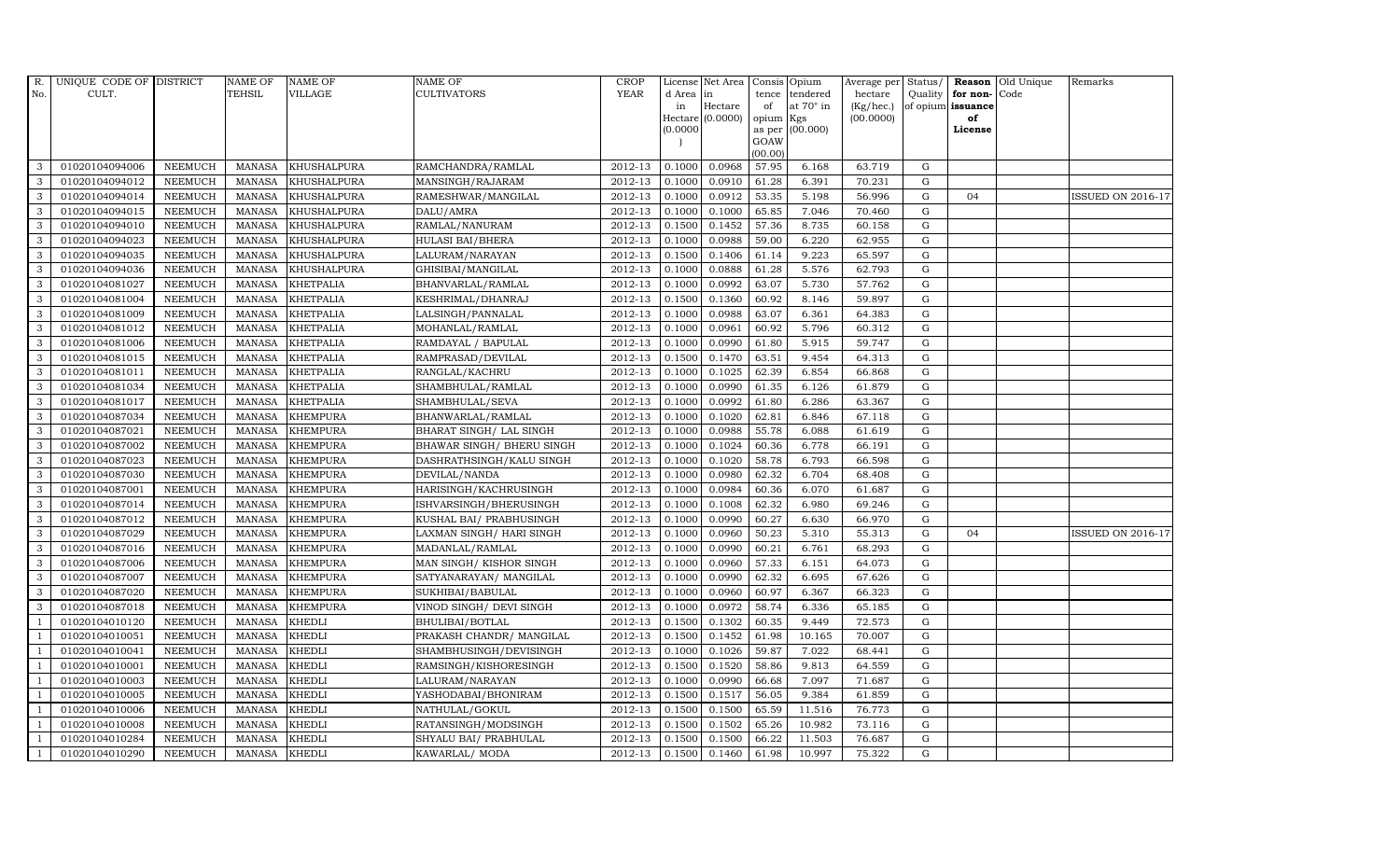| R.             | UNIQUE CODE OF DISTRICT |                | <b>NAME OF</b> | <b>NAME OF</b>     | NAME OF                    | <b>CROP</b> |           | License Net Area | Consis Opium   |                  |           |             |                      | Average per Status/ Reason Old Unique | Remarks                  |
|----------------|-------------------------|----------------|----------------|--------------------|----------------------------|-------------|-----------|------------------|----------------|------------------|-----------|-------------|----------------------|---------------------------------------|--------------------------|
| No.            | CULT.                   |                | <b>TEHSIL</b>  | <b>VILLAGE</b>     | <b>CULTIVATORS</b>         | <b>YEAR</b> | d Area in |                  | tence          | tendered         | hectare   |             | Quality for non-Code |                                       |                          |
|                |                         |                |                |                    |                            |             | in        | Hectare          | of             | at $70^\circ$ in | (Kg/hec.) |             | of opium issuance    |                                       |                          |
|                |                         |                |                |                    |                            |             |           | Hectare (0.0000) | opium          | Kgs              | (00.0000) |             | of                   |                                       |                          |
|                |                         |                |                |                    |                            |             | (0.0000)  |                  | as per<br>GOAW | (00.000)         |           |             | License              |                                       |                          |
|                |                         |                |                |                    |                            |             |           |                  | (00.00)        |                  |           |             |                      |                                       |                          |
| 3              | 01020104094006          | <b>NEEMUCH</b> | MANASA         | <b>KHUSHALPURA</b> | RAMCHANDRA/RAMLAL          | 2012-13     | 0.1000    | 0.0968           | 57.95          | 6.168            | 63.719    | G           |                      |                                       |                          |
| 3              | 01020104094012          | <b>NEEMUCH</b> | <b>MANASA</b>  | <b>KHUSHALPURA</b> | MANSINGH/RAJARAM           | 2012-13     | 0.1000    | 0.0910           | 61.28          | 6.391            | 70.231    | G           |                      |                                       |                          |
| 3              | 01020104094014          | <b>NEEMUCH</b> | <b>MANASA</b>  | KHUSHALPURA        | RAMESHWAR/MANGILAL         | 2012-13     | 0.1000    | 0.0912           | 53.35          | 5.198            | 56.996    | G           | 04                   |                                       | <b>ISSUED ON 2016-17</b> |
| 3              | 01020104094015          | <b>NEEMUCH</b> | <b>MANASA</b>  | <b>KHUSHALPURA</b> | DALU/AMRA                  | 2012-13     | 0.1000    | 0.1000           | 65.85          | 7.046            | 70.460    | G           |                      |                                       |                          |
| 3              | 01020104094010          | <b>NEEMUCH</b> | <b>MANASA</b>  | KHUSHALPURA        | RAMLAL/NANURAM             | 2012-13     | 0.1500    | 0.1452           | 57.36          | 8.735            | 60.158    | G           |                      |                                       |                          |
| 3              | 01020104094023          | <b>NEEMUCH</b> | <b>MANASA</b>  | <b>KHUSHALPURA</b> | <b>HULASI BAI/BHERA</b>    | 2012-13     | 0.1000    | 0.0988           | 59.00          | 6.220            | 62.955    | G           |                      |                                       |                          |
| 3              | 01020104094035          | <b>NEEMUCH</b> | <b>MANASA</b>  | KHUSHALPURA        | LALURAM/NARAYAN            | 2012-13     | 0.1500    | 0.1406           | 61.14          | 9.223            | 65.597    | G           |                      |                                       |                          |
| 3              | 01020104094036          | <b>NEEMUCH</b> | <b>MANASA</b>  | <b>KHUSHALPURA</b> | GHISIBAI/MANGILAL          | 2012-13     | 0.1000    | 0.0888           | 61.28          | 5.576            | 62.793    | $\mathbf G$ |                      |                                       |                          |
| 3              | 01020104081027          | <b>NEEMUCH</b> | <b>MANASA</b>  | <b>KHETPALIA</b>   | BHANVARLAL/RAMLAL          | 2012-13     | 0.1000    | 0.0992           | 63.07          | 5.730            | 57.762    | G           |                      |                                       |                          |
| 3              | 01020104081004          | <b>NEEMUCH</b> | <b>MANASA</b>  | <b>KHETPALIA</b>   | KESHRIMAL/DHANRAJ          | 2012-13     | 0.1500    | 0.1360           | 60.92          | 8.146            | 59.897    | G           |                      |                                       |                          |
| 3              | 01020104081009          | <b>NEEMUCH</b> | <b>MANASA</b>  | <b>KHETPALIA</b>   | LALSINGH/PANNALAL          | 2012-13     | 0.1000    | 0.0988           | 63.07          | 6.361            | 64.383    | G           |                      |                                       |                          |
| 3              | 01020104081012          | <b>NEEMUCH</b> | <b>MANASA</b>  | <b>KHETPALIA</b>   | MOHANLAL/RAMLAL            | 2012-13     | 0.1000    | 0.0961           | 60.92          | 5.796            | 60.312    | G           |                      |                                       |                          |
| 3              | 01020104081006          | <b>NEEMUCH</b> | <b>MANASA</b>  | <b>KHETPALIA</b>   | RAMDAYAL / BAPULAL         | 2012-13     | 0.1000    | 0.0990           | 61.80          | 5.915            | 59.747    | G           |                      |                                       |                          |
| 3              | 01020104081015          | <b>NEEMUCH</b> | <b>MANASA</b>  | <b>KHETPALIA</b>   | RAMPRASAD/DEVILAL          | 2012-13     | 0.1500    | 0.1470           | 63.51          | 9.454            | 64.313    | G           |                      |                                       |                          |
| 3              | 01020104081011          | <b>NEEMUCH</b> | <b>MANASA</b>  | <b>KHETPALIA</b>   | RANGLAL/KACHRU             | 2012-13     | 0.1000    | 0.1025           | 62.39          | 6.854            | 66.868    | G           |                      |                                       |                          |
| $\mathbf{3}$   | 01020104081034          | <b>NEEMUCH</b> | <b>MANASA</b>  | <b>KHETPALIA</b>   | SHAMBHULAL/RAMLAL          | 2012-13     | 0.1000    | 0.0990           | 61.35          | 6.126            | 61.879    | G           |                      |                                       |                          |
| 3              | 01020104081017          | <b>NEEMUCH</b> | <b>MANASA</b>  | <b>KHETPALIA</b>   | SHAMBHULAL/SEVA            | 2012-13     | 0.1000    | 0.0992           | 61.80          | 6.286            | 63.367    | G           |                      |                                       |                          |
| 3              | 01020104087034          | <b>NEEMUCH</b> | <b>MANASA</b>  | <b>KHEMPURA</b>    | BHANWARLAL/RAMLAL          | 2012-13     | 0.1000    | 0.1020           | 62.81          | 6.846            | 67.118    | $\mathbf G$ |                      |                                       |                          |
| 3              | 01020104087021          | <b>NEEMUCH</b> | <b>MANASA</b>  | <b>KHEMPURA</b>    | BHARAT SINGH/ LAL SINGH    | 2012-13     | 0.1000    | 0.0988           | 55.78          | 6.088            | 61.619    | G           |                      |                                       |                          |
| 3              | 01020104087002          | <b>NEEMUCH</b> | <b>MANASA</b>  | <b>KHEMPURA</b>    | BHAWAR SINGH / BHERU SINGH | 2012-13     | 0.1000    | 0.1024           | 60.36          | 6.778            | 66.191    | G           |                      |                                       |                          |
| 3              | 01020104087023          | <b>NEEMUCH</b> | <b>MANASA</b>  | <b>KHEMPURA</b>    | DASHRATHSINGH/KALU SINGH   | 2012-13     | 0.1000    | 0.1020           | 58.78          | 6.793            | 66.598    | G           |                      |                                       |                          |
| 3              | 01020104087030          | <b>NEEMUCH</b> | <b>MANASA</b>  | <b>KHEMPURA</b>    | DEVILAL/NANDA              | 2012-13     | 0.1000    | 0.0980           | 62.32          | 6.704            | 68.408    | G           |                      |                                       |                          |
| 3              | 01020104087001          | <b>NEEMUCH</b> | MANASA         | <b>KHEMPURA</b>    | HARISINGH/KACHRUSINGH      | 2012-13     | 0.1000    | 0.0984           | 60.36          | 6.070            | 61.687    | G           |                      |                                       |                          |
| 3              | 01020104087014          | <b>NEEMUCH</b> | <b>MANASA</b>  | <b>KHEMPURA</b>    | ISHVARSINGH/BHERUSINGH     | 2012-13     | 0.1000    | 0.1008           | 62.32          | 6.980            | 69.246    | G           |                      |                                       |                          |
| 3              | 01020104087012          | <b>NEEMUCH</b> | <b>MANASA</b>  | <b>KHEMPURA</b>    | KUSHAL BAI/ PRABHUSINGH    | 2012-13     | 0.1000    | 0.0990           | 60.27          | 6.630            | 66.970    | G           |                      |                                       |                          |
| 3              | 01020104087029          | <b>NEEMUCH</b> | <b>MANASA</b>  | KHEMPURA           | LAXMAN SINGH/ HARI SINGH   | 2012-13     | 0.1000    | 0.0960           | 50.23          | 5.310            | 55.313    | G           | 04                   |                                       | ISSUED ON 2016-17        |
| 3              | 01020104087016          | <b>NEEMUCH</b> | <b>MANASA</b>  | <b>KHEMPURA</b>    | MADANLAL/RAMLAL            | 2012-13     | 0.1000    | 0.0990           | 60.21          | 6.761            | 68.293    | G           |                      |                                       |                          |
| 3              | 01020104087006          | <b>NEEMUCH</b> | <b>MANASA</b>  | <b>KHEMPURA</b>    | MAN SINGH/KISHOR SINGH     | 2012-13     | 0.1000    | 0.0960           | 57.33          | 6.151            | 64.073    | G           |                      |                                       |                          |
| 3              | 01020104087007          | <b>NEEMUCH</b> | <b>MANASA</b>  | <b>KHEMPURA</b>    | SATYANARAYAN/ MANGILAL     | 2012-13     | 0.1000    | 0.0990           | 62.32          | 6.695            | 67.626    | G           |                      |                                       |                          |
| 3              | 01020104087020          | <b>NEEMUCH</b> | <b>MANASA</b>  | <b>KHEMPURA</b>    | SUKHIBAI/BABULAL           | 2012-13     | 0.1000    | 0.0960           | 60.97          | 6.367            | 66.323    | G           |                      |                                       |                          |
| 3              | 01020104087018          | <b>NEEMUCH</b> | <b>MANASA</b>  | <b>KHEMPURA</b>    | VINOD SINGH/ DEVI SINGH    | 2012-13     | 0.1000    | 0.0972           | 58.74          | 6.336            | 65.185    | G           |                      |                                       |                          |
| -1             | 01020104010120          | <b>NEEMUCH</b> | <b>MANASA</b>  | <b>KHEDLI</b>      | BHULIBAI/BOTLAL            | 2012-13     | 0.1500    | 0.1302           | 60.35          | 9.449            | 72.573    | G           |                      |                                       |                          |
| $\overline{1}$ | 01020104010051          | <b>NEEMUCH</b> | <b>MANASA</b>  | <b>KHEDLI</b>      | PRAKASH CHANDR/ MANGILAL   | 2012-13     | 0.1500    | 0.1452           | 61.98          | 10.165           | 70.007    | G           |                      |                                       |                          |
| $\overline{1}$ | 01020104010041          | <b>NEEMUCH</b> | <b>MANASA</b>  | <b>KHEDLI</b>      | SHAMBHUSINGH/DEVISINGH     | 2012-13     | 0.1000    | 0.1026           | 59.87          | 7.022            | 68.441    | $\mathbf G$ |                      |                                       |                          |
|                | 01020104010001          | <b>NEEMUCH</b> | <b>MANASA</b>  | KHEDLI             | RAMSINGH/KISHORESINGH      | 2012-13     | 0.1500    | 0.1520           | 58.86          | 9.813            | 64.559    | G           |                      |                                       |                          |
| $\overline{1}$ | 01020104010003          | <b>NEEMUCH</b> | <b>MANASA</b>  | KHEDLI             | LALURAM/NARAYAN            | 2012-13     | 0.1000    | 0.0990           | 66.68          | 7.097            | 71.687    | G           |                      |                                       |                          |
|                | 01020104010005          | <b>NEEMUCH</b> | <b>MANASA</b>  | <b>KHEDLI</b>      | YASHODABAI/BHONIRAM        | 2012-13     | 0.1500    | 0.1517           | 56.05          | 9.384            | 61.859    | G           |                      |                                       |                          |
| $\overline{1}$ | 01020104010006          | <b>NEEMUCH</b> | <b>MANASA</b>  | <b>KHEDLI</b>      | NATHULAL/GOKUL             | 2012-13     | 0.1500    | 0.1500           | 65.59          | 11.516           | 76.773    | G           |                      |                                       |                          |
| $\overline{1}$ | 01020104010008          | <b>NEEMUCH</b> | <b>MANASA</b>  | <b>KHEDLI</b>      | RATANSINGH/MODSINGH        | 2012-13     | 0.1500    | 0.1502           | 65.26          | 10.982           | 73.116    | G           |                      |                                       |                          |
|                | 01020104010284          | <b>NEEMUCH</b> | <b>MANASA</b>  | <b>KHEDLI</b>      | SHYALU BAI/ PRABHULAL      | 2012-13     | 0.1500    | 0.1500           | 66.22          | 11.503           | 76.687    | G           |                      |                                       |                          |
| $\mathbf{1}$   | 01020104010290          | <b>NEEMUCH</b> | MANASA         | <b>KHEDLI</b>      | KAWARLAL/ MODA             | 2012-13     | 0.1500    | 0.1460           | 61.98          | 10.997           | 75.322    | G           |                      |                                       |                          |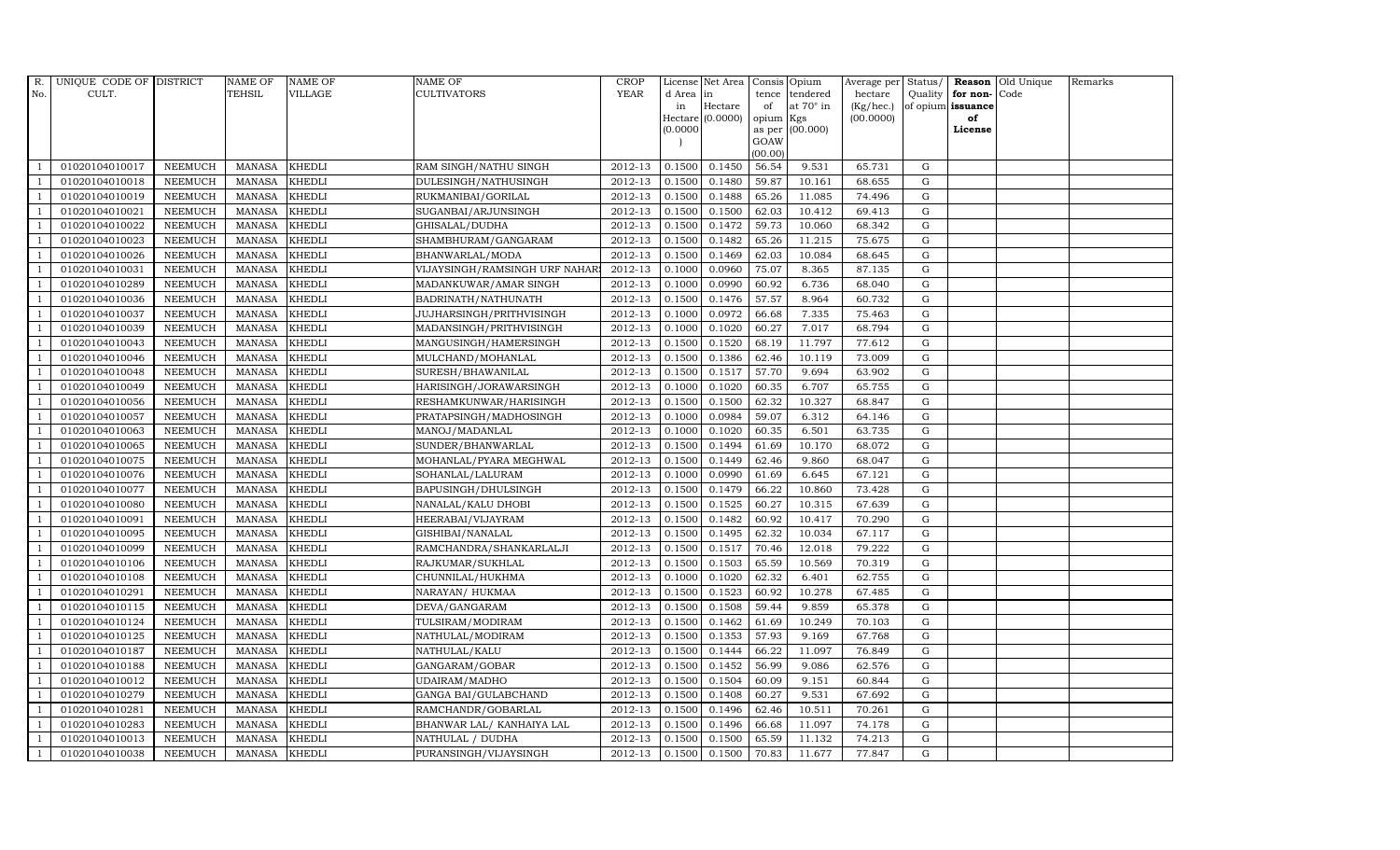| R.             | UNIQUE CODE OF DISTRICT |                | <b>NAME OF</b> | <b>NAME OF</b> | <b>NAME OF</b>                | <b>CROP</b> |           | License Net Area   |           | Consis Opium     | Average per Status/ |             |                      | Reason Old Unique | Remarks |
|----------------|-------------------------|----------------|----------------|----------------|-------------------------------|-------------|-----------|--------------------|-----------|------------------|---------------------|-------------|----------------------|-------------------|---------|
| No.            | CULT.                   |                | <b>TEHSIL</b>  | VILLAGE        | <b>CULTIVATORS</b>            | <b>YEAR</b> | d Area in |                    | tence     | tendered         | hectare             |             | Quality $ $ for non- | Code              |         |
|                |                         |                |                |                |                               |             | in        | Hectare            | of        | at $70^\circ$ in | (Kg/hec.)           |             | of opium issuance    |                   |         |
|                |                         |                |                |                |                               |             |           | $Hectare (0.0000)$ | opium Kgs |                  | (00.0000)           |             | of                   |                   |         |
|                |                         |                |                |                |                               |             | (0.0000)  |                    | GOAW      | as per (00.000)  |                     |             | License              |                   |         |
|                |                         |                |                |                |                               |             |           |                    | (00.00)   |                  |                     |             |                      |                   |         |
|                | 01020104010017          | <b>NEEMUCH</b> | MANASA         | <b>KHEDLI</b>  | RAM SINGH/NATHU SINGH         | 2012-13     | 0.1500    | 0.1450             | 56.54     | 9.531            | 65.731              | G           |                      |                   |         |
| -1             | 01020104010018          | <b>NEEMUCH</b> | MANASA         | <b>KHEDLI</b>  | DULESINGH/NATHUSINGH          | 2012-13     | 0.1500    | 0.1480             | 59.87     | 10.161           | 68.655              | $\mathbf G$ |                      |                   |         |
|                | 01020104010019          | <b>NEEMUCH</b> | <b>MANASA</b>  | <b>KHEDLI</b>  | RUKMANIBAI/GORILAL            | 2012-13     | 0.1500    | 0.1488             | 65.26     | 11.085           | 74.496              | G           |                      |                   |         |
|                | 01020104010021          | <b>NEEMUCH</b> | MANASA         | <b>KHEDLI</b>  | SUGANBAI/ARJUNSINGH           | 2012-13     | 0.1500    | 0.1500             | 62.03     | 10.412           | 69.413              | G           |                      |                   |         |
| $\overline{1}$ | 01020104010022          | <b>NEEMUCH</b> | <b>MANASA</b>  | <b>KHEDLI</b>  | GHISALAL/DUDHA                | 2012-13     | 0.1500    | 0.1472             | 59.73     | 10.060           | 68.342              | G           |                      |                   |         |
| $\overline{1}$ | 01020104010023          | <b>NEEMUCH</b> | MANASA         | <b>KHEDLI</b>  | SHAMBHURAM/GANGARAM           | $2012 - 13$ | 0.1500    | 0.1482             | 65.26     | 11.215           | 75.675              | G           |                      |                   |         |
| $\overline{1}$ | 01020104010026          | <b>NEEMUCH</b> | <b>MANASA</b>  | <b>KHEDLI</b>  | BHANWARLAL/MODA               | 2012-13     | 0.1500    | 0.1469             | 62.03     | 10.084           | 68.645              | ${\rm G}$   |                      |                   |         |
| $\overline{1}$ | 01020104010031          | <b>NEEMUCH</b> | <b>MANASA</b>  | <b>KHEDLI</b>  | VIJAYSINGH/RAMSINGH URF NAHAR | 2012-13     | 0.1000    | 0.0960             | 75.07     | 8.365            | 87.135              | $\mathbf G$ |                      |                   |         |
|                | 01020104010289          | <b>NEEMUCH</b> | <b>MANASA</b>  | <b>KHEDLI</b>  | MADANKUWAR/AMAR SINGH         | 2012-13     | 0.1000    | 0.0990             | 60.92     | 6.736            | 68.040              | $\mathbf G$ |                      |                   |         |
|                | 01020104010036          | <b>NEEMUCH</b> | <b>MANASA</b>  | <b>KHEDLI</b>  | BADRINATH/NATHUNATH           | 2012-13     | 0.1500    | 0.1476             | 57.57     | 8.964            | 60.732              | G           |                      |                   |         |
| $\overline{1}$ | 01020104010037          | <b>NEEMUCH</b> | <b>MANASA</b>  | <b>KHEDLI</b>  | JUJHARSINGH/PRITHVISINGH      | 2012-13     | 0.1000    | 0.0972             | 66.68     | 7.335            | 75.463              | G           |                      |                   |         |
| $\overline{1}$ | 01020104010039          | <b>NEEMUCH</b> | <b>MANASA</b>  | <b>KHEDLI</b>  | MADANSINGH/PRITHVISINGH       | 2012-13     | 0.1000    | 0.1020             | 60.27     | 7.017            | 68.794              | G           |                      |                   |         |
| $\overline{1}$ | 01020104010043          | <b>NEEMUCH</b> | <b>MANASA</b>  | <b>KHEDLI</b>  | MANGUSINGH/HAMERSINGH         | 2012-13     | 0.1500    | 0.1520             | 68.19     | 11.797           | 77.612              | G           |                      |                   |         |
|                | 01020104010046          | <b>NEEMUCH</b> | <b>MANASA</b>  | <b>KHEDLI</b>  | MULCHAND/MOHANLAL             | 2012-13     | 0.1500    | 0.1386             | 62.46     | 10.119           | 73.009              | G           |                      |                   |         |
| $\overline{1}$ | 01020104010048          | <b>NEEMUCH</b> | <b>MANASA</b>  | <b>KHEDLI</b>  | SURESH/BHAWANILAL             | 2012-13     | 0.1500    | 0.1517             | 57.70     | 9.694            | 63.902              | G           |                      |                   |         |
| -1             | 01020104010049          | <b>NEEMUCH</b> | <b>MANASA</b>  | <b>KHEDLI</b>  | HARISINGH/JORAWARSINGH        | 2012-13     | 0.1000    | 0.1020             | 60.35     | 6.707            | 65.755              | G           |                      |                   |         |
|                | 01020104010056          | <b>NEEMUCH</b> | <b>MANASA</b>  | <b>KHEDLI</b>  | RESHAMKUNWAR/HARISINGH        | 2012-13     | 0.1500    | 0.1500             | 62.32     | 10.327           | 68.847              | G           |                      |                   |         |
| $\overline{1}$ | 01020104010057          | <b>NEEMUCH</b> | MANASA         | <b>KHEDLI</b>  | PRATAPSINGH/MADHOSINGH        | 2012-13     | 0.1000    | 0.0984             | 59.07     | 6.312            | 64.146              | G           |                      |                   |         |
|                | 01020104010063          | <b>NEEMUCH</b> | <b>MANASA</b>  | <b>KHEDLI</b>  | MANOJ/MADANLAL                | 2012-13     | 0.1000    | 0.1020             | 60.35     | 6.501            | 63.735              | G           |                      |                   |         |
|                | 01020104010065          | <b>NEEMUCH</b> | <b>MANASA</b>  | <b>KHEDLI</b>  | SUNDER/BHANWARLAL             | 2012-13     | 0.1500    | 0.1494             | 61.69     | 10.170           | 68.072              | G           |                      |                   |         |
| -1             | 01020104010075          | <b>NEEMUCH</b> | <b>MANASA</b>  | <b>KHEDLI</b>  | MOHANLAL/PYARA MEGHWAL        | 2012-13     | 0.1500    | 0.1449             | 62.46     | 9.860            | 68.047              | G           |                      |                   |         |
| $\overline{1}$ | 01020104010076          | <b>NEEMUCH</b> | <b>MANASA</b>  | <b>KHEDLI</b>  | SOHANLAL/LALURAM              | 2012-13     | 0.1000    | 0.0990             | 61.69     | 6.645            | 67.121              | G           |                      |                   |         |
| $\overline{1}$ | 01020104010077          | <b>NEEMUCH</b> | MANASA         | <b>KHEDLI</b>  | BAPUSINGH/DHULSINGH           | 2012-13     | 0.1500    | 0.1479             | 66.22     | 10.860           | 73.428              | G           |                      |                   |         |
|                | 01020104010080          | <b>NEEMUCH</b> | <b>MANASA</b>  | <b>KHEDLI</b>  | NANALAL/KALU DHOBI            | 2012-13     | 0.1500    | 0.1525             | 60.27     | 10.315           | 67.639              | $\mathbf G$ |                      |                   |         |
|                | 01020104010091          | <b>NEEMUCH</b> | MANASA         | <b>KHEDLI</b>  | HEERABAI/VIJAYRAM             | 2012-13     | 0.1500    | 0.1482             | 60.92     | 10.417           | 70.290              | G           |                      |                   |         |
| - 1            | 01020104010095          | <b>NEEMUCH</b> | <b>MANASA</b>  | <b>KHEDLI</b>  | GISHIBAI/NANALAL              | 2012-13     | 0.1500    | 0.1495             | 62.32     | 10.034           | 67.117              | G           |                      |                   |         |
| $\overline{1}$ | 01020104010099          | <b>NEEMUCH</b> | <b>MANASA</b>  | <b>KHEDLI</b>  | RAMCHANDRA/SHANKARLALJI       | 2012-13     | 0.1500    | 0.1517             | 70.46     | 12.018           | 79.222              | G           |                      |                   |         |
| $\overline{1}$ | 01020104010106          | <b>NEEMUCH</b> | MANASA         | <b>KHEDLI</b>  | RAJKUMAR/SUKHLAL              | 2012-13     | 0.1500    | 0.1503             | 65.59     | 10.569           | 70.319              | G           |                      |                   |         |
| $\overline{1}$ | 01020104010108          | <b>NEEMUCH</b> | <b>MANASA</b>  | <b>KHEDLI</b>  | CHUNNILAL/HUKHMA              | 2012-13     | 0.1000    | 0.1020             | 62.32     | 6.401            | 62.755              | $\mathbf G$ |                      |                   |         |
|                | 01020104010291          | <b>NEEMUCH</b> | <b>MANASA</b>  | <b>KHEDLI</b>  | NARAYAN/ HUKMAA               | 2012-13     | 0.1500    | 0.1523             | 60.92     | 10.278           | 67.485              | G           |                      |                   |         |
| $\overline{1}$ | 01020104010115          | <b>NEEMUCH</b> | <b>MANASA</b>  | <b>KHEDLI</b>  | DEVA/GANGARAM                 | 2012-13     | 0.1500    | 0.1508             | 59.44     | 9.859            | 65.378              | G           |                      |                   |         |
|                | 01020104010124          | <b>NEEMUCH</b> | <b>MANASA</b>  | <b>KHEDLI</b>  | TULSIRAM/MODIRAM              | 2012-13     | 0.1500    | 0.1462             | 61.69     | 10.249           | 70.103              | G           |                      |                   |         |
| $\overline{1}$ | 01020104010125          | <b>NEEMUCH</b> | MANASA         | <b>KHEDLI</b>  | NATHULAL/MODIRAM              | $2012 - 13$ | 0.1500    | 0.1353             | 57.93     | 9.169            | 67.768              | G           |                      |                   |         |
| $\overline{1}$ | 01020104010187          | <b>NEEMUCH</b> | <b>MANASA</b>  | <b>KHEDLI</b>  | NATHULAL/KALU                 | 2012-13     | 0.1500    | 0.1444             | 66.22     | 11.097           | 76.849              | G           |                      |                   |         |
|                | 01020104010188          | <b>NEEMUCH</b> | <b>MANASA</b>  | <b>KHEDLI</b>  | GANGARAM/GOBAR                | 2012-13     | 0.1500    | 0.1452             | 56.99     | 9.086            | 62.576              | $\mathbf G$ |                      |                   |         |
| $\overline{1}$ | 01020104010012          | <b>NEEMUCH</b> | <b>MANASA</b>  | <b>KHEDLI</b>  | UDAIRAM/MADHO                 | 2012-13     | 0.1500    | 0.1504             | 60.09     | 9.151            | 60.844              | G           |                      |                   |         |
| $\overline{1}$ | 01020104010279          | <b>NEEMUCH</b> | <b>MANASA</b>  | <b>KHEDLI</b>  | GANGA BAI/GULABCHAND          | 2012-13     | 0.1500    | 0.1408             | 60.27     | 9.531            | 67.692              | G           |                      |                   |         |
| $\overline{1}$ | 01020104010281          | <b>NEEMUCH</b> | <b>MANASA</b>  | <b>KHEDLI</b>  | RAMCHANDR/GOBARLAL            | $2012 - 13$ | 0.1500    | 0.1496             | 62.46     | 10.511           | 70.261              | ${\rm G}$   |                      |                   |         |
| $\overline{1}$ | 01020104010283          | <b>NEEMUCH</b> | <b>MANASA</b>  | <b>KHEDLI</b>  | BHANWAR LAL/ KANHAIYA LAL     | 2012-13     | 0.1500    | 0.1496             | 66.68     | 11.097           | 74.178              | G           |                      |                   |         |
|                | 01020104010013          | <b>NEEMUCH</b> | <b>MANASA</b>  | <b>KHEDLI</b>  | NATHULAL / DUDHA              | 2012-13     | 0.1500    | 0.1500             | 65.59     | 11.132           | 74.213              | $\mathbf G$ |                      |                   |         |
| $\mathbf{1}$   | 01020104010038          | <b>NEEMUCH</b> | MANASA KHEDLI  |                | PURANSINGH/VIJAYSINGH         | 2012-13     | 0.1500    | 0.1500             | 70.83     | 11.677           | 77.847              | G           |                      |                   |         |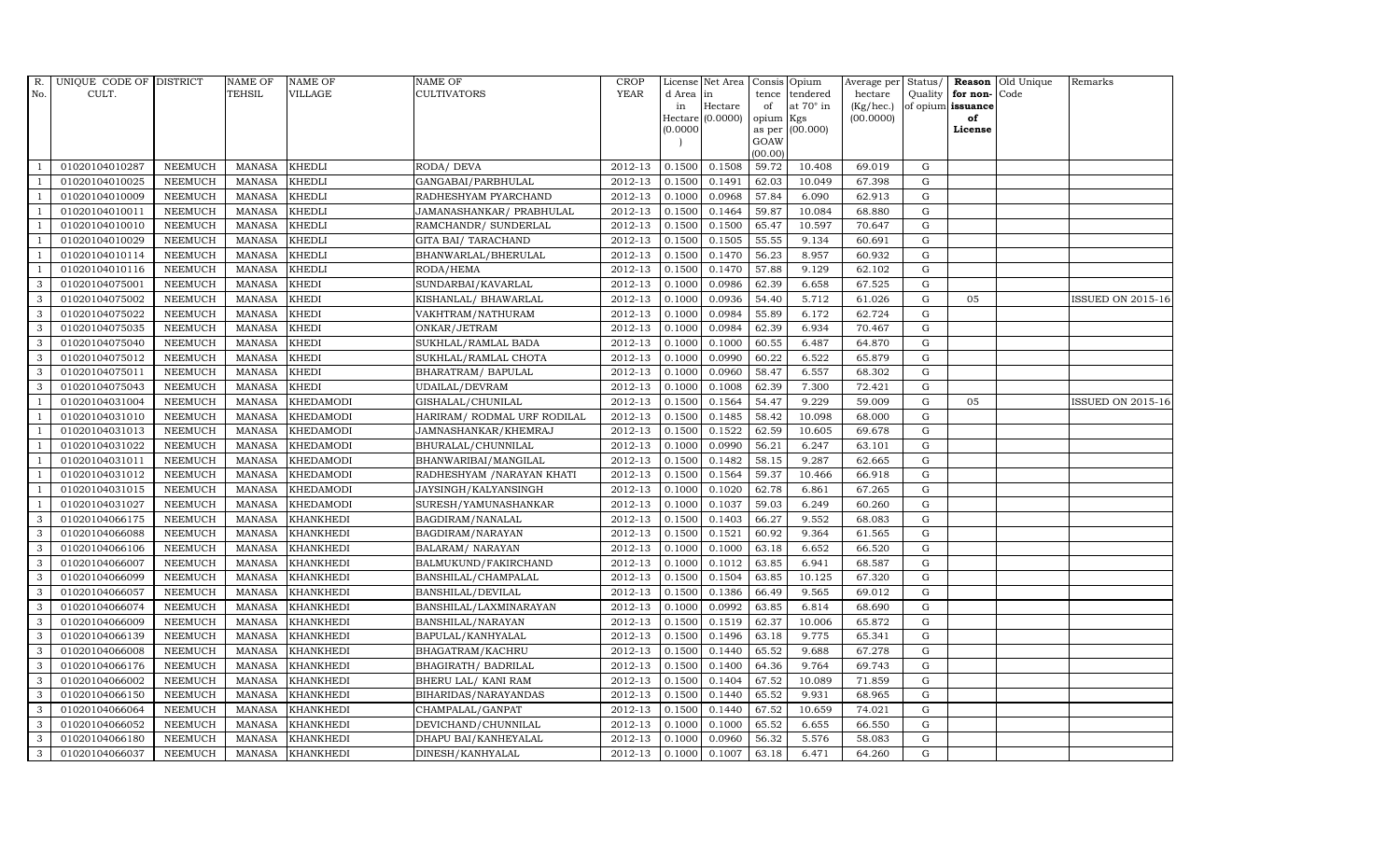| R.             | UNIQUE CODE OF DISTRICT |                | <b>NAME OF</b> | <b>NAME OF</b>   | <b>NAME OF</b>              | CROP        |           | License Net Area   |           | Consis Opium     | Average per | Status/     |                      | Reason Old Unique | Remarks                  |
|----------------|-------------------------|----------------|----------------|------------------|-----------------------------|-------------|-----------|--------------------|-----------|------------------|-------------|-------------|----------------------|-------------------|--------------------------|
| No.            | CULT.                   |                | <b>TEHSIL</b>  | VILLAGE          | <b>CULTIVATORS</b>          | <b>YEAR</b> | d Area in |                    | tence     | tendered         | hectare     |             | Quality $ $ for non- | Code              |                          |
|                |                         |                |                |                  |                             |             | in        | Hectare            | of        | at $70^\circ$ in | (Kg/hec.)   |             | of opium issuance    |                   |                          |
|                |                         |                |                |                  |                             |             |           | Hectare $(0.0000)$ | opium Kgs |                  | (00.0000)   |             | of                   |                   |                          |
|                |                         |                |                |                  |                             |             | (0.0000)  |                    | GOAW      | as per (00.000)  |             |             | License              |                   |                          |
|                |                         |                |                |                  |                             |             |           |                    | (00.00)   |                  |             |             |                      |                   |                          |
|                | 01020104010287          | <b>NEEMUCH</b> | MANASA         | <b>KHEDLI</b>    | RODA/ DEVA                  | 2012-13     | 0.1500    | 0.1508             | 59.72     | 10.408           | 69.019      | G           |                      |                   |                          |
| $\overline{1}$ | 01020104010025          | <b>NEEMUCH</b> | MANASA         | <b>KHEDLI</b>    | GANGABAI/PARBHULAL          | 2012-13     | 0.1500    | 0.1491             | 62.03     | 10.049           | 67.398      | G           |                      |                   |                          |
|                | 01020104010009          | <b>NEEMUCH</b> | <b>MANASA</b>  | <b>KHEDLI</b>    | RADHESHYAM PYARCHAND        | 2012-13     | 0.1000    | 0.0968             | 57.84     | 6.090            | 62.913      | G           |                      |                   |                          |
|                | 01020104010011          | <b>NEEMUCH</b> | MANASA         | <b>KHEDLI</b>    | JAMANASHANKAR/ PRABHULAL    | 2012-13     | 0.1500    | 0.1464             | 59.87     | 10.084           | 68.880      | G           |                      |                   |                          |
| $\overline{1}$ | 01020104010010          | <b>NEEMUCH</b> | <b>MANASA</b>  | <b>KHEDLI</b>    | RAMCHANDR/ SUNDERLAL        | 2012-13     | 0.1500    | 0.1500             | 65.47     | 10.597           | 70.647      | G           |                      |                   |                          |
| -1             | 01020104010029          | <b>NEEMUCH</b> | <b>MANASA</b>  | <b>KHEDLI</b>    | GITA BAI/ TARACHAND         | 2012-13     | 0.1500    | 0.1505             | 55.55     | 9.134            | 60.691      | G           |                      |                   |                          |
| $\overline{1}$ | 01020104010114          | <b>NEEMUCH</b> | <b>MANASA</b>  | <b>KHEDLI</b>    | BHANWARLAL/BHERULAL         | 2012-13     | 0.1500    | 0.1470             | 56.23     | 8.957            | 60.932      | G           |                      |                   |                          |
| $\overline{1}$ | 01020104010116          | <b>NEEMUCH</b> | <b>MANASA</b>  | <b>KHEDLI</b>    | RODA/HEMA                   | 2012-13     | 0.1500    | 0.1470             | 57.88     | 9.129            | 62.102      | $\mathbf G$ |                      |                   |                          |
| 3              | 01020104075001          | <b>NEEMUCH</b> | <b>MANASA</b>  | <b>KHEDI</b>     | SUNDARBAI/KAVARLAL          | 2012-13     | 0.1000    | 0.0986             | 62.39     | 6.658            | 67.525      | G           |                      |                   |                          |
| 3              | 01020104075002          | <b>NEEMUCH</b> | <b>MANASA</b>  | <b>KHEDI</b>     | KISHANLAL/ BHAWARLAL        | 2012-13     | 0.1000    | 0.0936             | 54.40     | 5.712            | 61.026      | G           | 05                   |                   | <b>ISSUED ON 2015-16</b> |
| 3              | 01020104075022          | <b>NEEMUCH</b> | <b>MANASA</b>  | <b>KHEDI</b>     | VAKHTRAM/NATHURAM           | 2012-13     | 0.1000    | 0.0984             | 55.89     | 6.172            | 62.724      | G           |                      |                   |                          |
| 3              | 01020104075035          | <b>NEEMUCH</b> | <b>MANASA</b>  | <b>KHEDI</b>     | ONKAR/JETRAM                | 2012-13     | 0.1000    | 0.0984             | 62.39     | 6.934            | 70.467      | G           |                      |                   |                          |
| 3              | 01020104075040          | <b>NEEMUCH</b> | MANASA         | <b>KHEDI</b>     | SUKHLAL/RAMLAL BADA         | 2012-13     | 0.1000    | 0.1000             | 60.55     | 6.487            | 64.870      | G           |                      |                   |                          |
| 3              | 01020104075012          | <b>NEEMUCH</b> | <b>MANASA</b>  | <b>KHEDI</b>     | SUKHLAL/RAMLAL CHOTA        | 2012-13     | 0.1000    | 0.0990             | 60.22     | 6.522            | 65.879      | G           |                      |                   |                          |
| 3              | 01020104075011          | <b>NEEMUCH</b> | <b>MANASA</b>  | <b>KHEDI</b>     | BHARATRAM / BAPULAL         | 2012-13     | 0.1000    | 0.0960             | 58.47     | 6.557            | 68.302      | G           |                      |                   |                          |
| 3              | 01020104075043          | <b>NEEMUCH</b> | <b>MANASA</b>  | <b>KHEDI</b>     | UDAILAL/DEVRAM              | 2012-13     | 0.1000    | 0.1008             | 62.39     | 7.300            | 72.421      | G           |                      |                   |                          |
| $\mathbf{1}$   | 01020104031004          | <b>NEEMUCH</b> | <b>MANASA</b>  | <b>KHEDAMODI</b> | GISHALAL/CHUNILAL           | 2012-13     | 0.1500    | 0.1564             | 54.47     | 9.229            | 59.009      | ${\rm G}$   | 05                   |                   | <b>ISSUED ON 2015-16</b> |
| $\overline{1}$ | 01020104031010          | <b>NEEMUCH</b> | <b>MANASA</b>  | <b>KHEDAMODI</b> | HARIRAM/ RODMAL URF RODILAL | 2012-13     | 0.1500    | 0.1485             | 58.42     | 10.098           | 68.000      | $\mathbf G$ |                      |                   |                          |
|                | 01020104031013          | <b>NEEMUCH</b> | MANASA         | <b>KHEDAMODI</b> | JAMNASHANKAR/KHEMRAJ        | 2012-13     | 0.1500    | 0.1522             | 62.59     | 10.605           | 69.678      | G           |                      |                   |                          |
| $\overline{1}$ | 01020104031022          | <b>NEEMUCH</b> | <b>MANASA</b>  | <b>KHEDAMODI</b> | BHURALAL/CHUNNILAL          | 2012-13     | 0.1000    | 0.0990             | 56.21     | 6.247            | 63.101      | G           |                      |                   |                          |
| -1             | 01020104031011          | <b>NEEMUCH</b> | <b>MANASA</b>  | <b>KHEDAMODI</b> | BHANWARIBAI/MANGILAL        | 2012-13     | 0.1500    | 0.1482             | 58.15     | 9.287            | 62.665      | G           |                      |                   |                          |
| -1             | 01020104031012          | <b>NEEMUCH</b> | MANASA         | <b>KHEDAMODI</b> | RADHESHYAM / NARAYAN KHATI  | 2012-13     | 0.1500    | 0.1564             | 59.37     | 10.466           | 66.918      | ${\rm G}$   |                      |                   |                          |
| $\overline{1}$ | 01020104031015          | <b>NEEMUCH</b> | <b>MANASA</b>  | <b>KHEDAMODI</b> | JAYSINGH/KALYANSINGH        | 2012-13     | 0.1000    | 0.1020             | 62.78     | 6.861            | 67.265      | G           |                      |                   |                          |
|                | 01020104031027          | <b>NEEMUCH</b> | <b>MANASA</b>  | <b>KHEDAMODI</b> | SURESH/YAMUNASHANKAR        | 2012-13     | 0.1000    | 0.1037             | 59.03     | 6.249            | 60.260      | G           |                      |                   |                          |
| 3              | 01020104066175          | <b>NEEMUCH</b> | <b>MANASA</b>  | <b>KHANKHEDI</b> | BAGDIRAM/NANALAL            | 2012-13     | 0.1500    | 0.1403             | 66.27     | 9.552            | 68.083      | $\mathbf G$ |                      |                   |                          |
| 3              | 01020104066088          | <b>NEEMUCH</b> | <b>MANASA</b>  | <b>KHANKHEDI</b> | BAGDIRAM/NARAYAN            | 2012-13     | 0.1500    | 0.1521             | 60.92     | 9.364            | 61.565      | G           |                      |                   |                          |
| 3              | 01020104066106          | <b>NEEMUCH</b> | MANASA         | <b>KHANKHEDI</b> | <b>BALARAM/ NARAYAN</b>     | 2012-13     | 0.1000    | 0.1000             | 63.18     | 6.652            | 66.520      | G           |                      |                   |                          |
| 3              | 01020104066007          | <b>NEEMUCH</b> | <b>MANASA</b>  | <b>KHANKHEDI</b> | BALMUKUND/FAKIRCHAND        | 2012-13     | 0.1000    | 0.1012             | 63.85     | 6.941            | 68.587      | G           |                      |                   |                          |
| 3              | 01020104066099          | <b>NEEMUCH</b> | <b>MANASA</b>  | <b>KHANKHEDI</b> | BANSHILAL/CHAMPALAL         | 2012-13     | 0.1500    | 0.1504             | 63.85     | 10.125           | 67.320      | G           |                      |                   |                          |
| 3              | 01020104066057          | <b>NEEMUCH</b> | <b>MANASA</b>  | <b>KHANKHEDI</b> | BANSHILAL/DEVILAL           | 2012-13     | 0.1500    | 0.1386             | 66.49     | 9.565            | 69.012      | ${\bf G}$   |                      |                   |                          |
| 3              | 01020104066074          | <b>NEEMUCH</b> | <b>MANASA</b>  | <b>KHANKHEDI</b> | BANSHILAL/LAXMINARAYAN      | 2012-13     | 0.1000    | 0.0992             | 63.85     | 6.814            | 68.690      | G           |                      |                   |                          |
| 3              | 01020104066009          | <b>NEEMUCH</b> | MANASA         | <b>KHANKHEDI</b> | BANSHILAL/NARAYAN           | 2012-13     | 0.1500    | 0.1519             | 62.37     | 10.006           | 65.872      | G           |                      |                   |                          |
| $\mathbf{3}$   | 01020104066139          | <b>NEEMUCH</b> | MANASA         | <b>KHANKHEDI</b> | BAPULAL/KANHYALAL           | 2012-13     | 0.1500    | 0.1496             | 63.18     | 9.775            | 65.341      | ${\rm G}$   |                      |                   |                          |
| 3              | 01020104066008          | <b>NEEMUCH</b> | <b>MANASA</b>  | <b>KHANKHEDI</b> | BHAGATRAM/KACHRU            | 2012-13     | 0.1500    | 0.1440             | 65.52     | 9.688            | 67.278      | $\mathbf G$ |                      |                   |                          |
| 3              | 01020104066176          | <b>NEEMUCH</b> | <b>MANASA</b>  | <b>KHANKHEDI</b> | BHAGIRATH / BADRILAL        | 2012-13     | 0.1500    | 0.1400             | 64.36     | 9.764            | 69.743      | G           |                      |                   |                          |
| $\mathbf{3}$   | 01020104066002          | <b>NEEMUCH</b> | <b>MANASA</b>  | <b>KHANKHEDI</b> | BHERU LAL/ KANI RAM         | 2012-13     | 0.1500    | 0.1404             | 67.52     | 10.089           | 71.859      | G           |                      |                   |                          |
| 3              | 01020104066150          | <b>NEEMUCH</b> | MANASA         | <b>KHANKHEDI</b> | BIHARIDAS/NARAYANDAS        | 2012-13     | 0.1500    | 0.1440             | 65.52     | 9.931            | 68.965      | G           |                      |                   |                          |
| $\mathbf{3}$   | 01020104066064          | <b>NEEMUCH</b> | MANASA         | <b>KHANKHEDI</b> | CHAMPALAL/GANPAT            | 2012-13     | 0.1500    | 0.1440             | 67.52     | 10.659           | 74.021      | $\mathbf G$ |                      |                   |                          |
| 3              | 01020104066052          | <b>NEEMUCH</b> | <b>MANASA</b>  | <b>KHANKHEDI</b> | DEVICHAND/CHUNNILAL         | 2012-13     | 0.1000    | 0.1000             | 65.52     | 6.655            | 66.550      | G           |                      |                   |                          |
| 3              | 01020104066180          | <b>NEEMUCH</b> | <b>MANASA</b>  | <b>KHANKHEDI</b> | DHAPU BAI/KANHEYALAL        | 2012-13     | 0.1000    | 0.0960             | 56.32     | 5.576            | 58.083      | G           |                      |                   |                          |
| $\mathbf{3}$   | 01020104066037          | <b>NEEMUCH</b> |                | MANASA KHANKHEDI | DINESH/KANHYALAL            | 2012-13     | 0.1000    | 0.1007             | 63.18     | 6.471            | 64.260      | G           |                      |                   |                          |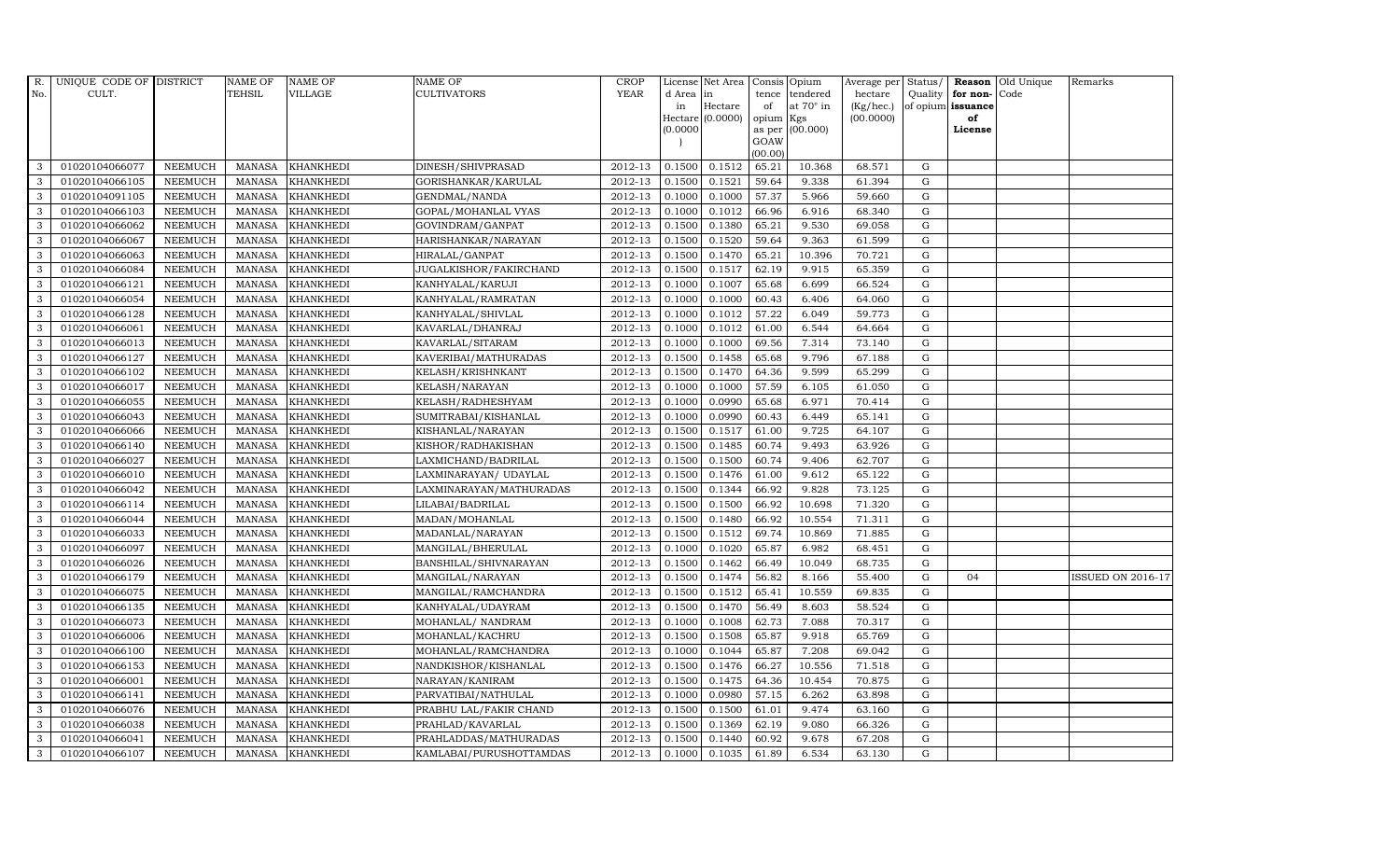| R.  | UNIQUE CODE OF DISTRICT |                | <b>NAME OF</b> | <b>NAME OF</b>   | NAME OF                       | <b>CROP</b> |           | License Net Area   |                | Consis Opium     | Average per Status/ |             |                   | Reason Old Unique | Remarks                  |
|-----|-------------------------|----------------|----------------|------------------|-------------------------------|-------------|-----------|--------------------|----------------|------------------|---------------------|-------------|-------------------|-------------------|--------------------------|
| No. | CULT.                   |                | <b>TEHSIL</b>  | <b>VILLAGE</b>   | CULTIVATORS                   | <b>YEAR</b> | d Area in |                    | tence          | tendered         | hectare             |             | Quality for non-  | Code              |                          |
|     |                         |                |                |                  |                               |             | in        | Hectare            | of             | at $70^\circ$ in | (Kg/hec.)           |             | of opium issuance |                   |                          |
|     |                         |                |                |                  |                               |             |           | Hectare $(0.0000)$ | opium          | Kgs              | (00.0000)           |             | of                |                   |                          |
|     |                         |                |                |                  |                               |             | (0.0000)  |                    | as per<br>GOAW | (00.000)         |                     |             | License           |                   |                          |
|     |                         |                |                |                  |                               |             |           |                    | (00.00)        |                  |                     |             |                   |                   |                          |
| 3   | 01020104066077          | <b>NEEMUCH</b> | <b>MANASA</b>  | <b>KHANKHEDI</b> | DINESH/SHIVPRASAD             | 2012-13     | 0.1500    | 0.1512             | 65.21          | 10.368           | 68.571              | G           |                   |                   |                          |
| 3   | 01020104066105          | <b>NEEMUCH</b> | <b>MANASA</b>  | <b>KHANKHEDI</b> | GORISHANKAR/KARULAL           | 2012-13     | 0.1500    | 0.1521             | 59.64          | 9.338            | 61.394              | $\mathbf G$ |                   |                   |                          |
| 3   | 01020104091105          | <b>NEEMUCH</b> | <b>MANASA</b>  | <b>KHANKHEDI</b> | GENDMAL/NANDA                 | 2012-13     | 0.1000    | 0.1000             | 57.37          | 5.966            | 59.660              | G           |                   |                   |                          |
| 3   | 01020104066103          | <b>NEEMUCH</b> | <b>MANASA</b>  | <b>KHANKHEDI</b> | GOPAL/MOHANLAL VYAS           | 2012-13     | 0.1000    | 0.1012             | 66.96          | 6.916            | 68.340              | G           |                   |                   |                          |
| 3   | 01020104066062          | <b>NEEMUCH</b> | <b>MANASA</b>  | KHANKHEDI        | GOVINDRAM/GANPAT              | 2012-13     | 0.1500    | 0.1380             | 65.21          | 9.530            | 69.058              | G           |                   |                   |                          |
| 3   | 01020104066067          | <b>NEEMUCH</b> | <b>MANASA</b>  | <b>KHANKHEDI</b> | HARISHANKAR/NARAYAN           | 2012-13     | 0.1500    | 0.1520             | 59.64          | 9.363            | 61.599              | G           |                   |                   |                          |
| 3   | 01020104066063          | <b>NEEMUCH</b> | <b>MANASA</b>  | <b>KHANKHEDI</b> | HIRALAL/GANPAT                | 2012-13     | 0.1500    | 0.1470             | 65.21          | 10.396           | 70.721              | G           |                   |                   |                          |
| 3   | 01020104066084          | <b>NEEMUCH</b> | <b>MANASA</b>  | <b>KHANKHEDI</b> | <b>JUGALKISHOR/FAKIRCHAND</b> | 2012-13     | 0.1500    | 0.1517             | 62.19          | 9.915            | 65.359              | $\mathbf G$ |                   |                   |                          |
| 3   | 01020104066121          | <b>NEEMUCH</b> | <b>MANASA</b>  | <b>KHANKHEDI</b> | KANHYALAL/KARUJI              | 2012-13     | 0.1000    | 0.1007             | 65.68          | 6.699            | 66.524              | $\mathbf G$ |                   |                   |                          |
| 3   | 01020104066054          | <b>NEEMUCH</b> | <b>MANASA</b>  | <b>KHANKHEDI</b> | KANHYALAL/RAMRATAN            | 2012-13     | 0.1000    | 0.1000             | 60.43          | 6.406            | 64.060              | ${\rm G}$   |                   |                   |                          |
| 3   | 01020104066128          | <b>NEEMUCH</b> | <b>MANASA</b>  | <b>KHANKHEDI</b> | KANHYALAL/SHIVLAL             | 2012-13     | 0.1000    | 0.1012             | 57.22          | 6.049            | 59.773              | G           |                   |                   |                          |
| 3   | 01020104066061          | <b>NEEMUCH</b> | <b>MANASA</b>  | <b>KHANKHEDI</b> | KAVARLAL/DHANRAJ              | 2012-13     | 0.1000    | 0.1012             | 61.00          | 6.544            | 64.664              | G           |                   |                   |                          |
| 3   | 01020104066013          | <b>NEEMUCH</b> | <b>MANASA</b>  | <b>KHANKHEDI</b> | KAVARLAL/SITARAM              | 2012-13     | 0.1000    | 0.1000             | 69.56          | 7.314            | 73.140              | $\mathbf G$ |                   |                   |                          |
| 3   | 01020104066127          | <b>NEEMUCH</b> | <b>MANASA</b>  | <b>KHANKHEDI</b> | KAVERIBAI/MATHURADAS          | 2012-13     | 0.1500    | 0.1458             | 65.68          | 9.796            | 67.188              | G           |                   |                   |                          |
| 3   | 01020104066102          | <b>NEEMUCH</b> | <b>MANASA</b>  | <b>KHANKHEDI</b> | KELASH/KRISHNKANT             | 2012-13     | 0.1500    | 0.1470             | 64.36          | 9.599            | 65.299              | G           |                   |                   |                          |
| 3   | 01020104066017          | <b>NEEMUCH</b> | <b>MANASA</b>  | <b>KHANKHEDI</b> | KELASH/NARAYAN                | 2012-13     | 0.1000    | 0.1000             | 57.59          | 6.105            | 61.050              | G           |                   |                   |                          |
| 3   | 01020104066055          | <b>NEEMUCH</b> | <b>MANASA</b>  | <b>KHANKHEDI</b> | KELASH/RADHESHYAM             | 2012-13     | 0.1000    | 0.0990             | 65.68          | 6.971            | 70.414              | G           |                   |                   |                          |
| 3   | 01020104066043          | <b>NEEMUCH</b> | <b>MANASA</b>  | <b>KHANKHEDI</b> | SUMITRABAI/KISHANLAL          | 2012-13     | 0.1000    | 0.0990             | 60.43          | 6.449            | 65.141              | G           |                   |                   |                          |
| 3   | 01020104066066          | <b>NEEMUCH</b> | <b>MANASA</b>  | <b>KHANKHEDI</b> | KISHANLAL/NARAYAN             | 2012-13     | 0.1500    | 0.1517             | 61.00          | 9.725            | 64.107              | G           |                   |                   |                          |
| 3   | 01020104066140          | <b>NEEMUCH</b> | <b>MANASA</b>  | <b>KHANKHEDI</b> | KISHOR/RADHAKISHAN            | 2012-13     | 0.1500    | 0.1485             | 60.74          | 9.493            | 63.926              | G           |                   |                   |                          |
| 3   | 01020104066027          | <b>NEEMUCH</b> | <b>MANASA</b>  | <b>KHANKHEDI</b> | LAXMICHAND/BADRILAL           | 2012-13     | 0.1500    | 0.1500             | 60.74          | 9.406            | 62.707              | G           |                   |                   |                          |
| 3   | 01020104066010          | <b>NEEMUCH</b> | <b>MANASA</b>  | KHANKHEDI        | LAXMINARAYAN/UDAYLAL          | 2012-13     | 0.1500    | 0.1476             | 61.00          | 9.612            | 65.122              | G           |                   |                   |                          |
| 3   | 01020104066042          | <b>NEEMUCH</b> | <b>MANASA</b>  | <b>KHANKHEDI</b> | LAXMINARAYAN/MATHURADAS       | 2012-13     | 0.1500    | 0.1344             | 66.92          | 9.828            | 73.125              | G           |                   |                   |                          |
| 3   | 01020104066114          | <b>NEEMUCH</b> | <b>MANASA</b>  | <b>KHANKHEDI</b> | LILABAI/BADRILAL              | 2012-13     | 0.1500    | 0.1500             | 66.92          | 10.698           | 71.320              | $\mathbf G$ |                   |                   |                          |
| 3   | 01020104066044          | <b>NEEMUCH</b> | <b>MANASA</b>  | KHANKHEDI        | MADAN/MOHANLAL                | 2012-13     | 0.1500    | 0.1480             | 66.92          | 10.554           | 71.311              | G           |                   |                   |                          |
| 3   | 01020104066033          | <b>NEEMUCH</b> | <b>MANASA</b>  | <b>KHANKHEDI</b> | MADANLAL/NARAYAN              | 2012-13     | 0.1500    | 0.1512             | 69.74          | 10.869           | 71.885              | G           |                   |                   |                          |
| 3   | 01020104066097          | <b>NEEMUCH</b> | <b>MANASA</b>  | <b>KHANKHEDI</b> | MANGILAL/BHERULAL             | 2012-13     | 0.1000    | 0.1020             | 65.87          | 6.982            | 68.451              | G           |                   |                   |                          |
| 3   | 01020104066026          | <b>NEEMUCH</b> | <b>MANASA</b>  | <b>KHANKHEDI</b> | BANSHILAL/SHIVNARAYAN         | 2012-13     | 0.1500    | 0.1462             | 66.49          | 10.049           | 68.735              | G           |                   |                   |                          |
| 3   | 01020104066179          | <b>NEEMUCH</b> | <b>MANASA</b>  | <b>KHANKHEDI</b> | MANGILAL/NARAYAN              | 2012-13     | 0.1500    | 0.1474             | 56.82          | 8.166            | 55.400              | $\mathbf G$ | 04                |                   | <b>ISSUED ON 2016-17</b> |
| 3   | 01020104066075          | <b>NEEMUCH</b> | <b>MANASA</b>  | <b>KHANKHEDI</b> | MANGILAL/RAMCHANDRA           | 2012-13     | 0.1500    | 0.1512             | 65.41          | 10.559           | 69.835              | $\mathbf G$ |                   |                   |                          |
| 3   | 01020104066135          | <b>NEEMUCH</b> | <b>MANASA</b>  | <b>KHANKHEDI</b> | KANHYALAL/UDAYRAM             | 2012-13     | 0.1500    | 0.1470             | 56.49          | 8.603            | 58.524              | G           |                   |                   |                          |
| 3   | 01020104066073          | <b>NEEMUCH</b> | <b>MANASA</b>  | <b>KHANKHEDI</b> | MOHANLAL/ NANDRAM             | 2012-13     | 0.1000    | 0.1008             | 62.73          | 7.088            | 70.317              | G           |                   |                   |                          |
| 3   | 01020104066006          | <b>NEEMUCH</b> | <b>MANASA</b>  | <b>KHANKHEDI</b> | MOHANLAL/KACHRU               | 2012-13     | 0.1500    | 0.1508             | 65.87          | 9.918            | 65.769              | G           |                   |                   |                          |
| 3   | 01020104066100          | <b>NEEMUCH</b> | <b>MANASA</b>  | <b>KHANKHEDI</b> | MOHANLAL/RAMCHANDRA           | 2012-13     | 0.1000    | 0.1044             | 65.87          | 7.208            | 69.042              | $\mathbf G$ |                   |                   |                          |
| 3   | 01020104066153          | <b>NEEMUCH</b> | <b>MANASA</b>  | <b>KHANKHEDI</b> | NANDKISHOR/KISHANLAL          | 2012-13     | 0.1500    | 0.1476             | 66.27          | 10.556           | 71.518              | $\mathbf G$ |                   |                   |                          |
| 3   | 01020104066001          | <b>NEEMUCH</b> | <b>MANASA</b>  | <b>KHANKHEDI</b> | NARAYAN/KANIRAM               | 2012-13     | 0.1500    | 0.1475             | 64.36          | 10.454           | 70.875              | G           |                   |                   |                          |
| 3   | 01020104066141          | <b>NEEMUCH</b> | <b>MANASA</b>  | <b>KHANKHEDI</b> | PARVATIBAI/NATHULAL           | 2012-13     | 0.1000    | 0.0980             | 57.15          | 6.262            | 63.898              | G           |                   |                   |                          |
| 3   | 01020104066076          | <b>NEEMUCH</b> | <b>MANASA</b>  | <b>KHANKHEDI</b> | PRABHU LAL/FAKIR CHAND        | 2012-13     | 0.1500    | 0.1500             | 61.01          | 9.474            | 63.160              | G           |                   |                   |                          |
| 3   | 01020104066038          | <b>NEEMUCH</b> | <b>MANASA</b>  | <b>KHANKHEDI</b> | PRAHLAD/KAVARLAL              | 2012-13     | 0.1500    | 0.1369             | 62.19          | 9.080            | 66.326              | G           |                   |                   |                          |
| 3   | 01020104066041          | <b>NEEMUCH</b> | <b>MANASA</b>  | <b>KHANKHEDI</b> | PRAHLADDAS/MATHURADAS         | 2012-13     | 0.1500    | 0.1440             | 60.92          | 9.678            | 67.208              | $\mathbf G$ |                   |                   |                          |
| 3   | 01020104066107          | <b>NEEMUCH</b> | MANASA         | <b>KHANKHEDI</b> | KAMLABAI/PURUSHOTTAMDAS       | 2012-13     | 0.1000    | 0.1035             | 61.89          | 6.534            | 63.130              | G           |                   |                   |                          |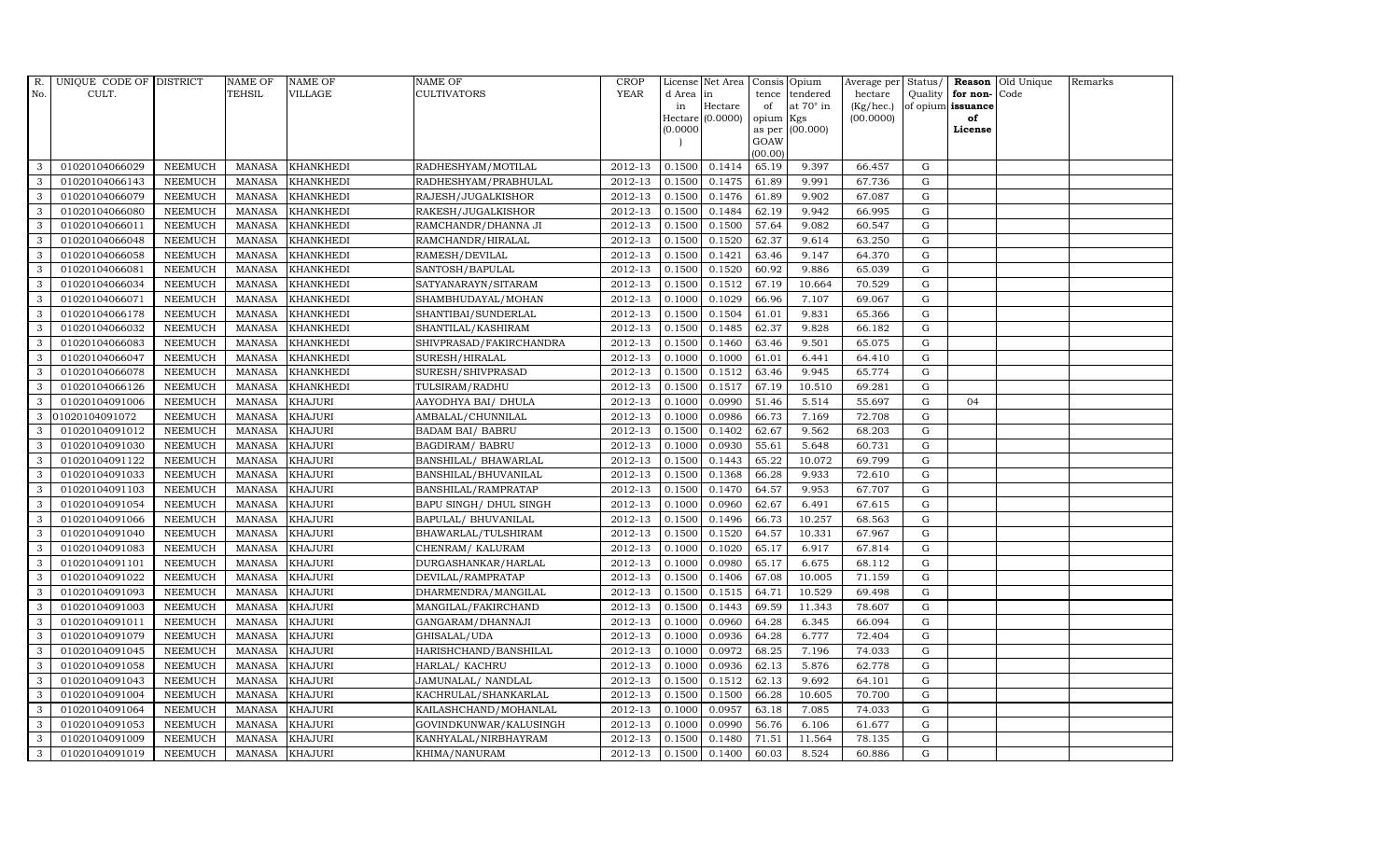| R.           | UNIQUE CODE OF DISTRICT |                | <b>NAME OF</b> | <b>NAME OF</b>   | NAME OF                 | <b>CROP</b> |           | License Net Area |                | Consis Opium     | Average per | Status/     |                   | Reason Old Unique | Remarks |
|--------------|-------------------------|----------------|----------------|------------------|-------------------------|-------------|-----------|------------------|----------------|------------------|-------------|-------------|-------------------|-------------------|---------|
| No.          | CULT.                   |                | TEHSIL         | VILLAGE          | CULTIVATORS             | <b>YEAR</b> | d Area in |                  | tence          | tendered         | hectare     | Quality     | for non-Code      |                   |         |
|              |                         |                |                |                  |                         |             | in        | Hectare          | of             | at $70^\circ$ in | (Kg/hec.)   |             | of opium issuance |                   |         |
|              |                         |                |                |                  |                         |             |           | Hectare (0.0000) | opium          | Kgs              | (00.0000)   |             | of                |                   |         |
|              |                         |                |                |                  |                         |             | (0.0000)  |                  | as per<br>GOAW | (00.000)         |             |             | License           |                   |         |
|              |                         |                |                |                  |                         |             |           |                  | (00.00)        |                  |             |             |                   |                   |         |
| 3            | 01020104066029          | <b>NEEMUCH</b> | MANASA         | <b>KHANKHEDI</b> | RADHESHYAM/MOTILAL      | 2012-13     | 0.1500    | 0.1414           | 65.19          | 9.397            | 66.457      | G           |                   |                   |         |
| 3            | 01020104066143          | <b>NEEMUCH</b> | <b>MANASA</b>  | <b>KHANKHEDI</b> | RADHESHYAM/PRABHULAL    | 2012-13     | 0.1500    | 0.1475           | 61.89          | 9.991            | 67.736      | $\mathbf G$ |                   |                   |         |
| 3            | 01020104066079          | <b>NEEMUCH</b> | <b>MANASA</b>  | <b>KHANKHEDI</b> | RAJESH/JUGALKISHOR      | 2012-13     | 0.1500    | 0.1476           | 61.89          | 9.902            | 67.087      | G           |                   |                   |         |
| 3            | 01020104066080          | <b>NEEMUCH</b> | <b>MANASA</b>  | <b>KHANKHEDI</b> | RAKESH/JUGALKISHOR      | 2012-13     | 0.1500    | 0.1484           | 62.19          | 9.942            | 66.995      | ${\rm G}$   |                   |                   |         |
| 3            | 01020104066011          | <b>NEEMUCH</b> | <b>MANASA</b>  | <b>KHANKHEDI</b> | RAMCHANDR/DHANNA JI     | 2012-13     | 0.1500    | 0.1500           | 57.64          | 9.082            | 60.547      | ${\rm G}$   |                   |                   |         |
| $\mathbf{3}$ | 01020104066048          | NEEMUCH        | <b>MANASA</b>  | <b>KHANKHEDI</b> | RAMCHANDR/HIRALAL       | 2012-13     | 0.1500    | 0.1520           | 62.37          | 9.614            | 63.250      | G           |                   |                   |         |
| 3            | 01020104066058          | <b>NEEMUCH</b> | <b>MANASA</b>  | <b>KHANKHEDI</b> | RAMESH/DEVILAL          | 2012-13     | 0.1500    | 0.1421           | 63.46          | 9.147            | 64.370      | $\mathbf G$ |                   |                   |         |
| 3            | 01020104066081          | <b>NEEMUCH</b> | <b>MANASA</b>  | <b>KHANKHEDI</b> | SANTOSH/BAPULAL         | 2012-13     | 0.1500    | 0.1520           | 60.92          | 9.886            | 65.039      | G           |                   |                   |         |
| 3            | 01020104066034          | <b>NEEMUCH</b> | <b>MANASA</b>  | <b>KHANKHEDI</b> | SATYANARAYN/SITARAM     | 2012-13     | 0.1500    | 0.1512           | 67.19          | 10.664           | 70.529      | G           |                   |                   |         |
| 3            | 01020104066071          | <b>NEEMUCH</b> | <b>MANASA</b>  | <b>KHANKHEDI</b> | SHAMBHUDAYAL/MOHAN      | 2012-13     | 0.1000    | 0.1029           | 66.96          | 7.107            | 69.067      | G           |                   |                   |         |
| $\mathbf{3}$ | 01020104066178          | <b>NEEMUCH</b> | <b>MANASA</b>  | <b>KHANKHEDI</b> | SHANTIBAI/SUNDERLAL     | 2012-13     | 0.1500    | 0.1504           | 61.01          | 9.831            | 65.366      | ${\rm G}$   |                   |                   |         |
| 3            | 01020104066032          | <b>NEEMUCH</b> | <b>MANASA</b>  | <b>KHANKHEDI</b> | SHANTILAL/KASHIRAM      | 2012-13     | 0.1500    | 0.1485           | 62.37          | 9.828            | 66.182      | $\mathbf G$ |                   |                   |         |
| $\mathbf{3}$ | 01020104066083          | <b>NEEMUCH</b> | <b>MANASA</b>  | <b>KHANKHEDI</b> | SHIVPRASAD/FAKIRCHANDRA | 2012-13     | 0.1500    | 0.1460           | 63.46          | 9.501            | 65.075      | $\mathbf G$ |                   |                   |         |
| 3            | 01020104066047          | <b>NEEMUCH</b> | <b>MANASA</b>  | <b>KHANKHEDI</b> | SURESH/HIRALAL          | 2012-13     | 0.1000    | 0.1000           | 61.01          | 6.441            | 64.410      | G           |                   |                   |         |
| 3            | 01020104066078          | <b>NEEMUCH</b> | <b>MANASA</b>  | <b>KHANKHEDI</b> | SURESH/SHIVPRASAD       | 2012-13     | 0.1500    | 0.1512           | 63.46          | 9.945            | 65.774      | ${\rm G}$   |                   |                   |         |
| $\mathbf{3}$ | 01020104066126          | <b>NEEMUCH</b> | <b>MANASA</b>  | <b>KHANKHEDI</b> | TULSIRAM/RADHU          | 2012-13     | 0.1500    | 0.1517           | 67.19          | 10.510           | 69.281      | G           |                   |                   |         |
| 3            | 01020104091006          | <b>NEEMUCH</b> | <b>MANASA</b>  | <b>KHAJURI</b>   | AAYODHYA BAI/ DHULA     | 2012-13     | 0.1000    | 0.0990           | 51.46          | 5.514            | 55.697      | G           | 04                |                   |         |
| 3            | 01020104091072          | <b>NEEMUCH</b> | <b>MANASA</b>  | <b>KHAJURI</b>   | AMBALAL/CHUNNILAL       | 2012-13     | 0.1000    | 0.0986           | 66.73          | 7.169            | 72.708      | $\mathbf G$ |                   |                   |         |
| 3            | 01020104091012          | <b>NEEMUCH</b> | <b>MANASA</b>  | <b>KHAJURI</b>   | <b>BADAM BAI/ BABRU</b> | 2012-13     | 0.1500    | 0.1402           | 62.67          | 9.562            | 68.203      | $\mathbf G$ |                   |                   |         |
| 3            | 01020104091030          | <b>NEEMUCH</b> | <b>MANASA</b>  | <b>KHAJURI</b>   | <b>BAGDIRAM/ BABRU</b>  | 2012-13     | 0.1000    | 0.0930           | 55.61          | 5.648            | 60.731      | $\mathbf G$ |                   |                   |         |
| 3            | 01020104091122          | <b>NEEMUCH</b> | <b>MANASA</b>  | <b>KHAJURI</b>   | BANSHILAL/ BHAWARLAL    | 2012-13     | 0.1500    | 0.1443           | 65.22          | 10.072           | 69.799      | G           |                   |                   |         |
| 3            | 01020104091033          | <b>NEEMUCH</b> | <b>MANASA</b>  | <b>KHAJURI</b>   | BANSHILAL/BHUVANILAL    | 2012-13     | 0.1500    | 0.1368           | 66.28          | 9.933            | 72.610      | ${\rm G}$   |                   |                   |         |
| 3            | 01020104091103          | <b>NEEMUCH</b> | <b>MANASA</b>  | <b>KHAJURI</b>   | BANSHILAL/RAMPRATAP     | 2012-13     | 0.1500    | 0.1470           | 64.57          | 9.953            | 67.707      | G           |                   |                   |         |
| 3            | 01020104091054          | <b>NEEMUCH</b> | <b>MANASA</b>  | <b>KHAJURI</b>   | BAPU SINGH/ DHUL SINGH  | 2012-13     | 0.1000    | 0.0960           | 62.67          | 6.491            | 67.615      | $\mathbf G$ |                   |                   |         |
| 3            | 01020104091066          | <b>NEEMUCH</b> | <b>MANASA</b>  | <b>KHAJURI</b>   | BAPULAL/ BHUVANILAL     | 2012-13     | 0.1500    | 0.1496           | 66.73          | 10.257           | 68.563      | G           |                   |                   |         |
| 3            | 01020104091040          | <b>NEEMUCH</b> | <b>MANASA</b>  | <b>KHAJURI</b>   | BHAWARLAL/TULSHIRAM     | 2012-13     | 0.1500    | 0.1520           | 64.57          | 10.331           | 67.967      | G           |                   |                   |         |
| 3            | 01020104091083          | <b>NEEMUCH</b> | <b>MANASA</b>  | <b>KHAJURI</b>   | CHENRAM/ KALURAM        | 2012-13     | 0.1000    | 0.1020           | 65.17          | 6.917            | 67.814      | G           |                   |                   |         |
| 3            | 01020104091101          | <b>NEEMUCH</b> | <b>MANASA</b>  | <b>KHAJURI</b>   | DURGASHANKAR/HARLAL     | 2012-13     | 0.1000    | 0.0980           | 65.17          | 6.675            | 68.112      | G           |                   |                   |         |
| 3            | 01020104091022          | <b>NEEMUCH</b> | <b>MANASA</b>  | <b>KHAJURI</b>   | DEVILAL/RAMPRATAP       | 2012-13     | 0.1500    | 0.1406           | 67.08          | 10.005           | 71.159      | G           |                   |                   |         |
| 3            | 01020104091093          | <b>NEEMUCH</b> | <b>MANASA</b>  | <b>KHAJURI</b>   | DHARMENDRA/MANGILAL     | 2012-13     | 0.1500    | 0.1515           | 64.71          | 10.529           | 69.498      | $\mathbf G$ |                   |                   |         |
| 3            | 01020104091003          | <b>NEEMUCH</b> | <b>MANASA</b>  | <b>KHAJURI</b>   | MANGILAL/FAKIRCHAND     | 2012-13     | 0.1500    | 0.1443           | 69.59          | 11.343           | 78.607      | G           |                   |                   |         |
| 3            | 01020104091011          | <b>NEEMUCH</b> | <b>MANASA</b>  | <b>KHAJURI</b>   | GANGARAM/DHANNAJI       | 2012-13     | 0.1000    | 0.0960           | 64.28          | 6.345            | 66.094      | ${\rm G}$   |                   |                   |         |
| 3            | 01020104091079          | <b>NEEMUCH</b> | <b>MANASA</b>  | <b>KHAJURI</b>   | GHISALAL/UDA            | 2012-13     | 0.1000    | 0.0936           | 64.28          | 6.777            | 72.404      | $\mathbf G$ |                   |                   |         |
| 3            | 01020104091045          | <b>NEEMUCH</b> | <b>MANASA</b>  | <b>KHAJURI</b>   | HARISHCHAND/BANSHILAL   | 2012-13     | 0.1000    | 0.0972           | 68.25          | 7.196            | 74.033      | $\mathbf G$ |                   |                   |         |
| 3            | 01020104091058          | <b>NEEMUCH</b> | <b>MANASA</b>  | <b>KHAJURI</b>   | HARLAL/ KACHRU          | 2012-13     | 0.1000    | 0.0936           | 62.13          | 5.876            | 62.778      | $\mathbf G$ |                   |                   |         |
| 3            | 01020104091043          | <b>NEEMUCH</b> | <b>MANASA</b>  | <b>KHAJURI</b>   | JAMUNALAL/ NANDLAL      | 2012-13     | 0.1500    | 0.1512           | 62.13          | 9.692            | 64.101      | ${\rm G}$   |                   |                   |         |
| $\mathbf{3}$ | 01020104091004          | <b>NEEMUCH</b> | <b>MANASA</b>  | <b>KHAJURI</b>   | KACHRULAL/SHANKARLAL    | 2012-13     | 0.1500    | 0.1500           | 66.28          | 10.605           | 70.700      | ${\rm G}$   |                   |                   |         |
| 3            | 01020104091064          | <b>NEEMUCH</b> | <b>MANASA</b>  | <b>KHAJURI</b>   | KAILASHCHAND/MOHANLAL   | 2012-13     | 0.1000    | 0.0957           | 63.18          | 7.085            | 74.033      | G           |                   |                   |         |
| 3            | 01020104091053          | <b>NEEMUCH</b> | <b>MANASA</b>  | <b>KHAJURI</b>   | GOVINDKUNWAR/KALUSINGH  | 2012-13     | 0.1000    | 0.0990           | 56.76          | 6.106            | 61.677      | $\mathbf G$ |                   |                   |         |
| 3            | 01020104091009          | <b>NEEMUCH</b> | <b>MANASA</b>  | <b>KHAJURI</b>   | KANHYALAL/NIRBHAYRAM    | 2012-13     | 0.1500    | 0.1480           | 71.51          | 11.564           | 78.135      | $\mathbf G$ |                   |                   |         |
| 3            | 01020104091019          | <b>NEEMUCH</b> | MANASA KHAJURI |                  | KHIMA/NANURAM           | 2012-13     | 0.1500    | 0.1400           | 60.03          | 8.524            | 60.886      | G           |                   |                   |         |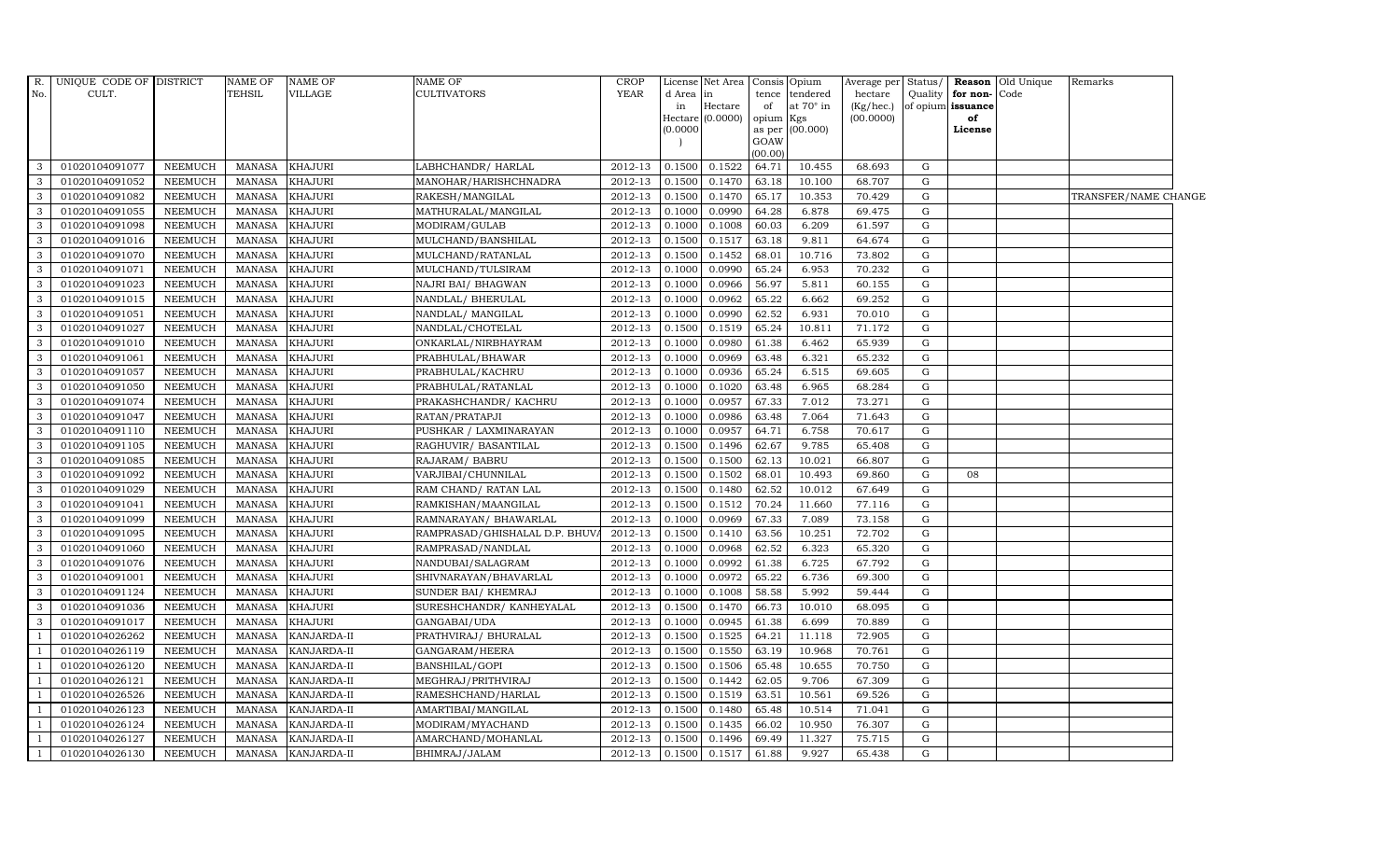|                | R. UNIQUE CODE OF DISTRICT |                | <b>NAME OF</b> | <b>NAME OF</b> | <b>NAME OF</b>                | <b>CROP</b> |            | License Net Area Consis            |                 | Opium            | Average per Status/          |             |                         | <b>Reason</b> Old Unique | Remarks              |  |
|----------------|----------------------------|----------------|----------------|----------------|-------------------------------|-------------|------------|------------------------------------|-----------------|------------------|------------------------------|-------------|-------------------------|--------------------------|----------------------|--|
| No.            | CULT.                      |                | <b>TEHSIL</b>  | <b>VILLAGE</b> | CULTIVATORS                   | <b>YEAR</b> | d Area  in |                                    | tence           | tendered         | hectare                      | Quality     | for non-Code            |                          |                      |  |
|                |                            |                |                |                |                               |             | in         | $\rm{Hectare}$<br>Hectare (0.0000) | of<br>opium Kgs | at $70^\circ$ in | $(Kg/$ hec. $)$<br>(00.0000) |             | of opium issuance<br>of |                          |                      |  |
|                |                            |                |                |                |                               |             | 00000(0)   |                                    | as per          | (00.000)         |                              |             | License                 |                          |                      |  |
|                |                            |                |                |                |                               |             |            |                                    | GOAW            |                  |                              |             |                         |                          |                      |  |
|                |                            |                |                |                |                               |             |            |                                    | (00.00)         |                  |                              |             |                         |                          |                      |  |
| 3              | 01020104091077             | NEEMUCH        | MANASA         | <b>KHAJURI</b> | LABHCHANDR/HARLAL             | 2012-13     | 0.1500     | 0.1522                             | 64.71           | 10.455           | 68.693                       | G           |                         |                          |                      |  |
| 3              | 01020104091052             | NEEMUCH        | MANASA         | <b>KHAJURI</b> | MANOHAR/HARISHCHNADRA         | 2012-13     | 0.1500     | 0.1470                             | 63.18           | 10.100           | 68.707                       | $\mathbf G$ |                         |                          |                      |  |
| 3              | 01020104091082             | <b>NEEMUCH</b> | <b>MANASA</b>  | <b>KHAJURI</b> | RAKESH/MANGILAL               | 2012-13     | 0.1500     | 0.1470                             | 65.17           | 10.353           | 70.429                       | $\mathbf G$ |                         |                          | TRANSFER/NAME CHANGE |  |
| 3              | 01020104091055             | <b>NEEMUCH</b> | <b>MANASA</b>  | <b>KHAJURI</b> | MATHURALAL/MANGILAL           | 2012-13     | 0.1000     | 0.0990                             | 64.28           | 6.878            | 69.475                       | $\mathbf G$ |                         |                          |                      |  |
| 3              | 01020104091098             | <b>NEEMUCH</b> | <b>MANASA</b>  | <b>KHAJURI</b> | MODIRAM/GULAB                 | 2012-13     | 0.1000     | 0.1008                             | 60.03           | 6.209            | 61.597                       | G           |                         |                          |                      |  |
| 3              | 01020104091016             | <b>NEEMUCH</b> | <b>MANASA</b>  | KHAJURI        | MULCHAND/BANSHILAL            | 2012-13     | 0.1500     | 0.1517                             | 63.18           | 9.811            | 64.674                       | G           |                         |                          |                      |  |
| 3              | 01020104091070             | <b>NEEMUCH</b> | <b>MANASA</b>  | <b>KHAJURI</b> | MULCHAND/RATANLAL             | 2012-13     | 0.1500     | 0.1452                             | 68.01           | 10.716           | 73.802                       | $\mathbf G$ |                         |                          |                      |  |
| 3              | 01020104091071             | <b>NEEMUCH</b> | <b>MANASA</b>  | <b>KHAJURI</b> | MULCHAND/TULSIRAM             | 2012-13     | 0.1000     | 0.0990                             | 65.24           | 6.953            | 70.232                       | $\mathbf G$ |                         |                          |                      |  |
|                | 01020104091023             | <b>NEEMUCH</b> | <b>MANASA</b>  | <b>KHAJURI</b> | NAJRI BAI/ BHAGWAN            | 2012-13     | 0.1000     | 0.0966                             | 56.97           | 5.811            | 60.155                       | $\mathbf G$ |                         |                          |                      |  |
| 3              | 01020104091015             | <b>NEEMUCH</b> | <b>MANASA</b>  | <b>KHAJURI</b> | NANDLAL/ BHERULAL             | 2012-13     | 0.1000     | 0.0962                             | 65.22           | 6.662            | 69.252                       | $\mathbf G$ |                         |                          |                      |  |
| 3              | 01020104091051             | <b>NEEMUCH</b> | <b>MANASA</b>  | <b>KHAJURI</b> | NANDLAL/ MANGILAL             | 2012-13     | 0.1000     | 0.0990                             | 62.52           | 6.931            | 70.010                       | G           |                         |                          |                      |  |
| 3              | 01020104091027             | <b>NEEMUCH</b> | <b>MANASA</b>  | <b>KHAJURI</b> | NANDLAL/CHOTELAL              | 2012-13     | 0.1500     | 0.1519                             | 65.24           | 10.811           | 71.172                       | G           |                         |                          |                      |  |
| 3              | 01020104091010             | NEEMUCH        | MANASA         | <b>KHAJURI</b> | ONKARLAL/NIRBHAYRAM           | 2012-13     | 0.1000     | 0.0980                             | 61.38           | 6.462            | 65.939                       | $\mathbf G$ |                         |                          |                      |  |
| 3              | 01020104091061             | <b>NEEMUCH</b> | MANASA         | <b>KHAJURI</b> | PRABHULAL/BHAWAR              | 2012-13     | 0.1000     | 0.0969                             | 63.48           | 6.321            | 65.232                       | $\mathbf G$ |                         |                          |                      |  |
| 3              | 01020104091057             | <b>NEEMUCH</b> | MANASA         | <b>KHAJURI</b> | PRABHULAL/KACHRU              | 2012-13     | 0.1000     | 0.0936                             | 65.24           | 6.515            | 69.605                       | G           |                         |                          |                      |  |
| 3              | 01020104091050             | <b>NEEMUCH</b> | <b>MANASA</b>  | <b>KHAJURI</b> | PRABHULAL/RATANLAL            | 2012-13     | 0.1000     | 0.1020                             | 63.48           | 6.965            | 68.284                       | G           |                         |                          |                      |  |
| 3              | 01020104091074             | <b>NEEMUCH</b> | <b>MANASA</b>  | <b>KHAJURI</b> | PRAKASHCHANDR/KACHRU          | 2012-13     | 0.1000     | 0.0957                             | 67.33           | 7.012            | 73.271                       | G           |                         |                          |                      |  |
| 3              | 01020104091047             | <b>NEEMUCH</b> | <b>MANASA</b>  | <b>KHAJURI</b> | RATAN/PRATAPJI                | 2012-13     | 0.1000     | 0.0986                             | 63.48           | 7.064            | 71.643                       | $\mathbf G$ |                         |                          |                      |  |
| 3              | 01020104091110             | <b>NEEMUCH</b> | <b>MANASA</b>  | <b>KHAJURI</b> | PUSHKAR / LAXMINARAYAN        | 2012-13     | 0.1000     | 0.0957                             | 64.71           | 6.758            | 70.617                       | $\mathbf G$ |                         |                          |                      |  |
| 3              | 01020104091105             | <b>NEEMUCH</b> | <b>MANASA</b>  | <b>KHAJURI</b> | RAGHUVIR/ BASANTILAL          | 2012-13     | 0.1500     | 0.1496                             | 62.67           | 9.785            | 65.408                       | ${\rm G}$   |                         |                          |                      |  |
| 3              | 01020104091085             | <b>NEEMUCH</b> | <b>MANASA</b>  | <b>KHAJURI</b> | RAJARAM/ BABRU                | 2012-13     | 0.1500     | 0.1500                             | 62.13           | 10.021           | 66.807                       | G           |                         |                          |                      |  |
| 3              | 01020104091092             | <b>NEEMUCH</b> | <b>MANASA</b>  | <b>KHAJURI</b> | VARJIBAI/CHUNNILAL            | 2012-13     | 0.1500     | 0.1502                             | 68.01           | 10.493           | 69.860                       | G           | 08                      |                          |                      |  |
| 3              | 01020104091029             | <b>NEEMUCH</b> | <b>MANASA</b>  | <b>KHAJURI</b> | RAM CHAND/ RATAN LAL          | 2012-13     | 0.1500     | 0.1480                             | 62.52           | 10.012           | 67.649                       | G           |                         |                          |                      |  |
| 3              | 01020104091041             | <b>NEEMUCH</b> | MANASA         | <b>KHAJURI</b> | RAMKISHAN/MAANGILAL           | 2012-13     | 0.1500     | 0.1512                             | 70.24           | 11.660           | 77.116                       | $\mathbf G$ |                         |                          |                      |  |
| 3              | 01020104091099             | <b>NEEMUCH</b> | <b>MANASA</b>  | <b>KHAJURI</b> | RAMNARAYAN / BHAWARLAL        | 2012-13     | 0.1000     | 0.0969                             | 67.33           | 7.089            | 73.158                       | G           |                         |                          |                      |  |
| 3              | 01020104091095             | <b>NEEMUCH</b> | <b>MANASA</b>  | <b>KHAJURI</b> | RAMPRASAD/GHISHALAL D.P. BHUV | 2012-13     | 0.1500     | 0.1410                             | 63.56           | 10.251           | 72.702                       | G           |                         |                          |                      |  |
| 3              | 01020104091060             | <b>NEEMUCH</b> | <b>MANASA</b>  | <b>KHAJURI</b> | RAMPRASAD/NANDLAL             | 2012-13     | 0.1000     | 0.0968                             | 62.52           | 6.323            | 65.320                       | $\mathbf G$ |                         |                          |                      |  |
| 3              | 01020104091076             | <b>NEEMUCH</b> | <b>MANASA</b>  | <b>KHAJURI</b> | NANDUBAI/SALAGRAM             | 2012-13     | 0.1000     | 0.0992                             | 61.38           | 6.725            | 67.792                       | $\mathbf G$ |                         |                          |                      |  |
| 3              | 01020104091001             | <b>NEEMUCH</b> | <b>MANASA</b>  | <b>KHAJURI</b> | SHIVNARAYAN/BHAVARLAL         | 2012-13     | 0.1000     | 0.0972                             | 65.22           | 6.736            | 69.300                       | G           |                         |                          |                      |  |
| 3              | 01020104091124             | <b>NEEMUCH</b> | <b>MANASA</b>  | <b>KHAJURI</b> | SUNDER BAI/KHEMRAJ            | 2012-13     | 0.1000     | 0.1008                             | 58.58           | 5.992            | 59.444                       | $\mathbf G$ |                         |                          |                      |  |
| 3              | 01020104091036             | NEEMUCH        | <b>MANASA</b>  | <b>KHAJURI</b> | SURESHCHANDR/KANHEYALAL       | 2012-13     | 0.1500     | 0.1470                             | 66.73           | 10.010           | 68.095                       | G           |                         |                          |                      |  |
| 3              | 01020104091017             | <b>NEEMUCH</b> | MANASA         | <b>KHAJURI</b> | GANGABAI/UDA                  | 2012-13     | 0.1000     | 0.0945                             | 61.38           | 6.699            | 70.889                       | G           |                         |                          |                      |  |
| $\overline{1}$ | 01020104026262             | <b>NEEMUCH</b> | MANASA         | KANJARDA-II    | PRATHVIRAJ / BHURALAL         | 2012-13     | 0.1500     | 0.1525                             | 64.21           | 11.118           | 72.905                       | $\mathbf G$ |                         |                          |                      |  |
|                | 01020104026119             | <b>NEEMUCH</b> | <b>MANASA</b>  | KANJARDA-II    | GANGARAM/HEERA                | 2012-13     | 0.1500     | 0.1550                             | 63.19           | 10.968           | 70.761                       | G           |                         |                          |                      |  |
|                | 01020104026120             | <b>NEEMUCH</b> | <b>MANASA</b>  | KANJARDA-II    | BANSHILAL/GOPI                | 2012-13     | 0.1500     | 0.1506                             | 65.48           | 10.655           | 70.750                       | G           |                         |                          |                      |  |
|                | 01020104026121             | <b>NEEMUCH</b> | <b>MANASA</b>  | KANJARDA-II    | MEGHRAJ/PRITHVIRAJ            | 2012-13     | 0.1500     | 0.1442                             | 62.05           | 9.706            | 67.309                       | G           |                         |                          |                      |  |
|                | 01020104026526             | NEEMUCH        | <b>MANASA</b>  | KANJARDA-II    | RAMESHCHAND/HARLAL            | 2012-13     | 0.1500     | 0.1519                             | 63.51           | 10.561           | 69.526                       | G           |                         |                          |                      |  |
|                | 01020104026123             | <b>NEEMUCH</b> | MANASA         | KANJARDA-II    | AMARTIBAI/MANGILAL            | 2012-13     | 0.1500     | 0.1480                             | 65.48           | 10.514           | 71.041                       | $\mathbf G$ |                         |                          |                      |  |
|                | 01020104026124             | <b>NEEMUCH</b> | <b>MANASA</b>  | KANJARDA-II    | MODIRAM/MYACHAND              | 2012-13     | 0.1500     | 0.1435                             | 66.02           | 10.950           | 76.307                       | $\mathbf G$ |                         |                          |                      |  |
|                | 01020104026127             | <b>NEEMUCH</b> | <b>MANASA</b>  | KANJARDA-II    | AMARCHAND/MOHANLAL            | 2012-13     | 0.1500     | 0.1496                             | 69.49           | 11.327           | 75.715                       | G           |                         |                          |                      |  |
| $\mathbf{1}$   | 01020104026130             | NEEMUCH        | MANASA         | KANJARDA-II    | BHIMRAJ/JALAM                 | 2012-13     | 0.1500     | $0.1517$ 61.88                     |                 | 9.927            | 65.438                       | $\mathbf G$ |                         |                          |                      |  |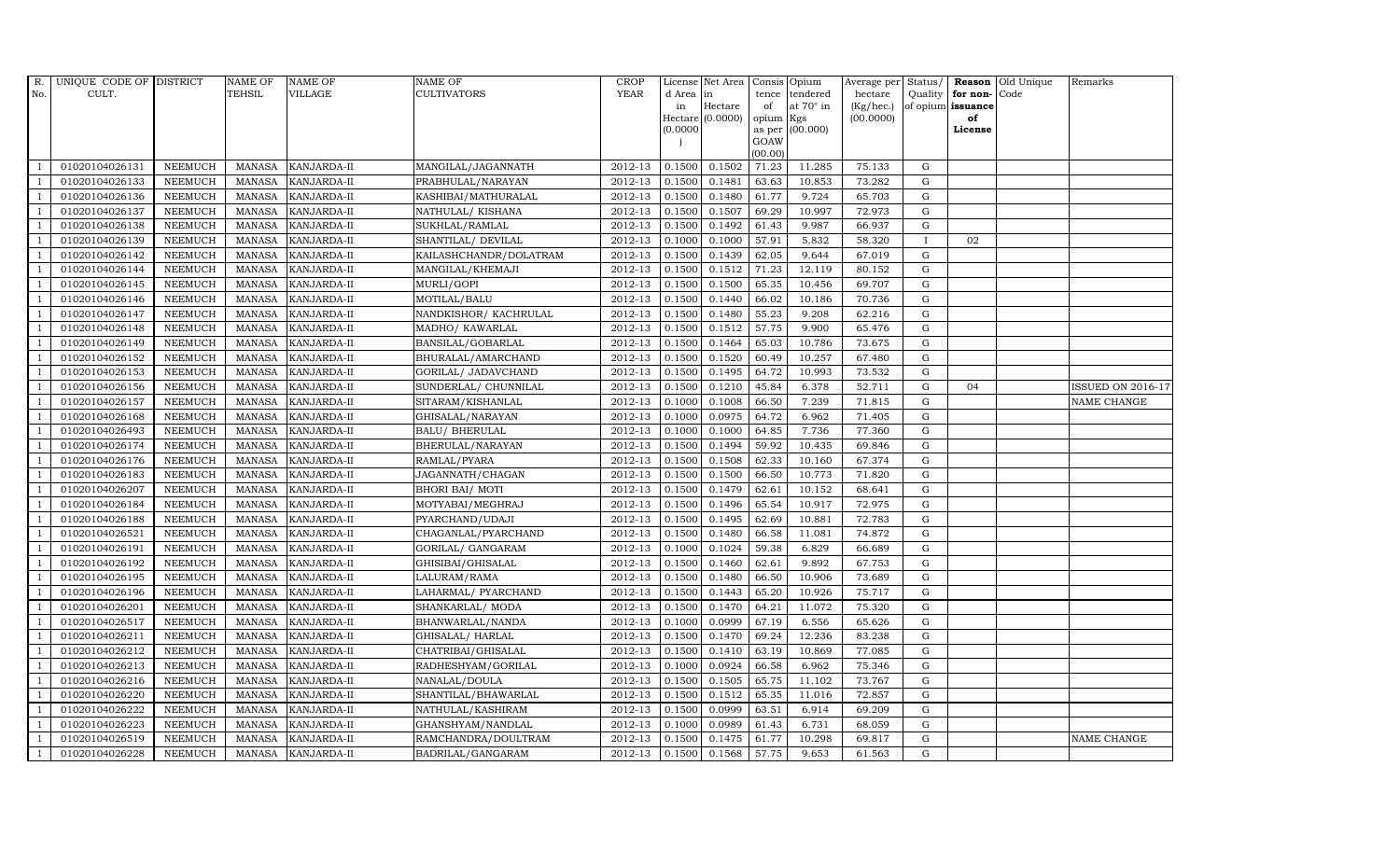| $R_{\cdot}$    | UNIQUE CODE OF DISTRICT |                | <b>NAME OF</b> | <b>NAME OF</b>     | <b>NAME OF</b>         | CROP        |           | License Net Area Consis Opium |           |                  | Average per | Status/      |                   | <b>Reason</b> Old Unique | Remarks                  |
|----------------|-------------------------|----------------|----------------|--------------------|------------------------|-------------|-----------|-------------------------------|-----------|------------------|-------------|--------------|-------------------|--------------------------|--------------------------|
| No.            | CULT.                   |                | <b>TEHSIL</b>  | <b>VILLAGE</b>     | <b>CULTIVATORS</b>     | <b>YEAR</b> | d Area in |                               |           | tence tendered   | hectare     | Quality      | for non-          | Code                     |                          |
|                |                         |                |                |                    |                        |             | in        | Hectare                       | of        | at $70^\circ$ in | (Kg/hec.)   |              | of opium issuance |                          |                          |
|                |                         |                |                |                    |                        |             |           | Hectare (0.0000)              | opium Kgs |                  | (00.0000)   |              | of<br>License     |                          |                          |
|                |                         |                |                |                    |                        |             | (0.0000)  |                               | GOAW      | as per (00.000)  |             |              |                   |                          |                          |
|                |                         |                |                |                    |                        |             |           |                               | (00.00)   |                  |             |              |                   |                          |                          |
|                | 01020104026131          | <b>NEEMUCH</b> | MANASA         | <b>KANJARDA-II</b> | MANGILAL/JAGANNATH     | 2012-13     | 0.1500    | 0.1502                        | 71.23     | 11.285           | 75.133      | $\mathbf G$  |                   |                          |                          |
| -1             | 01020104026133          | <b>NEEMUCH</b> | MANASA         | KANJARDA-II        | PRABHULAL/NARAYAN      | 2012-13     | 0.1500    | 0.1481                        | 63.63     | 10.853           | 73.282      | $\mathbf G$  |                   |                          |                          |
|                | 01020104026136          | <b>NEEMUCH</b> | <b>MANASA</b>  | KANJARDA-II        | KASHIBAI/MATHURALAL    | 2012-13     | 0.1500    | 0.1480                        | 61.77     | 9.724            | 65.703      | G            |                   |                          |                          |
|                | 01020104026137          | <b>NEEMUCH</b> | MANASA         | KANJARDA-II        | NATHULAL/KISHANA       | 2012-13     | 0.1500    | 0.1507                        | 69.29     | 10.997           | 72.973      | $\mathbf G$  |                   |                          |                          |
| $\overline{1}$ | 01020104026138          | <b>NEEMUCH</b> | <b>MANASA</b>  | KANJARDA-II        | SUKHLAL/RAMLAL         | 2012-13     | 0.1500    | 0.1492                        | 61.43     | 9.987            | 66.937      | ${\rm G}$    |                   |                          |                          |
| $\overline{1}$ | 01020104026139          | <b>NEEMUCH</b> | <b>MANASA</b>  | KANJARDA-II        | SHANTILAL/ DEVILAL     | 2012-13     | 0.1000    | 0.1000                        | 57.91     | 5.832            | 58.320      | $\mathbf{I}$ | 02                |                          |                          |
| $\overline{1}$ | 01020104026142          | <b>NEEMUCH</b> | MANASA         | KANJARDA-II        | KAILASHCHANDR/DOLATRAM | 2012-13     | 0.1500    | 0.1439                        | 62.05     | 9.644            | 67.019      | $\mathbf G$  |                   |                          |                          |
| $\overline{1}$ | 01020104026144          | <b>NEEMUCH</b> | <b>MANASA</b>  | KANJARDA-II        | MANGILAL/KHEMAJI       | 2012-13     | 0.1500    | 0.1512                        | 71.23     | 12.119           | 80.152      | $\mathbf G$  |                   |                          |                          |
|                | 01020104026145          | <b>NEEMUCH</b> | MANASA         | KANJARDA-II        | MURLI/GOPI             | 2012-13     | 0.1500    | 0.1500                        | 65.35     | 10.456           | 69.707      | $\mathbf G$  |                   |                          |                          |
|                | 01020104026146          | <b>NEEMUCH</b> | <b>MANASA</b>  | KANJARDA-II        | MOTILAL/BALU           | 2012-13     | 0.1500    | 0.1440                        | 66.02     | 10.186           | 70.736      | ${\rm G}$    |                   |                          |                          |
| $\overline{1}$ | 01020104026147          | <b>NEEMUCH</b> | <b>MANASA</b>  | KANJARDA-II        | NANDKISHOR/KACHRULAL   | 2012-13     | 0.1500    | 0.1480                        | 55.23     | 9.208            | 62.216      | ${\rm G}$    |                   |                          |                          |
| $\overline{1}$ | 01020104026148          | <b>NEEMUCH</b> | MANASA         | <b>KANJARDA-II</b> | MADHO/ KAWARLAL        | 2012-13     | 0.1500    | 0.1512                        | 57.75     | 9.900            | 65.476      | $\mathbf G$  |                   |                          |                          |
| $\overline{1}$ | 01020104026149          | <b>NEEMUCH</b> | <b>MANASA</b>  | KANJARDA-II        | BANSILAL/GOBARLAL      | 2012-13     | 0.1500    | 0.1464                        | 65.03     | 10.786           | 73.675      | $\mathbf G$  |                   |                          |                          |
|                | 01020104026152          | <b>NEEMUCH</b> | MANASA         | KANJARDA-II        | BHURALAL/AMARCHAND     | 2012-13     | 0.1500    | 0.1520                        | 60.49     | 10.257           | 67.480      | G            |                   |                          |                          |
| $\overline{1}$ | 01020104026153          | <b>NEEMUCH</b> | MANASA         | KANJARDA-II        | GORILAL/ JADAVCHAND    | 2012-13     | 0.1500    | 0.1495                        | 64.72     | 10.993           | 73.532      | G            |                   |                          |                          |
| -1             | 01020104026156          | <b>NEEMUCH</b> | MANASA         | KANJARDA-II        | SUNDERLAL/ CHUNNILAL   | 2012-13     | 0.1500    | 0.1210                        | 45.84     | 6.378            | 52.711      | ${\rm G}$    | 04                |                          | <b>ISSUED ON 2016-17</b> |
|                | 01020104026157          | <b>NEEMUCH</b> | MANASA         | KANJARDA-II        | SITARAM/KISHANLAL      | 2012-13     | 0.1000    | 0.1008                        | 66.50     | 7.239            | 71.815      | $\mathbf G$  |                   |                          | NAME CHANGE              |
| $\overline{1}$ | 01020104026168          | <b>NEEMUCH</b> | MANASA         | KANJARDA-II        | GHISALAL/NARAYAN       | 2012-13     | 0.1000    | 0.0975                        | 64.72     | 6.962            | 71.405      | G            |                   |                          |                          |
|                | 01020104026493          | <b>NEEMUCH</b> | MANASA         | KANJARDA-II        | <b>BALU/ BHERULAL</b>  | 2012-13     | 0.1000    | 0.1000                        | 64.85     | 7.736            | 77.360      | $\mathbf G$  |                   |                          |                          |
|                | 01020104026174          | <b>NEEMUCH</b> | <b>MANASA</b>  | KANJARDA-II        | BHERULAL/NARAYAN       | 2012-13     | 0.1500    | 0.1494                        | 59.92     | 10.435           | 69.846      | G            |                   |                          |                          |
| -1             | 01020104026176          | <b>NEEMUCH</b> | <b>MANASA</b>  | KANJARDA-II        | RAMLAL/PYARA           | 2012-13     | 0.1500    | 0.1508                        | 62.33     | 10.160           | 67.374      | G            |                   |                          |                          |
|                | 01020104026183          | <b>NEEMUCH</b> | MANASA         | KANJARDA-II        | JAGANNATH/CHAGAN       | 2012-13     | 0.1500    | 0.1500                        | 66.50     | 10.773           | 71.820      | ${\rm G}$    |                   |                          |                          |
| $\overline{1}$ | 01020104026207          | <b>NEEMUCH</b> | MANASA         | <b>KANJARDA-II</b> | <b>BHORI BAI/ MOTI</b> | 2012-13     | 0.1500    | 0.1479                        | 62.61     | 10.152           | 68.641      | G            |                   |                          |                          |
|                | 01020104026184          | <b>NEEMUCH</b> | <b>MANASA</b>  | KANJARDA-II        | MOTYABAI/MEGHRAJ       | 2012-13     | 0.1500    | 0.1496                        | 65.54     | 10.917           | 72.975      | $\mathbf G$  |                   |                          |                          |
|                | 01020104026188          | NEEMUCH        | <b>MANASA</b>  | KANJARDA-II        | PYARCHAND/UDAJI        | 2012-13     | 0.1500    | 0.1495                        | 62.69     | 10.881           | 72.783      | $\mathbf G$  |                   |                          |                          |
| -1             | 01020104026521          | <b>NEEMUCH</b> | <b>MANASA</b>  | KANJARDA-II        | CHAGANLAL/PYARCHAND    | 2012-13     | 0.1500    | 0.1480                        | 66.58     | 11.081           | 74.872      | G            |                   |                          |                          |
| $\overline{1}$ | 01020104026191          | <b>NEEMUCH</b> | <b>MANASA</b>  | KANJARDA-II        | GORILAL/ GANGARAM      | 2012-13     | 0.1000    | 0.1024                        | 59.38     | 6.829            | 66.689      | ${\rm G}$    |                   |                          |                          |
| $\overline{1}$ | 01020104026192          | <b>NEEMUCH</b> | MANASA         | <b>KANJARDA-II</b> | GHISIBAI/GHISALAL      | 2012-13     | 0.1500    | 0.1460                        | 62.61     | 9.892            | 67.753      | $\mathbf G$  |                   |                          |                          |
| $\overline{1}$ | 01020104026195          | <b>NEEMUCH</b> | MANASA         | KANJARDA-II        | LALURAM/RAMA           | 2012-13     | 0.1500    | 0.1480                        | 66.50     | 10.906           | 73.689      | $\mathbf G$  |                   |                          |                          |
|                | 01020104026196          | <b>NEEMUCH</b> | <b>MANASA</b>  | KANJARDA-II        | LAHARMAL/ PYARCHAND    | 2012-13     | 0.1500    | 0.1443                        | 65.20     | 10.926           | 75.717      | $\mathbf G$  |                   |                          |                          |
| $\overline{1}$ | 01020104026201          | <b>NEEMUCH</b> | MANASA         | <b>KANJARDA-II</b> | SHANKARLAL/ MODA       | 2012-13     | 0.1500    | 0.1470                        | 64.21     | 11.072           | 75.320      | G            |                   |                          |                          |
|                | 01020104026517          | <b>NEEMUCH</b> | MANASA         | KANJARDA-II        | BHANWARLAL/NANDA       | 2012-13     | 0.1000    | 0.0999                        | 67.19     | 6.556            | 65.626      | ${\rm G}$    |                   |                          |                          |
| $\overline{1}$ | 01020104026211          | <b>NEEMUCH</b> | MANASA         | KANJARDA-II        | GHISALAL/ HARLAL       | $2012 - 13$ | 0.1500    | 0.1470                        | 69.24     | 12.236           | 83.238      | ${\rm G}$    |                   |                          |                          |
| $\overline{1}$ | 01020104026212          | <b>NEEMUCH</b> | <b>MANASA</b>  | KANJARDA-II        | CHATRIBAI/GHISALAL     | 2012-13     | 0.1500    | 0.1410                        | 63.19     | 10.869           | 77.085      | $\mathbf G$  |                   |                          |                          |
|                | 01020104026213          | <b>NEEMUCH</b> | <b>MANASA</b>  | KANJARDA-II        | RADHESHYAM/GORILAL     | 2012-13     | 0.1000    | 0.0924                        | 66.58     | 6.962            | 75.346      | $\mathbf G$  |                   |                          |                          |
| $\overline{1}$ | 01020104026216          | <b>NEEMUCH</b> | <b>MANASA</b>  | KANJARDA-II        | NANALAL/DOULA          | 2012-13     | 0.1500    | 0.1505                        | 65.75     | 11.102           | 73.767      | ${\rm G}$    |                   |                          |                          |
| $\overline{1}$ | 01020104026220          | <b>NEEMUCH</b> | <b>MANASA</b>  | KANJARDA-II        | SHANTILAL/BHAWARLAL    | 2012-13     | 0.1500    | 0.1512                        | 65.35     | 11.016           | 72.857      | ${\rm G}$    |                   |                          |                          |
| 1              | 01020104026222          | <b>NEEMUCH</b> | MANASA         | KANJARDA-II        | NATHULAL/KASHIRAM      | $2012 - 13$ | 0.1500    | 0.0999                        | 63.51     | 6.914            | 69.209      | ${\rm G}$    |                   |                          |                          |
| $\overline{1}$ | 01020104026223          | <b>NEEMUCH</b> | <b>MANASA</b>  | KANJARDA-II        | GHANSHYAM/NANDLAL      | 2012-13     | 0.1000    | 0.0989                        | 61.43     | 6.731            | 68.059      | ${\rm G}$    |                   |                          |                          |
|                | 01020104026519          | <b>NEEMUCH</b> | <b>MANASA</b>  | KANJARDA-II        | RAMCHANDRA/DOULTRAM    | 2012-13     | 0.1500    | 0.1475                        | 61.77     | 10.298           | 69.817      | $\mathbf G$  |                   |                          | NAME CHANGE              |
| $\mathbf{1}$   | 01020104026228          | <b>NEEMUCH</b> |                | MANASA KANJARDA-II | BADRILAL/GANGARAM      | 2012-13     | 0.1500    | 0.1568                        | 57.75     | 9.653            | 61.563      | G            |                   |                          |                          |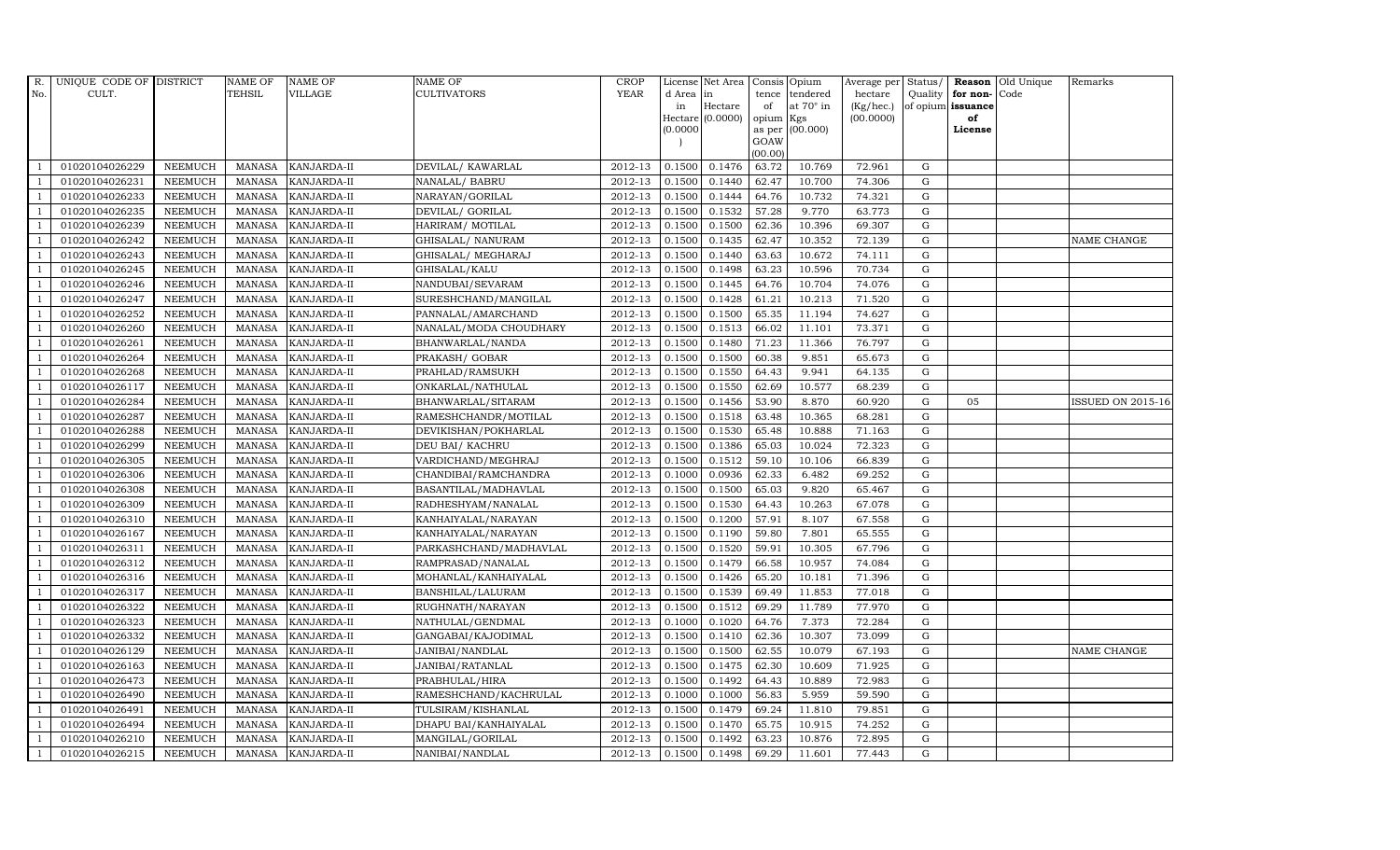| R.             | UNIQUE CODE OF DISTRICT |                | <b>NAME OF</b> | <b>NAME OF</b>     | <b>NAME OF</b>         | CROP    |           | License Net Area   Consis   Opium |           |                  | Average per | Status/     | Reason            | Old Unique | Remarks                  |
|----------------|-------------------------|----------------|----------------|--------------------|------------------------|---------|-----------|-----------------------------------|-----------|------------------|-------------|-------------|-------------------|------------|--------------------------|
| No.            | CULT.                   |                | <b>TEHSIL</b>  | <b>VILLAGE</b>     | <b>CULTIVATORS</b>     | YEAR    | d Area in |                                   |           | tence tendered   | hectare     | Quality     | for non-          | Code       |                          |
|                |                         |                |                |                    |                        |         | in        | Hectare                           | of        | at $70^\circ$ in | (Kg/hec.)   |             | of opium issuance |            |                          |
|                |                         |                |                |                    |                        |         |           | Hectare (0.0000)                  | opium Kgs |                  | (00.0000)   |             | of                |            |                          |
|                |                         |                |                |                    |                        |         | (0.0000)  |                                   | GOAW      | as per (00.000)  |             |             | License           |            |                          |
|                |                         |                |                |                    |                        |         |           |                                   | (00.00)   |                  |             |             |                   |            |                          |
|                | 01020104026229          | <b>NEEMUCH</b> | MANASA         | <b>KANJARDA-II</b> | DEVILAL/KAWARLAL       | 2012-13 | 0.1500    | 0.1476                            | 63.72     | 10.769           | 72.961      | ${\rm G}$   |                   |            |                          |
| -1             | 01020104026231          | <b>NEEMUCH</b> | MANASA         | <b>KANJARDA-II</b> | NANALAL/ BABRU         | 2012-13 | 0.1500    | 0.1440                            | 62.47     | 10.700           | 74.306      | $\mathbf G$ |                   |            |                          |
|                | 01020104026233          | <b>NEEMUCH</b> | <b>MANASA</b>  | KANJARDA-II        | NARAYAN/GORILAL        | 2012-13 | 0.1500    | 0.1444                            | 64.76     | 10.732           | 74.321      | G           |                   |            |                          |
|                | 01020104026235          | <b>NEEMUCH</b> | MANASA         | KANJARDA-II        | DEVILAL/ GORILAL       | 2012-13 | 0.1500    | 0.1532                            | 57.28     | 9.770            | 63.773      | $\mathbf G$ |                   |            |                          |
| $\overline{1}$ | 01020104026239          | <b>NEEMUCH</b> | <b>MANASA</b>  | KANJARDA-II        | HARIRAM/ MOTILAL       | 2012-13 | 0.1500    | 0.1500                            | 62.36     | 10.396           | 69.307      | ${\rm G}$   |                   |            |                          |
| $\overline{1}$ | 01020104026242          | <b>NEEMUCH</b> | <b>MANASA</b>  | KANJARDA-II        | GHISALAL/ NANURAM      | 2012-13 | 0.1500    | 0.1435                            | 62.47     | 10.352           | 72.139      | ${\rm G}$   |                   |            | NAME CHANGE              |
| $\overline{1}$ | 01020104026243          | <b>NEEMUCH</b> | <b>MANASA</b>  | KANJARDA-II        | GHISALAL/ MEGHARAJ     | 2012-13 | 0.1500    | 0.1440                            | 63.63     | 10.672           | 74.111      | $\mathbf G$ |                   |            |                          |
| $\overline{1}$ | 01020104026245          | <b>NEEMUCH</b> | <b>MANASA</b>  | KANJARDA-II        | GHISALAL/KALU          | 2012-13 | 0.1500    | 0.1498                            | 63.23     | 10.596           | 70.734      | $\mathbf G$ |                   |            |                          |
|                | 01020104026246          | <b>NEEMUCH</b> | <b>MANASA</b>  | KANJARDA-II        | NANDUBAI/SEVARAM       | 2012-13 | 0.1500    | 0.1445                            | 64.76     | 10.704           | 74.076      | $\mathbf G$ |                   |            |                          |
|                | 01020104026247          | <b>NEEMUCH</b> | <b>MANASA</b>  | KANJARDA-II        | SURESHCHAND/MANGILAL   | 2012-13 | 0.1500    | 0.1428                            | 61.21     | 10.213           | 71.520      | ${\rm G}$   |                   |            |                          |
| $\overline{1}$ | 01020104026252          | <b>NEEMUCH</b> | <b>MANASA</b>  | KANJARDA-II        | PANNALAL/AMARCHAND     | 2012-13 | 0.1500    | 0.1500                            | 65.35     | 11.194           | 74.627      | ${\rm G}$   |                   |            |                          |
| $\overline{1}$ | 01020104026260          | <b>NEEMUCH</b> | <b>MANASA</b>  | KANJARDA-II        | NANALAL/MODA CHOUDHARY | 2012-13 | 0.1500    | 0.1513                            | 66.02     | 11.101           | 73.371      | ${\rm G}$   |                   |            |                          |
| $\overline{1}$ | 01020104026261          | <b>NEEMUCH</b> | <b>MANASA</b>  | KANJARDA-II        | BHANWARLAL/NANDA       | 2012-13 | 0.1500    | 0.1480                            | 71.23     | 11.366           | 76.797      | $\mathbf G$ |                   |            |                          |
|                | 01020104026264          | <b>NEEMUCH</b> | <b>MANASA</b>  | KANJARDA-II        | PRAKASH/ GOBAR         | 2012-13 | 0.1500    | 0.1500                            | 60.38     | 9.851            | 65.673      | $\mathbf G$ |                   |            |                          |
| $\overline{1}$ | 01020104026268          | <b>NEEMUCH</b> | <b>MANASA</b>  | KANJARDA-II        | PRAHLAD/RAMSUKH        | 2012-13 | 0.1500    | 0.1550                            | 64.43     | 9.941            | 64.135      | G           |                   |            |                          |
| -1             | 01020104026117          | <b>NEEMUCH</b> | <b>MANASA</b>  | KANJARDA-II        | ONKARLAL/NATHULAL      | 2012-13 | 0.1500    | 0.1550                            | 62.69     | 10.577           | 68.239      | ${\rm G}$   |                   |            |                          |
|                | 01020104026284          | <b>NEEMUCH</b> | <b>MANASA</b>  | KANJARDA-II        | BHANWARLAL/SITARAM     | 2012-13 | 0.1500    | 0.1456                            | 53.90     | 8.870            | 60.920      | G           | 05                |            | <b>ISSUED ON 2015-16</b> |
| $\overline{1}$ | 01020104026287          | <b>NEEMUCH</b> | MANASA         | <b>KANJARDA-II</b> | RAMESHCHANDR/MOTILAL   | 2012-13 | 0.1500    | 0.1518                            | 63.48     | 10.365           | 68.281      | G           |                   |            |                          |
|                | 01020104026288          | <b>NEEMUCH</b> | <b>MANASA</b>  | KANJARDA-II        | DEVIKISHAN/POKHARLAL   | 2012-13 | 0.1500    | 0.1530                            | 65.48     | 10.888           | 71.163      | $\mathbf G$ |                   |            |                          |
|                | 01020104026299          | <b>NEEMUCH</b> | <b>MANASA</b>  | KANJARDA-II        | DEU BAI/ KACHRU        | 2012-13 | 0.1500    | 0.1386                            | 65.03     | 10.024           | 72.323      | G           |                   |            |                          |
| -1             | 01020104026305          | <b>NEEMUCH</b> | <b>MANASA</b>  | KANJARDA-II        | VARDICHAND/MEGHRAJ     | 2012-13 | 0.1500    | 0.1512                            | 59.10     | 10.106           | 66.839      | ${\rm G}$   |                   |            |                          |
| $\overline{1}$ | 01020104026306          | <b>NEEMUCH</b> | <b>MANASA</b>  | KANJARDA-II        | CHANDIBAI/RAMCHANDRA   | 2012-13 | 0.1000    | 0.0936                            | 62.33     | 6.482            | 69.252      | ${\rm G}$   |                   |            |                          |
| $\overline{1}$ | 01020104026308          | <b>NEEMUCH</b> | MANASA         | <b>KANJARDA-II</b> | BASANTILAL/MADHAVLAL   | 2012-13 | 0.1500    | 0.1500                            | 65.03     | 9.820            | 65.467      | G           |                   |            |                          |
|                | 01020104026309          | <b>NEEMUCH</b> | <b>MANASA</b>  | KANJARDA-II        | RADHESHYAM/NANALAL     | 2012-13 | 0.1500    | 0.1530                            | 64.43     | 10.263           | 67.078      | $\mathbf G$ |                   |            |                          |
|                | 01020104026310          | <b>NEEMUCH</b> | <b>MANASA</b>  | KANJARDA-II        | KANHAIYALAL/NARAYAN    | 2012-13 | 0.1500    | 0.1200                            | 57.91     | 8.107            | 67.558      | $\mathbf G$ |                   |            |                          |
| - 1            | 01020104026167          | <b>NEEMUCH</b> | <b>MANASA</b>  | KANJARDA-II        | KANHAIYALAL/NARAYAN    | 2012-13 | 0.1500    | 0.1190                            | 59.80     | 7.801            | 65.555      | G           |                   |            |                          |
| $\overline{1}$ | 01020104026311          | <b>NEEMUCH</b> | <b>MANASA</b>  | KANJARDA-II        | PARKASHCHAND/MADHAVLAL | 2012-13 | 0.1500    | 0.1520                            | 59.91     | 10.305           | 67.796      | ${\rm G}$   |                   |            |                          |
| $\overline{1}$ | 01020104026312          | <b>NEEMUCH</b> | MANASA         | <b>KANJARDA-II</b> | RAMPRASAD/NANALAL      | 2012-13 | 0.1500    | 0.1479                            | 66.58     | 10.957           | 74.084      | G           |                   |            |                          |
| $\overline{1}$ | 01020104026316          | <b>NEEMUCH</b> | <b>MANASA</b>  | KANJARDA-II        | MOHANLAL/KANHAIYALAL   | 2012-13 | 0.1500    | 0.1426                            | 65.20     | 10.181           | 71.396      | $\mathbf G$ |                   |            |                          |
|                | 01020104026317          | <b>NEEMUCH</b> | <b>MANASA</b>  | KANJARDA-II        | BANSHILAL/LALURAM      | 2012-13 | 0.1500    | 0.1539                            | 69.49     | 11.853           | 77.018      | $\mathbf G$ |                   |            |                          |
| $\overline{1}$ | 01020104026322          | <b>NEEMUCH</b> | <b>MANASA</b>  | KANJARDA-II        | RUGHNATH/NARAYAN       | 2012-13 | 0.1500    | 0.1512                            | 69.29     | 11.789           | 77.970      | G           |                   |            |                          |
|                | 01020104026323          | <b>NEEMUCH</b> | <b>MANASA</b>  | KANJARDA-II        | NATHULAL/GENDMAL       | 2012-13 | 0.1000    | 0.1020                            | 64.76     | 7.373            | 72.284      | ${\rm G}$   |                   |            |                          |
| $\overline{1}$ | 01020104026332          | <b>NEEMUCH</b> | <b>MANASA</b>  | KANJARDA-II        | GANGABAI/KAJODIMAL     | 2012-13 | 0.1500    | 0.1410                            | 62.36     | 10.307           | 73.099      | $\mathbf G$ |                   |            |                          |
| $\overline{1}$ | 01020104026129          | <b>NEEMUCH</b> | <b>MANASA</b>  | KANJARDA-II        | JANIBAI/NANDLAL        | 2012-13 | 0.1500    | 0.1500                            | 62.55     | 10.079           | 67.193      | $\mathbf G$ |                   |            | NAME CHANGE              |
|                | 01020104026163          | <b>NEEMUCH</b> | <b>MANASA</b>  | KANJARDA-II        | JANIBAI/RATANLAL       | 2012-13 | 0.1500    | 0.1475                            | 62.30     | 10.609           | 71.925      | $\mathbf G$ |                   |            |                          |
| $\overline{1}$ | 01020104026473          | <b>NEEMUCH</b> | <b>MANASA</b>  | KANJARDA-II        | PRABHULAL/HIRA         | 2012-13 | 0.1500    | 0.1492                            | 64.43     | 10.889           | 72.983      | ${\rm G}$   |                   |            |                          |
| $\overline{1}$ | 01020104026490          | <b>NEEMUCH</b> | <b>MANASA</b>  | KANJARDA-II        | RAMESHCHAND/KACHRULAL  | 2012-13 | 0.1000    | 0.1000                            | 56.83     | 5.959            | 59.590      | ${\rm G}$   |                   |            |                          |
| $\overline{1}$ | 01020104026491          | NEEMUCH        | <b>MANASA</b>  | KANJARDA-II        | TULSIRAM/KISHANLAL     | 2012-13 | 0.1500    | 0.1479                            | 69.24     | 11.810           | 79.851      | $\mathbf G$ |                   |            |                          |
| $\overline{1}$ | 01020104026494          | <b>NEEMUCH</b> | <b>MANASA</b>  | KANJARDA-II        | DHAPU BAI/KANHAIYALAL  | 2012-13 | 0.1500    | 0.1470                            | 65.75     | 10.915           | 74.252      | $\mathbf G$ |                   |            |                          |
|                | 01020104026210          | <b>NEEMUCH</b> | <b>MANASA</b>  | KANJARDA-II        | MANGILAL/GORILAL       | 2012-13 | 0.1500    | 0.1492                            | 63.23     | 10.876           | 72.895      | $\mathbf G$ |                   |            |                          |
| $\mathbf{1}$   | 01020104026215          | <b>NEEMUCH</b> |                | MANASA KANJARDA-II | NANIBAI/NANDLAL        | 2012-13 | 0.1500    | 0.1498                            | 69.29     | 11.601           | 77.443      | G           |                   |            |                          |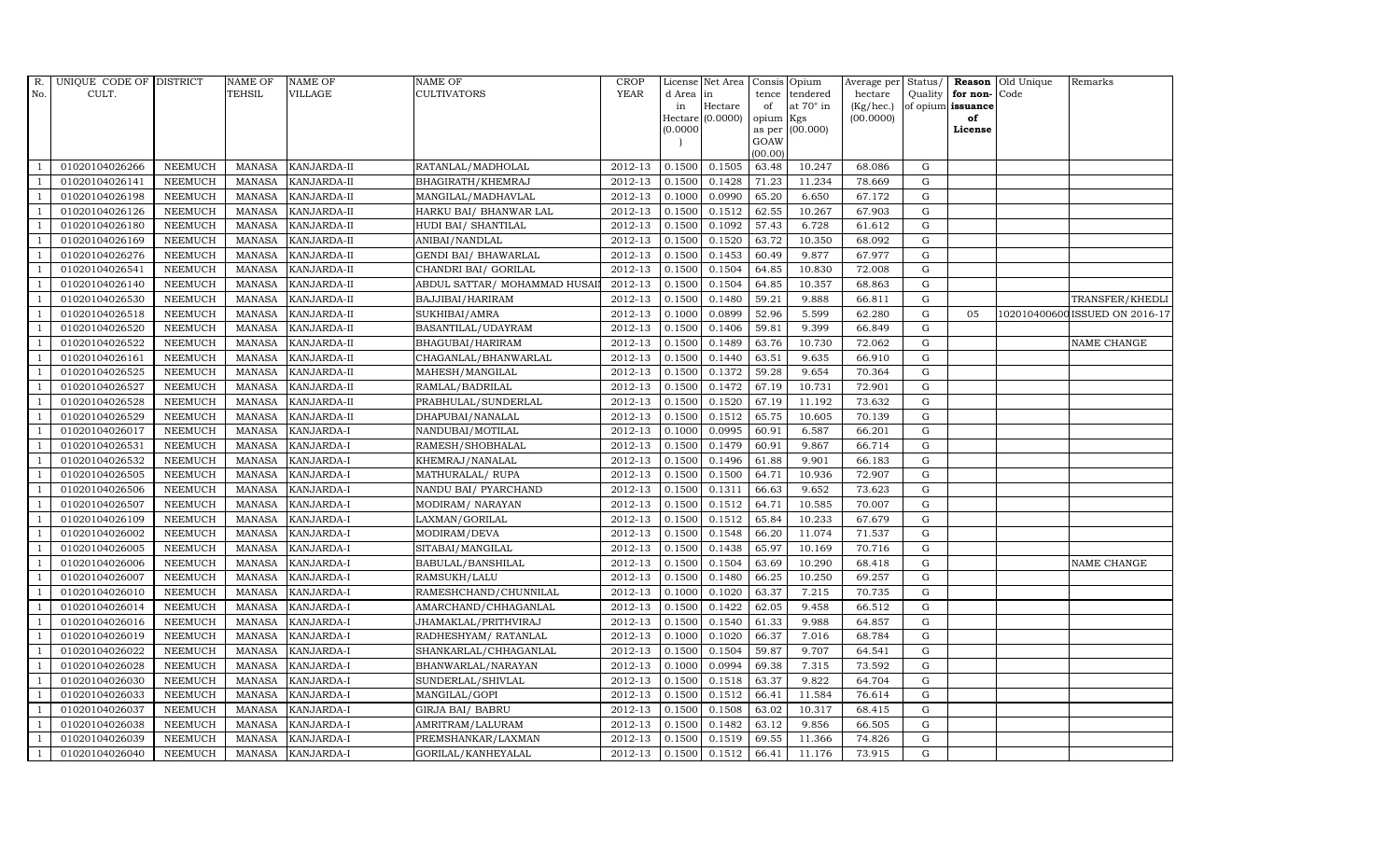| R.             | UNIQUE CODE OF DISTRICT |                | <b>NAME OF</b>  | <b>NAME OF</b>     | <b>NAME OF</b>               | CROP                   |          | License Net Area   |           | Consis Opium     | Average per | Status/     |                      | <b>Reason</b> Old Unique | Remarks                        |
|----------------|-------------------------|----------------|-----------------|--------------------|------------------------------|------------------------|----------|--------------------|-----------|------------------|-------------|-------------|----------------------|--------------------------|--------------------------------|
| No.            | CULT.                   |                | TEHSIL          | VILLAGE            | <b>CULTIVATORS</b>           | <b>YEAR</b>            | d Area   | in                 | tence     | tendered         | hectare     |             | Quality $ $ for non- | Code                     |                                |
|                |                         |                |                 |                    |                              |                        | in       | Hectare            | of        | at $70^\circ$ in | (Kg/hec.)   |             | of opium issuance    |                          |                                |
|                |                         |                |                 |                    |                              |                        |          | Hectare $(0.0000)$ | opium Kgs |                  | (00.0000)   |             | of                   |                          |                                |
|                |                         |                |                 |                    |                              |                        | (0.0000) |                    | GOAW      | as per (00.000)  |             |             | License              |                          |                                |
|                |                         |                |                 |                    |                              |                        |          |                    | (00.00)   |                  |             |             |                      |                          |                                |
|                | 01020104026266          | <b>NEEMUCH</b> | MANASA          | <b>KANJARDA-II</b> | RATANLAL/MADHOLAL            | 2012-13                | 0.1500   | 0.1505             | 63.48     | 10.247           | 68.086      | G           |                      |                          |                                |
| -1             | 01020104026141          | <b>NEEMUCH</b> | MANASA          | <b>KANJARDA-II</b> | BHAGIRATH/KHEMRAJ            | 2012-13                | 0.1500   | 0.1428             | 71.23     | 11.234           | 78.669      | ${\rm G}$   |                      |                          |                                |
|                | 01020104026198          | <b>NEEMUCH</b> | <b>MANASA</b>   | KANJARDA-II        | MANGILAL/MADHAVLAL           | 2012-13                | 0.1000   | 0.0990             | 65.20     | 6.650            | 67.172      | G           |                      |                          |                                |
|                | 01020104026126          | <b>NEEMUCH</b> | MANASA          | KANJARDA-II        | HARKU BAI/ BHANWAR LAL       | 2012-13                | 0.1500   | 0.1512             | 62.55     | 10.267           | 67.903      | G           |                      |                          |                                |
| $\overline{1}$ | 01020104026180          | <b>NEEMUCH</b> | <b>MANASA</b>   | KANJARDA-II        | HUDI BAI/ SHANTILAL          | 2012-13                | 0.1500   | 0.1092             | 57.43     | 6.728            | 61.612      | G           |                      |                          |                                |
| $\overline{1}$ | 01020104026169          | NEEMUCH        | <b>MANASA</b>   | KANJARDA-II        | ANIBAI/NANDLAL               | 2012-13                | 0.1500   | 0.1520             | 63.72     | 10.350           | 68.092      | G           |                      |                          |                                |
| $\overline{1}$ | 01020104026276          | <b>NEEMUCH</b> | MANASA          | KANJARDA-II        | <b>GENDI BAI/ BHAWARLAL</b>  | 2012-13                | 0.1500   | 0.1453             | 60.49     | 9.877            | 67.977      | ${\rm G}$   |                      |                          |                                |
| $\overline{1}$ | 01020104026541          | <b>NEEMUCH</b> | <b>MANASA</b>   | KANJARDA-II        | CHANDRI BAI / GORILAL        | 2012-13                | 0.1500   | 0.1504             | 64.85     | 10.830           | 72.008      | ${\rm G}$   |                      |                          |                                |
|                | 01020104026140          | <b>NEEMUCH</b> | <b>MANASA</b>   | KANJARDA-II        | ABDUL SATTAR/ MOHAMMAD HUSAI | 2012-13                | 0.1500   | 0.1504             | 64.85     | 10.357           | 68.863      | $\mathbf G$ |                      |                          |                                |
|                | 01020104026530          | <b>NEEMUCH</b> | <b>MANASA</b>   | KANJARDA-II        | BAJJIBAI/HARIRAM             | 2012-13                | 0.1500   | 0.1480             | 59.21     | 9.888            | 66.811      | ${\bf G}$   |                      |                          | TRANSFER/KHEDLI                |
| $\overline{1}$ | 01020104026518          | <b>NEEMUCH</b> | <b>MANASA</b>   | KANJARDA-II        | SUKHIBAI/AMRA                | 2012-13                | 0.1000   | 0.0899             | 52.96     | 5.599            | 62.280      | G           | 05                   |                          | 102010400600 ISSUED ON 2016-17 |
| $\overline{1}$ | 01020104026520          | <b>NEEMUCH</b> | MANASA          | KANJARDA-II        | BASANTILAL/UDAYRAM           | 2012-13                | 0.1500   | 0.1406             | 59.81     | 9.399            | 66.849      | G           |                      |                          |                                |
| $\overline{1}$ | 01020104026522          | <b>NEEMUCH</b> | <b>MANASA</b>   | KANJARDA-II        | BHAGUBAI/HARIRAM             | 2012-13                | 0.1500   | 0.1489             | 63.76     | 10.730           | 72.062      | $\mathbf G$ |                      |                          | NAME CHANGE                    |
|                | 01020104026161          | <b>NEEMUCH</b> | <b>MANASA</b>   | KANJARDA-II        | CHAGANLAL/BHANWARLAL         | 2012-13                | 0.1500   | 0.1440             | 63.51     | 9.635            | 66.910      | G           |                      |                          |                                |
| $\overline{1}$ | 01020104026525          | <b>NEEMUCH</b> | MANASA          | KANJARDA-II        | MAHESH/MANGILAL              | 2012-13                | 0.1500   | 0.1372             | 59.28     | 9.654            | 70.364      | G           |                      |                          |                                |
| $\overline{1}$ | 01020104026527          | <b>NEEMUCH</b> | <b>MANASA</b>   | KANJARDA-II        | RAMLAL/BADRILAL              | 2012-13                | 0.1500   | 0.1472             | 67.19     | 10.731           | 72.901      | G           |                      |                          |                                |
|                | 01020104026528          | <b>NEEMUCH</b> | MANASA          | KANJARDA-II        | PRABHULAL/SUNDERLAL          | $2012 - 13$            | 0.1500   | 0.1520             | 67.19     | 11.192           | 73.632      | G           |                      |                          |                                |
| $\overline{1}$ | 01020104026529          | <b>NEEMUCH</b> | MANASA          | KANJARDA-II        | DHAPUBAI/NANALAL             | 2012-13                | 0.1500   | 0.1512             | 65.75     | 10.605           | 70.139      | G           |                      |                          |                                |
|                | 01020104026017          | <b>NEEMUCH</b> | <b>MANASA</b>   | KANJARDA-I         | NANDUBAI/MOTILAL             | 2012-13                | 0.1000   | 0.0995             | 60.91     | 6.587            | 66.201      | G           |                      |                          |                                |
|                | 01020104026531          | <b>NEEMUCH</b> | <b>MANASA</b>   | KANJARDA-I         | RAMESH/SHOBHALAL             | 2012-13                | 0.1500   | 0.1479             | 60.91     | 9.867            | 66.714      | G           |                      |                          |                                |
| -1             | 01020104026532          | <b>NEEMUCH</b> | <b>MANASA</b>   | KANJARDA-I         | KHEMRAJ/NANALAL              | 2012-13                | 0.1500   | 0.1496             | 61.88     | 9.901            | 66.183      | G           |                      |                          |                                |
|                | 01020104026505          | <b>NEEMUCH</b> | <b>MANASA</b>   | KANJARDA-I         | MATHURALAL/ RUPA             | 2012-13                | 0.1500   | 0.1500             | 64.71     | 10.936           | 72.907      | G           |                      |                          |                                |
| $\overline{1}$ | 01020104026506          | <b>NEEMUCH</b> | MANASA          | KANJARDA-I         | NANDU BAI/ PYARCHAND         | 2012-13                | 0.1500   | 0.1311             | 66.63     | 9.652            | 73.623      | G           |                      |                          |                                |
|                | 01020104026507          | <b>NEEMUCH</b> | <b>MANASA</b>   | KANJARDA-I         | MODIRAM/ NARAYAN             | 2012-13                | 0.1500   | 0.1512             | 64.71     | 10.585           | 70.007      | $\mathbf G$ |                      |                          |                                |
|                | 01020104026109          | <b>NEEMUCH</b> | $\mbox{MANASA}$ | KANJARDA-I         | LAXMAN/GORILAL               | 2012-13                | 0.1500   | 0.1512             | 65.84     | 10.233           | 67.679      | G           |                      |                          |                                |
| - 1            | 01020104026002          | <b>NEEMUCH</b> | <b>MANASA</b>   | KANJARDA-I         | MODIRAM/DEVA                 | 2012-13                | 0.1500   | 0.1548             | 66.20     | 11.074           | 71.537      | G           |                      |                          |                                |
| $\overline{1}$ | 01020104026005          | <b>NEEMUCH</b> | <b>MANASA</b>   | KANJARDA-I         | SITABAI/MANGILAL             | 2012-13                | 0.1500   | 0.1438             | 65.97     | 10.169           | 70.716      | G           |                      |                          |                                |
| $\overline{1}$ | 01020104026006          | <b>NEEMUCH</b> | MANASA          | KANJARDA-I         | BABULAL/BANSHILAL            | 2012-13                | 0.1500   | 0.1504             | 63.69     | 10.290           | 68.418      | G           |                      |                          | NAME CHANGE                    |
| $\overline{1}$ | 01020104026007          | <b>NEEMUCH</b> | <b>MANASA</b>   | KANJARDA-I         | RAMSUKH/LALU                 | 2012-13                | 0.1500   | 0.1480             | 66.25     | 10.250           | 69.257      | $\mathbf G$ |                      |                          |                                |
|                | 01020104026010          | <b>NEEMUCH</b> | <b>MANASA</b>   | KANJARDA-I         | RAMESHCHAND/CHUNNILAL        | 2012-13                | 0.1000   | 0.1020             | 63.37     | 7.215            | 70.735      | G           |                      |                          |                                |
| $\overline{1}$ | 01020104026014          | <b>NEEMUCH</b> | MANASA          | <b>KANJARDA-I</b>  | AMARCHAND/CHHAGANLAL         | 2012-13                | 0.1500   | 0.1422             | 62.05     | 9.458            | 66.512      | G           |                      |                          |                                |
|                | 01020104026016          | <b>NEEMUCH</b> | <b>MANASA</b>   | KANJARDA-I         | JHAMAKLAL/PRITHVIRAJ         | 2012-13                | 0.1500   | 0.1540             | 61.33     | 9.988            | 64.857      | G           |                      |                          |                                |
| $\overline{1}$ | 01020104026019          | <b>NEEMUCH</b> | <b>MANASA</b>   | KANJARDA-I         | RADHESHYAM/ RATANLAL         | 2012-13                | 0.1000   | 0.1020             | 66.37     | 7.016            | 68.784      | ${\rm G}$   |                      |                          |                                |
| $\overline{1}$ | 01020104026022          | <b>NEEMUCH</b> | <b>MANASA</b>   | KANJARDA-I         | SHANKARLAL/CHHAGANLAL        | 2012-13                | 0.1500   | 0.1504             | 59.87     | 9.707            | 64.541      | $\mathbf G$ |                      |                          |                                |
|                | 01020104026028          | <b>NEEMUCH</b> | <b>MANASA</b>   | KANJARDA-I         | BHANWARLAL/NARAYAN           | 2012-13                | 0.1000   | 0.0994             | 69.38     | 7.315            | 73.592      | $\mathbf G$ |                      |                          |                                |
| $\overline{1}$ | 01020104026030          | <b>NEEMUCH</b> | <b>MANASA</b>   | KANJARDA-I         | SUNDERLAL/SHIVLAL            | 2012-13                | 0.1500   | 0.1518             | 63.37     | 9.822            | 64.704      | G           |                      |                          |                                |
|                | 01020104026033          | <b>NEEMUCH</b> | <b>MANASA</b>   | KANJARDA-I         | MANGILAL/GOPI                | 2012-13                | 0.1500   | 0.1512             | 66.41     | 11.584           | 76.614      | ${\rm G}$   |                      |                          |                                |
| $\overline{1}$ | 01020104026037          | <b>NEEMUCH</b> | <b>MANASA</b>   | KANJARDA-I         | <b>GIRJA BAI/ BABRU</b>      | $\overline{2012} - 13$ | 0.1500   | 0.1508             | 63.02     | 10.317           | 68.415      | ${\rm G}$   |                      |                          |                                |
| $\overline{1}$ | 01020104026038          | <b>NEEMUCH</b> | <b>MANASA</b>   | KANJARDA-I         | AMRITRAM/LALURAM             | 2012-13                | 0.1500   | 0.1482             | 63.12     | 9.856            | 66.505      | G           |                      |                          |                                |
|                | 01020104026039          | <b>NEEMUCH</b> | <b>MANASA</b>   | KANJARDA-I         | PREMSHANKAR/LAXMAN           | 2012-13                | 0.1500   | 0.1519             | 69.55     | 11.366           | 74.826      | $\mathbf G$ |                      |                          |                                |
| $\mathbf{1}$   | 01020104026040          | <b>NEEMUCH</b> |                 | MANASA KANJARDA-I  | GORILAL/KANHEYALAL           | 2012-13                | 0.1500   | 0.1512             | 66.41     | 11.176           | 73.915      | G           |                      |                          |                                |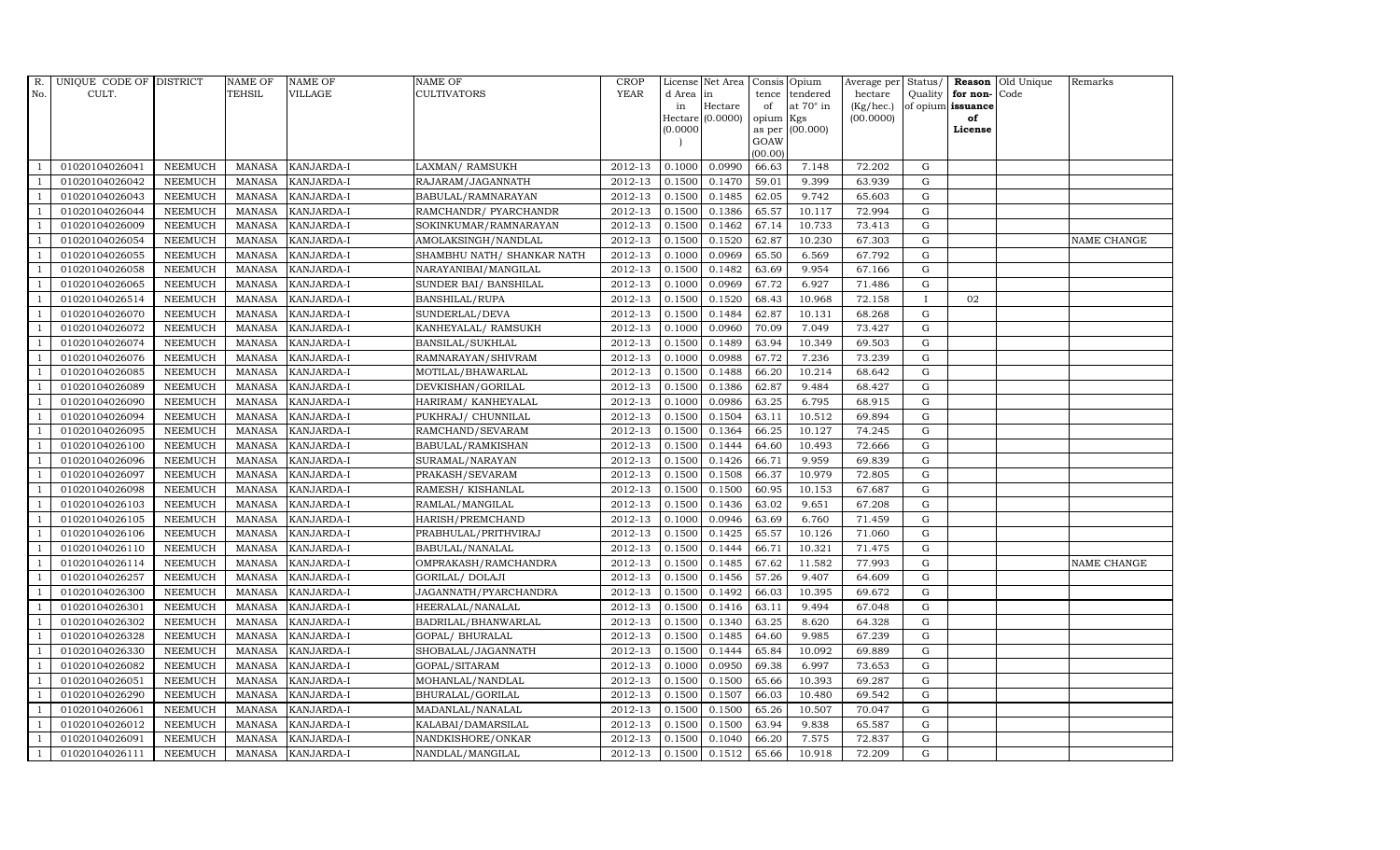| $R_{\cdot}$    | UNIQUE CODE OF DISTRICT |                | <b>NAME OF</b> | <b>NAME OF</b>    | <b>NAME OF</b>              | CROP        |           | License Net Area   |           | Consis Opium     | Average per Status/ |             |                      | <b>Reason</b> Old Unique | Remarks     |
|----------------|-------------------------|----------------|----------------|-------------------|-----------------------------|-------------|-----------|--------------------|-----------|------------------|---------------------|-------------|----------------------|--------------------------|-------------|
| No.            | CULT.                   |                | TEHSIL         | VILLAGE           | <b>CULTIVATORS</b>          | <b>YEAR</b> | d Area in |                    | tence     | tendered         | hectare             |             | Quality $ $ for non- | Code                     |             |
|                |                         |                |                |                   |                             |             | in        | Hectare            | of        | at $70^\circ$ in | (Kg/hec.)           |             | of opium issuance    |                          |             |
|                |                         |                |                |                   |                             |             |           | Hectare $(0.0000)$ | opium Kgs |                  | (00.0000)           |             | of                   |                          |             |
|                |                         |                |                |                   |                             |             | (0.0000)  |                    | GOAW      | as per (00.000)  |                     |             | License              |                          |             |
|                |                         |                |                |                   |                             |             |           |                    | (00.00)   |                  |                     |             |                      |                          |             |
|                | 01020104026041          | <b>NEEMUCH</b> | MANASA         | <b>KANJARDA-I</b> | LAXMAN/RAMSUKH              | 2012-13     | 0.1000    | 0.0990             | 66.63     | 7.148            | 72.202              | G           |                      |                          |             |
| $\overline{1}$ | 01020104026042          | <b>NEEMUCH</b> | MANASA         | <b>KANJARDA-I</b> | RAJARAM/JAGANNATH           | 2012-13     | 0.1500    | 0.1470             | 59.01     | 9.399            | 63.939              | G           |                      |                          |             |
|                | 01020104026043          | <b>NEEMUCH</b> | <b>MANASA</b>  | KANJARDA-I        | BABULAL/RAMNARAYAN          | 2012-13     | 0.1500    | 0.1485             | 62.05     | 9.742            | 65.603              | G           |                      |                          |             |
|                | 01020104026044          | <b>NEEMUCH</b> | MANASA         | <b>KANJARDA-I</b> | RAMCHANDR/ PYARCHANDR       | 2012-13     | 0.1500    | 0.1386             | 65.57     | 10.117           | 72.994              | G           |                      |                          |             |
| $\overline{1}$ | 01020104026009          | <b>NEEMUCH</b> | <b>MANASA</b>  | KANJARDA-I        | SOKINKUMAR/RAMNARAYAN       | 2012-13     | 0.1500    | 0.1462             | 67.14     | 10.733           | 73.413              | G           |                      |                          |             |
| -1             | 01020104026054          | <b>NEEMUCH</b> | MANASA         | KANJARDA-I        | AMOLAKSINGH/NANDLAL         | 2012-13     | 0.1500    | 0.1520             | 62.87     | 10.230           | 67.303              | G           |                      |                          | NAME CHANGE |
| $\overline{1}$ | 01020104026055          | <b>NEEMUCH</b> | MANASA         | KANJARDA-I        | SHAMBHU NATH / SHANKAR NATH | 2012-13     | 0.1000    | 0.0969             | 65.50     | 6.569            | 67.792              | G           |                      |                          |             |
| $\overline{1}$ | 01020104026058          | <b>NEEMUCH</b> | <b>MANASA</b>  | KANJARDA-I        | NARAYANIBAI/MANGILAL        | 2012-13     | 0.1500    | 0.1482             | 63.69     | 9.954            | 67.166              | $\mathbf G$ |                      |                          |             |
| $\overline{1}$ | 01020104026065          | <b>NEEMUCH</b> | MANASA         | KANJARDA-I        | SUNDER BAI/ BANSHILAL       | 2012-13     | 0.1000    | 0.0969             | 67.72     | 6.927            | 71.486              | G           |                      |                          |             |
| $\overline{1}$ | 01020104026514          | <b>NEEMUCH</b> | <b>MANASA</b>  | KANJARDA-I        | BANSHILAL/RUPA              | 2012-13     | 0.1500    | 0.1520             | 68.43     | 10.968           | 72.158              | $\bf{I}$    | 02                   |                          |             |
| $\overline{1}$ | 01020104026070          | <b>NEEMUCH</b> | <b>MANASA</b>  | KANJARDA-I        | SUNDERLAL/DEVA              | 2012-13     | 0.1500    | 0.1484             | 62.87     | 10.131           | 68.268              | G           |                      |                          |             |
| $\overline{1}$ | 01020104026072          | <b>NEEMUCH</b> | MANASA         | KANJARDA-I        | KANHEYALAL/ RAMSUKH         | 2012-13     | 0.1000    | 0.0960             | 70.09     | 7.049            | 73.427              | G           |                      |                          |             |
| $\overline{1}$ | 01020104026074          | <b>NEEMUCH</b> | MANASA         | KANJARDA-I        | BANSILAL/SUKHLAL            | 2012-13     | 0.1500    | 0.1489             | 63.94     | 10.349           | 69.503              | G           |                      |                          |             |
|                | 01020104026076          | <b>NEEMUCH</b> | MANASA         | KANJARDA-I        | RAMNARAYAN/SHIVRAM          | 2012-13     | 0.1000    | 0.0988             | 67.72     | 7.236            | 73.239              | G           |                      |                          |             |
| $\overline{1}$ | 01020104026085          | <b>NEEMUCH</b> | <b>MANASA</b>  | KANJARDA-I        | MOTILAL/BHAWARLAL           | 2012-13     | 0.1500    | 0.1488             | 66.20     | 10.214           | 68.642              | G           |                      |                          |             |
| $\overline{1}$ | 01020104026089          | <b>NEEMUCH</b> | <b>MANASA</b>  | KANJARDA-I        | DEVKISHAN/GORILAL           | 2012-13     | 0.1500    | 0.1386             | 62.87     | 9.484            | 68.427              | G           |                      |                          |             |
| $\overline{1}$ | 01020104026090          | <b>NEEMUCH</b> | MANASA         | KANJARDA-I        | HARIRAM/ KANHEYALAL         | 2012-13     | 0.1000    | 0.0986             | 63.25     | 6.795            | 68.915              | ${\rm G}$   |                      |                          |             |
| $\overline{1}$ | 01020104026094          | <b>NEEMUCH</b> | <b>MANASA</b>  | KANJARDA-I        | PUKHRAJ/ CHUNNILAL          | 2012-13     | 0.1500    | 0.1504             | 63.11     | 10.512           | 69.894              | $\mathbf G$ |                      |                          |             |
|                | 01020104026095          | <b>NEEMUCH</b> | MANASA         | KANJARDA-I        | RAMCHAND/SEVARAM            | 2012-13     | 0.1500    | 0.1364             | 66.25     | 10.127           | 74.245              | G           |                      |                          |             |
|                | 01020104026100          | <b>NEEMUCH</b> | <b>MANASA</b>  | KANJARDA-I        | BABULAL/RAMKISHAN           | 2012-13     | 0.1500    | 0.1444             | 64.60     | 10.493           | 72.666              | G           |                      |                          |             |
| $\overline{1}$ | 01020104026096          | <b>NEEMUCH</b> | <b>MANASA</b>  | KANJARDA-I        | SURAMAL/NARAYAN             | 2012-13     | 0.1500    | 0.1426             | 66.71     | 9.959            | 69.839              | G           |                      |                          |             |
| $\overline{1}$ | 01020104026097          | <b>NEEMUCH</b> | MANASA         | KANJARDA-I        | PRAKASH/SEVARAM             | 2012-13     | 0.1500    | 0.1508             | 66.37     | 10.979           | 72.805              | ${\rm G}$   |                      |                          |             |
| $\overline{1}$ | 01020104026098          | <b>NEEMUCH</b> | MANASA         | KANJARDA-I        | RAMESH/KISHANLAL            | 2012-13     | 0.1500    | 0.1500             | 60.95     | 10.153           | 67.687              | G           |                      |                          |             |
|                | 01020104026103          | <b>NEEMUCH</b> | MANASA         | <b>KANJARDA-I</b> | RAMLAL/MANGILAL             | 2012-13     | 0.1500    | 0.1436             | 63.02     | 9.651            | 67.208              | G           |                      |                          |             |
|                | 01020104026105          | <b>NEEMUCH</b> | <b>MANASA</b>  | KANJARDA-I        | HARISH/PREMCHAND            | 2012-13     | 0.1000    | 0.0946             | 63.69     | 6.760            | 71.459              | $\mathbf G$ |                      |                          |             |
| $\overline{1}$ | 01020104026106          | <b>NEEMUCH</b> | <b>MANASA</b>  | KANJARDA-I        | PRABHULAL/PRITHVIRAJ        | 2012-13     | 0.1500    | 0.1425             | 65.57     | 10.126           | 71.060              | G           |                      |                          |             |
|                | 01020104026110          | <b>NEEMUCH</b> | MANASA         | KANJARDA-I        | BABULAL/NANALAL             | 2012-13     | 0.1500    | 0.1444             | 66.71     | 10.321           | 71.475              | ${\rm G}$   |                      |                          |             |
| $\overline{1}$ | 01020104026114          | <b>NEEMUCH</b> | MANASA         | <b>KANJARDA-I</b> | OMPRAKASH/RAMCHANDRA        | 2012-13     | 0.1500    | 0.1485             | 67.62     | 11.582           | 77.993              | G           |                      |                          | NAME CHANGE |
|                | 01020104026257          | <b>NEEMUCH</b> | <b>MANASA</b>  | <b>KANJARDA-I</b> | GORILAL/ DOLAJI             | 2012-13     | 0.1500    | 0.1456             | 57.26     | 9.407            | 64.609              | G           |                      |                          |             |
|                | 01020104026300          | <b>NEEMUCH</b> | <b>MANASA</b>  | KANJARDA-I        | JAGANNATH/PYARCHANDRA       | 2012-13     | 0.1500    | 0.1492             | 66.03     | 10.395           | 69.672              | ${\rm G}$   |                      |                          |             |
| $\overline{1}$ | 01020104026301          | <b>NEEMUCH</b> | <b>MANASA</b>  | KANJARDA-I        | HEERALAL/NANALAL            | 2012-13     | 0.1500    | 0.1416             | 63.11     | 9.494            | 67.048              | G           |                      |                          |             |
| $\overline{1}$ | 01020104026302          | <b>NEEMUCH</b> | MANASA         | KANJARDA-I        | BADRILAL/BHANWARLAL         | $2012 - 13$ | 0.1500    | 0.1340             | 63.25     | 8.620            | 64.328              | G           |                      |                          |             |
| $\overline{1}$ | 01020104026328          | <b>NEEMUCH</b> | MANASA         | KANJARDA-I        | GOPAL/ BHURALAL             | 2012-13     | 0.1500    | 0.1485             | 64.60     | 9.985            | 67.239              | ${\rm G}$   |                      |                          |             |
|                | 01020104026330          | <b>NEEMUCH</b> | <b>MANASA</b>  | KANJARDA-I        | SHOBALAL/JAGANNATH          | 2012-13     | 0.1500    | 0.1444             | 65.84     | 10.092           | 69.889              | $\mathbf G$ |                      |                          |             |
|                | 01020104026082          | <b>NEEMUCH</b> | <b>MANASA</b>  | KANJARDA-I        | GOPAL/SITARAM               | 2012-13     | 0.1000    | 0.0950             | 69.38     | 6.997            | 73.653              | G           |                      |                          |             |
| $\overline{1}$ | 01020104026051          | <b>NEEMUCH</b> | <b>MANASA</b>  | KANJARDA-I        | MOHANLAL/NANDLAL            | 2012-13     | 0.1500    | 0.1500             | 65.66     | 10.393           | 69.287              | G           |                      |                          |             |
| $\overline{1}$ | 01020104026290          | <b>NEEMUCH</b> | MANASA         | KANJARDA-I        | BHURALAL/GORILAL            | 2012-13     | 0.1500    | 0.1507             | 66.03     | 10.480           | 69.542              | G           |                      |                          |             |
| $\mathbf{1}$   | 01020104026061          | <b>NEEMUCH</b> | MANASA         | KANJARDA-I        | MADANLAL/NANALAL            | 2012-13     | 0.1500    | 0.1500             | 65.26     | 10.507           | 70.047              | $\mathbf G$ |                      |                          |             |
|                | 01020104026012          | <b>NEEMUCH</b> | <b>MANASA</b>  | KANJARDA-I        | KALABAI/DAMARSILAL          | 2012-13     | 0.1500    | 0.1500             | 63.94     | 9.838            | 65.587              | G           |                      |                          |             |
|                | 01020104026091          | <b>NEEMUCH</b> | <b>MANASA</b>  | KANJARDA-I        | NANDKISHORE/ONKAR           | 2012-13     | 0.1500    | 0.1040             | 66.20     | 7.575            | 72.837              | G           |                      |                          |             |
| $\mathbf{1}$   | 01020104026111          | <b>NEEMUCH</b> |                | MANASA KANJARDA-I | NANDLAL/MANGILAL            | 2012-13     | 0.1500    | 0.1512             | 65.66     | 10.918           | 72.209              | G           |                      |                          |             |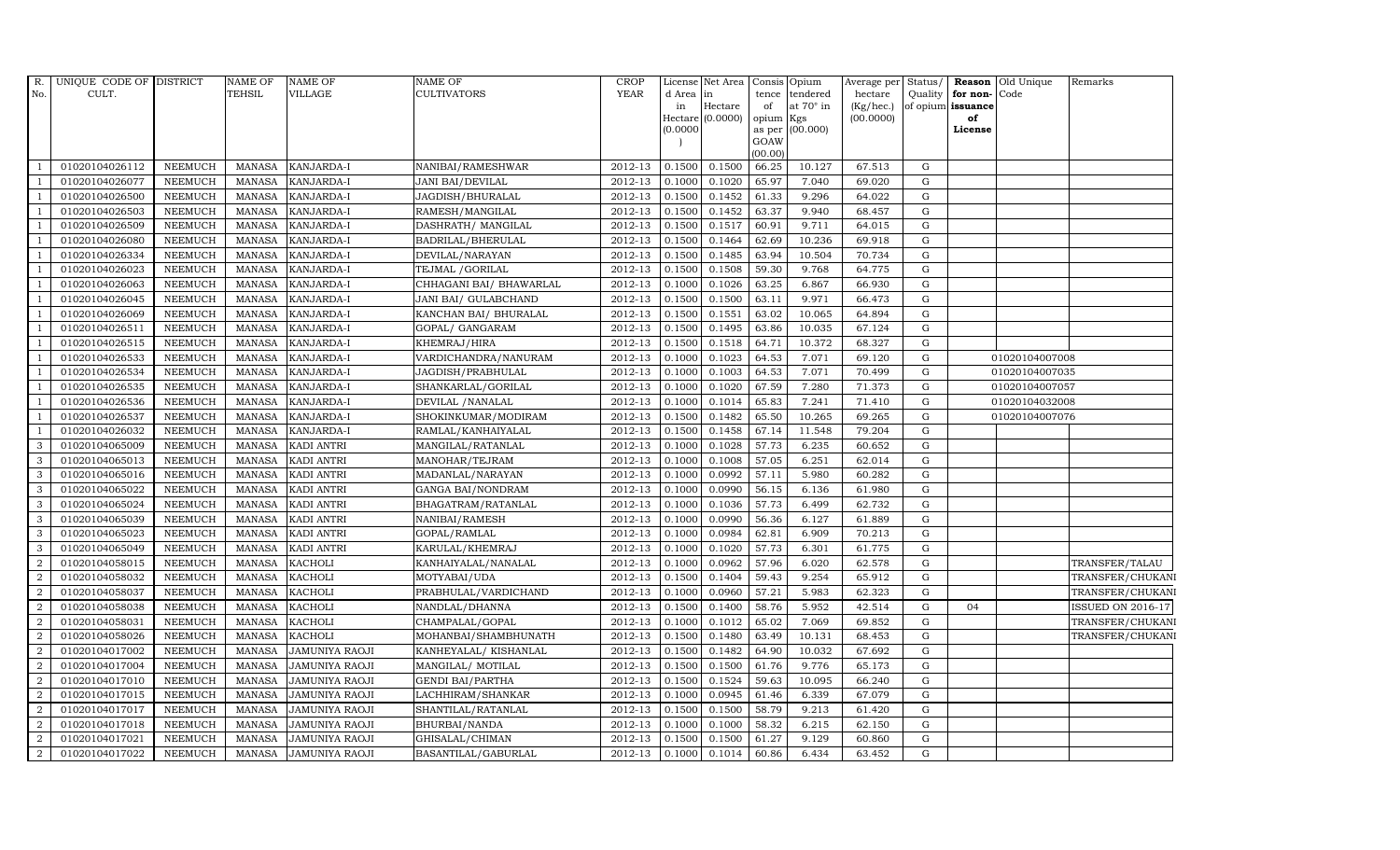| R.             | UNIQUE CODE OF DISTRICT |                | <b>NAME OF</b> | <b>NAME OF</b>        | NAME OF                 | <b>CROP</b> |           | License Net Area |                 | Consis Opium     |           |             |                   | Average per Status/ Reason Old Unique | Remarks                  |
|----------------|-------------------------|----------------|----------------|-----------------------|-------------------------|-------------|-----------|------------------|-----------------|------------------|-----------|-------------|-------------------|---------------------------------------|--------------------------|
| No.            | CULT.                   |                | <b>TEHSIL</b>  | <b>VILLAGE</b>        | CULTIVATORS             | <b>YEAR</b> | d Area in |                  | tence           | tendered         | hectare   |             | Quality for non-  | Code                                  |                          |
|                |                         |                |                |                       |                         |             | in        | Hectare          | of              | at $70^\circ$ in | (Kg/hec.) |             | of opium issuance |                                       |                          |
|                |                         |                |                |                       |                         |             | (0.0000)  | Hectare (0.0000) | opium<br>as per | Kgs<br>(00.000)  | (00.0000) |             | of<br>License     |                                       |                          |
|                |                         |                |                |                       |                         |             |           |                  | GOAW            |                  |           |             |                   |                                       |                          |
|                |                         |                |                |                       |                         |             |           |                  | (00.00)         |                  |           |             |                   |                                       |                          |
|                | 01020104026112          | <b>NEEMUCH</b> | MANASA         | <b>KANJARDA-I</b>     | NANIBAI/RAMESHWAR       | 2012-13     | 0.1500    | 0.1500           | 66.25           | 10.127           | 67.513    | G           |                   |                                       |                          |
| -1             | 01020104026077          | <b>NEEMUCH</b> | <b>MANASA</b>  | KANJARDA-I            | <b>JANI BAI/DEVILAL</b> | 2012-13     | 0.1000    | 0.1020           | 65.97           | 7.040            | 69.020    | G           |                   |                                       |                          |
|                | 01020104026500          | <b>NEEMUCH</b> | <b>MANASA</b>  | KANJARDA-I            | JAGDISH/BHURALAL        | 2012-13     | 0.1500    | 0.1452           | 61.33           | 9.296            | 64.022    | G           |                   |                                       |                          |
|                | 01020104026503          | <b>NEEMUCH</b> | <b>MANASA</b>  | KANJARDA-I            | RAMESH/MANGILAL         | 2012-13     | 0.1500    | 0.1452           | 63.37           | 9.940            | 68.457    | G           |                   |                                       |                          |
| $\overline{1}$ | 01020104026509          | <b>NEEMUCH</b> | <b>MANASA</b>  | KANJARDA-I            | DASHRATH / MANGILAL     | 2012-13     | 0.1500    | 0.1517           | 60.91           | 9.711            | 64.015    | $\mathbf G$ |                   |                                       |                          |
| $\overline{1}$ | 01020104026080          | <b>NEEMUCH</b> | <b>MANASA</b>  | KANJARDA-I            | BADRILAL/BHERULAL       | 2012-13     | 0.1500    | 0.1464           | 62.69           | 10.236           | 69.918    | G           |                   |                                       |                          |
| $\mathbf{1}$   | 01020104026334          | <b>NEEMUCH</b> | <b>MANASA</b>  | KANJARDA-I            | DEVILAL/NARAYAN         | 2012-13     | 0.1500    | 0.1485           | 63.94           | 10.504           | 70.734    | $\mathbf G$ |                   |                                       |                          |
|                | 01020104026023          | <b>NEEMUCH</b> | <b>MANASA</b>  | KANJARDA-I            | TEJMAL / GORILAL        | 2012-13     | 0.1500    | 0.1508           | 59.30           | 9.768            | 64.775    | G           |                   |                                       |                          |
|                | 01020104026063          | <b>NEEMUCH</b> | <b>MANASA</b>  | KANJARDA-I            | CHHAGANI BAI/ BHAWARLAL | 2012-13     | 0.1000    | 0.1026           | 63.25           | 6.867            | 66.930    | G           |                   |                                       |                          |
| -1             | 01020104026045          | <b>NEEMUCH</b> | <b>MANASA</b>  | KANJARDA-I            | JANI BAI/ GULABCHAND    | 2012-13     | 0.1500    | 0.1500           | 63.11           | 9.971            | 66.473    | G           |                   |                                       |                          |
| -1             | 01020104026069          | <b>NEEMUCH</b> | <b>MANASA</b>  | KANJARDA-I            | KANCHAN BAI/ BHURALAL   | 2012-13     | 0.1500    | 0.1551           | 63.02           | 10.065           | 64.894    | G           |                   |                                       |                          |
| $\overline{1}$ | 01020104026511          | <b>NEEMUCH</b> | <b>MANASA</b>  | KANJARDA-I            | GOPAL/ GANGARAM         | 2012-13     | 0.1500    | 0.1495           | 63.86           | 10.035           | 67.124    | $\mathbf G$ |                   |                                       |                          |
| $\overline{1}$ | 01020104026515          | <b>NEEMUCH</b> | <b>MANASA</b>  | KANJARDA-I            | KHEMRAJ/HIRA            | 2012-13     | 0.1500    | 0.1518           | 64.71           | 10.372           | 68.327    | $\mathbf G$ |                   |                                       |                          |
|                | 01020104026533          | <b>NEEMUCH</b> | <b>MANASA</b>  | KANJARDA-I            | VARDICHANDRA/NANURAM    | 2012-13     | 0.1000    | 0.1023           | 64.53           | 7.071            | 69.120    | G           |                   | 01020104007008                        |                          |
| $\mathbf{1}$   | 01020104026534          | <b>NEEMUCH</b> | <b>MANASA</b>  | KANJARDA-I            | JAGDISH/PRABHULAL       | 2012-13     | 0.1000    | 0.1003           | 64.53           | 7.071            | 70.499    | ${\bf G}$   |                   | 01020104007035                        |                          |
| $\overline{1}$ | 01020104026535          | <b>NEEMUCH</b> | <b>MANASA</b>  | KANJARDA-I            | SHANKARLAL/GORILAL      | 2012-13     | 0.1000    | 0.1020           | 67.59           | 7.280            | 71.373    | G           |                   | 01020104007057                        |                          |
|                | 01020104026536          | <b>NEEMUCH</b> | <b>MANASA</b>  | KANJARDA-I            | DEVILAL / NANALAL       | 2012-13     | 0.1000    | 0.1014           | 65.83           | 7.241            | 71.410    | G           |                   | 01020104032008                        |                          |
| $\overline{1}$ | 01020104026537          | <b>NEEMUCH</b> | <b>MANASA</b>  | KANJARDA-I            | SHOKINKUMAR/MODIRAM     | 2012-13     | 0.1500    | 0.1482           | 65.50           | 10.265           | 69.265    | G           |                   | 01020104007076                        |                          |
|                | 01020104026032          | <b>NEEMUCH</b> | <b>MANASA</b>  | KANJARDA-I            | RAMLAL/KANHAIYALAL      | 2012-13     | 0.1500    | 0.1458           | 67.14           | 11.548           | 79.204    | $\mathbf G$ |                   |                                       |                          |
| 3              | 01020104065009          | <b>NEEMUCH</b> | <b>MANASA</b>  | KADI ANTRI            | MANGILAL/RATANLAL       | 2012-13     | 0.1000    | 0.1028           | 57.73           | 6.235            | 60.652    | G           |                   |                                       |                          |
| $\mathbf{3}$   | 01020104065013          | <b>NEEMUCH</b> | <b>MANASA</b>  | KADI ANTRI            | MANOHAR/TEJRAM          | 2012-13     | 0.1000    | 0.1008           | 57.05           | 6.251            | 62.014    | G           |                   |                                       |                          |
| 3              | 01020104065016          | <b>NEEMUCH</b> | <b>MANASA</b>  | KADI ANTRI            | MADANLAL/NARAYAN        | 2012-13     | 0.1000    | 0.0992           | 57.11           | 5.980            | 60.282    | $\mathbf G$ |                   |                                       |                          |
| $\mathbf{3}$   | 01020104065022          | <b>NEEMUCH</b> | <b>MANASA</b>  | KADI ANTRI            | GANGA BAI/NONDRAM       | 2012-13     | 0.1000    | 0.0990           | 56.15           | 6.136            | 61.980    | G           |                   |                                       |                          |
| 3              | 01020104065024          | <b>NEEMUCH</b> | <b>MANASA</b>  | KADI ANTRI            | BHAGATRAM/RATANLAL      | 2012-13     | 0.1000    | 0.1036           | 57.73           | 6.499            | 62.732    | $\mathbf G$ |                   |                                       |                          |
| 3              | 01020104065039          | <b>NEEMUCH</b> | <b>MANASA</b>  | KADI ANTRI            | NANIBAI/RAMESH          | 2012-13     | 0.1000    | 0.0990           | 56.36           | 6.127            | 61.889    | ${\rm G}$   |                   |                                       |                          |
| 3              | 01020104065023          | <b>NEEMUCH</b> | <b>MANASA</b>  | KADI ANTRI            | GOPAL/RAMLAL            | 2012-13     | 0.1000    | 0.0984           | 62.81           | 6.909            | 70.213    | G           |                   |                                       |                          |
| 3              | 01020104065049          | <b>NEEMUCH</b> | <b>MANASA</b>  | KADI ANTRI            | KARULAL/KHEMRAJ         | 2012-13     | 0.1000    | 0.1020           | 57.73           | 6.301            | 61.775    | G           |                   |                                       |                          |
| 2              | 01020104058015          | <b>NEEMUCH</b> | <b>MANASA</b>  | <b>KACHOLI</b>        | KANHAIYALAL/NANALAL     | 2012-13     | 0.1000    | 0.0962           | 57.96           | 6.020            | 62.578    | G           |                   |                                       | TRANSFER/TALAU           |
| 2              | 01020104058032          | <b>NEEMUCH</b> | <b>MANASA</b>  | <b>KACHOLI</b>        | MOTYABAI/UDA            | 2012-13     | 0.1500    | 0.1404           | 59.43           | 9.254            | 65.912    | G           |                   |                                       | TRANSFER/CHUKANI         |
| $\overline{2}$ | 01020104058037          | <b>NEEMUCH</b> | <b>MANASA</b>  | <b>KACHOLI</b>        | PRABHULAL/VARDICHAND    | 2012-13     | 0.1000    | 0.0960           | 57.21           | 5.983            | 62.323    | ${\rm G}$   |                   |                                       | TRANSFER/CHUKANI         |
| 2              | 01020104058038          | <b>NEEMUCH</b> | <b>MANASA</b>  | KACHOLI               | NANDLAL/DHANNA          | 2012-13     | 0.1500    | 0.1400           | 58.76           | 5.952            | 42.514    | G           | 04                |                                       | <b>ISSUED ON 2016-17</b> |
| $\overline{2}$ | 01020104058031          | <b>NEEMUCH</b> | <b>MANASA</b>  | <b>KACHOLI</b>        | CHAMPALAL/GOPAL         | 2012-13     | 0.1000    | 0.1012           | 65.02           | 7.069            | 69.852    | G           |                   |                                       | TRANSFER/CHUKANI         |
| $\overline{a}$ | 01020104058026          | <b>NEEMUCH</b> | <b>MANASA</b>  | <b>KACHOLI</b>        | MOHANBAI/SHAMBHUNATH    | 2012-13     | 0.1500    | 0.1480           | 63.49           | 10.131           | 68.453    | $\mathbf G$ |                   |                                       | TRANSFER/CHUKANI         |
| $\overline{2}$ | 01020104017002          | <b>NEEMUCH</b> | <b>MANASA</b>  | JAMUNIYA RAOJI        | KANHEYALAL/KISHANLAL    | 2012-13     | 0.1500    | 0.1482           | 64.90           | 10.032           | 67.692    | G           |                   |                                       |                          |
| $\overline{2}$ | 01020104017004          | <b>NEEMUCH</b> | <b>MANASA</b>  | JAMUNIYA RAOJI        | MANGILAL/ MOTILAL       | 2012-13     | 0.1500    | 0.1500           | 61.76           | 9.776            | 65.173    | $\mathbf G$ |                   |                                       |                          |
| $\overline{2}$ | 01020104017010          | <b>NEEMUCH</b> | <b>MANASA</b>  | JAMUNIYA RAOJI        | GENDI BAI/PARTHA        | 2012-13     | 0.1500    | 0.1524           | 59.63           | 10.095           | 66.240    | G           |                   |                                       |                          |
| $\overline{2}$ | 01020104017015          | <b>NEEMUCH</b> | <b>MANASA</b>  | JAMUNIYA RAOJI        | LACHHIRAM/SHANKAR       | 2012-13     | 0.1000    | 0.0945           | 61.46           | 6.339            | 67.079    | G           |                   |                                       |                          |
| $\overline{a}$ | 01020104017017          | <b>NEEMUCH</b> | <b>MANASA</b>  | JAMUNIYA RAOJI        | SHANTILAL/RATANLAL      | 2012-13     | 0.1500    | 0.1500           | 58.79           | 9.213            | 61.420    | G           |                   |                                       |                          |
| 2              | 01020104017018          | <b>NEEMUCH</b> | <b>MANASA</b>  | JAMUNIYA RAOJI        | BHURBAI/NANDA           | 2012-13     | 0.1000    | 0.1000           | 58.32           | 6.215            | 62.150    | G           |                   |                                       |                          |
| 2              | 01020104017021          | <b>NEEMUCH</b> | <b>MANASA</b>  | <b>JAMUNIYA RAOJI</b> | GHISALAL/CHIMAN         | 2012-13     | 0.1500    | 0.1500           | 61.27           | 9.129            | 60.860    | $\mathbf G$ |                   |                                       |                          |
| $\overline{a}$ | 01020104017022          | NEEMUCH        | <b>MANASA</b>  | JAMUNIYA RAOJI        | BASANTILAL/GABURLAL     | 2012-13     | 0.1000    | 0.1014           | 60.86           | 6.434            | 63.452    | $\mathbf G$ |                   |                                       |                          |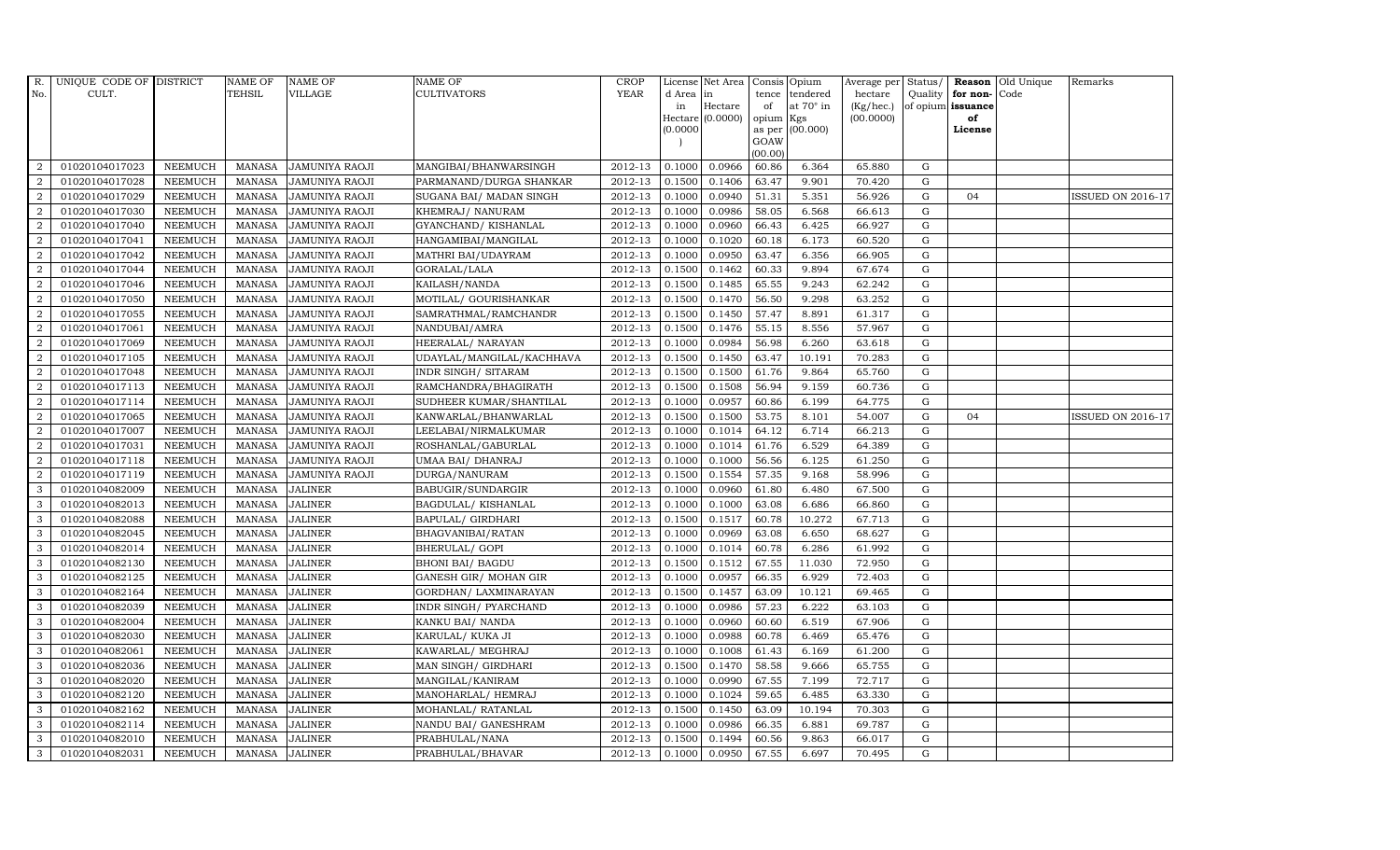| $R_{\cdot}$    | UNIQUE CODE OF DISTRICT |                | <b>NAME OF</b> | <b>NAME OF</b>        | <b>NAME OF</b>            | CROP        |           | License Net Area   Consis   Opium |           |                  | Average per Status/ |             |                   | <b>Reason</b> Old Unique | Remarks                  |
|----------------|-------------------------|----------------|----------------|-----------------------|---------------------------|-------------|-----------|-----------------------------------|-----------|------------------|---------------------|-------------|-------------------|--------------------------|--------------------------|
| No.            | CULT.                   |                | TEHSIL         | VILLAGE               | <b>CULTIVATORS</b>        | <b>YEAR</b> | d Area in |                                   |           | tence tendered   | hectare             | Quality     | for non-          | Code                     |                          |
|                |                         |                |                |                       |                           |             | in        | Hectare                           | of        | at $70^\circ$ in | (Kg/hec.)           |             | of opium issuance |                          |                          |
|                |                         |                |                |                       |                           |             |           | Hectare (0.0000)                  | opium Kgs |                  | (00.0000)           |             | of<br>License     |                          |                          |
|                |                         |                |                |                       |                           |             | (0.0000)  |                                   | GOAW      | as per (00.000)  |                     |             |                   |                          |                          |
|                |                         |                |                |                       |                           |             |           |                                   | (00.00)   |                  |                     |             |                   |                          |                          |
| 2              | 01020104017023          | <b>NEEMUCH</b> | MANASA         | <b>JAMUNIYA RAOJI</b> | MANGIBAI/BHANWARSINGH     | 2012-13     | 0.1000    | 0.0966                            | 60.86     | 6.364            | 65.880              | G           |                   |                          |                          |
| 2              | 01020104017028          | <b>NEEMUCH</b> | <b>MANASA</b>  | <b>JAMUNIYA RAOJI</b> | PARMANAND/DURGA SHANKAR   | 2012-13     | 0.1500    | 0.1406                            | 63.47     | 9.901            | 70.420              | $\mathbf G$ |                   |                          |                          |
| 2              | 01020104017029          | <b>NEEMUCH</b> | <b>MANASA</b>  | JAMUNIYA RAOJI        | SUGANA BAI/ MADAN SINGH   | 2012-13     | 0.1000    | 0.0940                            | 51.31     | 5.351            | 56.926              | G           | 04                |                          | <b>ISSUED ON 2016-17</b> |
| $\overline{2}$ | 01020104017030          | <b>NEEMUCH</b> | <b>MANASA</b>  | <b>JAMUNIYA RAOJI</b> | KHEMRAJ/ NANURAM          | 2012-13     | 0.1000    | 0.0986                            | 58.05     | 6.568            | 66.613              | $\mathbf G$ |                   |                          |                          |
| 2              | 01020104017040          | <b>NEEMUCH</b> | <b>MANASA</b>  | JAMUNIYA RAOJI        | GYANCHAND/ KISHANLAL      | 2012-13     | 0.1000    | 0.0960                            | 66.43     | 6.425            | 66.927              | ${\bf G}$   |                   |                          |                          |
| 2              | 01020104017041          | <b>NEEMUCH</b> | <b>MANASA</b>  | JAMUNIYA RAOJI        | HANGAMIBAI/MANGILAL       | 2012-13     | 0.1000    | 0.1020                            | 60.18     | 6.173            | 60.520              | $\mathbf G$ |                   |                          |                          |
| 2              | 01020104017042          | <b>NEEMUCH</b> | <b>MANASA</b>  | JAMUNIYA RAOJI        | MATHRI BAI/UDAYRAM        | 2012-13     | 0.1000    | 0.0950                            | 63.47     | 6.356            | 66.905              | ${\bf G}$   |                   |                          |                          |
| 2              | 01020104017044          | <b>NEEMUCH</b> | <b>MANASA</b>  | <b>JAMUNIYA RAOJI</b> | GORALAL/LALA              | 2012-13     | 0.1500    | 0.1462                            | 60.33     | 9.894            | 67.674              | $\mathbf G$ |                   |                          |                          |
| 2              | 01020104017046          | <b>NEEMUCH</b> | <b>MANASA</b>  | <b>JAMUNIYA RAOJI</b> | KAILASH/NANDA             | 2012-13     | 0.1500    | 0.1485                            | 65.55     | 9.243            | 62.242              | G           |                   |                          |                          |
| 2              | 01020104017050          | <b>NEEMUCH</b> | <b>MANASA</b>  | <b>JAMUNIYA RAOJI</b> | MOTILAL/ GOURISHANKAR     | 2012-13     | 0.1500    | 0.1470                            | 56.50     | 9.298            | 63.252              | ${\rm G}$   |                   |                          |                          |
| $\overline{2}$ | 01020104017055          | <b>NEEMUCH</b> | <b>MANASA</b>  | JAMUNIYA RAOJI        | SAMRATHMAL/RAMCHANDR      | 2012-13     | 0.1500    | 0.1450                            | 57.47     | 8.891            | 61.317              | G           |                   |                          |                          |
| 2              | 01020104017061          | <b>NEEMUCH</b> | <b>MANASA</b>  | <b>JAMUNIYA RAOJI</b> | NANDUBAI/AMRA             | 2012-13     | 0.1500    | 0.1476                            | 55.15     | 8.556            | 57.967              | $\mathbf G$ |                   |                          |                          |
| 2              | 01020104017069          | <b>NEEMUCH</b> | <b>MANASA</b>  | <b>JAMUNIYA RAOJI</b> | HEERALAL/ NARAYAN         | 2012-13     | 0.1000    | 0.0984                            | 56.98     | 6.260            | 63.618              | G           |                   |                          |                          |
| 2              | 01020104017105          | <b>NEEMUCH</b> | <b>MANASA</b>  | <b>JAMUNIYA RAOJI</b> | UDAYLAL/MANGILAL/KACHHAVA | 2012-13     | 0.1500    | 0.1450                            | 63.47     | 10.191           | 70.283              | $\mathbf G$ |                   |                          |                          |
| $\overline{2}$ | 01020104017048          | <b>NEEMUCH</b> | <b>MANASA</b>  | <b>JAMUNIYA RAOJI</b> | INDR SINGH/ SITARAM       | 2012-13     | 0.1500    | 0.1500                            | 61.76     | 9.864            | 65.760              | ${\bf G}$   |                   |                          |                          |
| $\overline{2}$ | 01020104017113          | <b>NEEMUCH</b> | <b>MANASA</b>  | JAMUNIYA RAOJI        | RAMCHANDRA/BHAGIRATH      | 2012-13     | 0.1500    | 0.1508                            | 56.94     | 9.159            | 60.736              | G           |                   |                          |                          |
| 2              | 01020104017114          | <b>NEEMUCH</b> | <b>MANASA</b>  | <b>JAMUNIYA RAOJI</b> | SUDHEER KUMAR/SHANTILAL   | 2012-13     | 0.1000    | 0.0957                            | 60.86     | 6.199            | 64.775              | $\mathbf G$ |                   |                          |                          |
| 2              | 01020104017065          | <b>NEEMUCH</b> | <b>MANASA</b>  | <b>JAMUNIYA RAOJI</b> | KANWARLAL/BHANWARLAL      | 2012-13     | 0.1500    | 0.1500                            | 53.75     | 8.101            | 54.007              | $\mathbf G$ | 04                |                          | <b>ISSUED ON 2016-17</b> |
| $\overline{2}$ | 01020104017007          | <b>NEEMUCH</b> | <b>MANASA</b>  | <b>JAMUNIYA RAOJI</b> | LEELABAI/NIRMALKUMAR      | 2012-13     | 0.1000    | 0.1014                            | 64.12     | 6.714            | 66.213              | $\mathbf G$ |                   |                          |                          |
| 2              | 01020104017031          | <b>NEEMUCH</b> | <b>MANASA</b>  | <b>JAMUNIYA RAOJI</b> | ROSHANLAL/GABURLAL        | 2012-13     | 0.1000    | 0.1014                            | 61.76     | 6.529            | 64.389              | $\mathbf G$ |                   |                          |                          |
| 2              | 01020104017118          | <b>NEEMUCH</b> | <b>MANASA</b>  | JAMUNIYA RAOJI        | UMAA BAI/ DHANRAJ         | 2012-13     | 0.1000    | 0.1000                            | 56.56     | 6.125            | 61.250              | $\mathbf G$ |                   |                          |                          |
| $\overline{2}$ | 01020104017119          | <b>NEEMUCH</b> | <b>MANASA</b>  | JAMUNIYA RAOJI        | DURGA/NANURAM             | 2012-13     | 0.1500    | 0.1554                            | 57.35     | 9.168            | 58.996              | ${\rm G}$   |                   |                          |                          |
| 3              | 01020104082009          | <b>NEEMUCH</b> | <b>MANASA</b>  | <b>JALINER</b>        | BABUGIR/SUNDARGIR         | 2012-13     | 0.1000    | 0.0960                            | 61.80     | 6.480            | 67.500              | G           |                   |                          |                          |
| 3              | 01020104082013          | <b>NEEMUCH</b> | <b>MANASA</b>  | <b>JALINER</b>        | BAGDULAL/KISHANLAL        | 2012-13     | 0.1000    | 0.1000                            | 63.08     | 6.686            | 66.860              | $\mathbf G$ |                   |                          |                          |
| 3              | 01020104082088          | <b>NEEMUCH</b> | <b>MANASA</b>  | <b>JALINER</b>        | BAPULAL/ GIRDHARI         | 2012-13     | 0.1500    | 0.1517                            | 60.78     | 10.272           | 67.713              | ${\rm G}$   |                   |                          |                          |
| 3              | 01020104082045          | <b>NEEMUCH</b> | <b>MANASA</b>  | <b>JALINER</b>        | BHAGVANIBAI/RATAN         | 2012-13     | 0.1000    | 0.0969                            | 63.08     | 6.650            | 68.627              | G           |                   |                          |                          |
| 3              | 01020104082014          | <b>NEEMUCH</b> | <b>MANASA</b>  | <b>JALINER</b>        | BHERULAL/ GOPI            | 2012-13     | 0.1000    | 0.1014                            | 60.78     | 6.286            | 61.992              | ${\rm G}$   |                   |                          |                          |
| 3              | 01020104082130          | <b>NEEMUCH</b> | <b>MANASA</b>  | <b>JALINER</b>        | BHONI BAI/ BAGDU          | 2012-13     | 0.1500    | 0.1512                            | 67.55     | 11.030           | 72.950              | G           |                   |                          |                          |
| 3              | 01020104082125          | <b>NEEMUCH</b> | <b>MANASA</b>  | <b>JALINER</b>        | GANESH GIR/ MOHAN GIR     | 2012-13     | 0.1000    | 0.0957                            | 66.35     | 6.929            | 72.403              | $\mathbf G$ |                   |                          |                          |
| 3              | 01020104082164          | <b>NEEMUCH</b> | <b>MANASA</b>  | <b>JALINER</b>        | GORDHAN/ LAXMINARAYAN     | 2012-13     | 0.1500    | 0.1457                            | 63.09     | 10.121           | 69.465              | ${\rm G}$   |                   |                          |                          |
| 3              | 01020104082039          | <b>NEEMUCH</b> | <b>MANASA</b>  | <b>JALINER</b>        | INDR SINGH/ PYARCHAND     | 2012-13     | 0.1000    | 0.0986                            | 57.23     | 6.222            | 63.103              | G           |                   |                          |                          |
| 3              | 01020104082004          | <b>NEEMUCH</b> | <b>MANASA</b>  | <b>JALINER</b>        | KANKU BAI/ NANDA          | 2012-13     | 0.1000    | 0.0960                            | 60.60     | 6.519            | 67.906              | ${\bf G}$   |                   |                          |                          |
| $\mathbf{3}$   | 01020104082030          | NEEMUCH        | <b>MANASA</b>  | <b>JALINER</b>        | KARULAL/ KUKA JI          | 2012-13     | 0.1000    | 0.0988                            | 60.78     | 6.469            | 65.476              | ${\rm G}$   |                   |                          |                          |
| 3              | 01020104082061          | <b>NEEMUCH</b> | <b>MANASA</b>  | <b>JALINER</b>        | KAWARLAL/ MEGHRAJ         | 2012-13     | 0.1000    | 0.1008                            | 61.43     | 6.169            | 61.200              | $\mathbf G$ |                   |                          |                          |
| 3              | 01020104082036          | <b>NEEMUCH</b> | <b>MANASA</b>  | <b>JALINER</b>        | MAN SINGH/ GIRDHARI       | 2012-13     | 0.1500    | 0.1470                            | 58.58     | 9.666            | 65.755              | $\mathbf G$ |                   |                          |                          |
| 3              | 01020104082020          | <b>NEEMUCH</b> | <b>MANASA</b>  | <b>JALINER</b>        | MANGILAL/KANIRAM          | 2012-13     | 0.1000    | 0.0990                            | 67.55     | 7.199            | 72.717              | ${\rm G}$   |                   |                          |                          |
| 3              | 01020104082120          | <b>NEEMUCH</b> | <b>MANASA</b>  | <b>JALINER</b>        | MANOHARLAL/ HEMRAJ        | 2012-13     | 0.1000    | 0.1024                            | 59.65     | 6.485            | 63.330              | G           |                   |                          |                          |
| 3              | 01020104082162          | NEEMUCH        | <b>MANASA</b>  | <b>JALINER</b>        | MOHANLAL/ RATANLAL        | 2012-13     | 0.1500    | 0.1450                            | 63.09     | 10.194           | 70.303              | ${\rm G}$   |                   |                          |                          |
| 3              | 01020104082114          | <b>NEEMUCH</b> | <b>MANASA</b>  | <b>JALINER</b>        | NANDU BAI/ GANESHRAM      | 2012-13     | 0.1000    | 0.0986                            | 66.35     | 6.881            | 69.787              | $\mathbf G$ |                   |                          |                          |
| 3              | 01020104082010          | <b>NEEMUCH</b> | <b>MANASA</b>  | <b>JALINER</b>        | PRABHULAL/NANA            | 2012-13     | 0.1500    | 0.1494                            | 60.56     | 9.863            | 66.017              | $\mathbf G$ |                   |                          |                          |
| 3              | 01020104082031          | NEEMUCH        | MANASA JALINER |                       | PRABHULAL/BHAVAR          | 2012-13     | 0.1000    | 0.0950                            | 67.55     | 6.697            | 70.495              | G           |                   |                          |                          |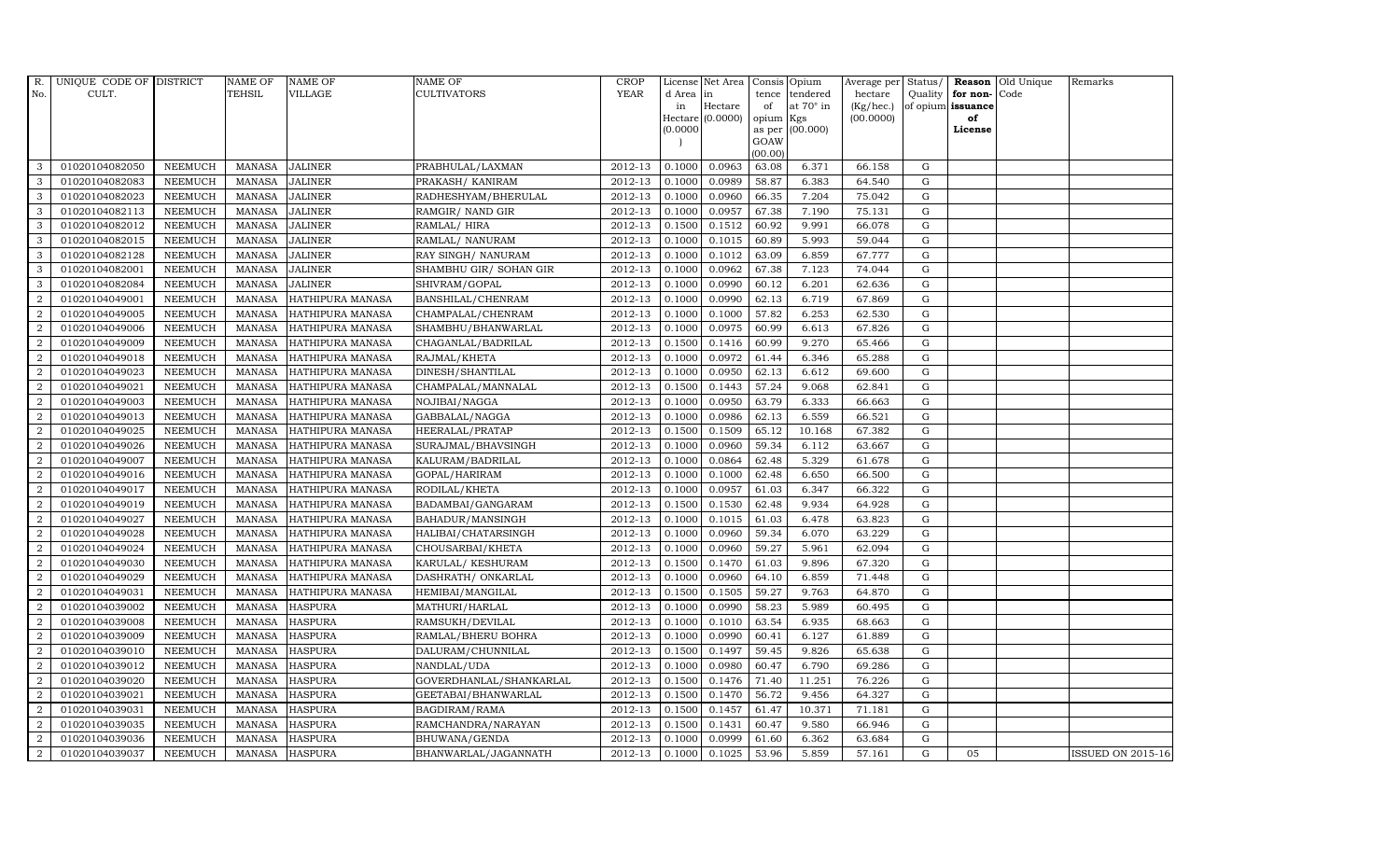| R.               | UNIQUE CODE OF DISTRICT |                | <b>NAME OF</b> | <b>NAME OF</b>          | <b>NAME OF</b>          | CROP        |           | License Net Area   Consis   Opium |           |                  | Average per Status/ |             |                   | <b>Reason</b> Old Unique | Remarks                  |
|------------------|-------------------------|----------------|----------------|-------------------------|-------------------------|-------------|-----------|-----------------------------------|-----------|------------------|---------------------|-------------|-------------------|--------------------------|--------------------------|
| No.              | CULT.                   |                | TEHSIL         | VILLAGE                 | <b>CULTIVATORS</b>      | <b>YEAR</b> | d Area in |                                   |           | tence tendered   | hectare             | Quality     | for non-          | Code                     |                          |
|                  |                         |                |                |                         |                         |             | in        | Hectare                           | of        | at $70^\circ$ in | (Kg/hec.)           |             | of opium issuance |                          |                          |
|                  |                         |                |                |                         |                         |             |           | Hectare (0.0000)                  | opium Kgs |                  | (00.0000)           |             | of                |                          |                          |
|                  |                         |                |                |                         |                         |             | (0.0000)  |                                   | GOAW      | as per (00.000)  |                     |             | License           |                          |                          |
|                  |                         |                |                |                         |                         |             |           |                                   | (00.00)   |                  |                     |             |                   |                          |                          |
| 3                | 01020104082050          | <b>NEEMUCH</b> | MANASA         | <b>JALINER</b>          | PRABHULAL/LAXMAN        | 2012-13     | 0.1000    | 0.0963                            | 63.08     | 6.371            | 66.158              | G           |                   |                          |                          |
| 3                | 01020104082083          | <b>NEEMUCH</b> | <b>MANASA</b>  | <b>JALINER</b>          | PRAKASH / KANIRAM       | 2012-13     | 0.1000    | 0.0989                            | 58.87     | 6.383            | 64.540              | $\mathbf G$ |                   |                          |                          |
| 3                | 01020104082023          | <b>NEEMUCH</b> | <b>MANASA</b>  | <b>JALINER</b>          | RADHESHYAM/BHERULAL     | 2012-13     | 0.1000    | 0.0960                            | 66.35     | 7.204            | 75.042              | G           |                   |                          |                          |
| 3                | 01020104082113          | <b>NEEMUCH</b> | <b>MANASA</b>  | <b>JALINER</b>          | RAMGIR/ NAND GIR        | 2012-13     | 0.1000    | 0.0957                            | 67.38     | 7.190            | 75.131              | $\mathbf G$ |                   |                          |                          |
| 3                | 01020104082012          | <b>NEEMUCH</b> | <b>MANASA</b>  | <b>JALINER</b>          | RAMLAL/HIRA             | 2012-13     | 0.1500    | 0.1512                            | 60.92     | 9.991            | 66.078              | ${\bf G}$   |                   |                          |                          |
| 3                | 01020104082015          | <b>NEEMUCH</b> | <b>MANASA</b>  | <b>JALINER</b>          | RAMLAL/ NANURAM         | 2012-13     | 0.1000    | 0.1015                            | 60.89     | 5.993            | 59.044              | $\mathbf G$ |                   |                          |                          |
| 3                | 01020104082128          | <b>NEEMUCH</b> | <b>MANASA</b>  | <b>JALINER</b>          | RAY SINGH/ NANURAM      | 2012-13     | 0.1000    | 0.1012                            | 63.09     | 6.859            | 67.777              | ${\bf G}$   |                   |                          |                          |
| 3                | 01020104082001          | <b>NEEMUCH</b> | <b>MANASA</b>  | <b>JALINER</b>          | SHAMBHU GIR/ SOHAN GIR  | 2012-13     | 0.1000    | 0.0962                            | 67.38     | 7.123            | 74.044              | $\mathbf G$ |                   |                          |                          |
| 3                | 01020104082084          | <b>NEEMUCH</b> | <b>MANASA</b>  | <b>JALINER</b>          | SHIVRAM/GOPAL           | 2012-13     | 0.1000    | 0.0990                            | 60.12     | 6.201            | 62.636              | G           |                   |                          |                          |
| 2                | 01020104049001          | <b>NEEMUCH</b> | <b>MANASA</b>  | HATHIPURA MANASA        | BANSHILAL/CHENRAM       | 2012-13     | 0.1000    | 0.0990                            | 62.13     | 6.719            | 67.869              | ${\rm G}$   |                   |                          |                          |
| $\overline{2}$   | 01020104049005          | <b>NEEMUCH</b> | <b>MANASA</b>  | HATHIPURA MANASA        | CHAMPALAL/CHENRAM       | 2012-13     | 0.1000    | 0.1000                            | 57.82     | 6.253            | 62.530              | G           |                   |                          |                          |
| 2                | 01020104049006          | <b>NEEMUCH</b> | <b>MANASA</b>  | HATHIPURA MANASA        | SHAMBHU/BHANWARLAL      | 2012-13     | 0.1000    | 0.0975                            | 60.99     | 6.613            | 67.826              | $\mathbf G$ |                   |                          |                          |
| 2                | 01020104049009          | <b>NEEMUCH</b> | <b>MANASA</b>  | HATHIPURA MANASA        | CHAGANLAL/BADRILAL      | 2012-13     | 0.1500    | 0.1416                            | 60.99     | 9.270            | 65.466              | G           |                   |                          |                          |
| 2                | 01020104049018          | <b>NEEMUCH</b> | <b>MANASA</b>  | <b>HATHIPURA MANASA</b> | RAJMAL/KHETA            | 2012-13     | 0.1000    | 0.0972                            | 61.44     | 6.346            | 65.288              | $\mathbf G$ |                   |                          |                          |
| $\overline{2}$   | 01020104049023          | <b>NEEMUCH</b> | <b>MANASA</b>  | HATHIPURA MANASA        | DINESH/SHANTILAL        | 2012-13     | 0.1000    | 0.0950                            | 62.13     | 6.612            | 69.600              | $\mathbf G$ |                   |                          |                          |
| $\overline{2}$   | 01020104049021          | <b>NEEMUCH</b> | <b>MANASA</b>  | HATHIPURA MANASA        | CHAMPALAL/MANNALAL      | 2012-13     | 0.1500    | 0.1443                            | 57.24     | 9.068            | 62.841              | G           |                   |                          |                          |
| 2                | 01020104049003          | <b>NEEMUCH</b> | <b>MANASA</b>  | HATHIPURA MANASA        | NOJIBAI/NAGGA           | 2012-13     | 0.1000    | 0.0950                            | 63.79     | 6.333            | 66.663              | $\mathbf G$ |                   |                          |                          |
| $\overline{2}$   | 01020104049013          | <b>NEEMUCH</b> | <b>MANASA</b>  | HATHIPURA MANASA        | GABBALAL/NAGGA          | 2012-13     | 0.1000    | 0.0986                            | 62.13     | 6.559            | 66.521              | $\mathbf G$ |                   |                          |                          |
| $\overline{2}$   | 01020104049025          | <b>NEEMUCH</b> | <b>MANASA</b>  | HATHIPURA MANASA        | HEERALAL/PRATAP         | 2012-13     | 0.1500    | 0.1509                            | 65.12     | 10.168           | 67.382              | $\mathbf G$ |                   |                          |                          |
| $\overline{2}$   | 01020104049026          | <b>NEEMUCH</b> | <b>MANASA</b>  | HATHIPURA MANASA        | SURAJMAL/BHAVSINGH      | 2012-13     | 0.1000    | 0.0960                            | 59.34     | 6.112            | 63.667              | $\mathbf G$ |                   |                          |                          |
| $\overline{2}$   | 01020104049007          | <b>NEEMUCH</b> | <b>MANASA</b>  | HATHIPURA MANASA        | KALURAM/BADRILAL        | 2012-13     | 0.1000    | 0.0864                            | 62.48     | 5.329            | 61.678              | $\mathbf G$ |                   |                          |                          |
| $\boldsymbol{2}$ | 01020104049016          | <b>NEEMUCH</b> | <b>MANASA</b>  | HATHIPURA MANASA        | GOPAL/HARIRAM           | 2012-13     | 0.1000    | 0.1000                            | 62.48     | 6.650            | 66.500              | ${\rm G}$   |                   |                          |                          |
| $\overline{2}$   | 01020104049017          | <b>NEEMUCH</b> | <b>MANASA</b>  | HATHIPURA MANASA        | RODILAL/KHETA           | 2012-13     | 0.1000    | 0.0957                            | 61.03     | 6.347            | 66.322              | G           |                   |                          |                          |
| $\overline{2}$   | 01020104049019          | <b>NEEMUCH</b> | <b>MANASA</b>  | HATHIPURA MANASA        | BADAMBAI/GANGARAM       | 2012-13     | 0.1500    | 0.1530                            | 62.48     | 9.934            | 64.928              | $\mathbf G$ |                   |                          |                          |
| $\overline{2}$   | 01020104049027          | <b>NEEMUCH</b> | <b>MANASA</b>  | HATHIPURA MANASA        | BAHADUR/MANSINGH        | 2012-13     | 0.1000    | 0.1015                            | 61.03     | 6.478            | 63.823              | ${\rm G}$   |                   |                          |                          |
| 2                | 01020104049028          | <b>NEEMUCH</b> | <b>MANASA</b>  | HATHIPURA MANASA        | HALIBAI/CHATARSINGH     | 2012-13     | 0.1000    | 0.0960                            | 59.34     | 6.070            | 63.229              | $\mathbf G$ |                   |                          |                          |
| $\overline{2}$   | 01020104049024          | <b>NEEMUCH</b> | <b>MANASA</b>  | HATHIPURA MANASA        | CHOUSARBAI/KHETA        | 2012-13     | 0.1000    | 0.0960                            | 59.27     | 5.961            | 62.094              | ${\rm G}$   |                   |                          |                          |
| 2                | 01020104049030          | <b>NEEMUCH</b> | <b>MANASA</b>  | HATHIPURA MANASA        | KARULAL/ KESHURAM       | 2012-13     | 0.1500    | 0.1470                            | 61.03     | 9.896            | 67.320              | G           |                   |                          |                          |
| 2                | 01020104049029          | <b>NEEMUCH</b> | <b>MANASA</b>  | HATHIPURA MANASA        | DASHRATH / ONKARLAL     | 2012-13     | 0.1000    | 0.0960                            | 64.10     | 6.859            | 71.448              | $\mathbf G$ |                   |                          |                          |
| $\overline{2}$   | 01020104049031          | <b>NEEMUCH</b> | <b>MANASA</b>  | HATHIPURA MANASA        | HEMIBAI/MANGILAL        | 2012-13     | 0.1500    | 0.1505                            | 59.27     | 9.763            | 64.870              | $\mathbf G$ |                   |                          |                          |
| $\overline{2}$   | 01020104039002          | <b>NEEMUCH</b> | <b>MANASA</b>  | <b>HASPURA</b>          | MATHURI/HARLAL          | 2012-13     | 0.1000    | 0.0990                            | 58.23     | 5.989            | 60.495              | G           |                   |                          |                          |
| $\overline{2}$   | 01020104039008          | <b>NEEMUCH</b> | <b>MANASA</b>  | <b>HASPURA</b>          | RAMSUKH/DEVILAL         | 2012-13     | 0.1000    | 0.1010                            | 63.54     | 6.935            | 68.663              | $\mathbf G$ |                   |                          |                          |
| $\overline{2}$   | 01020104039009          | <b>NEEMUCH</b> | <b>MANASA</b>  | <b>HASPURA</b>          | RAMLAL/BHERU BOHRA      | 2012-13     | 0.1000    | 0.0990                            | 60.41     | 6.127            | 61.889              | ${\rm G}$   |                   |                          |                          |
| 2                | 01020104039010          | <b>NEEMUCH</b> | <b>MANASA</b>  | <b>HASPURA</b>          | DALURAM/CHUNNILAL       | 2012-13     | 0.1500    | 0.1497                            | 59.45     | 9.826            | 65.638              | $\mathbf G$ |                   |                          |                          |
| $\overline{2}$   | 01020104039012          | <b>NEEMUCH</b> | <b>MANASA</b>  | <b>HASPURA</b>          | NANDLAL/UDA             | 2012-13     | 0.1000    | 0.0980                            | 60.47     | 6.790            | 69.286              | $\mathbf G$ |                   |                          |                          |
| $\overline{2}$   | 01020104039020          | <b>NEEMUCH</b> | <b>MANASA</b>  | <b>HASPURA</b>          | GOVERDHANLAL/SHANKARLAL | 2012-13     | 0.1500    | 0.1476                            | 71.40     | 11.251           | 76.226              | ${\rm G}$   |                   |                          |                          |
| $\overline{2}$   | 01020104039021          | <b>NEEMUCH</b> | <b>MANASA</b>  | <b>HASPURA</b>          | GEETABAI/BHANWARLAL     | 2012-13     | 0.1500    | 0.1470                            | 56.72     | 9.456            | 64.327              | ${\rm G}$   |                   |                          |                          |
| $\boldsymbol{2}$ | 01020104039031          | <b>NEEMUCH</b> | <b>MANASA</b>  | <b>HASPURA</b>          | BAGDIRAM/RAMA           | $2012 - 13$ | 0.1500    | 0.1457                            | 61.47     | 10.371           | 71.181              | ${\rm G}$   |                   |                          |                          |
| $\overline{2}$   | 01020104039035          | <b>NEEMUCH</b> | <b>MANASA</b>  | <b>HASPURA</b>          | RAMCHANDRA/NARAYAN      | 2012-13     | 0.1500    | 0.1431                            | 60.47     | 9.580            | 66.946              | $\mathbf G$ |                   |                          |                          |
| $\overline{2}$   | 01020104039036          | <b>NEEMUCH</b> | <b>MANASA</b>  | <b>HASPURA</b>          | BHUWANA/GENDA           | 2012-13     | 0.1000    | 0.0999                            | 61.60     | 6.362            | 63.684              | $\mathbf G$ |                   |                          |                          |
| $\overline{2}$   | 01020104039037          | <b>NEEMUCH</b> |                | MANASA HASPURA          | BHANWARLAL/JAGANNATH    | 2012-13     | 0.1000    | 0.1025                            | 53.96     | 5.859            | 57.161              | G           | 05                |                          | <b>ISSUED ON 2015-16</b> |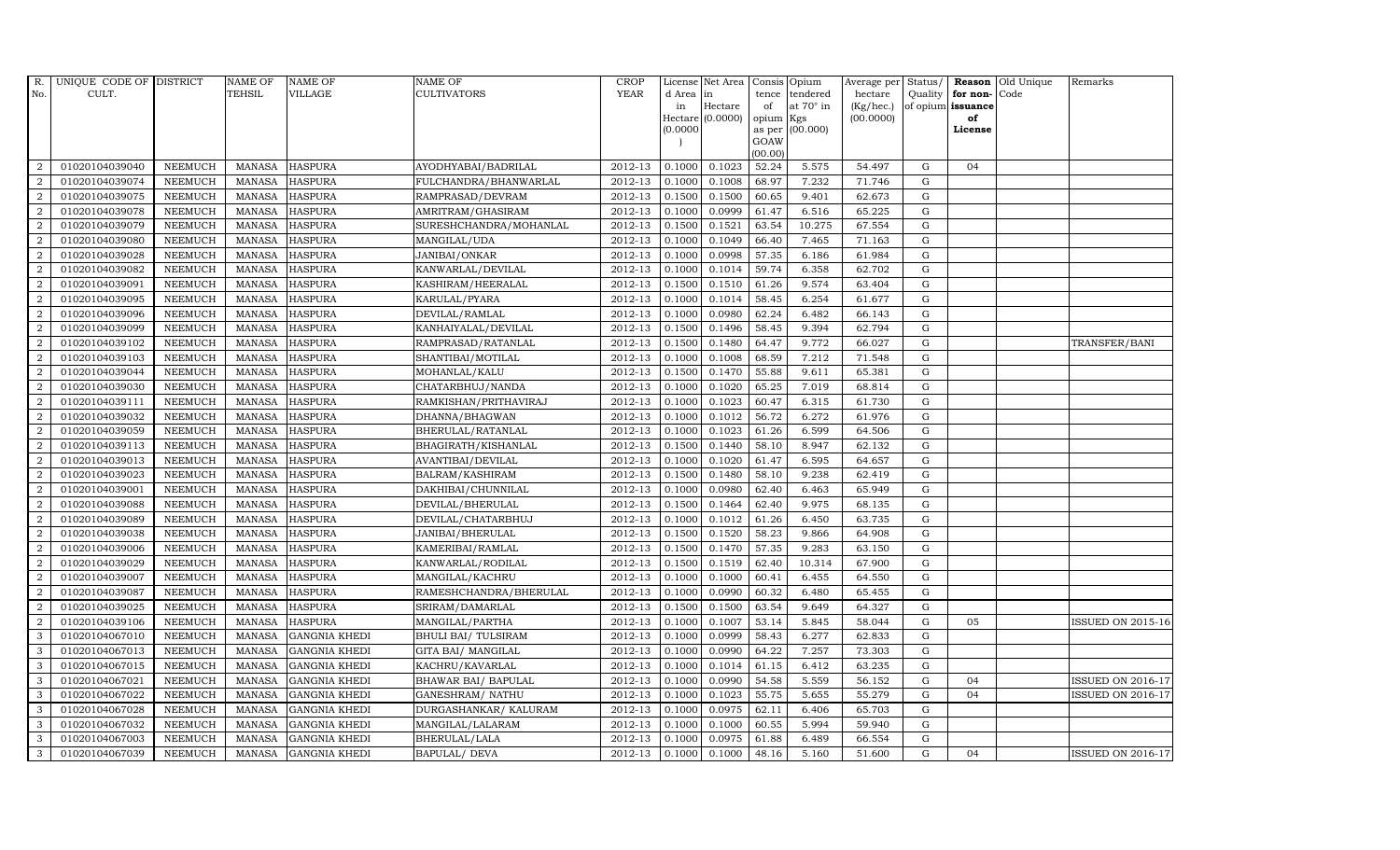| R.             | UNIQUE CODE OF DISTRICT |                | <b>NAME OF</b> | <b>NAME OF</b>       | <b>NAME OF</b>         | CROP        |           | License Net Area   Consis   Opium |           |                  | Average per | Status/     | Reason            | Old Unique | Remarks                  |
|----------------|-------------------------|----------------|----------------|----------------------|------------------------|-------------|-----------|-----------------------------------|-----------|------------------|-------------|-------------|-------------------|------------|--------------------------|
| No.            | CULT.                   |                | <b>TEHSIL</b>  | <b>VILLAGE</b>       | <b>CULTIVATORS</b>     | <b>YEAR</b> | d Area in |                                   | tence     | tendered         | hectare     | Quality     | for non-          | Code       |                          |
|                |                         |                |                |                      |                        |             | in        | Hectare                           | of        | at $70^\circ$ in | (Kg/hec.)   |             | of opium issuance |            |                          |
|                |                         |                |                |                      |                        |             |           | Hectare (0.0000)                  | opium Kgs |                  | (00.0000)   |             | of                |            |                          |
|                |                         |                |                |                      |                        |             | (0.0000)  |                                   | GOAW      | as per (00.000)  |             |             | License           |            |                          |
|                |                         |                |                |                      |                        |             |           |                                   | (00.00)   |                  |             |             |                   |            |                          |
| $\overline{2}$ | 01020104039040          | <b>NEEMUCH</b> |                | MANASA HASPURA       | AYODHYABAI/BADRILAL    | 2012-13     | 0.1000    | 0.1023                            | 52.24     | 5.575            | 54.497      | $\mathbf G$ | 04                |            |                          |
| $\overline{2}$ | 01020104039074          | <b>NEEMUCH</b> | MANASA         | <b>HASPURA</b>       | FULCHANDRA/BHANWARLAL  | 2012-13     | 0.1000    | 0.1008                            | 68.97     | 7.232            | 71.746      | $\mathbf G$ |                   |            |                          |
| 2              | 01020104039075          | <b>NEEMUCH</b> | <b>MANASA</b>  | <b>HASPURA</b>       | RAMPRASAD/DEVRAM       | 2012-13     | 0.1500    | 0.1500                            | 60.65     | 9.401            | 62.673      | G           |                   |            |                          |
| $\overline{2}$ | 01020104039078          | <b>NEEMUCH</b> | MANASA         | <b>HASPURA</b>       | AMRITRAM/GHASIRAM      | 2012-13     | 0.1000    | 0.0999                            | 61.47     | 6.516            | 65.225      | $\mathbf G$ |                   |            |                          |
| $\overline{a}$ | 01020104039079          | <b>NEEMUCH</b> | <b>MANASA</b>  | <b>HASPURA</b>       | SURESHCHANDRA/MOHANLAL | 2012-13     | 0.1500    | 0.1521                            | 63.54     | 10.275           | 67.554      | ${\rm G}$   |                   |            |                          |
| $\overline{2}$ | 01020104039080          | <b>NEEMUCH</b> | MANASA         | <b>HASPURA</b>       | MANGILAL/UDA           | 2012-13     | 0.1000    | 0.1049                            | 66.40     | 7.465            | 71.163      | $\mathbf G$ |                   |            |                          |
| $\overline{a}$ | 01020104039028          | <b>NEEMUCH</b> | <b>MANASA</b>  | <b>HASPURA</b>       | JANIBAI/ONKAR          | 2012-13     | 0.1000    | 0.0998                            | 57.35     | 6.186            | 61.984      | $\mathbf G$ |                   |            |                          |
| $\overline{2}$ | 01020104039082          | <b>NEEMUCH</b> | <b>MANASA</b>  | <b>HASPURA</b>       | KANWARLAL/DEVILAL      | 2012-13     | 0.1000    | 0.1014                            | 59.74     | 6.358            | 62.702      | $\mathbf G$ |                   |            |                          |
| $\overline{2}$ | 01020104039091          | <b>NEEMUCH</b> | <b>MANASA</b>  | <b>HASPURA</b>       | KASHIRAM/HEERALAL      | 2012-13     | 0.1500    | 0.1510                            | 61.26     | 9.574            | 63.404      | $\mathbf G$ |                   |            |                          |
| $\overline{2}$ | 01020104039095          | <b>NEEMUCH</b> | <b>MANASA</b>  | <b>HASPURA</b>       | KARULAL/PYARA          | 2012-13     | 0.1000    | 0.1014                            | 58.45     | 6.254            | 61.677      | ${\rm G}$   |                   |            |                          |
| $\overline{a}$ | 01020104039096          | <b>NEEMUCH</b> | <b>MANASA</b>  | <b>HASPURA</b>       | DEVILAL/RAMLAL         | 2012-13     | 0.1000    | 0.0980                            | 62.24     | 6.482            | 66.143      | ${\rm G}$   |                   |            |                          |
| $\overline{2}$ | 01020104039099          | <b>NEEMUCH</b> | <b>MANASA</b>  | <b>HASPURA</b>       | KANHAIYALAL/DEVILAL    | 2012-13     | 0.1500    | 0.1496                            | 58.45     | 9.394            | 62.794      | $\mathbf G$ |                   |            |                          |
| 2              | 01020104039102          | <b>NEEMUCH</b> | <b>MANASA</b>  | <b>HASPURA</b>       | RAMPRASAD/RATANLAL     | 2012-13     | 0.1500    | 0.1480                            | 64.47     | 9.772            | 66.027      | $\mathbf G$ |                   |            | TRANSFER/BANI            |
| $\overline{2}$ | 01020104039103          | <b>NEEMUCH</b> | <b>MANASA</b>  | <b>HASPURA</b>       | SHANTIBAI/MOTILAL      | 2012-13     | 0.1000    | 0.1008                            | 68.59     | 7.212            | 71.548      | G           |                   |            |                          |
| $\overline{2}$ | 01020104039044          | <b>NEEMUCH</b> | <b>MANASA</b>  | <b>HASPURA</b>       | MOHANLAL/KALU          | 2012-13     | 0.1500    | 0.1470                            | 55.88     | 9.611            | 65.381      | G           |                   |            |                          |
| $\overline{2}$ | 01020104039030          | <b>NEEMUCH</b> | <b>MANASA</b>  | <b>HASPURA</b>       | CHATARBHUJ/NANDA       | 2012-13     | 0.1000    | 0.1020                            | 65.25     | 7.019            | 68.814      | ${\rm G}$   |                   |            |                          |
| 2              | 01020104039111          | <b>NEEMUCH</b> | <b>MANASA</b>  | <b>HASPURA</b>       | RAMKISHAN/PRITHAVIRAJ  | 2012-13     | 0.1000    | 0.1023                            | 60.47     | 6.315            | 61.730      | $\mathbf G$ |                   |            |                          |
| 2              | 01020104039032          | <b>NEEMUCH</b> | MANASA         | <b>HASPURA</b>       | DHANNA/BHAGWAN         | 2012-13     | 0.1000    | 0.1012                            | 56.72     | 6.272            | 61.976      | G           |                   |            |                          |
| $\overline{2}$ | 01020104039059          | <b>NEEMUCH</b> | <b>MANASA</b>  | <b>HASPURA</b>       | BHERULAL/RATANLAL      | 2012-13     | 0.1000    | 0.1023                            | 61.26     | 6.599            | 64.506      | $\mathbf G$ |                   |            |                          |
| $\overline{2}$ | 01020104039113          | <b>NEEMUCH</b> | <b>MANASA</b>  | <b>HASPURA</b>       | BHAGIRATH/KISHANLAL    | 2012-13     | 0.1500    | 0.1440                            | 58.10     | 8.947            | 62.132      | $\mathbf G$ |                   |            |                          |
| $\overline{2}$ | 01020104039013          | <b>NEEMUCH</b> | <b>MANASA</b>  | <b>HASPURA</b>       | AVANTIBAI/DEVILAL      | 2012-13     | 0.1000    | 0.1020                            | 61.47     | 6.595            | 64.657      | ${\rm G}$   |                   |            |                          |
| $\overline{a}$ | 01020104039023          | <b>NEEMUCH</b> | <b>MANASA</b>  | <b>HASPURA</b>       | BALRAM/KASHIRAM        | 2012-13     | 0.1500    | 0.1480                            | 58.10     | 9.238            | 62.419      | ${\rm G}$   |                   |            |                          |
| $\overline{a}$ | 01020104039001          | <b>NEEMUCH</b> | MANASA         | <b>HASPURA</b>       | DAKHIBAI/CHUNNILAL     | 2012-13     | 0.1000    | 0.0980                            | 62.40     | 6.463            | 65.949      | G           |                   |            |                          |
| $\overline{2}$ | 01020104039088          | <b>NEEMUCH</b> | <b>MANASA</b>  | <b>HASPURA</b>       | DEVILAL/BHERULAL       | 2012-13     | 0.1500    | 0.1464                            | 62.40     | 9.975            | 68.135      | $\mathbf G$ |                   |            |                          |
| $\sqrt{2}$     | 01020104039089          | <b>NEEMUCH</b> | <b>MANASA</b>  | <b>HASPURA</b>       | DEVILAL/CHATARBHUJ     | 2012-13     | 0.1000    | 0.1012                            | 61.26     | 6.450            | 63.735      | $\mathbf G$ |                   |            |                          |
| $\overline{2}$ | 01020104039038          | <b>NEEMUCH</b> | <b>MANASA</b>  | <b>HASPURA</b>       | JANIBAI/BHERULAL       | 2012-13     | 0.1500    | 0.1520                            | 58.23     | 9.866            | 64.908      | G           |                   |            |                          |
| $\overline{a}$ | 01020104039006          | <b>NEEMUCH</b> | <b>MANASA</b>  | <b>HASPURA</b>       | KAMERIBAI/RAMLAL       | 2012-13     | 0.1500    | 0.1470                            | 57.35     | 9.283            | 63.150      | ${\rm G}$   |                   |            |                          |
| 2              | 01020104039029          | <b>NEEMUCH</b> | MANASA         | <b>HASPURA</b>       | KANWARLAL/RODILAL      | 2012-13     | 0.1500    | 0.1519                            | 62.40     | 10.314           | 67.900      | $\mathbf G$ |                   |            |                          |
| 2              | 01020104039007          | <b>NEEMUCH</b> | <b>MANASA</b>  | <b>HASPURA</b>       | MANGILAL/KACHRU        | 2012-13     | 0.1000    | 0.1000                            | 60.41     | 6.455            | 64.550      | $\mathbf G$ |                   |            |                          |
| $\overline{2}$ | 01020104039087          | <b>NEEMUCH</b> | <b>MANASA</b>  | <b>HASPURA</b>       | RAMESHCHANDRA/BHERULAL | 2012-13     | 0.1000    | 0.0990                            | 60.32     | 6.480            | 65.455      | $\mathbf G$ |                   |            |                          |
| $\overline{2}$ | 01020104039025          | <b>NEEMUCH</b> | <b>MANASA</b>  | <b>HASPURA</b>       | SRIRAM/DAMARLAL        | 2012-13     | 0.1500    | 0.1500                            | 63.54     | 9.649            | 64.327      | G           |                   |            |                          |
| $\overline{a}$ | 01020104039106          | <b>NEEMUCH</b> | <b>MANASA</b>  | <b>HASPURA</b>       | MANGILAL/PARTHA        | 2012-13     | 0.1000    | 0.1007                            | 53.14     | 5.845            | 58.044      | ${\rm G}$   | 05                |            | <b>ISSUED ON 2015-16</b> |
| 3              | 01020104067010          | <b>NEEMUCH</b> | <b>MANASA</b>  | <b>GANGNIA KHEDI</b> | BHULI BAI/ TULSIRAM    | 2012-13     | 0.1000    | 0.0999                            | 58.43     | 6.277            | 62.833      | $\mathbf G$ |                   |            |                          |
| 3              | 01020104067013          | <b>NEEMUCH</b> | <b>MANASA</b>  | <b>GANGNIA KHEDI</b> | GITA BAI/ MANGILAL     | 2012-13     | 0.1000    | 0.0990                            | 64.22     | 7.257            | 73.303      | $\mathbf G$ |                   |            |                          |
| 3              | 01020104067015          | <b>NEEMUCH</b> | <b>MANASA</b>  | <b>GANGNIA KHEDI</b> | KACHRU/KAVARLAL        | 2012-13     | 0.1000    | 0.1014                            | 61.15     | 6.412            | 63.235      | $\mathbf G$ |                   |            |                          |
| 3              | 01020104067021          | <b>NEEMUCH</b> | <b>MANASA</b>  | <b>GANGNIA KHEDI</b> | BHAWAR BAI/ BAPULAL    | 2012-13     | 0.1000    | 0.0990                            | 54.58     | 5.559            | 56.152      | ${\rm G}$   | 04                |            | <b>ISSUED ON 2016-17</b> |
| 3              | 01020104067022          | <b>NEEMUCH</b> | <b>MANASA</b>  | <b>GANGNIA KHEDI</b> | GANESHRAM/ NATHU       | 2012-13     | 0.1000    | 0.1023                            | 55.75     | 5.655            | 55.279      | ${\rm G}$   | 04                |            | <b>ISSUED ON 2016-17</b> |
| 3              | 01020104067028          | <b>NEEMUCH</b> | <b>MANASA</b>  | <b>GANGNIA KHEDI</b> | DURGASHANKAR/ KALURAM  | $2012 - 13$ | 0.1000    | 0.0975                            | 62.11     | 6.406            | 65.703      | $\mathbf G$ |                   |            |                          |
| 3              | 01020104067032          | <b>NEEMUCH</b> | <b>MANASA</b>  | <b>GANGNIA KHEDI</b> | MANGILAL/LALARAM       | 2012-13     | 0.1000    | 0.1000                            | 60.55     | 5.994            | 59.940      | $\mathbf G$ |                   |            |                          |
| 3              | 01020104067003          | <b>NEEMUCH</b> | <b>MANASA</b>  | <b>GANGNIA KHEDI</b> | BHERULAL/LALA          | 2012-13     | 0.1000    | 0.0975                            | 61.88     | 6.489            | 66.554      | $\mathbf G$ |                   |            |                          |
| 3              | 01020104067039          | <b>NEEMUCH</b> |                | MANASA GANGNIA KHEDI | BAPULAL/ DEVA          | 2012-13     | 0.1000    | 0.1000                            | 48.16     | 5.160            | 51.600      | G           | 04                |            | <b>ISSUED ON 2016-17</b> |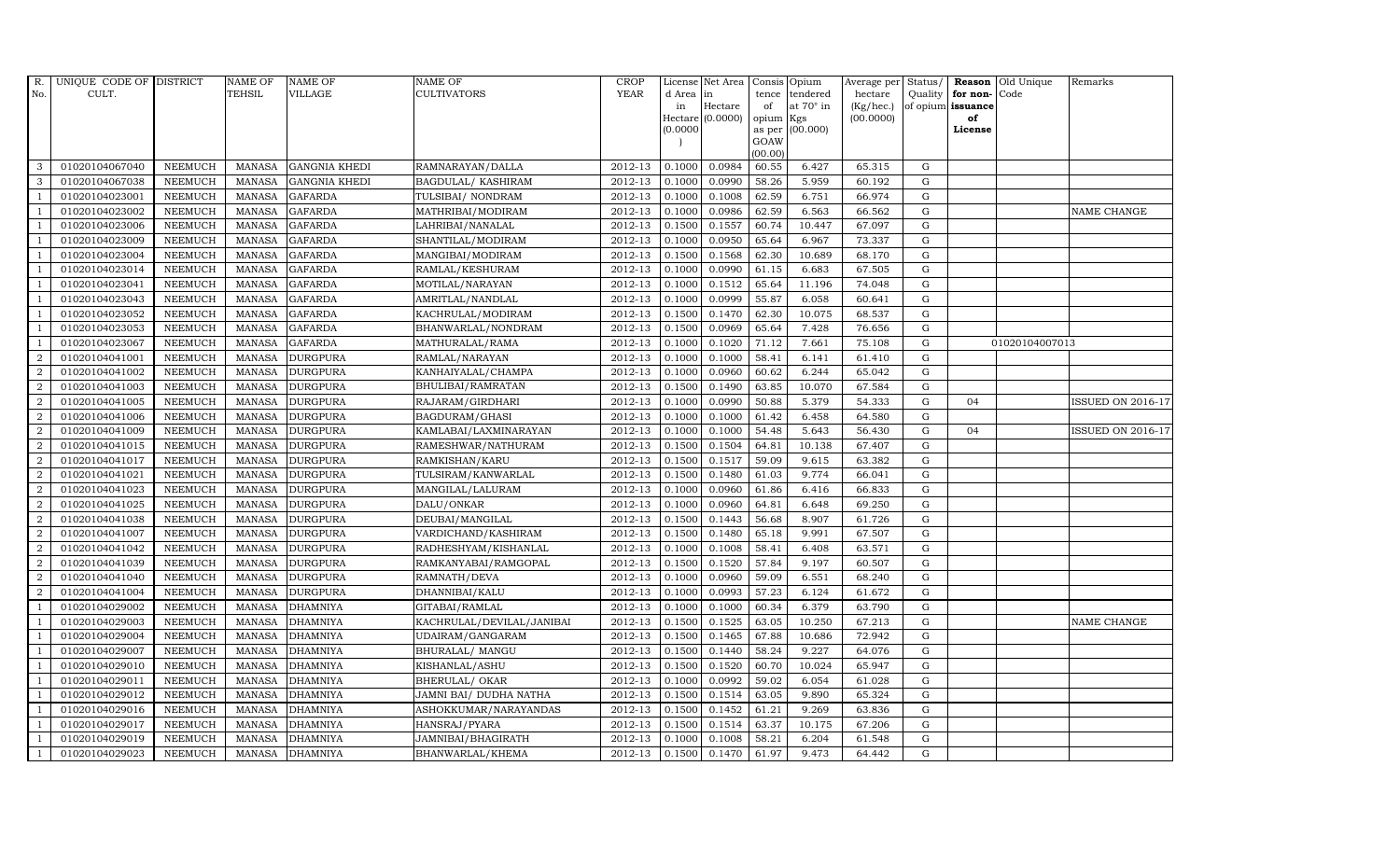| R.             | UNIQUE CODE OF DISTRICT |                | NAME OF       | <b>NAME OF</b>       | <b>NAME OF</b>            | <b>CROP</b> |           | License Net Area   Consis   Opium |           |                  | Average per Status/ |             | Reason            | Old Unique     | Remarks                  |
|----------------|-------------------------|----------------|---------------|----------------------|---------------------------|-------------|-----------|-----------------------------------|-----------|------------------|---------------------|-------------|-------------------|----------------|--------------------------|
| No.            | CULT.                   |                | TEHSIL        | VILLAGE              | <b>CULTIVATORS</b>        | <b>YEAR</b> | d Area in |                                   |           | tence tendered   | hectare             | Quality     | for non-          | Code           |                          |
|                |                         |                |               |                      |                           |             | in        | Hectare                           | of        | at $70^\circ$ in | (Kg/hec.)           |             | of opium issuance |                |                          |
|                |                         |                |               |                      |                           |             |           | $Hectare (0.0000)$                | opium Kgs |                  | (00.0000)           |             | of<br>License     |                |                          |
|                |                         |                |               |                      |                           |             | (0.0000)  |                                   | GOAW      | as per (00.000)  |                     |             |                   |                |                          |
|                |                         |                |               |                      |                           |             |           |                                   | (00.00)   |                  |                     |             |                   |                |                          |
| 3              | 01020104067040          | <b>NEEMUCH</b> | MANASA        | <b>GANGNIA KHEDI</b> | RAMNARAYAN/DALLA          | 2012-13     | 0.1000    | 0.0984                            | 60.55     | 6.427            | 65.315              | $\mathbf G$ |                   |                |                          |
| 3              | 01020104067038          | <b>NEEMUCH</b> | <b>MANASA</b> | <b>GANGNIA KHEDI</b> | <b>BAGDULAL/ KASHIRAM</b> | 2012-13     | 0.1000    | 0.0990                            | 58.26     | 5.959            | 60.192              | $\mathbf G$ |                   |                |                          |
|                | 01020104023001          | <b>NEEMUCH</b> | <b>MANASA</b> | <b>GAFARDA</b>       | TULSIBAI/ NONDRAM         | 2012-13     | 0.1000    | 0.1008                            | 62.59     | 6.751            | 66.974              | G           |                   |                |                          |
|                | 01020104023002          | <b>NEEMUCH</b> | <b>MANASA</b> | <b>GAFARDA</b>       | MATHRIBAI/MODIRAM         | 2012-13     | 0.1000    | 0.0986                            | 62.59     | 6.563            | 66.562              | $\mathbf G$ |                   |                | NAME CHANGE              |
|                | 01020104023006          | <b>NEEMUCH</b> | <b>MANASA</b> | <b>GAFARDA</b>       | LAHRIBAI/NANALAL          | 2012-13     | 0.1500    | 0.1557                            | 60.74     | 10.447           | 67.097              | $\mathbf G$ |                   |                |                          |
|                | 01020104023009          | NEEMUCH        | <b>MANASA</b> | <b>GAFARDA</b>       | SHANTILAL/MODIRAM         | 2012-13     | 0.1000    | 0.0950                            | 65.64     | 6.967            | 73.337              | $\mathbf G$ |                   |                |                          |
|                | 01020104023004          | <b>NEEMUCH</b> | <b>MANASA</b> | <b>GAFARDA</b>       | MANGIBAI/MODIRAM          | 2012-13     | 0.1500    | 0.1568                            | 62.30     | 10.689           | 68.170              | $\mathbf G$ |                   |                |                          |
|                | 01020104023014          | <b>NEEMUCH</b> | <b>MANASA</b> | <b>GAFARDA</b>       | RAMLAL/KESHURAM           | 2012-13     | 0.1000    | 0.0990                            | 61.15     | 6.683            | 67.505              | $\mathbf G$ |                   |                |                          |
|                | 01020104023041          | <b>NEEMUCH</b> | <b>MANASA</b> | <b>GAFARDA</b>       | MOTILAL/NARAYAN           | 2012-13     | 0.1000    | 0.1512                            | 65.64     | 11.196           | 74.048              | $\mathbf G$ |                   |                |                          |
|                | 01020104023043          | <b>NEEMUCH</b> | <b>MANASA</b> | <b>GAFARDA</b>       | AMRITLAL/NANDLAL          | 2012-13     | 0.1000    | 0.0999                            | 55.87     | 6.058            | 60.641              | $\mathbf G$ |                   |                |                          |
|                | 01020104023052          | <b>NEEMUCH</b> | <b>MANASA</b> | <b>GAFARDA</b>       | KACHRULAL/MODIRAM         | 2012-13     | 0.1500    | 0.1470                            | 62.30     | 10.075           | 68.537              | ${\rm G}$   |                   |                |                          |
|                | 01020104023053          | <b>NEEMUCH</b> | <b>MANASA</b> | <b>GAFARDA</b>       | BHANWARLAL/NONDRAM        | 2012-13     | 0.1500    | 0.0969                            | 65.64     | 7.428            | 76.656              | ${\rm G}$   |                   |                |                          |
|                | 01020104023067          | <b>NEEMUCH</b> | <b>MANASA</b> | <b>GAFARDA</b>       | MATHURALAL/RAMA           | 2012-13     | 0.1000    | 0.1020                            | 71.12     | 7.661            | 75.108              | $\mathbf G$ |                   | 01020104007013 |                          |
| $\overline{2}$ | 01020104041001          | <b>NEEMUCH</b> | <b>MANASA</b> | <b>DURGPURA</b>      | RAMLAL/NARAYAN            | 2012-13     | 0.1000    | 0.1000                            | 58.41     | 6.141            | 61.410              | G           |                   |                |                          |
| 2              | 01020104041002          | <b>NEEMUCH</b> | <b>MANASA</b> | <b>DURGPURA</b>      | KANHAIYALAL/CHAMPA        | 2012-13     | 0.1000    | 0.0960                            | 60.62     | 6.244            | 65.042              | G           |                   |                |                          |
| 2              | 01020104041003          | <b>NEEMUCH</b> | <b>MANASA</b> | <b>DURGPURA</b>      | BHULIBAI/RAMRATAN         | 2012-13     | 0.1500    | 0.1490                            | 63.85     | 10.070           | 67.584              | ${\rm G}$   |                   |                |                          |
| 2              | 01020104041005          | <b>NEEMUCH</b> | <b>MANASA</b> | <b>DURGPURA</b>      | RAJARAM / GIRDHARI        | 2012-13     | 0.1000    | 0.0990                            | 50.88     | 5.379            | 54.333              | $\mathbf G$ | 04                |                | <b>ISSUED ON 2016-17</b> |
| $\overline{2}$ | 01020104041006          | <b>NEEMUCH</b> | <b>MANASA</b> | <b>DURGPURA</b>      | BAGDURAM/GHASI            | 2012-13     | 0.1000    | 0.1000                            | 61.42     | 6.458            | 64.580              | G           |                   |                |                          |
| $\overline{2}$ | 01020104041009          | <b>NEEMUCH</b> | <b>MANASA</b> | <b>DURGPURA</b>      | KAMLABAI/LAXMINARAYAN     | 2012-13     | 0.1000    | 0.1000                            | 54.48     | 5.643            | 56.430              | $\mathbf G$ | 04                |                | <b>ISSUED ON 2016-17</b> |
| 2              | 01020104041015          | <b>NEEMUCH</b> | <b>MANASA</b> | <b>DURGPURA</b>      | RAMESHWAR/NATHURAM        | 2012-13     | 0.1500    | 0.1504                            | 64.81     | 10.138           | 67.407              | $\mathbf G$ |                   |                |                          |
| $\overline{2}$ | 01020104041017          | <b>NEEMUCH</b> | <b>MANASA</b> | <b>DURGPURA</b>      | RAMKISHAN/KARU            | 2012-13     | 0.1500    | 0.1517                            | 59.09     | 9.615            | 63.382              | ${\rm G}$   |                   |                |                          |
| 2              | 01020104041021          | NEEMUCH        | <b>MANASA</b> | <b>DURGPURA</b>      | TULSIRAM/KANWARLAL        | 2012-13     | 0.1500    | 0.1480                            | 61.03     | 9.774            | 66.041              | $\mathbf G$ |                   |                |                          |
| $\overline{2}$ | 01020104041023          | <b>NEEMUCH</b> | MANASA        | <b>DURGPURA</b>      | MANGILAL/LALURAM          | 2012-13     | 0.1000    | 0.0960                            | 61.86     | 6.416            | 66.833              | G           |                   |                |                          |
| 2              | 01020104041025          | <b>NEEMUCH</b> | <b>MANASA</b> | <b>DURGPURA</b>      | DALU/ONKAR                | 2012-13     | 0.1000    | 0.0960                            | 64.81     | 6.648            | 69.250              | $\mathbf G$ |                   |                |                          |
| $\overline{2}$ | 01020104041038          | <b>NEEMUCH</b> | MANASA        | <b>DURGPURA</b>      | DEUBAI/MANGILAL           | 2012-13     | 0.1500    | 0.1443                            | 56.68     | 8.907            | 61.726              | $\mathbf G$ |                   |                |                          |
| $\overline{2}$ | 01020104041007          | <b>NEEMUCH</b> | <b>MANASA</b> | <b>DURGPURA</b>      | VARDICHAND/KASHIRAM       | 2012-13     | 0.1500    | 0.1480                            | 65.18     | 9.991            | 67.507              | G           |                   |                |                          |
| 2              | 01020104041042          | <b>NEEMUCH</b> | <b>MANASA</b> | <b>DURGPURA</b>      | RADHESHYAM/KISHANLAL      | 2012-13     | 0.1000    | 0.1008                            | 58.41     | 6.408            | 63.571              | ${\rm G}$   |                   |                |                          |
| 2              | 01020104041039          | <b>NEEMUCH</b> | <b>MANASA</b> | <b>DURGPURA</b>      | RAMKANYABAI/RAMGOPAL      | 2012-13     | 0.1500    | 0.1520                            | 57.84     | 9.197            | 60.507              | $\mathbf G$ |                   |                |                          |
| 2              | 01020104041040          | <b>NEEMUCH</b> | <b>MANASA</b> | <b>DURGPURA</b>      | RAMNATH/DEVA              | 2012-13     | 0.1000    | 0.0960                            | 59.09     | 6.551            | 68.240              | $\mathbf G$ |                   |                |                          |
| 2              | 01020104041004          | <b>NEEMUCH</b> | <b>MANASA</b> | <b>DURGPURA</b>      | DHANNIBAI/KALU            | 2012-13     | 0.1000    | 0.0993                            | 57.23     | 6.124            | 61.672              | $\mathbf G$ |                   |                |                          |
|                | 01020104029002          | <b>NEEMUCH</b> | <b>MANASA</b> | <b>DHAMNIYA</b>      | GITABAI/RAMLAL            | 2012-13     | 0.1000    | 0.1000                            | 60.34     | 6.379            | 63.790              | G           |                   |                |                          |
|                | 01020104029003          | <b>NEEMUCH</b> | <b>MANASA</b> | <b>DHAMNIYA</b>      | KACHRULAL/DEVILAL/JANIBAI | 2012-13     | 0.1500    | 0.1525                            | 63.05     | 10.250           | 67.213              | ${\rm G}$   |                   |                | NAME CHANGE              |
|                | 01020104029004          | <b>NEEMUCH</b> | <b>MANASA</b> | <b>DHAMNIYA</b>      | UDAIRAM/GANGARAM          | 2012-13     | 0.1500    | 0.1465                            | 67.88     | 10.686           | 72.942              | $\mathbf G$ |                   |                |                          |
|                | 01020104029007          | <b>NEEMUCH</b> | <b>MANASA</b> | <b>DHAMNIYA</b>      | <b>BHURALAL/ MANGU</b>    | 2012-13     | 0.1500    | 0.1440                            | 58.24     | 9.227            | 64.076              | $\mathbf G$ |                   |                |                          |
|                | 01020104029010          | <b>NEEMUCH</b> | <b>MANASA</b> | <b>DHAMNIYA</b>      | KISHANLAL/ASHU            | 2012-13     | 0.1500    | 0.1520                            | 60.70     | 10.024           | 65.947              | $\mathbf G$ |                   |                |                          |
|                | 01020104029011          | <b>NEEMUCH</b> | <b>MANASA</b> | <b>DHAMNIYA</b>      | <b>BHERULAL/ OKAR</b>     | 2012-13     | 0.1000    | 0.0992                            | 59.02     | 6.054            | 61.028              | $\mathbf G$ |                   |                |                          |
|                | 01020104029012          | <b>NEEMUCH</b> | <b>MANASA</b> | <b>DHAMNIYA</b>      | JAMNI BAI/ DUDHA NATHA    | 2012-13     | 0.1500    | 0.1514                            | 63.05     | 9.890            | 65.324              | ${\rm G}$   |                   |                |                          |
|                | 01020104029016          | NEEMUCH        | <b>MANASA</b> | <b>DHAMNIYA</b>      | ASHOKKUMAR/NARAYANDAS     | 2012-13     | 0.1500    | 0.1452                            | 61.21     | 9.269            | 63.836              | $\mathbf G$ |                   |                |                          |
|                | 01020104029017          | <b>NEEMUCH</b> | <b>MANASA</b> | <b>DHAMNIYA</b>      | HANSRAJ/PYARA             | 2012-13     | 0.1500    | 0.1514                            | 63.37     | 10.175           | 67.206              | $\mathbf G$ |                   |                |                          |
|                | 01020104029019          | <b>NEEMUCH</b> | <b>MANASA</b> | <b>DHAMNIYA</b>      | JAMNIBAI/BHAGIRATH        | 2012-13     | 0.1000    | 0.1008                            | 58.21     | 6.204            | 61.548              | $\mathbf G$ |                   |                |                          |
|                | 01020104029023          | <b>NEEMUCH</b> | <b>MANASA</b> | <b>DHAMNIYA</b>      | BHANWARLAL/KHEMA          | 2012-13     | 0.1500    | 0.1470                            | 61.97     | 9.473            | 64.442              | $\mathbf G$ |                   |                |                          |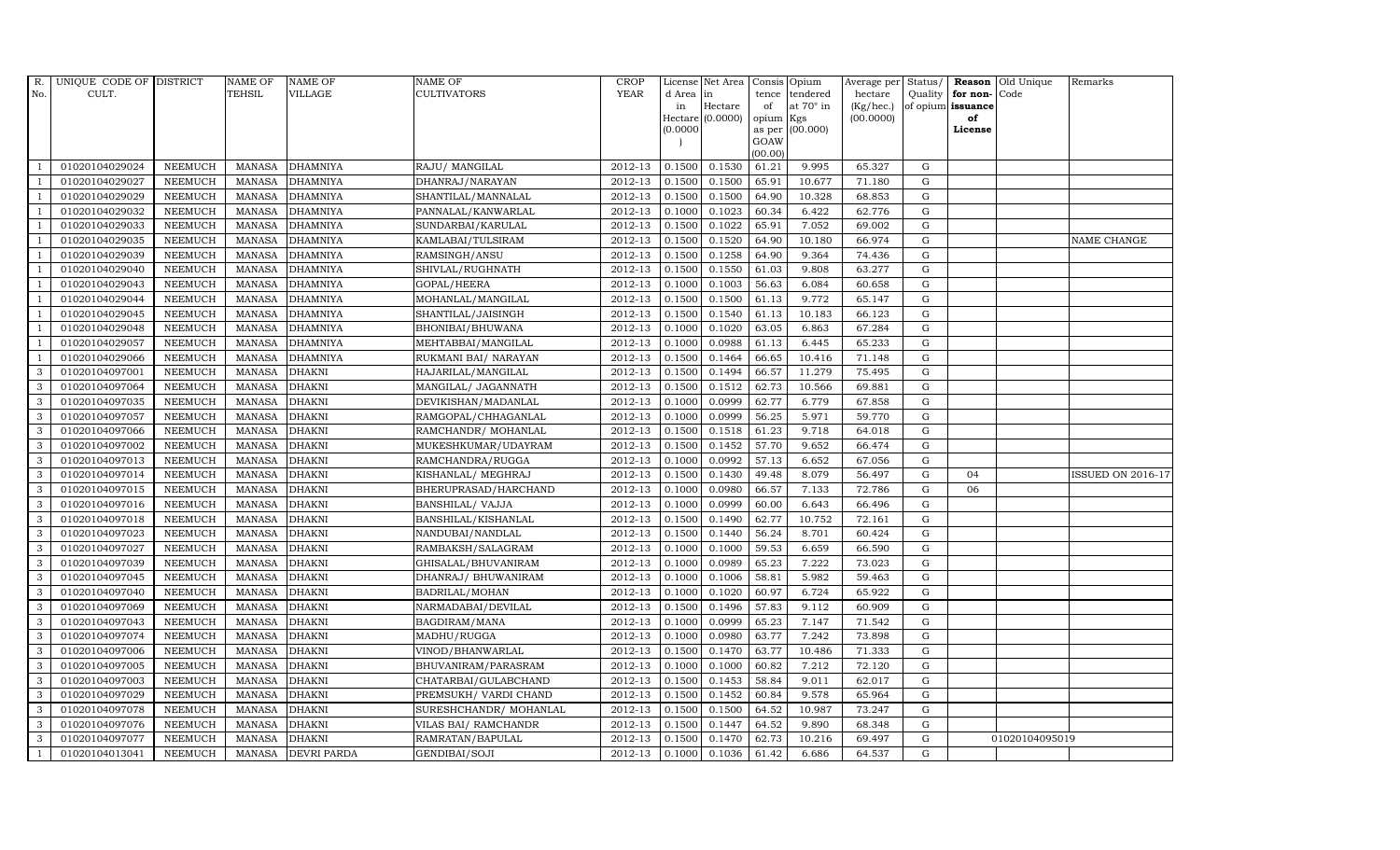| R.             | UNIQUE CODE OF DISTRICT |                | <b>NAME OF</b> | <b>NAME OF</b>     | <b>NAME OF</b>          | CROP        |          | License Net Area   Consis   Opium |           |                  | Average per | Status/     | Reason            | Old Unique     | Remarks                  |
|----------------|-------------------------|----------------|----------------|--------------------|-------------------------|-------------|----------|-----------------------------------|-----------|------------------|-------------|-------------|-------------------|----------------|--------------------------|
| No.            | CULT.                   |                | <b>TEHSIL</b>  | <b>VILLAGE</b>     | <b>CULTIVATORS</b>      | <b>YEAR</b> | d Area   | in                                | tence     | tendered         | hectare     | Quality     | for non-          | Code           |                          |
|                |                         |                |                |                    |                         |             | in       | Hectare                           | of        | at $70^\circ$ in | (Kg/hec.)   |             | of opium issuance |                |                          |
|                |                         |                |                |                    |                         |             |          | Hectare (0.0000)                  | opium Kgs |                  | (00.0000)   |             | of                |                |                          |
|                |                         |                |                |                    |                         |             | (0.0000) |                                   | GOAW      | as per (00.000)  |             |             | License           |                |                          |
|                |                         |                |                |                    |                         |             |          |                                   | (00.00)   |                  |             |             |                   |                |                          |
|                | 01020104029024          | <b>NEEMUCH</b> | MANASA         | <b>DHAMNIYA</b>    | RAJU/ MANGILAL          | 2012-13     | 0.1500   | 0.1530                            | 61.21     | 9.995            | 65.327      | $\mathbf G$ |                   |                |                          |
| -1             | 01020104029027          | <b>NEEMUCH</b> | MANASA         | <b>DHAMNIYA</b>    | DHANRAJ/NARAYAN         | 2012-13     | 0.1500   | 0.1500                            | 65.91     | 10.677           | 71.180      | $\mathbf G$ |                   |                |                          |
|                | 01020104029029          | <b>NEEMUCH</b> | <b>MANASA</b>  | <b>DHAMNIYA</b>    | SHANTILAL/MANNALAL      | 2012-13     | 0.1500   | 0.1500                            | 64.90     | 10.328           | 68.853      | G           |                   |                |                          |
|                | 01020104029032          | <b>NEEMUCH</b> | <b>MANASA</b>  | <b>DHAMNIYA</b>    | PANNALAL/KANWARLAL      | 2012-13     | 0.1000   | 0.1023                            | 60.34     | 6.422            | 62.776      | $\mathbf G$ |                   |                |                          |
| $\overline{1}$ | 01020104029033          | <b>NEEMUCH</b> | <b>MANASA</b>  | <b>DHAMNIYA</b>    | SUNDARBAI/KARULAL       | 2012-13     | 0.1500   | 0.1022                            | 65.91     | 7.052            | 69.002      | ${\rm G}$   |                   |                |                          |
| $\overline{1}$ | 01020104029035          | <b>NEEMUCH</b> | MANASA         | <b>DHAMNIYA</b>    | KAMLABAI/TULSIRAM       | 2012-13     | 0.1500   | 0.1520                            | 64.90     | 10.180           | 66.974      | $\mathbf G$ |                   |                | NAME CHANGE              |
| $\overline{1}$ | 01020104029039          | <b>NEEMUCH</b> | <b>MANASA</b>  | <b>DHAMNIYA</b>    | RAMSINGH/ANSU           | 2012-13     | 0.1500   | 0.1258                            | 64.90     | 9.364            | 74.436      | $\mathbf G$ |                   |                |                          |
| $\overline{1}$ | 01020104029040          | <b>NEEMUCH</b> | <b>MANASA</b>  | <b>DHAMNIYA</b>    | SHIVLAL/RUGHNATH        | 2012-13     | 0.1500   | 0.1550                            | 61.03     | 9.808            | 63.277      | $\mathbf G$ |                   |                |                          |
|                | 01020104029043          | <b>NEEMUCH</b> | <b>MANASA</b>  | <b>DHAMNIYA</b>    | GOPAL/HEERA             | 2012-13     | 0.1000   | 0.1003                            | 56.63     | 6.084            | 60.658      | $\mathbf G$ |                   |                |                          |
|                | 01020104029044          | <b>NEEMUCH</b> | <b>MANASA</b>  | <b>DHAMNIYA</b>    | MOHANLAL/MANGILAL       | 2012-13     | 0.1500   | 0.1500                            | 61.13     | 9.772            | 65.147      | $\mathbf G$ |                   |                |                          |
| $\overline{1}$ | 01020104029045          | <b>NEEMUCH</b> | <b>MANASA</b>  | <b>DHAMNIYA</b>    | SHANTILAL/JAISINGH      | 2012-13     | 0.1500   | 0.1540                            | 61.13     | 10.183           | 66.123      | ${\rm G}$   |                   |                |                          |
| $\overline{1}$ | 01020104029048          | <b>NEEMUCH</b> | <b>MANASA</b>  | <b>DHAMNIYA</b>    | BHONIBAI/BHUWANA        | 2012-13     | 0.1000   | 0.1020                            | 63.05     | 6.863            | 67.284      | $\mathbf G$ |                   |                |                          |
| $\overline{1}$ | 01020104029057          | <b>NEEMUCH</b> | <b>MANASA</b>  | <b>DHAMNIYA</b>    | MEHTABBAI/MANGILAL      | 2012-13     | 0.1000   | 0.0988                            | 61.13     | 6.445            | 65.233      | $\mathbf G$ |                   |                |                          |
|                | 01020104029066          | <b>NEEMUCH</b> | <b>MANASA</b>  | <b>DHAMNIYA</b>    | RUKMANI BAI/ NARAYAN    | 2012-13     | 0.1500   | 0.1464                            | 66.65     | 10.416           | 71.148      | G           |                   |                |                          |
| 3              | 01020104097001          | <b>NEEMUCH</b> | <b>MANASA</b>  | <b>DHAKNI</b>      | HAJARILAL/MANGILAL      | 2012-13     | 0.1500   | 0.1494                            | 66.57     | 11.279           | 75.495      | G           |                   |                |                          |
| 3              | 01020104097064          | <b>NEEMUCH</b> | <b>MANASA</b>  | <b>DHAKNI</b>      | MANGILAL/ JAGANNATH     | 2012-13     | 0.1500   | 0.1512                            | 62.73     | 10.566           | 69.881      | ${\rm G}$   |                   |                |                          |
| 3              | 01020104097035          | <b>NEEMUCH</b> | <b>MANASA</b>  | <b>DHAKNI</b>      | DEVIKISHAN / MADANLAL   | 2012-13     | 0.1000   | 0.0999                            | 62.77     | 6.779            | 67.858      | $\mathbf G$ |                   |                |                          |
| 3              | 01020104097057          | <b>NEEMUCH</b> | <b>MANASA</b>  | <b>DHAKNI</b>      | RAMGOPAL/CHHAGANLAL     | 2012-13     | 0.1000   | 0.0999                            | 56.25     | 5.971            | 59.770      | G           |                   |                |                          |
| 3              | 01020104097066          | <b>NEEMUCH</b> | <b>MANASA</b>  | <b>DHAKNI</b>      | RAMCHANDR/ MOHANLAL     | 2012-13     | 0.1500   | 0.1518                            | 61.23     | 9.718            | 64.018      | $\mathbf G$ |                   |                |                          |
| 3              | 01020104097002          | <b>NEEMUCH</b> | <b>MANASA</b>  | <b>DHAKNI</b>      | MUKESHKUMAR/UDAYRAM     | 2012-13     | 0.1500   | 0.1452                            | 57.70     | 9.652            | 66.474      | $\mathbf G$ |                   |                |                          |
| $\mathbf{3}$   | 01020104097013          | <b>NEEMUCH</b> | <b>MANASA</b>  | <b>DHAKNI</b>      | RAMCHANDRA/RUGGA        | 2012-13     | 0.1000   | 0.0992                            | 57.13     | 6.652            | 67.056      | ${\rm G}$   |                   |                |                          |
| 3              | 01020104097014          | NEEMUCH        | <b>MANASA</b>  | <b>DHAKNI</b>      | KISHANLAL/ MEGHRAJ      | 2012-13     | 0.1500   | 0.1430                            | 49.48     | 8.079            | 56.497      | $\mathbf G$ | 04                |                | <b>ISSUED ON 2016-17</b> |
| $\mathbf{3}$   | 01020104097015          | <b>NEEMUCH</b> | <b>MANASA</b>  | <b>DHAKNI</b>      | BHERUPRASAD/HARCHAND    | 2012-13     | 0.1000   | 0.0980                            | 66.57     | 7.133            | 72.786      | G           | 06                |                |                          |
| 3              | 01020104097016          | <b>NEEMUCH</b> | <b>MANASA</b>  | <b>DHAKNI</b>      | <b>BANSHILAL/ VAJJA</b> | 2012-13     | 0.1000   | 0.0999                            | 60.00     | 6.643            | 66.496      | $\mathbf G$ |                   |                |                          |
| 3              | 01020104097018          | <b>NEEMUCH</b> | <b>MANASA</b>  | <b>DHAKNI</b>      | BANSHILAL/KISHANLAL     | 2012-13     | 0.1500   | 0.1490                            | 62.77     | 10.752           | 72.161      | $\mathbf G$ |                   |                |                          |
| 3              | 01020104097023          | <b>NEEMUCH</b> | <b>MANASA</b>  | <b>DHAKNI</b>      | NANDUBAI/NANDLAL        | 2012-13     | 0.1500   | 0.1440                            | 56.24     | 8.701            | 60.424      | G           |                   |                |                          |
| 3              | 01020104097027          | <b>NEEMUCH</b> | <b>MANASA</b>  | <b>DHAKNI</b>      | RAMBAKSH/SALAGRAM       | 2012-13     | 0.1000   | 0.1000                            | 59.53     | 6.659            | 66.590      | ${\rm G}$   |                   |                |                          |
| 3              | 01020104097039          | <b>NEEMUCH</b> | <b>MANASA</b>  | <b>DHAKNI</b>      | GHISALAL/BHUVANIRAM     | 2012-13     | 0.1000   | 0.0989                            | 65.23     | 7.222            | 73.023      | $\mathbf G$ |                   |                |                          |
| 3              | 01020104097045          | <b>NEEMUCH</b> | <b>MANASA</b>  | <b>DHAKNI</b>      | DHANRAJ/ BHUWANIRAM     | 2012-13     | 0.1000   | 0.1006                            | 58.81     | 5.982            | 59.463      | $\mathbf G$ |                   |                |                          |
| 3              | 01020104097040          | <b>NEEMUCH</b> | <b>MANASA</b>  | <b>DHAKNI</b>      | BADRILAL/MOHAN          | 2012-13     | 0.1000   | 0.1020                            | 60.97     | 6.724            | 65.922      | $\mathbf G$ |                   |                |                          |
| 3              | 01020104097069          | <b>NEEMUCH</b> | <b>MANASA</b>  | <b>DHAKNI</b>      | NARMADABAI/DEVILAL      | 2012-13     | 0.1500   | 0.1496                            | 57.83     | 9.112            | 60.909      | G           |                   |                |                          |
| 3              | 01020104097043          | <b>NEEMUCH</b> | <b>MANASA</b>  | <b>DHAKNI</b>      | BAGDIRAM/MANA           | 2012-13     | 0.1000   | 0.0999                            | 65.23     | 7.147            | 71.542      | ${\rm G}$   |                   |                |                          |
| 3              | 01020104097074          | <b>NEEMUCH</b> | MANASA         | <b>DHAKNI</b>      | MADHU/RUGGA             | 2012-13     | 0.1000   | 0.0980                            | 63.77     | 7.242            | 73.898      | $\mathbf G$ |                   |                |                          |
| 3              | 01020104097006          | <b>NEEMUCH</b> | <b>MANASA</b>  | <b>DHAKNI</b>      | VINOD/BHANWARLAL        | 2012-13     | 0.1500   | 0.1470                            | 63.77     | 10.486           | 71.333      | $\mathbf G$ |                   |                |                          |
| 3              | 01020104097005          | <b>NEEMUCH</b> | <b>MANASA</b>  | <b>DHAKNI</b>      | BHUVANIRAM/PARASRAM     | 2012-13     | 0.1000   | 0.1000                            | 60.82     | 7.212            | 72.120      | $\mathbf G$ |                   |                |                          |
| 3              | 01020104097003          | <b>NEEMUCH</b> | <b>MANASA</b>  | <b>DHAKNI</b>      | CHATARBAI/GULABCHAND    | 2012-13     | 0.1500   | 0.1453                            | 58.84     | 9.011            | 62.017      | ${\rm G}$   |                   |                |                          |
| 3              | 01020104097029          | <b>NEEMUCH</b> | <b>MANASA</b>  | <b>DHAKNI</b>      | PREMSUKH/ VARDI CHAND   | 2012-13     | 0.1500   | 0.1452                            | 60.84     | 9.578            | 65.964      | ${\rm G}$   |                   |                |                          |
| 3              | 01020104097078          | <b>NEEMUCH</b> | MANASA         | <b>DHAKNI</b>      | SURESHCHANDR/ MOHANLAL  | $2012 - 13$ | 0.1500   | 0.1500                            | 64.52     | 10.987           | 73.247      | $\mathbf G$ |                   |                |                          |
| 3              | 01020104097076          | <b>NEEMUCH</b> | <b>MANASA</b>  | <b>DHAKNI</b>      | VILAS BAI/ RAMCHANDR    | 2012-13     | 0.1500   | 0.1447                            | 64.52     | 9.890            | 68.348      | G           |                   |                |                          |
| 3              | 01020104097077          | <b>NEEMUCH</b> | <b>MANASA</b>  | <b>DHAKNI</b>      | RAMRATAN/BAPULAL        | 2012-13     | 0.1500   | 0.1470                            | 62.73     | 10.216           | 69.497      | $\mathbf G$ |                   | 01020104095019 |                          |
| $\mathbf{1}$   | 01020104013041          | <b>NEEMUCH</b> |                | MANASA DEVRI PARDA | GENDIBAI/SOJI           | 2012-13     | 0.1000   | 0.1036                            | 61.42     | 6.686            | 64.537      | G           |                   |                |                          |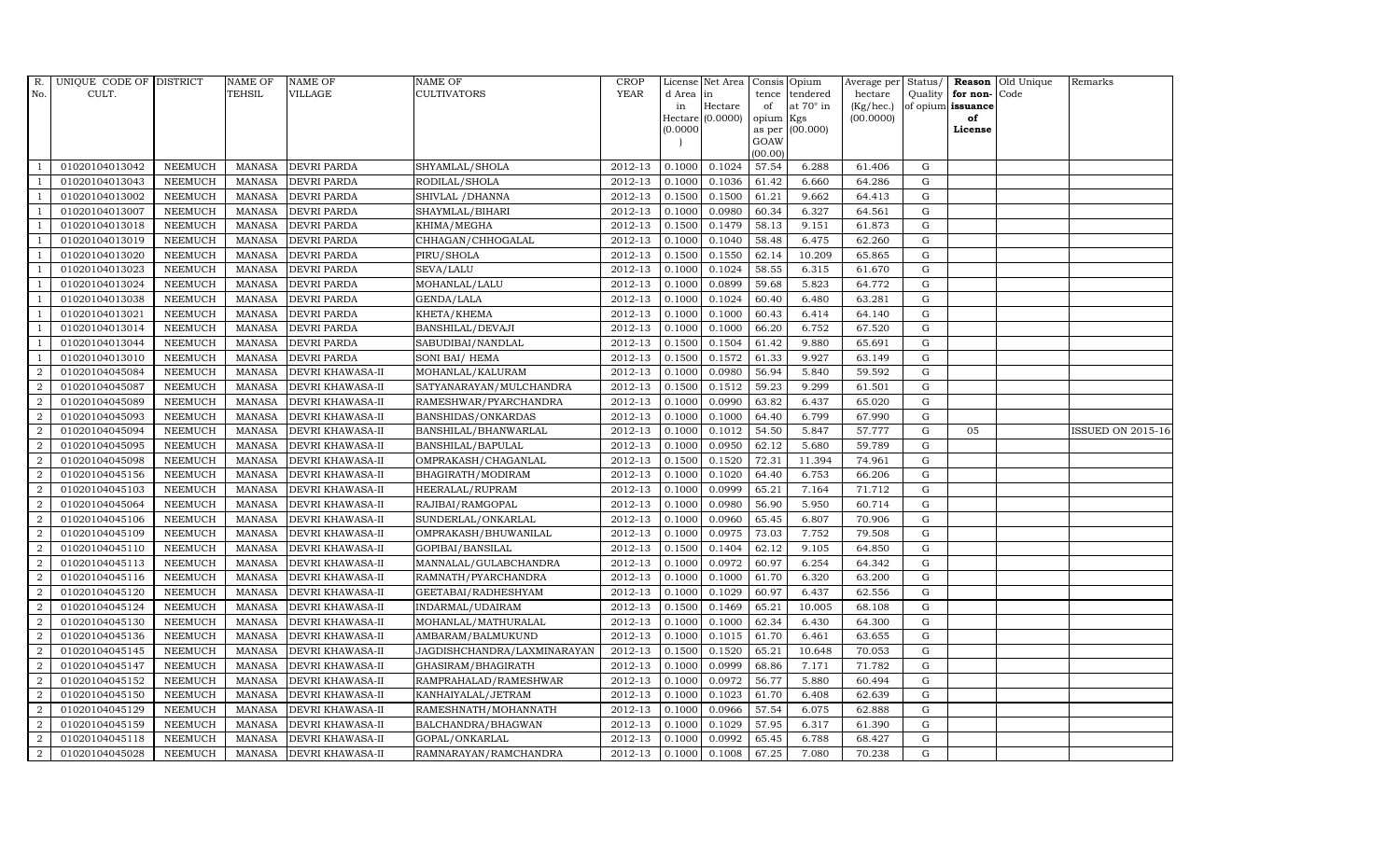| R.               | UNIQUE CODE OF DISTRICT |                | <b>NAME OF</b> | <b>NAME OF</b>          | <b>NAME OF</b>              | CROP    |           | License Net Area   Consis   Opium |           |                  | Average per Status/ |             |                   | <b>Reason</b> Old Unique | Remarks                  |
|------------------|-------------------------|----------------|----------------|-------------------------|-----------------------------|---------|-----------|-----------------------------------|-----------|------------------|---------------------|-------------|-------------------|--------------------------|--------------------------|
| No.              | CULT.                   |                | <b>TEHSIL</b>  | VILLAGE                 | <b>CULTIVATORS</b>          | YEAR    | d Area in |                                   |           | tence tendered   | hectare             | Quality     | for non-          | Code                     |                          |
|                  |                         |                |                |                         |                             |         | in        | Hectare                           | of        | at $70^\circ$ in | (Kg/hec.)           |             | of opium issuance |                          |                          |
|                  |                         |                |                |                         |                             |         |           | Hectare (0.0000)                  | opium Kgs |                  | (00.0000)           |             | of                |                          |                          |
|                  |                         |                |                |                         |                             |         | (0.0000)  |                                   | GOAW      | as per (00.000)  |                     |             | License           |                          |                          |
|                  |                         |                |                |                         |                             |         |           |                                   | (00.00)   |                  |                     |             |                   |                          |                          |
|                  | 01020104013042          | <b>NEEMUCH</b> | MANASA         | <b>DEVRI PARDA</b>      | SHYAMLAL/SHOLA              | 2012-13 | 0.1000    | 0.1024                            | 57.54     | 6.288            | 61.406              | G           |                   |                          |                          |
| -1               | 01020104013043          | <b>NEEMUCH</b> | MANASA         | <b>DEVRI PARDA</b>      | RODILAL/SHOLA               | 2012-13 | 0.1000    | 0.1036                            | 61.42     | 6.660            | 64.286              | $\mathbf G$ |                   |                          |                          |
|                  | 01020104013002          | <b>NEEMUCH</b> | <b>MANASA</b>  | <b>DEVRI PARDA</b>      | SHIVLAL / DHANNA            | 2012-13 | 0.1500    | 0.1500                            | 61.21     | 9.662            | 64.413              | G           |                   |                          |                          |
|                  | 01020104013007          | <b>NEEMUCH</b> | MANASA         | <b>DEVRI PARDA</b>      | SHAYMLAL/BIHARI             | 2012-13 | 0.1000    | 0.0980                            | 60.34     | 6.327            | 64.561              | $\mathbf G$ |                   |                          |                          |
| $\overline{1}$   | 01020104013018          | <b>NEEMUCH</b> | <b>MANASA</b>  | <b>DEVRI PARDA</b>      | KHIMA/MEGHA                 | 2012-13 | 0.1500    | 0.1479                            | 58.13     | 9.151            | 61.873              | ${\rm G}$   |                   |                          |                          |
| $\overline{1}$   | 01020104013019          | <b>NEEMUCH</b> | <b>MANASA</b>  | <b>DEVRI PARDA</b>      | CHHAGAN/CHHOGALAL           | 2012-13 | 0.1000    | 0.1040                            | 58.48     | 6.475            | 62.260              | $\mathbf G$ |                   |                          |                          |
| $\overline{1}$   | 01020104013020          | <b>NEEMUCH</b> | MANASA         | DEVRI PARDA             | PIRU/SHOLA                  | 2012-13 | 0.1500    | 0.1550                            | 62.14     | 10.209           | 65.865              | $\mathbf G$ |                   |                          |                          |
| $\overline{1}$   | 01020104013023          | <b>NEEMUCH</b> | <b>MANASA</b>  | <b>DEVRI PARDA</b>      | SEVA/LALU                   | 2012-13 | 0.1000    | 0.1024                            | 58.55     | 6.315            | 61.670              | $\mathbf G$ |                   |                          |                          |
|                  | 01020104013024          | <b>NEEMUCH</b> | MANASA         | <b>DEVRI PARDA</b>      | MOHANLAL/LALU               | 2012-13 | 0.1000    | 0.0899                            | 59.68     | 5.823            | 64.772              | $\mathbf G$ |                   |                          |                          |
| $\overline{1}$   | 01020104013038          | <b>NEEMUCH</b> | <b>MANASA</b>  | <b>DEVRI PARDA</b>      | GENDA/LALA                  | 2012-13 | 0.1000    | 0.1024                            | 60.40     | 6.480            | 63.281              | ${\bf G}$   |                   |                          |                          |
| -1               | 01020104013021          | <b>NEEMUCH</b> | <b>MANASA</b>  | <b>DEVRI PARDA</b>      | KHETA/KHEMA                 | 2012-13 | 0.1000    | 0.1000                            | 60.43     | 6.414            | 64.140              | ${\rm G}$   |                   |                          |                          |
| $\overline{1}$   | 01020104013014          | <b>NEEMUCH</b> | MANASA         | <b>DEVRI PARDA</b>      | BANSHILAL/DEVAJI            | 2012-13 | 0.1000    | 0.1000                            | 66.20     | 6.752            | 67.520              | ${\rm G}$   |                   |                          |                          |
| $\overline{1}$   | 01020104013044          | <b>NEEMUCH</b> | <b>MANASA</b>  | <b>DEVRI PARDA</b>      | SABUDIBAI/NANDLAL           | 2012-13 | 0.1500    | 0.1504                            | 61.42     | 9.880            | 65.691              | $\mathbf G$ |                   |                          |                          |
|                  | 01020104013010          | <b>NEEMUCH</b> | <b>MANASA</b>  | <b>DEVRI PARDA</b>      | SONI BAI/ HEMA              | 2012-13 | 0.1500    | 0.1572                            | 61.33     | 9.927            | 63.149              | G           |                   |                          |                          |
| $\overline{2}$   | 01020104045084          | <b>NEEMUCH</b> | <b>MANASA</b>  | <b>DEVRI KHAWASA-II</b> | MOHANLAL/KALURAM            | 2012-13 | 0.1000    | 0.0980                            | 56.94     | 5.840            | 59.592              | G           |                   |                          |                          |
| $\overline{a}$   | 01020104045087          | <b>NEEMUCH</b> | <b>MANASA</b>  | <b>DEVRI KHAWASA-II</b> | SATYANARAYAN/MULCHANDRA     | 2012-13 | 0.1500    | 0.1512                            | 59.23     | 9.299            | 61.501              | ${\rm G}$   |                   |                          |                          |
| 2                | 01020104045089          | <b>NEEMUCH</b> | <b>MANASA</b>  | <b>DEVRI KHAWASA-II</b> | RAMESHWAR/PYARCHANDRA       | 2012-13 | 0.1000    | 0.0990                            | 63.82     | 6.437            | 65.020              | ${\rm G}$   |                   |                          |                          |
| 2                | 01020104045093          | <b>NEEMUCH</b> | MANASA         | <b>DEVRI KHAWASA-II</b> | BANSHIDAS/ONKARDAS          | 2012-13 | 0.1000    | 0.1000                            | 64.40     | 6.799            | 67.990              | G           |                   |                          |                          |
| $\boldsymbol{2}$ | 01020104045094          | <b>NEEMUCH</b> | <b>MANASA</b>  | <b>DEVRI KHAWASA-II</b> | BANSHILAL/BHANWARLAL        | 2012-13 | 0.1000    | 0.1012                            | 54.50     | 5.847            | 57.777              | $\mathbf G$ | 05                |                          | <b>ISSUED ON 2015-16</b> |
| $\overline{2}$   | 01020104045095          | <b>NEEMUCH</b> | <b>MANASA</b>  | <b>DEVRI KHAWASA-II</b> | BANSHILAL/BAPULAL           | 2012-13 | 0.1000    | 0.0950                            | 62.12     | 5.680            | 59.789              | $\mathbf G$ |                   |                          |                          |
| $\overline{2}$   | 01020104045098          | <b>NEEMUCH</b> | <b>MANASA</b>  | <b>DEVRI KHAWASA-II</b> | OMPRAKASH/CHAGANLAL         | 2012-13 | 0.1500    | 0.1520                            | 72.31     | 11.394           | 74.961              | ${\rm G}$   |                   |                          |                          |
| $\overline{a}$   | 01020104045156          | <b>NEEMUCH</b> | <b>MANASA</b>  | DEVRI KHAWASA-II        | BHAGIRATH/MODIRAM           | 2012-13 | 0.1000    | 0.1020                            | 64.40     | 6.753            | 66.206              | ${\rm G}$   |                   |                          |                          |
| $\overline{a}$   | 01020104045103          | <b>NEEMUCH</b> | MANASA         | <b>DEVRI KHAWASA-II</b> | HEERALAL/RUPRAM             | 2012-13 | 0.1000    | 0.0999                            | 65.21     | 7.164            | 71.712              | G           |                   |                          |                          |
| $\overline{2}$   | 01020104045064          | <b>NEEMUCH</b> | <b>MANASA</b>  | <b>DEVRI KHAWASA-II</b> | RAJIBAI/RAMGOPAL            | 2012-13 | 0.1000    | 0.0980                            | 56.90     | 5.950            | 60.714              | $\mathbf G$ |                   |                          |                          |
| $\sqrt{2}$       | 01020104045106          | <b>NEEMUCH</b> | <b>MANASA</b>  | DEVRI KHAWASA-II        | SUNDERLAL/ONKARLAL          | 2012-13 | 0.1000    | 0.0960                            | 65.45     | 6.807            | 70.906              | $\mathbf G$ |                   |                          |                          |
| $\overline{2}$   | 01020104045109          | <b>NEEMUCH</b> | <b>MANASA</b>  | <b>DEVRI KHAWASA-II</b> | OMPRAKASH/BHUWANILAL        | 2012-13 | 0.1000    | 0.0975                            | 73.03     | 7.752            | 79.508              | G           |                   |                          |                          |
| $\overline{a}$   | 01020104045110          | <b>NEEMUCH</b> | <b>MANASA</b>  | <b>DEVRI KHAWASA-II</b> | GOPIBAI/BANSILAL            | 2012-13 | 0.1500    | 0.1404                            | 62.12     | 9.105            | 64.850              | ${\rm G}$   |                   |                          |                          |
| 2                | 01020104045113          | <b>NEEMUCH</b> | MANASA         | <b>DEVRI KHAWASA-II</b> | MANNALAL/GULABCHANDRA       | 2012-13 | 0.1000    | 0.0972                            | 60.97     | 6.254            | 64.342              | G           |                   |                          |                          |
| 2                | 01020104045116          | <b>NEEMUCH</b> | <b>MANASA</b>  | <b>DEVRI KHAWASA-II</b> | RAMNATH/PYARCHANDRA         | 2012-13 | 0.1000    | 0.1000                            | 61.70     | 6.320            | 63.200              | $\mathbf G$ |                   |                          |                          |
| $\overline{2}$   | 01020104045120          | <b>NEEMUCH</b> | <b>MANASA</b>  | <b>DEVRI KHAWASA-II</b> | GEETABAI/RADHESHYAM         | 2012-13 | 0.1000    | 0.1029                            | 60.97     | 6.437            | 62.556              | $\mathbf G$ |                   |                          |                          |
| $\overline{2}$   | 01020104045124          | <b>NEEMUCH</b> | <b>MANASA</b>  | <b>DEVRI KHAWASA-II</b> | INDARMAL/UDAIRAM            | 2012-13 | 0.1500    | 0.1469                            | 65.21     | 10.005           | 68.108              | G           |                   |                          |                          |
| $\overline{a}$   | 01020104045130          | <b>NEEMUCH</b> | <b>MANASA</b>  | <b>DEVRI KHAWASA-II</b> | MOHANLAL/MATHURALAL         | 2012-13 | 0.1000    | 0.1000                            | 62.34     | 6.430            | 64.300              | ${\rm G}$   |                   |                          |                          |
| $\overline{2}$   | 01020104045136          | <b>NEEMUCH</b> | <b>MANASA</b>  | DEVRI KHAWASA-II        | AMBARAM/BALMUKUND           | 2012-13 | 0.1000    | 0.1015                            | 61.70     | 6.461            | 63.655              | $\mathbf G$ |                   |                          |                          |
| $\overline{2}$   | 01020104045145          | <b>NEEMUCH</b> | <b>MANASA</b>  | <b>DEVRI KHAWASA-II</b> | JAGDISHCHANDRA/LAXMINARAYAN | 2012-13 | 0.1500    | 0.1520                            | 65.21     | 10.648           | 70.053              | $\mathbf G$ |                   |                          |                          |
| $\overline{2}$   | 01020104045147          | <b>NEEMUCH</b> | <b>MANASA</b>  | DEVRI KHAWASA-II        | GHASIRAM/BHAGIRATH          | 2012-13 | 0.1000    | 0.0999                            | 68.86     | 7.171            | 71.782              | $\mathbf G$ |                   |                          |                          |
| $\overline{a}$   | 01020104045152          | <b>NEEMUCH</b> | <b>MANASA</b>  | <b>DEVRI KHAWASA-II</b> | RAMPRAHALAD/RAMESHWAR       | 2012-13 | 0.1000    | 0.0972                            | 56.77     | 5.880            | 60.494              | ${\rm G}$   |                   |                          |                          |
| $\overline{2}$   | 01020104045150          | <b>NEEMUCH</b> | <b>MANASA</b>  | <b>DEVRI KHAWASA-II</b> | KANHAIYALAL/JETRAM          | 2012-13 | 0.1000    | 0.1023                            | 61.70     | 6.408            | 62.639              | ${\rm G}$   |                   |                          |                          |
| $\overline{a}$   | 01020104045129          | <b>NEEMUCH</b> | <b>MANASA</b>  | DEVRI KHAWASA-II        | RAMESHNATH/MOHANNATH        | 2012-13 | 0.1000    | 0.0966                            | 57.54     | 6.075            | 62.888              | $\mathbf G$ |                   |                          |                          |
| 2                | 01020104045159          | <b>NEEMUCH</b> | <b>MANASA</b>  | <b>DEVRI KHAWASA-II</b> | BALCHANDRA/BHAGWAN          | 2012-13 | 0.1000    | 0.1029                            | 57.95     | 6.317            | 61.390              | $\mathbf G$ |                   |                          |                          |
| 2                | 01020104045118          | <b>NEEMUCH</b> | <b>MANASA</b>  | <b>DEVRI KHAWASA-II</b> | GOPAL/ONKARLAL              | 2012-13 | 0.1000    | 0.0992                            | 65.45     | 6.788            | 68.427              | $\mathbf G$ |                   |                          |                          |
| $\overline{a}$   | 01020104045028          | <b>NEEMUCH</b> |                | MANASA DEVRI KHAWASA-II | RAMNARAYAN/RAMCHANDRA       | 2012-13 | 0.1000    | 0.1008                            | 67.25     | 7.080            | 70.238              | G           |                   |                          |                          |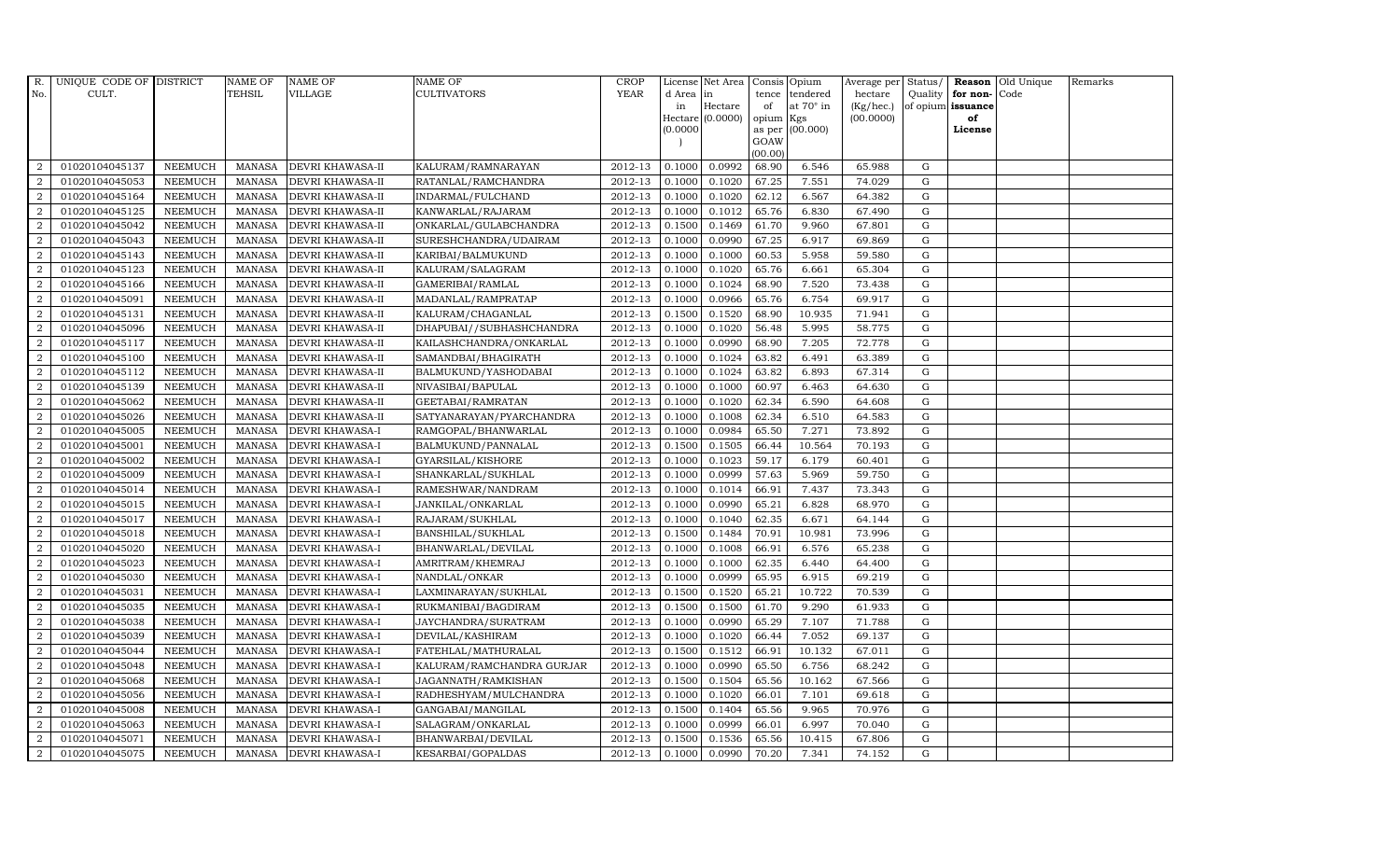| R.             | UNIQUE CODE OF DISTRICT |                | <b>NAME OF</b> | <b>NAME OF</b>          | <b>NAME OF</b>            | CROP    |           | License Net Area   Consis   Opium |           |                  | Average per | Status/     | Reason            | Old Unique | Remarks |
|----------------|-------------------------|----------------|----------------|-------------------------|---------------------------|---------|-----------|-----------------------------------|-----------|------------------|-------------|-------------|-------------------|------------|---------|
| No.            | CULT.                   |                | TEHSIL         | VILLAGE                 | <b>CULTIVATORS</b>        | YEAR    | d Area in |                                   |           | tence tendered   | hectare     | Quality     | for non-          | Code       |         |
|                |                         |                |                |                         |                           |         | in        | Hectare                           | of        | at $70^\circ$ in | (Kg/hec.)   |             | of opium issuance |            |         |
|                |                         |                |                |                         |                           |         |           | Hectare (0.0000)                  | opium Kgs |                  | (00.0000)   |             | of                |            |         |
|                |                         |                |                |                         |                           |         | (0.0000)  |                                   | GOAW      | as per (00.000)  |             |             | License           |            |         |
|                |                         |                |                |                         |                           |         |           |                                   | (00.00)   |                  |             |             |                   |            |         |
| $\overline{2}$ | 01020104045137          | <b>NEEMUCH</b> | MANASA         | <b>DEVRI KHAWASA-II</b> | KALURAM/RAMNARAYAN        | 2012-13 | 0.1000    | 0.0992                            | 68.90     | 6.546            | 65.988      | G           |                   |            |         |
| $\overline{2}$ | 01020104045053          | <b>NEEMUCH</b> | MANASA         | <b>DEVRI KHAWASA-II</b> | RATANLAL/RAMCHANDRA       | 2012-13 | 0.1000    | 0.1020                            | 67.25     | 7.551            | 74.029      | $\mathbf G$ |                   |            |         |
| 2              | 01020104045164          | <b>NEEMUCH</b> | <b>MANASA</b>  | <b>DEVRI KHAWASA-II</b> | INDARMAL/FULCHAND         | 2012-13 | 0.1000    | 0.1020                            | 62.12     | 6.567            | 64.382      | G           |                   |            |         |
| $\overline{2}$ | 01020104045125          | <b>NEEMUCH</b> | <b>MANASA</b>  | <b>DEVRI KHAWASA-II</b> | KANWARLAL/RAJARAM         | 2012-13 | 0.1000    | 0.1012                            | 65.76     | 6.830            | 67.490      | $\mathbf G$ |                   |            |         |
| $\overline{2}$ | 01020104045042          | <b>NEEMUCH</b> | <b>MANASA</b>  | <b>DEVRI KHAWASA-II</b> | ONKARLAL/GULABCHANDRA     | 2012-13 | 0.1500    | 0.1469                            | 61.70     | 9.960            | 67.801      | ${\rm G}$   |                   |            |         |
| 2              | 01020104045043          | <b>NEEMUCH</b> | <b>MANASA</b>  | <b>DEVRI KHAWASA-II</b> | SURESHCHANDRA/UDAIRAM     | 2012-13 | 0.1000    | 0.0990                            | 67.25     | 6.917            | 69.869      | $\mathbf G$ |                   |            |         |
| $\overline{a}$ | 01020104045143          | <b>NEEMUCH</b> | <b>MANASA</b>  | <b>DEVRI KHAWASA-II</b> | KARIBAI/BALMUKUND         | 2012-13 | 0.1000    | 0.1000                            | 60.53     | 5.958            | 59.580      | $\mathbf G$ |                   |            |         |
| $\overline{2}$ | 01020104045123          | <b>NEEMUCH</b> | <b>MANASA</b>  | <b>DEVRI KHAWASA-II</b> | KALURAM/SALAGRAM          | 2012-13 | 0.1000    | 0.1020                            | 65.76     | 6.661            | 65.304      | $\mathbf G$ |                   |            |         |
| $\overline{2}$ | 01020104045166          | <b>NEEMUCH</b> | <b>MANASA</b>  | <b>DEVRI KHAWASA-II</b> | GAMERIBAI/RAMLAL          | 2012-13 | 0.1000    | 0.1024                            | 68.90     | 7.520            | 73.438      | G           |                   |            |         |
| $\overline{2}$ | 01020104045091          | <b>NEEMUCH</b> | <b>MANASA</b>  | DEVRI KHAWASA-II        | MADANLAL/RAMPRATAP        | 2012-13 | 0.1000    | 0.0966                            | 65.76     | 6.754            | 69.917      | $\mathbf G$ |                   |            |         |
| $\overline{a}$ | 01020104045131          | <b>NEEMUCH</b> | <b>MANASA</b>  | <b>DEVRI KHAWASA-II</b> | KALURAM/CHAGANLAL         | 2012-13 | 0.1500    | 0.1520                            | 68.90     | 10.935           | 71.941      | ${\rm G}$   |                   |            |         |
| $\overline{2}$ | 01020104045096          | <b>NEEMUCH</b> | <b>MANASA</b>  | <b>DEVRI KHAWASA-II</b> | DHAPUBAI//SUBHASHCHANDRA  | 2012-13 | 0.1000    | 0.1020                            | 56.48     | 5.995            | 58.775      | ${\rm G}$   |                   |            |         |
| 2              | 01020104045117          | <b>NEEMUCH</b> | <b>MANASA</b>  | <b>DEVRI KHAWASA-II</b> | KAILASHCHANDRA/ONKARLAL   | 2012-13 | 0.1000    | 0.0990                            | 68.90     | 7.205            | 72.778      | $\mathbf G$ |                   |            |         |
| $\overline{2}$ | 01020104045100          | <b>NEEMUCH</b> | <b>MANASA</b>  | <b>DEVRI KHAWASA-II</b> | SAMANDBAI/BHAGIRATH       | 2012-13 | 0.1000    | 0.1024                            | 63.82     | 6.491            | 63.389      | $\mathbf G$ |                   |            |         |
| $\overline{2}$ | 01020104045112          | <b>NEEMUCH</b> | <b>MANASA</b>  | <b>DEVRI KHAWASA-II</b> | BALMUKUND/YASHODABAI      | 2012-13 | 0.1000    | 0.1024                            | 63.82     | 6.893            | 67.314      | G           |                   |            |         |
| $\overline{a}$ | 01020104045139          | <b>NEEMUCH</b> | <b>MANASA</b>  | <b>DEVRI KHAWASA-II</b> | NIVASIBAI/BAPULAL         | 2012-13 | 0.1000    | 0.1000                            | 60.97     | 6.463            | 64.630      | ${\rm G}$   |                   |            |         |
| 2              | 01020104045062          | <b>NEEMUCH</b> | <b>MANASA</b>  | <b>DEVRI KHAWASA-II</b> | GEETABAI/RAMRATAN         | 2012-13 | 0.1000    | 0.1020                            | 62.34     | 6.590            | 64.608      | G           |                   |            |         |
| 2              | 01020104045026          | <b>NEEMUCH</b> | MANASA         | <b>DEVRI KHAWASA-II</b> | SATYANARAYAN/PYARCHANDRA  | 2012-13 | 0.1000    | 0.1008                            | 62.34     | 6.510            | 64.583      | G           |                   |            |         |
| $\overline{2}$ | 01020104045005          | <b>NEEMUCH</b> | <b>MANASA</b>  | <b>DEVRI KHAWASA-I</b>  | RAMGOPAL/BHANWARLAL       | 2012-13 | 0.1000    | 0.0984                            | 65.50     | 7.271            | 73.892      | $\mathbf G$ |                   |            |         |
| $\overline{2}$ | 01020104045001          | <b>NEEMUCH</b> | <b>MANASA</b>  | <b>DEVRI KHAWASA-I</b>  | BALMUKUND/PANNALAL        | 2012-13 | 0.1500    | 0.1505                            | 66.44     | 10.564           | 70.193      | $\mathbf G$ |                   |            |         |
| 2              | 01020104045002          | <b>NEEMUCH</b> | <b>MANASA</b>  | <b>DEVRI KHAWASA-I</b>  | GYARSILAL/KISHORE         | 2012-13 | 0.1000    | 0.1023                            | 59.17     | 6.179            | 60.401      | ${\rm G}$   |                   |            |         |
| $\overline{a}$ | 01020104045009          | <b>NEEMUCH</b> | <b>MANASA</b>  | DEVRI KHAWASA-I         | SHANKARLAL/SUKHLAL        | 2012-13 | 0.1000    | 0.0999                            | 57.63     | 5.969            | 59.750      | ${\rm G}$   |                   |            |         |
| $\overline{a}$ | 01020104045014          | <b>NEEMUCH</b> | MANASA         | <b>DEVRI KHAWASA-I</b>  | RAMESHWAR/NANDRAM         | 2012-13 | 0.1000    | 0.1014                            | 66.91     | 7.437            | 73.343      | G           |                   |            |         |
| $\overline{2}$ | 01020104045015          | <b>NEEMUCH</b> | <b>MANASA</b>  | <b>DEVRI KHAWASA-I</b>  | JANKILAL/ONKARLAL         | 2012-13 | 0.1000    | 0.0990                            | 65.21     | 6.828            | 68.970      | $\mathbf G$ |                   |            |         |
| $\overline{2}$ | 01020104045017          | <b>NEEMUCH</b> | <b>MANASA</b>  | <b>DEVRI KHAWASA-I</b>  | RAJARAM/SUKHLAL           | 2012-13 | 0.1000    | 0.1040                            | 62.35     | 6.671            | 64.144      | $\mathbf G$ |                   |            |         |
| 2              | 01020104045018          | <b>NEEMUCH</b> | <b>MANASA</b>  | <b>DEVRI KHAWASA-I</b>  | BANSHILAL/SUKHLAL         | 2012-13 | 0.1500    | 0.1484                            | 70.91     | 10.981           | 73.996      | G           |                   |            |         |
| $\overline{a}$ | 01020104045020          | <b>NEEMUCH</b> | <b>MANASA</b>  | <b>DEVRI KHAWASA-I</b>  | BHANWARLAL/DEVILAL        | 2012-13 | 0.1000    | 0.1008                            | 66.91     | 6.576            | 65.238      | ${\rm G}$   |                   |            |         |
| 2              | 01020104045023          | <b>NEEMUCH</b> | MANASA         | <b>DEVRI KHAWASA-I</b>  | AMRITRAM/KHEMRAJ          | 2012-13 | 0.1000    | 0.1000                            | 62.35     | 6.440            | 64.400      | G           |                   |            |         |
| 2              | 01020104045030          | <b>NEEMUCH</b> | <b>MANASA</b>  | <b>DEVRI KHAWASA-I</b>  | NANDLAL/ONKAR             | 2012-13 | 0.1000    | 0.0999                            | 65.95     | 6.915            | 69.219      | $\mathbf G$ |                   |            |         |
| $\overline{2}$ | 01020104045031          | <b>NEEMUCH</b> | <b>MANASA</b>  | <b>DEVRI KHAWASA-I</b>  | LAXMINARAYAN/SUKHLAL      | 2012-13 | 0.1500    | 0.1520                            | 65.21     | 10.722           | 70.539      | $\mathbf G$ |                   |            |         |
| $\overline{2}$ | 01020104045035          | <b>NEEMUCH</b> | <b>MANASA</b>  | <b>DEVRI KHAWASA-I</b>  | RUKMANIBAI/BAGDIRAM       | 2012-13 | 0.1500    | 0.1500                            | 61.70     | 9.290            | 61.933      | G           |                   |            |         |
| $\overline{a}$ | 01020104045038          | <b>NEEMUCH</b> | <b>MANASA</b>  | <b>DEVRI KHAWASA-I</b>  | JAYCHANDRA/SURATRAM       | 2012-13 | 0.1000    | 0.0990                            | 65.29     | 7.107            | 71.788      | ${\rm G}$   |                   |            |         |
| $\overline{a}$ | 01020104045039          | <b>NEEMUCH</b> | <b>MANASA</b>  | <b>DEVRI KHAWASA-I</b>  | DEVILAL/KASHIRAM          | 2012-13 | 0.1000    | 0.1020                            | 66.44     | 7.052            | 69.137      | $\mathbf G$ |                   |            |         |
| $\overline{2}$ | 01020104045044          | <b>NEEMUCH</b> | <b>MANASA</b>  | <b>DEVRI KHAWASA-I</b>  | FATEHLAL/MATHURALAL       | 2012-13 | 0.1500    | 0.1512                            | 66.91     | 10.132           | 67.011      | $\mathbf G$ |                   |            |         |
| $\overline{2}$ | 01020104045048          | <b>NEEMUCH</b> | <b>MANASA</b>  | <b>DEVRI KHAWASA-I</b>  | KALURAM/RAMCHANDRA GURJAR | 2012-13 | 0.1000    | 0.0990                            | 65.50     | 6.756            | 68.242      | $\mathbf G$ |                   |            |         |
| $\overline{a}$ | 01020104045068          | <b>NEEMUCH</b> | <b>MANASA</b>  | <b>DEVRI KHAWASA-I</b>  | JAGANNATH/RAMKISHAN       | 2012-13 | 0.1500    | 0.1504                            | 65.56     | 10.162           | 67.566      | ${\rm G}$   |                   |            |         |
| $\overline{2}$ | 01020104045056          | <b>NEEMUCH</b> | <b>MANASA</b>  | <b>DEVRI KHAWASA-I</b>  | RADHESHYAM/MULCHANDRA     | 2012-13 | 0.1000    | 0.1020                            | 66.01     | 7.101            | 69.618      | ${\rm G}$   |                   |            |         |
| $\overline{a}$ | 01020104045008          | <b>NEEMUCH</b> | <b>MANASA</b>  | <b>DEVRI KHAWASA-I</b>  | GANGABAI/MANGILAL         | 2012-13 | 0.1500    | 0.1404                            | 65.56     | 9.965            | 70.976      | $\mathbf G$ |                   |            |         |
| $\overline{2}$ | 01020104045063          | <b>NEEMUCH</b> | <b>MANASA</b>  | <b>DEVRI KHAWASA-I</b>  | SALAGRAM/ONKARLAL         | 2012-13 | 0.1000    | 0.0999                            | 66.01     | 6.997            | 70.040      | $\mathbf G$ |                   |            |         |
| 2              | 01020104045071          | <b>NEEMUCH</b> | <b>MANASA</b>  | <b>DEVRI KHAWASA-I</b>  | BHANWARBAI/DEVILAL        | 2012-13 | 0.1500    | 0.1536                            | 65.56     | 10.415           | 67.806      | $\mathbf G$ |                   |            |         |
| $\overline{a}$ | 01020104045075          | <b>NEEMUCH</b> | MANASA         | <b>DEVRI KHAWASA-I</b>  | KESARBAI/GOPALDAS         | 2012-13 | 0.1000    | 0.0990                            | 70.20     | 7.341            | 74.152      | G           |                   |            |         |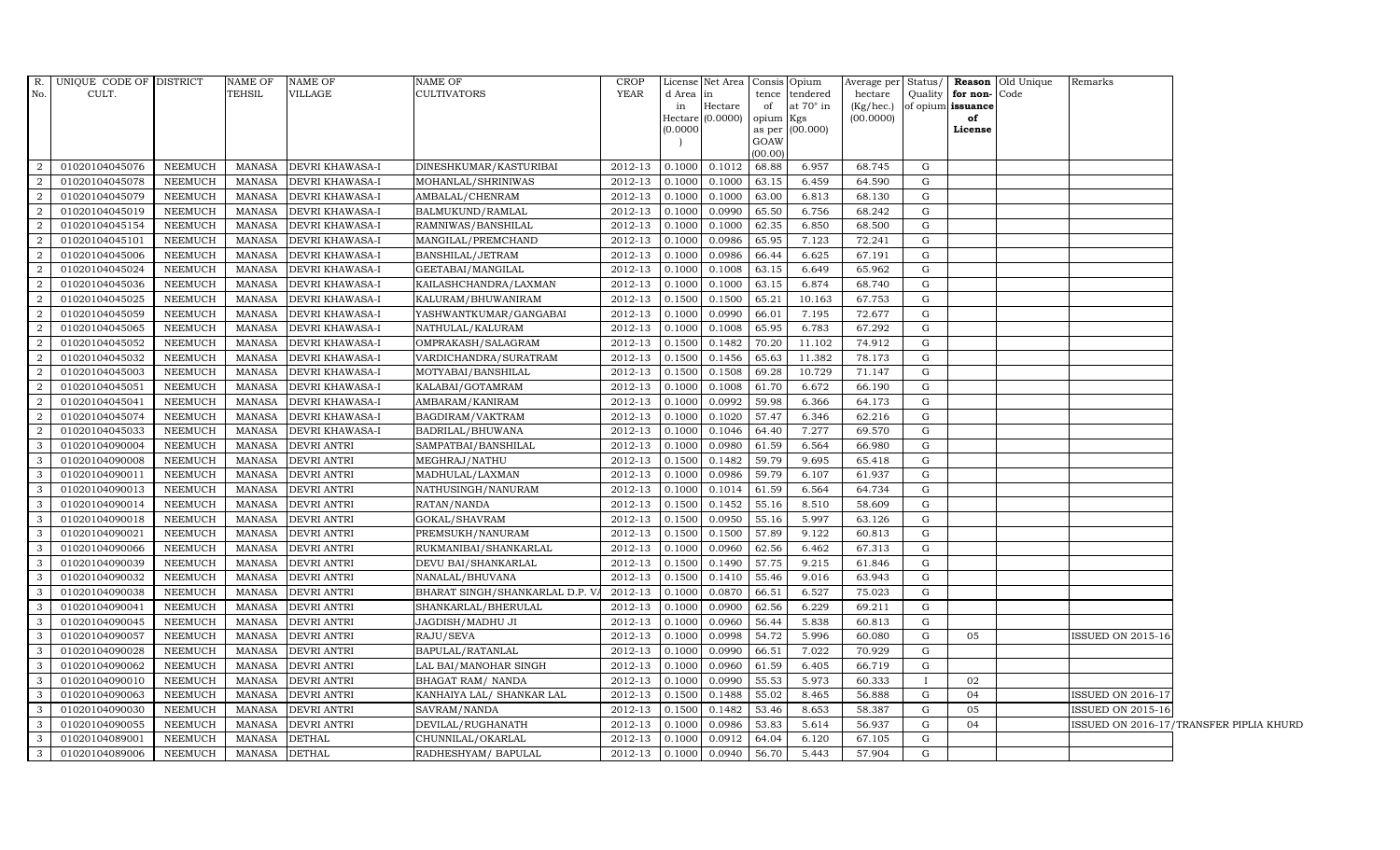|                  | R. UNIQUE CODE OF DISTRICT |                | NAME OF       | NAME OF            | <b>NAME OF</b>                 | <b>CROP</b>    |          | License Net Area   Consis   Opium |                 |                 |           |   |                      | Average per Status/ <b>Reason</b> Old Unique | Remarks                                 |
|------------------|----------------------------|----------------|---------------|--------------------|--------------------------------|----------------|----------|-----------------------------------|-----------------|-----------------|-----------|---|----------------------|----------------------------------------------|-----------------------------------------|
| No.              | CULT.                      |                | TEHSIL        | VILLAGE            | CULTIVATORS                    | YEAR           | d Area   | in                                | tence           | tendered        | hectare   |   | Quality for non-Code |                                              |                                         |
|                  |                            |                |               |                    |                                |                | in       | Hectare                           | of              | at 70° in       | (Kg/hec.) |   | of opium issuance    |                                              |                                         |
|                  |                            |                |               |                    |                                |                | (0.0000) | Hectare (0.0000)                  | opium<br>as per | Kgs<br>(00.000) | (00.0000) |   | of<br>License        |                                              |                                         |
|                  |                            |                |               |                    |                                |                |          |                                   | GOAW            |                 |           |   |                      |                                              |                                         |
|                  |                            |                |               |                    |                                |                |          |                                   | (00.00)         |                 |           |   |                      |                                              |                                         |
| $\overline{2}$   | 01020104045076             | NEEMUCH        | <b>MANASA</b> | DEVRI KHAWASA-I    | DINESHKUMAR/KASTURIBAI         | 2012-13        | 0.1000   | 0.1012                            | 68.88           | 6.957           | 68.745    | G |                      |                                              |                                         |
| 2                | 01020104045078             | NEEMUCH        | <b>MANASA</b> | DEVRI KHAWASA-I    | MOHANLAL/SHRINIWAS             | 2012-13        | 0.1000   | 0.1000                            | 63.15           | 6.459           | 64.590    | G |                      |                                              |                                         |
| $\overline{2}$   | 01020104045079             | <b>NEEMUCH</b> | MANASA        | DEVRI KHAWASA-I    | AMBALAL/CHENRAM                | 2012-13        | 0.1000   | 0.1000                            | 63.00           | 6.813           | 68.130    | G |                      |                                              |                                         |
| 2                | 01020104045019             | NEEMUCH        | MANASA        | DEVRI KHAWASA-I    | BALMUKUND/RAMLAL               | 2012-13        | 0.1000   | 0.0990                            | 65.50           | 6.756           | 68.242    | G |                      |                                              |                                         |
| 2                | 01020104045154             | NEEMUCH        | <b>MANASA</b> | DEVRI KHAWASA-I    | RAMNIWAS/BANSHILAL             | 2012-13        | 0.1000   | 0.1000                            | 62.35           | 6.850           | 68.500    | G |                      |                                              |                                         |
| $\overline{2}$   | 01020104045101             | NEEMUCH        | <b>MANASA</b> | DEVRI KHAWASA-I    | MANGILAL/PREMCHAND             | 2012-13        | 0.1000   | 0.0986                            | 65.95           | 7.123           | 72.241    | G |                      |                                              |                                         |
| 2                | 01020104045006             | NEEMUCH        | <b>MANASA</b> | DEVRI KHAWASA-I    | BANSHILAL/JETRAM               | 2012-13        | 0.1000   | 0.0986                            | 66.44           | 6.625           | 67.191    | G |                      |                                              |                                         |
| $\overline{2}$   | 01020104045024             | NEEMUCH        | <b>MANASA</b> | DEVRI KHAWASA-I    | GEETABAI/MANGILAL              | 2012-13        | 0.1000   | 0.1008                            | 63.15           | 6.649           | 65.962    | G |                      |                                              |                                         |
| $\overline{2}$   | 01020104045036             | NEEMUCH        | MANASA        | DEVRI KHAWASA-I    | KAILASHCHANDRA/LAXMAN          | 2012-13        | 0.1000   | 0.1000                            | 63.15           | 6.874           | 68.740    | G |                      |                                              |                                         |
| $\overline{a}$   | 01020104045025             | <b>NEEMUCH</b> | <b>MANASA</b> | DEVRI KHAWASA-I    | KALURAM/BHUWANIRAM             | 2012-13        | 0.1500   | 0.1500                            | 65.21           | 10.163          | 67.753    | G |                      |                                              |                                         |
| $\overline{2}$   | 01020104045059             | NEEMUCH        | <b>MANASA</b> | DEVRI KHAWASA-I    | YASHWANTKUMAR/GANGABAI         | 2012-13        | 0.1000   | 0.0990                            | 66.01           | 7.195           | 72.677    | G |                      |                                              |                                         |
| 2                | 01020104045065             | NEEMUCH        | MANASA        | DEVRI KHAWASA-I    | NATHULAL/KALURAM               | 2012-13        | 0.1000   | 0.1008                            | 65.95           | 6.783           | 67.292    | G |                      |                                              |                                         |
| 2                | 01020104045052             | <b>NEEMUCH</b> | <b>MANASA</b> | DEVRI KHAWASA-I    | OMPRAKASH/SALAGRAM             | 2012-13        | 0.1500   | 0.1482                            | 70.20           | 11.102          | 74.912    | G |                      |                                              |                                         |
| $\boldsymbol{2}$ | 01020104045032             | <b>NEEMUCH</b> | MANASA        | DEVRI KHAWASA-I    | VARDICHANDRA/SURATRAM          | 2012-13        | 0.1500   | 0.1456                            | 65.63           | 11.382          | 78.173    | G |                      |                                              |                                         |
| 2                | 01020104045003             | <b>NEEMUCH</b> | <b>MANASA</b> | DEVRI KHAWASA-I    | MOTYABAI/BANSHILAL             | 2012-13        | 0.1500   | 0.1508                            | 69.28           | 10.729          | 71.147    | G |                      |                                              |                                         |
| 2                | 01020104045051             | NEEMUCH        | MANASA        | DEVRI KHAWASA-I    | KALABAI/GOTAMRAM               | 2012-13        | 0.1000   | 0.1008                            | 61.70           | 6.672           | 66.190    | G |                      |                                              |                                         |
| $\overline{2}$   | 01020104045041             | NEEMUCH        | <b>MANASA</b> | DEVRI KHAWASA-I    | AMBARAM/KANIRAM                | 2012-13        | 0.1000   | 0.0992                            | 59.98           | 6.366           | 64.173    | G |                      |                                              |                                         |
| $\overline{2}$   | 01020104045074             | NEEMUCH        | <b>MANASA</b> | DEVRI KHAWASA-I    | BAGDIRAM/VAKTRAM               | 2012-13        | 0.1000   | 0.1020                            | 57.47           | 6.346           | 62.216    | G |                      |                                              |                                         |
| $\overline{2}$   | 01020104045033             | NEEMUCH        | MANASA        | DEVRI KHAWASA-I    | BADRILAL/BHUWANA               | 2012-13        | 0.1000   | 0.1046                            | 64.40           | 7.277           | 69.570    | G |                      |                                              |                                         |
| $\mathbf{3}$     | 01020104090004             | NEEMUCH        | <b>MANASA</b> | <b>DEVRI ANTRI</b> | SAMPATBAI/BANSHILAL            | 2012-13        | 0.1000   | 0.0980                            | 61.59           | 6.564           | 66.980    | G |                      |                                              |                                         |
| 3 <sup>1</sup>   | 01020104090008             | NEEMUCH        | <b>MANASA</b> | DEVRI ANTRI        | MEGHRAJ/NATHU                  | 2012-13        | 0.1500   | 0.1482                            | 59.79           | 9.695           | 65.418    | G |                      |                                              |                                         |
| $\mathbf{3}$     | 01020104090011             | <b>NEEMUCH</b> | <b>MANASA</b> | <b>DEVRI ANTRI</b> | MADHULAL/LAXMAN                | 2012-13        | 0.1000   | 0.0986                            | 59.79           | 6.107           | 61.937    | G |                      |                                              |                                         |
| $\mathbf{3}$     | 01020104090013             | NEEMUCH        | <b>MANASA</b> | <b>DEVRI ANTRI</b> | NATHUSINGH/NANURAM             | 2012-13        | 0.1000   | 0.1014                            | 61.59           | 6.564           | 64.734    | G |                      |                                              |                                         |
| $\mathbf{3}$     | 01020104090014             | NEEMUCH        | <b>MANASA</b> | <b>DEVRI ANTRI</b> | RATAN/NANDA                    | 2012-13        | 0.1500   | 0.1452                            | 55.16           | 8.510           | 58.609    | G |                      |                                              |                                         |
| $\mathbf{3}$     | 01020104090018             | NEEMUCH        | <b>MANASA</b> | <b>DEVRI ANTRI</b> | GOKAL/SHAVRAM                  | 2012-13        | 0.1500   | 0.0950                            | 55.16           | 5.997           | 63.126    | G |                      |                                              |                                         |
| 3 <sup>1</sup>   | 01020104090021             | NEEMUCH        | <b>MANASA</b> | DEVRI ANTRI        | PREMSUKH/NANURAM               | 2012-13        | 0.1500   | 0.1500                            | 57.89           | 9.122           | 60.813    | G |                      |                                              |                                         |
| $\mathbf{3}$     | 01020104090066             | NEEMUCH        | <b>MANASA</b> | DEVRI ANTRI        | RUKMANIBAI/SHANKARLAL          | 2012-13        | 0.1000   | 0.0960                            | 62.56           | 6.462           | 67.313    | G |                      |                                              |                                         |
| $\mathbf{3}$     | 01020104090039             | NEEMUCH        | <b>MANASA</b> | <b>DEVRI ANTRI</b> | DEVU BAI/SHANKARLAL            | 2012-13        | 0.1500   | 0.1490                            | 57.75           | 9.215           | 61.846    | G |                      |                                              |                                         |
| $\mathbf{3}$     | 01020104090032             | NEEMUCH        | <b>MANASA</b> | <b>DEVRI ANTRI</b> | NANALAL/BHUVANA                | 2012-13        | 0.1500   | 0.1410                            | 55.46           | 9.016           | 63.943    | G |                      |                                              |                                         |
| $\mathbf{3}$     | 01020104090038             | NEEMUCH        | <b>MANASA</b> | <b>DEVRI ANTRI</b> | BHARAT SINGH/SHANKARLAL D.P. V | 2012-13        | 0.1000   | 0.0870                            | 66.51           | 6.527           | 75.023    | G |                      |                                              |                                         |
| $\mathbf{3}$     | 01020104090041             | NEEMUCH        | <b>MANASA</b> | <b>DEVRI ANTRI</b> | SHANKARLAL/BHERULAL            | 2012-13        | 0.1000   | 0.0900                            | 62.56           | 6.229           | 69.211    | G |                      |                                              |                                         |
| $\mathbf{3}$     | 01020104090045             | NEEMUCH        | <b>MANASA</b> | DEVRI ANTRI        | JAGDISH/MADHU JI               | 2012-13        | 0.1000   | 0.0960                            | 56.44           | 5.838           | 60.813    | G |                      |                                              |                                         |
| $\mathbf{3}$     | 01020104090057             | NEEMUCH        | <b>MANASA</b> | <b>DEVRI ANTRI</b> | RAJU/SEVA                      | 2012-13        | 0.1000   | 0.0998                            | 54.72           | 5.996           | 60.080    | G | 05                   |                                              | ISSUED ON 2015-16                       |
| $\mathbf{3}$     | 01020104090028             | NEEMUCH        | <b>MANASA</b> | <b>DEVRI ANTRI</b> | BAPULAL/RATANLAL               | 2012-13        | 0.1000   | 0.0990                            | 66.51           | 7.022           | 70.929    | G |                      |                                              |                                         |
| $\mathbf{3}$     | 01020104090062             | NEEMUCH        | <b>MANASA</b> | <b>DEVRI ANTRI</b> | LAL BAI/MANOHAR SINGH          | 2012-13        | 0.1000   | 0.0960                            | 61.59           | 6.405           | 66.719    | G |                      |                                              |                                         |
| $\mathbf{3}$     | 01020104090010             | <b>NEEMUCH</b> | <b>MANASA</b> | DEVRI ANTRI        | BHAGAT RAM/ NANDA              | 2012-13        | 0.1000   | 0.0990                            | 55.53           | 5.973           | 60.333    |   | 02                   |                                              |                                         |
| $\mathbf{3}$     | 01020104090063             | NEEMUCH        | <b>MANASA</b> | DEVRI ANTRI        | KANHAIYA LAL/ SHANKAR LAL      | 2012-13        | 0.1500   | 0.1488                            | 55.02           | 8.465           | 56.888    | G | 04                   |                                              | <b>ISSUED ON 2016-17</b>                |
| 3 <sup>1</sup>   | 01020104090030             | NEEMUCH        | <b>MANASA</b> | <b>DEVRI ANTRI</b> | SAVRAM/NANDA                   | 2012-13        | 0.1500   | 0.1482                            | 53.46           | 8.653           | 58.387    | G | 05                   |                                              | <b>ISSUED ON 2015-16</b>                |
| $\mathbf{3}$     | 01020104090055             | NEEMUCH        | <b>MANASA</b> | <b>DEVRI ANTRI</b> | DEVILAL/RUGHANATH              | 2012-13        | 0.1000   | 0.0986                            | 53.83           | 5.614           | 56.937    | G | 04                   |                                              | ISSUED ON 2016-17/TRANSFER PIPLIA KHURD |
| $\mathbf{3}$     | 01020104089001             | NEEMUCH        | <b>MANASA</b> | <b>DETHAL</b>      | CHUNNILAL/OKARLAL              | 2012-13        | 0.1000   | 0.0912                            | 64.04           | 6.120           | 67.105    | G |                      |                                              |                                         |
| 3 <sup>1</sup>   | 01020104089006             | NEEMUCH        | MANASA        | <b>DETHAL</b>      | RADHESHYAM / BAPULAL           | 2012-13 0.1000 |          | 0.0940                            | 56.70           | 5.443           | 57.904    | G |                      |                                              |                                         |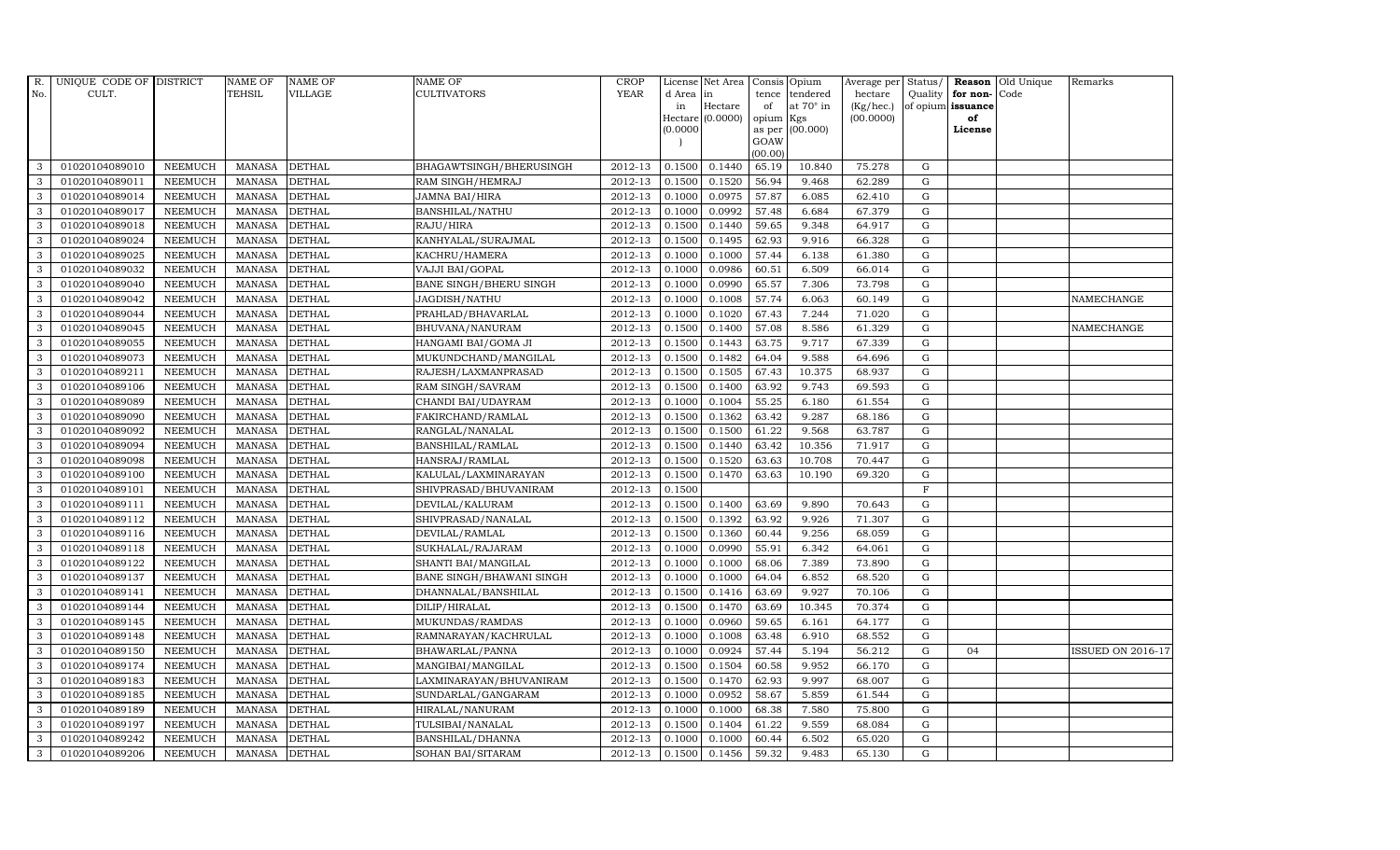| R.  | UNIQUE CODE OF DISTRICT |                | <b>NAME OF</b> | <b>NAME OF</b> | NAME OF                       | <b>CROP</b> |           | License Net Area   |                | Consis Opium     | Average per Status/ |             |                   | Reason Old Unique | Remarks                  |
|-----|-------------------------|----------------|----------------|----------------|-------------------------------|-------------|-----------|--------------------|----------------|------------------|---------------------|-------------|-------------------|-------------------|--------------------------|
| No. | CULT.                   |                | <b>TEHSIL</b>  | <b>VILLAGE</b> | CULTIVATORS                   | <b>YEAR</b> | d Area in |                    | tence          | tendered         | hectare             |             | Quality for non-  | Code              |                          |
|     |                         |                |                |                |                               |             | in        | Hectare            | of             | at $70^\circ$ in | (Kg/hec.)           |             | of opium issuance |                   |                          |
|     |                         |                |                |                |                               |             |           | Hectare $(0.0000)$ | opium          | Kgs              | (00.0000)           |             | of                |                   |                          |
|     |                         |                |                |                |                               |             | (0.0000)  |                    | as per<br>GOAW | (00.000)         |                     |             | License           |                   |                          |
|     |                         |                |                |                |                               |             |           |                    | (00.00)        |                  |                     |             |                   |                   |                          |
| 3   | 01020104089010          | <b>NEEMUCH</b> | <b>MANASA</b>  | <b>DETHAL</b>  | BHAGAWTSINGH/BHERUSINGH       | 2012-13     | 0.1500    | 0.1440             | 65.19          | 10.840           | 75.278              | G           |                   |                   |                          |
| 3   | 01020104089011          | <b>NEEMUCH</b> | <b>MANASA</b>  | <b>DETHAL</b>  | RAM SINGH/HEMRAJ              | 2012-13     | 0.1500    | 0.1520             | 56.94          | 9.468            | 62.289              | $\mathbf G$ |                   |                   |                          |
| 3   | 01020104089014          | <b>NEEMUCH</b> | <b>MANASA</b>  | <b>DETHAL</b>  | JAMNA BAI/HIRA                | 2012-13     | 0.1000    | 0.0975             | 57.87          | 6.085            | 62.410              | G           |                   |                   |                          |
| 3   | 01020104089017          | <b>NEEMUCH</b> | <b>MANASA</b>  | <b>DETHAL</b>  | <b>BANSHILAL/NATHU</b>        | 2012-13     | 0.1000    | 0.0992             | 57.48          | 6.684            | 67.379              | G           |                   |                   |                          |
| 3   | 01020104089018          | <b>NEEMUCH</b> | <b>MANASA</b>  | <b>DETHAL</b>  | RAJU/HIRA                     | 2012-13     | 0.1500    | 0.1440             | 59.65          | 9.348            | 64.917              | G           |                   |                   |                          |
| 3   | 01020104089024          | <b>NEEMUCH</b> | <b>MANASA</b>  | <b>DETHAL</b>  | KANHYALAL/SURAJMAL            | 2012-13     | 0.1500    | 0.1495             | 62.93          | 9.916            | 66.328              | G           |                   |                   |                          |
| 3   | 01020104089025          | <b>NEEMUCH</b> | <b>MANASA</b>  | <b>DETHAL</b>  | KACHRU/HAMERA                 | 2012-13     | 0.1000    | 0.1000             | 57.44          | 6.138            | 61.380              | G           |                   |                   |                          |
| 3   | 01020104089032          | <b>NEEMUCH</b> | <b>MANASA</b>  | <b>DETHAL</b>  | VAJJI BAI/GOPAL               | 2012-13     | 0.1000    | 0.0986             | 60.51          | 6.509            | 66.014              | $\mathbf G$ |                   |                   |                          |
| 3   | 01020104089040          | <b>NEEMUCH</b> | <b>MANASA</b>  | <b>DETHAL</b>  | <b>BANE SINGH/BHERU SINGH</b> | 2012-13     | 0.1000    | 0.0990             | 65.57          | 7.306            | 73.798              | $\mathbf G$ |                   |                   |                          |
| 3   | 01020104089042          | <b>NEEMUCH</b> | <b>MANASA</b>  | <b>DETHAL</b>  | JAGDISH/NATHU                 | 2012-13     | 0.1000    | 0.1008             | 57.74          | 6.063            | 60.149              | G           |                   |                   | NAMECHANGE               |
| 3   | 01020104089044          | <b>NEEMUCH</b> | <b>MANASA</b>  | <b>DETHAL</b>  | PRAHLAD/BHAVARLAL             | 2012-13     | 0.1000    | 0.1020             | 67.43          | 7.244            | 71.020              | G           |                   |                   |                          |
| 3   | 01020104089045          | <b>NEEMUCH</b> | <b>MANASA</b>  | <b>DETHAL</b>  | BHUVANA/NANURAM               | 2012-13     | 0.1500    | 0.1400             | 57.08          | 8.586            | 61.329              | G           |                   |                   | NAMECHANGE               |
| 3   | 01020104089055          | <b>NEEMUCH</b> | <b>MANASA</b>  | <b>DETHAL</b>  | HANGAMI BAI/GOMA JI           | 2012-13     | 0.1500    | 0.1443             | 63.75          | 9.717            | 67.339              | $\mathbf G$ |                   |                   |                          |
| 3   | 01020104089073          | <b>NEEMUCH</b> | <b>MANASA</b>  | <b>DETHAL</b>  | MUKUNDCHAND/MANGILAL          | 2012-13     | 0.1500    | 0.1482             | 64.04          | 9.588            | 64.696              | G           |                   |                   |                          |
| 3   | 01020104089211          | <b>NEEMUCH</b> | <b>MANASA</b>  | <b>DETHAL</b>  | RAJESH/LAXMANPRASAD           | 2012-13     | 0.1500    | 0.1505             | 67.43          | 10.375           | 68.937              | G           |                   |                   |                          |
| 3   | 01020104089106          | <b>NEEMUCH</b> | <b>MANASA</b>  | <b>DETHAL</b>  | RAM SINGH/SAVRAM              | 2012-13     | 0.1500    | 0.1400             | 63.92          | 9.743            | 69.593              | G           |                   |                   |                          |
| 3   | 01020104089089          | <b>NEEMUCH</b> | <b>MANASA</b>  | <b>DETHAL</b>  | CHANDI BAI/UDAYRAM            | 2012-13     | 0.1000    | 0.1004             | 55.25          | 6.180            | 61.554              | G           |                   |                   |                          |
| 3   | 01020104089090          | <b>NEEMUCH</b> | <b>MANASA</b>  | <b>DETHAL</b>  | FAKIRCHAND/RAMLAL             | 2012-13     | 0.1500    | 0.1362             | 63.42          | 9.287            | 68.186              | G           |                   |                   |                          |
| 3   | 01020104089092          | <b>NEEMUCH</b> | <b>MANASA</b>  | <b>DETHAL</b>  | RANGLAL/NANALAL               | 2012-13     | 0.1500    | 0.1500             | 61.22          | 9.568            | 63.787              | G           |                   |                   |                          |
| 3   | 01020104089094          | <b>NEEMUCH</b> | <b>MANASA</b>  | <b>DETHAL</b>  | BANSHILAL/RAMLAL              | 2012-13     | 0.1500    | 0.1440             | 63.42          | 10.356           | 71.917              | G           |                   |                   |                          |
| 3   | 01020104089098          | <b>NEEMUCH</b> | <b>MANASA</b>  | <b>DETHAL</b>  | HANSRAJ/RAMLAL                | 2012-13     | 0.1500    | 0.1520             | 63.63          | 10.708           | 70.447              | G           |                   |                   |                          |
| 3   | 01020104089100          | <b>NEEMUCH</b> | <b>MANASA</b>  | <b>DETHAL</b>  | KALULAL/LAXMINARAYAN          | 2012-13     | 0.1500    | 0.1470             | 63.63          | 10.190           | 69.320              | G           |                   |                   |                          |
| 3   | 01020104089101          | <b>NEEMUCH</b> | <b>MANASA</b>  | <b>DETHAL</b>  | SHIVPRASAD/BHUVANIRAM         | 2012-13     | 0.1500    |                    |                |                  |                     | $_{\rm F}$  |                   |                   |                          |
| 3   | 01020104089111          | <b>NEEMUCH</b> | <b>MANASA</b>  | <b>DETHAL</b>  | DEVILAL/KALURAM               | 2012-13     | 0.1500    | 0.1400             | 63.69          | 9.890            | 70.643              | $\mathbf G$ |                   |                   |                          |
| 3   | 01020104089112          | <b>NEEMUCH</b> | <b>MANASA</b>  | <b>DETHAL</b>  | SHIVPRASAD/NANALAL            | 2012-13     | 0.1500    | 0.1392             | 63.92          | 9.926            | 71.307              | G           |                   |                   |                          |
| 3   | 01020104089116          | <b>NEEMUCH</b> | <b>MANASA</b>  | <b>DETHAL</b>  | DEVILAL/RAMLAL                | 2012-13     | 0.1500    | 0.1360             | 60.44          | 9.256            | 68.059              | G           |                   |                   |                          |
| 3   | 01020104089118          | <b>NEEMUCH</b> | <b>MANASA</b>  | <b>DETHAL</b>  | SUKHALAL/RAJARAM              | 2012-13     | 0.1000    | 0.0990             | 55.91          | 6.342            | 64.061              | G           |                   |                   |                          |
| 3   | 01020104089122          | <b>NEEMUCH</b> | <b>MANASA</b>  | <b>DETHAL</b>  | SHANTI BAI/MANGILAL           | 2012-13     | 0.1000    | 0.1000             | 68.06          | 7.389            | 73.890              | G           |                   |                   |                          |
| 3   | 01020104089137          | <b>NEEMUCH</b> | <b>MANASA</b>  | <b>DETHAL</b>  | BANE SINGH/BHAWANI SINGH      | 2012-13     | 0.1000    | 0.1000             | 64.04          | 6.852            | 68.520              | $\mathbf G$ |                   |                   |                          |
| 3   | 01020104089141          | <b>NEEMUCH</b> | <b>MANASA</b>  | <b>DETHAL</b>  | DHANNALAL/BANSHILAL           | 2012-13     | 0.1500    | 0.1416             | 63.69          | 9.927            | 70.106              | G           |                   |                   |                          |
| 3   | 01020104089144          | <b>NEEMUCH</b> | <b>MANASA</b>  | <b>DETHAL</b>  | DILIP/HIRALAL                 | 2012-13     | 0.1500    | 0.1470             | 63.69          | 10.345           | 70.374              | G           |                   |                   |                          |
| 3   | 01020104089145          | <b>NEEMUCH</b> | <b>MANASA</b>  | <b>DETHAL</b>  | MUKUNDAS/RAMDAS               | 2012-13     | 0.1000    | 0.0960             | 59.65          | 6.161            | 64.177              | G           |                   |                   |                          |
| 3   | 01020104089148          | <b>NEEMUCH</b> | <b>MANASA</b>  | <b>DETHAL</b>  | RAMNARAYAN/KACHRULAL          | 2012-13     | 0.1000    | 0.1008             | 63.48          | 6.910            | 68.552              | G           |                   |                   |                          |
| 3   | 01020104089150          | <b>NEEMUCH</b> | <b>MANASA</b>  | <b>DETHAL</b>  | BHAWARLAL/PANNA               | 2012-13     | 0.1000    | 0.0924             | 57.44          | 5.194            | 56.212              | $\mathbf G$ | 04                |                   | <b>ISSUED ON 2016-17</b> |
| 3   | 01020104089174          | <b>NEEMUCH</b> | <b>MANASA</b>  | <b>DETHAL</b>  | MANGIBAI/MANGILAL             | 2012-13     | 0.1500    | 0.1504             | 60.58          | 9.952            | 66.170              | $\mathbf G$ |                   |                   |                          |
| 3   | 01020104089183          | <b>NEEMUCH</b> | <b>MANASA</b>  | <b>DETHAL</b>  | LAXMINARAYAN/BHUVANIRAM       | 2012-13     | 0.1500    | 0.1470             | 62.93          | 9.997            | 68.007              | G           |                   |                   |                          |
| 3   | 01020104089185          | <b>NEEMUCH</b> | <b>MANASA</b>  | <b>DETHAL</b>  | SUNDARLAL/GANGARAM            | 2012-13     | 0.1000    | 0.0952             | 58.67          | 5.859            | 61.544              | G           |                   |                   |                          |
| 3   | 01020104089189          | <b>NEEMUCH</b> | <b>MANASA</b>  | <b>DETHAL</b>  | HIRALAL/NANURAM               | 2012-13     | 0.1000    | 0.1000             | 68.38          | 7.580            | 75.800              | G           |                   |                   |                          |
| 3   | 01020104089197          | <b>NEEMUCH</b> | <b>MANASA</b>  | <b>DETHAL</b>  | TULSIBAI/NANALAL              | 2012-13     | 0.1500    | 0.1404             | 61.22          | 9.559            | 68.084              | G           |                   |                   |                          |
| 3   | 01020104089242          | <b>NEEMUCH</b> | <b>MANASA</b>  | <b>DETHAL</b>  | BANSHILAL/DHANNA              | 2012-13     | 0.1000    | 0.1000             | 60.44          | 6.502            | 65.020              | $\mathbf G$ |                   |                   |                          |
| 3   | 01020104089206          | <b>NEEMUCH</b> | MANASA         | <b>DETHAL</b>  | SOHAN BAI/SITARAM             | 2012-13     | 0.1500    | 0.1456             | 59.32          | 9.483            | 65.130              | G           |                   |                   |                          |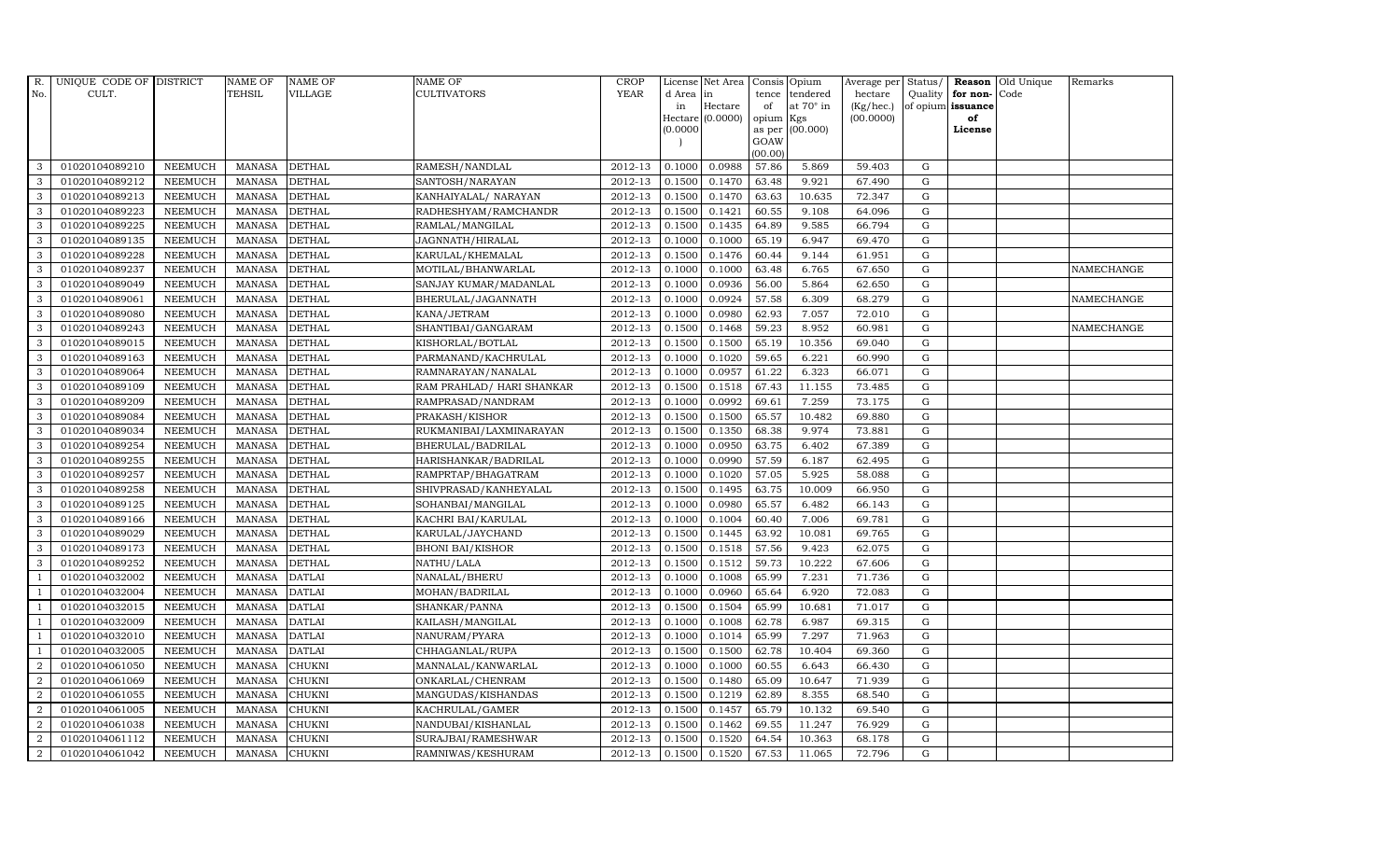| R.               | UNIQUE CODE OF DISTRICT |                | <b>NAME OF</b> | <b>NAME OF</b> | NAME OF                   | <b>CROP</b> |           | License Net Area |                | Consis Opium     | Average per | Status/     |                   | Reason Old Unique | Remarks    |
|------------------|-------------------------|----------------|----------------|----------------|---------------------------|-------------|-----------|------------------|----------------|------------------|-------------|-------------|-------------------|-------------------|------------|
| No.              | CULT.                   |                | <b>TEHSIL</b>  | VILLAGE        | CULTIVATORS               | <b>YEAR</b> | d Area in |                  | tence          | tendered         | hectare     | Quality     | for non-Code      |                   |            |
|                  |                         |                |                |                |                           |             | in        | Hectare          | of             | at $70^\circ$ in | (Kg/hec.)   |             | of opium issuance |                   |            |
|                  |                         |                |                |                |                           |             |           | Hectare (0.0000) | opium          | Kgs              | (00.0000)   |             | of<br>License     |                   |            |
|                  |                         |                |                |                |                           |             | (0.0000)  |                  | as per<br>GOAW | (00.000)         |             |             |                   |                   |            |
|                  |                         |                |                |                |                           |             |           |                  | (00.00)        |                  |             |             |                   |                   |            |
| 3                | 01020104089210          | <b>NEEMUCH</b> | MANASA         | <b>DETHAL</b>  | RAMESH/NANDLAL            | 2012-13     | 0.1000    | 0.0988           | 57.86          | 5.869            | 59.403      | G           |                   |                   |            |
| 3                | 01020104089212          | <b>NEEMUCH</b> | MANASA         | <b>DETHAL</b>  | SANTOSH/NARAYAN           | 2012-13     | 0.1500    | 0.1470           | 63.48          | 9.921            | 67.490      | $\mathbf G$ |                   |                   |            |
| 3                | 01020104089213          | <b>NEEMUCH</b> | <b>MANASA</b>  | <b>DETHAL</b>  | KANHAIYALAL/ NARAYAN      | 2012-13     | 0.1500    | 0.1470           | 63.63          | 10.635           | 72.347      | G           |                   |                   |            |
| 3                | 01020104089223          | <b>NEEMUCH</b> | <b>MANASA</b>  | <b>DETHAL</b>  | RADHESHYAM/RAMCHANDR      | 2012-13     | 0.1500    | 0.1421           | 60.55          | 9.108            | 64.096      | ${\rm G}$   |                   |                   |            |
| 3                | 01020104089225          | <b>NEEMUCH</b> | <b>MANASA</b>  | <b>DETHAL</b>  | RAMLAL/MANGILAL           | 2012-13     | 0.1500    | 0.1435           | 64.89          | 9.585            | 66.794      | ${\rm G}$   |                   |                   |            |
| $\mathbf{3}$     | 01020104089135          | <b>NEEMUCH</b> | <b>MANASA</b>  | <b>DETHAL</b>  | JAGNNATH/HIRALAL          | 2012-13     | 0.1000    | 0.1000           | 65.19          | 6.947            | 69.470      | G           |                   |                   |            |
| 3                | 01020104089228          | <b>NEEMUCH</b> | <b>MANASA</b>  | <b>DETHAL</b>  | KARULAL/KHEMALAL          | 2012-13     | 0.1500    | 0.1476           | 60.44          | 9.144            | 61.951      | $\mathbf G$ |                   |                   |            |
| 3                | 01020104089237          | <b>NEEMUCH</b> | <b>MANASA</b>  | <b>DETHAL</b>  | MOTILAL/BHANWARLAL        | 2012-13     | 0.1000    | 0.1000           | 63.48          | 6.765            | 67.650      | $\mathbf G$ |                   |                   | NAMECHANGE |
| 3                | 01020104089049          | <b>NEEMUCH</b> | <b>MANASA</b>  | <b>DETHAL</b>  | SANJAY KUMAR/MADANLAL     | 2012-13     | 0.1000    | 0.0936           | 56.00          | 5.864            | 62.650      | $\mathbf G$ |                   |                   |            |
| 3                | 01020104089061          | <b>NEEMUCH</b> | <b>MANASA</b>  | <b>DETHAL</b>  | BHERULAL/JAGANNATH        | 2012-13     | 0.1000    | 0.0924           | 57.58          | 6.309            | 68.279      | G           |                   |                   | NAMECHANGE |
| $\mathbf{3}$     | 01020104089080          | <b>NEEMUCH</b> | <b>MANASA</b>  | <b>DETHAL</b>  | KANA/JETRAM               | 2012-13     | 0.1000    | 0.0980           | 62.93          | 7.057            | 72.010      | ${\rm G}$   |                   |                   |            |
| 3                | 01020104089243          | <b>NEEMUCH</b> | <b>MANASA</b>  | <b>DETHAL</b>  | SHANTIBAI/GANGARAM        | 2012-13     | 0.1500    | 0.1468           | 59.23          | 8.952            | 60.981      | $\mathbf G$ |                   |                   | NAMECHANGE |
| $\mathbf{3}$     | 01020104089015          | <b>NEEMUCH</b> | <b>MANASA</b>  | <b>DETHAL</b>  | KISHORLAL/BOTLAL          | 2012-13     | 0.1500    | 0.1500           | 65.19          | 10.356           | 69.040      | $\mathbf G$ |                   |                   |            |
| 3                | 01020104089163          | <b>NEEMUCH</b> | <b>MANASA</b>  | <b>DETHAL</b>  | PARMANAND/KACHRULAL       | 2012-13     | 0.1000    | 0.1020           | 59.65          | 6.221            | 60.990      | G           |                   |                   |            |
| 3                | 01020104089064          | <b>NEEMUCH</b> | <b>MANASA</b>  | <b>DETHAL</b>  | RAMNARAYAN/NANALAL        | 2012-13     | 0.1000    | 0.0957           | 61.22          | 6.323            | 66.071      | $\mathbf G$ |                   |                   |            |
| $\mathbf{3}$     | 01020104089109          | <b>NEEMUCH</b> | <b>MANASA</b>  | <b>DETHAL</b>  | RAM PRAHLAD/ HARI SHANKAR | 2012-13     | 0.1500    | 0.1518           | 67.43          | 11.155           | 73.485      | G           |                   |                   |            |
| 3                | 01020104089209          | <b>NEEMUCH</b> | <b>MANASA</b>  | <b>DETHAL</b>  | RAMPRASAD/NANDRAM         | 2012-13     | 0.1000    | 0.0992           | 69.61          | 7.259            | 73.175      | G           |                   |                   |            |
| $\mathbf{3}$     | 01020104089084          | <b>NEEMUCH</b> | <b>MANASA</b>  | <b>DETHAL</b>  | PRAKASH/KISHOR            | 2012-13     | 0.1500    | 0.1500           | 65.57          | 10.482           | 69.880      | $\mathbf G$ |                   |                   |            |
| 3                | 01020104089034          | <b>NEEMUCH</b> | <b>MANASA</b>  | <b>DETHAL</b>  | RUKMANIBAI/LAXMINARAYAN   | 2012-13     | 0.1500    | 0.1350           | 68.38          | 9.974            | 73.881      | $\mathbf G$ |                   |                   |            |
| 3                | 01020104089254          | <b>NEEMUCH</b> | <b>MANASA</b>  | <b>DETHAL</b>  | BHERULAL/BADRILAL         | 2012-13     | 0.1000    | 0.0950           | 63.75          | 6.402            | 67.389      | $\mathbf G$ |                   |                   |            |
| 3                | 01020104089255          | <b>NEEMUCH</b> | <b>MANASA</b>  | <b>DETHAL</b>  | HARISHANKAR/BADRILAL      | 2012-13     | 0.1000    | 0.0990           | 57.59          | 6.187            | 62.495      | G           |                   |                   |            |
| 3                | 01020104089257          | <b>NEEMUCH</b> | <b>MANASA</b>  | <b>DETHAL</b>  | RAMPRTAP/BHAGATRAM        | 2012-13     | 0.1000    | 0.1020           | 57.05          | 5.925            | 58.088      | G           |                   |                   |            |
| $\mathbf{3}$     | 01020104089258          | <b>NEEMUCH</b> | <b>MANASA</b>  | <b>DETHAL</b>  | SHIVPRASAD/KANHEYALAL     | 2012-13     | 0.1500    | 0.1495           | 63.75          | 10.009           | 66.950      | G           |                   |                   |            |
| 3                | 01020104089125          | <b>NEEMUCH</b> | <b>MANASA</b>  | <b>DETHAL</b>  | SOHANBAI/MANGILAL         | 2012-13     | 0.1000    | 0.0980           | 65.57          | 6.482            | 66.143      | $\mathbf G$ |                   |                   |            |
| 3                | 01020104089166          | <b>NEEMUCH</b> | <b>MANASA</b>  | <b>DETHAL</b>  | KACHRI BAI/KARULAL        | 2012-13     | 0.1000    | 0.1004           | 60.40          | 7.006            | 69.781      | G           |                   |                   |            |
| 3                | 01020104089029          | <b>NEEMUCH</b> | <b>MANASA</b>  | <b>DETHAL</b>  | KARULAL/JAYCHAND          | 2012-13     | 0.1500    | 0.1445           | 63.92          | 10.081           | 69.765      | G           |                   |                   |            |
| 3                | 01020104089173          | <b>NEEMUCH</b> | <b>MANASA</b>  | <b>DETHAL</b>  | <b>BHONI BAI/KISHOR</b>   | 2012-13     | 0.1500    | 0.1518           | 57.56          | 9.423            | 62.075      | ${\rm G}$   |                   |                   |            |
| 3                | 01020104089252          | <b>NEEMUCH</b> | <b>MANASA</b>  | <b>DETHAL</b>  | NATHU/LALA                | 2012-13     | 0.1500    | 0.1512           | 59.73          | 10.222           | 67.606      | G           |                   |                   |            |
| $\overline{1}$   | 01020104032002          | <b>NEEMUCH</b> | <b>MANASA</b>  | <b>DATLAI</b>  | NANALAL/BHERU             | 2012-13     | 0.1000    | 0.1008           | 65.99          | 7.231            | 71.736      | $\mathbf G$ |                   |                   |            |
|                  | 01020104032004          | <b>NEEMUCH</b> | <b>MANASA</b>  | <b>DATLAI</b>  | MOHAN/BADRILAL            | 2012-13     | 0.1000    | 0.0960           | 65.64          | 6.920            | 72.083      | $\mathbf G$ |                   |                   |            |
| $\mathbf{1}$     | 01020104032015          | <b>NEEMUCH</b> | <b>MANASA</b>  | <b>DATLAI</b>  | SHANKAR/PANNA             | 2012-13     | 0.1500    | 0.1504           | 65.99          | 10.681           | 71.017      | G           |                   |                   |            |
| -1               | 01020104032009          | <b>NEEMUCH</b> | <b>MANASA</b>  | <b>DATLAI</b>  | KAILASH/MANGILAL          | 2012-13     | 0.1000    | 0.1008           | 62.78          | 6.987            | 69.315      | ${\rm G}$   |                   |                   |            |
| $\overline{1}$   | 01020104032010          | <b>NEEMUCH</b> | <b>MANASA</b>  | <b>DATLAI</b>  | NANURAM/PYARA             | 2012-13     | 0.1000    | 0.1014           | 65.99          | 7.297            | 71.963      | $\mathbf G$ |                   |                   |            |
| $\overline{1}$   | 01020104032005          | <b>NEEMUCH</b> | <b>MANASA</b>  | <b>DATLAI</b>  | CHHAGANLAL/RUPA           | 2012-13     | 0.1500    | 0.1500           | 62.78          | 10.404           | 69.360      | $\mathbf G$ |                   |                   |            |
| $\overline{2}$   | 01020104061050          | <b>NEEMUCH</b> | <b>MANASA</b>  | CHUKNI         | MANNALAL/KANWARLAL        | 2012-13     | 0.1000    | 0.1000           | 60.55          | 6.643            | 66.430      | $\mathbf G$ |                   |                   |            |
| $\overline{a}$   | 01020104061069          | <b>NEEMUCH</b> | <b>MANASA</b>  | <b>CHUKNI</b>  | ONKARLAL/CHENRAM          | 2012-13     | 0.1500    | 0.1480           | 65.09          | 10.647           | 71.939      | ${\rm G}$   |                   |                   |            |
| $\overline{2}$   | 01020104061055          | <b>NEEMUCH</b> | <b>MANASA</b>  | <b>CHUKNI</b>  | MANGUDAS/KISHANDAS        | 2012-13     | 0.1500    | 0.1219           | 62.89          | 8.355            | 68.540      | ${\rm G}$   |                   |                   |            |
| $\overline{a}$   | 01020104061005          | <b>NEEMUCH</b> | <b>MANASA</b>  | CHUKNI         | KACHRULAL/GAMER           | 2012-13     | 0.1500    | 0.1457           | 65.79          | 10.132           | 69.540      | G           |                   |                   |            |
| 2                | 01020104061038          | <b>NEEMUCH</b> | <b>MANASA</b>  | <b>CHUKNI</b>  | NANDUBAI/KISHANLAL        | 2012-13     | 0.1500    | 0.1462           | 69.55          | 11.247           | 76.929      | $\mathbf G$ |                   |                   |            |
| 2                | 01020104061112          | <b>NEEMUCH</b> | <b>MANASA</b>  | <b>CHUKNI</b>  | SURAJBAI/RAMESHWAR        | 2012-13     | 0.1500    | 0.1520           | 64.54          | 10.363           | 68.178      | $\mathbf G$ |                   |                   |            |
| $\boldsymbol{2}$ | 01020104061042          | <b>NEEMUCH</b> | MANASA         | <b>CHUKNI</b>  | RAMNIWAS/KESHURAM         | 2012-13     | 0.1500    | 0.1520           | 67.53          | 11.065           | 72.796      | G           |                   |                   |            |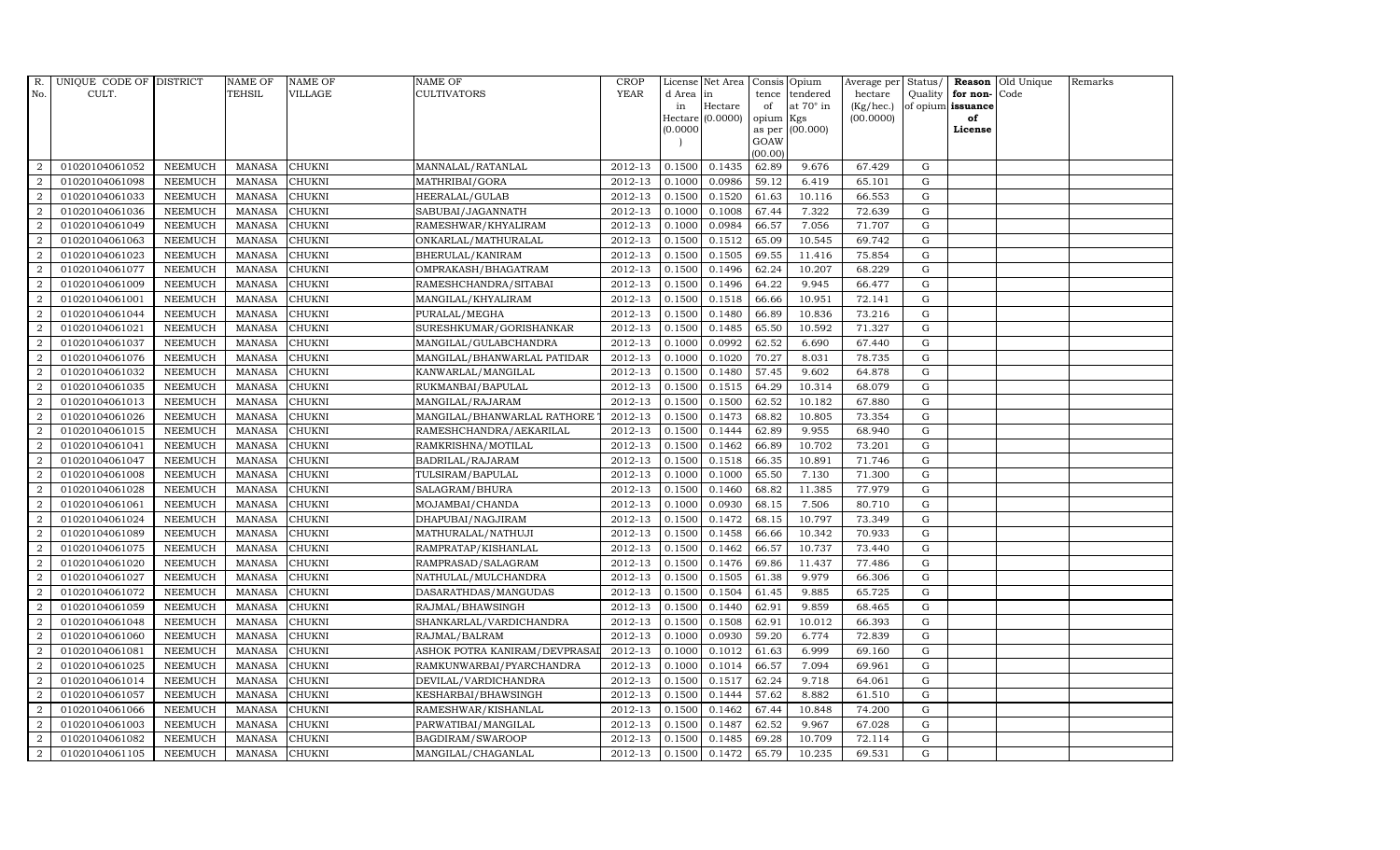| R.             | UNIQUE CODE OF DISTRICT |                | <b>NAME OF</b> | <b>NAME OF</b> | <b>NAME OF</b>               | <b>CROP</b> |           | License Net Area   |           | Consis Opium     | Average per | Status/     |                      | Reason Old Unique | Remarks |
|----------------|-------------------------|----------------|----------------|----------------|------------------------------|-------------|-----------|--------------------|-----------|------------------|-------------|-------------|----------------------|-------------------|---------|
| No.            | CULT.                   |                | <b>TEHSIL</b>  | VILLAGE        | <b>CULTIVATORS</b>           | <b>YEAR</b> | d Area in |                    | tence     | tendered         | hectare     |             | Quality $ $ for non- | Code              |         |
|                |                         |                |                |                |                              |             | in        | Hectare            | of        | at $70^\circ$ in | (Kg/hec.)   |             | of opium issuance    |                   |         |
|                |                         |                |                |                |                              |             |           | $Hectare (0.0000)$ | opium Kgs |                  | (00.0000)   |             | of                   |                   |         |
|                |                         |                |                |                |                              |             | (0.0000)  |                    | GOAW      | as per (00.000)  |             |             | License              |                   |         |
|                |                         |                |                |                |                              |             |           |                    | (00.00)   |                  |             |             |                      |                   |         |
| $\overline{2}$ | 01020104061052          | <b>NEEMUCH</b> | MANASA         | <b>CHUKNI</b>  | MANNALAL/RATANLAL            | 2012-13     | 0.1500    | 0.1435             | 62.89     | 9.676            | 67.429      | G           |                      |                   |         |
| $\overline{2}$ | 01020104061098          | <b>NEEMUCH</b> | <b>MANASA</b>  | <b>CHUKNI</b>  | MATHRIBAI/GORA               | 2012-13     | 0.1000    | 0.0986             | 59.12     | 6.419            | 65.101      | $\mathbf G$ |                      |                   |         |
| 2              | 01020104061033          | <b>NEEMUCH</b> | <b>MANASA</b>  | <b>CHUKNI</b>  | HEERALAL/GULAB               | 2012-13     | 0.1500    | 0.1520             | 61.63     | 10.116           | 66.553      | G           |                      |                   |         |
| $\overline{2}$ | 01020104061036          | <b>NEEMUCH</b> | <b>MANASA</b>  | <b>CHUKNI</b>  | SABUBAI/JAGANNATH            | 2012-13     | 0.1000    | 0.1008             | 67.44     | 7.322            | 72.639      | G           |                      |                   |         |
| $\overline{a}$ | 01020104061049          | <b>NEEMUCH</b> | <b>MANASA</b>  | <b>CHUKNI</b>  | RAMESHWAR/KHYALIRAM          | 2012-13     | 0.1000    | 0.0984             | 66.57     | 7.056            | 71.707      | G           |                      |                   |         |
| 2              | 01020104061063          | <b>NEEMUCH</b> | MANASA         | <b>CHUKNI</b>  | ONKARLAL/MATHURALAL          | 2012-13     | 0.1500    | 0.1512             | 65.09     | 10.545           | 69.742      | G           |                      |                   |         |
| $\overline{a}$ | 01020104061023          | <b>NEEMUCH</b> | <b>MANASA</b>  | <b>CHUKNI</b>  | BHERULAL/KANIRAM             | 2012-13     | 0.1500    | 0.1505             | 69.55     | 11.416           | 75.854      | ${\rm G}$   |                      |                   |         |
| $\overline{2}$ | 01020104061077          | <b>NEEMUCH</b> | <b>MANASA</b>  | <b>CHUKNI</b>  | OMPRAKASH/BHAGATRAM          | 2012-13     | 0.1500    | 0.1496             | 62.24     | 10.207           | 68.229      | ${\rm G}$   |                      |                   |         |
| $\overline{2}$ | 01020104061009          | <b>NEEMUCH</b> | <b>MANASA</b>  | <b>CHUKNI</b>  | RAMESHCHANDRA/SITABAI        | 2012-13     | 0.1500    | 0.1496             | 64.22     | 9.945            | 66.477      | $\mathbf G$ |                      |                   |         |
| $\overline{2}$ | 01020104061001          | <b>NEEMUCH</b> | <b>MANASA</b>  | <b>CHUKNI</b>  | MANGILAL/KHYALIRAM           | 2012-13     | 0.1500    | 0.1518             | 66.66     | 10.951           | 72.141      | G           |                      |                   |         |
| $\overline{a}$ | 01020104061044          | <b>NEEMUCH</b> | <b>MANASA</b>  | <b>CHUKNI</b>  | PURALAL/MEGHA                | 2012-13     | 0.1500    | 0.1480             | 66.89     | 10.836           | 73.216      | G           |                      |                   |         |
| $\overline{2}$ | 01020104061021          | <b>NEEMUCH</b> | <b>MANASA</b>  | <b>CHUKNI</b>  | SURESHKUMAR/GORISHANKAR      | 2012-13     | 0.1500    | 0.1485             | 65.50     | 10.592           | 71.327      | G           |                      |                   |         |
| 2              | 01020104061037          | <b>NEEMUCH</b> | <b>MANASA</b>  | <b>CHUKNI</b>  | MANGILAL/GULABCHANDRA        | 2012-13     | 0.1000    | 0.0992             | 62.52     | 6.690            | 67.440      | $\mathbf G$ |                      |                   |         |
| 2              | 01020104061076          | <b>NEEMUCH</b> | <b>MANASA</b>  | <b>CHUKNI</b>  | MANGILAL/BHANWARLAL PATIDAR  | 2012-13     | 0.1000    | 0.1020             | 70.27     | 8.031            | 78.735      | G           |                      |                   |         |
| $\overline{2}$ | 01020104061032          | <b>NEEMUCH</b> | <b>MANASA</b>  | <b>CHUKNI</b>  | KANWARLAL/MANGILAL           | 2012-13     | 0.1500    | 0.1480             | 57.45     | 9.602            | 64.878      | G           |                      |                   |         |
| $\overline{a}$ | 01020104061035          | <b>NEEMUCH</b> | <b>MANASA</b>  | <b>CHUKNI</b>  | RUKMANBAI/BAPULAL            | 2012-13     | 0.1500    | 0.1515             | 64.29     | 10.314           | 68.079      | G           |                      |                   |         |
| 2              | 01020104061013          | <b>NEEMUCH</b> | <b>MANASA</b>  | <b>CHUKNI</b>  | MANGILAL/RAJARAM             | 2012-13     | 0.1500    | 0.1500             | 62.52     | 10.182           | 67.880      | G           |                      |                   |         |
| 2              | 01020104061026          | <b>NEEMUCH</b> | MANASA         | <b>CHUKNI</b>  | MANGILAL/BHANWARLAL RATHORE  | 2012-13     | 0.1500    | 0.1473             | 68.82     | 10.805           | 73.354      | G           |                      |                   |         |
| $\overline{2}$ | 01020104061015          | <b>NEEMUCH</b> | <b>MANASA</b>  | <b>CHUKNI</b>  | RAMESHCHANDRA/AEKARILAL      | 2012-13     | 0.1500    | 0.1444             | 62.89     | 9.955            | 68.940      | G           |                      |                   |         |
| $\overline{2}$ | 01020104061041          | <b>NEEMUCH</b> | <b>MANASA</b>  | <b>CHUKNI</b>  | RAMKRISHNA/MOTILAL           | 2012-13     | 0.1500    | 0.1462             | 66.89     | 10.702           | 73.201      | G           |                      |                   |         |
| 2              | 01020104061047          | <b>NEEMUCH</b> | <b>MANASA</b>  | <b>CHUKNI</b>  | BADRILAL/RAJARAM             | 2012-13     | 0.1500    | 0.1518             | 66.35     | 10.891           | 71.746      | G           |                      |                   |         |
| $\overline{a}$ | 01020104061008          | <b>NEEMUCH</b> | <b>MANASA</b>  | CHUKNI         | TULSIRAM/BAPULAL             | 2012-13     | 0.1000    | 0.1000             | 65.50     | 7.130            | 71.300      | G           |                      |                   |         |
| $\overline{2}$ | 01020104061028          | <b>NEEMUCH</b> | <b>MANASA</b>  | <b>CHUKNI</b>  | SALAGRAM/BHURA               | 2012-13     | 0.1500    | 0.1460             | 68.82     | 11.385           | 77.979      | G           |                      |                   |         |
| $\overline{2}$ | 01020104061061          | <b>NEEMUCH</b> | <b>MANASA</b>  | <b>CHUKNI</b>  | MOJAMBAI/CHANDA              | 2012-13     | 0.1000    | 0.0930             | 68.15     | 7.506            | 80.710      | $\mathbf G$ |                      |                   |         |
| 2              | 01020104061024          | <b>NEEMUCH</b> | <b>MANASA</b>  | <b>CHUKNI</b>  | DHAPUBAI/NAGJIRAM            | 2012-13     | 0.1500    | 0.1472             | 68.15     | 10.797           | 73.349      | G           |                      |                   |         |
| $\overline{2}$ | 01020104061089          | <b>NEEMUCH</b> | <b>MANASA</b>  | <b>CHUKNI</b>  | MATHURALAL/NATHUJI           | 2012-13     | 0.1500    | 0.1458             | 66.66     | 10.342           | 70.933      | G           |                      |                   |         |
| 2              | 01020104061075          | <b>NEEMUCH</b> | <b>MANASA</b>  | <b>CHUKNI</b>  | RAMPRATAP/KISHANLAL          | 2012-13     | 0.1500    | 0.1462             | 66.57     | 10.737           | 73.440      | G           |                      |                   |         |
| 2              | 01020104061020          | <b>NEEMUCH</b> | MANASA         | <b>CHUKNI</b>  | RAMPRASAD/SALAGRAM           | 2012-13     | 0.1500    | 0.1476             | 69.86     | 11.437           | 77.486      | G           |                      |                   |         |
| 2              | 01020104061027          | <b>NEEMUCH</b> | <b>MANASA</b>  | <b>CHUKNI</b>  | NATHULAL/MULCHANDRA          | 2012-13     | 0.1500    | 0.1505             | 61.38     | 9.979            | 66.306      | $\mathbf G$ |                      |                   |         |
| $\overline{2}$ | 01020104061072          | <b>NEEMUCH</b> | <b>MANASA</b>  | CHUKNI         | DASARATHDAS/MANGUDAS         | 2012-13     | 0.1500    | 0.1504             | 61.45     | 9.885            | 65.725      | G           |                      |                   |         |
| $\overline{2}$ | 01020104061059          | <b>NEEMUCH</b> | <b>MANASA</b>  | <b>CHUKNI</b>  | RAJMAL/BHAWSINGH             | 2012-13     | 0.1500    | 0.1440             | 62.91     | 9.859            | 68.465      | G           |                      |                   |         |
| $\overline{a}$ | 01020104061048          | <b>NEEMUCH</b> | <b>MANASA</b>  | <b>CHUKNI</b>  | SHANKARLAL/VARDICHANDRA      | 2012-13     | 0.1500    | 0.1508             | 62.91     | 10.012           | 66.393      | G           |                      |                   |         |
| $\overline{a}$ | 01020104061060          | <b>NEEMUCH</b> | MANASA         | <b>CHUKNI</b>  | RAJMAL/BALRAM                | 2012-13     | 0.1000    | 0.0930             | 59.20     | 6.774            | 72.839      | ${\rm G}$   |                      |                   |         |
| 2              | 01020104061081          | <b>NEEMUCH</b> | <b>MANASA</b>  | <b>CHUKNI</b>  | ASHOK POTRA KANIRAM/DEVPRASA | 2012-13     | 0.1000    | 0.1012             | 61.63     | 6.999            | 69.160      | G           |                      |                   |         |
| $\overline{2}$ | 01020104061025          | <b>NEEMUCH</b> | <b>MANASA</b>  | CHUKNI         | RAMKUNWARBAI/PYARCHANDRA     | 2012-13     | 0.1000    | 0.1014             | 66.57     | 7.094            | 69.961      | $\mathbf G$ |                      |                   |         |
| $\overline{a}$ | 01020104061014          | <b>NEEMUCH</b> | <b>MANASA</b>  | <b>CHUKNI</b>  | DEVILAL/VARDICHANDRA         | 2012-13     | 0.1500    | 0.1517             | 62.24     | 9.718            | 64.061      | G           |                      |                   |         |
| $\overline{2}$ | 01020104061057          | <b>NEEMUCH</b> | <b>MANASA</b>  | <b>CHUKNI</b>  | KESHARBAI/BHAWSINGH          | 2012-13     | 0.1500    | 0.1444             | 57.62     | 8.882            | 61.510      | ${\rm G}$   |                      |                   |         |
| $\overline{a}$ | 01020104061066          | <b>NEEMUCH</b> | <b>MANASA</b>  | <b>CHUKNI</b>  | RAMESHWAR/KISHANLAL          | 2012-13     | 0.1500    | 0.1462             | 67.44     | 10.848           | 74.200      | ${\rm G}$   |                      |                   |         |
| $\overline{2}$ | 01020104061003          | <b>NEEMUCH</b> | <b>MANASA</b>  | <b>CHUKNI</b>  | PARWATIBAI/MANGILAL          | 2012-13     | 0.1500    | 0.1487             | 62.52     | 9.967            | 67.028      | G           |                      |                   |         |
| 2              | 01020104061082          | <b>NEEMUCH</b> | <b>MANASA</b>  | <b>CHUKNI</b>  | BAGDIRAM/SWAROOP             | 2012-13     | 0.1500    | 0.1485             | 69.28     | 10.709           | 72.114      | $\mathbf G$ |                      |                   |         |
| $\overline{a}$ | 01020104061105          | <b>NEEMUCH</b> | MANASA CHUKNI  |                | MANGILAL/CHAGANLAL           | 2012-13     | 0.1500    | 0.1472             | 65.79     | 10.235           | 69.531      | G           |                      |                   |         |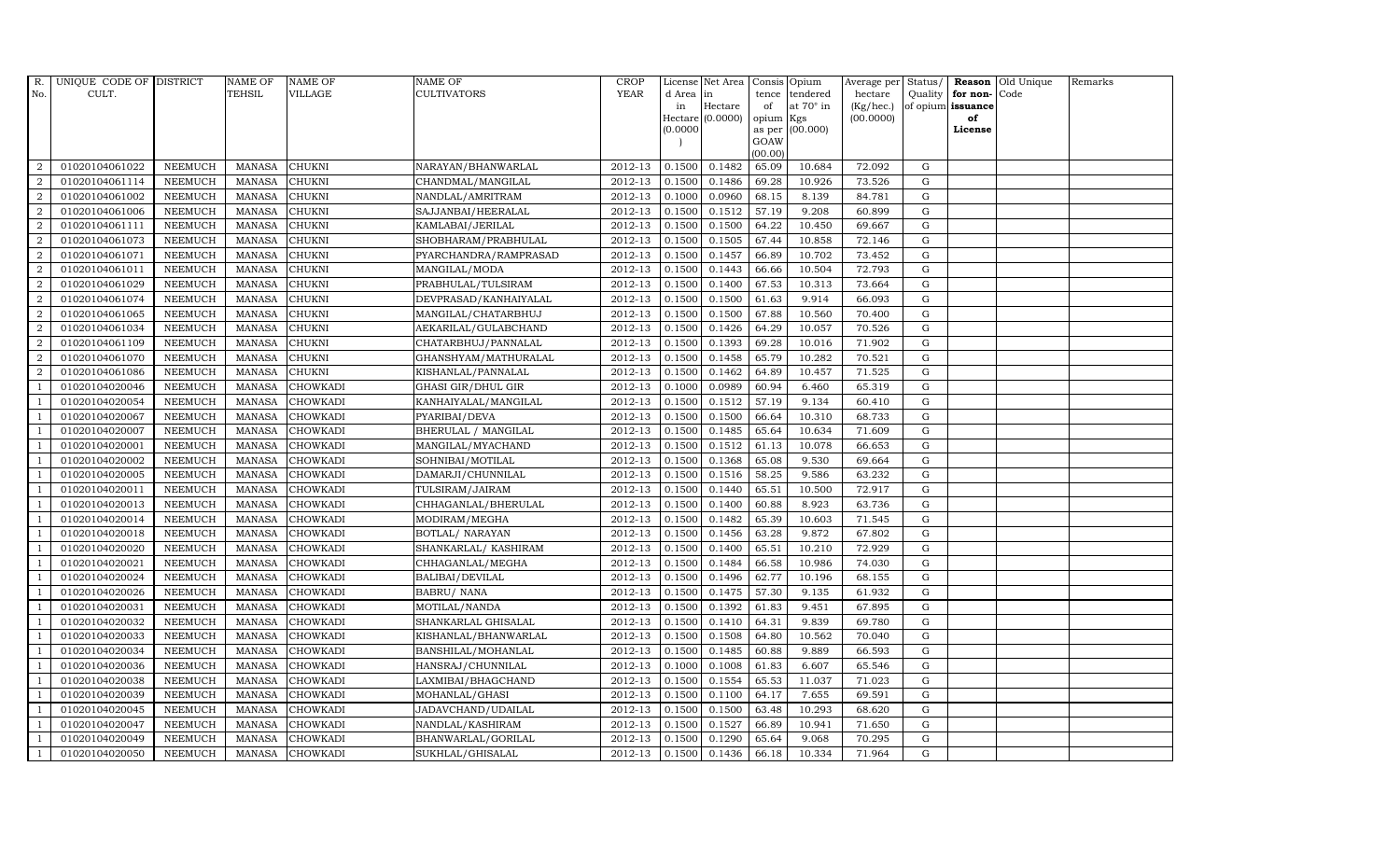| R.             | UNIQUE CODE OF DISTRICT |                | <b>NAME OF</b> | <b>NAME OF</b>  | <b>NAME OF</b>        | <b>CROP</b>            |           | License Net Area   |           | Consis Opium     | Average per Status/ |             |                      | Reason Old Unique | Remarks |
|----------------|-------------------------|----------------|----------------|-----------------|-----------------------|------------------------|-----------|--------------------|-----------|------------------|---------------------|-------------|----------------------|-------------------|---------|
| No.            | CULT.                   |                | <b>TEHSIL</b>  | VILLAGE         | <b>CULTIVATORS</b>    | <b>YEAR</b>            | d Area in |                    | tence     | tendered         | hectare             |             | Quality $ $ for non- | Code              |         |
|                |                         |                |                |                 |                       |                        | in        | Hectare            | of        | at $70^\circ$ in | (Kg/hec.)           |             | of opium issuance    |                   |         |
|                |                         |                |                |                 |                       |                        |           | Hectare $(0.0000)$ | opium Kgs |                  | (00.0000)           |             | of                   |                   |         |
|                |                         |                |                |                 |                       |                        | (0.0000)  |                    | GOAW      | as per (00.000)  |                     |             | License              |                   |         |
|                |                         |                |                |                 |                       |                        |           |                    | (00.00)   |                  |                     |             |                      |                   |         |
| $\overline{2}$ | 01020104061022          | <b>NEEMUCH</b> | MANASA         | <b>CHUKNI</b>   | NARAYAN/BHANWARLAL    | 2012-13                | 0.1500    | 0.1482             | 65.09     | 10.684           | 72.092              | G           |                      |                   |         |
| $\overline{2}$ | 01020104061114          | <b>NEEMUCH</b> | <b>MANASA</b>  | <b>CHUKNI</b>   | CHANDMAL/MANGILAL     | 2012-13                | 0.1500    | 0.1486             | 69.28     | 10.926           | 73.526              | G           |                      |                   |         |
| 2              | 01020104061002          | <b>NEEMUCH</b> | <b>MANASA</b>  | <b>CHUKNI</b>   | NANDLAL/AMRITRAM      | 2012-13                | 0.1000    | 0.0960             | 68.15     | 8.139            | 84.781              | G           |                      |                   |         |
| $\overline{2}$ | 01020104061006          | <b>NEEMUCH</b> | <b>MANASA</b>  | <b>CHUKNI</b>   | SAJJANBAI/HEERALAL    | 2012-13                | 0.1500    | 0.1512             | 57.19     | 9.208            | 60.899              | G           |                      |                   |         |
| $\overline{a}$ | 01020104061111          | <b>NEEMUCH</b> | <b>MANASA</b>  | <b>CHUKNI</b>   | KAMLABAI/JERILAL      | 2012-13                | 0.1500    | 0.1500             | 64.22     | 10.450           | 69.667              | G           |                      |                   |         |
| 2              | 01020104061073          | <b>NEEMUCH</b> | MANASA         | <b>CHUKNI</b>   | SHOBHARAM/PRABHULAL   | $2012 - 13$            | 0.1500    | 0.1505             | 67.44     | 10.858           | 72.146              | G           |                      |                   |         |
| $\overline{a}$ | 01020104061071          | <b>NEEMUCH</b> | <b>MANASA</b>  | <b>CHUKNI</b>   | PYARCHANDRA/RAMPRASAD | 2012-13                | 0.1500    | 0.1457             | 66.89     | 10.702           | 73.452              | ${\rm G}$   |                      |                   |         |
| $\overline{2}$ | 01020104061011          | <b>NEEMUCH</b> | <b>MANASA</b>  | <b>CHUKNI</b>   | MANGILAL/MODA         | 2012-13                | 0.1500    | 0.1443             | 66.66     | 10.504           | 72.793              | ${\rm G}$   |                      |                   |         |
| $\overline{2}$ | 01020104061029          | <b>NEEMUCH</b> | <b>MANASA</b>  | <b>CHUKNI</b>   | PRABHULAL/TULSIRAM    | 2012-13                | 0.1500    | 0.1400             | 67.53     | 10.313           | 73.664              | $\mathbf G$ |                      |                   |         |
| $\overline{2}$ | 01020104061074          | <b>NEEMUCH</b> | <b>MANASA</b>  | CHUKNI          | DEVPRASAD/KANHAIYALAL | 2012-13                | 0.1500    | 0.1500             | 61.63     | 9.914            | 66.093              | ${\rm G}$   |                      |                   |         |
| $\overline{a}$ | 01020104061065          | <b>NEEMUCH</b> | <b>MANASA</b>  | <b>CHUKNI</b>   | MANGILAL/CHATARBHUJ   | 2012-13                | 0.1500    | 0.1500             | 67.88     | 10.560           | 70.400              | G           |                      |                   |         |
| $\overline{2}$ | 01020104061034          | <b>NEEMUCH</b> | <b>MANASA</b>  | <b>CHUKNI</b>   | AEKARILAL/GULABCHAND  | 2012-13                | 0.1500    | 0.1426             | 64.29     | 10.057           | 70.526              | G           |                      |                   |         |
| 2              | 01020104061109          | <b>NEEMUCH</b> | <b>MANASA</b>  | <b>CHUKNI</b>   | CHATARBHUJ/PANNALAL   | 2012-13                | 0.1500    | 0.1393             | 69.28     | 10.016           | 71.902              | G           |                      |                   |         |
| $\overline{2}$ | 01020104061070          | <b>NEEMUCH</b> | <b>MANASA</b>  | <b>CHUKNI</b>   | GHANSHYAM/MATHURALAL  | 2012-13                | 0.1500    | 0.1458             | 65.79     | 10.282           | 70.521              | G           |                      |                   |         |
| $\overline{2}$ | 01020104061086          | <b>NEEMUCH</b> | <b>MANASA</b>  | <b>CHUKNI</b>   | KISHANLAL/PANNALAL    | 2012-13                | 0.1500    | 0.1462             | 64.89     | 10.457           | 71.525              | G           |                      |                   |         |
| 1              | 01020104020046          | <b>NEEMUCH</b> | <b>MANASA</b>  | <b>CHOWKADI</b> | GHASI GIR/DHUL GIR    | 2012-13                | 0.1000    | 0.0989             | 60.94     | 6.460            | 65.319              | G           |                      |                   |         |
| $\overline{1}$ | 01020104020054          | <b>NEEMUCH</b> | <b>MANASA</b>  | <b>CHOWKADI</b> | KANHAIYALAL/MANGILAL  | $2012 - 13$            | 0.1500    | 0.1512             | 57.19     | 9.134            | 60.410              | G           |                      |                   |         |
| $\overline{1}$ | 01020104020067          | <b>NEEMUCH</b> | <b>MANASA</b>  | <b>CHOWKADI</b> | PYARIBAI/DEVA         | 2012-13                | 0.1500    | 0.1500             | 66.64     | 10.310           | 68.733              | G           |                      |                   |         |
|                | 01020104020007          | <b>NEEMUCH</b> | <b>MANASA</b>  | <b>CHOWKADI</b> | BHERULAL / MANGILAL   | 2012-13                | 0.1500    | 0.1485             | 65.64     | 10.634           | 71.609              | G           |                      |                   |         |
|                | 01020104020001          | <b>NEEMUCH</b> | <b>MANASA</b>  | <b>CHOWKADI</b> | MANGILAL/MYACHAND     | 2012-13                | 0.1500    | 0.1512             | 61.13     | 10.078           | 66.653              | G           |                      |                   |         |
| -1             | 01020104020002          | <b>NEEMUCH</b> | <b>MANASA</b>  | <b>CHOWKADI</b> | SOHNIBAI/MOTILAL      | 2012-13                | 0.1500    | 0.1368             | 65.08     | 9.530            | 69.664              | G           |                      |                   |         |
|                | 01020104020005          | <b>NEEMUCH</b> | <b>MANASA</b>  | <b>CHOWKADI</b> | DAMARJI/CHUNNILAL     | 2012-13                | 0.1500    | 0.1516             | 58.25     | 9.586            | 63.232              | G           |                      |                   |         |
| $\overline{1}$ | 01020104020011          | <b>NEEMUCH</b> | <b>MANASA</b>  | <b>CHOWKADI</b> | TULSIRAM/JAIRAM       | 2012-13                | 0.1500    | 0.1440             | 65.51     | 10.500           | 72.917              | G           |                      |                   |         |
|                | 01020104020013          | <b>NEEMUCH</b> | <b>MANASA</b>  | <b>CHOWKADI</b> | CHHAGANLAL/BHERULAL   | 2012-13                | 0.1500    | 0.1400             | 60.88     | 8.923            | 63.736              | $\mathbf G$ |                      |                   |         |
|                | 01020104020014          | <b>NEEMUCH</b> | <b>MANASA</b>  | <b>CHOWKADI</b> | MODIRAM/MEGHA         | 2012-13                | 0.1500    | 0.1482             | 65.39     | 10.603           | 71.545              | G           |                      |                   |         |
| -1             | 01020104020018          | <b>NEEMUCH</b> | <b>MANASA</b>  | <b>CHOWKADI</b> | BOTLAL/ NARAYAN       | 2012-13                | 0.1500    | 0.1456             | 63.28     | 9.872            | 67.802              | G           |                      |                   |         |
| $\overline{1}$ | 01020104020020          | <b>NEEMUCH</b> | <b>MANASA</b>  | <b>CHOWKADI</b> | SHANKARLAL/KASHIRAM   | 2012-13                | 0.1500    | 0.1400             | 65.51     | 10.210           | 72.929              | G           |                      |                   |         |
| $\overline{1}$ | 01020104020021          | <b>NEEMUCH</b> | MANASA         | <b>CHOWKADI</b> | CHHAGANLAL/MEGHA      | 2012-13                | 0.1500    | 0.1484             | 66.58     | 10.986           | 74.030              | G           |                      |                   |         |
| $\overline{1}$ | 01020104020024          | <b>NEEMUCH</b> | <b>MANASA</b>  | <b>CHOWKADI</b> | BALIBAI/DEVILAL       | 2012-13                | 0.1500    | 0.1496             | 62.77     | 10.196           | 68.155              | $\mathbf G$ |                      |                   |         |
|                | 01020104020026          | <b>NEEMUCH</b> | <b>MANASA</b>  | CHOWKADI        | <b>BABRU/ NANA</b>    | 2012-13                | 0.1500    | 0.1475             | 57.30     | 9.135            | 61.932              | G           |                      |                   |         |
| -1             | 01020104020031          | <b>NEEMUCH</b> | <b>MANASA</b>  | <b>CHOWKADI</b> | MOTILAL/NANDA         | 2012-13                | 0.1500    | 0.1392             | 61.83     | 9.451            | 67.895              | G           |                      |                   |         |
|                | 01020104020032          | <b>NEEMUCH</b> | <b>MANASA</b>  | <b>CHOWKADI</b> | SHANKARLAL GHISALAL   | 2012-13                | 0.1500    | 0.1410             | 64.31     | 9.839            | 69.780              | G           |                      |                   |         |
| $\overline{1}$ | 01020104020033          | <b>NEEMUCH</b> | <b>MANASA</b>  | CHOWKADI        | KISHANLAL/BHANWARLAL  | 2012-13                | 0.1500    | 0.1508             | 64.80     | 10.562           | 70.040              | G           |                      |                   |         |
| $\overline{1}$ | 01020104020034          | <b>NEEMUCH</b> | <b>MANASA</b>  | <b>CHOWKADI</b> | BANSHILAL/MOHANLAL    | 2012-13                | 0.1500    | 0.1485             | 60.88     | 9.889            | 66.593              | G           |                      |                   |         |
|                | 01020104020036          | <b>NEEMUCH</b> | <b>MANASA</b>  | CHOWKADI        | HANSRAJ/CHUNNILAL     | 2012-13                | 0.1000    | 0.1008             | 61.83     | 6.607            | 65.546              | $\mathbf G$ |                      |                   |         |
| $\overline{1}$ | 01020104020038          | <b>NEEMUCH</b> | <b>MANASA</b>  | <b>CHOWKADI</b> | LAXMIBAI/BHAGCHAND    | 2012-13                | 0.1500    | 0.1554             | 65.53     | 11.037           | 71.023              | G           |                      |                   |         |
|                | 01020104020039          | <b>NEEMUCH</b> | <b>MANASA</b>  | <b>CHOWKADI</b> | MOHANLAL/GHASI        | 2012-13                | 0.1500    | 0.1100             | 64.17     | 7.655            | 69.591              | G           |                      |                   |         |
| $\overline{1}$ | 01020104020045          | <b>NEEMUCH</b> | <b>MANASA</b>  | CHOWKADI        | JADAVCHAND/UDAILAL    | $\overline{2012} - 13$ | 0.1500    | 0.1500             | 63.48     | 10.293           | 68.620              | G           |                      |                   |         |
| $\overline{1}$ | 01020104020047          | <b>NEEMUCH</b> | <b>MANASA</b>  | <b>CHOWKADI</b> | NANDLAL/KASHIRAM      | 2012-13                | 0.1500    | 0.1527             | 66.89     | 10.941           | 71.650              | G           |                      |                   |         |
|                | 01020104020049          | <b>NEEMUCH</b> | <b>MANASA</b>  | <b>CHOWKADI</b> | BHANWARLAL/GORILAL    | 2012-13                | 0.1500    | 0.1290             | 65.64     | 9.068            | 70.295              | $\mathbf G$ |                      |                   |         |
| $\overline{1}$ | 01020104020050          | <b>NEEMUCH</b> |                | MANASA CHOWKADI | SUKHLAL/GHISALAL      | 2012-13                | 0.1500    | 0.1436             | 66.18     | 10.334           | 71.964              | G           |                      |                   |         |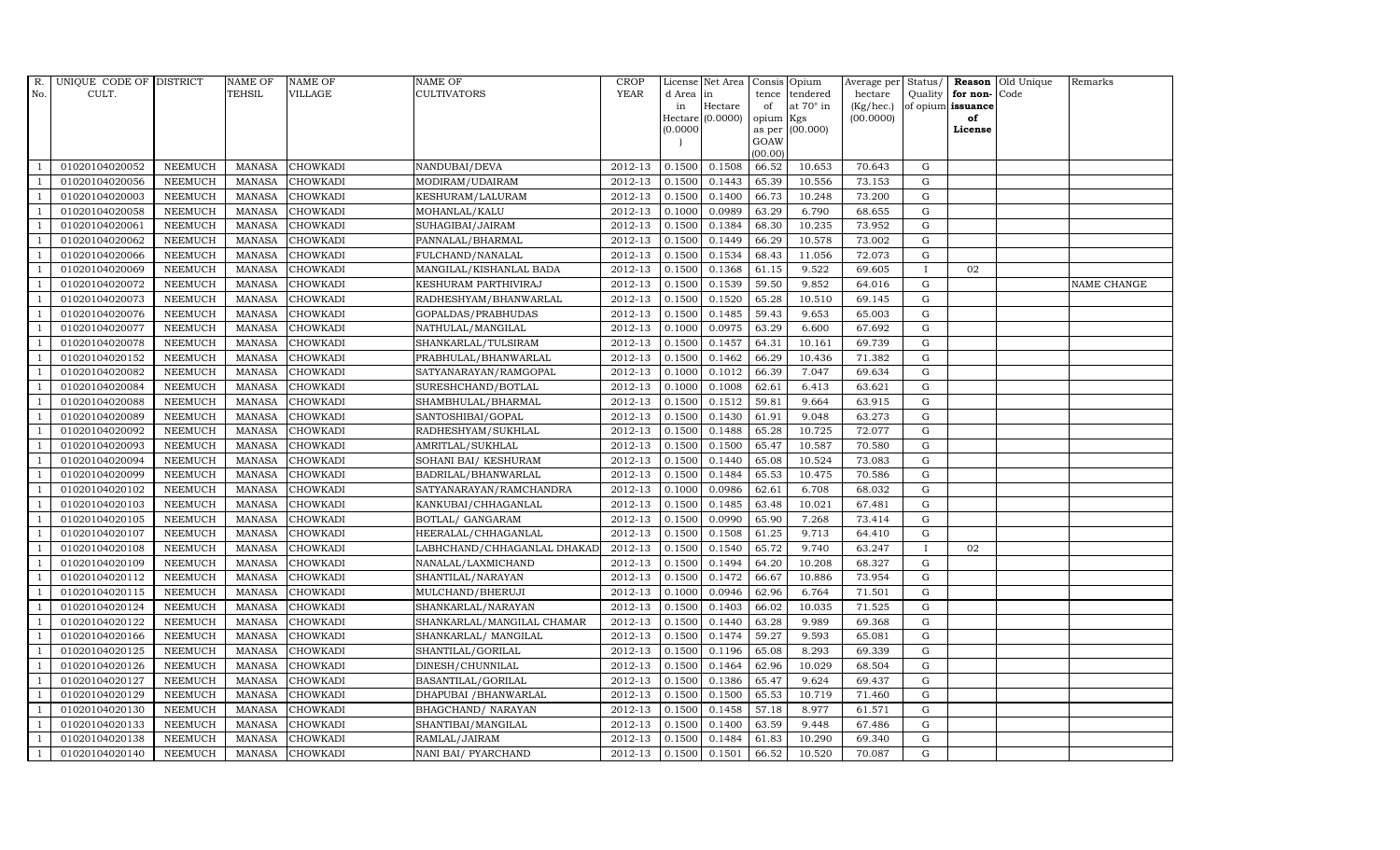| R.             | UNIQUE CODE OF DISTRICT |                | <b>NAME OF</b> | <b>NAME OF</b>  | <b>NAME OF</b>              | CROP        |           | License Net Area   |           | Consis Opium     | Average per Status/ |              |                      | Reason Old Unique | Remarks     |
|----------------|-------------------------|----------------|----------------|-----------------|-----------------------------|-------------|-----------|--------------------|-----------|------------------|---------------------|--------------|----------------------|-------------------|-------------|
| No.            | CULT.                   |                | TEHSIL         | VILLAGE         | <b>CULTIVATORS</b>          | <b>YEAR</b> | d Area in |                    | tence     | tendered         | hectare             |              | Quality $ $ for non- | Code              |             |
|                |                         |                |                |                 |                             |             | in        | Hectare            | of        | at $70^\circ$ in | (Kg/hec.)           |              | of opium issuance    |                   |             |
|                |                         |                |                |                 |                             |             |           | Hectare $(0.0000)$ | opium Kgs |                  | (00.0000)           |              | of                   |                   |             |
|                |                         |                |                |                 |                             |             | (0.0000)  |                    | GOAW      | as per (00.000)  |                     |              | License              |                   |             |
|                |                         |                |                |                 |                             |             |           |                    | (00.00)   |                  |                     |              |                      |                   |             |
|                | 01020104020052          | <b>NEEMUCH</b> | MANASA         | <b>CHOWKADI</b> | NANDUBAI/DEVA               | 2012-13     | 0.1500    | 0.1508             | 66.52     | 10.653           | 70.643              | G            |                      |                   |             |
| -1             | 01020104020056          | <b>NEEMUCH</b> | MANASA         | <b>CHOWKADI</b> | MODIRAM/UDAIRAM             | 2012-13     | 0.1500    | 0.1443             | 65.39     | 10.556           | 73.153              | $\mathbf G$  |                      |                   |             |
|                | 01020104020003          | <b>NEEMUCH</b> | <b>MANASA</b>  | <b>CHOWKADI</b> | KESHURAM/LALURAM            | 2012-13     | 0.1500    | 0.1400             | 66.73     | 10.248           | 73.200              | G            |                      |                   |             |
|                | 01020104020058          | <b>NEEMUCH</b> | <b>MANASA</b>  | <b>CHOWKADI</b> | MOHANLAL/KALU               | 2012-13     | 0.1000    | 0.0989             | 63.29     | 6.790            | 68.655              | G            |                      |                   |             |
| $\overline{1}$ | 01020104020061          | <b>NEEMUCH</b> | <b>MANASA</b>  | <b>CHOWKADI</b> | SUHAGIBAI/JAIRAM            | 2012-13     | 0.1500    | 0.1384             | 68.30     | 10.235           | 73.952              | G            |                      |                   |             |
| $\overline{1}$ | 01020104020062          | <b>NEEMUCH</b> | <b>MANASA</b>  | <b>CHOWKADI</b> | PANNALAL/BHARMAL            | 2012-13     | 0.1500    | 0.1449             | 66.29     | 10.578           | 73.002              | G            |                      |                   |             |
| $\overline{1}$ | 01020104020066          | <b>NEEMUCH</b> | <b>MANASA</b>  | <b>CHOWKADI</b> | FULCHAND/NANALAL            | 2012-13     | 0.1500    | 0.1534             | 68.43     | 11.056           | 72.073              | G            |                      |                   |             |
| $\overline{1}$ | 01020104020069          | <b>NEEMUCH</b> | <b>MANASA</b>  | <b>CHOWKADI</b> | MANGILAL/KISHANLAL BADA     | 2012-13     | 0.1500    | 0.1368             | 61.15     | 9.522            | 69.605              | $\bf{I}$     | 02                   |                   |             |
|                | 01020104020072          | <b>NEEMUCH</b> | <b>MANASA</b>  | <b>CHOWKADI</b> | KESHURAM PARTHIVIRAJ        | 2012-13     | 0.1500    | 0.1539             | 59.50     | 9.852            | 64.016              | $\mathbf G$  |                      |                   | NAME CHANGE |
|                | 01020104020073          | <b>NEEMUCH</b> | <b>MANASA</b>  | CHOWKADI        | RADHESHYAM/BHANWARLAL       | 2012-13     | 0.1500    | 0.1520             | 65.28     | 10.510           | 69.145              | G            |                      |                   |             |
| $\overline{1}$ | 01020104020076          | <b>NEEMUCH</b> | <b>MANASA</b>  | <b>CHOWKADI</b> | GOPALDAS/PRABHUDAS          | 2012-13     | 0.1500    | 0.1485             | 59.43     | 9.653            | 65.003              | G            |                      |                   |             |
| $\overline{1}$ | 01020104020077          | <b>NEEMUCH</b> | <b>MANASA</b>  | <b>CHOWKADI</b> | NATHULAL/MANGILAL           | 2012-13     | 0.1000    | 0.0975             | 63.29     | 6.600            | 67.692              | G            |                      |                   |             |
| $\overline{1}$ | 01020104020078          | <b>NEEMUCH</b> | <b>MANASA</b>  | <b>CHOWKADI</b> | SHANKARLAL/TULSIRAM         | 2012-13     | 0.1500    | 0.1457             | 64.31     | 10.161           | 69.739              | G            |                      |                   |             |
|                | 01020104020152          | <b>NEEMUCH</b> | <b>MANASA</b>  | <b>CHOWKADI</b> | PRABHULAL/BHANWARLAL        | 2012-13     | 0.1500    | 0.1462             | 66.29     | 10.436           | 71.382              | G            |                      |                   |             |
| $\overline{1}$ | 01020104020082          | <b>NEEMUCH</b> | <b>MANASA</b>  | <b>CHOWKADI</b> | SATYANARAYAN/RAMGOPAL       | 2012-13     | 0.1000    | 0.1012             | 66.39     | 7.047            | 69.634              | G            |                      |                   |             |
| $\overline{1}$ | 01020104020084          | <b>NEEMUCH</b> | <b>MANASA</b>  | <b>CHOWKADI</b> | SURESHCHAND/BOTLAL          | 2012-13     | 0.1000    | 0.1008             | 62.61     | 6.413            | 63.621              | G            |                      |                   |             |
|                | 01020104020088          | <b>NEEMUCH</b> | <b>MANASA</b>  | <b>CHOWKADI</b> | SHAMBHULAL/BHARMAL          | $2012 - 13$ | 0.1500    | 0.1512             | 59.81     | 9.664            | 63.915              | G            |                      |                   |             |
| $\overline{1}$ | 01020104020089          | <b>NEEMUCH</b> | <b>MANASA</b>  | <b>CHOWKADI</b> | SANTOSHIBAI/GOPAL           | 2012-13     | 0.1500    | 0.1430             | 61.91     | 9.048            | 63.273              | G            |                      |                   |             |
|                | 01020104020092          | <b>NEEMUCH</b> | <b>MANASA</b>  | <b>CHOWKADI</b> | RADHESHYAM/SUKHLAL          | 2012-13     | 0.1500    | 0.1488             | 65.28     | 10.725           | 72.077              | G            |                      |                   |             |
|                | 01020104020093          | <b>NEEMUCH</b> | <b>MANASA</b>  | <b>CHOWKADI</b> | AMRITLAL/SUKHLAL            | 2012-13     | 0.1500    | 0.1500             | 65.47     | 10.587           | 70.580              | G            |                      |                   |             |
| -1             | 01020104020094          | <b>NEEMUCH</b> | <b>MANASA</b>  | <b>CHOWKADI</b> | SOHANI BAI/ KESHURAM        | 2012-13     | 0.1500    | 0.1440             | 65.08     | 10.524           | 73.083              | G            |                      |                   |             |
|                | 01020104020099          | <b>NEEMUCH</b> | <b>MANASA</b>  | <b>CHOWKADI</b> | BADRILAL/BHANWARLAL         | 2012-13     | 0.1500    | 0.1484             | 65.53     | 10.475           | 70.586              | G            |                      |                   |             |
| $\overline{1}$ | 01020104020102          | <b>NEEMUCH</b> | MANASA         | <b>CHOWKADI</b> | SATYANARAYAN/RAMCHANDRA     | 2012-13     | 0.1000    | 0.0986             | 62.61     | 6.708            | 68.032              | G            |                      |                   |             |
|                | 01020104020103          | <b>NEEMUCH</b> | <b>MANASA</b>  | <b>CHOWKADI</b> | KANKUBAI/CHHAGANLAL         | 2012-13     | 0.1500    | 0.1485             | 63.48     | 10.021           | 67.481              | $\mathbf G$  |                      |                   |             |
|                | 01020104020105          | <b>NEEMUCH</b> | <b>MANASA</b>  | <b>CHOWKADI</b> | BOTLAL/ GANGARAM            | 2012-13     | 0.1500    | 0.0990             | 65.90     | 7.268            | 73.414              | G            |                      |                   |             |
| -1             | 01020104020107          | <b>NEEMUCH</b> | <b>MANASA</b>  | <b>CHOWKADI</b> | HEERALAL/CHHAGANLAL         | 2012-13     | 0.1500    | 0.1508             | 61.25     | 9.713            | 64.410              | G            |                      |                   |             |
| $\overline{1}$ | 01020104020108          | <b>NEEMUCH</b> | <b>MANASA</b>  | <b>CHOWKADI</b> | LABHCHAND/CHHAGANLAL DHAKAD | 2012-13     | 0.1500    | 0.1540             | 65.72     | 9.740            | 63.247              | $\mathbf{I}$ | 02                   |                   |             |
| $\overline{1}$ | 01020104020109          | <b>NEEMUCH</b> | MANASA         | <b>CHOWKADI</b> | NANALAL/LAXMICHAND          | 2012-13     | 0.1500    | 0.1494             | 64.20     | 10.208           | 68.327              | G            |                      |                   |             |
| $\overline{1}$ | 01020104020112          | <b>NEEMUCH</b> | <b>MANASA</b>  | <b>CHOWKADI</b> | SHANTILAL/NARAYAN           | 2012-13     | 0.1500    | 0.1472             | 66.67     | 10.886           | 73.954              | $\mathbf G$  |                      |                   |             |
|                | 01020104020115          | <b>NEEMUCH</b> | <b>MANASA</b>  | CHOWKADI        | MULCHAND/BHERUJI            | 2012-13     | 0.1000    | 0.0946             | 62.96     | 6.764            | 71.501              | G            |                      |                   |             |
| $\overline{1}$ | 01020104020124          | <b>NEEMUCH</b> | <b>MANASA</b>  | <b>CHOWKADI</b> | SHANKARLAL/NARAYAN          | 2012-13     | 0.1500    | 0.1403             | 66.02     | 10.035           | 71.525              | G            |                      |                   |             |
|                | 01020104020122          | <b>NEEMUCH</b> | <b>MANASA</b>  | <b>CHOWKADI</b> | SHANKARLAL/MANGILAL CHAMAR  | 2012-13     | 0.1500    | 0.1440             | 63.28     | 9.989            | 69.368              | G            |                      |                   |             |
| $\overline{1}$ | 01020104020166          | <b>NEEMUCH</b> | <b>MANASA</b>  | <b>CHOWKADI</b> | SHANKARLAL/ MANGILAL        | 2012-13     | 0.1500    | 0.1474             | 59.27     | 9.593            | 65.081              | ${\rm G}$    |                      |                   |             |
| $\overline{1}$ | 01020104020125          | <b>NEEMUCH</b> | <b>MANASA</b>  | <b>CHOWKADI</b> | SHANTILAL/GORILAL           | 2012-13     | 0.1500    | 0.1196             | 65.08     | 8.293            | 69.339              | G            |                      |                   |             |
|                | 01020104020126          | <b>NEEMUCH</b> | <b>MANASA</b>  | CHOWKADI        | DINESH/CHUNNILAL            | 2012-13     | 0.1500    | 0.1464             | 62.96     | 10.029           | 68.504              | $\mathbf G$  |                      |                   |             |
| $\overline{1}$ | 01020104020127          | <b>NEEMUCH</b> | <b>MANASA</b>  | <b>CHOWKADI</b> | BASANTILAL/GORILAL          | 2012-13     | 0.1500    | 0.1386             | 65.47     | 9.624            | 69.437              | G            |                      |                   |             |
|                | 01020104020129          | <b>NEEMUCH</b> | <b>MANASA</b>  | <b>CHOWKADI</b> | DHAPUBAI / BHANWARLAL       | 2012-13     | 0.1500    | 0.1500             | 65.53     | 10.719           | 71.460              | G            |                      |                   |             |
| $\overline{1}$ | 01020104020130          | <b>NEEMUCH</b> | <b>MANASA</b>  | <b>CHOWKADI</b> | BHAGCHAND/ NARAYAN          | 2012-13     | 0.1500    | 0.1458             | 57.18     | 8.977            | 61.571              | G            |                      |                   |             |
| $\overline{1}$ | 01020104020133          | <b>NEEMUCH</b> | <b>MANASA</b>  | <b>CHOWKADI</b> | SHANTIBAI/MANGILAL          | 2012-13     | 0.1500    | 0.1400             | 63.59     | 9.448            | 67.486              | G            |                      |                   |             |
|                | 01020104020138          | <b>NEEMUCH</b> | <b>MANASA</b>  | <b>CHOWKADI</b> | RAMLAL/JAIRAM               | 2012-13     | 0.1500    | 0.1484             | 61.83     | 10.290           | 69.340              | $\mathbf G$  |                      |                   |             |
| $\mathbf{1}$   | 01020104020140          | <b>NEEMUCH</b> |                | MANASA CHOWKADI | NANI BAI/ PYARCHAND         | 2012-13     | 0.1500    | 0.1501             | 66.52     | 10.520           | 70.087              | G            |                      |                   |             |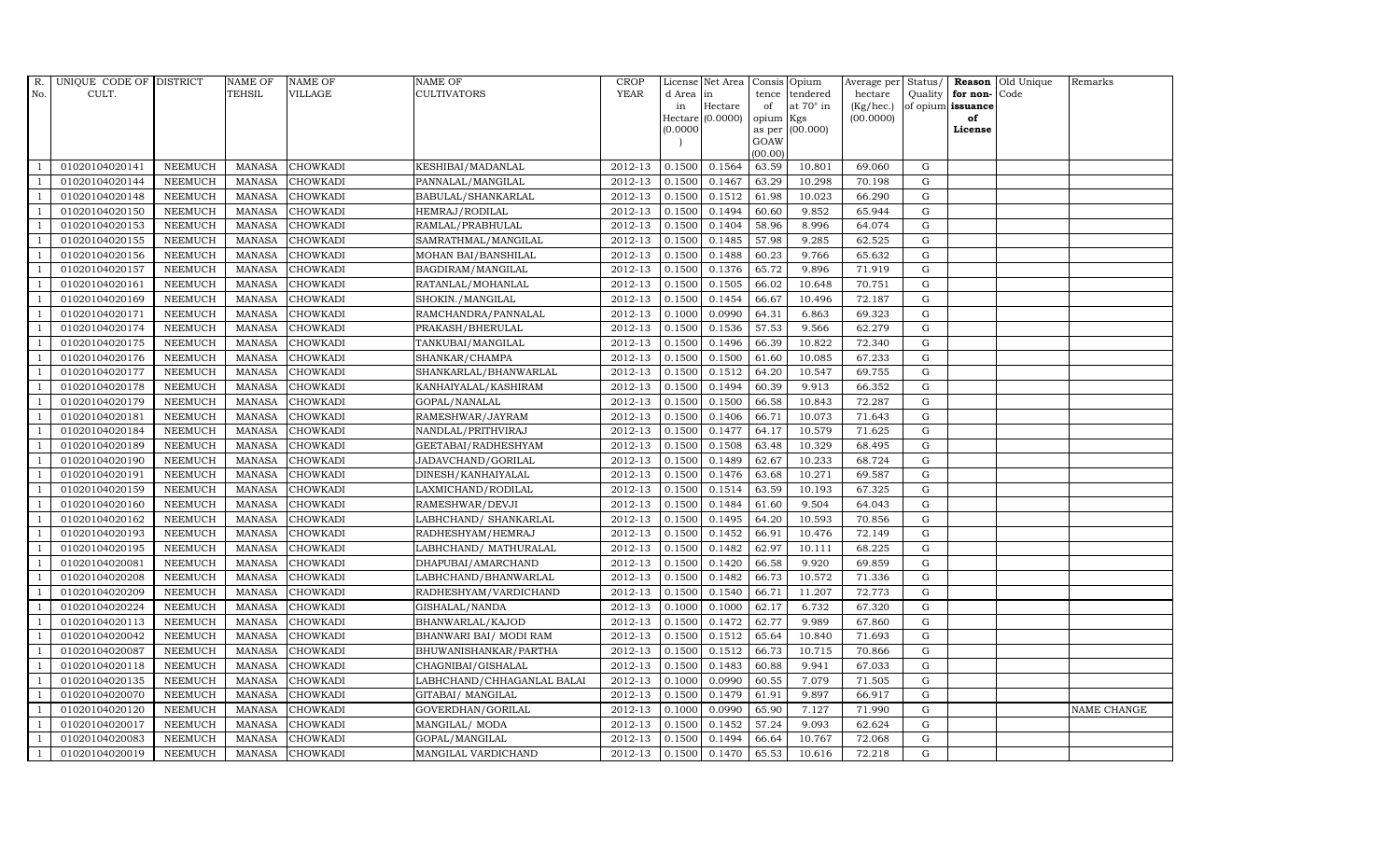| R.  | UNIQUE CODE OF DISTRICT |                | NAME OF       | <b>NAME OF</b>  | NAME OF                    | <b>CROP</b> |           | License Net Area Consis Opium |           |                  | Average per Status/ |             | Reason            | Old Unique | Remarks     |
|-----|-------------------------|----------------|---------------|-----------------|----------------------------|-------------|-----------|-------------------------------|-----------|------------------|---------------------|-------------|-------------------|------------|-------------|
| No. | CULT.                   |                | TEHSIL        | VILLAGE         | <b>CULTIVATORS</b>         | <b>YEAR</b> | d Area in |                               |           | tence tendered   | hectare             | Quality     | for non-          | Code       |             |
|     |                         |                |               |                 |                            |             | in        | Hectare                       | of        | at $70^\circ$ in | (Kg/hec.)           |             | of opium issuance |            |             |
|     |                         |                |               |                 |                            |             |           | $Hectare (0.0000)$            | opium Kgs |                  | (00.0000)           |             | of<br>License     |            |             |
|     |                         |                |               |                 |                            |             | (0.0000)  |                               | GOAW      | as per (00.000)  |                     |             |                   |            |             |
|     |                         |                |               |                 |                            |             |           |                               | (00.00)   |                  |                     |             |                   |            |             |
|     | 01020104020141          | <b>NEEMUCH</b> | MANASA        | <b>CHOWKADI</b> | KESHIBAI/MADANLAL          | 2012-13     | 0.1500    | 0.1564                        | 63.59     | 10.801           | 69.060              | $\mathbf G$ |                   |            |             |
|     | 01020104020144          | <b>NEEMUCH</b> | <b>MANASA</b> | <b>CHOWKADI</b> | PANNALAL/MANGILAL          | 2012-13     | 0.1500    | 0.1467                        | 63.29     | 10.298           | 70.198              | $\mathbf G$ |                   |            |             |
|     | 01020104020148          | <b>NEEMUCH</b> | <b>MANASA</b> | <b>CHOWKADI</b> | BABULAL/SHANKARLAL         | 2012-13     | 0.1500    | 0.1512                        | 61.98     | 10.023           | 66.290              | G           |                   |            |             |
|     | 01020104020150          | <b>NEEMUCH</b> | <b>MANASA</b> | <b>CHOWKADI</b> | HEMRAJ/RODILAL             | 2012-13     | 0.1500    | 0.1494                        | 60.60     | 9.852            | 65.944              | $\mathbf G$ |                   |            |             |
|     | 01020104020153          | <b>NEEMUCH</b> | <b>MANASA</b> | <b>CHOWKADI</b> | RAMLAL/PRABHULAL           | 2012-13     | 0.1500    | 0.1404                        | 58.96     | 8.996            | 64.074              | ${\rm G}$   |                   |            |             |
|     | 01020104020155          | NEEMUCH        | <b>MANASA</b> | CHOWKADI        | SAMRATHMAL/MANGILAL        | 2012-13     | 0.1500    | 0.1485                        | 57.98     | 9.285            | 62.525              | $\mathbf G$ |                   |            |             |
|     | 01020104020156          | <b>NEEMUCH</b> | <b>MANASA</b> | <b>CHOWKADI</b> | MOHAN BAI/BANSHILAL        | 2012-13     | 0.1500    | 0.1488                        | 60.23     | 9.766            | 65.632              | $\mathbf G$ |                   |            |             |
|     | 01020104020157          | <b>NEEMUCH</b> | <b>MANASA</b> | <b>CHOWKADI</b> | BAGDIRAM/MANGILAL          | 2012-13     | 0.1500    | 0.1376                        | 65.72     | 9.896            | 71.919              | $\mathbf G$ |                   |            |             |
|     | 01020104020161          | <b>NEEMUCH</b> | <b>MANASA</b> | <b>CHOWKADI</b> | RATANLAL/MOHANLAL          | 2012-13     | 0.1500    | 0.1505                        | 66.02     | 10.648           | 70.751              | $\mathbf G$ |                   |            |             |
|     | 01020104020169          | <b>NEEMUCH</b> | <b>MANASA</b> | CHOWKADI        | SHOKIN./MANGILAL           | 2012-13     | 0.1500    | 0.1454                        | 66.67     | 10.496           | 72.187              | $\mathbf G$ |                   |            |             |
|     | 01020104020171          | <b>NEEMUCH</b> | <b>MANASA</b> | CHOWKADI        | RAMCHANDRA/PANNALAL        | 2012-13     | 0.1000    | 0.0990                        | 64.31     | 6.863            | 69.323              | ${\rm G}$   |                   |            |             |
|     | 01020104020174          | <b>NEEMUCH</b> | <b>MANASA</b> | <b>CHOWKADI</b> | PRAKASH/BHERULAL           | 2012-13     | 0.1500    | 0.1536                        | 57.53     | 9.566            | 62.279              | ${\rm G}$   |                   |            |             |
|     | 01020104020175          | <b>NEEMUCH</b> | <b>MANASA</b> | <b>CHOWKADI</b> | TANKUBAI/MANGILAL          | 2012-13     | 0.1500    | 0.1496                        | 66.39     | 10.822           | 72.340              | $\mathbf G$ |                   |            |             |
|     | 01020104020176          | <b>NEEMUCH</b> | <b>MANASA</b> | <b>CHOWKADI</b> | SHANKAR/CHAMPA             | 2012-13     | 0.1500    | 0.1500                        | 61.60     | 10.085           | 67.233              | G           |                   |            |             |
|     | 01020104020177          | <b>NEEMUCH</b> | <b>MANASA</b> | <b>CHOWKADI</b> | SHANKARLAL/BHANWARLAL      | 2012-13     | 0.1500    | 0.1512                        | 64.20     | 10.547           | 69.755              | G           |                   |            |             |
|     | 01020104020178          | <b>NEEMUCH</b> | <b>MANASA</b> | CHOWKADI        | KANHAIYALAL/KASHIRAM       | 2012-13     | 0.1500    | 0.1494                        | 60.39     | 9.913            | 66.352              | ${\rm G}$   |                   |            |             |
|     | 01020104020179          | <b>NEEMUCH</b> | <b>MANASA</b> | <b>CHOWKADI</b> | GOPAL/NANALAL              | 2012-13     | 0.1500    | 0.1500                        | 66.58     | 10.843           | 72.287              | $\mathbf G$ |                   |            |             |
|     | 01020104020181          | <b>NEEMUCH</b> | <b>MANASA</b> | <b>CHOWKADI</b> | RAMESHWAR/JAYRAM           | 2012-13     | 0.1500    | 0.1406                        | 66.71     | 10.073           | 71.643              | $\mathbf G$ |                   |            |             |
|     | 01020104020184          | <b>NEEMUCH</b> | <b>MANASA</b> | <b>CHOWKADI</b> | NANDLAL/PRITHVIRAJ         | 2012-13     | 0.1500    | 0.1477                        | 64.17     | 10.579           | 71.625              | $\mathbf G$ |                   |            |             |
|     | 01020104020189          | <b>NEEMUCH</b> | <b>MANASA</b> | <b>CHOWKADI</b> | GEETABAI/RADHESHYAM        | 2012-13     | 0.1500    | 0.1508                        | 63.48     | 10.329           | 68.495              | $\mathbf G$ |                   |            |             |
|     | 01020104020190          | <b>NEEMUCH</b> | <b>MANASA</b> | CHOWKADI        | JADAVCHAND/GORILAL         | 2012-13     | 0.1500    | 0.1489                        | 62.67     | 10.233           | 68.724              | ${\rm G}$   |                   |            |             |
|     | 01020104020191          | <b>NEEMUCH</b> | <b>MANASA</b> | CHOWKADI        | DINESH/KANHAIYALAL         | 2012-13     | 0.1500    | 0.1476                        | 63.68     | 10.271           | 69.587              | ${\rm G}$   |                   |            |             |
|     | 01020104020159          | <b>NEEMUCH</b> | <b>MANASA</b> | <b>CHOWKADI</b> | LAXMICHAND/RODILAL         | 2012-13     | 0.1500    | 0.1514                        | 63.59     | 10.193           | 67.325              | G           |                   |            |             |
|     | 01020104020160          | <b>NEEMUCH</b> | <b>MANASA</b> | CHOWKADI        | RAMESHWAR/DEVJI            | 2012-13     | 0.1500    | 0.1484                        | 61.60     | 9.504            | 64.043              | $\mathbf G$ |                   |            |             |
|     | 01020104020162          | NEEMUCH        | <b>MANASA</b> | CHOWKADI        | LABHCHAND/ SHANKARLAL      | 2012-13     | 0.1500    | 0.1495                        | 64.20     | 10.593           | 70.856              | $\mathbf G$ |                   |            |             |
|     | 01020104020193          | <b>NEEMUCH</b> | <b>MANASA</b> | CHOWKADI        | RADHESHYAM/HEMRAJ          | 2012-13     | 0.1500    | 0.1452                        | 66.91     | 10.476           | 72.149              | G           |                   |            |             |
|     | 01020104020195          | <b>NEEMUCH</b> | <b>MANASA</b> | CHOWKADI        | LABHCHAND/ MATHURALAL      | 2012-13     | 0.1500    | 0.1482                        | 62.97     | 10.111           | 68.225              | ${\rm G}$   |                   |            |             |
|     | 01020104020081          | <b>NEEMUCH</b> | <b>MANASA</b> | <b>CHOWKADI</b> | DHAPUBAI/AMARCHAND         | 2012-13     | 0.1500    | 0.1420                        | 66.58     | 9.920            | 69.859              | $\mathbf G$ |                   |            |             |
|     | 01020104020208          | <b>NEEMUCH</b> | <b>MANASA</b> | <b>CHOWKADI</b> | LABHCHAND/BHANWARLAL       | 2012-13     | 0.1500    | 0.1482                        | 66.73     | 10.572           | 71.336              | $\mathbf G$ |                   |            |             |
|     | 01020104020209          | <b>NEEMUCH</b> | <b>MANASA</b> | CHOWKADI        | RADHESHYAM/VARDICHAND      | 2012-13     | 0.1500    | 0.1540                        | 66.71     | 11.207           | 72.773              | $\mathbf G$ |                   |            |             |
|     | 01020104020224          | <b>NEEMUCH</b> | <b>MANASA</b> | <b>CHOWKADI</b> | GISHALAL/NANDA             | 2012-13     | 0.1000    | 0.1000                        | 62.17     | 6.732            | 67.320              | G           |                   |            |             |
|     | 01020104020113          | <b>NEEMUCH</b> | <b>MANASA</b> | CHOWKADI        | BHANWARLAL/KAJOD           | 2012-13     | 0.1500    | 0.1472                        | 62.77     | 9.989            | 67.860              | ${\rm G}$   |                   |            |             |
|     | 01020104020042          | NEEMUCH        | <b>MANASA</b> | CHOWKADI        | BHANWARI BAI/ MODI RAM     | 2012-13     | 0.1500    | 0.1512                        | 65.64     | 10.840           | 71.693              | $\mathbf G$ |                   |            |             |
|     | 01020104020087          | <b>NEEMUCH</b> | <b>MANASA</b> | <b>CHOWKADI</b> | BHUWANISHANKAR/PARTHA      | 2012-13     | 0.1500    | 0.1512                        | 66.73     | 10.715           | 70.866              | $\mathbf G$ |                   |            |             |
|     | 01020104020118          | <b>NEEMUCH</b> | <b>MANASA</b> | CHOWKADI        | CHAGNIBAI/GISHALAL         | 2012-13     | 0.1500    | 0.1483                        | 60.88     | 9.941            | 67.033              | $\mathbf G$ |                   |            |             |
|     | 01020104020135          | <b>NEEMUCH</b> | <b>MANASA</b> | CHOWKADI        | LABHCHAND/CHHAGANLAL BALAI | 2012-13     | 0.1000    | 0.0990                        | 60.55     | 7.079            | 71.505              | $\mathbf G$ |                   |            |             |
|     | 01020104020070          | <b>NEEMUCH</b> | <b>MANASA</b> | CHOWKADI        | GITABAI/ MANGILAL          | 2012-13     | 0.1500    | 0.1479                        | 61.91     | 9.897            | 66.917              | ${\rm G}$   |                   |            |             |
|     | 01020104020120          | <b>NEEMUCH</b> | <b>MANASA</b> | CHOWKADI        | GOVERDHAN/GORILAL          | 2012-13     | 0.1000    | 0.0990                        | 65.90     | 7.127            | 71.990              | $\mathbf G$ |                   |            | NAME CHANGE |
|     | 01020104020017          | <b>NEEMUCH</b> | <b>MANASA</b> | <b>CHOWKADI</b> | MANGILAL/ MODA             | 2012-13     | 0.1500    | 0.1452                        | 57.24     | 9.093            | 62.624              | $\mathbf G$ |                   |            |             |
|     | 01020104020083          | <b>NEEMUCH</b> | <b>MANASA</b> | <b>CHOWKADI</b> | GOPAL/MANGILAL             | 2012-13     | 0.1500    | 0.1494                        | 66.64     | 10.767           | 72.068              | $\mathbf G$ |                   |            |             |
|     | 01020104020019          | <b>NEEMUCH</b> | <b>MANASA</b> | <b>CHOWKADI</b> | MANGILAL VARDICHAND        | 2012-13     | 0.1500    | 0.1470                        | 65.53     | 10.616           | 72.218              | G           |                   |            |             |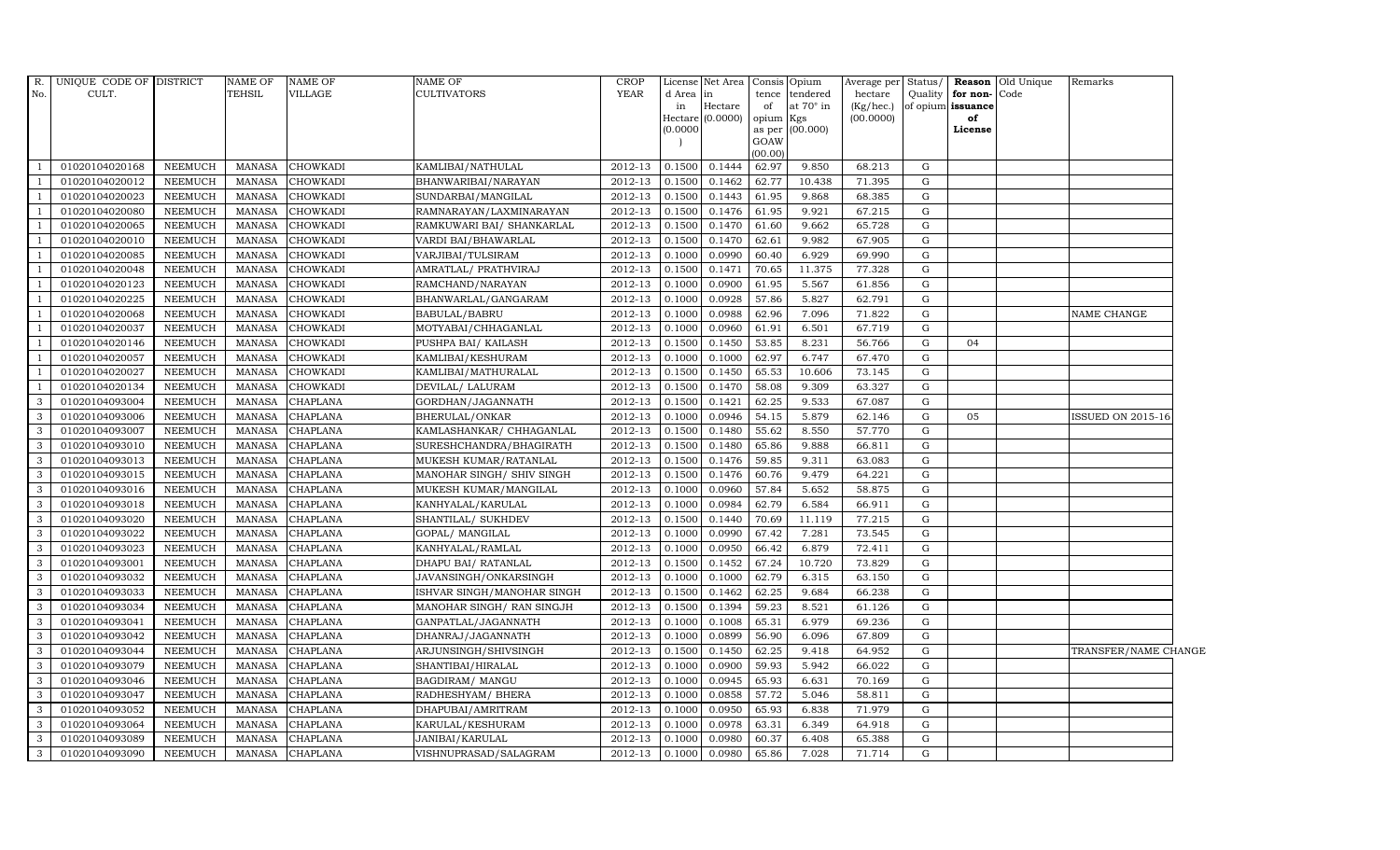| $R_{\cdot}$    | UNIQUE CODE OF DISTRICT |                | <b>NAME OF</b> | <b>NAME OF</b>  | <b>NAME OF</b>             | <b>CROP</b> |                            | License Net Area Consis Opium |         |                  | Average per Status/ |             |                   | <b>Reason</b> Old Unique | Remarks              |  |
|----------------|-------------------------|----------------|----------------|-----------------|----------------------------|-------------|----------------------------|-------------------------------|---------|------------------|---------------------|-------------|-------------------|--------------------------|----------------------|--|
| No.            | CULT.                   |                | TEHSIL         | VILLAGE         | <b>CULTIVATORS</b>         | <b>YEAR</b> | d Area in                  |                               | tence   | tendered         | hectare             | Quality     | for non-Code      |                          |                      |  |
|                |                         |                |                |                 |                            |             | in                         | Hectare                       | of      | at $70^\circ$ in | (Kg/hec.)           |             | of opium issuance |                          |                      |  |
|                |                         |                |                |                 |                            |             | Hectare (0.0000)<br>0.0000 |                               | opium   | Kgs              | (00.0000)           |             | of<br>License     |                          |                      |  |
|                |                         |                |                |                 |                            |             |                            |                               | GOAW    | as per (00.000)  |                     |             |                   |                          |                      |  |
|                |                         |                |                |                 |                            |             |                            |                               | (00.00) |                  |                     |             |                   |                          |                      |  |
| <sup>1</sup>   | 01020104020168          | NEEMUCH        | MANASA         | <b>CHOWKADI</b> | KAMLIBAI/NATHULAL          | 2012-13     | 0.1500                     | 0.1444                        | 62.97   | 9.850            | 68.213              | G           |                   |                          |                      |  |
| $\overline{1}$ | 01020104020012          | <b>NEEMUCH</b> | MANASA         | <b>CHOWKADI</b> | BHANWARIBAI/NARAYAN        | 2012-13     | 0.1500                     | 0.1462                        | 62.77   | 10.438           | 71.395              | G           |                   |                          |                      |  |
| $\overline{1}$ | 01020104020023          | <b>NEEMUCH</b> | <b>MANASA</b>  | CHOWKADI        | SUNDARBAI/MANGILAL         | 2012-13     | 0.1500                     | 0.1443                        | 61.95   | 9.868            | 68.385              | G           |                   |                          |                      |  |
|                | 01020104020080          | <b>NEEMUCH</b> | <b>MANASA</b>  | CHOWKADI        | RAMNARAYAN/LAXMINARAYAN    | 2012-13     | 0.1500                     | 0.1476                        | 61.95   | 9.921            | 67.215              | ${\rm G}$   |                   |                          |                      |  |
| $\overline{1}$ | 01020104020065          | <b>NEEMUCH</b> | <b>MANASA</b>  | CHOWKADI        | RAMKUWARI BAI/ SHANKARLAL  | 2012-13     | 0.1500                     | 0.1470                        | 61.60   | 9.662            | 65.728              | G           |                   |                          |                      |  |
| $\overline{1}$ | 01020104020010          | <b>NEEMUCH</b> | <b>MANASA</b>  | CHOWKADI        | VARDI BAI/BHAWARLAL        | 2012-13     | 0.1500                     | 0.1470                        | 62.61   | 9.982            | 67.905              | G           |                   |                          |                      |  |
| $\overline{1}$ | 01020104020085          | <b>NEEMUCH</b> | <b>MANASA</b>  | CHOWKADI        | VARJIBAI/TULSIRAM          | 2012-13     | 0.1000                     | 0.0990                        | 60.40   | 6.929            | 69.990              | ${\rm G}$   |                   |                          |                      |  |
| $\overline{1}$ | 01020104020048          | <b>NEEMUCH</b> | <b>MANASA</b>  | CHOWKADI        | AMRATLAL/ PRATHVIRAJ       | 2012-13     | 0.1500                     | 0.1471                        | 70.65   | 11.375           | 77.328              | G           |                   |                          |                      |  |
|                | 01020104020123          | <b>NEEMUCH</b> | <b>MANASA</b>  | CHOWKADI        | RAMCHAND/NARAYAN           | 2012-13     | 0.1000                     | 0.0900                        | 61.95   | 5.567            | 61.856              | G           |                   |                          |                      |  |
| $\overline{1}$ | 01020104020225          | <b>NEEMUCH</b> | <b>MANASA</b>  | CHOWKADI        | BHANWARLAL/GANGARAM        | 2012-13     | 0.1000                     | 0.0928                        | 57.86   | 5.827            | 62.791              | G           |                   |                          |                      |  |
| -1             | 01020104020068          | <b>NEEMUCH</b> | <b>MANASA</b>  | CHOWKADI        | BABULAL/BABRU              | 2012-13     | 0.1000                     | 0.0988                        | 62.96   | 7.096            | 71.822              | G           |                   |                          | NAME CHANGE          |  |
| $\overline{1}$ | 01020104020037          | <b>NEEMUCH</b> | <b>MANASA</b>  | CHOWKADI        | MOTYABAI/CHHAGANLAL        | 2012-13     | 0.1000                     | 0.0960                        | 61.91   | 6.501            | 67.719              | ${\rm G}$   |                   |                          |                      |  |
| $\overline{1}$ | 01020104020146          | <b>NEEMUCH</b> | <b>MANASA</b>  | CHOWKADI        | PUSHPA BAI/ KAILASH        | 2012-13     | 0.1500                     | 0.1450                        | 53.85   | 8.231            | 56.766              | G           | 04                |                          |                      |  |
|                | 01020104020057          | <b>NEEMUCH</b> | <b>MANASA</b>  | CHOWKADI        | KAMLIBAI/KESHURAM          | 2012-13     | 0.1000                     | 0.1000                        | 62.97   | 6.747            | 67.470              | $\mathbf G$ |                   |                          |                      |  |
| $\mathbf{J}$   | 01020104020027          | <b>NEEMUCH</b> | <b>MANASA</b>  | CHOWKADI        | KAMLIBAI/MATHURALAL        | 2012-13     | 0.1500                     | 0.1450                        | 65.53   | 10.606           | 73.145              | G           |                   |                          |                      |  |
| $\overline{1}$ | 01020104020134          | <b>NEEMUCH</b> | <b>MANASA</b>  | CHOWKADI        | DEVILAL/ LALURAM           | $2012 - 13$ | 0.1500                     | 0.1470                        | 58.08   | 9.309            | 63.327              | G           |                   |                          |                      |  |
| $\mathbf{3}$   | 01020104093004          | <b>NEEMUCH</b> | <b>MANASA</b>  | <b>CHAPLANA</b> | GORDHAN/JAGANNATH          | 2012-13     | 0.1500                     | 0.1421                        | 62.25   | 9.533            | 67.087              | G           |                   |                          |                      |  |
| $\mathbf{3}$   | 01020104093006          | <b>NEEMUCH</b> | <b>MANASA</b>  | <b>CHAPLANA</b> | BHERULAL/ONKAR             | 2012-13     | 0.1000                     | 0.0946                        | 54.15   | 5.879            | 62.146              | G           | 05                |                          | ISSUED ON 2015-16    |  |
| 3              | 01020104093007          | <b>NEEMUCH</b> | <b>MANASA</b>  | CHAPLANA        | KAMLASHANKAR / CHHAGANLAL  | 2012-13     | 0.1500                     | 0.1480                        | 55.62   | 8.550            | 57.770              | G           |                   |                          |                      |  |
| 3              | 01020104093010          | <b>NEEMUCH</b> | <b>MANASA</b>  | <b>CHAPLANA</b> | SURESHCHANDRA/BHAGIRATH    | 2012-13     | 0.1500                     | 0.1480                        | 65.86   | 9.888            | 66.811              | G           |                   |                          |                      |  |
| 3              | 01020104093013          | NEEMUCH        | <b>MANASA</b>  | CHAPLANA        | MUKESH KUMAR/RATANLAL      | 2012-13     | 0.1500                     | 0.1476                        | 59.85   | 9.311            | 63.083              | G           |                   |                          |                      |  |
| $\mathbf{3}$   | 01020104093015          | <b>NEEMUCH</b> | <b>MANASA</b>  | <b>CHAPLANA</b> | MANOHAR SINGH/ SHIV SINGH  | 2012-13     | 0.1500                     | 0.1476                        | 60.76   | 9.479            | 64.221              | G           |                   |                          |                      |  |
| 3              | 01020104093016          | NEEMUCH        | <b>MANASA</b>  | CHAPLANA        | MUKESH KUMAR/MANGILAL      | 2012-13     | 0.1000                     | 0.0960                        | 57.84   | 5.652            | 58.875              | G           |                   |                          |                      |  |
| 3              | 01020104093018          | <b>NEEMUCH</b> | <b>MANASA</b>  | CHAPLANA        | KANHYALAL/KARULAL          | 2012-13     | 0.1000                     | 0.0984                        | 62.79   | 6.584            | 66.911              | G           |                   |                          |                      |  |
| 3              | 01020104093020          | <b>NEEMUCH</b> | <b>MANASA</b>  | CHAPLANA        | SHANTILAL/ SUKHDEV         | 2012-13     | 0.1500                     | 0.1440                        | 70.69   | 11.119           | 77.215              | ${\rm G}$   |                   |                          |                      |  |
| $\mathbf{3}$   | 01020104093022          | NEEMUCH        | <b>MANASA</b>  | CHAPLANA        | GOPAL/ MANGILAL            | 2012-13     | 0.1000                     | 0.0990                        | 67.42   | 7.281            | 73.545              | G           |                   |                          |                      |  |
| 3              | 01020104093023          | <b>NEEMUCH</b> | <b>MANASA</b>  | <b>CHAPLANA</b> | KANHYALAL/RAMLAL           | 2012-13     | 0.1000                     | 0.0950                        | 66.42   | 6.879            | 72.411              | ${\rm G}$   |                   |                          |                      |  |
| $\mathbf{3}$   | 01020104093001          | <b>NEEMUCH</b> | <b>MANASA</b>  | <b>CHAPLANA</b> | DHAPU BAI / RATANLAL       | 2012-13     | 0.1500                     | 0.1452                        | 67.24   | 10.720           | 73.829              | G           |                   |                          |                      |  |
| 3              | 01020104093032          | <b>NEEMUCH</b> | <b>MANASA</b>  | CHAPLANA        | JAVANSINGH/ONKARSINGH      | 2012-13     | 0.1000                     | 0.1000                        | 62.79   | 6.315            | 63.150              | G           |                   |                          |                      |  |
| 3              | 01020104093033          | <b>NEEMUCH</b> | <b>MANASA</b>  | <b>CHAPLANA</b> | ISHVAR SINGH/MANOHAR SINGH | 2012-13     | 0.1500                     | 0.1462                        | 62.25   | 9.684            | 66.238              | G           |                   |                          |                      |  |
| 3              | 01020104093034          | NEEMUCH        | <b>MANASA</b>  | <b>CHAPLANA</b> | MANOHAR SINGH/ RAN SINGJH  | 2012-13     | 0.1500                     | 0.1394                        | 59.23   | 8.521            | 61.126              | G           |                   |                          |                      |  |
| 3              | 01020104093041          | <b>NEEMUCH</b> | <b>MANASA</b>  | CHAPLANA        | GANPATLAL/JAGANNATH        | 2012-13     | 0.1000                     | 0.1008                        | 65.31   | 6.979            | 69.236              | G           |                   |                          |                      |  |
| 3              | 01020104093042          | <b>NEEMUCH</b> | <b>MANASA</b>  | CHAPLANA        | DHANRAJ/JAGANNATH          | 2012-13     | 0.1000                     | 0.0899                        | 56.90   | 6.096            | 67.809              | G           |                   |                          |                      |  |
| 3              | 01020104093044          | <b>NEEMUCH</b> | <b>MANASA</b>  | CHAPLANA        | ARJUNSINGH/SHIVSINGH       | 2012-13     | 0.1500                     | 0.1450                        | 62.25   | 9.418            | 64.952              | G           |                   |                          | TRANSFER/NAME CHANGE |  |
| 3              | 01020104093079          | <b>NEEMUCH</b> | <b>MANASA</b>  | <b>CHAPLANA</b> | SHANTIBAI/HIRALAL          | 2012-13     | 0.1000                     | 0.0900                        | 59.93   | 5.942            | 66.022              | G           |                   |                          |                      |  |
| $\mathbf{3}$   | 01020104093046          | <b>NEEMUCH</b> | <b>MANASA</b>  | CHAPLANA        | BAGDIRAM/ MANGU            | 2012-13     | 0.1000                     | 0.0945                        | 65.93   | 6.631            | 70.169              | G           |                   |                          |                      |  |
| $\mathbf{3}$   | 01020104093047          | <b>NEEMUCH</b> | <b>MANASA</b>  | <b>CHAPLANA</b> | RADHESHYAM/ BHERA          | 2012-13     | 0.1000                     | 0.0858                        | 57.72   | 5.046            | 58.811              | G           |                   |                          |                      |  |
| $\mathbf{3}$   | 01020104093052          | <b>NEEMUCH</b> | <b>MANASA</b>  | <b>CHAPLANA</b> | DHAPUBAI/AMRITRAM          | 2012-13     | 0.1000                     | 0.0950                        | 65.93   | 6.838            | 71.979              | G           |                   |                          |                      |  |
| 3              | 01020104093064          | <b>NEEMUCH</b> | <b>MANASA</b>  | <b>CHAPLANA</b> | KARULAL/KESHURAM           | 2012-13     | 0.1000                     | 0.0978                        | 63.31   | 6.349            | 64.918              | G           |                   |                          |                      |  |
| 3              | 01020104093089          | <b>NEEMUCH</b> | <b>MANASA</b>  | <b>CHAPLANA</b> | JANIBAI/KARULAL            | 2012-13     | 0.1000                     | 0.0980                        | 60.37   | 6.408            | 65.388              | G           |                   |                          |                      |  |
| $\mathbf{3}$   | 01020104093090          | NEEMUCH        |                | MANASA CHAPLANA | VISHNUPRASAD/SALAGRAM      | 2012-13     | 0.1000                     | 0.0980 65.86                  |         | 7.028            | 71.714              | $\mathbf G$ |                   |                          |                      |  |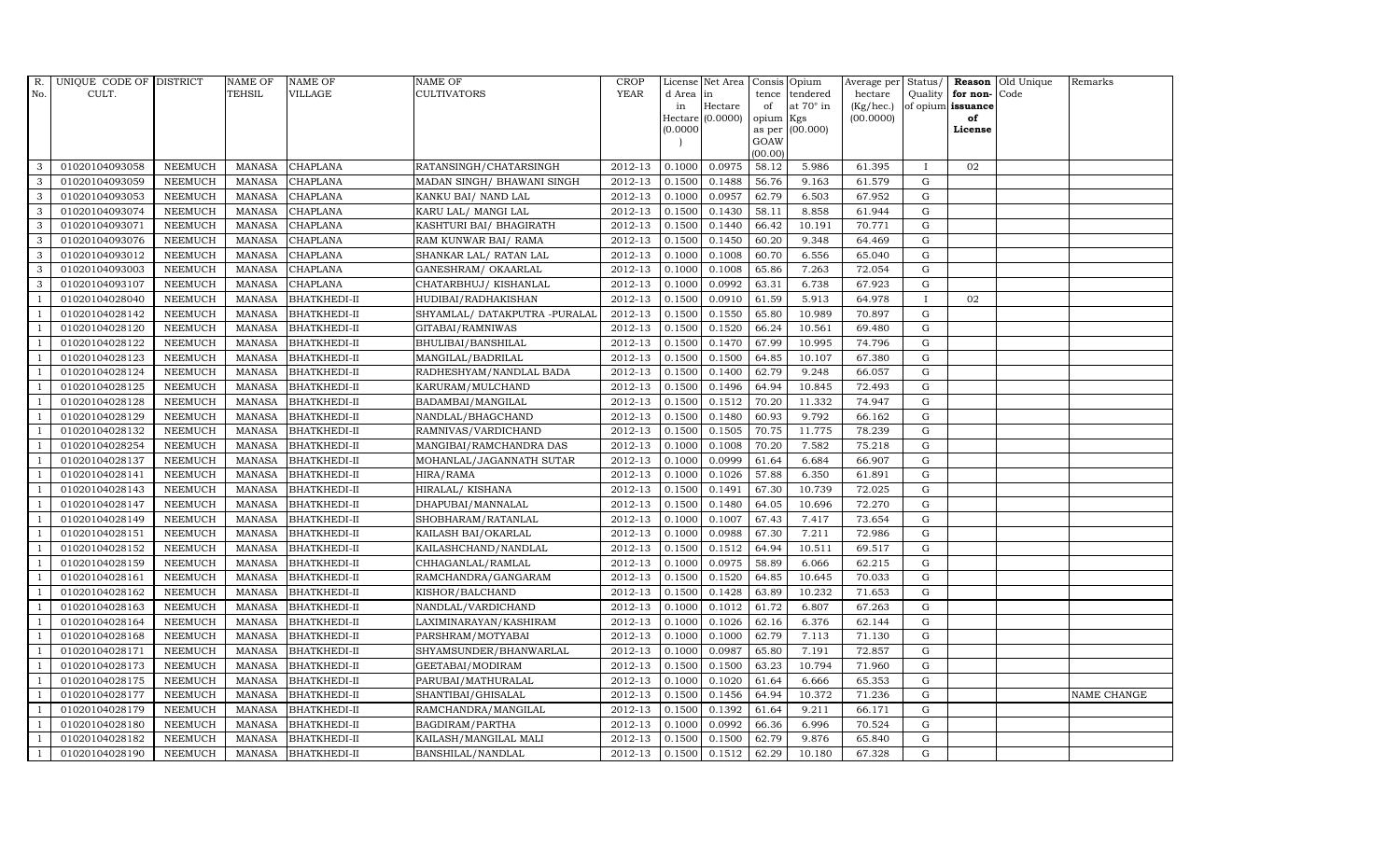| R.             | UNIQUE CODE OF DISTRICT |                | <b>NAME OF</b>  | <b>NAME OF</b>      | <b>NAME OF</b>                | <b>CROP</b> |           | License Net Area   |           | Consis Opium     | Average per Status/ |              |                      | Reason Old Unique | Remarks     |
|----------------|-------------------------|----------------|-----------------|---------------------|-------------------------------|-------------|-----------|--------------------|-----------|------------------|---------------------|--------------|----------------------|-------------------|-------------|
| No.            | CULT.                   |                | TEHSIL          | VILLAGE             | <b>CULTIVATORS</b>            | <b>YEAR</b> | d Area in |                    | tence     | tendered         | hectare             |              | Quality $ $ for non- | Code              |             |
|                |                         |                |                 |                     |                               |             | in        | Hectare            | of        | at $70^\circ$ in | (Kg/hec.)           |              | of opium issuance    |                   |             |
|                |                         |                |                 |                     |                               |             |           | Hectare $(0.0000)$ | opium Kgs |                  | (00.0000)           |              | of                   |                   |             |
|                |                         |                |                 |                     |                               |             | (0.0000)  |                    | GOAW      | as per (00.000)  |                     |              | License              |                   |             |
|                |                         |                |                 |                     |                               |             |           |                    | (00.00)   |                  |                     |              |                      |                   |             |
| 3              | 01020104093058          | <b>NEEMUCH</b> | MANASA          | <b>CHAPLANA</b>     | RATANSINGH/CHATARSINGH        | 2012-13     | 0.1000    | 0.0975             | 58.12     | 5.986            | 61.395              | $\mathbf{I}$ | 02                   |                   |             |
| 3              | 01020104093059          | <b>NEEMUCH</b> | MANASA          | <b>CHAPLANA</b>     | MADAN SINGH/ BHAWANI SINGH    | 2012-13     | 0.1500    | 0.1488             | 56.76     | 9.163            | 61.579              | $\mathbf G$  |                      |                   |             |
| 3              | 01020104093053          | <b>NEEMUCH</b> | <b>MANASA</b>   | <b>CHAPLANA</b>     | KANKU BAI/ NAND LAL           | 2012-13     | 0.1000    | 0.0957             | 62.79     | 6.503            | 67.952              | G            |                      |                   |             |
| 3              | 01020104093074          | <b>NEEMUCH</b> | MANASA          | <b>CHAPLANA</b>     | KARU LAL/ MANGI LAL           | 2012-13     | 0.1500    | 0.1430             | 58.11     | 8.858            | 61.944              | G            |                      |                   |             |
| 3              | 01020104093071          | <b>NEEMUCH</b> | <b>MANASA</b>   | <b>CHAPLANA</b>     | KASHTURI BAI / BHAGIRATH      | 2012-13     | 0.1500    | 0.1440             | 66.42     | 10.191           | 70.771              | G            |                      |                   |             |
| $\mathbf{3}$   | 01020104093076          | <b>NEEMUCH</b> | <b>MANASA</b>   | <b>CHAPLANA</b>     | RAM KUNWAR BAI/ RAMA          | 2012-13     | 0.1500    | 0.1450             | 60.20     | 9.348            | 64.469              | G            |                      |                   |             |
| 3              | 01020104093012          | <b>NEEMUCH</b> | <b>MANASA</b>   | <b>CHAPLANA</b>     | SHANKAR LAL/ RATAN LAL        | 2012-13     | 0.1000    | 0.1008             | 60.70     | 6.556            | 65.040              | ${\rm G}$    |                      |                   |             |
| 3              | 01020104093003          | <b>NEEMUCH</b> | <b>MANASA</b>   | <b>CHAPLANA</b>     | GANESHRAM / OKAARLAL          | 2012-13     | 0.1000    | 0.1008             | 65.86     | 7.263            | 72.054              | G            |                      |                   |             |
| 3              | 01020104093107          | <b>NEEMUCH</b> | MANASA          | <b>CHAPLANA</b>     | CHATARBHUJ/ KISHANLAL         | 2012-13     | 0.1000    | 0.0992             | 63.31     | 6.738            | 67.923              | G            |                      |                   |             |
| $\overline{1}$ | 01020104028040          | <b>NEEMUCH</b> | <b>MANASA</b>   | <b>BHATKHEDI-II</b> | HUDIBAI/RADHAKISHAN           | 2012-13     | 0.1500    | 0.0910             | 61.59     | 5.913            | 64.978              | $\bf{I}$     | 02                   |                   |             |
| -1             | 01020104028142          | <b>NEEMUCH</b> | <b>MANASA</b>   | <b>BHATKHEDI-II</b> | SHYAMLAL/ DATAKPUTRA -PURALAL | 2012-13     | 0.1500    | 0.1550             | 65.80     | 10.989           | 70.897              | G            |                      |                   |             |
| $\overline{1}$ | 01020104028120          | <b>NEEMUCH</b> | MANASA          | <b>BHATKHEDI-II</b> | GITABAI/RAMNIWAS              | 2012-13     | 0.1500    | 0.1520             | 66.24     | 10.561           | 69.480              | G            |                      |                   |             |
| $\overline{1}$ | 01020104028122          | <b>NEEMUCH</b> | MANASA          | <b>BHATKHEDI-II</b> | BHULIBAI/BANSHILAL            | 2012-13     | 0.1500    | 0.1470             | 67.99     | 10.995           | 74.796              | G            |                      |                   |             |
|                | 01020104028123          | <b>NEEMUCH</b> | MANASA          | <b>BHATKHEDI-II</b> | MANGILAL/BADRILAL             | 2012-13     | 0.1500    | 0.1500             | 64.85     | 10.107           | 67.380              | G            |                      |                   |             |
| $\overline{1}$ | 01020104028124          | <b>NEEMUCH</b> | MANASA          | <b>BHATKHEDI-II</b> | RADHESHYAM/NANDLAL BADA       | 2012-13     | 0.1500    | 0.1400             | 62.79     | 9.248            | 66.057              | G            |                      |                   |             |
| -1             | 01020104028125          | <b>NEEMUCH</b> | MANASA          | <b>BHATKHEDI-II</b> | KARURAM/MULCHAND              | 2012-13     | 0.1500    | 0.1496             | 64.94     | 10.845           | 72.493              | G            |                      |                   |             |
|                | 01020104028128          | <b>NEEMUCH</b> | MANASA          | <b>BHATKHEDI-II</b> | BADAMBAI/MANGILAL             | $2012 - 13$ | 0.1500    | 0.1512             | 70.20     | 11.332           | 74.947              | G            |                      |                   |             |
| $\overline{1}$ | 01020104028129          | <b>NEEMUCH</b> | MANASA          | <b>BHATKHEDI-II</b> | NANDLAL/BHAGCHAND             | 2012-13     | 0.1500    | 0.1480             | 60.93     | 9.792            | 66.162              | G            |                      |                   |             |
|                | 01020104028132          | <b>NEEMUCH</b> | MANASA          | <b>BHATKHEDI-II</b> | RAMNIVAS/VARDICHAND           | 2012-13     | 0.1500    | 0.1505             | 70.75     | 11.775           | 78.239              | G            |                      |                   |             |
|                | 01020104028254          | <b>NEEMUCH</b> | <b>MANASA</b>   | <b>BHATKHEDI-II</b> | MANGIBAI/RAMCHANDRA DAS       | 2012-13     | 0.1000    | 0.1008             | 70.20     | 7.582            | 75.218              | G            |                      |                   |             |
| -1             | 01020104028137          | <b>NEEMUCH</b> | <b>MANASA</b>   | <b>BHATKHEDI-II</b> | MOHANLAL/JAGANNATH SUTAR      | 2012-13     | 0.1000    | 0.0999             | 61.64     | 6.684            | 66.907              | G            |                      |                   |             |
| $\overline{1}$ | 01020104028141          | <b>NEEMUCH</b> | MANASA          | <b>BHATKHEDI-II</b> | HIRA/RAMA                     | 2012-13     | 0.1000    | 0.1026             | 57.88     | 6.350            | 61.891              | G            |                      |                   |             |
| $\overline{1}$ | 01020104028143          | <b>NEEMUCH</b> | MANASA          | <b>BHATKHEDI-II</b> | HIRALAL/KISHANA               | 2012-13     | 0.1500    | 0.1491             | 67.30     | 10.739           | 72.025              | G            |                      |                   |             |
|                | 01020104028147          | <b>NEEMUCH</b> | MANASA          | <b>BHATKHEDI-II</b> | DHAPUBAI/MANNALAL             | 2012-13     | 0.1500    | 0.1480             | 64.05     | 10.696           | 72.270              | $\mathbf G$  |                      |                   |             |
|                | 01020104028149          | <b>NEEMUCH</b> | <b>MANASA</b>   | <b>BHATKHEDI-II</b> | SHOBHARAM/RATANLAL            | 2012-13     | 0.1000    | 0.1007             | 67.43     | 7.417            | 73.654              | G            |                      |                   |             |
| - 1            | 01020104028151          | <b>NEEMUCH</b> | <b>MANASA</b>   | <b>BHATKHEDI-II</b> | KAILASH BAI/OKARLAL           | 2012-13     | 0.1000    | 0.0988             | 67.30     | 7.211            | 72.986              | G            |                      |                   |             |
| $\overline{1}$ | 01020104028152          | <b>NEEMUCH</b> | MANASA          | <b>BHATKHEDI-II</b> | KAILASHCHAND/NANDLAL          | 2012-13     | 0.1500    | 0.1512             | 64.94     | 10.511           | 69.517              | G            |                      |                   |             |
| $\overline{1}$ | 01020104028159          | <b>NEEMUCH</b> | MANASA          | <b>BHATKHEDI-II</b> | CHHAGANLAL/RAMLAL             | 2012-13     | 0.1000    | 0.0975             | 58.89     | 6.066            | 62.215              | G            |                      |                   |             |
| $\overline{1}$ | 01020104028161          | <b>NEEMUCH</b> | MANASA          | <b>BHATKHEDI-II</b> | RAMCHANDRA/GANGARAM           | 2012-13     | 0.1500    | 0.1520             | 64.85     | 10.645           | 70.033              | $\mathbf G$  |                      |                   |             |
|                | 01020104028162          | <b>NEEMUCH</b> | MANASA          | <b>BHATKHEDI-II</b> | KISHOR/BALCHAND               | 2012-13     | 0.1500    | 0.1428             | 63.89     | 10.232           | 71.653              | G            |                      |                   |             |
| $\overline{1}$ | 01020104028163          | <b>NEEMUCH</b> | MANASA          | <b>BHATKHEDI-II</b> | NANDLAL/VARDICHAND            | 2012-13     | 0.1000    | 0.1012             | 61.72     | 6.807            | 67.263              | G            |                      |                   |             |
|                | 01020104028164          | <b>NEEMUCH</b> | $\mbox{MANASA}$ | <b>BHATKHEDI-II</b> | LAXIMINARAYAN/KASHIRAM        | 2012-13     | 0.1000    | 0.1026             | 62.16     | 6.376            | 62.144              | G            |                      |                   |             |
| $\overline{1}$ | 01020104028168          | <b>NEEMUCH</b> | MANASA          | <b>BHATKHEDI-II</b> | PARSHRAM/MOTYABAI             | 2012-13     | 0.1000    | 0.1000             | 62.79     | 7.113            | 71.130              | G            |                      |                   |             |
| $\overline{1}$ | 01020104028171          | <b>NEEMUCH</b> | MANASA          | <b>BHATKHEDI-II</b> | SHYAMSUNDER/BHANWARLAL        | 2012-13     | 0.1000    | 0.0987             | 65.80     | 7.191            | 72.857              | G            |                      |                   |             |
|                | 01020104028173          | <b>NEEMUCH</b> | <b>MANASA</b>   | <b>BHATKHEDI-II</b> | GEETABAI/MODIRAM              | 2012-13     | 0.1500    | 0.1500             | 63.23     | 10.794           | 71.960              | $\mathbf G$  |                      |                   |             |
| $\overline{1}$ | 01020104028175          | <b>NEEMUCH</b> | MANASA          | <b>BHATKHEDI-II</b> | PARUBAI/MATHURALAL            | 2012-13     | 0.1000    | 0.1020             | 61.64     | 6.666            | 65.353              | G            |                      |                   |             |
| $\overline{1}$ | 01020104028177          | <b>NEEMUCH</b> | MANASA          | <b>BHATKHEDI-II</b> | SHANTIBAI/GHISALAL            | 2012-13     | 0.1500    | 0.1456             | 64.94     | 10.372           | 71.236              | G            |                      |                   | NAME CHANGE |
| $\overline{1}$ | 01020104028179          | <b>NEEMUCH</b> | MANASA          | <b>BHATKHEDI-II</b> | RAMCHANDRA/MANGILAL           | 2012-13     | 0.1500    | 0.1392             | 61.64     | 9.211            | 66.171              | G            |                      |                   |             |
| $\overline{1}$ | 01020104028180          | <b>NEEMUCH</b> | <b>MANASA</b>   | <b>BHATKHEDI-II</b> | BAGDIRAM/PARTHA               | 2012-13     | 0.1000    | 0.0992             | 66.36     | 6.996            | 70.524              | G            |                      |                   |             |
|                | 01020104028182          | <b>NEEMUCH</b> | <b>MANASA</b>   | <b>BHATKHEDI-II</b> | KAILASH/MANGILAL MALI         | 2012-13     | 0.1500    | 0.1500             | 62.79     | 9.876            | 65.840              | $\mathbf G$  |                      |                   |             |
| $\mathbf{1}$   | 01020104028190          | <b>NEEMUCH</b> |                 | MANASA BHATKHEDI-II | BANSHILAL/NANDLAL             | 2012-13     | 0.1500    | 0.1512             | 62.29     | 10.180           | 67.328              | G            |                      |                   |             |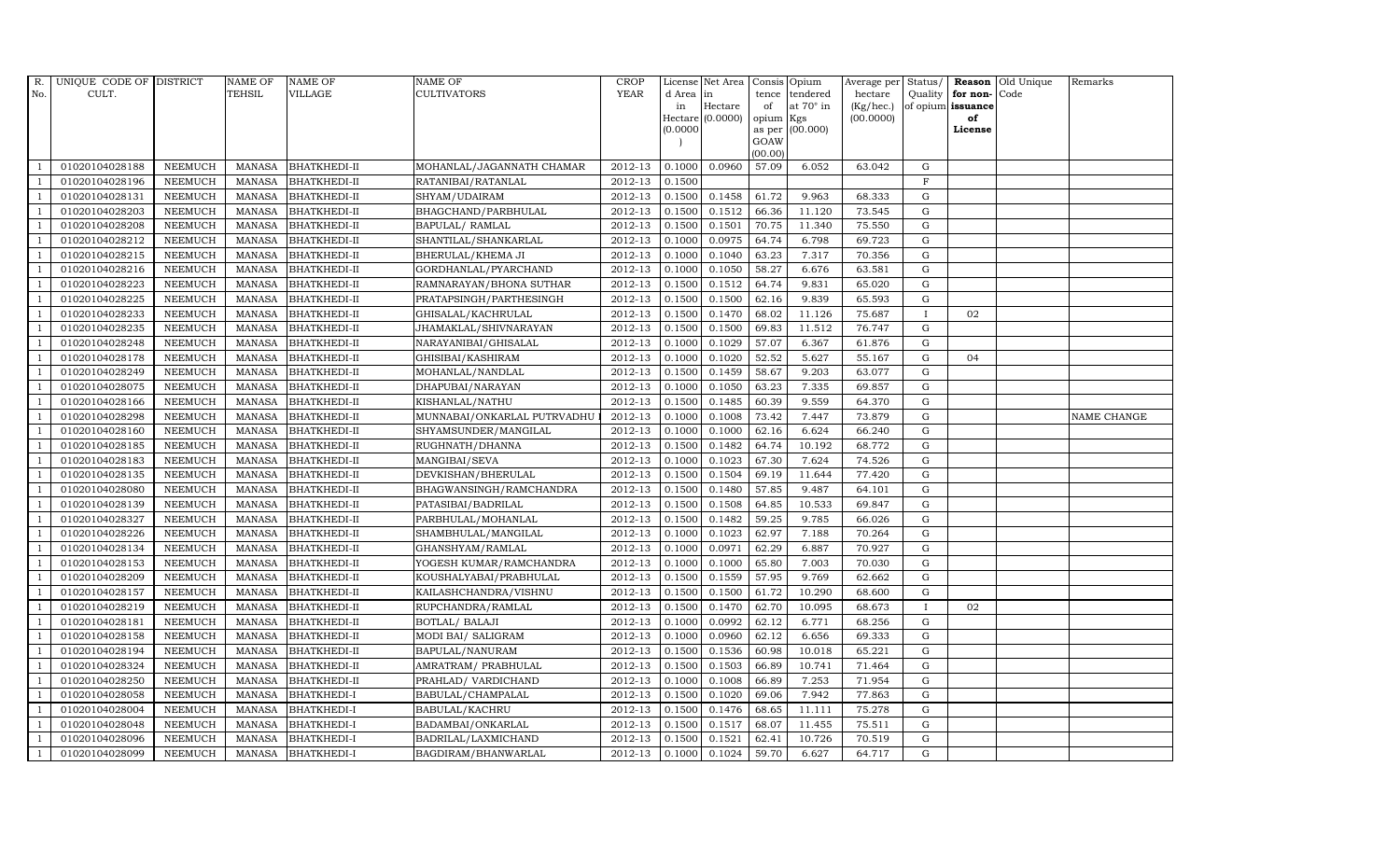| $R_{\cdot}$    | UNIQUE CODE OF DISTRICT |                | <b>NAME OF</b> | <b>NAME OF</b>      | <b>NAME OF</b>              | CROP    |           | License Net Area   Consis   Opium |           |                  | Average per Status/ |              |                   | <b>Reason</b> Old Unique | Remarks     |
|----------------|-------------------------|----------------|----------------|---------------------|-----------------------------|---------|-----------|-----------------------------------|-----------|------------------|---------------------|--------------|-------------------|--------------------------|-------------|
| No.            | CULT.                   |                | <b>TEHSIL</b>  | VILLAGE             | <b>CULTIVATORS</b>          | YEAR    | d Area in |                                   |           | tence tendered   | hectare             | Quality      | for non-          | Code                     |             |
|                |                         |                |                |                     |                             |         | in        | Hectare                           | of        | at $70^\circ$ in | (Kg/hec.)           |              | of opium issuance |                          |             |
|                |                         |                |                |                     |                             |         |           | Hectare (0.0000)                  | opium Kgs |                  | (00.0000)           |              | of                |                          |             |
|                |                         |                |                |                     |                             |         | (0.0000)  |                                   | GOAW      | as per (00.000)  |                     |              | License           |                          |             |
|                |                         |                |                |                     |                             |         |           |                                   | (00.00)   |                  |                     |              |                   |                          |             |
|                | 01020104028188          | <b>NEEMUCH</b> | MANASA         | <b>BHATKHEDI-II</b> | MOHANLAL/JAGANNATH CHAMAR   | 2012-13 | 0.1000    | 0.0960                            | 57.09     | 6.052            | 63.042              | ${\rm G}$    |                   |                          |             |
| $\overline{1}$ | 01020104028196          | <b>NEEMUCH</b> | MANASA         | <b>BHATKHEDI-II</b> | RATANIBAI/RATANLAL          | 2012-13 | 0.1500    |                                   |           |                  |                     | $\mathbf F$  |                   |                          |             |
|                | 01020104028131          | <b>NEEMUCH</b> | <b>MANASA</b>  | <b>BHATKHEDI-II</b> | SHYAM/UDAIRAM               | 2012-13 | 0.1500    | 0.1458                            | 61.72     | 9.963            | 68.333              | G            |                   |                          |             |
|                | 01020104028203          | <b>NEEMUCH</b> | MANASA         | <b>BHATKHEDI-II</b> | BHAGCHAND/PARBHULAL         | 2012-13 | 0.1500    | 0.1512                            | 66.36     | 11.120           | 73.545              | $\mathbf G$  |                   |                          |             |
| $\overline{1}$ | 01020104028208          | <b>NEEMUCH</b> | <b>MANASA</b>  | <b>BHATKHEDI-II</b> | BAPULAL/ RAMLAL             | 2012-13 | 0.1500    | 0.1501                            | 70.75     | 11.340           | 75.550              | $\mathbf G$  |                   |                          |             |
| -1             | 01020104028212          | <b>NEEMUCH</b> | MANASA         | <b>BHATKHEDI-II</b> | SHANTILAL/SHANKARLAL        | 2012-13 | 0.1000    | 0.0975                            | 64.74     | 6.798            | 69.723              | $\mathbf G$  |                   |                          |             |
| $\overline{1}$ | 01020104028215          | <b>NEEMUCH</b> | MANASA         | <b>BHATKHEDI-II</b> | BHERULAL/KHEMA JI           | 2012-13 | 0.1000    | 0.1040                            | 63.23     | 7.317            | 70.356              | ${\rm G}$    |                   |                          |             |
| $\overline{1}$ | 01020104028216          | <b>NEEMUCH</b> | <b>MANASA</b>  | <b>BHATKHEDI-II</b> | GORDHANLAL/PYARCHAND        | 2012-13 | 0.1000    | 0.1050                            | 58.27     | 6.676            | 63.581              | $\mathbf G$  |                   |                          |             |
| $\overline{1}$ | 01020104028223          | <b>NEEMUCH</b> | MANASA         | <b>BHATKHEDI-II</b> | RAMNARAYAN/BHONA SUTHAR     | 2012-13 | 0.1500    | 0.1512                            | 64.74     | 9.831            | 65.020              | G            |                   |                          |             |
| $\overline{1}$ | 01020104028225          | <b>NEEMUCH</b> | <b>MANASA</b>  | <b>BHATKHEDI-II</b> | PRATAPSINGH/PARTHESINGH     | 2012-13 | 0.1500    | 0.1500                            | 62.16     | 9.839            | 65.593              | ${\rm G}$    |                   |                          |             |
| $\overline{1}$ | 01020104028233          | <b>NEEMUCH</b> | <b>MANASA</b>  | <b>BHATKHEDI-II</b> | GHISALAL/KACHRULAL          | 2012-13 | 0.1500    | 0.1470                            | 68.02     | 11.126           | 75.687              | $\mathbf{I}$ | 02                |                          |             |
| $\overline{1}$ | 01020104028235          | <b>NEEMUCH</b> | MANASA         | <b>BHATKHEDI-II</b> | JHAMAKLAL/SHIVNARAYAN       | 2012-13 | 0.1500    | 0.1500                            | 69.83     | 11.512           | 76.747              | ${\rm G}$    |                   |                          |             |
| $\overline{1}$ | 01020104028248          | <b>NEEMUCH</b> | <b>MANASA</b>  | <b>BHATKHEDI-II</b> | NARAYANIBAI/GHISALAL        | 2012-13 | 0.1000    | 0.1029                            | 57.07     | 6.367            | 61.876              | G            |                   |                          |             |
|                | 01020104028178          | <b>NEEMUCH</b> | MANASA         | <b>BHATKHEDI-II</b> | GHISIBAI/KASHIRAM           | 2012-13 | 0.1000    | 0.1020                            | 52.52     | 5.627            | 55.167              | G            | 04                |                          |             |
| $\overline{1}$ | 01020104028249          | <b>NEEMUCH</b> | <b>MANASA</b>  | <b>BHATKHEDI-II</b> | MOHANLAL/NANDLAL            | 2012-13 | 0.1500    | 0.1459                            | 58.67     | 9.203            | 63.077              | ${\rm G}$    |                   |                          |             |
| -1             | 01020104028075          | <b>NEEMUCH</b> | <b>MANASA</b>  | <b>BHATKHEDI-II</b> | DHAPUBAI/NARAYAN            | 2012-13 | 0.1000    | 0.1050                            | 63.23     | 7.335            | 69.857              | G            |                   |                          |             |
| -1             | 01020104028166          | <b>NEEMUCH</b> | MANASA         | <b>BHATKHEDI-II</b> | KISHANLAL/NATHU             | 2012-13 | 0.1500    | 0.1485                            | 60.39     | 9.559            | 64.370              | $\mathbf G$  |                   |                          |             |
| $\overline{1}$ | 01020104028298          | <b>NEEMUCH</b> | <b>MANASA</b>  | <b>BHATKHEDI-II</b> | MUNNABAI/ONKARLAL PUTRVADHU | 2012-13 | 0.1000    | 0.1008                            | 73.42     | 7.447            | 73.879              | $\mathbf G$  |                   |                          | NAME CHANGE |
|                | 01020104028160          | <b>NEEMUCH</b> | MANASA         | <b>BHATKHEDI-II</b> | SHYAMSUNDER/MANGILAL        | 2012-13 | 0.1000    | 0.1000                            | 62.16     | 6.624            | 66.240              | G            |                   |                          |             |
| $\overline{1}$ | 01020104028185          | <b>NEEMUCH</b> | <b>MANASA</b>  | <b>BHATKHEDI-II</b> | RUGHNATH/DHANNA             | 2012-13 | 0.1500    | 0.1482                            | 64.74     | 10.192           | 68.772              | ${\rm G}$    |                   |                          |             |
| -1             | 01020104028183          | <b>NEEMUCH</b> | <b>MANASA</b>  | <b>BHATKHEDI-II</b> | MANGIBAI/SEVA               | 2012-13 | 0.1000    | 0.1023                            | 67.30     | 7.624            | 74.526              | $\mathbf G$  |                   |                          |             |
| -1             | 01020104028135          | <b>NEEMUCH</b> | MANASA         | <b>BHATKHEDI-II</b> | DEVKISHAN/BHERULAL          | 2012-13 | 0.1500    | 0.1504                            | 69.19     | 11.644           | 77.420              | ${\rm G}$    |                   |                          |             |
| $\overline{1}$ | 01020104028080          | <b>NEEMUCH</b> | MANASA         | <b>BHATKHEDI-II</b> | BHAGWANSINGH/RAMCHANDRA     | 2012-13 | 0.1500    | 0.1480                            | 57.85     | 9.487            | 64.101              | G            |                   |                          |             |
|                | 01020104028139          | <b>NEEMUCH</b> | MANASA         | <b>BHATKHEDI-II</b> | PATASIBAI/BADRILAL          | 2012-13 | 0.1500    | 0.1508                            | 64.85     | 10.533           | 69.847              | $\mathbf G$  |                   |                          |             |
|                | 01020104028327          | <b>NEEMUCH</b> | <b>MANASA</b>  | <b>BHATKHEDI-II</b> | PARBHULAL/MOHANLAL          | 2012-13 | 0.1500    | 0.1482                            | 59.25     | 9.785            | 66.026              | $\mathbf G$  |                   |                          |             |
| -1             | 01020104028226          | <b>NEEMUCH</b> | <b>MANASA</b>  | <b>BHATKHEDI-II</b> | SHAMBHULAL/MANGILAL         | 2012-13 | 0.1000    | 0.1023                            | 62.97     | 7.188            | 70.264              | G            |                   |                          |             |
| $\overline{1}$ | 01020104028134          | <b>NEEMUCH</b> | MANASA         | <b>BHATKHEDI-II</b> | GHANSHYAM/RAMLAL            | 2012-13 | 0.1000    | 0.0971                            | 62.29     | 6.887            | 70.927              | ${\rm G}$    |                   |                          |             |
| $\mathbf{1}$   | 01020104028153          | <b>NEEMUCH</b> | MANASA         | <b>BHATKHEDI-II</b> | YOGESH KUMAR/RAMCHANDRA     | 2012-13 | 0.1000    | 0.1000                            | 65.80     | 7.003            | 70.030              | G            |                   |                          |             |
|                | 01020104028209          | <b>NEEMUCH</b> | <b>MANASA</b>  | <b>BHATKHEDI-II</b> | KOUSHALYABAI/PRABHULAL      | 2012-13 | 0.1500    | 0.1559                            | 57.95     | 9.769            | 62.662              | G            |                   |                          |             |
|                | 01020104028157          | <b>NEEMUCH</b> | <b>MANASA</b>  | <b>BHATKHEDI-II</b> | KAILASHCHANDRA/VISHNU       | 2012-13 | 0.1500    | 0.1500                            | 61.72     | 10.290           | 68.600              | $\mathbf G$  |                   |                          |             |
| $\overline{1}$ | 01020104028219          | <b>NEEMUCH</b> | <b>MANASA</b>  | <b>BHATKHEDI-II</b> | RUPCHANDRA/RAMLAL           | 2012-13 | 0.1500    | 0.1470                            | 62.70     | 10.095           | 68.673              | $\mathbf{I}$ | 02                |                          |             |
| $\overline{1}$ | 01020104028181          | <b>NEEMUCH</b> | MANASA         | <b>BHATKHEDI-II</b> | BOTLAL/ BALAJI              | 2012-13 | 0.1000    | 0.0992                            | 62.12     | 6.771            | 68.256              | G            |                   |                          |             |
| $\mathbf{1}$   | 01020104028158          | <b>NEEMUCH</b> | MANASA         | <b>BHATKHEDI-II</b> | MODI BAI/ SALIGRAM          | 2012-13 | 0.1000    | 0.0960                            | 62.12     | 6.656            | 69.333              | $\mathbf G$  |                   |                          |             |
|                | 01020104028194          | <b>NEEMUCH</b> | <b>MANASA</b>  | <b>BHATKHEDI-II</b> | BAPULAL/NANURAM             | 2012-13 | 0.1500    | 0.1536                            | 60.98     | 10.018           | 65.221              | $\mathbf G$  |                   |                          |             |
|                | 01020104028324          | <b>NEEMUCH</b> | <b>MANASA</b>  | <b>BHATKHEDI-II</b> | AMRATRAM/ PRABHULAL         | 2012-13 | 0.1500    | 0.1503                            | 66.89     | 10.741           | 71.464              | ${\rm G}$    |                   |                          |             |
| $\overline{1}$ | 01020104028250          | <b>NEEMUCH</b> | <b>MANASA</b>  | <b>BHATKHEDI-II</b> | PRAHLAD/ VARDICHAND         | 2012-13 | 0.1000    | 0.1008                            | 66.89     | 7.253            | 71.954              | ${\rm G}$    |                   |                          |             |
| $\overline{1}$ | 01020104028058          | <b>NEEMUCH</b> | MANASA         | <b>BHATKHEDI-I</b>  | BABULAL/CHAMPALAL           | 2012-13 | 0.1500    | 0.1020                            | 69.06     | 7.942            | 77.863              | ${\rm G}$    |                   |                          |             |
| 1              | 01020104028004          | <b>NEEMUCH</b> | MANASA         | <b>BHATKHEDI-I</b>  | BABULAL/KACHRU              | 2012-13 | 0.1500    | 0.1476                            | 68.65     | 11.111           | 75.278              | $\mathbf G$  |                   |                          |             |
| $\overline{1}$ | 01020104028048          | <b>NEEMUCH</b> | <b>MANASA</b>  | <b>BHATKHEDI-I</b>  | BADAMBAI/ONKARLAL           | 2012-13 | 0.1500    | 0.1517                            | 68.07     | 11.455           | 75.511              | G            |                   |                          |             |
|                | 01020104028096          | <b>NEEMUCH</b> | <b>MANASA</b>  | <b>BHATKHEDI-I</b>  | BADRILAL/LAXMICHAND         | 2012-13 | 0.1500    | 0.1521                            | 62.41     | 10.726           | 70.519              | G            |                   |                          |             |
| $\mathbf{1}$   | 01020104028099          | <b>NEEMUCH</b> |                | MANASA BHATKHEDI-I  | BAGDIRAM/BHANWARLAL         | 2012-13 | 0.1000    | 0.1024                            | 59.70     | 6.627            | 64.717              | $\mathbf G$  |                   |                          |             |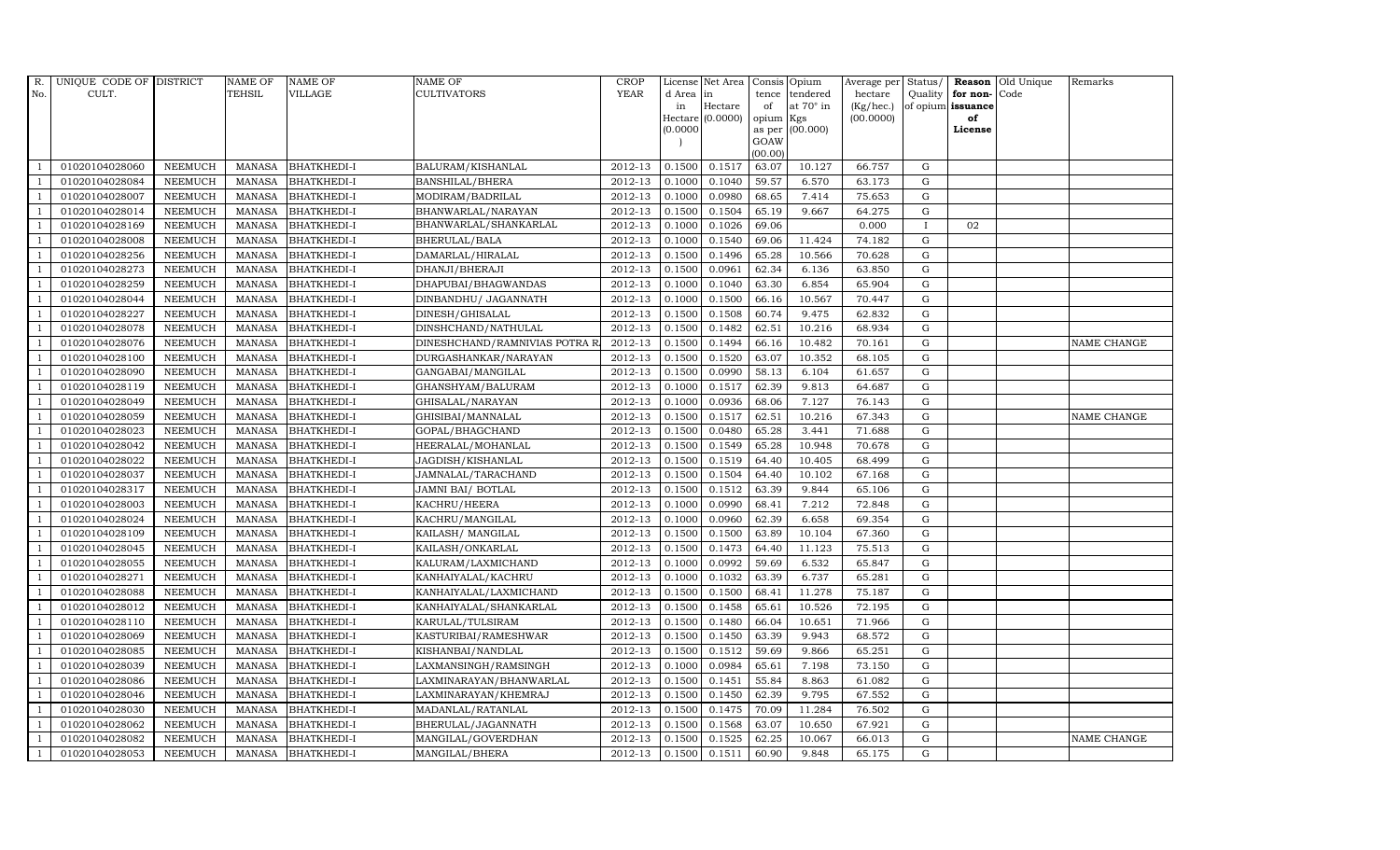| $R_{\cdot}$    | UNIQUE CODE OF DISTRICT |                | <b>NAME OF</b>  | <b>NAME OF</b>     | <b>NAME OF</b>                | <b>CROP</b>            |           | License Net Area |           | Consis Opium     | Average per | Status/     |                   | Reason Old Unique | Remarks     |
|----------------|-------------------------|----------------|-----------------|--------------------|-------------------------------|------------------------|-----------|------------------|-----------|------------------|-------------|-------------|-------------------|-------------------|-------------|
| No.            | CULT.                   |                | <b>TEHSIL</b>   | VILLAGE            | <b>CULTIVATORS</b>            | <b>YEAR</b>            | d Area in |                  | tence     | tendered         | hectare     |             | Quality for non-  | Code              |             |
|                |                         |                |                 |                    |                               |                        | in        | Hectare          | of        | at $70^\circ$ in | (Kg/hec.)   |             | of opium issuance |                   |             |
|                |                         |                |                 |                    |                               |                        |           | Hectare (0.0000) | opium Kgs |                  | (00.0000)   |             | of                |                   |             |
|                |                         |                |                 |                    |                               |                        | (0.0000)  |                  | GOAW      | as per (00.000)  |             |             | License           |                   |             |
|                |                         |                |                 |                    |                               |                        |           |                  | (00.00)   |                  |             |             |                   |                   |             |
|                | 01020104028060          | <b>NEEMUCH</b> | MANASA          | <b>BHATKHEDI-I</b> | BALURAM/KISHANLAL             | 2012-13                | 0.1500    | 0.1517           | 63.07     | 10.127           | 66.757      | G           |                   |                   |             |
| -1             | 01020104028084          | <b>NEEMUCH</b> | MANASA          | <b>BHATKHEDI-I</b> | <b>BANSHILAL/BHERA</b>        | 2012-13                | 0.1000    | 0.1040           | 59.57     | 6.570            | 63.173      | $\mathbf G$ |                   |                   |             |
|                | 01020104028007          | <b>NEEMUCH</b> | <b>MANASA</b>   | <b>BHATKHEDI-I</b> | MODIRAM/BADRILAL              | 2012-13                | 0.1000    | 0.0980           | 68.65     | 7.414            | 75.653      | G           |                   |                   |             |
|                | 01020104028014          | <b>NEEMUCH</b> | MANASA          | <b>BHATKHEDI-I</b> | BHANWARLAL/NARAYAN            | 2012-13                | 0.1500    | 0.1504           | 65.19     | 9.667            | 64.275      | $\mathbf G$ |                   |                   |             |
| $\overline{1}$ | 01020104028169          | <b>NEEMUCH</b> | <b>MANASA</b>   | <b>BHATKHEDI-I</b> | BHANWARLAL/SHANKARLAL         | 2012-13                | 0.1000    | 0.1026           | 69.06     |                  | 0.000       | $\mathbf I$ | 02                |                   |             |
| $\overline{1}$ | 01020104028008          | <b>NEEMUCH</b> | MANASA          | <b>BHATKHEDI-I</b> | BHERULAL/BALA                 | 2012-13                | 0.1000    | 0.1540           | 69.06     | 11.424           | 74.182      | G           |                   |                   |             |
| $\overline{1}$ | 01020104028256          | <b>NEEMUCH</b> | MANASA          | <b>BHATKHEDI-I</b> | DAMARLAL/HIRALAL              | 2012-13                | 0.1500    | 0.1496           | 65.28     | 10.566           | 70.628      | G           |                   |                   |             |
| $\overline{1}$ | 01020104028273          | <b>NEEMUCH</b> | <b>MANASA</b>   | <b>BHATKHEDI-I</b> | DHANJI/BHERAJI                | 2012-13                | 0.1500    | 0.0961           | 62.34     | 6.136            | 63.850      | $\mathbf G$ |                   |                   |             |
|                | 01020104028259          | <b>NEEMUCH</b> | <b>MANASA</b>   | <b>BHATKHEDI-I</b> | DHAPUBAI/BHAGWANDAS           | 2012-13                | 0.1000    | 0.1040           | 63.30     | 6.854            | 65.904      | $\mathbf G$ |                   |                   |             |
|                | 01020104028044          | <b>NEEMUCH</b> | <b>MANASA</b>   | <b>BHATKHEDI-I</b> | DINBANDHU/ JAGANNATH          | 2012-13                | 0.1000    | 0.1500           | 66.16     | 10.567           | 70.447      | G           |                   |                   |             |
| $\overline{1}$ | 01020104028227          | <b>NEEMUCH</b> | <b>MANASA</b>   | <b>BHATKHEDI-I</b> | DINESH/GHISALAL               | 2012-13                | 0.1500    | 0.1508           | 60.74     | 9.475            | 62.832      | G           |                   |                   |             |
| $\overline{1}$ | 01020104028078          | <b>NEEMUCH</b> | MANASA          | <b>BHATKHEDI-I</b> | DINSHCHAND/NATHULAL           | 2012-13                | 0.1500    | 0.1482           | 62.51     | 10.216           | 68.934      | G           |                   |                   |             |
| $\overline{1}$ | 01020104028076          | <b>NEEMUCH</b> | <b>MANASA</b>   | <b>BHATKHEDI-I</b> | DINESHCHAND/RAMNIVIAS POTRA R | 2012-13                | 0.1500    | 0.1494           | 66.16     | 10.482           | 70.161      | G           |                   |                   | NAME CHANGE |
|                | 01020104028100          | <b>NEEMUCH</b> | MANASA          | <b>BHATKHEDI-I</b> | DURGASHANKAR/NARAYAN          | 2012-13                | 0.1500    | 0.1520           | 63.07     | 10.352           | 68.105      | G           |                   |                   |             |
| $\overline{1}$ | 01020104028090          | <b>NEEMUCH</b> | MANASA          | <b>BHATKHEDI-I</b> | GANGABAI/MANGILAL             | 2012-13                | 0.1500    | 0.0990           | 58.13     | 6.104            | 61.657      | G           |                   |                   |             |
| $\overline{1}$ | 01020104028119          | <b>NEEMUCH</b> | MANASA          | <b>BHATKHEDI-I</b> | GHANSHYAM/BALURAM             | 2012-13                | 0.1000    | 0.1517           | 62.39     | 9.813            | 64.687      | G           |                   |                   |             |
|                | 01020104028049          | <b>NEEMUCH</b> | MANASA          | <b>BHATKHEDI-I</b> | GHISALAL/NARAYAN              | 2012-13                | 0.1000    | 0.0936           | 68.06     | 7.127            | 76.143      | G           |                   |                   |             |
| $\overline{1}$ | 01020104028059          | <b>NEEMUCH</b> | MANASA          | <b>BHATKHEDI-I</b> | GHISIBAI/MANNALAL             | 2012-13                | 0.1500    | 0.1517           | 62.51     | 10.216           | 67.343      | G           |                   |                   | NAME CHANGE |
|                | 01020104028023          | <b>NEEMUCH</b> | MANASA          | <b>BHATKHEDI-I</b> | GOPAL/BHAGCHAND               | 2012-13                | 0.1500    | 0.0480           | 65.28     | 3.441            | 71.688      | G           |                   |                   |             |
|                | 01020104028042          | <b>NEEMUCH</b> | $\mbox{MANASA}$ | <b>BHATKHEDI-I</b> | HEERALAL/MOHANLAL             | 2012-13                | 0.1500    | 0.1549           | 65.28     | 10.948           | 70.678      | G           |                   |                   |             |
| -1             | 01020104028022          | <b>NEEMUCH</b> | <b>MANASA</b>   | <b>BHATKHEDI-I</b> | JAGDISH/KISHANLAL             | 2012-13                | 0.1500    | 0.1519           | 64.40     | 10.405           | 68.499      | G           |                   |                   |             |
| $\overline{1}$ | 01020104028037          | <b>NEEMUCH</b> | MANASA          | <b>BHATKHEDI-I</b> | JAMNALAL/TARACHAND            | 2012-13                | 0.1500    | 0.1504           | 64.40     | 10.102           | 67.168      | G           |                   |                   |             |
| $\overline{1}$ | 01020104028317          | <b>NEEMUCH</b> | MANASA          | <b>BHATKHEDI-I</b> | JAMNI BAI/ BOTLAL             | 2012-13                | 0.1500    | 0.1512           | 63.39     | 9.844            | 65.106      | G           |                   |                   |             |
|                | 01020104028003          | <b>NEEMUCH</b> | <b>MANASA</b>   | <b>BHATKHEDI-I</b> | KACHRU/HEERA                  | 2012-13                | 0.1000    | 0.0990           | 68.41     | 7.212            | 72.848      | $\mathbf G$ |                   |                   |             |
|                | 01020104028024          | <b>NEEMUCH</b> | <b>MANASA</b>   | <b>BHATKHEDI-I</b> | KACHRU/MANGILAL               | 2012-13                | 0.1000    | 0.0960           | 62.39     | 6.658            | 69.354      | G           |                   |                   |             |
| -1             | 01020104028109          | <b>NEEMUCH</b> | <b>MANASA</b>   | <b>BHATKHEDI-I</b> | KAILASH/ MANGILAL             | 2012-13                | 0.1500    | 0.1500           | 63.89     | 10.104           | 67.360      | G           |                   |                   |             |
| $\overline{1}$ | 01020104028045          | <b>NEEMUCH</b> | <b>MANASA</b>   | <b>BHATKHEDI-I</b> | KAILASH/ONKARLAL              | 2012-13                | 0.1500    | 0.1473           | 64.40     | 11.123           | 75.513      | G           |                   |                   |             |
| $\overline{1}$ | 01020104028055          | <b>NEEMUCH</b> | MANASA          | <b>BHATKHEDI-I</b> | KALURAM/LAXMICHAND            | 2012-13                | 0.1000    | 0.0992           | 59.69     | 6.532            | 65.847      | G           |                   |                   |             |
| $\overline{1}$ | 01020104028271          | <b>NEEMUCH</b> | MANASA          | <b>BHATKHEDI-I</b> | KANHAIYALAL/KACHRU            | 2012-13                | 0.1000    | 0.1032           | 63.39     | 6.737            | 65.281      | $\mathbf G$ |                   |                   |             |
|                | 01020104028088          | <b>NEEMUCH</b> | <b>MANASA</b>   | <b>BHATKHEDI-I</b> | KANHAIYALAL/LAXMICHAND        | 2012-13                | 0.1500    | 0.1500           | 68.41     | 11.278           | 75.187      | G           |                   |                   |             |
| $\overline{1}$ | 01020104028012          | <b>NEEMUCH</b> | MANASA          | <b>BHATKHEDI-I</b> | KANHAIYALAL/SHANKARLAL        | 2012-13                | 0.1500    | 0.1458           | 65.61     | 10.526           | 72.195      | G           |                   |                   |             |
|                | 01020104028110          | <b>NEEMUCH</b> | MANASA          | <b>BHATKHEDI-I</b> | KARULAL/TULSIRAM              | 2012-13                | 0.1500    | 0.1480           | 66.04     | 10.651           | 71.966      | G           |                   |                   |             |
| $\overline{1}$ | 01020104028069          | <b>NEEMUCH</b> | MANASA          | <b>BHATKHEDI-I</b> | KASTURIBAI/RAMESHWAR          | 2012-13                | 0.1500    | 0.1450           | 63.39     | 9.943            | 68.572      | G           |                   |                   |             |
| $\overline{1}$ | 01020104028085          | <b>NEEMUCH</b> | <b>MANASA</b>   | <b>BHATKHEDI-I</b> | KISHANBAI/NANDLAL             | 2012-13                | 0.1500    | 0.1512           | 59.69     | 9.866            | 65.251      | G           |                   |                   |             |
|                | 01020104028039          | <b>NEEMUCH</b> | <b>MANASA</b>   | <b>BHATKHEDI-I</b> | LAXMANSINGH/RAMSINGH          | 2012-13                | 0.1000    | 0.0984           | 65.61     | 7.198            | 73.150      | $\mathbf G$ |                   |                   |             |
| $\overline{1}$ | 01020104028086          | <b>NEEMUCH</b> | <b>MANASA</b>   | <b>BHATKHEDI-I</b> | LAXMINARAYAN/BHANWARLAL       | 2012-13                | 0.1500    | 0.1451           | 55.84     | 8.863            | 61.082      | G           |                   |                   |             |
| $\overline{1}$ | 01020104028046          | <b>NEEMUCH</b> | <b>MANASA</b>   | <b>BHATKHEDI-I</b> | LAXMINARAYAN/KHEMRAJ          | 2012-13                | 0.1500    | 0.1450           | 62.39     | 9.795            | 67.552      | ${\rm G}$   |                   |                   |             |
| $\overline{1}$ | 01020104028030          | <b>NEEMUCH</b> | MANASA          | <b>BHATKHEDI-I</b> | MADANLAL/RATANLAL             | $\overline{2012} - 13$ | 0.1500    | 0.1475           | 70.09     | 11.284           | 76.502      | G           |                   |                   |             |
| $\overline{1}$ | 01020104028062          | <b>NEEMUCH</b> | <b>MANASA</b>   | <b>BHATKHEDI-I</b> | BHERULAL/JAGANNATH            | 2012-13                | 0.1500    | 0.1568           | 63.07     | 10.650           | 67.921      | G           |                   |                   |             |
|                | 01020104028082          | <b>NEEMUCH</b> | <b>MANASA</b>   | <b>BHATKHEDI-I</b> | MANGILAL/GOVERDHAN            | 2012-13                | 0.1500    | 0.1525           | 62.25     | 10.067           | 66.013      | $\mathbf G$ |                   |                   | NAME CHANGE |
| $\overline{1}$ | 01020104028053          | <b>NEEMUCH</b> |                 | MANASA BHATKHEDI-I | MANGILAL/BHERA                | 2012-13                | 0.1500    | 0.1511           | 60.90     | 9.848            | 65.175      | G           |                   |                   |             |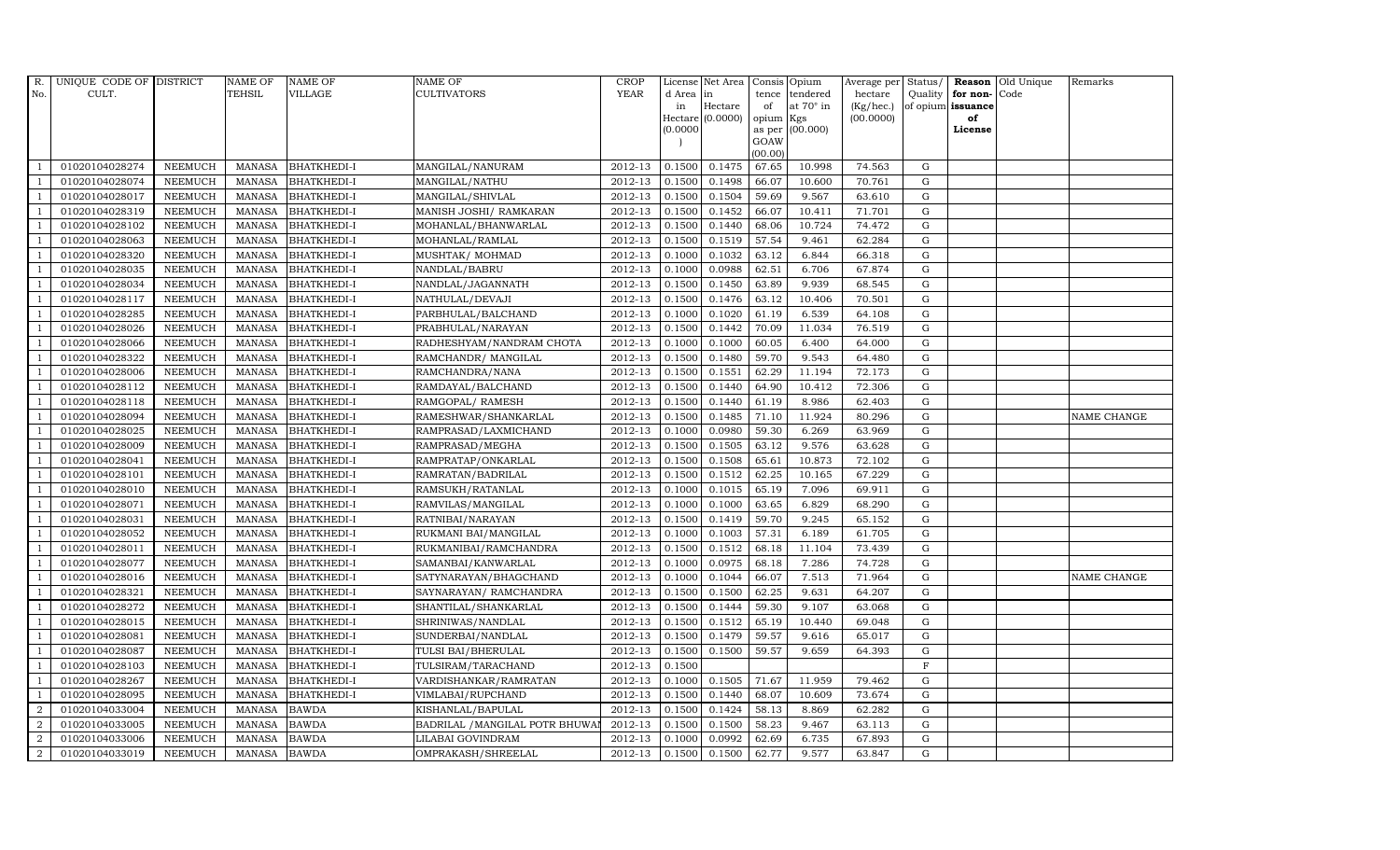| R.             | UNIQUE CODE OF DISTRICT |                | <b>NAME OF</b> | <b>NAME OF</b>     | <b>NAME OF</b>                 | CROP                   |           | License Net Area   |           | Consis Opium     | Average per Status/ |              |                      | Reason Old Unique | Remarks     |
|----------------|-------------------------|----------------|----------------|--------------------|--------------------------------|------------------------|-----------|--------------------|-----------|------------------|---------------------|--------------|----------------------|-------------------|-------------|
| No.            | CULT.                   |                | TEHSIL         | VILLAGE            | <b>CULTIVATORS</b>             | <b>YEAR</b>            | d Area in |                    | tence     | tendered         | hectare             |              | Quality $ $ for non- | Code              |             |
|                |                         |                |                |                    |                                |                        | in        | Hectare            | of        | at $70^\circ$ in | (Kg/hec.)           |              | of opium issuance    |                   |             |
|                |                         |                |                |                    |                                |                        |           | Hectare $(0.0000)$ | opium Kgs |                  | (00.0000)           |              | of                   |                   |             |
|                |                         |                |                |                    |                                |                        | (0.0000)  |                    | GOAW      | as per (00.000)  |                     |              | License              |                   |             |
|                |                         |                |                |                    |                                |                        |           |                    | (00.00)   |                  |                     |              |                      |                   |             |
|                | 01020104028274          | <b>NEEMUCH</b> | MANASA         | <b>BHATKHEDI-I</b> | MANGILAL/NANURAM               | 2012-13                | 0.1500    | 0.1475             | 67.65     | 10.998           | 74.563              | G            |                      |                   |             |
| -1             | 01020104028074          | <b>NEEMUCH</b> | MANASA         | <b>BHATKHEDI-I</b> | MANGILAL/NATHU                 | 2012-13                | 0.1500    | 0.1498             | 66.07     | 10.600           | 70.761              | ${\rm G}$    |                      |                   |             |
|                | 01020104028017          | <b>NEEMUCH</b> | <b>MANASA</b>  | <b>BHATKHEDI-I</b> | MANGILAL/SHIVLAL               | 2012-13                | 0.1500    | 0.1504             | 59.69     | 9.567            | 63.610              | G            |                      |                   |             |
|                | 01020104028319          | <b>NEEMUCH</b> | MANASA         | <b>BHATKHEDI-I</b> | MANISH JOSHI/ RAMKARAN         | 2012-13                | 0.1500    | 0.1452             | 66.07     | 10.411           | 71.701              | G            |                      |                   |             |
| $\overline{1}$ | 01020104028102          | <b>NEEMUCH</b> | <b>MANASA</b>  | <b>BHATKHEDI-I</b> | MOHANLAL/BHANWARLAL            | 2012-13                | 0.1500    | 0.1440             | 68.06     | 10.724           | 74.472              | G            |                      |                   |             |
| $\overline{1}$ | 01020104028063          | <b>NEEMUCH</b> | MANASA         | <b>BHATKHEDI-I</b> | MOHANLAL/RAMLAL                | 2012-13                | 0.1500    | 0.1519             | 57.54     | 9.461            | 62.284              | G            |                      |                   |             |
| $\overline{1}$ | 01020104028320          | <b>NEEMUCH</b> | MANASA         | <b>BHATKHEDI-I</b> | MUSHTAK/ MOHMAD                | 2012-13                | 0.1000    | 0.1032             | 63.12     | 6.844            | 66.318              | ${\rm G}$    |                      |                   |             |
| $\overline{1}$ | 01020104028035          | <b>NEEMUCH</b> | <b>MANASA</b>  | <b>BHATKHEDI-I</b> | NANDLAL/BABRU                  | 2012-13                | 0.1000    | 0.0988             | 62.51     | 6.706            | 67.874              | ${\rm G}$    |                      |                   |             |
|                | 01020104028034          | <b>NEEMUCH</b> | MANASA         | <b>BHATKHEDI-I</b> | NANDLAL/JAGANNATH              | 2012-13                | 0.1500    | 0.1450             | 63.89     | 9.939            | 68.545              | $\mathbf G$  |                      |                   |             |
|                | 01020104028117          | <b>NEEMUCH</b> | <b>MANASA</b>  | <b>BHATKHEDI-I</b> | NATHULAL/DEVAJI                | 2012-13                | 0.1500    | 0.1476             | 63.12     | 10.406           | 70.501              | ${\rm G}$    |                      |                   |             |
| $\overline{1}$ | 01020104028285          | <b>NEEMUCH</b> | <b>MANASA</b>  | <b>BHATKHEDI-I</b> | PARBHULAL/BALCHAND             | 2012-13                | 0.1000    | 0.1020             | 61.19     | 6.539            | 64.108              | G            |                      |                   |             |
| $\overline{1}$ | 01020104028026          | <b>NEEMUCH</b> | MANASA         | <b>BHATKHEDI-I</b> | PRABHULAL/NARAYAN              | 2012-13                | 0.1500    | 0.1442             | 70.09     | 11.034           | 76.519              | G            |                      |                   |             |
| $\overline{1}$ | 01020104028066          | <b>NEEMUCH</b> | <b>MANASA</b>  | <b>BHATKHEDI-I</b> | RADHESHYAM/NANDRAM CHOTA       | 2012-13                | 0.1000    | 0.1000             | 60.05     | 6.400            | 64.000              | ${\rm G}$    |                      |                   |             |
|                | 01020104028322          | <b>NEEMUCH</b> | MANASA         | <b>BHATKHEDI-I</b> | RAMCHANDR/ MANGILAL            | 2012-13                | 0.1500    | 0.1480             | 59.70     | 9.543            | 64.480              | G            |                      |                   |             |
| $\overline{1}$ | 01020104028006          | <b>NEEMUCH</b> | MANASA         | <b>BHATKHEDI-I</b> | RAMCHANDRA/NANA                | 2012-13                | 0.1500    | 0.1551             | 62.29     | 11.194           | 72.173              | G            |                      |                   |             |
| -1             | 01020104028112          | <b>NEEMUCH</b> | MANASA         | <b>BHATKHEDI-I</b> | RAMDAYAL/BALCHAND              | 2012-13                | 0.1500    | 0.1440             | 64.90     | 10.412           | 72.306              | G            |                      |                   |             |
|                | 01020104028118          | <b>NEEMUCH</b> | MANASA         | <b>BHATKHEDI-I</b> | RAMGOPAL/ RAMESH               | $2012 - 13$            | 0.1500    | 0.1440             | 61.19     | 8.986            | 62.403              | G            |                      |                   |             |
| $\overline{1}$ | 01020104028094          | <b>NEEMUCH</b> | MANASA         | <b>BHATKHEDI-I</b> | RAMESHWAR/SHANKARLAL           | 2012-13                | 0.1500    | 0.1485             | 71.10     | 11.924           | 80.296              | G            |                      |                   | NAME CHANGE |
|                | 01020104028025          | <b>NEEMUCH</b> | MANASA         | <b>BHATKHEDI-I</b> | RAMPRASAD/LAXMICHAND           | 2012-13                | 0.1000    | 0.0980             | 59.30     | 6.269            | 63.969              | G            |                      |                   |             |
|                | 01020104028009          | <b>NEEMUCH</b> | <b>MANASA</b>  | <b>BHATKHEDI-I</b> | RAMPRASAD/MEGHA                | 2012-13                | 0.1500    | 0.1505             | 63.12     | 9.576            | 63.628              | G            |                      |                   |             |
| -1             | 01020104028041          | <b>NEEMUCH</b> | <b>MANASA</b>  | <b>BHATKHEDI-I</b> | RAMPRATAP/ONKARLAL             | 2012-13                | 0.1500    | 0.1508             | 65.61     | 10.873           | 72.102              | G            |                      |                   |             |
| $\overline{1}$ | 01020104028101          | <b>NEEMUCH</b> | MANASA         | <b>BHATKHEDI-I</b> | RAMRATAN/BADRILAL              | 2012-13                | 0.1500    | 0.1512             | 62.25     | 10.165           | 67.229              | G            |                      |                   |             |
| $\overline{1}$ | 01020104028010          | <b>NEEMUCH</b> | MANASA         | <b>BHATKHEDI-I</b> | RAMSUKH/RATANLAL               | 2012-13                | 0.1000    | 0.1015             | 65.19     | 7.096            | 69.911              | G            |                      |                   |             |
|                | 01020104028071          | <b>NEEMUCH</b> | <b>MANASA</b>  | <b>BHATKHEDI-I</b> | RAMVILAS/MANGILAL              | 2012-13                | 0.1000    | 0.1000             | 63.65     | 6.829            | 68.290              | $\mathbf G$  |                      |                   |             |
|                | 01020104028031          | <b>NEEMUCH</b> | <b>MANASA</b>  | <b>BHATKHEDI-I</b> | RATNIBAI/NARAYAN               | 2012-13                | 0.1500    | 0.1419             | 59.70     | 9.245            | 65.152              | G            |                      |                   |             |
| $\overline{1}$ | 01020104028052          | <b>NEEMUCH</b> | <b>MANASA</b>  | <b>BHATKHEDI-I</b> | RUKMANI BAI/MANGILAL           | 2012-13                | 0.1000    | 0.1003             | 57.31     | 6.189            | 61.705              | G            |                      |                   |             |
| $\overline{1}$ | 01020104028011          | <b>NEEMUCH</b> | <b>MANASA</b>  | <b>BHATKHEDI-I</b> | RUKMANIBAI/RAMCHANDRA          | 2012-13                | 0.1500    | 0.1512             | 68.18     | 11.104           | 73.439              | G            |                      |                   |             |
| $\overline{1}$ | 01020104028077          | <b>NEEMUCH</b> | MANASA         | <b>BHATKHEDI-I</b> | SAMANBAI/KANWARLAL             | 2012-13                | 0.1000    | 0.0975             | 68.18     | 7.286            | 74.728              | G            |                      |                   |             |
| $\overline{1}$ | 01020104028016          | <b>NEEMUCH</b> | MANASA         | <b>BHATKHEDI-I</b> | SATYNARAYAN/BHAGCHAND          | 2012-13                | 0.1000    | 0.1044             | 66.07     | 7.513            | 71.964              | $\mathbf G$  |                      |                   | NAME CHANGE |
| $\overline{1}$ | 01020104028321          | <b>NEEMUCH</b> | <b>MANASA</b>  | <b>BHATKHEDI-I</b> | SAYNARAYAN/ RAMCHANDRA         | 2012-13                | 0.1500    | 0.1500             | 62.25     | 9.631            | 64.207              | G            |                      |                   |             |
| $\overline{1}$ | 01020104028272          | <b>NEEMUCH</b> | MANASA         | <b>BHATKHEDI-I</b> | SHANTILAL/SHANKARLAL           | 2012-13                | 0.1500    | 0.1444             | 59.30     | 9.107            | 63.068              | G            |                      |                   |             |
|                | 01020104028015          | <b>NEEMUCH</b> | MANASA         | <b>BHATKHEDI-I</b> | SHRINIWAS/NANDLAL              | 2012-13                | 0.1500    | 0.1512             | 65.19     | 10.440           | 69.048              | G            |                      |                   |             |
| $\overline{1}$ | 01020104028081          | <b>NEEMUCH</b> | MANASA         | <b>BHATKHEDI-I</b> | SUNDERBAI/NANDLAL              | 2012-13                | 0.1500    | 0.1479             | 59.57     | 9.616            | 65.017              | ${\rm G}$    |                      |                   |             |
| $\overline{1}$ | 01020104028087          | <b>NEEMUCH</b> | <b>MANASA</b>  | <b>BHATKHEDI-I</b> | TULSI BAI/BHERULAL             | 2012-13                | 0.1500    | 0.1500             | 59.57     | 9.659            | 64.393              | $\mathbf G$  |                      |                   |             |
|                | 01020104028103          | <b>NEEMUCH</b> | <b>MANASA</b>  | <b>BHATKHEDI-I</b> | TULSIRAM/TARACHAND             | 2012-13                | 0.1500    |                    |           |                  |                     | $\mathbf{F}$ |                      |                   |             |
| $\overline{1}$ | 01020104028267          | <b>NEEMUCH</b> | <b>MANASA</b>  | <b>BHATKHEDI-I</b> | VARDISHANKAR/RAMRATAN          | 2012-13                | 0.1000    | 0.1505             | 71.67     | 11.959           | 79.462              | G            |                      |                   |             |
| $\overline{1}$ | 01020104028095          | <b>NEEMUCH</b> | <b>MANASA</b>  | <b>BHATKHEDI-I</b> | VIMLABAI/RUPCHAND              | 2012-13                | 0.1500    | 0.1440             | 68.07     | 10.609           | 73.674              | G            |                      |                   |             |
| $\overline{a}$ | 01020104033004          | <b>NEEMUCH</b> | <b>MANASA</b>  | <b>BAWDA</b>       | KISHANLAL/BAPULAL              | $\overline{2012} - 13$ | 0.1500    | 0.1424             | 58.13     | 8.869            | 62.282              | ${\rm G}$    |                      |                   |             |
| $\overline{2}$ | 01020104033005          | <b>NEEMUCH</b> | <b>MANASA</b>  | <b>BAWDA</b>       | BADRILAL / MANGILAL POTR BHUWA | 2012-13                | 0.1500    | 0.1500             | 58.23     | 9.467            | 63.113              | G            |                      |                   |             |
| 2              | 01020104033006          | <b>NEEMUCH</b> | <b>MANASA</b>  | <b>BAWDA</b>       | LILABAI GOVINDRAM              | 2012-13                | 0.1000    | 0.0992             | 62.69     | 6.735            | 67.893              | $\mathbf G$  |                      |                   |             |
| $\overline{a}$ | 01020104033019          | <b>NEEMUCH</b> | MANASA BAWDA   |                    | OMPRAKASH/SHREELAL             | 2012-13                | 0.1500    | 0.1500             | 62.77     | 9.577            | 63.847              | G            |                      |                   |             |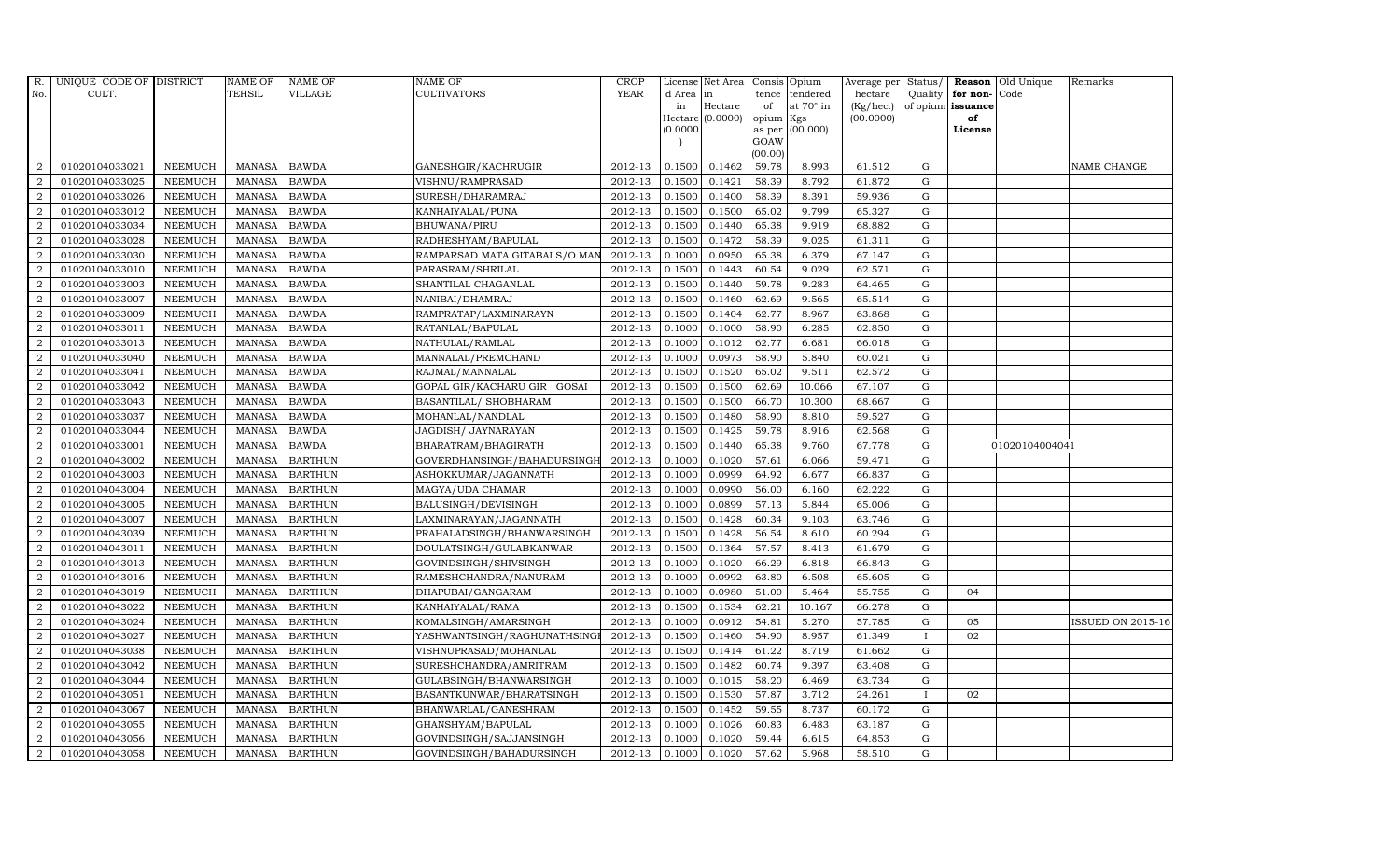| R.             | UNIQUE CODE OF DISTRICT |                | NAME OF       | <b>NAME OF</b> | <b>NAME OF</b>                 | CROP        |           | License Net Area   Consis   Opium |           |                  | Average per | Status/      | Reason            | Old Unique     | Remarks                  |
|----------------|-------------------------|----------------|---------------|----------------|--------------------------------|-------------|-----------|-----------------------------------|-----------|------------------|-------------|--------------|-------------------|----------------|--------------------------|
| No.            | CULT.                   |                | <b>TEHSIL</b> | <b>VILLAGE</b> | <b>CULTIVATORS</b>             | <b>YEAR</b> | d Area in |                                   | tence     | tendered         | hectare     | Quality      | for non-          | Code           |                          |
|                |                         |                |               |                |                                |             | in        | Hectare                           | of        | at $70^\circ$ in | (Kg/hec.)   |              | of opium issuance |                |                          |
|                |                         |                |               |                |                                |             |           | Hectare (0.0000)                  | opium Kgs |                  | (00.0000)   |              | of                |                |                          |
|                |                         |                |               |                |                                |             | (0.0000)  |                                   | GOAW      | as per (00.000)  |             |              | License           |                |                          |
|                |                         |                |               |                |                                |             |           |                                   | (00.00)   |                  |             |              |                   |                |                          |
| $\overline{2}$ | 01020104033021          | <b>NEEMUCH</b> | MANASA        | <b>BAWDA</b>   | GANESHGIR/KACHRUGIR            | 2012-13     | 0.1500    | 0.1462                            | 59.78     | 8.993            | 61.512      | $\mathbf G$  |                   |                | NAME CHANGE              |
| $\overline{2}$ | 01020104033025          | <b>NEEMUCH</b> | MANASA        | <b>BAWDA</b>   | VISHNU/RAMPRASAD               | 2012-13     | 0.1500    | 0.1421                            | 58.39     | 8.792            | 61.872      | $\mathbf G$  |                   |                |                          |
| 2              | 01020104033026          | <b>NEEMUCH</b> | <b>MANASA</b> | <b>BAWDA</b>   | SURESH/DHARAMRAJ               | 2012-13     | 0.1500    | 0.1400                            | 58.39     | 8.391            | 59.936      | G            |                   |                |                          |
| $\overline{2}$ | 01020104033012          | <b>NEEMUCH</b> | <b>MANASA</b> | <b>BAWDA</b>   | KANHAIYALAL/PUNA               | 2012-13     | 0.1500    | 0.1500                            | 65.02     | 9.799            | 65.327      | $\mathbf G$  |                   |                |                          |
| $\overline{a}$ | 01020104033034          | <b>NEEMUCH</b> | <b>MANASA</b> | <b>BAWDA</b>   | BHUWANA/PIRU                   | 2012-13     | 0.1500    | 0.1440                            | 65.38     | 9.919            | 68.882      | ${\rm G}$    |                   |                |                          |
| $\overline{2}$ | 01020104033028          | <b>NEEMUCH</b> | MANASA        | <b>BAWDA</b>   | RADHESHYAM/BAPULAL             | 2012-13     | 0.1500    | 0.1472                            | 58.39     | 9.025            | 61.311      | $\mathbf G$  |                   |                |                          |
| $\overline{a}$ | 01020104033030          | <b>NEEMUCH</b> | <b>MANASA</b> | <b>BAWDA</b>   | RAMPARSAD MATA GITABAI S/O MAI | 2012-13     | 0.1000    | 0.0950                            | 65.38     | 6.379            | 67.147      | $\mathbf G$  |                   |                |                          |
| $\overline{2}$ | 01020104033010          | <b>NEEMUCH</b> | <b>MANASA</b> | <b>BAWDA</b>   | PARASRAM/SHRILAL               | 2012-13     | 0.1500    | 0.1443                            | 60.54     | 9.029            | 62.571      | $\mathbf G$  |                   |                |                          |
| $\overline{2}$ | 01020104033003          | <b>NEEMUCH</b> | <b>MANASA</b> | <b>BAWDA</b>   | SHANTILAL CHAGANLAL            | 2012-13     | 0.1500    | 0.1440                            | 59.78     | 9.283            | 64.465      | $\mathbf G$  |                   |                |                          |
| $\overline{2}$ | 01020104033007          | <b>NEEMUCH</b> | <b>MANASA</b> | <b>BAWDA</b>   | NANIBAI/DHAMRAJ                | 2012-13     | 0.1500    | 0.1460                            | 62.69     | 9.565            | 65.514      | ${\bf G}$    |                   |                |                          |
| $\overline{a}$ | 01020104033009          | <b>NEEMUCH</b> | <b>MANASA</b> | <b>BAWDA</b>   | RAMPRATAP/LAXMINARAYN          | 2012-13     | 0.1500    | 0.1404                            | 62.77     | 8.967            | 63.868      | ${\rm G}$    |                   |                |                          |
| $\overline{2}$ | 01020104033011          | <b>NEEMUCH</b> | <b>MANASA</b> | <b>BAWDA</b>   | RATANLAL/BAPULAL               | 2012-13     | 0.1000    | 0.1000                            | 58.90     | 6.285            | 62.850      | $\mathbf G$  |                   |                |                          |
| 2              | 01020104033013          | <b>NEEMUCH</b> | <b>MANASA</b> | <b>BAWDA</b>   | NATHULAL/RAMLAL                | 2012-13     | 0.1000    | 0.1012                            | 62.77     | 6.681            | 66.018      | $\mathbf G$  |                   |                |                          |
| $\overline{2}$ | 01020104033040          | <b>NEEMUCH</b> | <b>MANASA</b> | <b>BAWDA</b>   | MANNALAL/PREMCHAND             | 2012-13     | 0.1000    | 0.0973                            | 58.90     | 5.840            | 60.021      | G            |                   |                |                          |
| $\overline{2}$ | 01020104033041          | <b>NEEMUCH</b> | <b>MANASA</b> | <b>BAWDA</b>   | RAJMAL/MANNALAL                | 2012-13     | 0.1500    | 0.1520                            | 65.02     | 9.511            | 62.572      | G            |                   |                |                          |
| $\overline{a}$ | 01020104033042          | <b>NEEMUCH</b> | <b>MANASA</b> | <b>BAWDA</b>   | GOPAL GIR/KACHARU GIR GOSAI    | 2012-13     | 0.1500    | 0.1500                            | 62.69     | 10.066           | 67.107      | ${\rm G}$    |                   |                |                          |
| 2              | 01020104033043          | <b>NEEMUCH</b> | <b>MANASA</b> | <b>BAWDA</b>   | BASANTILAL/ SHOBHARAM          | 2012-13     | 0.1500    | 0.1500                            | 66.70     | 10.300           | 68.667      | $\mathbf G$  |                   |                |                          |
| 2              | 01020104033037          | <b>NEEMUCH</b> | MANASA        | <b>BAWDA</b>   | MOHANLAL/NANDLAL               | 2012-13     | 0.1500    | 0.1480                            | 58.90     | 8.810            | 59.527      | G            |                   |                |                          |
| $\overline{2}$ | 01020104033044          | <b>NEEMUCH</b> | <b>MANASA</b> | <b>BAWDA</b>   | JAGDISH / JAYNARAYAN           | 2012-13     | 0.1500    | 0.1425                            | 59.78     | 8.916            | 62.568      | ${\rm G}$    |                   |                |                          |
| $\overline{2}$ | 01020104033001          | <b>NEEMUCH</b> | <b>MANASA</b> | <b>BAWDA</b>   | BHARATRAM/BHAGIRATH            | 2012-13     | 0.1500    | 0.1440                            | 65.38     | 9.760            | 67.778      | G            |                   | 01020104004041 |                          |
| $\overline{2}$ | 01020104043002          | <b>NEEMUCH</b> | <b>MANASA</b> | <b>BARTHUN</b> | GOVERDHANSINGH/BAHADURSINGH    | 2012-13     | 0.1000    | 0.1020                            | 57.61     | 6.066            | 59.471      | G            |                   |                |                          |
| $\overline{a}$ | 01020104043003          | <b>NEEMUCH</b> | <b>MANASA</b> | <b>BARTHUN</b> | ASHOKKUMAR/JAGANNATH           | 2012-13     | 0.1000    | 0.0999                            | 64.92     | 6.677            | 66.837      | ${\rm G}$    |                   |                |                          |
| $\overline{a}$ | 01020104043004          | <b>NEEMUCH</b> | MANASA        | <b>BARTHUN</b> | MAGYA/UDA CHAMAR               | 2012-13     | 0.1000    | 0.0990                            | 56.00     | 6.160            | 62.222      | G            |                   |                |                          |
| $\overline{2}$ | 01020104043005          | <b>NEEMUCH</b> | <b>MANASA</b> | <b>BARTHUN</b> | BALUSINGH/DEVISINGH            | 2012-13     | 0.1000    | 0.0899                            | 57.13     | 5.844            | 65.006      | $\mathbf G$  |                   |                |                          |
| $\overline{2}$ | 01020104043007          | <b>NEEMUCH</b> | <b>MANASA</b> | <b>BARTHUN</b> | LAXMINARAYAN/JAGANNATH         | 2012-13     | 0.1500    | 0.1428                            | 60.34     | 9.103            | 63.746      | $\mathbf G$  |                   |                |                          |
| $\overline{2}$ | 01020104043039          | <b>NEEMUCH</b> | <b>MANASA</b> | <b>BARTHUN</b> | PRAHALADSINGH/BHANWARSINGH     | 2012-13     | 0.1500    | 0.1428                            | 56.54     | 8.610            | 60.294      | G            |                   |                |                          |
| $\overline{a}$ | 01020104043011          | <b>NEEMUCH</b> | <b>MANASA</b> | <b>BARTHUN</b> | DOULATSINGH/GULABKANWAR        | 2012-13     | 0.1500    | 0.1364                            | 57.57     | 8.413            | 61.679      | ${\rm G}$    |                   |                |                          |
| 2              | 01020104043013          | <b>NEEMUCH</b> | MANASA        | <b>BARTHUN</b> | GOVINDSINGH/SHIVSINGH          | 2012-13     | 0.1000    | 0.1020                            | 66.29     | 6.818            | 66.843      | G            |                   |                |                          |
| 2              | 01020104043016          | <b>NEEMUCH</b> | <b>MANASA</b> | <b>BARTHUN</b> | RAMESHCHANDRA/NANURAM          | 2012-13     | 0.1000    | 0.0992                            | 63.80     | 6.508            | 65.605      | $\mathbf G$  |                   |                |                          |
| $\overline{2}$ | 01020104043019          | <b>NEEMUCH</b> | <b>MANASA</b> | <b>BARTHUN</b> | DHAPUBAI/GANGARAM              | 2012-13     | 0.1000    | 0.0980                            | 51.00     | 5.464            | 55.755      | $\mathbf G$  | 04                |                |                          |
| $\overline{2}$ | 01020104043022          | <b>NEEMUCH</b> | <b>MANASA</b> | <b>BARTHUN</b> | KANHAIYALAL/RAMA               | 2012-13     | 0.1500    | 0.1534                            | 62.21     | 10.167           | 66.278      | G            |                   |                |                          |
| $\overline{a}$ | 01020104043024          | <b>NEEMUCH</b> | <b>MANASA</b> | <b>BARTHUN</b> | KOMALSINGH/AMARSINGH           | 2012-13     | 0.1000    | 0.0912                            | 54.81     | 5.270            | 57.785      | ${\rm G}$    | 05                |                | <b>ISSUED ON 2015-16</b> |
| $\overline{a}$ | 01020104043027          | <b>NEEMUCH</b> | MANASA        | <b>BARTHUN</b> | YASHWANTSINGH/RAGHUNATHSING    | 2012-13     | 0.1500    | 0.1460                            | 54.90     | 8.957            | 61.349      | $\mathbf{I}$ | 02                |                |                          |
| 2              | 01020104043038          | <b>NEEMUCH</b> | <b>MANASA</b> | <b>BARTHUN</b> | VISHNUPRASAD/MOHANLAL          | 2012-13     | 0.1500    | 0.1414                            | 61.22     | 8.719            | 61.662      | G            |                   |                |                          |
| $\overline{2}$ | 01020104043042          | <b>NEEMUCH</b> | <b>MANASA</b> | <b>BARTHUN</b> | SURESHCHANDRA/AMRITRAM         | 2012-13     | 0.1500    | 0.1482                            | 60.74     | 9.397            | 63.408      | $\mathbf G$  |                   |                |                          |
| $\overline{a}$ | 01020104043044          | <b>NEEMUCH</b> | <b>MANASA</b> | <b>BARTHUN</b> | GULABSINGH/BHANWARSINGH        | 2012-13     | 0.1000    | 0.1015                            | 58.20     | 6.469            | 63.734      | $\mathbf G$  |                   |                |                          |
| $\overline{2}$ | 01020104043051          | <b>NEEMUCH</b> | <b>MANASA</b> | <b>BARTHUN</b> | BASANTKUNWAR/BHARATSINGH       | 2012-13     | 0.1500    | 0.1530                            | 57.87     | 3.712            | 24.261      | $\mathbf{I}$ | 02                |                |                          |
| $\overline{a}$ | 01020104043067          | <b>NEEMUCH</b> | <b>MANASA</b> | <b>BARTHUN</b> | BHANWARLAL/GANESHRAM           | 2012-13     | 0.1500    | 0.1452                            | 59.55     | 8.737            | 60.172      | $\mathbf G$  |                   |                |                          |
| 2              | 01020104043055          | <b>NEEMUCH</b> | <b>MANASA</b> | <b>BARTHUN</b> | GHANSHYAM/BAPULAL              | 2012-13     | 0.1000    | 0.1026                            | 60.83     | 6.483            | 63.187      | G            |                   |                |                          |
| 2              | 01020104043056          | <b>NEEMUCH</b> | <b>MANASA</b> | <b>BARTHUN</b> | GOVINDSINGH/SAJJANSINGH        | 2012-13     | 0.1000    | 0.1020                            | 59.44     | 6.615            | 64.853      | $\mathbf G$  |                   |                |                          |
| $\overline{a}$ | 01020104043058          | <b>NEEMUCH</b> |               | MANASA BARTHUN | GOVINDSINGH/BAHADURSINGH       | 2012-13     | 0.1000    | 0.1020                            | 57.62     | 5.968            | 58.510      | G            |                   |                |                          |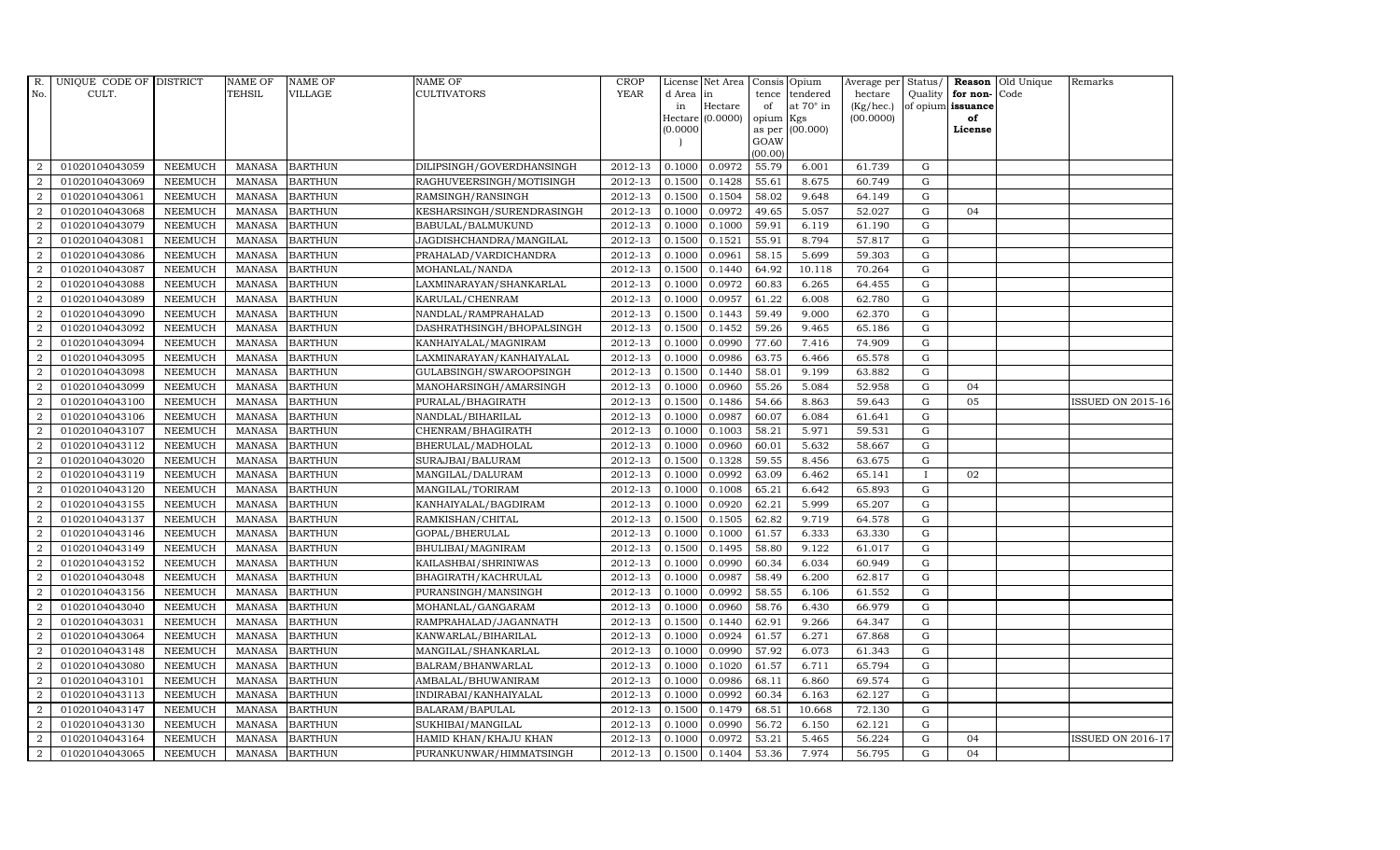| R.             | UNIQUE CODE OF DISTRICT |                | <b>NAME OF</b> | <b>NAME OF</b> | <b>NAME OF</b>            | <b>CROP</b>            |           | License Net Area Consis Opium |           |                  | Average per | Status/      | Reason            | Old Unique | Remarks                  |
|----------------|-------------------------|----------------|----------------|----------------|---------------------------|------------------------|-----------|-------------------------------|-----------|------------------|-------------|--------------|-------------------|------------|--------------------------|
| No.            | CULT.                   |                | <b>TEHSIL</b>  | <b>VILLAGE</b> | <b>CULTIVATORS</b>        | <b>YEAR</b>            | d Area in |                               | tence     | tendered         | hectare     | Quality      | for non-          | Code       |                          |
|                |                         |                |                |                |                           |                        | in        | Hectare                       | of        | at $70^\circ$ in | (Kg/hec.)   |              | of opium issuance |            |                          |
|                |                         |                |                |                |                           |                        |           | Hectare (0.0000)              | opium Kgs |                  | (00.0000)   |              | of                |            |                          |
|                |                         |                |                |                |                           |                        | (0.0000)  |                               | GOAW      | as per (00.000)  |             |              | License           |            |                          |
|                |                         |                |                |                |                           |                        |           |                               | (00.00)   |                  |             |              |                   |            |                          |
| $\overline{2}$ | 01020104043059          | <b>NEEMUCH</b> |                | MANASA BARTHUN | DILIPSINGH/GOVERDHANSINGH | 2012-13                | 0.1000    | 0.0972                        | 55.79     | 6.001            | 61.739      | $\mathbf G$  |                   |            |                          |
| $\overline{2}$ | 01020104043069          | <b>NEEMUCH</b> | MANASA         | <b>BARTHUN</b> | RAGHUVEERSINGH/MOTISINGH  | 2012-13                | 0.1500    | 0.1428                        | 55.61     | 8.675            | 60.749      | $\mathbf G$  |                   |            |                          |
| 2              | 01020104043061          | <b>NEEMUCH</b> | <b>MANASA</b>  | <b>BARTHUN</b> | RAMSINGH/RANSINGH         | 2012-13                | 0.1500    | 0.1504                        | 58.02     | 9.648            | 64.149      | G            |                   |            |                          |
| $\overline{2}$ | 01020104043068          | <b>NEEMUCH</b> | <b>MANASA</b>  | <b>BARTHUN</b> | KESHARSINGH/SURENDRASINGH | 2012-13                | 0.1000    | 0.0972                        | 49.65     | 5.057            | 52.027      | $\mathbf G$  | 04                |            |                          |
| $\overline{a}$ | 01020104043079          | <b>NEEMUCH</b> | <b>MANASA</b>  | <b>BARTHUN</b> | BABULAL/BALMUKUND         | 2012-13                | 0.1000    | 0.1000                        | 59.91     | 6.119            | 61.190      | ${\rm G}$    |                   |            |                          |
| 2              | 01020104043081          | <b>NEEMUCH</b> | <b>MANASA</b>  | <b>BARTHUN</b> | JAGDISHCHANDRA/MANGILAL   | 2012-13                | 0.1500    | 0.1521                        | 55.91     | 8.794            | 57.817      | $\mathbf G$  |                   |            |                          |
| 2              | 01020104043086          | <b>NEEMUCH</b> | <b>MANASA</b>  | <b>BARTHUN</b> | PRAHALAD/VARDICHANDRA     | 2012-13                | 0.1000    | 0.0961                        | 58.15     | 5.699            | 59.303      | $\mathbf G$  |                   |            |                          |
| $\overline{2}$ | 01020104043087          | <b>NEEMUCH</b> | <b>MANASA</b>  | <b>BARTHUN</b> | MOHANLAL/NANDA            | 2012-13                | 0.1500    | 0.1440                        | 64.92     | 10.118           | 70.264      | $\mathbf G$  |                   |            |                          |
| $\overline{2}$ | 01020104043088          | <b>NEEMUCH</b> | <b>MANASA</b>  | <b>BARTHUN</b> | LAXMINARAYAN/SHANKARLAL   | 2012-13                | 0.1000    | 0.0972                        | 60.83     | 6.265            | 64.455      | $\mathbf G$  |                   |            |                          |
| $\overline{2}$ | 01020104043089          | <b>NEEMUCH</b> | <b>MANASA</b>  | <b>BARTHUN</b> | KARULAL/CHENRAM           | 2012-13                | 0.1000    | 0.0957                        | 61.22     | 6.008            | 62.780      | ${\rm G}$    |                   |            |                          |
| $\overline{a}$ | 01020104043090          | <b>NEEMUCH</b> | <b>MANASA</b>  | <b>BARTHUN</b> | NANDLAL/RAMPRAHALAD       | 2012-13                | 0.1500    | 0.1443                        | 59.49     | 9.000            | 62.370      | ${\rm G}$    |                   |            |                          |
| $\overline{2}$ | 01020104043092          | <b>NEEMUCH</b> | MANASA         | <b>BARTHUN</b> | DASHRATHSINGH/BHOPALSINGH | 2012-13                | 0.1500    | 0.1452                        | 59.26     | 9.465            | 65.186      | $\mathbf G$  |                   |            |                          |
| 2              | 01020104043094          | <b>NEEMUCH</b> | <b>MANASA</b>  | <b>BARTHUN</b> | KANHAIYALAL/MAGNIRAM      | 2012-13                | 0.1000    | 0.0990                        | 77.60     | 7.416            | 74.909      | $\mathbf G$  |                   |            |                          |
| 2              | 01020104043095          | <b>NEEMUCH</b> | <b>MANASA</b>  | <b>BARTHUN</b> | LAXMINARAYAN/KANHAIYALAL  | 2012-13                | 0.1000    | 0.0986                        | 63.75     | 6.466            | 65.578      | G            |                   |            |                          |
| $\overline{2}$ | 01020104043098          | <b>NEEMUCH</b> | MANASA         | <b>BARTHUN</b> | GULABSINGH/SWAROOPSINGH   | 2012-13                | 0.1500    | 0.1440                        | 58.01     | 9.199            | 63.882      | G            |                   |            |                          |
| $\overline{a}$ | 01020104043099          | <b>NEEMUCH</b> | <b>MANASA</b>  | <b>BARTHUN</b> | MANOHARSINGH/AMARSINGH    | 2012-13                | 0.1000    | 0.0960                        | 55.26     | 5.084            | 52.958      | ${\rm G}$    | 04                |            |                          |
| 2              | 01020104043100          | <b>NEEMUCH</b> | MANASA         | <b>BARTHUN</b> | PURALAL/BHAGIRATH         | 2012-13                | 0.1500    | 0.1486                        | 54.66     | 8.863            | 59.643      | $\mathbf G$  | 05                |            | <b>ISSUED ON 2015-16</b> |
| 2              | 01020104043106          | <b>NEEMUCH</b> | MANASA         | <b>BARTHUN</b> | NANDLAL/BIHARILAL         | 2012-13                | 0.1000    | 0.0987                        | 60.07     | 6.084            | 61.641      | $\mathbf G$  |                   |            |                          |
| $\overline{2}$ | 01020104043107          | <b>NEEMUCH</b> | <b>MANASA</b>  | <b>BARTHUN</b> | CHENRAM/BHAGIRATH         | 2012-13                | 0.1000    | 0.1003                        | 58.21     | 5.971            | 59.531      | $\mathbf G$  |                   |            |                          |
| $\overline{2}$ | 01020104043112          | <b>NEEMUCH</b> | <b>MANASA</b>  | <b>BARTHUN</b> | BHERULAL/MADHOLAL         | 2012-13                | 0.1000    | 0.0960                        | 60.01     | 5.632            | 58.667      | G            |                   |            |                          |
| 2              | 01020104043020          | <b>NEEMUCH</b> | <b>MANASA</b>  | <b>BARTHUN</b> | SURAJBAI/BALURAM          | 2012-13                | 0.1500    | 0.1328                        | 59.55     | 8.456            | 63.675      | ${\rm G}$    |                   |            |                          |
| $\overline{a}$ | 01020104043119          | <b>NEEMUCH</b> | <b>MANASA</b>  | <b>BARTHUN</b> | MANGILAL/DALURAM          | 2012-13                | 0.1000    | 0.0992                        | 63.09     | 6.462            | 65.141      | $\mathbf{I}$ | 02                |            |                          |
| $\overline{2}$ | 01020104043120          | <b>NEEMUCH</b> | MANASA         | <b>BARTHUN</b> | MANGILAL/TORIRAM          | 2012-13                | 0.1000    | 0.1008                        | 65.21     | 6.642            | 65.893      | G            |                   |            |                          |
| $\overline{2}$ | 01020104043155          | <b>NEEMUCH</b> | <b>MANASA</b>  | <b>BARTHUN</b> | KANHAIYALAL/BAGDIRAM      | 2012-13                | 0.1000    | 0.0920                        | 62.21     | 5.999            | 65.207      | $\mathbf G$  |                   |            |                          |
| 2              | 01020104043137          | <b>NEEMUCH</b> | <b>MANASA</b>  | <b>BARTHUN</b> | RAMKISHAN/CHITAL          | 2012-13                | 0.1500    | 0.1505                        | 62.82     | 9.719            | 64.578      | $\mathbf G$  |                   |            |                          |
| 2              | 01020104043146          | <b>NEEMUCH</b> | <b>MANASA</b>  | <b>BARTHUN</b> | GOPAL/BHERULAL            | 2012-13                | 0.1000    | 0.1000                        | 61.57     | 6.333            | 63.330      | G            |                   |            |                          |
| 2              | 01020104043149          | <b>NEEMUCH</b> | <b>MANASA</b>  | <b>BARTHUN</b> | BHULIBAI/MAGNIRAM         | 2012-13                | 0.1500    | 0.1495                        | 58.80     | 9.122            | 61.017      | ${\rm G}$    |                   |            |                          |
| 2              | 01020104043152          | <b>NEEMUCH</b> | MANASA         | <b>BARTHUN</b> | KAILASHBAI/SHRINIWAS      | 2012-13                | 0.1000    | 0.0990                        | 60.34     | 6.034            | 60.949      | $\mathbf G$  |                   |            |                          |
| 2              | 01020104043048          | <b>NEEMUCH</b> | <b>MANASA</b>  | <b>BARTHUN</b> | BHAGIRATH/KACHRULAL       | 2012-13                | 0.1000    | 0.0987                        | 58.49     | 6.200            | 62.817      | $\mathbf G$  |                   |            |                          |
| $\overline{2}$ | 01020104043156          | <b>NEEMUCH</b> | <b>MANASA</b>  | <b>BARTHUN</b> | PURANSINGH/MANSINGH       | 2012-13                | 0.1000    | 0.0992                        | 58.55     | 6.106            | 61.552      | $\mathbf G$  |                   |            |                          |
| $\overline{2}$ | 01020104043040          | <b>NEEMUCH</b> | <b>MANASA</b>  | <b>BARTHUN</b> | MOHANLAL/GANGARAM         | 2012-13                | 0.1000    | 0.0960                        | 58.76     | 6.430            | 66.979      | G            |                   |            |                          |
| $\overline{a}$ | 01020104043031          | <b>NEEMUCH</b> | MANASA         | <b>BARTHUN</b> | RAMPRAHALAD/JAGANNATH     | 2012-13                | 0.1500    | 0.1440                        | 62.91     | 9.266            | 64.347      | ${\rm G}$    |                   |            |                          |
| $\overline{a}$ | 01020104043064          | <b>NEEMUCH</b> | MANASA         | <b>BARTHUN</b> | KANWARLAL/BIHARILAL       | 2012-13                | 0.1000    | 0.0924                        | 61.57     | 6.271            | 67.868      | $\mathbf G$  |                   |            |                          |
| 2              | 01020104043148          | <b>NEEMUCH</b> | <b>MANASA</b>  | <b>BARTHUN</b> | MANGILAL/SHANKARLAL       | 2012-13                | 0.1000    | 0.0990                        | 57.92     | 6.073            | 61.343      | $\mathbf G$  |                   |            |                          |
| 2              | 01020104043080          | <b>NEEMUCH</b> | <b>MANASA</b>  | <b>BARTHUN</b> | BALRAM/BHANWARLAL         | 2012-13                | 0.1000    | 0.1020                        | 61.57     | 6.711            | 65.794      | $\mathbf G$  |                   |            |                          |
| $\overline{a}$ | 01020104043101          | <b>NEEMUCH</b> | <b>MANASA</b>  | <b>BARTHUN</b> | AMBALAL/BHUWANIRAM        | 2012-13                | 0.1000    | 0.0986                        | 68.11     | 6.860            | 69.574      | ${\rm G}$    |                   |            |                          |
| $\overline{2}$ | 01020104043113          | <b>NEEMUCH</b> | <b>MANASA</b>  | <b>BARTHUN</b> | INDIRABAI/KANHAIYALAL     | 2012-13                | 0.1000    | 0.0992                        | 60.34     | 6.163            | 62.127      | ${\rm G}$    |                   |            |                          |
| $\overline{a}$ | 01020104043147          | <b>NEEMUCH</b> | <b>MANASA</b>  | <b>BARTHUN</b> | BALARAM/BAPULAL           | $\overline{2012} - 13$ | 0.1500    | 0.1479                        | 68.51     | 10.668           | 72.130      | $\mathbf G$  |                   |            |                          |
| $\overline{2}$ | 01020104043130          | <b>NEEMUCH</b> | <b>MANASA</b>  | <b>BARTHUN</b> | SUKHIBAI/MANGILAL         | 2012-13                | 0.1000    | 0.0990                        | 56.72     | 6.150            | 62.121      | $\mathbf G$  |                   |            |                          |
| 2              | 01020104043164          | <b>NEEMUCH</b> | <b>MANASA</b>  | <b>BARTHUN</b> | HAMID KHAN/KHAJU KHAN     | 2012-13                | 0.1000    | 0.0972                        | 53.21     | 5.465            | 56.224      | $\mathbf G$  | 04                |            | <b>ISSUED ON 2016-17</b> |
| $\overline{a}$ | 01020104043065          | <b>NEEMUCH</b> |                | MANASA BARTHUN | PURANKUNWAR/HIMMATSINGH   | 2012-13                | 0.1500    | 0.1404                        | 53.36     | 7.974            | 56.795      | G            | 04                |            |                          |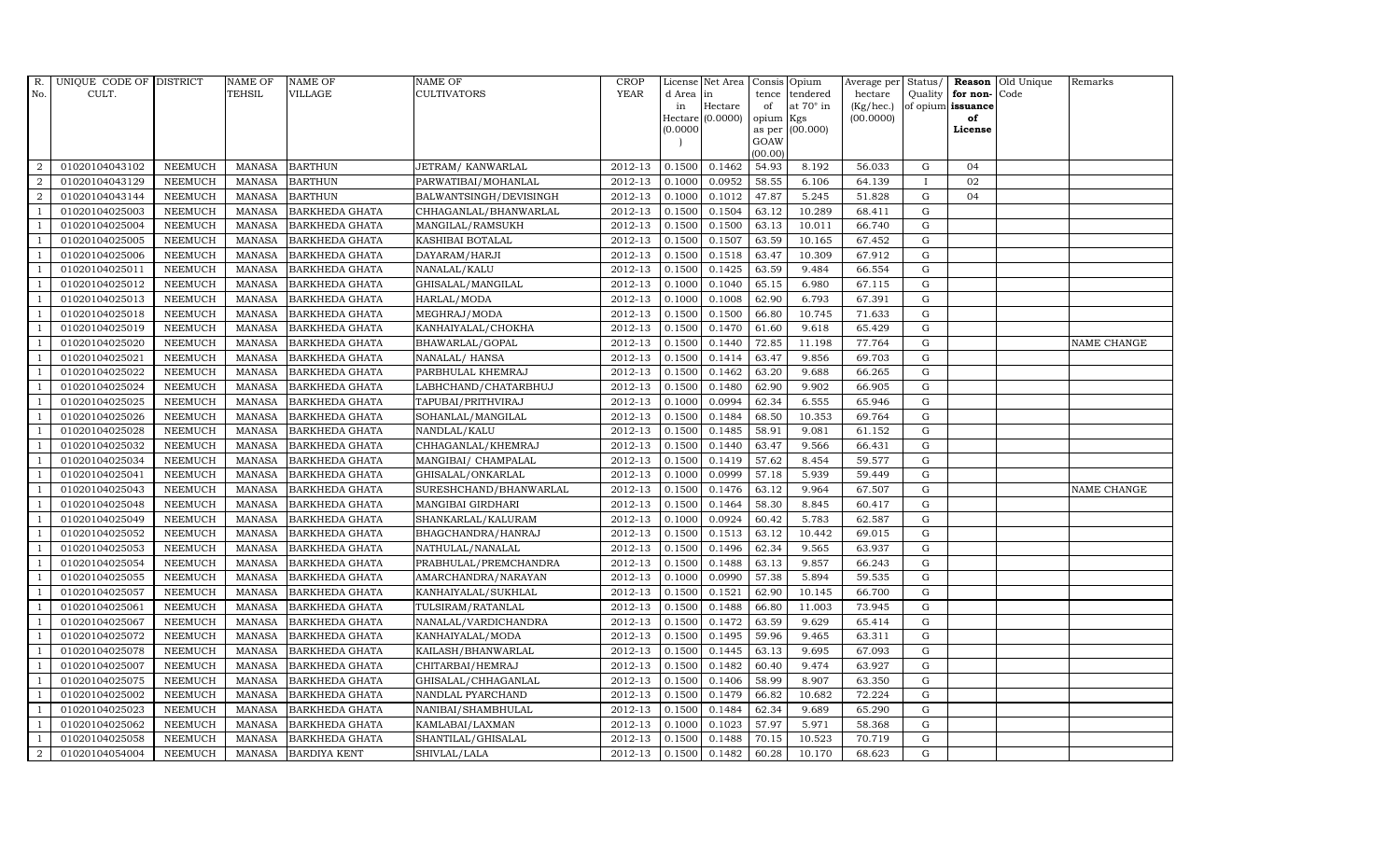| R.             | UNIQUE CODE OF DISTRICT |                | <b>NAME OF</b> | <b>NAME OF</b>        | <b>NAME OF</b>         | CROP        |           | License Net Area   Consis   Opium |           |                  | Average per Status/ |              |                   | <b>Reason</b> Old Unique | Remarks     |
|----------------|-------------------------|----------------|----------------|-----------------------|------------------------|-------------|-----------|-----------------------------------|-----------|------------------|---------------------|--------------|-------------------|--------------------------|-------------|
| No.            | CULT.                   |                | <b>TEHSIL</b>  | <b>VILLAGE</b>        | <b>CULTIVATORS</b>     | <b>YEAR</b> | d Area in |                                   |           | tence tendered   | hectare             | Quality      | for non-          | Code                     |             |
|                |                         |                |                |                       |                        |             | in        | Hectare                           | of        | at $70^\circ$ in | (Kg/hec.)           |              | of opium issuance |                          |             |
|                |                         |                |                |                       |                        |             |           | Hectare (0.0000)                  | opium Kgs |                  | (00.0000)           |              | of                |                          |             |
|                |                         |                |                |                       |                        |             | (0.0000)  |                                   | GOAW      | as per (00.000)  |                     |              | License           |                          |             |
|                |                         |                |                |                       |                        |             |           |                                   | (00.00)   |                  |                     |              |                   |                          |             |
| $\overline{2}$ | 01020104043102          | <b>NEEMUCH</b> |                | MANASA BARTHUN        | JETRAM/KANWARLAL       | 2012-13     | 0.1500    | 0.1462                            | 54.93     | 8.192            | 56.033              | G            | 04                |                          |             |
| $\overline{2}$ | 01020104043129          | <b>NEEMUCH</b> | MANASA         | <b>BARTHUN</b>        | PARWATIBAI/MOHANLAL    | 2012-13     | 0.1000    | 0.0952                            | 58.55     | 6.106            | 64.139              | $\mathbf{I}$ | 02                |                          |             |
| 2              | 01020104043144          | <b>NEEMUCH</b> | <b>MANASA</b>  | <b>BARTHUN</b>        | BALWANTSINGH/DEVISINGH | 2012-13     | 0.1000    | 0.1012                            | 47.87     | 5.245            | 51.828              | G            | 04                |                          |             |
|                | 01020104025003          | <b>NEEMUCH</b> | MANASA         | <b>BARKHEDA GHATA</b> | CHHAGANLAL/BHANWARLAL  | 2012-13     | 0.1500    | 0.1504                            | 63.12     | 10.289           | 68.411              | $\mathbf G$  |                   |                          |             |
| $\overline{1}$ | 01020104025004          | <b>NEEMUCH</b> | <b>MANASA</b>  | <b>BARKHEDA GHATA</b> | MANGILAL/RAMSUKH       | 2012-13     | 0.1500    | 0.1500                            | 63.13     | 10.011           | 66.740              | ${\rm G}$    |                   |                          |             |
| $\overline{1}$ | 01020104025005          | <b>NEEMUCH</b> | <b>MANASA</b>  | <b>BARKHEDA GHATA</b> | KASHIBAI BOTALAL       | 2012-13     | 0.1500    | 0.1507                            | 63.59     | 10.165           | 67.452              | $\mathbf G$  |                   |                          |             |
| $\overline{1}$ | 01020104025006          | <b>NEEMUCH</b> | <b>MANASA</b>  | <b>BARKHEDA GHATA</b> | DAYARAM/HARJI          | 2012-13     | 0.1500    | 0.1518                            | 63.47     | 10.309           | 67.912              | $\mathbf G$  |                   |                          |             |
| $\overline{1}$ | 01020104025011          | <b>NEEMUCH</b> | <b>MANASA</b>  | <b>BARKHEDA GHATA</b> | NANALAL/KALU           | 2012-13     | 0.1500    | 0.1425                            | 63.59     | 9.484            | 66.554              | $\mathbf G$  |                   |                          |             |
|                | 01020104025012          | <b>NEEMUCH</b> | <b>MANASA</b>  | <b>BARKHEDA GHATA</b> | GHISALAL/MANGILAL      | 2012-13     | 0.1000    | 0.1040                            | 65.15     | 6.980            | 67.115              | $\mathbf G$  |                   |                          |             |
|                | 01020104025013          | <b>NEEMUCH</b> | <b>MANASA</b>  | <b>BARKHEDA GHATA</b> | HARLAL/MODA            | 2012-13     | 0.1000    | 0.1008                            | 62.90     | 6.793            | 67.391              | ${\rm G}$    |                   |                          |             |
| $\overline{1}$ | 01020104025018          | <b>NEEMUCH</b> | <b>MANASA</b>  | <b>BARKHEDA GHATA</b> | MEGHRAJ/MODA           | 2012-13     | 0.1500    | 0.1500                            | 66.80     | 10.745           | 71.633              | ${\rm G}$    |                   |                          |             |
| $\overline{1}$ | 01020104025019          | <b>NEEMUCH</b> | <b>MANASA</b>  | <b>BARKHEDA GHATA</b> | KANHAIYALAL/CHOKHA     | 2012-13     | 0.1500    | 0.1470                            | 61.60     | 9.618            | 65.429              | ${\rm G}$    |                   |                          |             |
| $\overline{1}$ | 01020104025020          | <b>NEEMUCH</b> | <b>MANASA</b>  | <b>BARKHEDA GHATA</b> | BHAWARLAL/GOPAL        | 2012-13     | 0.1500    | 0.1440                            | 72.85     | 11.198           | 77.764              | $\mathbf G$  |                   |                          | NAME CHANGE |
|                | 01020104025021          | <b>NEEMUCH</b> | <b>MANASA</b>  | <b>BARKHEDA GHATA</b> | NANALAL/ HANSA         | 2012-13     | 0.1500    | 0.1414                            | 63.47     | 9.856            | 69.703              | G            |                   |                          |             |
| $\overline{1}$ | 01020104025022          | <b>NEEMUCH</b> | <b>MANASA</b>  | <b>BARKHEDA GHATA</b> | PARBHULAL KHEMRAJ      | 2012-13     | 0.1500    | 0.1462                            | 63.20     | 9.688            | 66.265              | G            |                   |                          |             |
| -1             | 01020104025024          | <b>NEEMUCH</b> | <b>MANASA</b>  | <b>BARKHEDA GHATA</b> | LABHCHAND/CHATARBHUJ   | 2012-13     | 0.1500    | 0.1480                            | 62.90     | 9.902            | 66.905              | ${\rm G}$    |                   |                          |             |
|                | 01020104025025          | <b>NEEMUCH</b> | <b>MANASA</b>  | <b>BARKHEDA GHATA</b> | TAPUBAI/PRITHVIRAJ     | 2012-13     | 0.1000    | 0.0994                            | 62.34     | 6.555            | 65.946              | $\mathbf G$  |                   |                          |             |
| $\overline{1}$ | 01020104025026          | <b>NEEMUCH</b> | MANASA         | <b>BARKHEDA GHATA</b> | SOHANLAL/MANGILAL      | 2012-13     | 0.1500    | 0.1484                            | 68.50     | 10.353           | 69.764              | G            |                   |                          |             |
|                | 01020104025028          | <b>NEEMUCH</b> | <b>MANASA</b>  | <b>BARKHEDA GHATA</b> | NANDLAL/KALU           | 2012-13     | 0.1500    | 0.1485                            | 58.91     | 9.081            | 61.152              | $\mathbf G$  |                   |                          |             |
|                | 01020104025032          | <b>NEEMUCH</b> | <b>MANASA</b>  | <b>BARKHEDA GHATA</b> | CHHAGANLAL/KHEMRAJ     | 2012-13     | 0.1500    | 0.1440                            | 63.47     | 9.566            | 66.431              | $\mathbf G$  |                   |                          |             |
| -1             | 01020104025034          | <b>NEEMUCH</b> | <b>MANASA</b>  | <b>BARKHEDA GHATA</b> | MANGIBAI/ CHAMPALAL    | 2012-13     | 0.1500    | 0.1419                            | 57.62     | 8.454            | 59.577              | ${\rm G}$    |                   |                          |             |
| $\overline{1}$ | 01020104025041          | <b>NEEMUCH</b> | <b>MANASA</b>  | <b>BARKHEDA GHATA</b> | GHISALAL/ONKARLAL      | 2012-13     | 0.1000    | 0.0999                            | 57.18     | 5.939            | 59.449              | ${\rm G}$    |                   |                          |             |
| $\overline{1}$ | 01020104025043          | <b>NEEMUCH</b> | MANASA         | <b>BARKHEDA GHATA</b> | SURESHCHAND/BHANWARLAL | 2012-13     | 0.1500    | 0.1476                            | 63.12     | 9.964            | 67.507              | G            |                   |                          | NAME CHANGE |
|                | 01020104025048          | <b>NEEMUCH</b> | <b>MANASA</b>  | <b>BARKHEDA GHATA</b> | MANGIBAI GIRDHARI      | 2012-13     | 0.1500    | 0.1464                            | 58.30     | 8.845            | 60.417              | $\mathbf G$  |                   |                          |             |
|                | 01020104025049          | <b>NEEMUCH</b> | <b>MANASA</b>  | <b>BARKHEDA GHATA</b> | SHANKARLAL/KALURAM     | 2012-13     | 0.1000    | 0.0924                            | 60.42     | 5.783            | 62.587              | $\mathbf G$  |                   |                          |             |
| - 1            | 01020104025052          | <b>NEEMUCH</b> | <b>MANASA</b>  | <b>BARKHEDA GHATA</b> | BHAGCHANDRA/HANRAJ     | 2012-13     | 0.1500    | 0.1513                            | 63.12     | 10.442           | 69.015              | G            |                   |                          |             |
| $\overline{1}$ | 01020104025053          | <b>NEEMUCH</b> | <b>MANASA</b>  | <b>BARKHEDA GHATA</b> | NATHULAL/NANALAL       | 2012-13     | 0.1500    | 0.1496                            | 62.34     | 9.565            | 63.937              | ${\rm G}$    |                   |                          |             |
| $\overline{1}$ | 01020104025054          | <b>NEEMUCH</b> | MANASA         | <b>BARKHEDA GHATA</b> | PRABHULAL/PREMCHANDRA  | 2012-13     | 0.1500    | 0.1488                            | 63.13     | 9.857            | 66.243              | $\mathbf G$  |                   |                          |             |
| $\overline{1}$ | 01020104025055          | <b>NEEMUCH</b> | <b>MANASA</b>  | <b>BARKHEDA GHATA</b> | AMARCHANDRA/NARAYAN    | 2012-13     | 0.1000    | 0.0990                            | 57.38     | 5.894            | 59.535              | $\mathbf G$  |                   |                          |             |
|                | 01020104025057          | <b>NEEMUCH</b> | <b>MANASA</b>  | <b>BARKHEDA GHATA</b> | KANHAIYALAL/SUKHLAL    | 2012-13     | 0.1500    | 0.1521                            | 62.90     | 10.145           | 66.700              | $\mathbf G$  |                   |                          |             |
| $\overline{1}$ | 01020104025061          | <b>NEEMUCH</b> | <b>MANASA</b>  | <b>BARKHEDA GHATA</b> | TULSIRAM/RATANLAL      | 2012-13     | 0.1500    | 0.1488                            | 66.80     | 11.003           | 73.945              | G            |                   |                          |             |
|                | 01020104025067          | <b>NEEMUCH</b> | <b>MANASA</b>  | <b>BARKHEDA GHATA</b> | NANALAL/VARDICHANDRA   | 2012-13     | 0.1500    | 0.1472                            | 63.59     | 9.629            | 65.414              | ${\rm G}$    |                   |                          |             |
| $\overline{1}$ | 01020104025072          | <b>NEEMUCH</b> | <b>MANASA</b>  | <b>BARKHEDA GHATA</b> | KANHAIYALAL/MODA       | 2012-13     | 0.1500    | 0.1495                            | 59.96     | 9.465            | 63.311              | $\mathbf G$  |                   |                          |             |
| $\overline{1}$ | 01020104025078          | <b>NEEMUCH</b> | <b>MANASA</b>  | <b>BARKHEDA GHATA</b> | KAILASH/BHANWARLAL     | 2012-13     | 0.1500    | 0.1445                            | 63.13     | 9.695            | 67.093              | $\mathbf G$  |                   |                          |             |
|                | 01020104025007          | <b>NEEMUCH</b> | <b>MANASA</b>  | <b>BARKHEDA GHATA</b> | CHITARBAI/HEMRAJ       | 2012-13     | 0.1500    | 0.1482                            | 60.40     | 9.474            | 63.927              | $\mathbf G$  |                   |                          |             |
| $\overline{1}$ | 01020104025075          | <b>NEEMUCH</b> | <b>MANASA</b>  | <b>BARKHEDA GHATA</b> | GHISALAL/CHHAGANLAL    | 2012-13     | 0.1500    | 0.1406                            | 58.99     | 8.907            | 63.350              | $\mathbf G$  |                   |                          |             |
| $\overline{1}$ | 01020104025002          | <b>NEEMUCH</b> | <b>MANASA</b>  | <b>BARKHEDA GHATA</b> | NANDLAL PYARCHAND      | 2012-13     | 0.1500    | 0.1479                            | 66.82     | 10.682           | 72.224              | ${\rm G}$    |                   |                          |             |
| $\mathbf{1}$   | 01020104025023          | <b>NEEMUCH</b> | <b>MANASA</b>  | <b>BARKHEDA GHATA</b> | NANIBAI/SHAMBHULAL     | 2012-13     | 0.1500    | 0.1484                            | 62.34     | 9.689            | 65.290              | $\mathbf G$  |                   |                          |             |
| $\overline{1}$ | 01020104025062          | <b>NEEMUCH</b> | <b>MANASA</b>  | <b>BARKHEDA GHATA</b> | KAMLABAI/LAXMAN        | 2012-13     | 0.1000    | 0.1023                            | 57.97     | 5.971            | 58.368              | $\mathbf G$  |                   |                          |             |
|                | 01020104025058          | <b>NEEMUCH</b> | <b>MANASA</b>  | <b>BARKHEDA GHATA</b> | SHANTILAL/GHISALAL     | 2012-13     | 0.1500    | 0.1488                            | 70.15     | 10.523           | 70.719              | $\mathbf G$  |                   |                          |             |
| $\overline{a}$ | 01020104054004          | <b>NEEMUCH</b> |                | MANASA BARDIYA KENT   | SHIVLAL/LALA           | 2012-13     | 0.1500    | 0.1482                            | 60.28     | 10.170           | 68.623              | G            |                   |                          |             |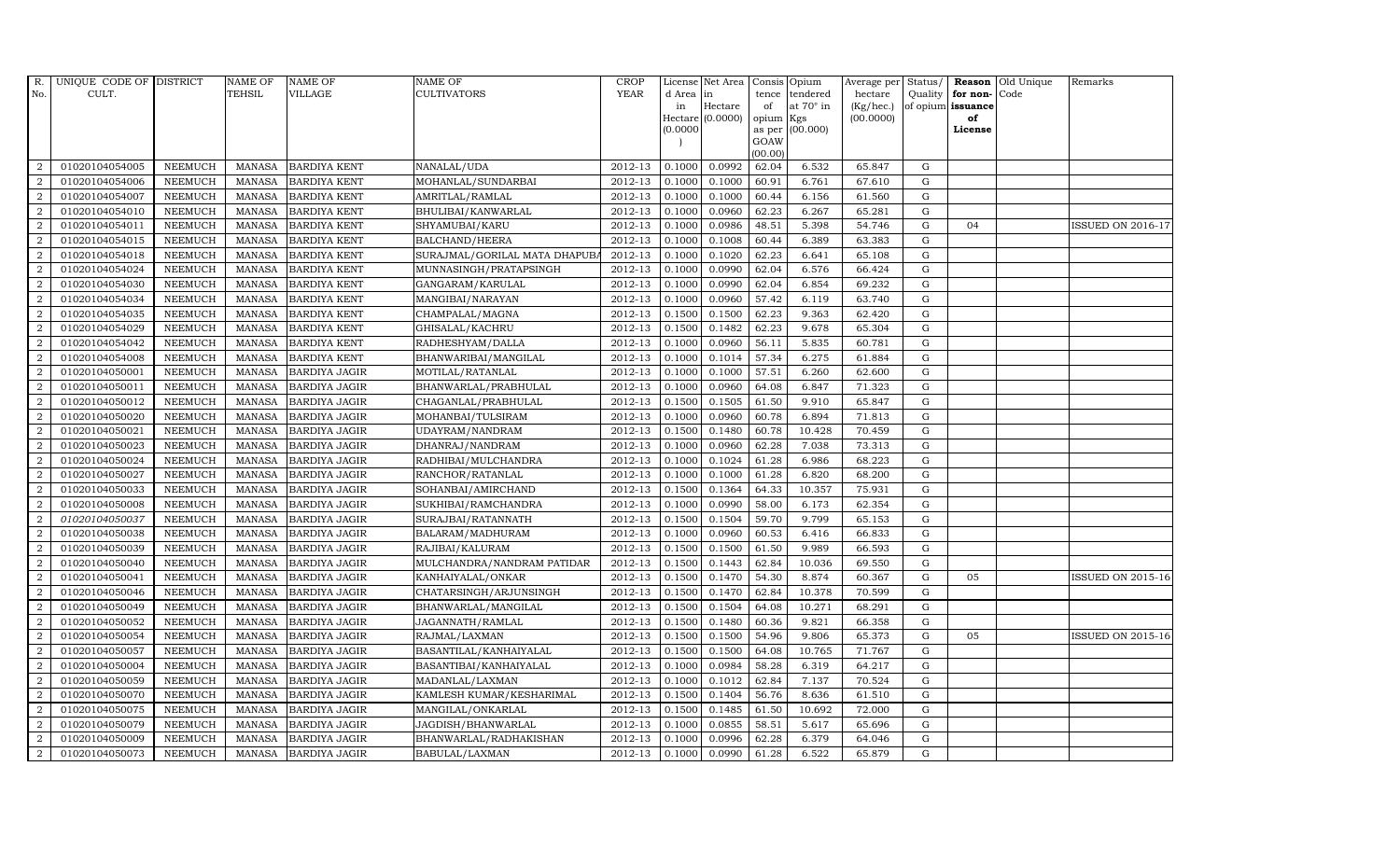| R.               | UNIQUE CODE OF DISTRICT |                | <b>NAME OF</b> | <b>NAME OF</b>       | <b>NAME OF</b>                | CROP        |           | License Net Area   Consis   Opium |           |                  | Average per | Status/     | Reason            | Old Unique | Remarks                  |
|------------------|-------------------------|----------------|----------------|----------------------|-------------------------------|-------------|-----------|-----------------------------------|-----------|------------------|-------------|-------------|-------------------|------------|--------------------------|
| No.              | CULT.                   |                | <b>TEHSIL</b>  | <b>VILLAGE</b>       | <b>CULTIVATORS</b>            | YEAR        | d Area in |                                   |           | tence tendered   | hectare     | Quality     | for non-          | Code       |                          |
|                  |                         |                |                |                      |                               |             | in        | Hectare                           | of        | at $70^\circ$ in | (Kg/hec.)   |             | of opium issuance |            |                          |
|                  |                         |                |                |                      |                               |             |           | Hectare (0.0000)                  | opium Kgs |                  | (00.0000)   |             | of                |            |                          |
|                  |                         |                |                |                      |                               |             | (0.0000)  |                                   | GOAW      | as per (00.000)  |             |             | License           |            |                          |
|                  |                         |                |                |                      |                               |             |           |                                   | (00.00)   |                  |             |             |                   |            |                          |
| $\overline{2}$   | 01020104054005          | <b>NEEMUCH</b> | MANASA         | <b>BARDIYA KENT</b>  | NANALAL/UDA                   | 2012-13     | 0.1000    | 0.0992                            | 62.04     | 6.532            | 65.847      | ${\rm G}$   |                   |            |                          |
| $\overline{2}$   | 01020104054006          | <b>NEEMUCH</b> | MANASA         | <b>BARDIYA KENT</b>  | MOHANLAL/SUNDARBAI            | 2012-13     | 0.1000    | 0.1000                            | 60.91     | 6.761            | 67.610      | $\mathbf G$ |                   |            |                          |
| 2                | 01020104054007          | <b>NEEMUCH</b> | <b>MANASA</b>  | <b>BARDIYA KENT</b>  | AMRITLAL/RAMLAL               | 2012-13     | 0.1000    | 0.1000                            | 60.44     | 6.156            | 61.560      | G           |                   |            |                          |
| $\overline{2}$   | 01020104054010          | <b>NEEMUCH</b> | MANASA         | <b>BARDIYA KENT</b>  | BHULIBAI/KANWARLAL            | 2012-13     | 0.1000    | 0.0960                            | 62.23     | 6.267            | 65.281      | $\mathbf G$ |                   |            |                          |
| $\overline{a}$   | 01020104054011          | <b>NEEMUCH</b> | <b>MANASA</b>  | <b>BARDIYA KENT</b>  | SHYAMUBAI/KARU                | 2012-13     | 0.1000    | 0.0986                            | 48.51     | 5.398            | 54.746      | ${\rm G}$   | 04                |            | <b>ISSUED ON 2016-17</b> |
| $\overline{2}$   | 01020104054015          | <b>NEEMUCH</b> | <b>MANASA</b>  | <b>BARDIYA KENT</b>  | BALCHAND/HEERA                | 2012-13     | 0.1000    | 0.1008                            | 60.44     | 6.389            | 63.383      | $\mathbf G$ |                   |            |                          |
| $\overline{a}$   | 01020104054018          | <b>NEEMUCH</b> | <b>MANASA</b>  | <b>BARDIYA KENT</b>  | SURAJMAL/GORILAL MATA DHAPUB. | 2012-13     | 0.1000    | 0.1020                            | 62.23     | 6.641            | 65.108      | $\mathbf G$ |                   |            |                          |
| $\overline{2}$   | 01020104054024          | <b>NEEMUCH</b> | <b>MANASA</b>  | <b>BARDIYA KENT</b>  | MUNNASINGH/PRATAPSINGH        | 2012-13     | 0.1000    | 0.0990                            | 62.04     | 6.576            | 66.424      | $\mathbf G$ |                   |            |                          |
| $\overline{2}$   | 01020104054030          | <b>NEEMUCH</b> | <b>MANASA</b>  | <b>BARDIYA KENT</b>  | GANGARAM/KARULAL              | 2012-13     | 0.1000    | 0.0990                            | 62.04     | 6.854            | 69.232      | $\mathbf G$ |                   |            |                          |
| $\overline{2}$   | 01020104054034          | <b>NEEMUCH</b> | <b>MANASA</b>  | <b>BARDIYA KENT</b>  | MANGIBAI/NARAYAN              | 2012-13     | 0.1000    | 0.0960                            | 57.42     | 6.119            | 63.740      | ${\rm G}$   |                   |            |                          |
| $\overline{a}$   | 01020104054035          | <b>NEEMUCH</b> | <b>MANASA</b>  | <b>BARDIYA KENT</b>  | CHAMPALAL/MAGNA               | 2012-13     | 0.1500    | 0.1500                            | 62.23     | 9.363            | 62.420      | ${\rm G}$   |                   |            |                          |
| $\overline{2}$   | 01020104054029          | <b>NEEMUCH</b> | MANASA         | <b>BARDIYA KENT</b>  | GHISALAL/KACHRU               | 2012-13     | 0.1500    | 0.1482                            | 62.23     | 9.678            | 65.304      | ${\rm G}$   |                   |            |                          |
| 2                | 01020104054042          | <b>NEEMUCH</b> | <b>MANASA</b>  | <b>BARDIYA KENT</b>  | RADHESHYAM/DALLA              | 2012-13     | 0.1000    | 0.0960                            | 56.11     | 5.835            | 60.781      | $\mathbf G$ |                   |            |                          |
| $\overline{2}$   | 01020104054008          | <b>NEEMUCH</b> | <b>MANASA</b>  | <b>BARDIYA KENT</b>  | BHANWARIBAI/MANGILAL          | 2012-13     | 0.1000    | 0.1014                            | 57.34     | 6.275            | 61.884      | $\mathbf G$ |                   |            |                          |
| $\overline{2}$   | 01020104050001          | <b>NEEMUCH</b> | <b>MANASA</b>  | <b>BARDIYA JAGIR</b> | MOTILAL/RATANLAL              | 2012-13     | 0.1000    | 0.1000                            | 57.51     | 6.260            | 62.600      | G           |                   |            |                          |
| $\overline{2}$   | 01020104050011          | <b>NEEMUCH</b> | <b>MANASA</b>  | <b>BARDIYA JAGIR</b> | BHANWARLAL/PRABHULAL          | 2012-13     | 0.1000    | 0.0960                            | 64.08     | 6.847            | 71.323      | ${\rm G}$   |                   |            |                          |
| 2                | 01020104050012          | <b>NEEMUCH</b> | <b>MANASA</b>  | <b>BARDIYA JAGIR</b> | CHAGANLAL/PRABHULAL           | 2012-13     | 0.1500    | 0.1505                            | 61.50     | 9.910            | 65.847      | G           |                   |            |                          |
| 2                | 01020104050020          | <b>NEEMUCH</b> | MANASA         | <b>BARDIYA JAGIR</b> | MOHANBAI/TULSIRAM             | 2012-13     | 0.1000    | 0.0960                            | 60.78     | 6.894            | 71.813      | G           |                   |            |                          |
| $\overline{2}$   | 01020104050021          | <b>NEEMUCH</b> | <b>MANASA</b>  | <b>BARDIYA JAGIR</b> | UDAYRAM/NANDRAM               | 2012-13     | 0.1500    | 0.1480                            | 60.78     | 10.428           | 70.459      | $\mathbf G$ |                   |            |                          |
| $\overline{2}$   | 01020104050023          | <b>NEEMUCH</b> | <b>MANASA</b>  | <b>BARDIYA JAGIR</b> | DHANRAJ/NANDRAM               | 2012-13     | 0.1000    | 0.0960                            | 62.28     | 7.038            | 73.313      | $\mathbf G$ |                   |            |                          |
| $\overline{2}$   | 01020104050024          | <b>NEEMUCH</b> | <b>MANASA</b>  | <b>BARDIYA JAGIR</b> | RADHIBAI/MULCHANDRA           | 2012-13     | 0.1000    | 0.1024                            | 61.28     | 6.986            | 68.223      | ${\rm G}$   |                   |            |                          |
| $\overline{a}$   | 01020104050027          | <b>NEEMUCH</b> | <b>MANASA</b>  | <b>BARDIYA JAGIR</b> | RANCHOR/RATANLAL              | 2012-13     | 0.1000    | 0.1000                            | 61.28     | 6.820            | 68.200      | ${\rm G}$   |                   |            |                          |
| $\overline{a}$   | 01020104050033          | <b>NEEMUCH</b> | MANASA         | <b>BARDIYA JAGIR</b> | SOHANBAI/AMIRCHAND            | 2012-13     | 0.1500    | 0.1364                            | 64.33     | 10.357           | 75.931      | G           |                   |            |                          |
| $\overline{2}$   | 01020104050008          | <b>NEEMUCH</b> | <b>MANASA</b>  | <b>BARDIYA JAGIR</b> | SUKHIBAI/RAMCHANDRA           | 2012-13     | 0.1000    | 0.0990                            | 58.00     | 6.173            | 62.354      | $\mathbf G$ |                   |            |                          |
| $\boldsymbol{2}$ | 01020104050037          | <b>NEEMUCH</b> | <b>MANASA</b>  | <b>BARDIYA JAGIR</b> | SURAJBAI/RATANNATH            | 2012-13     | 0.1500    | 0.1504                            | 59.70     | 9.799            | 65.153      | $\mathbf G$ |                   |            |                          |
| $\overline{2}$   | 01020104050038          | <b>NEEMUCH</b> | <b>MANASA</b>  | <b>BARDIYA JAGIR</b> | BALARAM/MADHURAM              | 2012-13     | 0.1000    | 0.0960                            | 60.53     | 6.416            | 66.833      | G           |                   |            |                          |
| $\overline{a}$   | 01020104050039          | <b>NEEMUCH</b> | <b>MANASA</b>  | <b>BARDIYA JAGIR</b> | RAJIBAI/KALURAM               | 2012-13     | 0.1500    | 0.1500                            | 61.50     | 9.989            | 66.593      | ${\rm G}$   |                   |            |                          |
| 2                | 01020104050040          | <b>NEEMUCH</b> | MANASA         | <b>BARDIYA JAGIR</b> | MULCHANDRA/NANDRAM PATIDAR    | 2012-13     | 0.1500    | 0.1443                            | 62.84     | 10.036           | 69.550      | G           |                   |            |                          |
| 2                | 01020104050041          | <b>NEEMUCH</b> | <b>MANASA</b>  | <b>BARDIYA JAGIR</b> | KANHAIYALAL/ONKAR             | 2012-13     | 0.1500    | 0.1470                            | 54.30     | 8.874            | 60.367      | $\mathbf G$ | 05                |            | <b>ISSUED ON 2015-16</b> |
| $\overline{2}$   | 01020104050046          | <b>NEEMUCH</b> | <b>MANASA</b>  | <b>BARDIYA JAGIR</b> | CHATARSINGH/ARJUNSINGH        | 2012-13     | 0.1500    | 0.1470                            | 62.84     | 10.378           | 70.599      | $\mathbf G$ |                   |            |                          |
| $\overline{2}$   | 01020104050049          | <b>NEEMUCH</b> | <b>MANASA</b>  | <b>BARDIYA JAGIR</b> | BHANWARLAL/MANGILAL           | 2012-13     | 0.1500    | 0.1504                            | 64.08     | 10.271           | 68.291      | G           |                   |            |                          |
| $\overline{a}$   | 01020104050052          | <b>NEEMUCH</b> | MANASA         | <b>BARDIYA JAGIR</b> | JAGANNATH/RAMLAL              | 2012-13     | 0.1500    | 0.1480                            | 60.36     | 9.821            | 66.358      | ${\rm G}$   |                   |            |                          |
| $\overline{a}$   | 01020104050054          | <b>NEEMUCH</b> | <b>MANASA</b>  | <b>BARDIYA JAGIR</b> | RAJMAL/LAXMAN                 | $2012 - 13$ | 0.1500    | 0.1500                            | 54.96     | 9.806            | 65.373      | $\mathbf G$ | 05                |            | <b>ISSUED ON 2015-16</b> |
| $\overline{2}$   | 01020104050057          | <b>NEEMUCH</b> | <b>MANASA</b>  | <b>BARDIYA JAGIR</b> | BASANTILAL/KANHAIYALAL        | 2012-13     | 0.1500    | 0.1500                            | 64.08     | 10.765           | 71.767      | $\mathbf G$ |                   |            |                          |
| $\overline{2}$   | 01020104050004          | <b>NEEMUCH</b> | <b>MANASA</b>  | <b>BARDIYA JAGIR</b> | BASANTIBAI/KANHAIYALAL        | 2012-13     | 0.1000    | 0.0984                            | 58.28     | 6.319            | 64.217      | $\mathbf G$ |                   |            |                          |
| $\overline{a}$   | 01020104050059          | <b>NEEMUCH</b> | <b>MANASA</b>  | <b>BARDIYA JAGIR</b> | MADANLAL/LAXMAN               | 2012-13     | 0.1000    | 0.1012                            | 62.84     | 7.137            | 70.524      | ${\rm G}$   |                   |            |                          |
| $\overline{2}$   | 01020104050070          | <b>NEEMUCH</b> | <b>MANASA</b>  | <b>BARDIYA JAGIR</b> | KAMLESH KUMAR/KESHARIMAL      | 2012-13     | 0.1500    | 0.1404                            | 56.76     | 8.636            | 61.510      | ${\rm G}$   |                   |            |                          |
| $\overline{a}$   | 01020104050075          | <b>NEEMUCH</b> | <b>MANASA</b>  | <b>BARDIYA JAGIR</b> | MANGILAL/ONKARLAL             | 2012-13     | 0.1500    | 0.1485                            | 61.50     | 10.692           | 72.000      | $\mathbf G$ |                   |            |                          |
| 2                | 01020104050079          | <b>NEEMUCH</b> | <b>MANASA</b>  | <b>BARDIYA JAGIR</b> | JAGDISH/BHANWARLAL            | 2012-13     | 0.1000    | 0.0855                            | 58.51     | 5.617            | 65.696      | $\mathbf G$ |                   |            |                          |
| 2                | 01020104050009          | <b>NEEMUCH</b> | <b>MANASA</b>  | <b>BARDIYA JAGIR</b> | BHANWARLAL/RADHAKISHAN        | 2012-13     | 0.1000    | 0.0996                            | 62.28     | 6.379            | 64.046      | $\mathbf G$ |                   |            |                          |
| $\overline{a}$   | 01020104050073          | <b>NEEMUCH</b> |                | MANASA BARDIYA JAGIR | BABULAL/LAXMAN                | 2012-13     | 0.1000    | 0.0990                            | 61.28     | 6.522            | 65.879      | G           |                   |            |                          |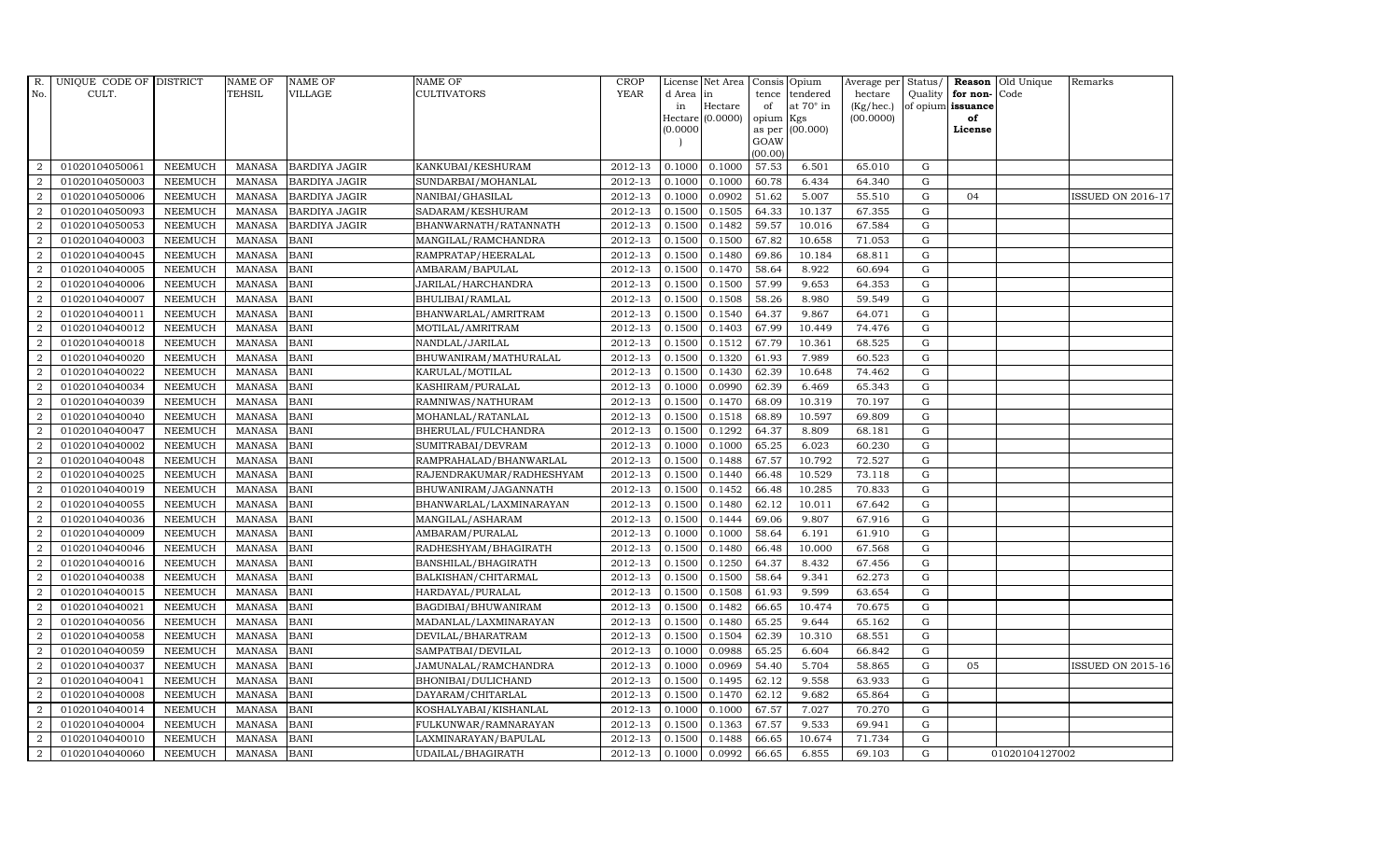| R.             | UNIQUE CODE OF DISTRICT |                | <b>NAME OF</b> | <b>NAME OF</b>       | NAME OF                  | <b>CROP</b> |           | License Net Area | Consis Opium   |                  | Average per Status/ |             |                      | <b>Reason</b> Old Unique | Remarks                  |
|----------------|-------------------------|----------------|----------------|----------------------|--------------------------|-------------|-----------|------------------|----------------|------------------|---------------------|-------------|----------------------|--------------------------|--------------------------|
| No.            | CULT.                   |                | TEHSIL         | <b>VILLAGE</b>       | <b>CULTIVATORS</b>       | <b>YEAR</b> | d Area in |                  | tence          | tendered         | hectare             |             | Quality $ $ for non- | Code                     |                          |
|                |                         |                |                |                      |                          |             | in        | Hectare          | of             | at $70^\circ$ in | (Kg/hec.)           |             | of opium issuance    |                          |                          |
|                |                         |                |                |                      |                          |             |           | Hectare (0.0000) | opium          | Kgs              | (00.0000)           |             | of                   |                          |                          |
|                |                         |                |                |                      |                          |             | (0.0000)  |                  | as per<br>GOAW | (00.000)         |                     |             | License              |                          |                          |
|                |                         |                |                |                      |                          |             |           |                  | (00.00)        |                  |                     |             |                      |                          |                          |
| 2              | 01020104050061          | <b>NEEMUCH</b> | MANASA         | <b>BARDIYA JAGIR</b> | KANKUBAI/KESHURAM        | 2012-13     | 0.1000    | 0.1000           | 57.53          | 6.501            | 65.010              | G           |                      |                          |                          |
| $\overline{2}$ | 01020104050003          | <b>NEEMUCH</b> | <b>MANASA</b>  | <b>BARDIYA JAGIR</b> | SUNDARBAI/MOHANLAL       | 2012-13     | 0.1000    | 0.1000           | 60.78          | 6.434            | 64.340              | $\mathbf G$ |                      |                          |                          |
| $\overline{2}$ | 01020104050006          | <b>NEEMUCH</b> | <b>MANASA</b>  | <b>BARDIYA JAGIR</b> | NANIBAI/GHASILAL         | 2012-13     | 0.1000    | 0.0902           | 51.62          | 5.007            | 55.510              | G           | 04                   |                          | <b>ISSUED ON 2016-17</b> |
| $\overline{2}$ | 01020104050093          | <b>NEEMUCH</b> | <b>MANASA</b>  | <b>BARDIYA JAGIR</b> | SADARAM/KESHURAM         | 2012-13     | 0.1500    | 0.1505           | 64.33          | 10.137           | 67.355              | G           |                      |                          |                          |
| $\overline{a}$ | 01020104050053          | <b>NEEMUCH</b> | <b>MANASA</b>  | <b>BARDIYA JAGIR</b> | BHANWARNATH/RATANNATH    | 2012-13     | 0.1500    | 0.1482           | 59.57          | 10.016           | 67.584              | ${\rm G}$   |                      |                          |                          |
| 2              | 01020104040003          | <b>NEEMUCH</b> | <b>MANASA</b>  | <b>BANI</b>          | MANGILAL/RAMCHANDRA      | 2012-13     | 0.1500    | 0.1500           | 67.82          | 10.658           | 71.053              | G           |                      |                          |                          |
| 2              | 01020104040045          | <b>NEEMUCH</b> | <b>MANASA</b>  | <b>BANI</b>          | RAMPRATAP/HEERALAL       | 2012-13     | 0.1500    | 0.1480           | 69.86          | 10.184           | 68.811              | G           |                      |                          |                          |
| 2              | 01020104040005          | <b>NEEMUCH</b> | <b>MANASA</b>  | <b>BANI</b>          | AMBARAM/BAPULAL          | 2012-13     | 0.1500    | 0.1470           | 58.64          | 8.922            | 60.694              | $\mathbf G$ |                      |                          |                          |
| $\overline{2}$ | 01020104040006          | <b>NEEMUCH</b> | <b>MANASA</b>  | <b>BANI</b>          | JARILAL/HARCHANDRA       | 2012-13     | 0.1500    | 0.1500           | 57.99          | 9.653            | 64.353              | G           |                      |                          |                          |
| $\overline{2}$ | 01020104040007          | <b>NEEMUCH</b> | <b>MANASA</b>  | <b>BANI</b>          | BHULIBAI/RAMLAL          | 2012-13     | 0.1500    | 0.1508           | 58.26          | 8.980            | 59.549              | G           |                      |                          |                          |
| $\overline{a}$ | 01020104040011          | <b>NEEMUCH</b> | <b>MANASA</b>  | <b>BANI</b>          | BHANWARLAL/AMRITRAM      | 2012-13     | 0.1500    | 0.1540           | 64.37          | 9.867            | 64.071              | G           |                      |                          |                          |
| $\overline{2}$ | 01020104040012          | <b>NEEMUCH</b> | <b>MANASA</b>  | <b>BANI</b>          | MOTILAL/AMRITRAM         | 2012-13     | 0.1500    | 0.1403           | 67.99          | 10.449           | 74.476              | G           |                      |                          |                          |
| 2              | 01020104040018          | <b>NEEMUCH</b> | <b>MANASA</b>  | <b>BANI</b>          | NANDLAL/JARILAL          | 2012-13     | 0.1500    | 0.1512           | 67.79          | 10.361           | 68.525              | G           |                      |                          |                          |
| $\overline{2}$ | 01020104040020          | <b>NEEMUCH</b> | <b>MANASA</b>  | <b>BANI</b>          | BHUWANIRAM/MATHURALAL    | 2012-13     | 0.1500    | 0.1320           | 61.93          | 7.989            | 60.523              | G           |                      |                          |                          |
| $\overline{2}$ | 01020104040022          | <b>NEEMUCH</b> | <b>MANASA</b>  | <b>BANI</b>          | KARULAL/MOTILAL          | 2012-13     | 0.1500    | 0.1430           | 62.39          | 10.648           | 74.462              | G           |                      |                          |                          |
| $\overline{2}$ | 01020104040034          | <b>NEEMUCH</b> | <b>MANASA</b>  | <b>BANI</b>          | KASHIRAM/PURALAL         | 2012-13     | 0.1000    | 0.0990           | 62.39          | 6.469            | 65.343              | G           |                      |                          |                          |
| $\overline{2}$ | 01020104040039          | <b>NEEMUCH</b> | <b>MANASA</b>  | <b>BANI</b>          | RAMNIWAS/NATHURAM        | 2012-13     | 0.1500    | 0.1470           | 68.09          | 10.319           | 70.197              | G           |                      |                          |                          |
| 2              | 01020104040040          | <b>NEEMUCH</b> | <b>MANASA</b>  | <b>BANI</b>          | MOHANLAL/RATANLAL        | 2012-13     | 0.1500    | 0.1518           | 68.89          | 10.597           | 69.809              | $\mathbf G$ |                      |                          |                          |
| $\overline{2}$ | 01020104040047          | <b>NEEMUCH</b> | <b>MANASA</b>  | <b>BANI</b>          | BHERULAL/FULCHANDRA      | 2012-13     | 0.1500    | 0.1292           | 64.37          | 8.809            | 68.181              | G           |                      |                          |                          |
| 2              | 01020104040002          | <b>NEEMUCH</b> | <b>MANASA</b>  | <b>BANI</b>          | SUMITRABAI/DEVRAM        | 2012-13     | 0.1000    | 0.1000           | 65.25          | 6.023            | 60.230              | G           |                      |                          |                          |
| $\overline{a}$ | 01020104040048          | <b>NEEMUCH</b> | <b>MANASA</b>  | <b>BANI</b>          | RAMPRAHALAD/BHANWARLAL   | 2012-13     | 0.1500    | 0.1488           | 67.57          | 10.792           | 72.527              | G           |                      |                          |                          |
| $\overline{a}$ | 01020104040025          | <b>NEEMUCH</b> | <b>MANASA</b>  | <b>BANI</b>          | RAJENDRAKUMAR/RADHESHYAM | 2012-13     | 0.1500    | 0.1440           | 66.48          | 10.529           | 73.118              | G           |                      |                          |                          |
| $\overline{2}$ | 01020104040019          | <b>NEEMUCH</b> | MANASA         | <b>BANI</b>          | BHUWANIRAM/JAGANNATH     | 2012-13     | 0.1500    | 0.1452           | 66.48          | 10.285           | 70.833              | G           |                      |                          |                          |
| $\overline{2}$ | 01020104040055          | <b>NEEMUCH</b> | <b>MANASA</b>  | <b>BANI</b>          | BHANWARLAL/LAXMINARAYAN  | 2012-13     | 0.1500    | 0.1480           | 62.12          | 10.011           | 67.642              | G           |                      |                          |                          |
| 2              | 01020104040036          | <b>NEEMUCH</b> | <b>MANASA</b>  | <b>BANI</b>          | MANGILAL/ASHARAM         | 2012-13     | 0.1500    | 0.1444           | 69.06          | 9.807            | 67.916              | G           |                      |                          |                          |
| $\overline{2}$ | 01020104040009          | <b>NEEMUCH</b> | <b>MANASA</b>  | <b>BANI</b>          | AMBARAM/PURALAL          | 2012-13     | 0.1000    | 0.1000           | 58.64          | 6.191            | 61.910              | G           |                      |                          |                          |
| 2              | 01020104040046          | <b>NEEMUCH</b> | <b>MANASA</b>  | <b>BANI</b>          | RADHESHYAM/BHAGIRATH     | 2012-13     | 0.1500    | 0.1480           | 66.48          | 10.000           | 67.568              | G           |                      |                          |                          |
| 2              | 01020104040016          | <b>NEEMUCH</b> | <b>MANASA</b>  | <b>BANI</b>          | BANSHILAL/BHAGIRATH      | 2012-13     | 0.1500    | 0.1250           | 64.37          | 8.432            | 67.456              | G           |                      |                          |                          |
| 2              | 01020104040038          | <b>NEEMUCH</b> | <b>MANASA</b>  | <b>BANI</b>          | BALKISHAN/CHITARMAL      | 2012-13     | 0.1500    | 0.1500           | 58.64          | 9.341            | 62.273              | ${\bf G}$   |                      |                          |                          |
| $\overline{2}$ | 01020104040015          | <b>NEEMUCH</b> | <b>MANASA</b>  | <b>BANI</b>          | HARDAYAL/PURALAL         | 2012-13     | 0.1500    | 0.1508           | 61.93          | 9.599            | 63.654              | G           |                      |                          |                          |
| $\overline{2}$ | 01020104040021          | <b>NEEMUCH</b> | <b>MANASA</b>  | <b>BANI</b>          | BAGDIBAI/BHUWANIRAM      | 2012-13     | 0.1500    | 0.1482           | 66.65          | 10.474           | 70.675              | G           |                      |                          |                          |
| $\overline{2}$ | 01020104040056          | <b>NEEMUCH</b> | <b>MANASA</b>  | <b>BANI</b>          | MADANLAL/LAXMINARAYAN    | 2012-13     | 0.1500    | 0.1480           | 65.25          | 9.644            | 65.162              | G           |                      |                          |                          |
| $\overline{a}$ | 01020104040058          | <b>NEEMUCH</b> | <b>MANASA</b>  | <b>BANI</b>          | DEVILAL/BHARATRAM        | 2012-13     | 0.1500    | 0.1504           | 62.39          | 10.310           | 68.551              | G           |                      |                          |                          |
| 2              | 01020104040059          | <b>NEEMUCH</b> | <b>MANASA</b>  | <b>BANI</b>          | SAMPATBAI/DEVILAL        | 2012-13     | 0.1000    | 0.0988           | 65.25          | 6.604            | 66.842              | G           |                      |                          |                          |
| 2              | 01020104040037          | <b>NEEMUCH</b> | <b>MANASA</b>  | <b>BANI</b>          | JAMUNALAL/RAMCHANDRA     | 2012-13     | 0.1000    | 0.0969           | 54.40          | 5.704            | 58.865              | G           | 05                   |                          | <b>ISSUED ON 2015-16</b> |
| $\overline{a}$ | 01020104040041          | <b>NEEMUCH</b> | <b>MANASA</b>  | <b>BANI</b>          | BHONIBAI/DULICHAND       | 2012-13     | 0.1500    | 0.1495           | 62.12          | 9.558            | 63.933              | G           |                      |                          |                          |
| $\overline{2}$ | 01020104040008          | <b>NEEMUCH</b> | <b>MANASA</b>  | <b>BANI</b>          | DAYARAM/CHITARLAL        | 2012-13     | 0.1500    | 0.1470           | 62.12          | 9.682            | 65.864              | G           |                      |                          |                          |
| $\overline{a}$ | 01020104040014          | <b>NEEMUCH</b> | <b>MANASA</b>  | <b>BANI</b>          | KOSHALYABAI/KISHANLAL    | 2012-13     | 0.1000    | 0.1000           | 67.57          | 7.027            | 70.270              | $\mathbf G$ |                      |                          |                          |
| $\overline{2}$ | 01020104040004          | <b>NEEMUCH</b> | <b>MANASA</b>  | <b>BANI</b>          | FULKUNWAR/RAMNARAYAN     | 2012-13     | 0.1500    | 0.1363           | 67.57          | 9.533            | 69.941              | G           |                      |                          |                          |
| 2              | 01020104040010          | <b>NEEMUCH</b> | <b>MANASA</b>  | <b>BANI</b>          | LAXMINARAYAN/BAPULAL     | 2012-13     | 0.1500    | 0.1488           | 66.65          | 10.674           | 71.734              | G           |                      |                          |                          |
| $\overline{a}$ | 01020104040060          | NEEMUCH        | MANASA         | <b>BANI</b>          | UDAILAL/BHAGIRATH        | 2012-13     | 0.1000    | 0.0992           | 66.65          | 6.855            | 69.103              | G           |                      | 01020104127002           |                          |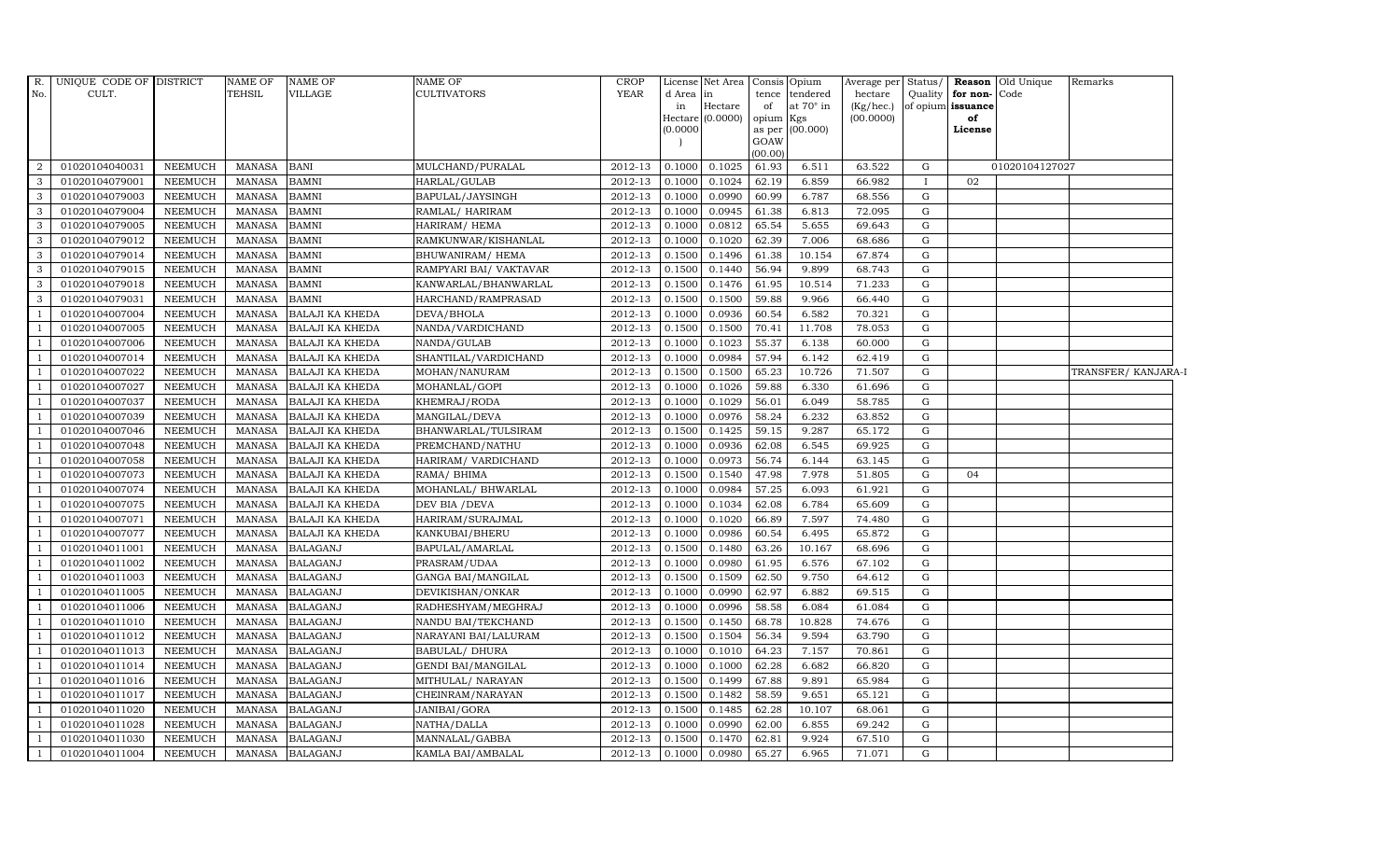| $R$ .          | UNIQUE CODE OF DISTRICT |                | <b>NAME OF</b> | <b>NAME OF</b>         | <b>NAME OF</b>            | <b>CROP</b> |           | License Net Area Consis Opium |           |                  | Average per Status/ |              |                   | <b>Reason</b> Old Unique | Remarks            |
|----------------|-------------------------|----------------|----------------|------------------------|---------------------------|-------------|-----------|-------------------------------|-----------|------------------|---------------------|--------------|-------------------|--------------------------|--------------------|
| No.            | CULT.                   |                | <b>TEHSIL</b>  | VILLAGE                | <b>CULTIVATORS</b>        | <b>YEAR</b> | d Area in |                               |           | tence tendered   | hectare             | Quality      | for non-Code      |                          |                    |
|                |                         |                |                |                        |                           |             | in        | Hectare                       | of        | at $70^\circ$ in | (Kg/hec.)           |              | of opium issuance |                          |                    |
|                |                         |                |                |                        |                           |             | (0.0000)  | Hectare $(0.0000)$            | opium Kgs | as per (00.000)  | (00.0000)           |              | of<br>License     |                          |                    |
|                |                         |                |                |                        |                           |             |           |                               | GOAW      |                  |                     |              |                   |                          |                    |
|                |                         |                |                |                        |                           |             |           |                               | (00.00)   |                  |                     |              |                   |                          |                    |
| $\overline{2}$ | 01020104040031          | <b>NEEMUCH</b> | MANASA         | <b>BANI</b>            | MULCHAND/PURALAL          | 2012-13     | 0.1000    | 0.1025                        | 61.93     | 6.511            | 63.522              | G            |                   | 01020104127027           |                    |
| 3              | 01020104079001          | <b>NEEMUCH</b> | <b>MANASA</b>  | <b>BAMNI</b>           | HARLAL/GULAB              | 2012-13     | 0.1000    | 0.1024                        | 62.19     | 6.859            | 66.982              | $\mathbf{I}$ | 02                |                          |                    |
| 3              | 01020104079003          | <b>NEEMUCH</b> | <b>MANASA</b>  | <b>BAMNI</b>           | BAPULAL/JAYSINGH          | 2012-13     | 0.1000    | 0.0990                        | 60.99     | 6.787            | 68.556              | G            |                   |                          |                    |
| 3              | 01020104079004          | <b>NEEMUCH</b> | <b>MANASA</b>  | <b>BAMNI</b>           | RAMLAL/HARIRAM            | 2012-13     | 0.1000    | 0.0945                        | 61.38     | 6.813            | 72.095              | G            |                   |                          |                    |
| 3              | 01020104079005          | <b>NEEMUCH</b> | <b>MANASA</b>  | <b>BAMNI</b>           | HARIRAM/ HEMA             | 2012-13     | 0.1000    | 0.0812                        | 65.54     | 5.655            | 69.643              | G            |                   |                          |                    |
| 3              | 01020104079012          | <b>NEEMUCH</b> | <b>MANASA</b>  | <b>BAMNI</b>           | RAMKUNWAR/KISHANLAL       | 2012-13     | 0.1000    | 0.1020                        | 62.39     | 7.006            | 68.686              | G            |                   |                          |                    |
| 3              | 01020104079014          | <b>NEEMUCH</b> | <b>MANASA</b>  | <b>BAMNI</b>           | BHUWANIRAM/HEMA           | 2012-13     | 0.1500    | 0.1496                        | 61.38     | 10.154           | 67.874              | ${\rm G}$    |                   |                          |                    |
| 3              | 01020104079015          | <b>NEEMUCH</b> | <b>MANASA</b>  | <b>BAMNI</b>           | RAMPYARI BAI/ VAKTAVAR    | 2012-13     | 0.1500    | 0.1440                        | 56.94     | 9.899            | 68.743              | ${\rm G}$    |                   |                          |                    |
| 3              | 01020104079018          | <b>NEEMUCH</b> | <b>MANASA</b>  | <b>BAMNI</b>           | KANWARLAL/BHANWARLAL      | 2012-13     | 0.1500    | 0.1476                        | 61.95     | 10.514           | 71.233              | G            |                   |                          |                    |
| 3              | 01020104079031          | <b>NEEMUCH</b> | <b>MANASA</b>  | <b>BAMNI</b>           | HARCHAND/RAMPRASAD        | 2012-13     | 0.1500    | 0.1500                        | 59.88     | 9.966            | 66.440              | G            |                   |                          |                    |
| -1             | 01020104007004          | <b>NEEMUCH</b> | <b>MANASA</b>  | <b>BALAJI KA KHEDA</b> | DEVA/BHOLA                | 2012-13     | 0.1000    | 0.0936                        | 60.54     | 6.582            | 70.321              | G            |                   |                          |                    |
|                | 01020104007005          | <b>NEEMUCH</b> | <b>MANASA</b>  | <b>BALAJI KA KHEDA</b> | NANDA/VARDICHAND          | 2012-13     | 0.1500    | 0.1500                        | 70.41     | 11.708           | 78.053              | G            |                   |                          |                    |
|                | 01020104007006          | <b>NEEMUCH</b> | <b>MANASA</b>  | <b>BALAJI KA KHEDA</b> | NANDA/GULAB               | 2012-13     | 0.1000    | 0.1023                        | 55.37     | 6.138            | 60.000              | ${\rm G}$    |                   |                          |                    |
|                | 01020104007014          | <b>NEEMUCH</b> | <b>MANASA</b>  | <b>BALAJI KA KHEDA</b> | SHANTILAL/VARDICHAND      | 2012-13     | 0.1000    | 0.0984                        | 57.94     | 6.142            | 62.419              | G            |                   |                          |                    |
|                | 01020104007022          | <b>NEEMUCH</b> | <b>MANASA</b>  | <b>BALAJI KA KHEDA</b> | MOHAN/NANURAM             | 2012-13     | 0.1500    | 0.1500                        | 65.23     | 10.726           | 71.507              | ${\rm G}$    |                   |                          | TRANSFER/KANJARA-I |
|                | 01020104007027          | <b>NEEMUCH</b> | <b>MANASA</b>  | <b>BALAJI KA KHEDA</b> | MOHANLAL/GOPI             | 2012-13     | 0.1000    | 0.1026                        | 59.88     | 6.330            | 61.696              | G            |                   |                          |                    |
|                | 01020104007037          | <b>NEEMUCH</b> | <b>MANASA</b>  | <b>BALAJI KA KHEDA</b> | KHEMRAJ/RODA              | 2012-13     | 0.1000    | 0.1029                        | 56.01     | 6.049            | 58.785              | G            |                   |                          |                    |
| $\mathbf{1}$   | 01020104007039          | <b>NEEMUCH</b> | <b>MANASA</b>  | <b>BALAJI KA KHEDA</b> | MANGILAL/DEVA             | 2012-13     | 0.1000    | 0.0976                        | 58.24     | 6.232            | 63.852              | G            |                   |                          |                    |
|                | 01020104007046          | <b>NEEMUCH</b> | <b>MANASA</b>  | <b>BALAJI KA KHEDA</b> | BHANWARLAL/TULSIRAM       | 2012-13     | 0.1500    | 0.1425                        | 59.15     | 9.287            | 65.172              | ${\rm G}$    |                   |                          |                    |
|                | 01020104007048          | <b>NEEMUCH</b> | <b>MANASA</b>  | <b>BALAJI KA KHEDA</b> | PREMCHAND/NATHU           | 2012-13     | 0.1000    | 0.0936                        | 62.08     | 6.545            | 69.925              | G            |                   |                          |                    |
|                | 01020104007058          | <b>NEEMUCH</b> | <b>MANASA</b>  | <b>BALAJI KA KHEDA</b> | HARIRAM/ VARDICHAND       | 2012-13     | 0.1000    | 0.0973                        | 56.74     | 6.144            | 63.145              | G            |                   |                          |                    |
|                | 01020104007073          | <b>NEEMUCH</b> | <b>MANASA</b>  | <b>BALAJI KA KHEDA</b> | RAMA/ BHIMA               | 2012-13     | 0.1500    | 0.1540                        | 47.98     | 7.978            | 51.805              | G            | 04                |                          |                    |
|                | 01020104007074          | <b>NEEMUCH</b> | MANASA         | <b>BALAJI KA KHEDA</b> | MOHANLAL/ BHWARLAL        | 2012-13     | 0.1000    | 0.0984                        | 57.25     | 6.093            | 61.921              | G            |                   |                          |                    |
|                | 01020104007075          | <b>NEEMUCH</b> | <b>MANASA</b>  | <b>BALAJI KA KHEDA</b> | DEV BIA / DEVA            | 2012-13     | 0.1000    | 0.1034                        | 62.08     | 6.784            | 65.609              | ${\rm G}$    |                   |                          |                    |
|                | 01020104007071          | <b>NEEMUCH</b> | <b>MANASA</b>  | <b>BALAJI KA KHEDA</b> | HARIRAM/SURAJMAL          | 2012-13     | 0.1000    | 0.1020                        | 66.89     | 7.597            | 74.480              | G            |                   |                          |                    |
|                | 01020104007077          | <b>NEEMUCH</b> | <b>MANASA</b>  | <b>BALAJI KA KHEDA</b> | KANKUBAI/BHERU            | 2012-13     | 0.1000    | 0.0986                        | 60.54     | 6.495            | 65.872              | G            |                   |                          |                    |
|                | 01020104011001          | <b>NEEMUCH</b> | <b>MANASA</b>  | <b>BALAGANJ</b>        | BAPULAL/AMARLAL           | 2012-13     | 0.1500    | 0.1480                        | 63.26     | 10.167           | 68.696              | ${\rm G}$    |                   |                          |                    |
|                | 01020104011002          | <b>NEEMUCH</b> | <b>MANASA</b>  | <b>BALAGANJ</b>        | PRASRAM/UDAA              | 2012-13     | 0.1000    | 0.0980                        | 61.95     | 6.576            | 67.102              | ${\rm G}$    |                   |                          |                    |
|                | 01020104011003          | <b>NEEMUCH</b> | <b>MANASA</b>  | <b>BALAGANJ</b>        | GANGA BAI/MANGILAL        | 2012-13     | 0.1500    | 0.1509                        | 62.50     | 9.750            | 64.612              | ${\rm G}$    |                   |                          |                    |
|                | 01020104011005          | <b>NEEMUCH</b> | <b>MANASA</b>  | <b>BALAGANJ</b>        | DEVIKISHAN/ONKAR          | 2012-13     | 0.1000    | 0.0990                        | 62.97     | 6.882            | 69.515              | G            |                   |                          |                    |
|                | 01020104011006          | <b>NEEMUCH</b> | <b>MANASA</b>  | <b>BALAGANJ</b>        | RADHESHYAM/MEGHRAJ        | 2012-13     | 0.1000    | 0.0996                        | 58.58     | 6.084            | 61.084              | G            |                   |                          |                    |
|                | 01020104011010          | <b>NEEMUCH</b> | <b>MANASA</b>  | <b>BALAGANJ</b>        | NANDU BAI/TEKCHAND        | 2012-13     | 0.1500    | 0.1450                        | 68.78     | 10.828           | 74.676              | G            |                   |                          |                    |
|                | 01020104011012          | <b>NEEMUCH</b> | <b>MANASA</b>  | <b>BALAGANJ</b>        | NARAYANI BAI/LALURAM      | 2012-13     | 0.1500    | 0.1504                        | 56.34     | 9.594            | 63.790              | ${\rm G}$    |                   |                          |                    |
|                | 01020104011013          | <b>NEEMUCH</b> | <b>MANASA</b>  | <b>BALAGANJ</b>        | <b>BABULAL/ DHURA</b>     | 2012-13     | 0.1000    | 0.1010                        | 64.23     | 7.157            | 70.861              | ${\rm G}$    |                   |                          |                    |
|                | 01020104011014          | <b>NEEMUCH</b> | <b>MANASA</b>  | <b>BALAGANJ</b>        | <b>GENDI BAI/MANGILAL</b> | 2012-13     | 0.1000    | 0.1000                        | 62.28     | 6.682            | 66.820              | G            |                   |                          |                    |
|                | 01020104011016          | <b>NEEMUCH</b> | <b>MANASA</b>  | <b>BALAGANJ</b>        | MITHULAL/ NARAYAN         | 2012-13     | 0.1500    | 0.1499                        | 67.88     | 9.891            | 65.984              | G            |                   |                          |                    |
|                | 01020104011017          | <b>NEEMUCH</b> | <b>MANASA</b>  | <b>BALAGANJ</b>        | CHEINRAM/NARAYAN          | 2012-13     | 0.1500    | 0.1482                        | 58.59     | 9.651            | 65.121              | G            |                   |                          |                    |
|                | 01020104011020          | <b>NEEMUCH</b> | <b>MANASA</b>  | <b>BALAGANJ</b>        | JANIBAI/GORA              | 2012-13     | 0.1500    | 0.1485                        | 62.28     | 10.107           | 68.061              | G            |                   |                          |                    |
| $\overline{1}$ | 01020104011028          | <b>NEEMUCH</b> | MANASA         | <b>BALAGANJ</b>        | NATHA/DALLA               | 2012-13     | 0.1000    | 0.0990                        | 62.00     | 6.855            | 69.242              | ${\rm G}$    |                   |                          |                    |
|                | 01020104011030          | <b>NEEMUCH</b> | <b>MANASA</b>  | <b>BALAGANJ</b>        | MANNALAL/GABBA            | 2012-13     | 0.1500    | 0.1470                        | 62.81     | 9.924            | 67.510              | G            |                   |                          |                    |
| $\mathbf{1}$   | 01020104011004          | <b>NEEMUCH</b> | MANASA         | <b>BALAGANJ</b>        | KAMLA BAI/AMBALAL         | 2012-13     | 0.1000    | 0.0980                        | 65.27     | 6.965            | 71.071              | ${\rm G}$    |                   |                          |                    |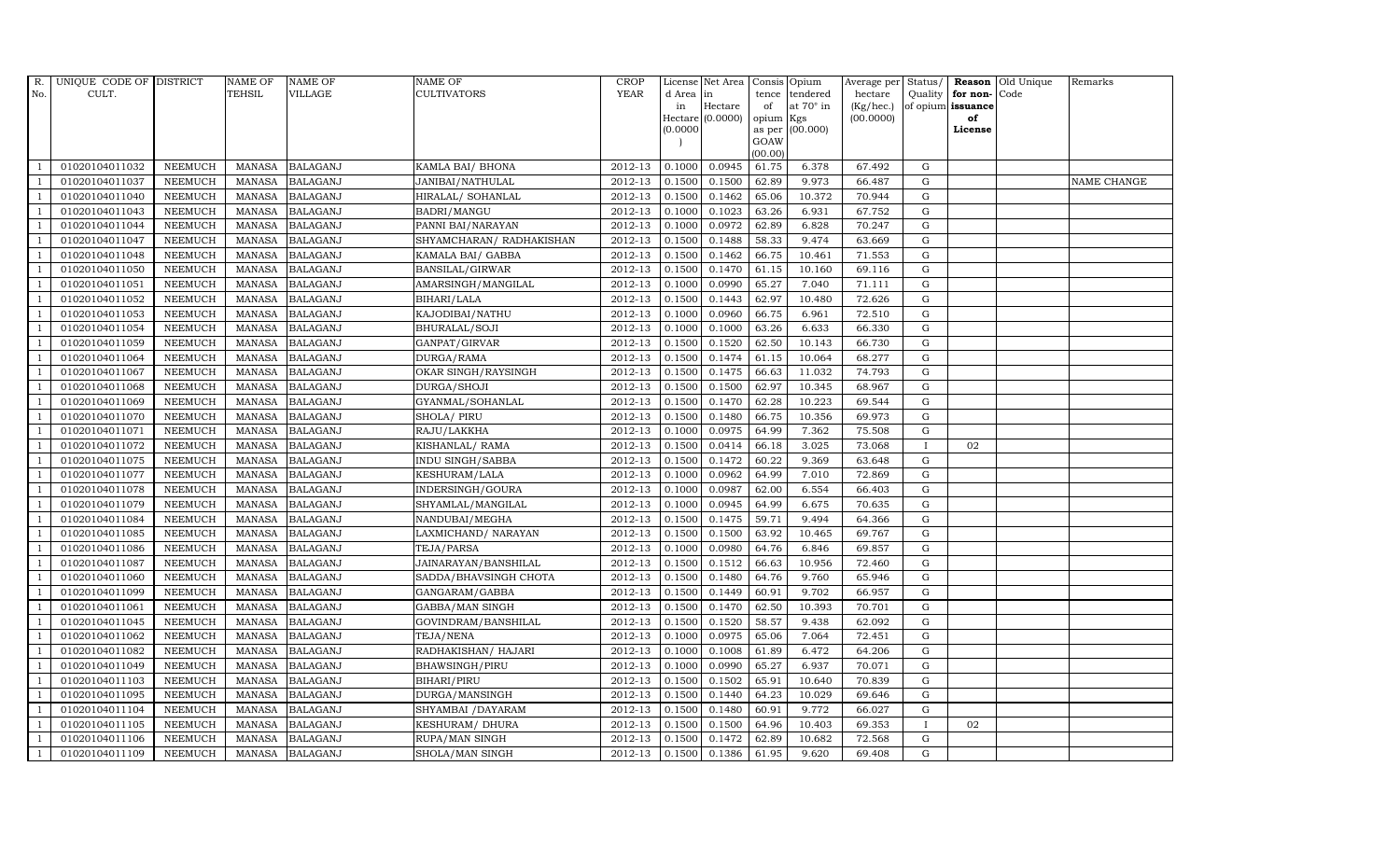| R.             | UNIQUE CODE OF DISTRICT |                | <b>NAME OF</b> | <b>NAME OF</b>  | <b>NAME OF</b>           | CROP        |           | License Net Area Consis Opium |           |                  | Average per Status/ |              |                   | <b>Reason</b> Old Unique | Remarks     |
|----------------|-------------------------|----------------|----------------|-----------------|--------------------------|-------------|-----------|-------------------------------|-----------|------------------|---------------------|--------------|-------------------|--------------------------|-------------|
| No.            | CULT.                   |                | <b>TEHSIL</b>  | <b>VILLAGE</b>  | <b>CULTIVATORS</b>       | <b>YEAR</b> | d Area in |                               |           | tence tendered   | hectare             | Quality      | for non-          | Code                     |             |
|                |                         |                |                |                 |                          |             | in        | Hectare                       | of        | at $70^\circ$ in | (Kg/hec.)           |              | of opium issuance |                          |             |
|                |                         |                |                |                 |                          |             |           | Hectare (0.0000)              | opium Kgs |                  | (00.0000)           |              | of                |                          |             |
|                |                         |                |                |                 |                          |             | (0.0000)  |                               | GOAW      | as per (00.000)  |                     |              | License           |                          |             |
|                |                         |                |                |                 |                          |             |           |                               | (00.00)   |                  |                     |              |                   |                          |             |
|                | 01020104011032          | <b>NEEMUCH</b> | MANASA         | <b>BALAGANJ</b> | KAMLA BAI/ BHONA         | 2012-13     | 0.1000    | 0.0945                        | 61.75     | 6.378            | 67.492              | $\mathbf G$  |                   |                          |             |
| -1             | 01020104011037          | <b>NEEMUCH</b> | MANASA         | <b>BALAGANJ</b> | JANIBAI/NATHULAL         | 2012-13     | 0.1500    | 0.1500                        | 62.89     | 9.973            | 66.487              | G            |                   |                          | NAME CHANGE |
|                | 01020104011040          | <b>NEEMUCH</b> | <b>MANASA</b>  | <b>BALAGANJ</b> | HIRALAL/ SOHANLAL        | 2012-13     | 0.1500    | 0.1462                        | 65.06     | 10.372           | 70.944              | G            |                   |                          |             |
|                | 01020104011043          | <b>NEEMUCH</b> | MANASA         | <b>BALAGANJ</b> | BADRI/MANGU              | 2012-13     | 0.1000    | 0.1023                        | 63.26     | 6.931            | 67.752              | $\mathbf G$  |                   |                          |             |
| $\overline{1}$ | 01020104011044          | <b>NEEMUCH</b> | <b>MANASA</b>  | <b>BALAGANJ</b> | PANNI BAI/NARAYAN        | 2012-13     | 0.1000    | 0.0972                        | 62.89     | 6.828            | 70.247              | ${\rm G}$    |                   |                          |             |
| $\overline{1}$ | 01020104011047          | <b>NEEMUCH</b> | MANASA         | <b>BALAGANJ</b> | SHYAMCHARAN/ RADHAKISHAN | 2012-13     | 0.1500    | 0.1488                        | 58.33     | 9.474            | 63.669              | G            |                   |                          |             |
| $\overline{1}$ | 01020104011048          | <b>NEEMUCH</b> | <b>MANASA</b>  | <b>BALAGANJ</b> | KAMALA BAI/ GABBA        | 2012-13     | 0.1500    | 0.1462                        | 66.75     | 10.461           | 71.553              | ${\rm G}$    |                   |                          |             |
| $\overline{1}$ | 01020104011050          | <b>NEEMUCH</b> | <b>MANASA</b>  | <b>BALAGANJ</b> | BANSILAL/GIRWAR          | 2012-13     | 0.1500    | 0.1470                        | 61.15     | 10.160           | 69.116              | $\mathbf G$  |                   |                          |             |
|                | 01020104011051          | <b>NEEMUCH</b> | <b>MANASA</b>  | <b>BALAGANJ</b> | AMARSINGH/MANGILAL       | 2012-13     | 0.1000    | 0.0990                        | 65.27     | 7.040            | 71.111              | $\mathbf G$  |                   |                          |             |
|                | 01020104011052          | <b>NEEMUCH</b> | <b>MANASA</b>  | <b>BALAGANJ</b> | BIHARI/LALA              | 2012-13     | 0.1500    | 0.1443                        | 62.97     | 10.480           | 72.626              | ${\rm G}$    |                   |                          |             |
| $\overline{1}$ | 01020104011053          | <b>NEEMUCH</b> | <b>MANASA</b>  | <b>BALAGANJ</b> | KAJODIBAI/NATHU          | 2012-13     | 0.1000    | 0.0960                        | 66.75     | 6.961            | 72.510              | ${\rm G}$    |                   |                          |             |
| $\overline{1}$ | 01020104011054          | <b>NEEMUCH</b> | MANASA         | <b>BALAGANJ</b> | BHURALAL/SOJI            | 2012-13     | 0.1000    | 0.1000                        | 63.26     | 6.633            | 66.330              | $\mathbf G$  |                   |                          |             |
| $\overline{1}$ | 01020104011059          | <b>NEEMUCH</b> | <b>MANASA</b>  | <b>BALAGANJ</b> | GANPAT/GIRVAR            | 2012-13     | 0.1500    | 0.1520                        | 62.50     | 10.143           | 66.730              | $\mathbf G$  |                   |                          |             |
|                | 01020104011064          | <b>NEEMUCH</b> | MANASA         | <b>BALAGANJ</b> | DURGA/RAMA               | 2012-13     | 0.1500    | 0.1474                        | 61.15     | 10.064           | 68.277              | G            |                   |                          |             |
| $\overline{1}$ | 01020104011067          | <b>NEEMUCH</b> | <b>MANASA</b>  | <b>BALAGANJ</b> | OKAR SINGH/RAYSINGH      | 2012-13     | 0.1500    | 0.1475                        | 66.63     | 11.032           | 74.793              | G            |                   |                          |             |
| -1             | 01020104011068          | <b>NEEMUCH</b> | <b>MANASA</b>  | <b>BALAGANJ</b> | DURGA/SHOJI              | 2012-13     | 0.1500    | 0.1500                        | 62.97     | 10.345           | 68.967              | ${\rm G}$    |                   |                          |             |
| $\overline{1}$ | 01020104011069          | <b>NEEMUCH</b> | <b>MANASA</b>  | <b>BALAGANJ</b> | GYANMAL/SOHANLAL         | 2012-13     | 0.1500    | 0.1470                        | 62.28     | 10.223           | 69.544              | $\mathbf G$  |                   |                          |             |
| $\overline{1}$ | 01020104011070          | <b>NEEMUCH</b> | MANASA         | <b>BALAGANJ</b> | SHOLA/ PIRU              | 2012-13     | 0.1500    | 0.1480                        | 66.75     | 10.356           | 69.973              | G            |                   |                          |             |
|                | 01020104011071          | <b>NEEMUCH</b> | <b>MANASA</b>  | <b>BALAGANJ</b> | RAJU/LAKKHA              | 2012-13     | 0.1000    | 0.0975                        | 64.99     | 7.362            | 75.508              | $\mathbf G$  |                   |                          |             |
|                | 01020104011072          | <b>NEEMUCH</b> | <b>MANASA</b>  | <b>BALAGANJ</b> | KISHANLAL/ RAMA          | 2012-13     | 0.1500    | 0.0414                        | 66.18     | 3.025            | 73.068              |              | 02                |                          |             |
| -1             | 01020104011075          | <b>NEEMUCH</b> | <b>MANASA</b>  | <b>BALAGANJ</b> | INDU SINGH/SABBA         | 2012-13     | 0.1500    | 0.1472                        | 60.22     | 9.369            | 63.648              | G            |                   |                          |             |
| $\overline{1}$ | 01020104011077          | <b>NEEMUCH</b> | <b>MANASA</b>  | <b>BALAGANJ</b> | KESHURAM/LALA            | 2012-13     | 0.1000    | 0.0962                        | 64.99     | 7.010            | 72.869              | ${\rm G}$    |                   |                          |             |
| $\overline{1}$ | 01020104011078          | <b>NEEMUCH</b> | MANASA         | <b>BALAGANJ</b> | INDERSINGH/GOURA         | 2012-13     | 0.1000    | 0.0987                        | 62.00     | 6.554            | 66.403              | G            |                   |                          |             |
|                | 01020104011079          | <b>NEEMUCH</b> | <b>MANASA</b>  | <b>BALAGANJ</b> | SHYAMLAL/MANGILAL        | 2012-13     | 0.1000    | 0.0945                        | 64.99     | 6.675            | 70.635              | $\mathbf G$  |                   |                          |             |
|                | 01020104011084          | <b>NEEMUCH</b> | <b>MANASA</b>  | <b>BALAGANJ</b> | NANDUBAI/MEGHA           | 2012-13     | 0.1500    | 0.1475                        | 59.71     | 9.494            | 64.366              | ${\rm G}$    |                   |                          |             |
| - 1            | 01020104011085          | <b>NEEMUCH</b> | <b>MANASA</b>  | <b>BALAGANJ</b> | LAXMICHAND/ NARAYAN      | 2012-13     | 0.1500    | 0.1500                        | 63.92     | 10.465           | 69.767              | G            |                   |                          |             |
| -1             | 01020104011086          | <b>NEEMUCH</b> | <b>MANASA</b>  | <b>BALAGANJ</b> | TEJA/PARSA               | 2012-13     | 0.1000    | 0.0980                        | 64.76     | 6.846            | 69.857              | ${\rm G}$    |                   |                          |             |
| $\overline{1}$ | 01020104011087          | <b>NEEMUCH</b> | MANASA         | <b>BALAGANJ</b> | JAINARAYAN/BANSHILAL     | 2012-13     | 0.1500    | 0.1512                        | 66.63     | 10.956           | 72.460              | $\mathbf G$  |                   |                          |             |
| $\overline{1}$ | 01020104011060          | <b>NEEMUCH</b> | <b>MANASA</b>  | <b>BALAGANJ</b> | SADDA/BHAVSINGH CHOTA    | 2012-13     | 0.1500    | 0.1480                        | 64.76     | 9.760            | 65.946              | $\mathbf G$  |                   |                          |             |
|                | 01020104011099          | <b>NEEMUCH</b> | <b>MANASA</b>  | <b>BALAGANJ</b> | GANGARAM/GABBA           | 2012-13     | 0.1500    | 0.1449                        | 60.91     | 9.702            | 66.957              | G            |                   |                          |             |
| $\overline{1}$ | 01020104011061          | <b>NEEMUCH</b> | MANASA         | <b>BALAGANJ</b> | GABBA/MAN SINGH          | 2012-13     | 0.1500    | 0.1470                        | 62.50     | 10.393           | 70.701              | G            |                   |                          |             |
|                | 01020104011045          | <b>NEEMUCH</b> | MANASA         | <b>BALAGANJ</b> | GOVINDRAM/BANSHILAL      | 2012-13     | 0.1500    | 0.1520                        | 58.57     | 9.438            | 62.092              | ${\rm G}$    |                   |                          |             |
| $\overline{1}$ | 01020104011062          | <b>NEEMUCH</b> | MANASA         | <b>BALAGANJ</b> | TEJA/NENA                | $2012 - 13$ | 0.1000    | 0.0975                        | 65.06     | 7.064            | 72.451              | ${\rm G}$    |                   |                          |             |
| $\overline{1}$ | 01020104011082          | <b>NEEMUCH</b> | <b>MANASA</b>  | <b>BALAGANJ</b> | RADHAKISHAN/ HAJARI      | 2012-13     | 0.1000    | 0.1008                        | 61.89     | 6.472            | 64.206              | $\mathbf G$  |                   |                          |             |
|                | 01020104011049          | <b>NEEMUCH</b> | <b>MANASA</b>  | <b>BALAGANJ</b> | <b>BHAWSINGH/PIRU</b>    | 2012-13     | 0.1000    | 0.0990                        | 65.27     | 6.937            | 70.071              | $\mathbf G$  |                   |                          |             |
| $\overline{1}$ | 01020104011103          | <b>NEEMUCH</b> | <b>MANASA</b>  | <b>BALAGANJ</b> | BIHARI/PIRU              | 2012-13     | 0.1500    | 0.1502                        | 65.91     | 10.640           | 70.839              | ${\rm G}$    |                   |                          |             |
| $\overline{1}$ | 01020104011095          | <b>NEEMUCH</b> | <b>MANASA</b>  | <b>BALAGANJ</b> | DURGA/MANSINGH           | 2012-13     | 0.1500    | 0.1440                        | 64.23     | 10.029           | 69.646              | ${\rm G}$    |                   |                          |             |
| $\mathbf{1}$   | 01020104011104          | <b>NEEMUCH</b> | <b>MANASA</b>  | <b>BALAGANJ</b> | SHYAMBAI / DAYARAM       | $2012 - 13$ | 0.1500    | 0.1480                        | 60.91     | 9.772            | 66.027              | $\mathbf G$  |                   |                          |             |
| $\overline{1}$ | 01020104011105          | <b>NEEMUCH</b> | <b>MANASA</b>  | <b>BALAGANJ</b> | KESHURAM/ DHURA          | 2012-13     | 0.1500    | 0.1500                        | 64.96     | 10.403           | 69.353              | $\mathbf{I}$ | 02                |                          |             |
|                | 01020104011106          | <b>NEEMUCH</b> | <b>MANASA</b>  | <b>BALAGANJ</b> | RUPA/MAN SINGH           | 2012-13     | 0.1500    | 0.1472                        | 62.89     | 10.682           | 72.568              | G            |                   |                          |             |
| $\mathbf{1}$   | 01020104011109          | <b>NEEMUCH</b> |                | MANASA BALAGANJ | SHOLA/MAN SINGH          | 2012-13     | 0.1500    | 0.1386                        | 61.95     | 9.620            | 69.408              | G            |                   |                          |             |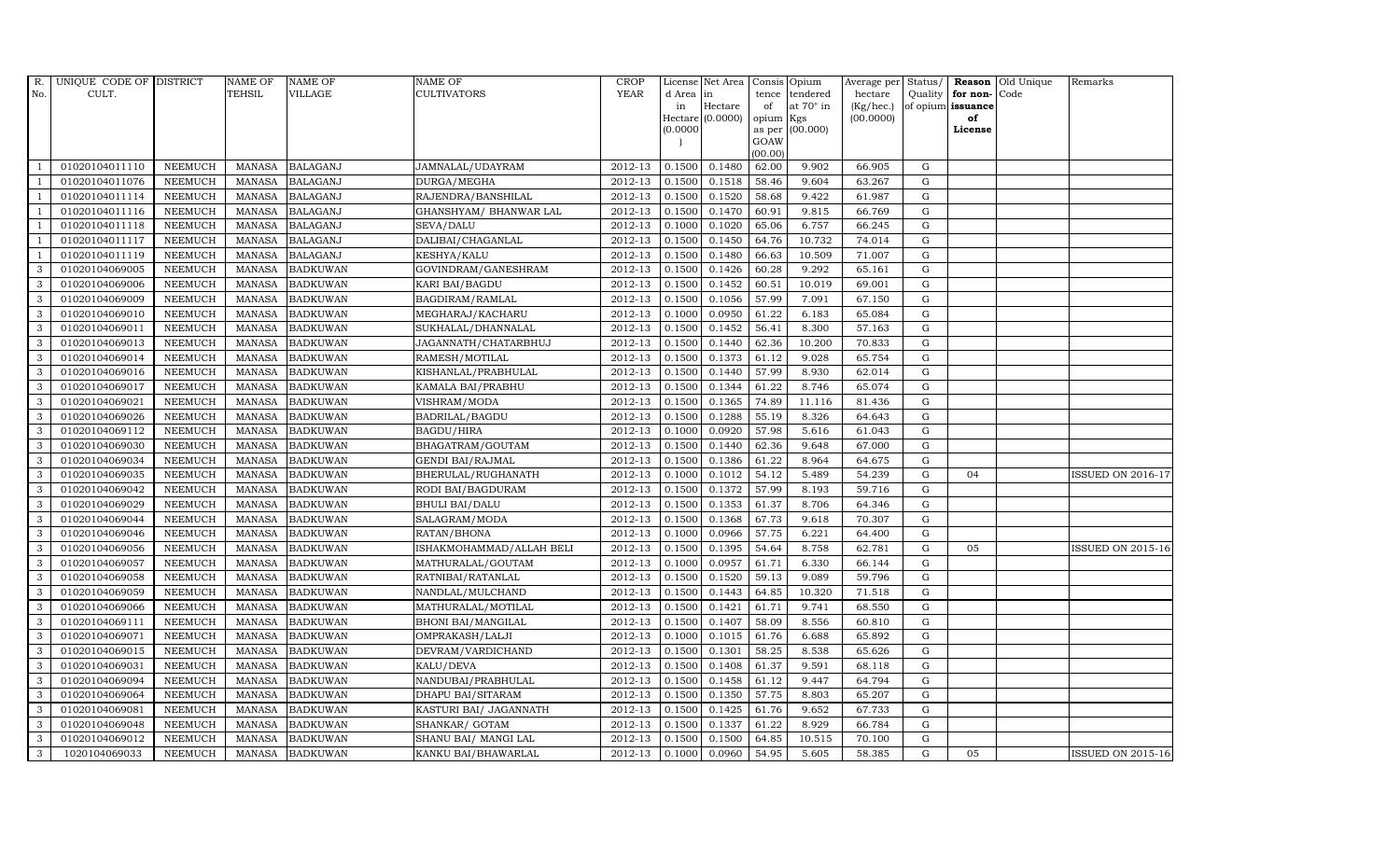| R.             | UNIQUE CODE OF DISTRICT |                | <b>NAME OF</b> | <b>NAME OF</b>  | <b>NAME OF</b>            | CROP        |          | License Net Area   Consis   Opium |           |                  | Average per | Status/     | Reason            | Old Unique | Remarks                  |
|----------------|-------------------------|----------------|----------------|-----------------|---------------------------|-------------|----------|-----------------------------------|-----------|------------------|-------------|-------------|-------------------|------------|--------------------------|
| No.            | CULT.                   |                | <b>TEHSIL</b>  | VILLAGE         | <b>CULTIVATORS</b>        | <b>YEAR</b> | d Area   | in                                | tence     | tendered         | hectare     | Quality     | for non-          | Code       |                          |
|                |                         |                |                |                 |                           |             | in       | Hectare                           | of        | at $70^\circ$ in | (Kg/hec.)   |             | of opium issuance |            |                          |
|                |                         |                |                |                 |                           |             | (0.0000) | Hectare (0.0000)                  | opium Kgs | as per (00.000)  | (00.0000)   |             | of<br>License     |            |                          |
|                |                         |                |                |                 |                           |             |          |                                   | GOAW      |                  |             |             |                   |            |                          |
|                |                         |                |                |                 |                           |             |          |                                   | (00.00)   |                  |             |             |                   |            |                          |
|                | 01020104011110          | <b>NEEMUCH</b> | MANASA         | <b>BALAGANJ</b> | JAMNALAL/UDAYRAM          | 2012-13     | 0.1500   | 0.1480                            | 62.00     | 9.902            | 66.905      | G           |                   |            |                          |
| -1             | 01020104011076          | <b>NEEMUCH</b> | MANASA         | <b>BALAGANJ</b> | DURGA/MEGHA               | 2012-13     | 0.1500   | 0.1518                            | 58.46     | 9.604            | 63.267      | $\mathbf G$ |                   |            |                          |
|                | 01020104011114          | <b>NEEMUCH</b> | <b>MANASA</b>  | <b>BALAGANJ</b> | RAJENDRA/BANSHILAL        | 2012-13     | 0.1500   | 0.1520                            | 58.68     | 9.422            | 61.987      | G           |                   |            |                          |
|                | 01020104011116          | <b>NEEMUCH</b> | <b>MANASA</b>  | <b>BALAGANJ</b> | GHANSHYAM/ BHANWAR LAL    | 2012-13     | 0.1500   | 0.1470                            | 60.91     | 9.815            | 66.769      | $\mathbf G$ |                   |            |                          |
| $\overline{1}$ | 01020104011118          | <b>NEEMUCH</b> | <b>MANASA</b>  | <b>BALAGANJ</b> | SEVA/DALU                 | 2012-13     | 0.1000   | 0.1020                            | 65.06     | 6.757            | 66.245      | ${\rm G}$   |                   |            |                          |
| $\overline{1}$ | 01020104011117          | <b>NEEMUCH</b> | <b>MANASA</b>  | <b>BALAGANJ</b> | DALIBAI/CHAGANLAL         | $2012 - 13$ | 0.1500   | 0.1450                            | 64.76     | 10.732           | 74.014      | ${\rm G}$   |                   |            |                          |
| $\overline{1}$ | 01020104011119          | <b>NEEMUCH</b> | <b>MANASA</b>  | <b>BALAGANJ</b> | KESHYA/KALU               | 2012-13     | 0.1500   | 0.1480                            | 66.63     | 10.509           | 71.007      | G           |                   |            |                          |
| 3              | 01020104069005          | <b>NEEMUCH</b> | <b>MANASA</b>  | <b>BADKUWAN</b> | GOVINDRAM/GANESHRAM       | 2012-13     | 0.1500   | 0.1426                            | 60.28     | 9.292            | 65.161      | $\mathbf G$ |                   |            |                          |
| 3              | 01020104069006          | <b>NEEMUCH</b> | <b>MANASA</b>  | <b>BADKUWAN</b> | KARI BAI/BAGDU            | 2012-13     | 0.1500   | 0.1452                            | 60.51     | 10.019           | 69.001      | G           |                   |            |                          |
| 3              | 01020104069009          | <b>NEEMUCH</b> | <b>MANASA</b>  | <b>BADKUWAN</b> | BAGDIRAM/RAMLAL           | 2012-13     | 0.1500   | 0.1056                            | 57.99     | 7.091            | 67.150      | $\mathbf G$ |                   |            |                          |
| 3              | 01020104069010          | <b>NEEMUCH</b> | <b>MANASA</b>  | <b>BADKUWAN</b> | MEGHARAJ/KACHARU          | 2012-13     | 0.1000   | 0.0950                            | 61.22     | 6.183            | 65.084      | ${\rm G}$   |                   |            |                          |
| 3              | 01020104069011          | <b>NEEMUCH</b> | MANASA         | <b>BADKUWAN</b> | SUKHALAL/DHANNALAL        | 2012-13     | 0.1500   | 0.1452                            | 56.41     | 8.300            | 57.163      | ${\rm G}$   |                   |            |                          |
| 3              | 01020104069013          | <b>NEEMUCH</b> | <b>MANASA</b>  | <b>BADKUWAN</b> | JAGANNATH/CHATARBHUJ      | 2012-13     | 0.1500   | 0.1440                            | 62.36     | 10.200           | 70.833      | G           |                   |            |                          |
| 3              | 01020104069014          | <b>NEEMUCH</b> | <b>MANASA</b>  | <b>BADKUWAN</b> | RAMESH/MOTILAL            | 2012-13     | 0.1500   | 0.1373                            | 61.12     | 9.028            | 65.754      | $\mathbf G$ |                   |            |                          |
| 3              | 01020104069016          | <b>NEEMUCH</b> | MANASA         | <b>BADKUWAN</b> | KISHANLAL/PRABHULAL       | 2012-13     | 0.1500   | 0.1440                            | 57.99     | 8.930            | 62.014      | ${\rm G}$   |                   |            |                          |
| 3              | 01020104069017          | <b>NEEMUCH</b> | <b>MANASA</b>  | <b>BADKUWAN</b> | KAMALA BAI/PRABHU         | 2012-13     | 0.1500   | 0.1344                            | 61.22     | 8.746            | 65.074      | ${\rm G}$   |                   |            |                          |
| 3              | 01020104069021          | <b>NEEMUCH</b> | <b>MANASA</b>  | <b>BADKUWAN</b> | VISHRAM/MODA              | 2012-13     | 0.1500   | 0.1365                            | 74.89     | 11.116           | 81.436      | ${\rm G}$   |                   |            |                          |
| $\mathbf{3}$   | 01020104069026          | <b>NEEMUCH</b> | <b>MANASA</b>  | <b>BADKUWAN</b> | BADRILAL/BAGDU            | 2012-13     | 0.1500   | 0.1288                            | 55.19     | 8.326            | 64.643      | G           |                   |            |                          |
| 3              | 01020104069112          | <b>NEEMUCH</b> | <b>MANASA</b>  | <b>BADKUWAN</b> | <b>BAGDU/HIRA</b>         | 2012-13     | 0.1000   | 0.0920                            | 57.98     | 5.616            | 61.043      | $\mathbf G$ |                   |            |                          |
| 3              | 01020104069030          | <b>NEEMUCH</b> | <b>MANASA</b>  | <b>BADKUWAN</b> | BHAGATRAM/GOUTAM          | 2012-13     | 0.1500   | 0.1440                            | 62.36     | 9.648            | 67.000      | $\mathbf G$ |                   |            |                          |
| 3              | 01020104069034          | <b>NEEMUCH</b> | <b>MANASA</b>  | <b>BADKUWAN</b> | <b>GENDI BAI/RAJMAL</b>   | 2012-13     | 0.1500   | 0.1386                            | 61.22     | 8.964            | 64.675      | $\mathbf G$ |                   |            |                          |
| 3              | 01020104069035          | <b>NEEMUCH</b> | <b>MANASA</b>  | <b>BADKUWAN</b> | BHERULAL/RUGHANATH        | 2012-13     | 0.1000   | 0.1012                            | 54.12     | 5.489            | 54.239      | $\mathbf G$ | 04                |            | <b>ISSUED ON 2016-17</b> |
| 3              | 01020104069042          | <b>NEEMUCH</b> | MANASA         | <b>BADKUWAN</b> | RODI BAI/BAGDURAM         | 2012-13     | 0.1500   | 0.1372                            | 57.99     | 8.193            | 59.716      | $\mathbf G$ |                   |            |                          |
| 3              | 01020104069029          | <b>NEEMUCH</b> | <b>MANASA</b>  | <b>BADKUWAN</b> | <b>BHULI BAI/DALU</b>     | 2012-13     | 0.1500   | 0.1353                            | 61.37     | 8.706            | 64.346      | $\mathbf G$ |                   |            |                          |
| 3              | 01020104069044          | <b>NEEMUCH</b> | <b>MANASA</b>  | <b>BADKUWAN</b> | SALAGRAM/MODA             | 2012-13     | 0.1500   | 0.1368                            | 67.73     | 9.618            | 70.307      | $\mathbf G$ |                   |            |                          |
| 3              | 01020104069046          | <b>NEEMUCH</b> | MANASA         | <b>BADKUWAN</b> | RATAN/BHONA               | 2012-13     | 0.1000   | 0.0966                            | 57.75     | 6.221            | 64.400      | ${\rm G}$   |                   |            |                          |
| 3              | 01020104069056          | <b>NEEMUCH</b> | <b>MANASA</b>  | <b>BADKUWAN</b> | ISHAKMOHAMMAD/ALLAH BELI  | 2012-13     | 0.1500   | 0.1395                            | 54.64     | 8.758            | 62.781      | $\mathbf G$ | 05                |            | <b>ISSUED ON 2015-16</b> |
| 3              | 01020104069057          | <b>NEEMUCH</b> | <b>MANASA</b>  | <b>BADKUWAN</b> | MATHURALAL/GOUTAM         | 2012-13     | 0.1000   | 0.0957                            | 61.71     | 6.330            | 66.144      | $\mathbf G$ |                   |            |                          |
| 3              | 01020104069058          | <b>NEEMUCH</b> | <b>MANASA</b>  | <b>BADKUWAN</b> | RATNIBAI/RATANLAL         | 2012-13     | 0.1500   | 0.1520                            | 59.13     | 9.089            | 59.796      | $\mathbf G$ |                   |            |                          |
| 3              | 01020104069059          | <b>NEEMUCH</b> | <b>MANASA</b>  | <b>BADKUWAN</b> | NANDLAL/MULCHAND          | 2012-13     | 0.1500   | 0.1443                            | 64.85     | 10.320           | 71.518      | $\mathbf G$ |                   |            |                          |
| 3              | 01020104069066          | <b>NEEMUCH</b> | <b>MANASA</b>  | <b>BADKUWAN</b> | MATHURALAL/MOTILAL        | 2012-13     | 0.1500   | 0.1421                            | 61.71     | 9.741            | 68.550      | $\mathbf G$ |                   |            |                          |
| 3              | 01020104069111          | <b>NEEMUCH</b> | <b>MANASA</b>  | <b>BADKUWAN</b> | <b>BHONI BAI/MANGILAL</b> | 2012-13     | 0.1500   | 0.1407                            | 58.09     | 8.556            | 60.810      | ${\rm G}$   |                   |            |                          |
| 3              | 01020104069071          | <b>NEEMUCH</b> | <b>MANASA</b>  | <b>BADKUWAN</b> | OMPRAKASH/LALJI           | 2012-13     | 0.1000   | 0.1015                            | 61.76     | 6.688            | 65.892      | $\mathbf G$ |                   |            |                          |
| 3              | 01020104069015          | <b>NEEMUCH</b> | MANASA         | <b>BADKUWAN</b> | DEVRAM/VARDICHAND         | 2012-13     | 0.1500   | 0.1301                            | 58.25     | 8.538            | 65.626      | $\mathbf G$ |                   |            |                          |
| 3              | 01020104069031          | <b>NEEMUCH</b> | <b>MANASA</b>  | <b>BADKUWAN</b> | KALU/DEVA                 | 2012-13     | 0.1500   | 0.1408                            | 61.37     | 9.591            | 68.118      | $\mathbf G$ |                   |            |                          |
| 3              | 01020104069094          | <b>NEEMUCH</b> | <b>MANASA</b>  | <b>BADKUWAN</b> | NANDUBAI/PRABHULAL        | 2012-13     | 0.1500   | 0.1458                            | 61.12     | 9.447            | 64.794      | $\mathbf G$ |                   |            |                          |
| 3              | 01020104069064          | <b>NEEMUCH</b> | <b>MANASA</b>  | <b>BADKUWAN</b> | DHAPU BAI/SITARAM         | 2012-13     | 0.1500   | 0.1350                            | 57.75     | 8.803            | 65.207      | ${\rm G}$   |                   |            |                          |
| 3              | 01020104069081          | <b>NEEMUCH</b> | <b>MANASA</b>  | <b>BADKUWAN</b> | KASTURI BAI/ JAGANNATH    | 2012-13     | 0.1500   | 0.1425                            | 61.76     | 9.652            | 67.733      | ${\rm G}$   |                   |            |                          |
| 3              | 01020104069048          | <b>NEEMUCH</b> | MANASA         | <b>BADKUWAN</b> | SHANKAR/ GOTAM            | 2012-13     | 0.1500   | 0.1337                            | 61.22     | 8.929            | 66.784      | $\mathbf G$ |                   |            |                          |
| 3              | 01020104069012          | <b>NEEMUCH</b> | <b>MANASA</b>  | <b>BADKUWAN</b> | SHANU BAI/ MANGI LAL      | 2012-13     | 0.1500   | 0.1500                            | 64.85     | 10.515           | 70.100      | $\mathbf G$ |                   |            |                          |
| 3              | 1020104069033           | <b>NEEMUCH</b> |                | MANASA BADKUWAN | KANKU BAI/BHAWARLAL       | 2012-13     | 0.1000   | 0.0960                            | 54.95     | 5.605            | 58.385      | G           | 05                |            | <b>ISSUED ON 2015-16</b> |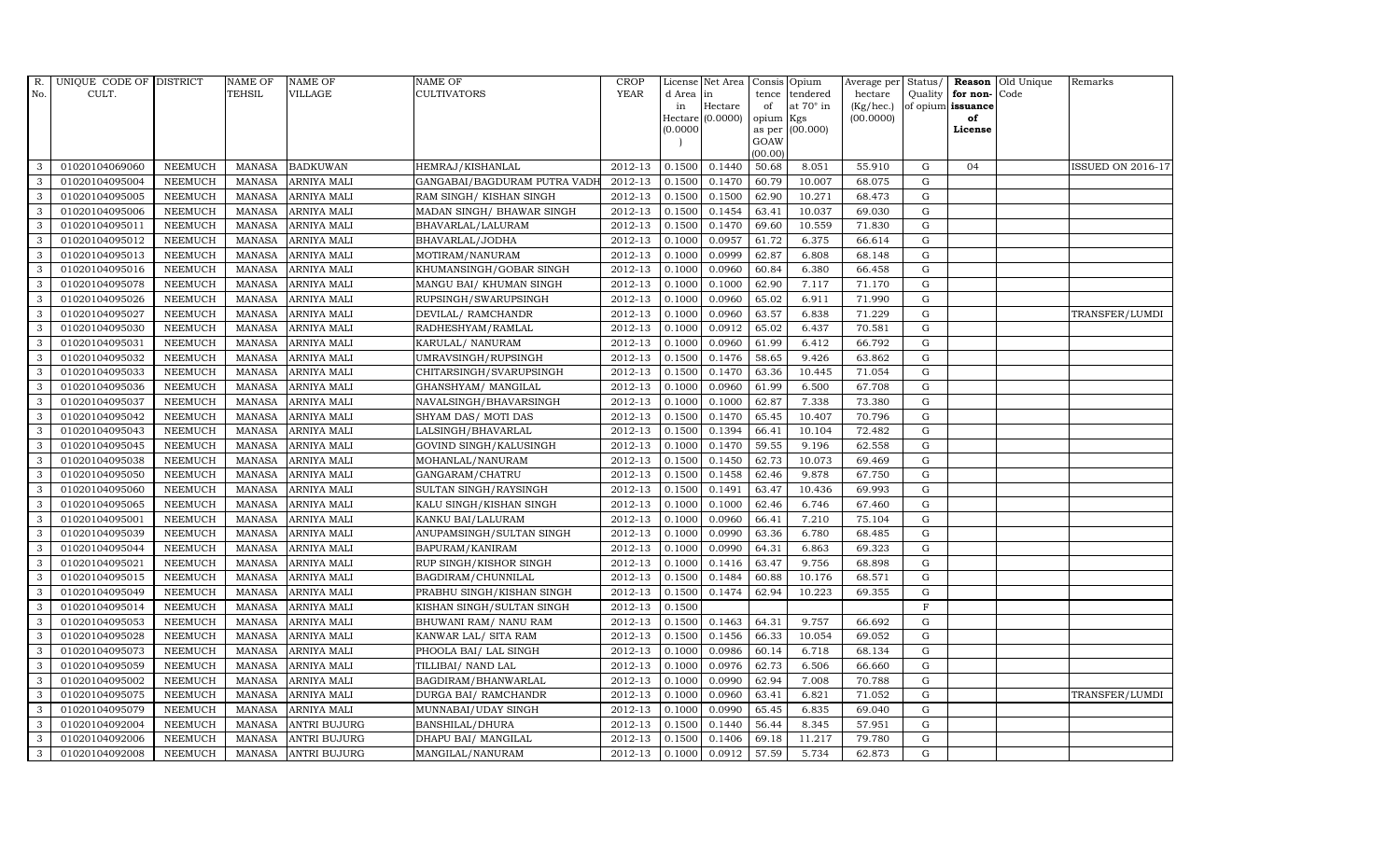| R.           | UNIQUE CODE OF DISTRICT |                | <b>NAME OF</b> | <b>NAME OF</b>      | NAME OF                      | <b>CROP</b> |           | License Net Area | Consis Opium   |                  |           |              |                   | Average per Status/ Reason Old Unique | Remarks           |
|--------------|-------------------------|----------------|----------------|---------------------|------------------------------|-------------|-----------|------------------|----------------|------------------|-----------|--------------|-------------------|---------------------------------------|-------------------|
| No.          | CULT.                   |                | TEHSIL         | <b>VILLAGE</b>      | CULTIVATORS                  | <b>YEAR</b> | d Area in |                  | tence          | tendered         | hectare   |              | Quality for non-  | Code                                  |                   |
|              |                         |                |                |                     |                              |             | in        | Hectare          | of             | at $70^\circ$ in | (Kg/hec.) |              | of opium issuance |                                       |                   |
|              |                         |                |                |                     |                              |             | (0.0000)  | Hectare (0.0000) | opium          | Kgs<br>(00.000)  | (00.0000) |              | of<br>License     |                                       |                   |
|              |                         |                |                |                     |                              |             |           |                  | as per<br>GOAW |                  |           |              |                   |                                       |                   |
|              |                         |                |                |                     |                              |             |           |                  | (00.00)        |                  |           |              |                   |                                       |                   |
| 3            | 01020104069060          | <b>NEEMUCH</b> | MANASA         | <b>BADKUWAN</b>     | HEMRAJ/KISHANLAL             | 2012-13     | 0.1500    | 0.1440           | 50.68          | 8.051            | 55.910    | G            | 04                |                                       | ISSUED ON 2016-17 |
| 3            | 01020104095004          | <b>NEEMUCH</b> | <b>MANASA</b>  | <b>ARNIYA MALI</b>  | GANGABAI/BAGDURAM PUTRA VADH | 2012-13     | 0.1500    | 0.1470           | 60.79          | 10.007           | 68.075    | G            |                   |                                       |                   |
| 3            | 01020104095005          | <b>NEEMUCH</b> | <b>MANASA</b>  | ARNIYA MALI         | RAM SINGH/KISHAN SINGH       | 2012-13     | 0.1500    | 0.1500           | 62.90          | 10.271           | 68.473    | G            |                   |                                       |                   |
| 3            | 01020104095006          | <b>NEEMUCH</b> | <b>MANASA</b>  | ARNIYA MALI         | MADAN SINGH/ BHAWAR SINGH    | 2012-13     | 0.1500    | 0.1454           | 63.41          | 10.037           | 69.030    | G            |                   |                                       |                   |
| 3            | 01020104095011          | <b>NEEMUCH</b> | <b>MANASA</b>  | ARNIYA MALI         | BHAVARLAL/LALURAM            | 2012-13     | 0.1500    | 0.1470           | 69.60          | 10.559           | 71.830    | ${\rm G}$    |                   |                                       |                   |
| 3            | 01020104095012          | <b>NEEMUCH</b> | <b>MANASA</b>  | ARNIYA MALI         | BHAVARLAL/JODHA              | 2012-13     | 0.1000    | 0.0957           | 61.72          | 6.375            | 66.614    | G            |                   |                                       |                   |
| 3            | 01020104095013          | <b>NEEMUCH</b> | <b>MANASA</b>  | ARNIYA MALI         | MOTIRAM/NANURAM              | 2012-13     | 0.1000    | 0.0999           | 62.87          | 6.808            | 68.148    | G            |                   |                                       |                   |
| 3            | 01020104095016          | <b>NEEMUCH</b> | <b>MANASA</b>  | ARNIYA MALI         | KHUMANSINGH/GOBAR SINGH      | 2012-13     | 0.1000    | 0.0960           | 60.84          | 6.380            | 66.458    | G            |                   |                                       |                   |
| 3            | 01020104095078          | <b>NEEMUCH</b> | <b>MANASA</b>  | <b>ARNIYA MALI</b>  | MANGU BAI/ KHUMAN SINGH      | 2012-13     | 0.1000    | 0.1000           | 62.90          | 7.117            | 71.170    | G            |                   |                                       |                   |
| 3            | 01020104095026          | <b>NEEMUCH</b> | <b>MANASA</b>  | ARNIYA MALI         | RUPSINGH/SWARUPSINGH         | 2012-13     | 0.1000    | 0.0960           | 65.02          | 6.911            | 71.990    | G            |                   |                                       |                   |
| 3            | 01020104095027          | <b>NEEMUCH</b> | <b>MANASA</b>  | ARNIYA MALI         | DEVILAL/ RAMCHANDR           | 2012-13     | 0.1000    | 0.0960           | 63.57          | 6.838            | 71.229    | G            |                   |                                       | TRANSFER/LUMDI    |
| 3            | 01020104095030          | <b>NEEMUCH</b> | <b>MANASA</b>  | ARNIYA MALI         | RADHESHYAM/RAMLAL            | 2012-13     | 0.1000    | 0.0912           | 65.02          | 6.437            | 70.581    | G            |                   |                                       |                   |
| 3            | 01020104095031          | <b>NEEMUCH</b> | <b>MANASA</b>  | ARNIYA MALI         | KARULAL/ NANURAM             | 2012-13     | 0.1000    | 0.0960           | 61.99          | 6.412            | 66.792    | G            |                   |                                       |                   |
| 3            | 01020104095032          | <b>NEEMUCH</b> | <b>MANASA</b>  | ARNIYA MALI         | UMRAVSINGH/RUPSINGH          | 2012-13     | 0.1500    | 0.1476           | 58.65          | 9.426            | 63.862    | G            |                   |                                       |                   |
| 3            | 01020104095033          | <b>NEEMUCH</b> | <b>MANASA</b>  | ARNIYA MALI         | CHITARSINGH/SVARUPSINGH      | 2012-13     | 0.1500    | 0.1470           | 63.36          | 10.445           | 71.054    | G            |                   |                                       |                   |
| $\mathbf{3}$ | 01020104095036          | <b>NEEMUCH</b> | <b>MANASA</b>  | ARNIYA MALI         | GHANSHYAM/ MANGILAL          | 2012-13     | 0.1000    | 0.0960           | 61.99          | 6.500            | 67.708    | G            |                   |                                       |                   |
| 3            | 01020104095037          | <b>NEEMUCH</b> | <b>MANASA</b>  | ARNIYA MALI         | NAVALSINGH/BHAVARSINGH       | 2012-13     | 0.1000    | 0.1000           | 62.87          | 7.338            | 73.380    | G            |                   |                                       |                   |
| 3            | 01020104095042          | <b>NEEMUCH</b> | <b>MANASA</b>  | ARNIYA MALI         | SHYAM DAS/MOTI DAS           | 2012-13     | 0.1500    | 0.1470           | 65.45          | 10.407           | 70.796    | $\mathbf G$  |                   |                                       |                   |
| 3            | 01020104095043          | <b>NEEMUCH</b> | <b>MANASA</b>  | ARNIYA MALI         | LALSINGH/BHAVARLAL           | 2012-13     | 0.1500    | 0.1394           | 66.41          | 10.104           | 72.482    | G            |                   |                                       |                   |
| 3            | 01020104095045          | <b>NEEMUCH</b> | <b>MANASA</b>  | ARNIYA MALI         | GOVIND SINGH/KALUSINGH       | 2012-13     | 0.1000    | 0.1470           | 59.55          | 9.196            | 62.558    | G            |                   |                                       |                   |
| 3            | 01020104095038          | <b>NEEMUCH</b> | <b>MANASA</b>  | ARNIYA MALI         | MOHANLAL/NANURAM             | 2012-13     | 0.1500    | 0.1450           | 62.73          | 10.073           | 69.469    | G            |                   |                                       |                   |
| 3            | 01020104095050          | <b>NEEMUCH</b> | <b>MANASA</b>  | ARNIYA MALI         | GANGARAM/CHATRU              | 2012-13     | 0.1500    | 0.1458           | 62.46          | 9.878            | 67.750    | G            |                   |                                       |                   |
| 3            | 01020104095060          | <b>NEEMUCH</b> | MANASA         | ARNIYA MALI         | SULTAN SINGH/RAYSINGH        | 2012-13     | 0.1500    | 0.1491           | 63.47          | 10.436           | 69.993    | G            |                   |                                       |                   |
| 3            | 01020104095065          | <b>NEEMUCH</b> | <b>MANASA</b>  | ARNIYA MALI         | KALU SINGH/KISHAN SINGH      | 2012-13     | 0.1000    | 0.1000           | 62.46          | 6.746            | 67.460    | G            |                   |                                       |                   |
| 3            | 01020104095001          | <b>NEEMUCH</b> | <b>MANASA</b>  | ARNIYA MALI         | KANKU BAI/LALURAM            | 2012-13     | 0.1000    | 0.0960           | 66.41          | 7.210            | 75.104    | G            |                   |                                       |                   |
| 3            | 01020104095039          | <b>NEEMUCH</b> | <b>MANASA</b>  | ARNIYA MALI         | ANUPAMSINGH/SULTAN SINGH     | 2012-13     | 0.1000    | 0.0990           | 63.36          | 6.780            | 68.485    | G            |                   |                                       |                   |
| 3            | 01020104095044          | <b>NEEMUCH</b> | <b>MANASA</b>  | ARNIYA MALI         | BAPURAM/KANIRAM              | 2012-13     | 0.1000    | 0.0990           | 64.31          | 6.863            | 69.323    | G            |                   |                                       |                   |
| 3            | 01020104095021          | <b>NEEMUCH</b> | MANASA         | ARNIYA MALI         | RUP SINGH/KISHOR SINGH       | 2012-13     | 0.1000    | 0.1416           | 63.47          | 9.756            | 68.898    | G            |                   |                                       |                   |
| 3            | 01020104095015          | <b>NEEMUCH</b> | <b>MANASA</b>  | ARNIYA MALI         | BAGDIRAM/CHUNNILAL           | 2012-13     | 0.1500    | 0.1484           | 60.88          | 10.176           | 68.571    | $\mathbf G$  |                   |                                       |                   |
| 3            | 01020104095049          | <b>NEEMUCH</b> | <b>MANASA</b>  | ARNIYA MALI         | PRABHU SINGH/KISHAN SINGH    | 2012-13     | 0.1500    | 0.1474           | 62.94          | 10.223           | 69.355    | G            |                   |                                       |                   |
| 3            | 01020104095014          | <b>NEEMUCH</b> | <b>MANASA</b>  | ARNIYA MALI         | KISHAN SINGH/SULTAN SINGH    | 2012-13     | 0.1500    |                  |                |                  |           | $\, {\rm F}$ |                   |                                       |                   |
| 3            | 01020104095053          | <b>NEEMUCH</b> | <b>MANASA</b>  | ARNIYA MALI         | BHUWANI RAM/ NANU RAM        | 2012-13     | 0.1500    | 0.1463           | 64.31          | 9.757            | 66.692    | $\mathbf G$  |                   |                                       |                   |
| 3            | 01020104095028          | <b>NEEMUCH</b> | <b>MANASA</b>  | ARNIYA MALI         | KANWAR LAL/ SITA RAM         | 2012-13     | 0.1500    | 0.1456           | 66.33          | 10.054           | 69.052    | G            |                   |                                       |                   |
| 3            | 01020104095073          | <b>NEEMUCH</b> | <b>MANASA</b>  | ARNIYA MALI         | PHOOLA BAI/ LAL SINGH        | 2012-13     | 0.1000    | 0.0986           | 60.14          | 6.718            | 68.134    | G            |                   |                                       |                   |
| 3            | 01020104095059          | <b>NEEMUCH</b> | <b>MANASA</b>  | ARNIYA MALI         | TILLIBAI/ NAND LAL           | 2012-13     | 0.1000    | 0.0976           | 62.73          | 6.506            | 66.660    | G            |                   |                                       |                   |
| 3            | 01020104095002          | <b>NEEMUCH</b> | <b>MANASA</b>  | ARNIYA MALI         | BAGDIRAM/BHANWARLAL          | 2012-13     | 0.1000    | 0.0990           | 62.94          | 7.008            | 70.788    | G            |                   |                                       |                   |
| 3            | 01020104095075          | <b>NEEMUCH</b> | <b>MANASA</b>  | ARNIYA MALI         | DURGA BAI/ RAMCHANDR         | 2012-13     | 0.1000    | 0.0960           | 63.41          | 6.821            | 71.052    | G            |                   |                                       | TRANSFER/LUMDI    |
| 3            | 01020104095079          | <b>NEEMUCH</b> | <b>MANASA</b>  | ARNIYA MALI         | MUNNABAI/UDAY SINGH          | 2012-13     | 0.1000    | 0.0990           | 65.45          | 6.835            | 69.040    | G            |                   |                                       |                   |
| 3            | 01020104092004          | <b>NEEMUCH</b> | <b>MANASA</b>  | <b>ANTRI BUJURG</b> | BANSHILAL/DHURA              | 2012-13     | 0.1500    | 0.1440           | 56.44          | 8.345            | 57.951    | G            |                   |                                       |                   |
| 3            | 01020104092006          | <b>NEEMUCH</b> | <b>MANASA</b>  | <b>ANTRI BUJURG</b> | DHAPU BAI / MANGILAL         | 2012-13     | 0.1500    | 0.1406           | 69.18          | 11.217           | 79.780    | G            |                   |                                       |                   |
| 3            | 01020104092008          | NEEMUCH        | <b>MANASA</b>  | <b>ANTRI BUJURG</b> | MANGILAL/NANURAM             | 2012-13     | 0.1000    | 0.0912           | 57.59          | 5.734            | 62.873    | G            |                   |                                       |                   |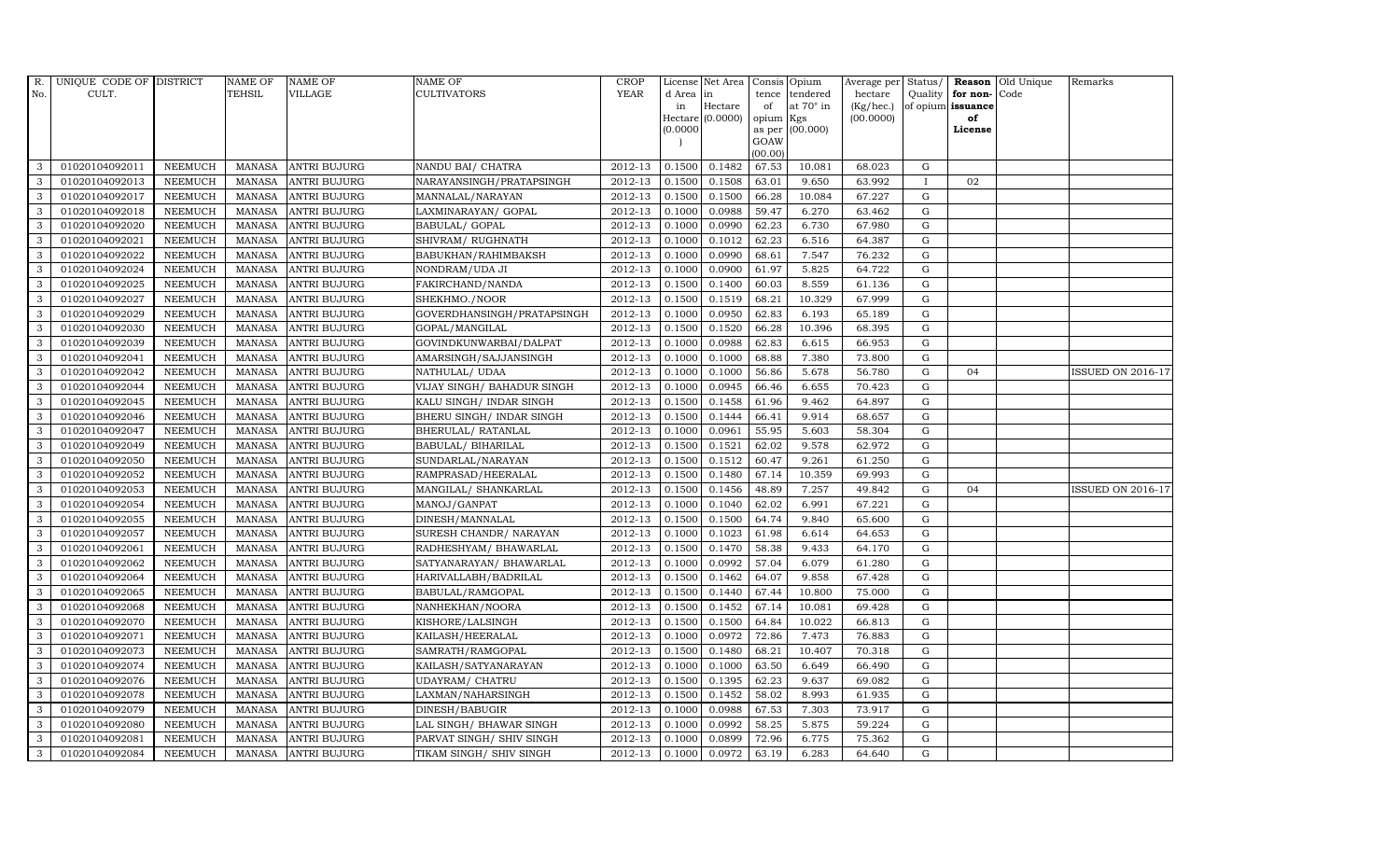| R.           | UNIQUE CODE OF DISTRICT |                | <b>NAME OF</b> | <b>NAME OF</b>      | <b>NAME OF</b>             | CROP    |           | License Net Area   Consis   Opium |           |                  | Average per Status/ |              |                   | <b>Reason</b> Old Unique | Remarks                  |
|--------------|-------------------------|----------------|----------------|---------------------|----------------------------|---------|-----------|-----------------------------------|-----------|------------------|---------------------|--------------|-------------------|--------------------------|--------------------------|
| No.          | CULT.                   |                | <b>TEHSIL</b>  | <b>VILLAGE</b>      | <b>CULTIVATORS</b>         | YEAR    | d Area in |                                   |           | tence tendered   | hectare             | Quality      | for non-          | Code                     |                          |
|              |                         |                |                |                     |                            |         | in        | Hectare                           | of        | at $70^\circ$ in | (Kg/hec.)           |              | of opium issuance |                          |                          |
|              |                         |                |                |                     |                            |         |           | Hectare (0.0000)                  | opium Kgs |                  | (00.0000)           |              | of                |                          |                          |
|              |                         |                |                |                     |                            |         | (0.0000)  |                                   | GOAW      | as per (00.000)  |                     |              | License           |                          |                          |
|              |                         |                |                |                     |                            |         |           |                                   | (00.00)   |                  |                     |              |                   |                          |                          |
| 3            | 01020104092011          | <b>NEEMUCH</b> | MANASA         | <b>ANTRI BUJURG</b> | NANDU BAI / CHATRA         | 2012-13 | 0.1500    | 0.1482                            | 67.53     | 10.081           | 68.023              | G            |                   |                          |                          |
| 3            | 01020104092013          | <b>NEEMUCH</b> | MANASA         | <b>ANTRI BUJURG</b> | NARAYANSINGH/PRATAPSINGH   | 2012-13 | 0.1500    | 0.1508                            | 63.01     | 9.650            | 63.992              | $\mathbf{I}$ | 02                |                          |                          |
| 3            | 01020104092017          | <b>NEEMUCH</b> | <b>MANASA</b>  | <b>ANTRI BUJURG</b> | MANNALAL/NARAYAN           | 2012-13 | 0.1500    | 0.1500                            | 66.28     | 10.084           | 67.227              | G            |                   |                          |                          |
| 3            | 01020104092018          | <b>NEEMUCH</b> | MANASA         | <b>ANTRI BUJURG</b> | LAXMINARAYAN / GOPAL       | 2012-13 | 0.1000    | 0.0988                            | 59.47     | 6.270            | 63.462              | $\mathbf G$  |                   |                          |                          |
| 3            | 01020104092020          | <b>NEEMUCH</b> | <b>MANASA</b>  | <b>ANTRI BUJURG</b> | BABULAL/ GOPAL             | 2012-13 | 0.1000    | 0.0990                            | 62.23     | 6.730            | 67.980              | ${\rm G}$    |                   |                          |                          |
| $\mathbf{3}$ | 01020104092021          | <b>NEEMUCH</b> | <b>MANASA</b>  | <b>ANTRI BUJURG</b> | SHIVRAM/ RUGHNATH          | 2012-13 | 0.1000    | 0.1012                            | 62.23     | 6.516            | 64.387              | $\mathbf G$  |                   |                          |                          |
| 3            | 01020104092022          | <b>NEEMUCH</b> | MANASA         | <b>ANTRI BUJURG</b> | BABUKHAN/RAHIMBAKSH        | 2012-13 | 0.1000    | 0.0990                            | 68.61     | 7.547            | 76.232              | $\mathbf G$  |                   |                          |                          |
| 3            | 01020104092024          | <b>NEEMUCH</b> | <b>MANASA</b>  | <b>ANTRI BUJURG</b> | NONDRAM/UDA JI             | 2012-13 | 0.1000    | 0.0900                            | 61.97     | 5.825            | 64.722              | $\mathbf G$  |                   |                          |                          |
| 3            | 01020104092025          | <b>NEEMUCH</b> | MANASA         | <b>ANTRI BUJURG</b> | FAKIRCHAND/NANDA           | 2012-13 | 0.1500    | 0.1400                            | 60.03     | 8.559            | 61.136              | G            |                   |                          |                          |
| 3            | 01020104092027          | <b>NEEMUCH</b> | <b>MANASA</b>  | <b>ANTRI BUJURG</b> | SHEKHMO./NOOR              | 2012-13 | 0.1500    | 0.1519                            | 68.21     | 10.329           | 67.999              | ${\rm G}$    |                   |                          |                          |
| $\mathbf{3}$ | 01020104092029          | <b>NEEMUCH</b> | <b>MANASA</b>  | <b>ANTRI BUJURG</b> | GOVERDHANSINGH/PRATAPSINGH | 2012-13 | 0.1000    | 0.0950                            | 62.83     | 6.193            | 65.189              | ${\rm G}$    |                   |                          |                          |
| 3            | 01020104092030          | <b>NEEMUCH</b> | MANASA         | <b>ANTRI BUJURG</b> | GOPAL/MANGILAL             | 2012-13 | 0.1500    | 0.1520                            | 66.28     | 10.396           | 68.395              | ${\rm G}$    |                   |                          |                          |
| 3            | 01020104092039          | <b>NEEMUCH</b> | <b>MANASA</b>  | <b>ANTRI BUJURG</b> | GOVINDKUNWARBAI/DALPAT     | 2012-13 | 0.1000    | 0.0988                            | 62.83     | 6.615            | 66.953              | $\mathbf G$  |                   |                          |                          |
| 3            | 01020104092041          | <b>NEEMUCH</b> | <b>MANASA</b>  | <b>ANTRI BUJURG</b> | AMARSINGH/SAJJANSINGH      | 2012-13 | 0.1000    | 0.1000                            | 68.88     | 7.380            | 73.800              | G            |                   |                          |                          |
| 3            | 01020104092042          | <b>NEEMUCH</b> | <b>MANASA</b>  | <b>ANTRI BUJURG</b> | NATHULAL/ UDAA             | 2012-13 | 0.1000    | 0.1000                            | 56.86     | 5.678            | 56.780              | G            | 04                |                          | <b>ISSUED ON 2016-17</b> |
| 3            | 01020104092044          | <b>NEEMUCH</b> | <b>MANASA</b>  | <b>ANTRI BUJURG</b> | VIJAY SINGH/ BAHADUR SINGH | 2012-13 | 0.1000    | 0.0945                            | 66.46     | 6.655            | 70.423              | G            |                   |                          |                          |
| 3            | 01020104092045          | <b>NEEMUCH</b> | MANASA         | <b>ANTRI BUJURG</b> | KALU SINGH/ INDAR SINGH    | 2012-13 | 0.1500    | 0.1458                            | 61.96     | 9.462            | 64.897              | $\mathbf G$  |                   |                          |                          |
| 3            | 01020104092046          | <b>NEEMUCH</b> | MANASA         | <b>ANTRI BUJURG</b> | BHERU SINGH / INDAR SINGH  | 2012-13 | 0.1500    | 0.1444                            | 66.41     | 9.914            | 68.657              | G            |                   |                          |                          |
| 3            | 01020104092047          | <b>NEEMUCH</b> | MANASA         | <b>ANTRI BUJURG</b> | BHERULAL/ RATANLAL         | 2012-13 | 0.1000    | 0.0961                            | 55.95     | 5.603            | 58.304              | $\mathbf G$  |                   |                          |                          |
| 3            | 01020104092049          | <b>NEEMUCH</b> | <b>MANASA</b>  | <b>ANTRI BUJURG</b> | BABULAL/ BIHARILAL         | 2012-13 | 0.1500    | 0.1521                            | 62.02     | 9.578            | 62.972              | G            |                   |                          |                          |
| $\mathbf{3}$ | 01020104092050          | <b>NEEMUCH</b> | <b>MANASA</b>  | <b>ANTRI BUJURG</b> | SUNDARLAL/NARAYAN          | 2012-13 | 0.1500    | 0.1512                            | 60.47     | 9.261            | 61.250              | ${\rm G}$    |                   |                          |                          |
| 3            | 01020104092052          | <b>NEEMUCH</b> | MANASA         | <b>ANTRI BUJURG</b> | RAMPRASAD/HEERALAL         | 2012-13 | 0.1500    | 0.1480                            | 67.14     | 10.359           | 69.993              | $\mathbf G$  |                   |                          |                          |
| $\mathbf{3}$ | 01020104092053          | <b>NEEMUCH</b> | MANASA         | <b>ANTRI BUJURG</b> | MANGILAL/ SHANKARLAL       | 2012-13 | 0.1500    | 0.1456                            | 48.89     | 7.257            | 49.842              | G            | 04                |                          | <b>ISSUED ON 2016-17</b> |
| 3            | 01020104092054          | <b>NEEMUCH</b> | <b>MANASA</b>  | <b>ANTRI BUJURG</b> | MANOJ/GANPAT               | 2012-13 | 0.1000    | 0.1040                            | 62.02     | 6.991            | 67.221              | $\mathbf G$  |                   |                          |                          |
| 3            | 01020104092055          | <b>NEEMUCH</b> | <b>MANASA</b>  | <b>ANTRI BUJURG</b> | DINESH/MANNALAL            | 2012-13 | 0.1500    | 0.1500                            | 64.74     | 9.840            | 65.600              | ${\rm G}$    |                   |                          |                          |
| 3            | 01020104092057          | <b>NEEMUCH</b> | <b>MANASA</b>  | <b>ANTRI BUJURG</b> | SURESH CHANDR/ NARAYAN     | 2012-13 | 0.1000    | 0.1023                            | 61.98     | 6.614            | 64.653              | G            |                   |                          |                          |
| 3            | 01020104092061          | <b>NEEMUCH</b> | <b>MANASA</b>  | <b>ANTRI BUJURG</b> | RADHESHYAM / BHAWARLAL     | 2012-13 | 0.1500    | 0.1470                            | 58.38     | 9.433            | 64.170              | ${\rm G}$    |                   |                          |                          |
| $\mathbf{3}$ | 01020104092062          | <b>NEEMUCH</b> | MANASA         | <b>ANTRI BUJURG</b> | SATYANARAYAN/ BHAWARLAL    | 2012-13 | 0.1000    | 0.0992                            | 57.04     | 6.079            | 61.280              | G            |                   |                          |                          |
| 3            | 01020104092064          | <b>NEEMUCH</b> | <b>MANASA</b>  | <b>ANTRI BUJURG</b> | HARIVALLABH/BADRILAL       | 2012-13 | 0.1500    | 0.1462                            | 64.07     | 9.858            | 67.428              | $\mathbf G$  |                   |                          |                          |
| 3            | 01020104092065          | <b>NEEMUCH</b> | <b>MANASA</b>  | <b>ANTRI BUJURG</b> | BABULAL/RAMGOPAL           | 2012-13 | 0.1500    | 0.1440                            | 67.44     | 10.800           | 75.000              | $\mathbf G$  |                   |                          |                          |
| 3            | 01020104092068          | <b>NEEMUCH</b> | MANASA         | <b>ANTRI BUJURG</b> | NANHEKHAN/NOORA            | 2012-13 | 0.1500    | 0.1452                            | 67.14     | 10.081           | 69.428              | G            |                   |                          |                          |
| 3            | 01020104092070          | <b>NEEMUCH</b> | MANASA         | <b>ANTRI BUJURG</b> | KISHORE/LALSINGH           | 2012-13 | 0.1500    | 0.1500                            | 64.84     | 10.022           | 66.813              | ${\rm G}$    |                   |                          |                          |
| 3            | 01020104092071          | <b>NEEMUCH</b> | <b>MANASA</b>  | <b>ANTRI BUJURG</b> | KAILASH/HEERALAL           | 2012-13 | 0.1000    | 0.0972                            | 72.86     | 7.473            | 76.883              | $\mathbf G$  |                   |                          |                          |
| 3            | 01020104092073          | <b>NEEMUCH</b> | <b>MANASA</b>  | <b>ANTRI BUJURG</b> | SAMRATH/RAMGOPAL           | 2012-13 | 0.1500    | 0.1480                            | 68.21     | 10.407           | 70.318              | $\mathbf G$  |                   |                          |                          |
| 3            | 01020104092074          | <b>NEEMUCH</b> | <b>MANASA</b>  | <b>ANTRI BUJURG</b> | KAILASH/SATYANARAYAN       | 2012-13 | 0.1000    | 0.1000                            | 63.50     | 6.649            | 66.490              | $\mathbf G$  |                   |                          |                          |
| 3            | 01020104092076          | <b>NEEMUCH</b> | <b>MANASA</b>  | <b>ANTRI BUJURG</b> | UDAYRAM/ CHATRU            | 2012-13 | 0.1500    | 0.1395                            | 62.23     | 9.637            | 69.082              | ${\rm G}$    |                   |                          |                          |
| 3            | 01020104092078          | <b>NEEMUCH</b> | <b>MANASA</b>  | <b>ANTRI BUJURG</b> | LAXMAN/NAHARSINGH          | 2012-13 | 0.1500    | 0.1452                            | 58.02     | 8.993            | 61.935              | G            |                   |                          |                          |
| 3            | 01020104092079          | <b>NEEMUCH</b> | <b>MANASA</b>  | <b>ANTRI BUJURG</b> | DINESH/BABUGIR             | 2012-13 | 0.1000    | 0.0988                            | 67.53     | 7.303            | 73.917              | $\mathbf G$  |                   |                          |                          |
| 3            | 01020104092080          | <b>NEEMUCH</b> | <b>MANASA</b>  | <b>ANTRI BUJURG</b> | LAL SINGH/ BHAWAR SINGH    | 2012-13 | 0.1000    | 0.0992                            | 58.25     | 5.875            | 59.224              | $\mathbf G$  |                   |                          |                          |
| 3            | 01020104092081          | <b>NEEMUCH</b> | <b>MANASA</b>  | <b>ANTRI BUJURG</b> | PARVAT SINGH/ SHIV SINGH   | 2012-13 | 0.1000    | 0.0899                            | 72.96     | 6.775            | 75.362              | $\mathbf G$  |                   |                          |                          |
| 3            | 01020104092084          | <b>NEEMUCH</b> |                | MANASA ANTRI BUJURG | TIKAM SINGH/ SHIV SINGH    | 2012-13 | 0.1000    | 0.0972                            | 63.19     | 6.283            | 64.640              | G            |                   |                          |                          |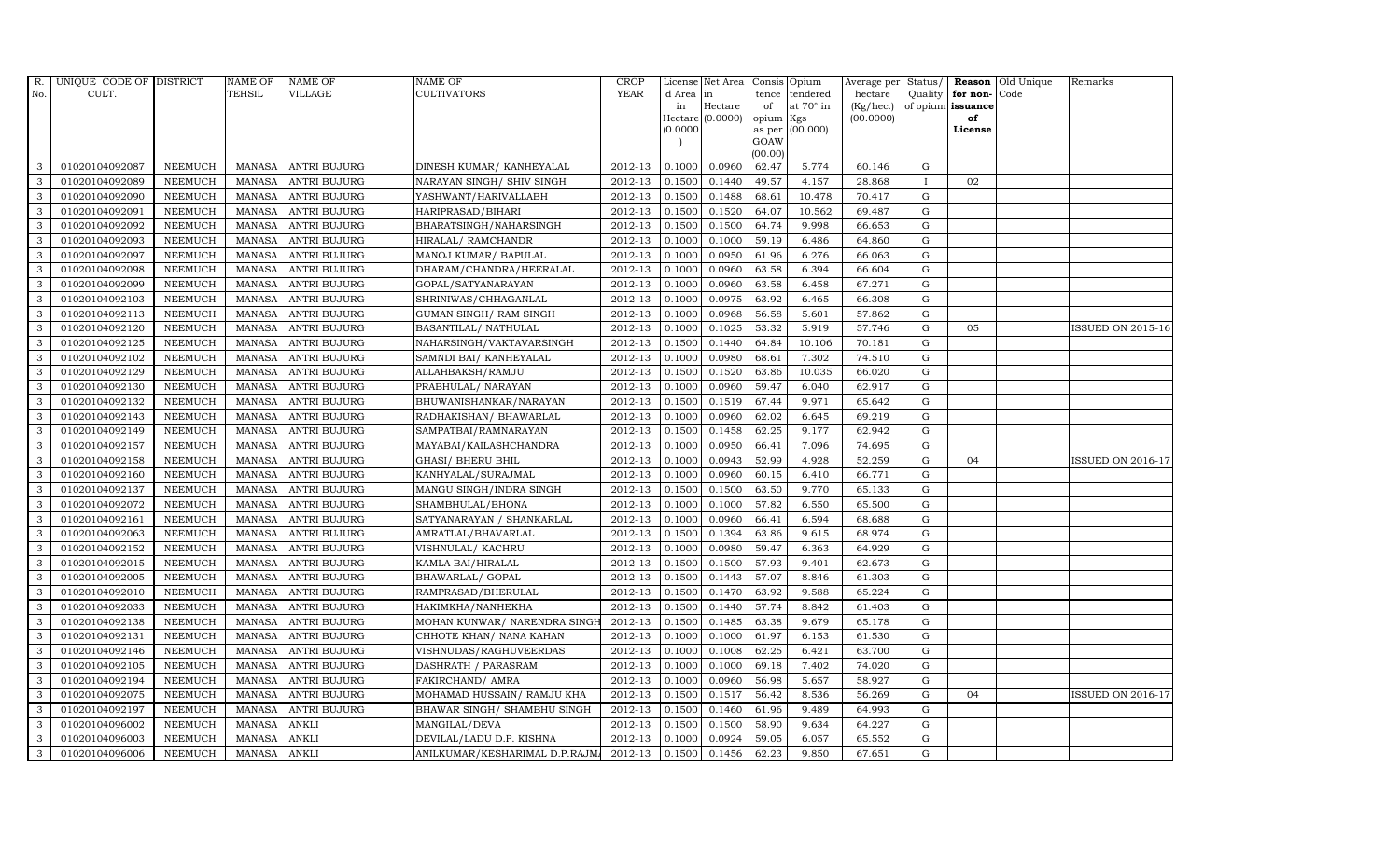| R.           | UNIQUE CODE OF DISTRICT |                | <b>NAME OF</b> | <b>NAME OF</b>      | <b>NAME OF</b>                | CROP    |           | License Net Area   Consis   Opium |           |                  | Average per | Status/      | Reason            | Old Unique | Remarks                  |
|--------------|-------------------------|----------------|----------------|---------------------|-------------------------------|---------|-----------|-----------------------------------|-----------|------------------|-------------|--------------|-------------------|------------|--------------------------|
| No.          | CULT.                   |                | TEHSIL         | <b>VILLAGE</b>      | <b>CULTIVATORS</b>            | YEAR    | d Area in |                                   |           | tence tendered   | hectare     | Quality      | for non-          | Code       |                          |
|              |                         |                |                |                     |                               |         | in        | Hectare                           | of        | at $70^\circ$ in | (Kg/hec.)   |              | of opium issuance |            |                          |
|              |                         |                |                |                     |                               |         |           | Hectare (0.0000)                  | opium Kgs |                  | (00.0000)   |              | of                |            |                          |
|              |                         |                |                |                     |                               |         | (0.0000)  |                                   | GOAW      | as per (00.000)  |             |              | License           |            |                          |
|              |                         |                |                |                     |                               |         |           |                                   | (00.00)   |                  |             |              |                   |            |                          |
| 3            | 01020104092087          | <b>NEEMUCH</b> |                | MANASA ANTRI BUJURG | DINESH KUMAR/ KANHEYALAL      | 2012-13 | 0.1000    | 0.0960                            | 62.47     | 5.774            | 60.146      | $\mathbf G$  |                   |            |                          |
| 3            | 01020104092089          | <b>NEEMUCH</b> | MANASA         | <b>ANTRI BUJURG</b> | NARAYAN SINGH/ SHIV SINGH     | 2012-13 | 0.1500    | 0.1440                            | 49.57     | 4.157            | 28.868      | $\mathbf{I}$ | 02                |            |                          |
| 3            | 01020104092090          | <b>NEEMUCH</b> | <b>MANASA</b>  | <b>ANTRI BUJURG</b> | YASHWANT/HARIVALLABH          | 2012-13 | 0.1500    | 0.1488                            | 68.61     | 10.478           | 70.417      | G            |                   |            |                          |
| 3            | 01020104092091          | <b>NEEMUCH</b> | MANASA         | <b>ANTRI BUJURG</b> | HARIPRASAD/BIHARI             | 2012-13 | 0.1500    | 0.1520                            | 64.07     | 10.562           | 69.487      | $\mathbf G$  |                   |            |                          |
| 3            | 01020104092092          | <b>NEEMUCH</b> | <b>MANASA</b>  | <b>ANTRI BUJURG</b> | BHARATSINGH/NAHARSINGH        | 2012-13 | 0.1500    | 0.1500                            | 64.74     | 9.998            | 66.653      | ${\rm G}$    |                   |            |                          |
| $\mathbf{3}$ | 01020104092093          | <b>NEEMUCH</b> | MANASA         | <b>ANTRI BUJURG</b> | HIRALAL/ RAMCHANDR            | 2012-13 | 0.1000    | 0.1000                            | 59.19     | 6.486            | 64.860      | $\mathbf G$  |                   |            |                          |
| 3            | 01020104092097          | <b>NEEMUCH</b> | MANASA         | <b>ANTRI BUJURG</b> | MANOJ KUMAR/ BAPULAL          | 2012-13 | 0.1000    | 0.0950                            | 61.96     | 6.276            | 66.063      | $\mathbf G$  |                   |            |                          |
| 3            | 01020104092098          | <b>NEEMUCH</b> | <b>MANASA</b>  | <b>ANTRI BUJURG</b> | DHARAM/CHANDRA/HEERALAL       | 2012-13 | 0.1000    | 0.0960                            | 63.58     | 6.394            | 66.604      | G            |                   |            |                          |
| 3            | 01020104092099          | <b>NEEMUCH</b> | MANASA         | <b>ANTRI BUJURG</b> | GOPAL/SATYANARAYAN            | 2012-13 | 0.1000    | 0.0960                            | 63.58     | 6.458            | 67.271      | G            |                   |            |                          |
| 3            | 01020104092103          | <b>NEEMUCH</b> | <b>MANASA</b>  | <b>ANTRI BUJURG</b> | SHRINIWAS/CHHAGANLAL          | 2012-13 | 0.1000    | 0.0975                            | 63.92     | 6.465            | 66.308      | ${\rm G}$    |                   |            |                          |
| $\mathbf{3}$ | 01020104092113          | <b>NEEMUCH</b> | <b>MANASA</b>  | <b>ANTRI BUJURG</b> | GUMAN SINGH/ RAM SINGH        | 2012-13 | 0.1000    | 0.0968                            | 56.58     | 5.601            | 57.862      | ${\rm G}$    |                   |            |                          |
| 3            | 01020104092120          | <b>NEEMUCH</b> | MANASA         | <b>ANTRI BUJURG</b> | BASANTILAL/ NATHULAL          | 2012-13 | 0.1000    | 0.1025                            | 53.32     | 5.919            | 57.746      | ${\rm G}$    | 05                |            | <b>ISSUED ON 2015-16</b> |
| 3            | 01020104092125          | <b>NEEMUCH</b> | <b>MANASA</b>  | <b>ANTRI BUJURG</b> | NAHARSINGH/VAKTAVARSINGH      | 2012-13 | 0.1500    | 0.1440                            | 64.84     | 10.106           | 70.181      | $\mathbf G$  |                   |            |                          |
| 3            | 01020104092102          | <b>NEEMUCH</b> | <b>MANASA</b>  | <b>ANTRI BUJURG</b> | SAMNDI BAI/ KANHEYALAL        | 2012-13 | 0.1000    | 0.0980                            | 68.61     | 7.302            | 74.510      | G            |                   |            |                          |
| 3            | 01020104092129          | <b>NEEMUCH</b> | MANASA         | <b>ANTRI BUJURG</b> | ALLAHBAKSH/RAMJU              | 2012-13 | 0.1500    | 0.1520                            | 63.86     | 10.035           | 66.020      | G            |                   |            |                          |
| 3            | 01020104092130          | <b>NEEMUCH</b> | <b>MANASA</b>  | <b>ANTRI BUJURG</b> | PRABHULAL/ NARAYAN            | 2012-13 | 0.1000    | 0.0960                            | 59.47     | 6.040            | 62.917      | ${\rm G}$    |                   |            |                          |
| 3            | 01020104092132          | <b>NEEMUCH</b> | MANASA         | <b>ANTRI BUJURG</b> | BHUWANISHANKAR/NARAYAN        | 2012-13 | 0.1500    | 0.1519                            | 67.44     | 9.971            | 65.642      | ${\rm G}$    |                   |            |                          |
| 3            | 01020104092143          | <b>NEEMUCH</b> | MANASA         | <b>ANTRI BUJURG</b> | RADHAKISHAN/ BHAWARLAL        | 2012-13 | 0.1000    | 0.0960                            | 62.02     | 6.645            | 69.219      | G            |                   |            |                          |
| 3            | 01020104092149          | <b>NEEMUCH</b> | MANASA         | <b>ANTRI BUJURG</b> | SAMPATBAI/RAMNARAYAN          | 2012-13 | 0.1500    | 0.1458                            | 62.25     | 9.177            | 62.942      | $\mathbf G$  |                   |            |                          |
| 3            | 01020104092157          | <b>NEEMUCH</b> | <b>MANASA</b>  | <b>ANTRI BUJURG</b> | MAYABAI/KAILASHCHANDRA        | 2012-13 | 0.1000    | 0.0950                            | 66.41     | 7.096            | 74.695      | $\mathbf G$  |                   |            |                          |
| $\mathbf{3}$ | 01020104092158          | <b>NEEMUCH</b> | <b>MANASA</b>  | <b>ANTRI BUJURG</b> | <b>GHASI/ BHERU BHIL</b>      | 2012-13 | 0.1000    | 0.0943                            | 52.99     | 4.928            | 52.259      | ${\rm G}$    | 04                |            | <b>ISSUED ON 2016-17</b> |
| 3            | 01020104092160          | <b>NEEMUCH</b> | MANASA         | <b>ANTRI BUJURG</b> | KANHYALAL/SURAJMAL            | 2012-13 | 0.1000    | 0.0960                            | 60.15     | 6.410            | 66.771      | ${\rm G}$    |                   |            |                          |
| $\mathbf{3}$ | 01020104092137          | <b>NEEMUCH</b> | MANASA         | <b>ANTRI BUJURG</b> | MANGU SINGH/INDRA SINGH       | 2012-13 | 0.1500    | 0.1500                            | 63.50     | 9.770            | 65.133      | G            |                   |            |                          |
| 3            | 01020104092072          | <b>NEEMUCH</b> | <b>MANASA</b>  | <b>ANTRI BUJURG</b> | SHAMBHULAL/BHONA              | 2012-13 | 0.1000    | 0.1000                            | 57.82     | 6.550            | 65.500      | $\mathbf G$  |                   |            |                          |
| 3            | 01020104092161          | <b>NEEMUCH</b> | <b>MANASA</b>  | <b>ANTRI BUJURG</b> | SATYANARAYAN / SHANKARLAL     | 2012-13 | 0.1000    | 0.0960                            | 66.41     | 6.594            | 68.688      | $\mathbf G$  |                   |            |                          |
| 3            | 01020104092063          | <b>NEEMUCH</b> | <b>MANASA</b>  | <b>ANTRI BUJURG</b> | AMRATLAL/BHAVARLAL            | 2012-13 | 0.1500    | 0.1394                            | 63.86     | 9.615            | 68.974      | G            |                   |            |                          |
| 3            | 01020104092152          | <b>NEEMUCH</b> | <b>MANASA</b>  | <b>ANTRI BUJURG</b> | VISHNULAL/ KACHRU             | 2012-13 | 0.1000    | 0.0980                            | 59.47     | 6.363            | 64.929      | ${\rm G}$    |                   |            |                          |
| $\mathbf{3}$ | 01020104092015          | <b>NEEMUCH</b> | MANASA         | <b>ANTRI BUJURG</b> | KAMLA BAI/HIRALAL             | 2012-13 | 0.1500    | 0.1500                            | 57.93     | 9.401            | 62.673      | G            |                   |            |                          |
| 3            | 01020104092005          | <b>NEEMUCH</b> | <b>MANASA</b>  | <b>ANTRI BUJURG</b> | BHAWARLAL/ GOPAL              | 2012-13 | 0.1500    | 0.1443                            | 57.07     | 8.846            | 61.303      | $\mathbf G$  |                   |            |                          |
| 3            | 01020104092010          | <b>NEEMUCH</b> | <b>MANASA</b>  | <b>ANTRI BUJURG</b> | RAMPRASAD/BHERULAL            | 2012-13 | 0.1500    | 0.1470                            | 63.92     | 9.588            | 65.224      | $\mathbf G$  |                   |            |                          |
| 3            | 01020104092033          | <b>NEEMUCH</b> | MANASA         | <b>ANTRI BUJURG</b> | HAKIMKHA/NANHEKHA             | 2012-13 | 0.1500    | 0.1440                            | 57.74     | 8.842            | 61.403      | G            |                   |            |                          |
| 3            | 01020104092138          | <b>NEEMUCH</b> | MANASA         | <b>ANTRI BUJURG</b> | MOHAN KUNWAR/ NARENDRA SINGH  | 2012-13 | 0.1500    | 0.1485                            | 63.38     | 9.679            | 65.178      | ${\rm G}$    |                   |            |                          |
| 3            | 01020104092131          | <b>NEEMUCH</b> | <b>MANASA</b>  | <b>ANTRI BUJURG</b> | CHHOTE KHAN/ NANA KAHAN       | 2012-13 | 0.1000    | 0.1000                            | 61.97     | 6.153            | 61.530      | $\mathbf G$  |                   |            |                          |
| 3            | 01020104092146          | <b>NEEMUCH</b> | <b>MANASA</b>  | <b>ANTRI BUJURG</b> | VISHNUDAS/RAGHUVEERDAS        | 2012-13 | 0.1000    | 0.1008                            | 62.25     | 6.421            | 63.700      | $\mathbf G$  |                   |            |                          |
| 3            | 01020104092105          | <b>NEEMUCH</b> | <b>MANASA</b>  | <b>ANTRI BUJURG</b> | DASHRATH / PARASRAM           | 2012-13 | 0.1000    | 0.1000                            | 69.18     | 7.402            | 74.020      | $\mathbf G$  |                   |            |                          |
| 3            | 01020104092194          | <b>NEEMUCH</b> | <b>MANASA</b>  | <b>ANTRI BUJURG</b> | FAKIRCHAND/ AMRA              | 2012-13 | 0.1000    | 0.0960                            | 56.98     | 5.657            | 58.927      | G            |                   |            |                          |
| 3            | 01020104092075          | <b>NEEMUCH</b> | <b>MANASA</b>  | <b>ANTRI BUJURG</b> | MOHAMAD HUSSAIN/ RAMJU KHA    | 2012-13 | 0.1500    | 0.1517                            | 56.42     | 8.536            | 56.269      | G            | 04                |            | <b>ISSUED ON 2016-17</b> |
| 3            | 01020104092197          | <b>NEEMUCH</b> | <b>MANASA</b>  | <b>ANTRI BUJURG</b> | BHAWAR SINGH / SHAMBHU SINGH  | 2012-13 | 0.1500    | 0.1460                            | 61.96     | 9.489            | 64.993      | $\mathbf G$  |                   |            |                          |
| 3            | 01020104096002          | <b>NEEMUCH</b> | <b>MANASA</b>  | <b>ANKLI</b>        | MANGILAL/DEVA                 | 2012-13 | 0.1500    | 0.1500                            | 58.90     | 9.634            | 64.227      | $\mathbf G$  |                   |            |                          |
| 3            | 01020104096003          | <b>NEEMUCH</b> | <b>MANASA</b>  | <b>ANKLI</b>        | DEVILAL/LADU D.P. KISHNA      | 2012-13 | 0.1000    | 0.0924                            | 59.05     | 6.057            | 65.552      | $\mathbf G$  |                   |            |                          |
| 3            | 01020104096006          | <b>NEEMUCH</b> | MANASA ANKLI   |                     | ANILKUMAR/KESHARIMAL D.P.RAJM | 2012-13 | 0.1500    | 0.1456                            | 62.23     | 9.850            | 67.651      | G            |                   |            |                          |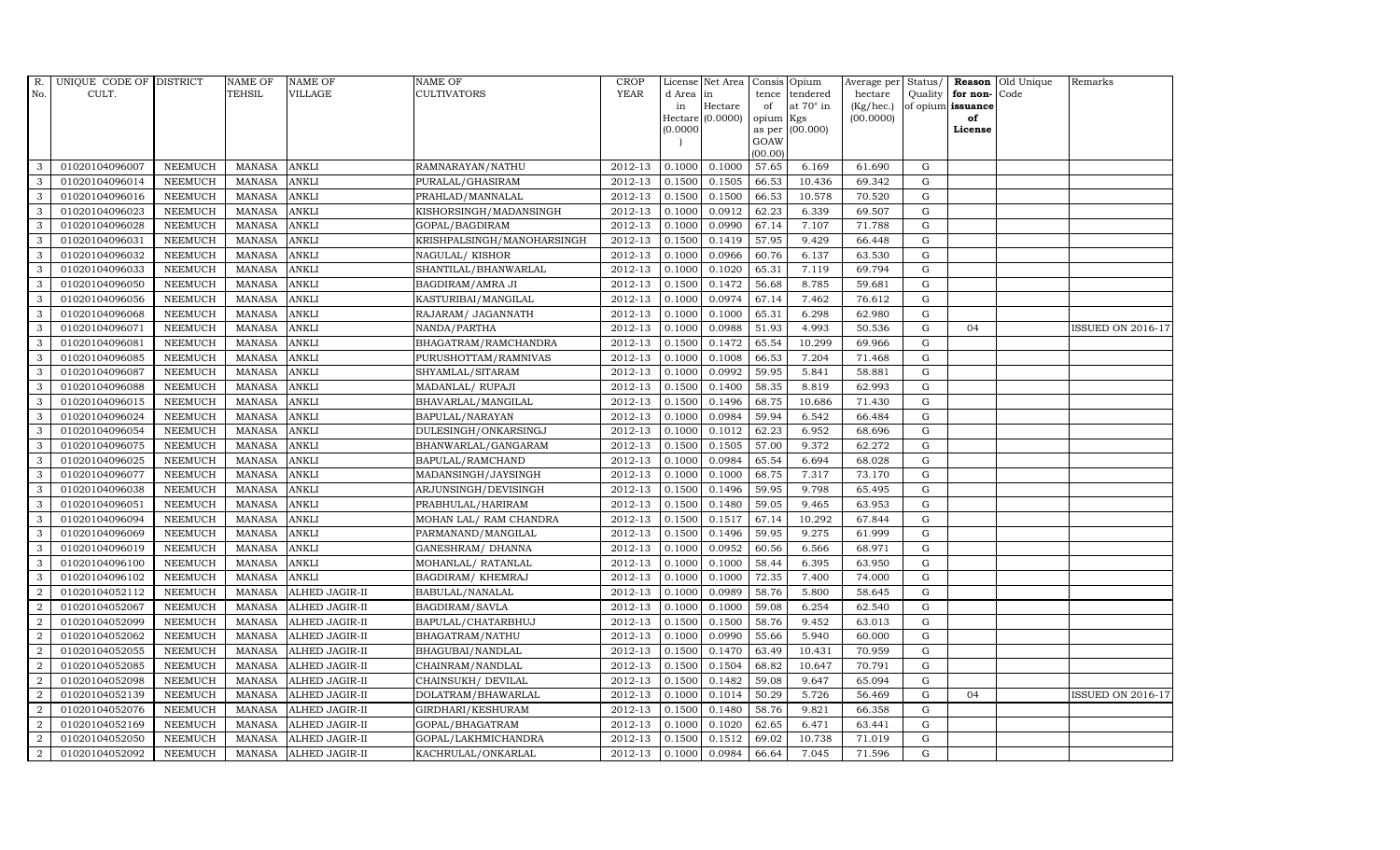| R.             | UNIQUE CODE OF DISTRICT |                | <b>NAME OF</b> | <b>NAME OF</b>        | <b>NAME OF</b>             | CROP    |          | License Net Area   Consis   Opium |           |                  | Average per | Status/     | Reason            | Old Unique | Remarks                  |
|----------------|-------------------------|----------------|----------------|-----------------------|----------------------------|---------|----------|-----------------------------------|-----------|------------------|-------------|-------------|-------------------|------------|--------------------------|
| No.            | CULT.                   |                | <b>TEHSIL</b>  | <b>VILLAGE</b>        | <b>CULTIVATORS</b>         | YEAR    | d Area   | in                                | tence     | tendered         | hectare     | Quality     | for non-          | Code       |                          |
|                |                         |                |                |                       |                            |         | in       | Hectare                           | of        | at $70^\circ$ in | (Kg/hec.)   |             | of opium issuance |            |                          |
|                |                         |                |                |                       |                            |         |          | Hectare (0.0000)                  | opium Kgs |                  | (00.0000)   |             | of<br>License     |            |                          |
|                |                         |                |                |                       |                            |         | (0.0000) |                                   | GOAW      | as per (00.000)  |             |             |                   |            |                          |
|                |                         |                |                |                       |                            |         |          |                                   | (00.00)   |                  |             |             |                   |            |                          |
| 3              | 01020104096007          | <b>NEEMUCH</b> | MANASA         | <b>ANKLI</b>          | RAMNARAYAN/NATHU           | 2012-13 | 0.1000   | 0.1000                            | 57.65     | 6.169            | 61.690      | G           |                   |            |                          |
| 3              | 01020104096014          | <b>NEEMUCH</b> | <b>MANASA</b>  | <b>ANKLI</b>          | PURALAL/GHASIRAM           | 2012-13 | 0.1500   | 0.1505                            | 66.53     | 10.436           | 69.342      | $\mathbf G$ |                   |            |                          |
| 3              | 01020104096016          | <b>NEEMUCH</b> | <b>MANASA</b>  | <b>ANKLI</b>          | PRAHLAD/MANNALAL           | 2012-13 | 0.1500   | 0.1500                            | 66.53     | 10.578           | 70.520      | G           |                   |            |                          |
| 3              | 01020104096023          | <b>NEEMUCH</b> | <b>MANASA</b>  | <b>ANKLI</b>          | KISHORSINGH/MADANSINGH     | 2012-13 | 0.1000   | 0.0912                            | 62.23     | 6.339            | 69.507      | $\mathbf G$ |                   |            |                          |
| 3              | 01020104096028          | <b>NEEMUCH</b> | <b>MANASA</b>  | <b>ANKLI</b>          | GOPAL/BAGDIRAM             | 2012-13 | 0.1000   | 0.0990                            | 67.14     | 7.107            | 71.788      | ${\rm G}$   |                   |            |                          |
| $\mathbf{3}$   | 01020104096031          | <b>NEEMUCH</b> | MANASA         | <b>ANKLI</b>          | KRISHPALSINGH/MANOHARSINGH | 2012-13 | 0.1500   | 0.1419                            | 57.95     | 9.429            | 66.448      | $\mathbf G$ |                   |            |                          |
| 3              | 01020104096032          | <b>NEEMUCH</b> | <b>MANASA</b>  | <b>ANKLI</b>          | NAGULAL/KISHOR             | 2012-13 | 0.1000   | 0.0966                            | 60.76     | 6.137            | 63.530      | $\mathbf G$ |                   |            |                          |
| 3              | 01020104096033          | <b>NEEMUCH</b> | <b>MANASA</b>  | <b>ANKLI</b>          | SHANTILAL/BHANWARLAL       | 2012-13 | 0.1000   | 0.1020                            | 65.31     | 7.119            | 69.794      | $\mathbf G$ |                   |            |                          |
| 3              | 01020104096050          | <b>NEEMUCH</b> | <b>MANASA</b>  | <b>ANKLI</b>          | BAGDIRAM/AMRA JI           | 2012-13 | 0.1500   | 0.1472                            | 56.68     | 8.785            | 59.681      | $\mathbf G$ |                   |            |                          |
| 3              | 01020104096056          | <b>NEEMUCH</b> | <b>MANASA</b>  | <b>ANKLI</b>          | KASTURIBAI/MANGILAL        | 2012-13 | 0.1000   | 0.0974                            | 67.14     | 7.462            | 76.612      | ${\rm G}$   |                   |            |                          |
| 3              | 01020104096068          | <b>NEEMUCH</b> | <b>MANASA</b>  | <b>ANKLI</b>          | RAJARAM/ JAGANNATH         | 2012-13 | 0.1000   | 0.1000                            | 65.31     | 6.298            | 62.980      | ${\rm G}$   |                   |            |                          |
| 3              | 01020104096071          | <b>NEEMUCH</b> | <b>MANASA</b>  | <b>ANKLI</b>          | NANDA/PARTHA               | 2012-13 | 0.1000   | 0.0988                            | 51.93     | 4.993            | 50.536      | ${\rm G}$   | 04                |            | <b>ISSUED ON 2016-17</b> |
| 3              | 01020104096081          | <b>NEEMUCH</b> | <b>MANASA</b>  | <b>ANKLI</b>          | BHAGATRAM/RAMCHANDRA       | 2012-13 | 0.1500   | 0.1472                            | 65.54     | 10.299           | 69.966      | $\mathbf G$ |                   |            |                          |
| 3              | 01020104096085          | <b>NEEMUCH</b> | <b>MANASA</b>  | <b>ANKLI</b>          | PURUSHOTTAM/RAMNIVAS       | 2012-13 | 0.1000   | 0.1008                            | 66.53     | 7.204            | 71.468      | G           |                   |            |                          |
| 3              | 01020104096087          | <b>NEEMUCH</b> | <b>MANASA</b>  | <b>ANKLI</b>          | SHYAMLAL/SITARAM           | 2012-13 | 0.1000   | 0.0992                            | 59.95     | 5.841            | 58.881      | G           |                   |            |                          |
| 3              | 01020104096088          | <b>NEEMUCH</b> | <b>MANASA</b>  | <b>ANKLI</b>          | MADANLAL/ RUPAJI           | 2012-13 | 0.1500   | 0.1400                            | 58.35     | 8.819            | 62.993      | ${\rm G}$   |                   |            |                          |
| 3              | 01020104096015          | <b>NEEMUCH</b> | <b>MANASA</b>  | <b>ANKLI</b>          | BHAVARLAL/MANGILAL         | 2012-13 | 0.1500   | 0.1496                            | 68.75     | 10.686           | 71.430      | G           |                   |            |                          |
| 3              | 01020104096024          | <b>NEEMUCH</b> | <b>MANASA</b>  | <b>ANKLI</b>          | BAPULAL/NARAYAN            | 2012-13 | 0.1000   | 0.0984                            | 59.94     | 6.542            | 66.484      | G           |                   |            |                          |
| 3              | 01020104096054          | <b>NEEMUCH</b> | <b>MANASA</b>  | <b>ANKLI</b>          | DULESINGH/ONKARSINGJ       | 2012-13 | 0.1000   | 0.1012                            | 62.23     | 6.952            | 68.696      | $\mathbf G$ |                   |            |                          |
| 3              | 01020104096075          | <b>NEEMUCH</b> | <b>MANASA</b>  | <b>ANKLI</b>          | BHANWARLAL/GANGARAM        | 2012-13 | 0.1500   | 0.1505                            | 57.00     | 9.372            | 62.272      | $\mathbf G$ |                   |            |                          |
| $\mathbf{3}$   | 01020104096025          | <b>NEEMUCH</b> | <b>MANASA</b>  | <b>ANKLI</b>          | BAPULAL/RAMCHAND           | 2012-13 | 0.1000   | 0.0984                            | 65.54     | 6.694            | 68.028      | ${\rm G}$   |                   |            |                          |
| 3              | 01020104096077          | <b>NEEMUCH</b> | <b>MANASA</b>  | <b>ANKLI</b>          | MADANSINGH/JAYSINGH        | 2012-13 | 0.1000   | 0.1000                            | 68.75     | 7.317            | 73.170      | ${\rm G}$   |                   |            |                          |
| $\mathbf{3}$   | 01020104096038          | <b>NEEMUCH</b> | <b>MANASA</b>  | <b>ANKLI</b>          | ARJUNSINGH/DEVISINGH       | 2012-13 | 0.1500   | 0.1496                            | 59.95     | 9.798            | 65.495      | G           |                   |            |                          |
| 3              | 01020104096051          | <b>NEEMUCH</b> | <b>MANASA</b>  | <b>ANKLI</b>          | PRABHULAL/HARIRAM          | 2012-13 | 0.1500   | 0.1480                            | 59.05     | 9.465            | 63.953      | $\mathbf G$ |                   |            |                          |
| 3              | 01020104096094          | <b>NEEMUCH</b> | <b>MANASA</b>  | <b>ANKLI</b>          | MOHAN LAL/ RAM CHANDRA     | 2012-13 | 0.1500   | 0.1517                            | 67.14     | 10.292           | 67.844      | $\mathbf G$ |                   |            |                          |
| 3              | 01020104096069          | <b>NEEMUCH</b> | <b>MANASA</b>  | <b>ANKLI</b>          | PARMANAND/MANGILAL         | 2012-13 | 0.1500   | 0.1496                            | 59.95     | 9.275            | 61.999      | G           |                   |            |                          |
| 3              | 01020104096019          | <b>NEEMUCH</b> | <b>MANASA</b>  | <b>ANKLI</b>          | GANESHRAM/ DHANNA          | 2012-13 | 0.1000   | 0.0952                            | 60.56     | 6.566            | 68.971      | ${\rm G}$   |                   |            |                          |
| 3              | 01020104096100          | <b>NEEMUCH</b> | <b>MANASA</b>  | <b>ANKLI</b>          | MOHANLAL/ RATANLAL         | 2012-13 | 0.1000   | 0.1000                            | 58.44     | 6.395            | 63.950      | G           |                   |            |                          |
| 3              | 01020104096102          | <b>NEEMUCH</b> | <b>MANASA</b>  | <b>ANKLI</b>          | BAGDIRAM/KHEMRAJ           | 2012-13 | 0.1000   | 0.1000                            | 72.35     | 7.400            | 74.000      | $\mathbf G$ |                   |            |                          |
| $\overline{2}$ | 01020104052112          | <b>NEEMUCH</b> | <b>MANASA</b>  | <b>ALHED JAGIR-II</b> | BABULAL/NANALAL            | 2012-13 | 0.1000   | 0.0989                            | 58.76     | 5.800            | 58.645      | $\mathbf G$ |                   |            |                          |
| $\overline{2}$ | 01020104052067          | <b>NEEMUCH</b> | <b>MANASA</b>  | <b>ALHED JAGIR-II</b> | BAGDIRAM/SAVLA             | 2012-13 | 0.1000   | 0.1000                            | 59.08     | 6.254            | 62.540      | G           |                   |            |                          |
| $\overline{a}$ | 01020104052099          | <b>NEEMUCH</b> | <b>MANASA</b>  | ALHED JAGIR-II        | BAPULAL/CHATARBHUJ         | 2012-13 | 0.1500   | 0.1500                            | 58.76     | 9.452            | 63.013      | ${\rm G}$   |                   |            |                          |
| $\overline{a}$ | 01020104052062          | <b>NEEMUCH</b> | <b>MANASA</b>  | ALHED JAGIR-II        | BHAGATRAM/NATHU            | 2012-13 | 0.1000   | 0.0990                            | 55.66     | 5.940            | 60.000      | $\mathbf G$ |                   |            |                          |
| 2              | 01020104052055          | <b>NEEMUCH</b> | <b>MANASA</b>  | <b>ALHED JAGIR-II</b> | BHAGUBAI/NANDLAL           | 2012-13 | 0.1500   | 0.1470                            | 63.49     | 10.431           | 70.959      | $\mathbf G$ |                   |            |                          |
| $\overline{2}$ | 01020104052085          | <b>NEEMUCH</b> | <b>MANASA</b>  | ALHED JAGIR-II        | CHAINRAM/NANDLAL           | 2012-13 | 0.1500   | 0.1504                            | 68.82     | 10.647           | 70.791      | $\mathbf G$ |                   |            |                          |
| $\overline{a}$ | 01020104052098          | <b>NEEMUCH</b> | <b>MANASA</b>  | ALHED JAGIR-II        | CHAINSUKH/ DEVILAL         | 2012-13 | 0.1500   | 0.1482                            | 59.08     | 9.647            | 65.094      | $\mathbf G$ |                   |            |                          |
| $\overline{2}$ | 01020104052139          | <b>NEEMUCH</b> | <b>MANASA</b>  | ALHED JAGIR-II        | DOLATRAM/BHAWARLAL         | 2012-13 | 0.1000   | 0.1014                            | 50.29     | 5.726            | 56.469      | ${\rm G}$   | 04                |            | <b>ISSUED ON 2016-17</b> |
| $\overline{a}$ | 01020104052076          | <b>NEEMUCH</b> | <b>MANASA</b>  | ALHED JAGIR-II        | GIRDHARI/KESHURAM          | 2012-13 | 0.1500   | 0.1480                            | 58.76     | 9.821            | 66.358      | $\mathbf G$ |                   |            |                          |
| $\overline{2}$ | 01020104052169          | <b>NEEMUCH</b> | <b>MANASA</b>  | ALHED JAGIR-II        | GOPAL/BHAGATRAM            | 2012-13 | 0.1000   | 0.1020                            | 62.65     | 6.471            | 63.441      | $\mathbf G$ |                   |            |                          |
| 2              | 01020104052050          | <b>NEEMUCH</b> | <b>MANASA</b>  | ALHED JAGIR-II        | GOPAL/LAKHMICHANDRA        | 2012-13 | 0.1500   | 0.1512                            | 69.02     | 10.738           | 71.019      | $\mathbf G$ |                   |            |                          |
| $\overline{a}$ | 01020104052092          | <b>NEEMUCH</b> | MANASA         | <b>ALHED JAGIR-II</b> | KACHRULAL/ONKARLAL         | 2012-13 | 0.1000   | 0.0984                            | 66.64     | 7.045            | 71.596      | G           |                   |            |                          |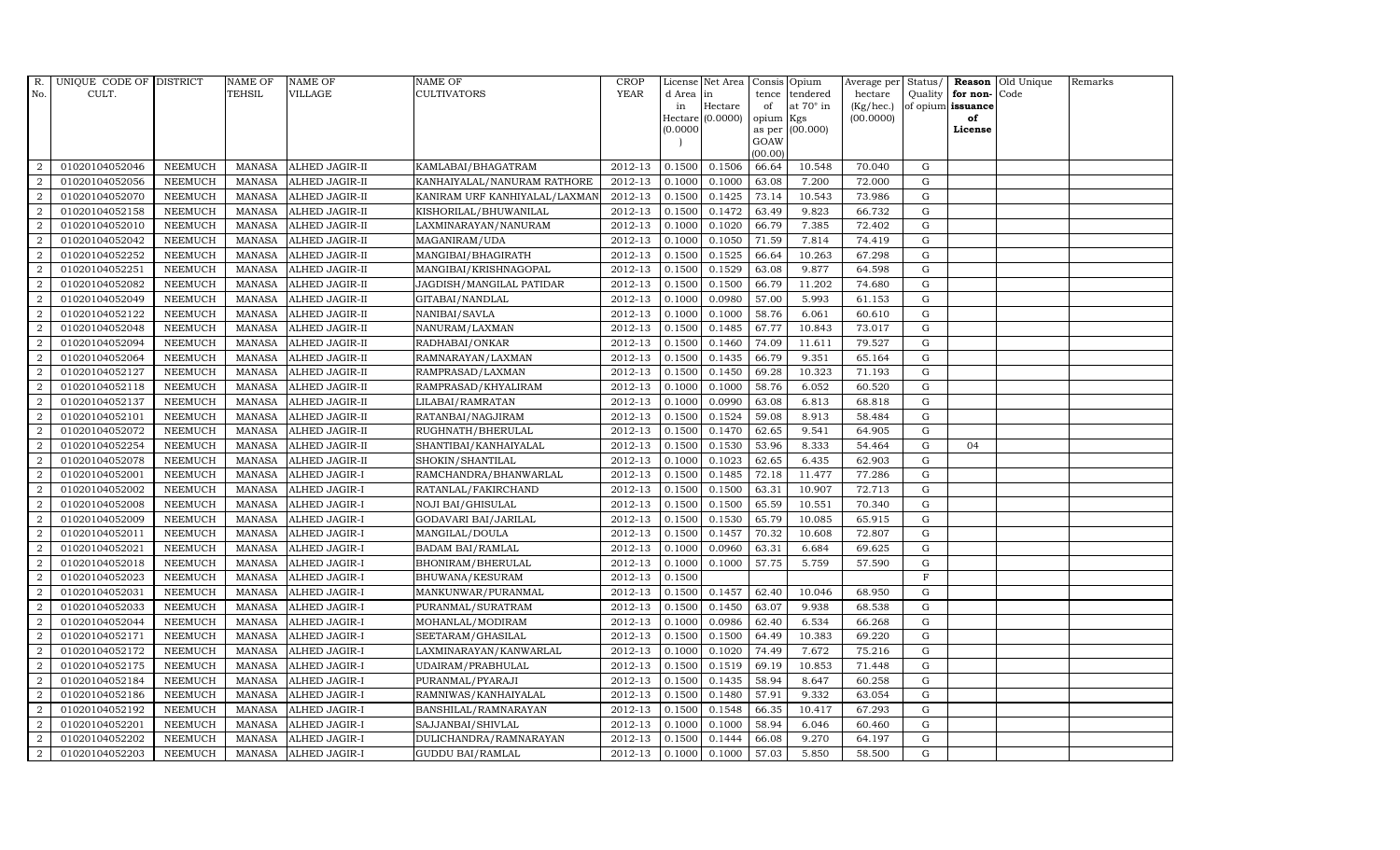| R.             | UNIQUE CODE OF DISTRICT |                | <b>NAME OF</b> | <b>NAME OF</b>        | <b>NAME OF</b>                | CROP    |           | License Net Area   Consis   Opium |           |                  | Average per Status/ |             |                   | <b>Reason</b> Old Unique | Remarks |
|----------------|-------------------------|----------------|----------------|-----------------------|-------------------------------|---------|-----------|-----------------------------------|-----------|------------------|---------------------|-------------|-------------------|--------------------------|---------|
| No.            | CULT.                   |                | TEHSIL         | VILLAGE               | <b>CULTIVATORS</b>            | YEAR    | d Area in |                                   |           | tence tendered   | hectare             | Quality     | for non-          | Code                     |         |
|                |                         |                |                |                       |                               |         | in        | Hectare                           | of        | at $70^\circ$ in | (Kg/hec.)           |             | of opium issuance |                          |         |
|                |                         |                |                |                       |                               |         |           | Hectare (0.0000)                  | opium Kgs |                  | (00.0000)           |             | of                |                          |         |
|                |                         |                |                |                       |                               |         | (0.0000)  |                                   | GOAW      | as per (00.000)  |                     |             | License           |                          |         |
|                |                         |                |                |                       |                               |         |           |                                   | (00.00)   |                  |                     |             |                   |                          |         |
| 2              | 01020104052046          | <b>NEEMUCH</b> | MANASA         | <b>ALHED JAGIR-II</b> | KAMLABAI/BHAGATRAM            | 2012-13 | 0.1500    | 0.1506                            | 66.64     | 10.548           | 70.040              | $\mathbf G$ |                   |                          |         |
| $\overline{2}$ | 01020104052056          | <b>NEEMUCH</b> | MANASA         | <b>ALHED JAGIR-II</b> | KANHAIYALAL/NANURAM RATHORE   | 2012-13 | 0.1000    | 0.1000                            | 63.08     | 7.200            | 72.000              | G           |                   |                          |         |
| $\overline{2}$ | 01020104052070          | <b>NEEMUCH</b> | MANASA         | <b>ALHED JAGIR-II</b> | KANIRAM URF KANHIYALAL/LAXMAN | 2012-13 | 0.1500    | 0.1425                            | 73.14     | 10.543           | 73.986              | G           |                   |                          |         |
| $\overline{a}$ | 01020104052158          | <b>NEEMUCH</b> | MANASA         | <b>ALHED JAGIR-II</b> | KISHORILAL/BHUWANILAL         | 2012-13 | 0.1500    | 0.1472                            | 63.49     | 9.823            | 66.732              | $\mathbf G$ |                   |                          |         |
| 2              | 01020104052010          | <b>NEEMUCH</b> | <b>MANASA</b>  | ALHED JAGIR-II        | LAXMINARAYAN/NANURAM          | 2012-13 | 0.1000    | 0.1020                            | 66.79     | 7.385            | 72.402              | $\mathbf G$ |                   |                          |         |
| $\overline{2}$ | 01020104052042          | <b>NEEMUCH</b> | MANASA         | ALHED JAGIR-II        | MAGANIRAM/UDA                 | 2012-13 | 0.1000    | 0.1050                            | 71.59     | 7.814            | 74.419              | $\mathbf G$ |                   |                          |         |
| $\overline{a}$ | 01020104052252          | <b>NEEMUCH</b> | MANASA         | ALHED JAGIR-II        | MANGIBAI/BHAGIRATH            | 2012-13 | 0.1500    | 0.1525                            | 66.64     | 10.263           | 67.298              | ${\rm G}$   |                   |                          |         |
| 2              | 01020104052251          | <b>NEEMUCH</b> | <b>MANASA</b>  | <b>ALHED JAGIR-II</b> | MANGIBAI/KRISHNAGOPAL         | 2012-13 | 0.1500    | 0.1529                            | 63.08     | 9.877            | 64.598              | $\mathbf G$ |                   |                          |         |
| 2              | 01020104052082          | <b>NEEMUCH</b> | <b>MANASA</b>  | <b>ALHED JAGIR-II</b> | JAGDISH/MANGILAL PATIDAR      | 2012-13 | 0.1500    | 0.1500                            | 66.79     | 11.202           | 74.680              | $\mathbf G$ |                   |                          |         |
| $\overline{a}$ | 01020104052049          | <b>NEEMUCH</b> | <b>MANASA</b>  | ALHED JAGIR-II        | GITABAI/NANDLAL               | 2012-13 | 0.1000    | 0.0980                            | 57.00     | 5.993            | 61.153              | ${\rm G}$   |                   |                          |         |
| $\overline{a}$ | 01020104052122          | <b>NEEMUCH</b> | <b>MANASA</b>  | ALHED JAGIR-II        | NANIBAI/SAVLA                 | 2012-13 | 0.1000    | 0.1000                            | 58.76     | 6.061            | 60.610              | G           |                   |                          |         |
| 2              | 01020104052048          | <b>NEEMUCH</b> | MANASA         | <b>ALHED JAGIR-II</b> | NANURAM/LAXMAN                | 2012-13 | 0.1500    | 0.1485                            | 67.77     | 10.843           | 73.017              | ${\rm G}$   |                   |                          |         |
| 2              | 01020104052094          | <b>NEEMUCH</b> | <b>MANASA</b>  | <b>ALHED JAGIR-II</b> | RADHABAI/ONKAR                | 2012-13 | 0.1500    | 0.1460                            | 74.09     | 11.611           | 79.527              | G           |                   |                          |         |
| $\overline{2}$ | 01020104052064          | <b>NEEMUCH</b> | <b>MANASA</b>  | <b>ALHED JAGIR-II</b> | RAMNARAYAN/LAXMAN             | 2012-13 | 0.1500    | 0.1435                            | 66.79     | 9.351            | 65.164              | G           |                   |                          |         |
| $\overline{2}$ | 01020104052127          | <b>NEEMUCH</b> | <b>MANASA</b>  | ALHED JAGIR-II        | RAMPRASAD/LAXMAN              | 2012-13 | 0.1500    | 0.1450                            | 69.28     | 10.323           | 71.193              | ${\rm G}$   |                   |                          |         |
| $\overline{2}$ | 01020104052118          | <b>NEEMUCH</b> | <b>MANASA</b>  | <b>ALHED JAGIR-II</b> | RAMPRASAD/KHYALIRAM           | 2012-13 | 0.1000    | 0.1000                            | 58.76     | 6.052            | 60.520              | G           |                   |                          |         |
| $\overline{a}$ | 01020104052137          | <b>NEEMUCH</b> | MANASA         | <b>ALHED JAGIR-II</b> | LILABAI/RAMRATAN              | 2012-13 | 0.1000    | 0.0990                            | 63.08     | 6.813            | 68.818              | $\mathbf G$ |                   |                          |         |
| 2              | 01020104052101          | <b>NEEMUCH</b> | <b>MANASA</b>  | <b>ALHED JAGIR-II</b> | RATANBAI/NAGJIRAM             | 2012-13 | 0.1500    | 0.1524                            | 59.08     | 8.913            | 58.484              | G           |                   |                          |         |
| $\overline{2}$ | 01020104052072          | <b>NEEMUCH</b> | MANASA         | <b>ALHED JAGIR-II</b> | RUGHNATH/BHERULAL             | 2012-13 | 0.1500    | 0.1470                            | 62.65     | 9.541            | 64.905              | G           |                   |                          |         |
| 2              | 01020104052254          | <b>NEEMUCH</b> | <b>MANASA</b>  | ALHED JAGIR-II        | SHANTIBAI/KANHAIYALAL         | 2012-13 | 0.1500    | 0.1530                            | 53.96     | 8.333            | 54.464              | ${\rm G}$   | 04                |                          |         |
| 2              | 01020104052078          | <b>NEEMUCH</b> | <b>MANASA</b>  | <b>ALHED JAGIR-II</b> | SHOKIN/SHANTILAL              | 2012-13 | 0.1000    | 0.1023                            | 62.65     | 6.435            | 62.903              | $\mathbf G$ |                   |                          |         |
| 2              | 01020104052001          | <b>NEEMUCH</b> | MANASA         | <b>ALHED JAGIR-I</b>  | RAMCHANDRA/BHANWARLAL         | 2012-13 | 0.1500    | 0.1485                            | 72.18     | 11.477           | 77.286              | ${\rm G}$   |                   |                          |         |
| 2              | 01020104052002          | <b>NEEMUCH</b> | <b>MANASA</b>  | <b>ALHED JAGIR-I</b>  | RATANLAL/FAKIRCHAND           | 2012-13 | 0.1500    | 0.1500                            | 63.31     | 10.907           | 72.713              | G           |                   |                          |         |
| $\overline{2}$ | 01020104052008          | <b>NEEMUCH</b> | <b>MANASA</b>  | <b>ALHED JAGIR-I</b>  | <b>NOJI BAI/GHISULAL</b>      | 2012-13 | 0.1500    | 0.1500                            | 65.59     | 10.551           | 70.340              | $\mathbf G$ |                   |                          |         |
| $\overline{2}$ | 01020104052009          | <b>NEEMUCH</b> | <b>MANASA</b>  | ALHED JAGIR-I         | GODAVARI BAI/JARILAL          | 2012-13 | 0.1500    | 0.1530                            | 65.79     | 10.085           | 65.915              | $\mathbf G$ |                   |                          |         |
| $\overline{2}$ | 01020104052011          | <b>NEEMUCH</b> | <b>MANASA</b>  | ALHED JAGIR-I         | MANGILAL/DOULA                | 2012-13 | 0.1500    | 0.1457                            | 70.32     | 10.608           | 72.807              | G           |                   |                          |         |
| $\overline{2}$ | 01020104052021          | <b>NEEMUCH</b> | MANASA         | <b>ALHED JAGIR-I</b>  | <b>BADAM BAI/RAMLAL</b>       | 2012-13 | 0.1000    | 0.0960                            | 63.31     | 6.684            | 69.625              | ${\rm G}$   |                   |                          |         |
| $\overline{a}$ | 01020104052018          | <b>NEEMUCH</b> | <b>MANASA</b>  | <b>ALHED JAGIR-I</b>  | BHONIRAM/BHERULAL             | 2012-13 | 0.1000    | 0.1000                            | 57.75     | 5.759            | 57.590              | G           |                   |                          |         |
| $\overline{2}$ | 01020104052023          | <b>NEEMUCH</b> | <b>MANASA</b>  | <b>ALHED JAGIR-I</b>  | BHUWANA/KESURAM               | 2012-13 | 0.1500    |                                   |           |                  |                     | $_{\rm F}$  |                   |                          |         |
| $\overline{2}$ | 01020104052031          | <b>NEEMUCH</b> | <b>MANASA</b>  | <b>ALHED JAGIR-I</b>  | MANKUNWAR/PURANMAL            | 2012-13 | 0.1500    | 0.1457                            | 62.40     | 10.046           | 68.950              | $\mathbf G$ |                   |                          |         |
| $\overline{a}$ | 01020104052033          | <b>NEEMUCH</b> | <b>MANASA</b>  | ALHED JAGIR-I         | PURANMAL/SURATRAM             | 2012-13 | 0.1500    | 0.1450                            | 63.07     | 9.938            | 68.538              | ${\rm G}$   |                   |                          |         |
| 2              | 01020104052044          | <b>NEEMUCH</b> | MANASA         | <b>ALHED JAGIR-I</b>  | MOHANLAL/MODIRAM              | 2012-13 | 0.1000    | 0.0986                            | 62.40     | 6.534            | 66.268              | G           |                   |                          |         |
| $\overline{a}$ | 01020104052171          | <b>NEEMUCH</b> | MANASA         | <b>ALHED JAGIR-I</b>  | SEETARAM/GHASILAL             | 2012-13 | 0.1500    | 0.1500                            | 64.49     | 10.383           | 69.220              | $\mathbf G$ |                   |                          |         |
| 2              | 01020104052172          | <b>NEEMUCH</b> | <b>MANASA</b>  | <b>ALHED JAGIR-I</b>  | LAXMINARAYAN/KANWARLAL        | 2012-13 | 0.1000    | 0.1020                            | 74.49     | 7.672            | 75.216              | G           |                   |                          |         |
| $\overline{2}$ | 01020104052175          | <b>NEEMUCH</b> | <b>MANASA</b>  | ALHED JAGIR-I         | UDAIRAM/PRABHULAL             | 2012-13 | 0.1500    | 0.1519                            | 69.19     | 10.853           | 71.448              | ${\rm G}$   |                   |                          |         |
| $\overline{a}$ | 01020104052184          | <b>NEEMUCH</b> | <b>MANASA</b>  | ALHED JAGIR-I         | PURANMAL/PYARAJI              | 2012-13 | 0.1500    | 0.1435                            | 58.94     | 8.647            | 60.258              | ${\rm G}$   |                   |                          |         |
| 2              | 01020104052186          | <b>NEEMUCH</b> | MANASA         | <b>ALHED JAGIR-I</b>  | RAMNIWAS/KANHAIYALAL          | 2012-13 | 0.1500    | 0.1480                            | 57.91     | 9.332            | 63.054              | ${\rm G}$   |                   |                          |         |
| $\overline{2}$ | 01020104052192          | <b>NEEMUCH</b> | MANASA         | <b>ALHED JAGIR-I</b>  | BANSHILAL/RAMNARAYAN          | 2012-13 | 0.1500    | 0.1548                            | 66.35     | 10.417           | 67.293              | $\mathbf G$ |                   |                          |         |
| 2              | 01020104052201          | <b>NEEMUCH</b> | <b>MANASA</b>  | <b>ALHED JAGIR-I</b>  | SAJJANBAI/SHIVLAL             | 2012-13 | 0.1000    | 0.1000                            | 58.94     | 6.046            | 60.460              | G           |                   |                          |         |
| $\overline{2}$ | 01020104052202          | <b>NEEMUCH</b> | <b>MANASA</b>  | ALHED JAGIR-I         | DULICHANDRA/RAMNARAYAN        | 2012-13 | 0.1500    | 0.1444                            | 66.08     | 9.270            | 64.197              | G           |                   |                          |         |
| $\overline{2}$ | 01020104052203          | <b>NEEMUCH</b> |                | MANASA ALHED JAGIR-I  | <b>GUDDU BAI/RAMLAL</b>       | 2012-13 | 0.1000    | 0.1000                            | 57.03     | 5.850            | 58.500              | $\mathbf G$ |                   |                          |         |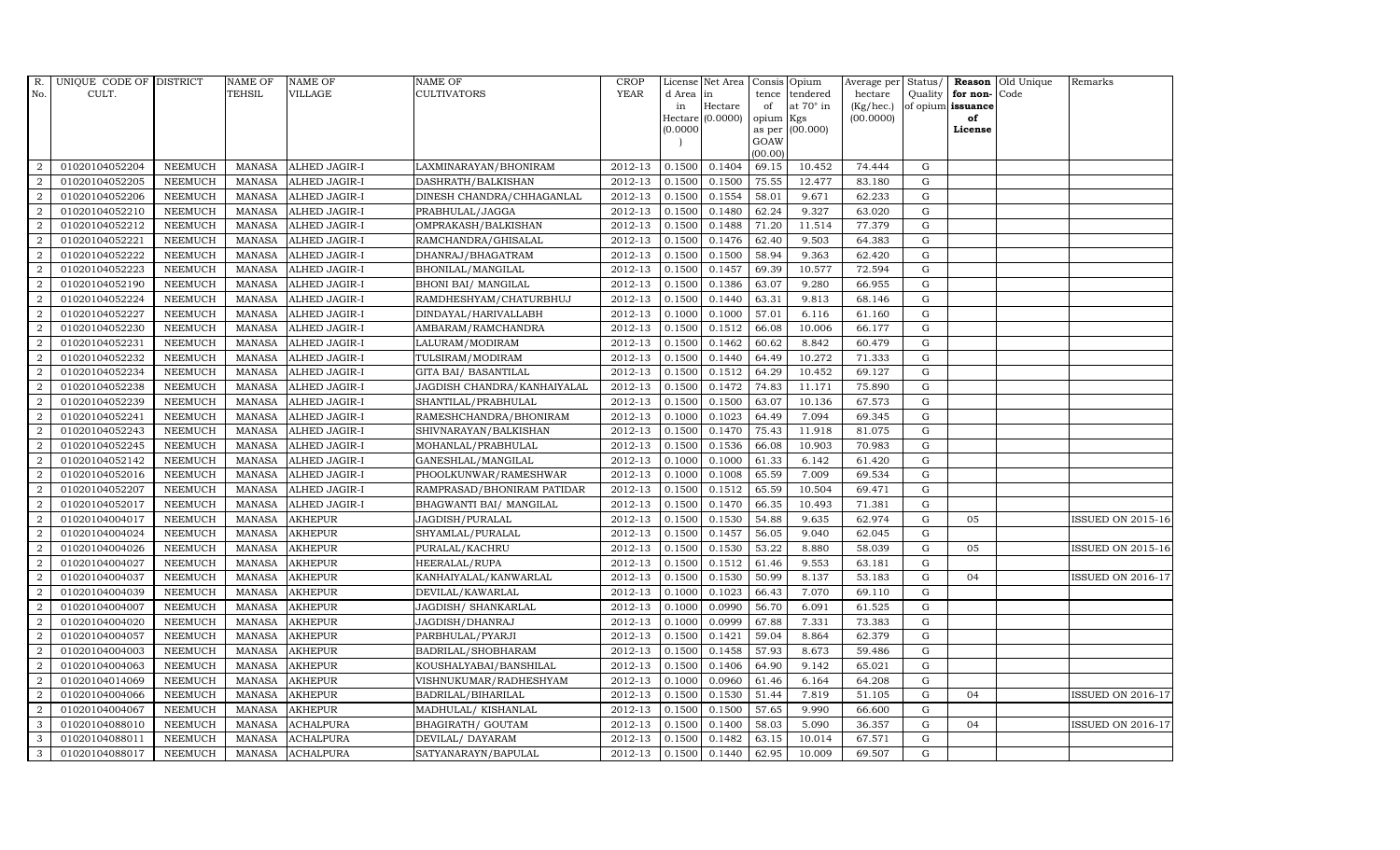| R.               | UNIQUE CODE OF DISTRICT |                | <b>NAME OF</b> | <b>NAME OF</b>       | <b>NAME OF</b>              | CROP        |           | License Net Area   Consis   Opium |           |                  | Average per | Status/     | Reason            | Old Unique | Remarks                  |
|------------------|-------------------------|----------------|----------------|----------------------|-----------------------------|-------------|-----------|-----------------------------------|-----------|------------------|-------------|-------------|-------------------|------------|--------------------------|
| No.              | CULT.                   |                | <b>TEHSIL</b>  | <b>VILLAGE</b>       | <b>CULTIVATORS</b>          | <b>YEAR</b> | d Area in |                                   | tence     | tendered         | hectare     | Quality     | for non-          | Code       |                          |
|                  |                         |                |                |                      |                             |             | in        | Hectare                           | of        | at $70^\circ$ in | (Kg/hec.)   |             | of opium issuance |            |                          |
|                  |                         |                |                |                      |                             |             |           | Hectare (0.0000)                  | opium Kgs |                  | (00.0000)   |             | of                |            |                          |
|                  |                         |                |                |                      |                             |             | (0.0000)  |                                   | GOAW      | as per (00.000)  |             |             | License           |            |                          |
|                  |                         |                |                |                      |                             |             |           |                                   | (00.00)   |                  |             |             |                   |            |                          |
| $\overline{2}$   | 01020104052204          | <b>NEEMUCH</b> | MANASA         | ALHED JAGIR-I        | LAXMINARAYAN/BHONIRAM       | 2012-13     | 0.1500    | 0.1404                            | 69.15     | 10.452           | 74.444      | $\mathbf G$ |                   |            |                          |
| $\overline{2}$   | 01020104052205          | <b>NEEMUCH</b> | MANASA         | <b>ALHED JAGIR-I</b> | DASHRATH/BALKISHAN          | 2012-13     | 0.1500    | 0.1500                            | 75.55     | 12.477           | 83.180      | $\mathbf G$ |                   |            |                          |
| 2                | 01020104052206          | <b>NEEMUCH</b> | <b>MANASA</b>  | <b>ALHED JAGIR-I</b> | DINESH CHANDRA/CHHAGANLAL   | 2012-13     | 0.1500    | 0.1554                            | 58.01     | 9.671            | 62.233      | G           |                   |            |                          |
| $\overline{2}$   | 01020104052210          | <b>NEEMUCH</b> | MANASA         | <b>ALHED JAGIR-I</b> | PRABHULAL/JAGGA             | 2012-13     | 0.1500    | 0.1480                            | 62.24     | 9.327            | 63.020      | $\mathbf G$ |                   |            |                          |
| $\overline{a}$   | 01020104052212          | <b>NEEMUCH</b> | <b>MANASA</b>  | ALHED JAGIR-I        | OMPRAKASH/BALKISHAN         | 2012-13     | 0.1500    | 0.1488                            | 71.20     | 11.514           | 77.379      | ${\rm G}$   |                   |            |                          |
| 2                | 01020104052221          | <b>NEEMUCH</b> | <b>MANASA</b>  | ALHED JAGIR-I        | RAMCHANDRA/GHISALAL         | 2012-13     | 0.1500    | 0.1476                            | 62.40     | 9.503            | 64.383      | $\mathbf G$ |                   |            |                          |
| $\overline{a}$   | 01020104052222          | <b>NEEMUCH</b> | <b>MANASA</b>  | ALHED JAGIR-I        | DHANRAJ/BHAGATRAM           | 2012-13     | 0.1500    | 0.1500                            | 58.94     | 9.363            | 62.420      | $\mathbf G$ |                   |            |                          |
| $\overline{2}$   | 01020104052223          | <b>NEEMUCH</b> | <b>MANASA</b>  | ALHED JAGIR-I        | BHONILAL/MANGILAL           | 2012-13     | 0.1500    | 0.1457                            | 69.39     | 10.577           | 72.594      | $\mathbf G$ |                   |            |                          |
| $\overline{2}$   | 01020104052190          | <b>NEEMUCH</b> | <b>MANASA</b>  | <b>ALHED JAGIR-I</b> | <b>BHONI BAI/ MANGILAL</b>  | 2012-13     | 0.1500    | 0.1386                            | 63.07     | 9.280            | 66.955      | $\mathbf G$ |                   |            |                          |
| $\overline{2}$   | 01020104052224          | <b>NEEMUCH</b> | <b>MANASA</b>  | ALHED JAGIR-I        | RAMDHESHYAM/CHATURBHUJ      | 2012-13     | 0.1500    | 0.1440                            | 63.31     | 9.813            | 68.146      | ${\rm G}$   |                   |            |                          |
| $\overline{a}$   | 01020104052227          | <b>NEEMUCH</b> | <b>MANASA</b>  | ALHED JAGIR-I        | DINDAYAL/HARIVALLABH        | 2012-13     | 0.1000    | 0.1000                            | 57.01     | 6.116            | 61.160      | ${\rm G}$   |                   |            |                          |
| $\overline{2}$   | 01020104052230          | <b>NEEMUCH</b> | <b>MANASA</b>  | <b>ALHED JAGIR-I</b> | AMBARAM/RAMCHANDRA          | 2012-13     | 0.1500    | 0.1512                            | 66.08     | 10.006           | 66.177      | $\mathbf G$ |                   |            |                          |
| 2                | 01020104052231          | <b>NEEMUCH</b> | <b>MANASA</b>  | <b>ALHED JAGIR-I</b> | LALURAM/MODIRAM             | 2012-13     | 0.1500    | 0.1462                            | 60.62     | 8.842            | 60.479      | $\mathbf G$ |                   |            |                          |
| $\overline{2}$   | 01020104052232          | <b>NEEMUCH</b> | <b>MANASA</b>  | <b>ALHED JAGIR-I</b> | TULSIRAM/MODIRAM            | 2012-13     | 0.1500    | 0.1440                            | 64.49     | 10.272           | 71.333      | G           |                   |            |                          |
| $\overline{2}$   | 01020104052234          | <b>NEEMUCH</b> | <b>MANASA</b>  | ALHED JAGIR-I        | GITA BAI/ BASANTILAL        | 2012-13     | 0.1500    | 0.1512                            | 64.29     | 10.452           | 69.127      | G           |                   |            |                          |
| $\overline{a}$   | 01020104052238          | <b>NEEMUCH</b> | <b>MANASA</b>  | <b>ALHED JAGIR-I</b> | JAGDISH CHANDRA/KANHAIYALAL | 2012-13     | 0.1500    | 0.1472                            | 74.83     | 11.171           | 75.890      | ${\rm G}$   |                   |            |                          |
| 2                | 01020104052239          | <b>NEEMUCH</b> | <b>MANASA</b>  | ALHED JAGIR-I        | SHANTILAL/PRABHULAL         | 2012-13     | 0.1500    | 0.1500                            | 63.07     | 10.136           | 67.573      | G           |                   |            |                          |
| 2                | 01020104052241          | <b>NEEMUCH</b> | MANASA         | <b>ALHED JAGIR-I</b> | RAMESHCHANDRA/BHONIRAM      | 2012-13     | 0.1000    | 0.1023                            | 64.49     | 7.094            | 69.345      | G           |                   |            |                          |
| $\overline{2}$   | 01020104052243          | <b>NEEMUCH</b> | <b>MANASA</b>  | <b>ALHED JAGIR-I</b> | SHIVNARAYAN/BALKISHAN       | 2012-13     | 0.1500    | 0.1470                            | 75.43     | 11.918           | 81.075      | $\mathbf G$ |                   |            |                          |
| $\overline{2}$   | 01020104052245          | <b>NEEMUCH</b> | <b>MANASA</b>  | <b>ALHED JAGIR-I</b> | MOHANLAL/PRABHULAL          | 2012-13     | 0.1500    | 0.1536                            | 66.08     | 10.903           | 70.983      | $\mathbf G$ |                   |            |                          |
| 2                | 01020104052142          | <b>NEEMUCH</b> | <b>MANASA</b>  | <b>ALHED JAGIR-I</b> | GANESHLAL/MANGILAL          | 2012-13     | 0.1000    | 0.1000                            | 61.33     | 6.142            | 61.420      | ${\rm G}$   |                   |            |                          |
| $\overline{a}$   | 01020104052016          | NEEMUCH        | <b>MANASA</b>  | ALHED JAGIR-I        | PHOOLKUNWAR/RAMESHWAR       | 2012-13     | 0.1000    | 0.1008                            | 65.59     | 7.009            | 69.534      | ${\rm G}$   |                   |            |                          |
| $\overline{a}$   | 01020104052207          | <b>NEEMUCH</b> | MANASA         | <b>ALHED JAGIR-I</b> | RAMPRASAD/BHONIRAM PATIDAR  | 2012-13     | 0.1500    | 0.1512                            | 65.59     | 10.504           | 69.471      | G           |                   |            |                          |
| $\overline{2}$   | 01020104052017          | <b>NEEMUCH</b> | <b>MANASA</b>  | <b>ALHED JAGIR-I</b> | BHAGWANTI BAI/ MANGILAL     | 2012-13     | 0.1500    | 0.1470                            | 66.35     | 10.493           | 71.381      | $\mathbf G$ |                   |            |                          |
| $\boldsymbol{2}$ | 01020104004017          | <b>NEEMUCH</b> | <b>MANASA</b>  | <b>AKHEPUR</b>       | JAGDISH/PURALAL             | 2012-13     | 0.1500    | 0.1530                            | 54.88     | 9.635            | 62.974      | $\mathbf G$ | 05                |            | <b>ISSUED ON 2015-16</b> |
| $\overline{2}$   | 01020104004024          | <b>NEEMUCH</b> | <b>MANASA</b>  | <b>AKHEPUR</b>       | SHYAMLAL/PURALAL            | 2012-13     | 0.1500    | 0.1457                            | 56.05     | 9.040            | 62.045      | G           |                   |            |                          |
| $\overline{a}$   | 01020104004026          | <b>NEEMUCH</b> | <b>MANASA</b>  | <b>AKHEPUR</b>       | PURALAL/KACHRU              | 2012-13     | 0.1500    | 0.1530                            | 53.22     | 8.880            | 58.039      | ${\rm G}$   | 05                |            | <b>ISSUED ON 2015-16</b> |
| 2                | 01020104004027          | <b>NEEMUCH</b> | <b>MANASA</b>  | <b>AKHEPUR</b>       | HEERALAL/RUPA               | 2012-13     | 0.1500    | 0.1512                            | 61.46     | 9.553            | 63.181      | $\mathbf G$ |                   |            |                          |
| 2                | 01020104004037          | <b>NEEMUCH</b> | <b>MANASA</b>  | <b>AKHEPUR</b>       | KANHAIYALAL/KANWARLAL       | 2012-13     | 0.1500    | 0.1530                            | 50.99     | 8.137            | 53.183      | $\mathbf G$ | 04                |            | <b>ISSUED ON 2016-17</b> |
| $\overline{2}$   | 01020104004039          | <b>NEEMUCH</b> | <b>MANASA</b>  | <b>AKHEPUR</b>       | DEVILAL/KAWARLAL            | 2012-13     | 0.1000    | 0.1023                            | 66.43     | 7.070            | 69.110      | $\mathbf G$ |                   |            |                          |
| $\overline{2}$   | 01020104004007          | <b>NEEMUCH</b> | <b>MANASA</b>  | <b>AKHEPUR</b>       | JAGDISH / SHANKARLAL        | 2012-13     | 0.1000    | 0.0990                            | 56.70     | 6.091            | 61.525      | G           |                   |            |                          |
| $\overline{a}$   | 01020104004020          | <b>NEEMUCH</b> | <b>MANASA</b>  | <b>AKHEPUR</b>       | JAGDISH/DHANRAJ             | 2012-13     | 0.1000    | 0.0999                            | 67.88     | 7.331            | 73.383      | ${\rm G}$   |                   |            |                          |
| $\overline{a}$   | 01020104004057          | <b>NEEMUCH</b> | MANASA         | <b>AKHEPUR</b>       | PARBHULAL/PYARJI            | $2012 - 13$ | 0.1500    | 0.1421                            | 59.04     | 8.864            | 62.379      | $\mathbf G$ |                   |            |                          |
| 2                | 01020104004003          | <b>NEEMUCH</b> | <b>MANASA</b>  | <b>AKHEPUR</b>       | BADRILAL/SHOBHARAM          | 2012-13     | 0.1500    | 0.1458                            | 57.93     | 8.673            | 59.486      | $\mathbf G$ |                   |            |                          |
| $\overline{2}$   | 01020104004063          | <b>NEEMUCH</b> | <b>MANASA</b>  | <b>AKHEPUR</b>       | KOUSHALYABAI/BANSHILAL      | 2012-13     | 0.1500    | 0.1406                            | 64.90     | 9.142            | 65.021      | $\mathbf G$ |                   |            |                          |
| $\overline{a}$   | 01020104014069          | <b>NEEMUCH</b> | <b>MANASA</b>  | <b>AKHEPUR</b>       | VISHNUKUMAR/RADHESHYAM      | 2012-13     | 0.1000    | 0.0960                            | 61.46     | 6.164            | 64.208      | $\mathbf G$ |                   |            |                          |
| $\overline{2}$   | 01020104004066          | <b>NEEMUCH</b> | <b>MANASA</b>  | <b>AKHEPUR</b>       | BADRILAL/BIHARILAL          | 2012-13     | 0.1500    | 0.1530                            | 51.44     | 7.819            | 51.105      | ${\rm G}$   | 04                |            | <b>ISSUED ON 2016-17</b> |
| $\overline{a}$   | 01020104004067          | <b>NEEMUCH</b> | <b>MANASA</b>  | <b>AKHEPUR</b>       | MADHULAL/KISHANLAL          | 2012-13     | 0.1500    | 0.1500                            | 57.65     | 9.990            | 66.600      | $\mathbf G$ |                   |            |                          |
| 3                | 01020104088010          | <b>NEEMUCH</b> | <b>MANASA</b>  | <b>ACHALPURA</b>     | BHAGIRATH/ GOUTAM           | 2012-13     | 0.1500    | 0.1400                            | 58.03     | 5.090            | 36.357      | $\mathbf G$ | 04                |            | <b>ISSUED ON 2016-17</b> |
| 3                | 01020104088011          | <b>NEEMUCH</b> | <b>MANASA</b>  | <b>ACHALPURA</b>     | DEVILAL/ DAYARAM            | 2012-13     | 0.1500    | 0.1482                            | 63.15     | 10.014           | 67.571      | $\mathbf G$ |                   |            |                          |
| 3                | 01020104088017          | <b>NEEMUCH</b> |                | MANASA ACHALPURA     | SATYANARAYN/BAPULAL         | 2012-13     | 0.1500    | 0.1440                            | 62.95     | 10.009           | 69.507      | G           |                   |            |                          |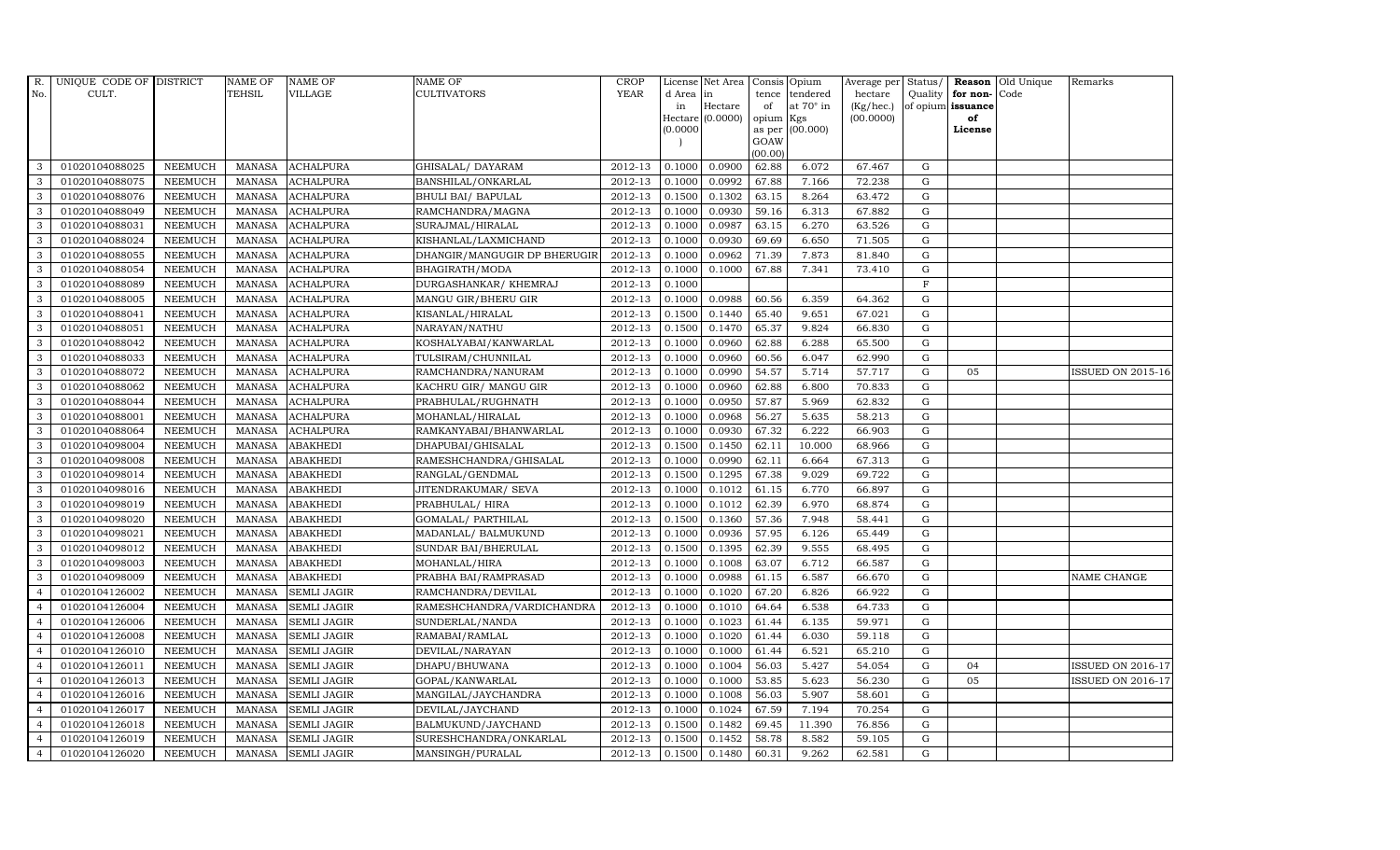| R.             | UNIQUE CODE OF DISTRICT |                | <b>NAME OF</b> | <b>NAME OF</b>     | <b>NAME OF</b>               | CROP        |           | License Net Area   Consis   Opium |           |                  | Average per | Status/     | Reason            | Old Unique | Remarks                  |
|----------------|-------------------------|----------------|----------------|--------------------|------------------------------|-------------|-----------|-----------------------------------|-----------|------------------|-------------|-------------|-------------------|------------|--------------------------|
| No.            | CULT.                   |                | <b>TEHSIL</b>  | <b>VILLAGE</b>     | <b>CULTIVATORS</b>           | YEAR        | d Area in |                                   |           | tence tendered   | hectare     | Quality     | for non-          | Code       |                          |
|                |                         |                |                |                    |                              |             | in        | Hectare                           | of        | at $70^\circ$ in | (Kg/hec.)   |             | of opium issuance |            |                          |
|                |                         |                |                |                    |                              |             |           | Hectare (0.0000)                  | opium Kgs |                  | (00.0000)   |             | of                |            |                          |
|                |                         |                |                |                    |                              |             | (0.0000)  |                                   | GOAW      | as per (00.000)  |             |             | License           |            |                          |
|                |                         |                |                |                    |                              |             |           |                                   | (00.00)   |                  |             |             |                   |            |                          |
| 3              | 01020104088025          | <b>NEEMUCH</b> | MANASA         | <b>ACHALPURA</b>   | GHISALAL/ DAYARAM            | 2012-13     | 0.1000    | 0.0900                            | 62.88     | 6.072            | 67.467      | $\mathbf G$ |                   |            |                          |
| 3              | 01020104088075          | <b>NEEMUCH</b> | MANASA         | <b>ACHALPURA</b>   | BANSHILAL/ONKARLAL           | 2012-13     | 0.1000    | 0.0992                            | 67.88     | 7.166            | 72.238      | $\mathbf G$ |                   |            |                          |
| 3              | 01020104088076          | <b>NEEMUCH</b> | <b>MANASA</b>  | <b>ACHALPURA</b>   | BHULI BAI/ BAPULAL           | 2012-13     | 0.1500    | 0.1302                            | 63.15     | 8.264            | 63.472      | G           |                   |            |                          |
| 3              | 01020104088049          | <b>NEEMUCH</b> | <b>MANASA</b>  | <b>ACHALPURA</b>   | RAMCHANDRA/MAGNA             | 2012-13     | 0.1000    | 0.0930                            | 59.16     | 6.313            | 67.882      | $\mathbf G$ |                   |            |                          |
| 3              | 01020104088031          | <b>NEEMUCH</b> | <b>MANASA</b>  | <b>ACHALPURA</b>   | SURAJMAL/HIRALAL             | 2012-13     | 0.1000    | 0.0987                            | 63.15     | 6.270            | 63.526      | ${\rm G}$   |                   |            |                          |
| $\mathbf{3}$   | 01020104088024          | <b>NEEMUCH</b> | <b>MANASA</b>  | <b>ACHALPURA</b>   | KISHANLAL/LAXMICHAND         | 2012-13     | 0.1000    | 0.0930                            | 69.69     | 6.650            | 71.505      | $\mathbf G$ |                   |            |                          |
| 3              | 01020104088055          | <b>NEEMUCH</b> | <b>MANASA</b>  | <b>ACHALPURA</b>   | DHANGIR/MANGUGIR DP BHERUGIR | 2012-13     | 0.1000    | 0.0962                            | 71.39     | 7.873            | 81.840      | $\mathbf G$ |                   |            |                          |
| 3              | 01020104088054          | <b>NEEMUCH</b> | <b>MANASA</b>  | <b>ACHALPURA</b>   | BHAGIRATH/MODA               | 2012-13     | 0.1000    | 0.1000                            | 67.88     | 7.341            | 73.410      | $\mathbf G$ |                   |            |                          |
| 3              | 01020104088089          | <b>NEEMUCH</b> | <b>MANASA</b>  | <b>ACHALPURA</b>   | DURGASHANKAR/ KHEMRAJ        | 2012-13     | 0.1000    |                                   |           |                  |             | $\mathbf F$ |                   |            |                          |
| 3              | 01020104088005          | <b>NEEMUCH</b> | <b>MANASA</b>  | <b>ACHALPURA</b>   | MANGU GIR/BHERU GIR          | 2012-13     | 0.1000    | 0.0988                            | 60.56     | 6.359            | 64.362      | ${\bf G}$   |                   |            |                          |
| $\mathbf{3}$   | 01020104088041          | <b>NEEMUCH</b> | <b>MANASA</b>  | <b>ACHALPURA</b>   | KISANLAL/HIRALAL             | 2012-13     | 0.1500    | 0.1440                            | 65.40     | 9.651            | 67.021      | ${\rm G}$   |                   |            |                          |
| 3              | 01020104088051          | <b>NEEMUCH</b> | <b>MANASA</b>  | <b>ACHALPURA</b>   | NARAYAN/NATHU                | 2012-13     | 0.1500    | 0.1470                            | 65.37     | 9.824            | 66.830      | ${\rm G}$   |                   |            |                          |
| 3              | 01020104088042          | <b>NEEMUCH</b> | <b>MANASA</b>  | <b>ACHALPURA</b>   | KOSHALYABAI/KANWARLAL        | 2012-13     | 0.1000    | 0.0960                            | 62.88     | 6.288            | 65.500      | $\mathbf G$ |                   |            |                          |
| 3              | 01020104088033          | <b>NEEMUCH</b> | <b>MANASA</b>  | <b>ACHALPURA</b>   | TULSIRAM/CHUNNILAL           | 2012-13     | 0.1000    | 0.0960                            | 60.56     | 6.047            | 62.990      | G           |                   |            |                          |
| 3              | 01020104088072          | <b>NEEMUCH</b> | <b>MANASA</b>  | <b>ACHALPURA</b>   | RAMCHANDRA/NANURAM           | 2012-13     | 0.1000    | 0.0990                            | 54.57     | 5.714            | 57.717      | G           | 05                |            | ISSUED ON 2015-16        |
| 3              | 01020104088062          | <b>NEEMUCH</b> | <b>MANASA</b>  | <b>ACHALPURA</b>   | KACHRU GIR/ MANGU GIR        | 2012-13     | 0.1000    | 0.0960                            | 62.88     | 6.800            | 70.833      | ${\rm G}$   |                   |            |                          |
| 3              | 01020104088044          | <b>NEEMUCH</b> | <b>MANASA</b>  | <b>ACHALPURA</b>   | PRABHULAL/RUGHNATH           | 2012-13     | 0.1000    | 0.0950                            | 57.87     | 5.969            | 62.832      | G           |                   |            |                          |
| 3              | 01020104088001          | <b>NEEMUCH</b> | MANASA         | <b>ACHALPURA</b>   | MOHANLAL/HIRALAL             | 2012-13     | 0.1000    | 0.0968                            | 56.27     | 5.635            | 58.213      | G           |                   |            |                          |
| 3              | 01020104088064          | <b>NEEMUCH</b> | <b>MANASA</b>  | <b>ACHALPURA</b>   | RAMKANYABAI/BHANWARLAL       | 2012-13     | 0.1000    | 0.0930                            | 67.32     | 6.222            | 66.903      | $\mathbf G$ |                   |            |                          |
| 3              | 01020104098004          | <b>NEEMUCH</b> | <b>MANASA</b>  | <b>ABAKHEDI</b>    | DHAPUBAI/GHISALAL            | 2012-13     | 0.1500    | 0.1450                            | 62.11     | 10.000           | 68.966      | $\mathbf G$ |                   |            |                          |
| $\mathbf{3}$   | 01020104098008          | <b>NEEMUCH</b> | <b>MANASA</b>  | <b>ABAKHEDI</b>    | RAMESHCHANDRA/GHISALAL       | 2012-13     | 0.1000    | 0.0990                            | 62.11     | 6.664            | 67.313      | ${\rm G}$   |                   |            |                          |
| 3              | 01020104098014          | <b>NEEMUCH</b> | <b>MANASA</b>  | <b>ABAKHEDI</b>    | RANGLAL/GENDMAL              | 2012-13     | 0.1500    | 0.1295                            | 67.38     | 9.029            | 69.722      | ${\rm G}$   |                   |            |                          |
| $\mathbf{3}$   | 01020104098016          | <b>NEEMUCH</b> | MANASA         | <b>ABAKHEDI</b>    | JITENDRAKUMAR/ SEVA          | 2012-13     | 0.1000    | 0.1012                            | 61.15     | 6.770            | 66.897      | G           |                   |            |                          |
| 3              | 01020104098019          | <b>NEEMUCH</b> | <b>MANASA</b>  | <b>ABAKHEDI</b>    | PRABHULAL/ HIRA              | 2012-13     | 0.1000    | 0.1012                            | 62.39     | 6.970            | 68.874      | $\mathbf G$ |                   |            |                          |
| 3              | 01020104098020          | <b>NEEMUCH</b> | <b>MANASA</b>  | <b>ABAKHEDI</b>    | GOMALAL/ PARTHILAL           | 2012-13     | 0.1500    | 0.1360                            | 57.36     | 7.948            | 58.441      | $\mathbf G$ |                   |            |                          |
| 3              | 01020104098021          | <b>NEEMUCH</b> | <b>MANASA</b>  | <b>ABAKHEDI</b>    | MADANLAL/ BALMUKUND          | 2012-13     | 0.1000    | 0.0936                            | 57.95     | 6.126            | 65.449      | G           |                   |            |                          |
| 3              | 01020104098012          | <b>NEEMUCH</b> | <b>MANASA</b>  | <b>ABAKHEDI</b>    | SUNDAR BAI/BHERULAL          | 2012-13     | 0.1500    | 0.1395                            | 62.39     | 9.555            | 68.495      | ${\rm G}$   |                   |            |                          |
| 3              | 01020104098003          | <b>NEEMUCH</b> | <b>MANASA</b>  | <b>ABAKHEDI</b>    | MOHANLAL/HIRA                | 2012-13     | 0.1000    | 0.1008                            | 63.07     | 6.712            | 66.587      | G           |                   |            |                          |
| 3              | 01020104098009          | <b>NEEMUCH</b> | <b>MANASA</b>  | <b>ABAKHEDI</b>    | PRABHA BAI/RAMPRASAD         | 2012-13     | 0.1000    | 0.0988                            | 61.15     | 6.587            | 66.670      | $\mathbf G$ |                   |            | NAME CHANGE              |
| $\overline{4}$ | 01020104126002          | <b>NEEMUCH</b> | <b>MANASA</b>  | <b>SEMLI JAGIR</b> | RAMCHANDRA/DEVILAL           | 2012-13     | 0.1000    | 0.1020                            | 67.20     | 6.826            | 66.922      | $\mathbf G$ |                   |            |                          |
| $\overline{4}$ | 01020104126004          | <b>NEEMUCH</b> | <b>MANASA</b>  | <b>SEMLI JAGIR</b> | RAMESHCHANDRA/VARDICHANDRA   | 2012-13     | 0.1000    | 0.1010                            | 64.64     | 6.538            | 64.733      | G           |                   |            |                          |
| $\overline{4}$ | 01020104126006          | <b>NEEMUCH</b> | <b>MANASA</b>  | <b>SEMLI JAGIR</b> | SUNDERLAL/NANDA              | 2012-13     | 0.1000    | 0.1023                            | 61.44     | 6.135            | 59.971      | ${\rm G}$   |                   |            |                          |
| $\overline{4}$ | 01020104126008          | <b>NEEMUCH</b> | <b>MANASA</b>  | <b>SEMLI JAGIR</b> | RAMABAI/RAMLAL               | 2012-13     | 0.1000    | 0.1020                            | 61.44     | 6.030            | 59.118      | $\mathbf G$ |                   |            |                          |
| $\overline{4}$ | 01020104126010          | <b>NEEMUCH</b> | <b>MANASA</b>  | <b>SEMLI JAGIR</b> | DEVILAL/NARAYAN              | 2012-13     | 0.1000    | 0.1000                            | 61.44     | 6.521            | 65.210      | $\mathbf G$ |                   |            |                          |
| $\overline{4}$ | 01020104126011          | <b>NEEMUCH</b> | <b>MANASA</b>  | <b>SEMLI JAGIR</b> | DHAPU/BHUWANA                | 2012-13     | 0.1000    | 0.1004                            | 56.03     | 5.427            | 54.054      | $\mathbf G$ | 04                |            | <b>ISSUED ON 2016-17</b> |
| $\overline{4}$ | 01020104126013          | <b>NEEMUCH</b> | <b>MANASA</b>  | <b>SEMLI JAGIR</b> | GOPAL/KANWARLAL              | 2012-13     | 0.1000    | 0.1000                            | 53.85     | 5.623            | 56.230      | G           | 05                |            | ISSUED ON 2016-17        |
| $\overline{4}$ | 01020104126016          | <b>NEEMUCH</b> | <b>MANASA</b>  | <b>SEMLI JAGIR</b> | MANGILAL/JAYCHANDRA          | 2012-13     | 0.1000    | 0.1008                            | 56.03     | 5.907            | 58.601      | G           |                   |            |                          |
| $\overline{4}$ | 01020104126017          | <b>NEEMUCH</b> | <b>MANASA</b>  | <b>SEMLI JAGIR</b> | DEVILAL/JAYCHAND             | $2012 - 13$ | 0.1000    | 0.1024                            | 67.59     | 7.194            | 70.254      | $\mathbf G$ |                   |            |                          |
| $\overline{4}$ | 01020104126018          | <b>NEEMUCH</b> | <b>MANASA</b>  | <b>SEMLI JAGIR</b> | BALMUKUND/JAYCHAND           | 2012-13     | 0.1500    | 0.1482                            | 69.45     | 11.390           | 76.856      | $\mathbf G$ |                   |            |                          |
| $\overline{4}$ | 01020104126019          | <b>NEEMUCH</b> | <b>MANASA</b>  | <b>SEMLI JAGIR</b> | SURESHCHANDRA/ONKARLAL       | 2012-13     | 0.1500    | 0.1452                            | 58.78     | 8.582            | 59.105      | $\mathbf G$ |                   |            |                          |
| $\overline{4}$ | 01020104126020          | <b>NEEMUCH</b> |                | MANASA SEMLI JAGIR | MANSINGH/PURALAL             | 2012-13     | 0.1500    | 0.1480                            | 60.31     | 9.262            | 62.581      | G           |                   |            |                          |
|                |                         |                |                |                    |                              |             |           |                                   |           |                  |             |             |                   |            |                          |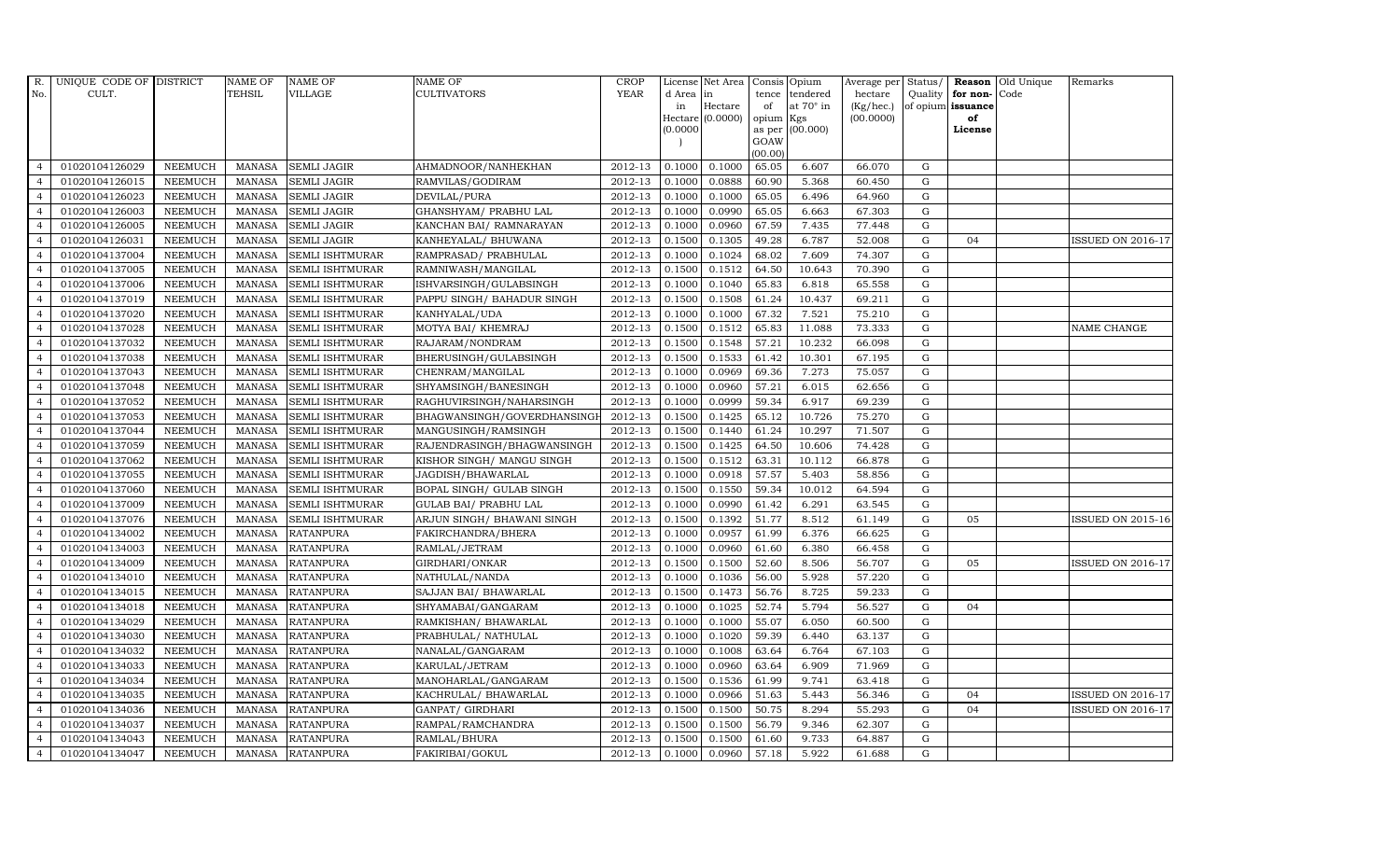| R.             | UNIQUE CODE OF DISTRICT |                | <b>NAME OF</b> | <b>NAME OF</b>         | NAME OF                      | CROP    |           | License Net Area   Consis   Opium |           |                  | Average per | Status/     | Reason            | Old Unique | Remarks                  |
|----------------|-------------------------|----------------|----------------|------------------------|------------------------------|---------|-----------|-----------------------------------|-----------|------------------|-------------|-------------|-------------------|------------|--------------------------|
| No.            | CULT.                   |                | <b>TEHSIL</b>  | <b>VILLAGE</b>         | <b>CULTIVATORS</b>           | YEAR    | d Area in |                                   |           | tence tendered   | hectare     | Quality     | for non-          | Code       |                          |
|                |                         |                |                |                        |                              |         | in        | Hectare                           | of        | at $70^\circ$ in | (Kg/hec.)   |             | of opium issuance |            |                          |
|                |                         |                |                |                        |                              |         |           | Hectare (0.0000)                  | opium Kgs |                  | (00.0000)   |             | of<br>License     |            |                          |
|                |                         |                |                |                        |                              |         | (0.0000)  |                                   | GOAW      | as per (00.000)  |             |             |                   |            |                          |
|                |                         |                |                |                        |                              |         |           |                                   | (00.00)   |                  |             |             |                   |            |                          |
| $\overline{4}$ | 01020104126029          | <b>NEEMUCH</b> | MANASA         | <b>SEMLI JAGIR</b>     | AHMADNOOR/NANHEKHAN          | 2012-13 | 0.1000    | 0.1000                            | 65.05     | 6.607            | 66.070      | G           |                   |            |                          |
| $\overline{a}$ | 01020104126015          | <b>NEEMUCH</b> | MANASA         | <b>SEMLI JAGIR</b>     | RAMVILAS/GODIRAM             | 2012-13 | 0.1000    | 0.0888                            | 60.90     | 5.368            | 60.450      | $\mathbf G$ |                   |            |                          |
| $\overline{4}$ | 01020104126023          | <b>NEEMUCH</b> | <b>MANASA</b>  | <b>SEMLI JAGIR</b>     | DEVILAL/PURA                 | 2012-13 | 0.1000    | 0.1000                            | 65.05     | 6.496            | 64.960      | G           |                   |            |                          |
|                | 01020104126003          | <b>NEEMUCH</b> | <b>MANASA</b>  | <b>SEMLI JAGIR</b>     | GHANSHYAM/ PRABHU LAL        | 2012-13 | 0.1000    | 0.0990                            | 65.05     | 6.663            | 67.303      | $\mathbf G$ |                   |            |                          |
| $\overline{4}$ | 01020104126005          | <b>NEEMUCH</b> | <b>MANASA</b>  | <b>SEMLI JAGIR</b>     | KANCHAN BAI/ RAMNARAYAN      | 2012-13 | 0.1000    | 0.0960                            | 67.59     | 7.435            | 77.448      | ${\rm G}$   |                   |            |                          |
| $\overline{4}$ | 01020104126031          | <b>NEEMUCH</b> | <b>MANASA</b>  | <b>SEMLI JAGIR</b>     | KANHEYALAL/ BHUWANA          | 2012-13 | 0.1500    | 0.1305                            | 49.28     | 6.787            | 52.008      | $\mathbf G$ | 04                |            | <b>ISSUED ON 2016-17</b> |
| $\overline{4}$ | 01020104137004          | <b>NEEMUCH</b> | <b>MANASA</b>  | <b>SEMLI ISHTMURAR</b> | RAMPRASAD/ PRABHULAL         | 2012-13 | 0.1000    | 0.1024                            | 68.02     | 7.609            | 74.307      | $\mathbf G$ |                   |            |                          |
| $\overline{4}$ | 01020104137005          | <b>NEEMUCH</b> | <b>MANASA</b>  | <b>SEMLI ISHTMURAR</b> | RAMNIWASH/MANGILAL           | 2012-13 | 0.1500    | 0.1512                            | 64.50     | 10.643           | 70.390      | $\mathbf G$ |                   |            |                          |
| $\overline{4}$ | 01020104137006          | <b>NEEMUCH</b> | <b>MANASA</b>  | <b>SEMLI ISHTMURAR</b> | ISHVARSINGH/GULABSINGH       | 2012-13 | 0.1000    | 0.1040                            | 65.83     | 6.818            | 65.558      | $\mathbf G$ |                   |            |                          |
| $\overline{4}$ | 01020104137019          | <b>NEEMUCH</b> | <b>MANASA</b>  | <b>SEMLI ISHTMURAR</b> | PAPPU SINGH / BAHADUR SINGH  | 2012-13 | 0.1500    | 0.1508                            | 61.24     | 10.437           | 69.211      | $\mathbf G$ |                   |            |                          |
| $\overline{4}$ | 01020104137020          | <b>NEEMUCH</b> | <b>MANASA</b>  | <b>SEMLI ISHTMURAR</b> | KANHYALAL/UDA                | 2012-13 | 0.1000    | 0.1000                            | 67.32     | 7.521            | 75.210      | ${\rm G}$   |                   |            |                          |
| $\overline{4}$ | 01020104137028          | <b>NEEMUCH</b> | <b>MANASA</b>  | <b>SEMLI ISHTMURAR</b> | MOTYA BAI / KHEMRAJ          | 2012-13 | 0.1500    | 0.1512                            | 65.83     | 11.088           | 73.333      | ${\rm G}$   |                   |            | NAME CHANGE              |
| $\overline{4}$ | 01020104137032          | <b>NEEMUCH</b> | <b>MANASA</b>  | SEMLI ISHTMURAR        | RAJARAM/NONDRAM              | 2012-13 | 0.1500    | 0.1548                            | 57.21     | 10.232           | 66.098      | $\mathbf G$ |                   |            |                          |
| $\overline{4}$ | 01020104137038          | <b>NEEMUCH</b> | <b>MANASA</b>  | <b>SEMLI ISHTMURAR</b> | BHERUSINGH/GULABSINGH        | 2012-13 | 0.1500    | 0.1533                            | 61.42     | 10.301           | 67.195      | $\mathbf G$ |                   |            |                          |
| $\overline{4}$ | 01020104137043          | <b>NEEMUCH</b> | <b>MANASA</b>  | <b>SEMLI ISHTMURAR</b> | CHENRAM/MANGILAL             | 2012-13 | 0.1000    | 0.0969                            | 69.36     | 7.273            | 75.057      | G           |                   |            |                          |
| $\overline{4}$ | 01020104137048          | <b>NEEMUCH</b> | <b>MANASA</b>  | <b>SEMLI ISHTMURAR</b> | SHYAMSINGH/BANESINGH         | 2012-13 | 0.1000    | 0.0960                            | 57.21     | 6.015            | 62.656      | ${\rm G}$   |                   |            |                          |
| $\overline{4}$ | 01020104137052          | <b>NEEMUCH</b> | <b>MANASA</b>  | <b>SEMLI ISHTMURAR</b> | RAGHUVIRSINGH/NAHARSINGH     | 2012-13 | 0.1000    | 0.0999                            | 59.34     | 6.917            | 69.239      | ${\rm G}$   |                   |            |                          |
| $\overline{4}$ | 01020104137053          | <b>NEEMUCH</b> | MANASA         | <b>SEMLI ISHTMURAR</b> | BHAGWANSINGH/GOVERDHANSINGI  | 2012-13 | 0.1500    | 0.1425                            | 65.12     | 10.726           | 75.270      | G           |                   |            |                          |
| $\overline{4}$ | 01020104137044          | <b>NEEMUCH</b> | <b>MANASA</b>  | <b>SEMLI ISHTMURAR</b> | MANGUSINGH/RAMSINGH          | 2012-13 | 0.1500    | 0.1440                            | 61.24     | 10.297           | 71.507      | $\mathbf G$ |                   |            |                          |
| $\overline{4}$ | 01020104137059          | <b>NEEMUCH</b> | <b>MANASA</b>  | <b>SEMLI ISHTMURAR</b> | RAJENDRASINGH/BHAGWANSINGH   | 2012-13 | 0.1500    | 0.1425                            | 64.50     | 10.606           | 74.428      | $\mathbf G$ |                   |            |                          |
| 4              | 01020104137062          | <b>NEEMUCH</b> | <b>MANASA</b>  | <b>SEMLI ISHTMURAR</b> | KISHOR SINGH/ MANGU SINGH    | 2012-13 | 0.1500    | 0.1512                            | 63.31     | 10.112           | 66.878      | ${\rm G}$   |                   |            |                          |
| $\overline{4}$ | 01020104137055          | <b>NEEMUCH</b> | <b>MANASA</b>  | <b>SEMLI ISHTMURAR</b> | JAGDISH/BHAWARLAL            | 2012-13 | 0.1000    | 0.0918                            | 57.57     | 5.403            | 58.856      | ${\rm G}$   |                   |            |                          |
| $\overline{4}$ | 01020104137060          | <b>NEEMUCH</b> | MANASA         | <b>SEMLI ISHTMURAR</b> | BOPAL SINGH/ GULAB SINGH     | 2012-13 | 0.1500    | 0.1550                            | 59.34     | 10.012           | 64.594      | G           |                   |            |                          |
| $\overline{4}$ | 01020104137009          | <b>NEEMUCH</b> | <b>MANASA</b>  | <b>SEMLI ISHTMURAR</b> | <b>GULAB BAI/ PRABHU LAL</b> | 2012-13 | 0.1000    | 0.0990                            | 61.42     | 6.291            | 63.545      | $\mathbf G$ |                   |            |                          |
| $\overline{4}$ | 01020104137076          | <b>NEEMUCH</b> | <b>MANASA</b>  | <b>SEMLI ISHTMURAR</b> | ARJUN SINGH/ BHAWANI SINGH   | 2012-13 | 0.1500    | 0.1392                            | 51.77     | 8.512            | 61.149      | $\mathbf G$ | 05                |            | <b>ISSUED ON 2015-16</b> |
| $\overline{4}$ | 01020104134002          | <b>NEEMUCH</b> | <b>MANASA</b>  | <b>RATANPURA</b>       | FAKIRCHANDRA/BHERA           | 2012-13 | 0.1000    | 0.0957                            | 61.99     | 6.376            | 66.625      | G           |                   |            |                          |
| $\overline{4}$ | 01020104134003          | <b>NEEMUCH</b> | <b>MANASA</b>  | <b>RATANPURA</b>       | RAMLAL/JETRAM                | 2012-13 | 0.1000    | 0.0960                            | 61.60     | 6.380            | 66.458      | ${\rm G}$   |                   |            |                          |
| $\overline{4}$ | 01020104134009          | <b>NEEMUCH</b> | <b>MANASA</b>  | <b>RATANPURA</b>       | GIRDHARI/ONKAR               | 2012-13 | 0.1500    | 0.1500                            | 52.60     | 8.506            | 56.707      | G           | 05                |            | ISSUED ON 2016-17        |
| $\overline{4}$ | 01020104134010          | <b>NEEMUCH</b> | <b>MANASA</b>  | <b>RATANPURA</b>       | NATHULAL/NANDA               | 2012-13 | 0.1000    | 0.1036                            | 56.00     | 5.928            | 57.220      | $\mathbf G$ |                   |            |                          |
| $\overline{4}$ | 01020104134015          | <b>NEEMUCH</b> | <b>MANASA</b>  | <b>RATANPURA</b>       | SAJJAN BAI / BHAWARLAL       | 2012-13 | 0.1500    | 0.1473                            | 56.76     | 8.725            | 59.233      | $\mathbf G$ |                   |            |                          |
| $\overline{4}$ | 01020104134018          | <b>NEEMUCH</b> | <b>MANASA</b>  | <b>RATANPURA</b>       | SHYAMABAI/GANGARAM           | 2012-13 | 0.1000    | 0.1025                            | 52.74     | 5.794            | 56.527      | G           | 04                |            |                          |
| $\overline{4}$ | 01020104134029          | <b>NEEMUCH</b> | <b>MANASA</b>  | <b>RATANPURA</b>       | RAMKISHAN/ BHAWARLAL         | 2012-13 | 0.1000    | 0.1000                            | 55.07     | 6.050            | 60.500      | ${\rm G}$   |                   |            |                          |
| $\overline{4}$ | 01020104134030          | <b>NEEMUCH</b> | MANASA         | <b>RATANPURA</b>       | PRABHULAL/ NATHULAL          | 2012-13 | 0.1000    | 0.1020                            | 59.39     | 6.440            | 63.137      | $\mathbf G$ |                   |            |                          |
| $\overline{4}$ | 01020104134032          | <b>NEEMUCH</b> | <b>MANASA</b>  | <b>RATANPURA</b>       | NANALAL/GANGARAM             | 2012-13 | 0.1000    | 0.1008                            | 63.64     | 6.764            | 67.103      | $\mathbf G$ |                   |            |                          |
| $\overline{4}$ | 01020104134033          | <b>NEEMUCH</b> | <b>MANASA</b>  | <b>RATANPURA</b>       | KARULAL/JETRAM               | 2012-13 | 0.1000    | 0.0960                            | 63.64     | 6.909            | 71.969      | $\mathbf G$ |                   |            |                          |
| $\overline{4}$ | 01020104134034          | <b>NEEMUCH</b> | <b>MANASA</b>  | <b>RATANPURA</b>       | MANOHARLAL/GANGARAM          | 2012-13 | 0.1500    | 0.1536                            | 61.99     | 9.741            | 63.418      | $\mathbf G$ |                   |            |                          |
| $\overline{4}$ | 01020104134035          | <b>NEEMUCH</b> | <b>MANASA</b>  | <b>RATANPURA</b>       | KACHRULAL/ BHAWARLAL         | 2012-13 | 0.1000    | 0.0966                            | 51.63     | 5.443            | 56.346      | G           | 04                |            | <b>ISSUED ON 2016-17</b> |
| $\overline{4}$ | 01020104134036          | <b>NEEMUCH</b> | <b>MANASA</b>  | <b>RATANPURA</b>       | GANPAT/ GIRDHARI             | 2012-13 | 0.1500    | 0.1500                            | 50.75     | 8.294            | 55.293      | $\mathbf G$ | 04                |            | <b>ISSUED ON 2016-17</b> |
| $\overline{4}$ | 01020104134037          | <b>NEEMUCH</b> | <b>MANASA</b>  | <b>RATANPURA</b>       | RAMPAL/RAMCHANDRA            | 2012-13 | 0.1500    | 0.1500                            | 56.79     | 9.346            | 62.307      | $\mathbf G$ |                   |            |                          |
| $\overline{4}$ | 01020104134043          | <b>NEEMUCH</b> | <b>MANASA</b>  | <b>RATANPURA</b>       | RAMLAL/BHURA                 | 2012-13 | 0.1500    | 0.1500                            | 61.60     | 9.733            | 64.887      | $\mathbf G$ |                   |            |                          |
| $\overline{4}$ | 01020104134047          | <b>NEEMUCH</b> |                | MANASA RATANPURA       | FAKIRIBAI/GOKUL              | 2012-13 | 0.1000    | 0.0960                            | 57.18     | 5.922            | 61.688      | G           |                   |            |                          |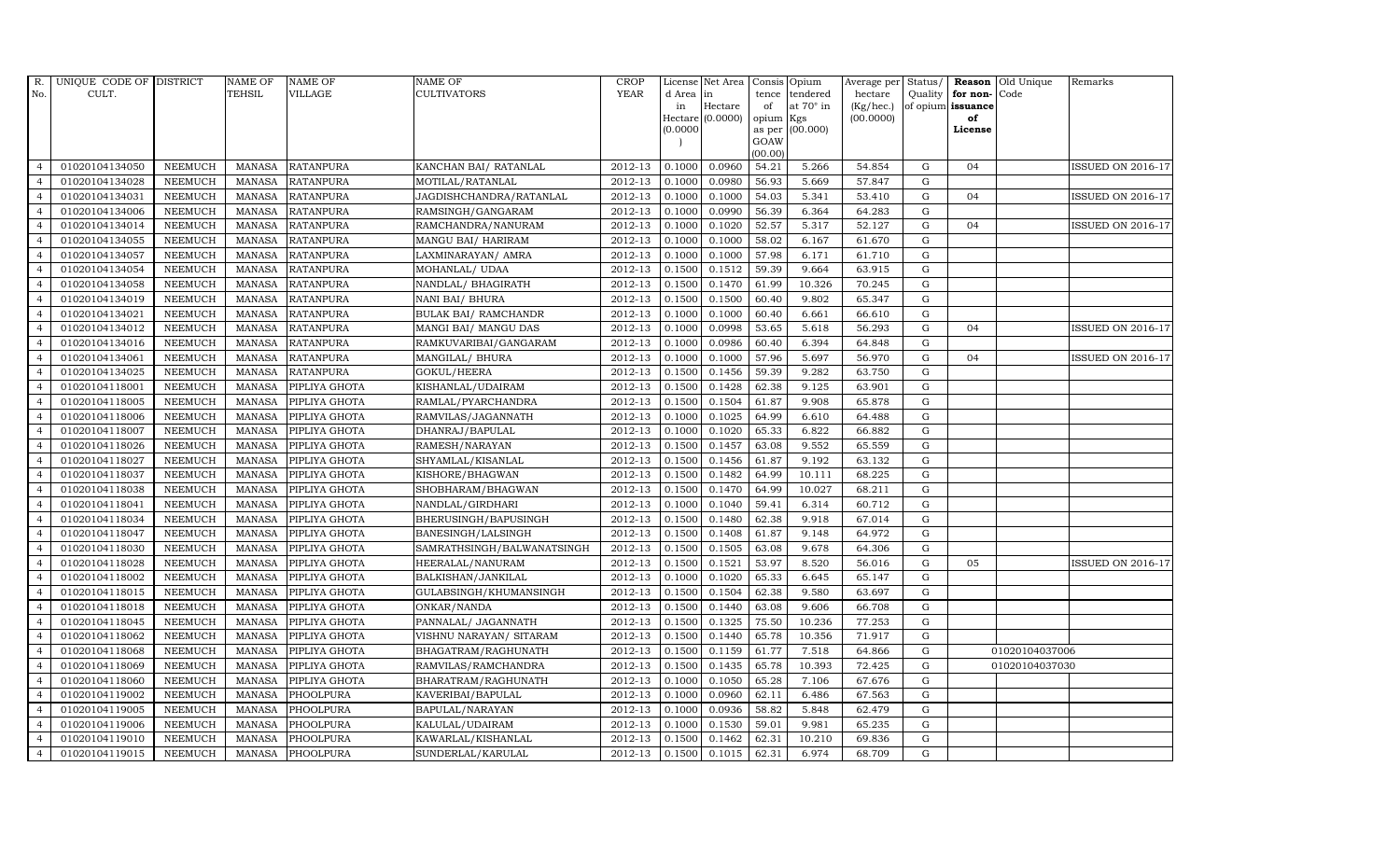| TEHSIL<br><b>VILLAGE</b><br><b>CULTIVATORS</b><br>No.<br>CULT.<br>d Area in<br>tence<br>tendered<br>hectare<br>Quality for non-<br>Code<br>Hectare<br>of<br>at $70^\circ$ in<br>(Kg/hec.)<br>of opium issuance<br>in<br>Hectare (0.0000)<br>opium<br>(00.0000)<br>of<br>Kgs<br>(00.000)<br>(0.0000)<br>as per<br>License<br>GOAW<br>(00.00)<br>0.0960<br>54.21<br>01020104134050<br><b>NEEMUCH</b><br>2012-13<br>0.1000<br>5.266<br>54.854<br>G<br>04<br><b>ISSUED ON 2016-17</b><br>MANASA<br><b>RATANPURA</b><br>KANCHAN BAI/ RATANLAL<br>$\overline{4}$<br>01020104134028<br>2012-13<br>0.0980<br>56.93<br>5.669<br><b>NEEMUCH</b><br><b>MANASA</b><br><b>RATANPURA</b><br>MOTILAL/RATANLAL<br>0.1000<br>57.847<br>G<br>$\overline{a}$<br>2012-13<br>0.1000<br>54.03<br>$\overline{4}$<br>01020104134031<br><b>NEEMUCH</b><br><b>MANASA</b><br><b>RATANPURA</b><br>JAGDISHCHANDRA/RATANLAL<br>0.1000<br>5.341<br>53.410<br>G<br>04<br><b>ISSUED ON 2016-17</b><br>01020104134006<br><b>NEEMUCH</b><br><b>MANASA</b><br><b>RATANPURA</b><br>RAMSINGH/GANGARAM<br>2012-13<br>0.1000<br>0.0990<br>56.39<br>6.364<br>64.283<br>G<br>${\rm G}$<br>01020104134014<br><b>MANASA</b><br><b>RATANPURA</b><br>2012-13<br>0.1000<br>0.1020<br>52.57<br>5.317<br>52.127<br>ISSUED ON 2016-17<br><b>NEEMUCH</b><br>RAMCHANDRA/NANURAM<br>04<br>$\overline{4}$<br><b>NEEMUCH</b><br>2012-13<br>0.1000<br>0.1000<br>58.02<br>61.670<br>01020104134055<br><b>MANASA</b><br><b>RATANPURA</b><br>MANGU BAI/ HARIRAM<br>6.167<br>G<br>$\overline{4}$<br>01020104134057<br>2012-13<br>0.1000<br>57.98<br><b>NEEMUCH</b><br><b>MANASA</b><br><b>RATANPURA</b><br>0.1000<br>6.171<br>61.710<br>G<br>$\overline{4}$<br>LAXMINARAYAN/ AMRA<br>01020104134054<br><b>NEEMUCH</b><br><b>RATANPURA</b><br>2012-13<br>0.1500<br>0.1512<br>59.39<br>9.664<br>63.915<br>$\mathbf G$<br>$\overline{4}$<br><b>MANASA</b><br>MOHANLAL/ UDAA<br><b>NEEMUCH</b><br><b>RATANPURA</b><br>$2012 - 13$<br>0.1500<br>0.1470<br>61.99<br>10.326<br>70.245<br>G<br>01020104134058<br><b>MANASA</b><br>NANDLAL/BHAGIRATH<br>$\overline{4}$<br>01020104134019<br><b>MANASA</b><br><b>RATANPURA</b><br>NANI BAI/ BHURA<br>2012-13<br>0.1500<br>0.1500<br>60.40<br>9.802<br>65.347<br>G<br><b>NEEMUCH</b><br>$\overline{4}$<br>01020104134021<br><b>NEEMUCH</b><br><b>MANASA</b><br>2012-13<br>0.1000<br>0.1000<br><b>RATANPURA</b><br><b>BULAK BAI/ RAMCHANDR</b><br>60.40<br>6.661<br>66.610<br>G<br>$\overline{4}$<br>01020104134012<br>2012-13<br>0.0998<br>G<br><b>NEEMUCH</b><br><b>MANASA</b><br><b>RATANPURA</b><br>MANGI BAI/ MANGU DAS<br>0.1000<br>53.65<br>5.618<br>56.293<br>04<br><b>ISSUED ON 2016-17</b><br>$\overline{4}$<br>01020104134016<br><b>NEEMUCH</b><br>2012-13<br>0.1000<br>0.0986<br>60.40<br>6.394<br>$\overline{4}$<br><b>MANASA</b><br><b>RATANPURA</b><br>RAMKUVARIBAI/GANGARAM<br>64.848<br>G<br>01020104134061<br><b>NEEMUCH</b><br><b>MANASA</b><br><b>RATANPURA</b><br>2012-13<br>0.1000<br>0.1000<br>57.96<br>5.697<br>56.970<br>MANGILAL/ BHURA<br>G<br>04<br><b>ISSUED ON 2016-17</b><br>$\overline{4}$<br>0.1500<br>0.1456<br>9.282<br>G<br>01020104134025<br><b>NEEMUCH</b><br><b>MANASA</b><br><b>RATANPURA</b><br>GOKUL/HEERA<br>2012-13<br>59.39<br>63.750<br>$\overline{4}$<br>01020104118001<br><b>NEEMUCH</b><br><b>MANASA</b><br>2012-13<br>0.1500<br>0.1428<br>62.38<br>9.125<br>63.901<br>G<br>PIPLIYA GHOTA<br>KISHANLAL/UDAIRAM<br>$\overline{4}$<br>01020104118005<br><b>NEEMUCH</b><br>2012-13<br>0.1500<br>0.1504<br>61.87<br>9.908<br>65.878<br>G<br><b>MANASA</b><br>PIPLIYA GHOTA<br>RAMLAL/PYARCHANDRA<br>$\overline{4}$<br>2012-13<br>01020104118006<br><b>NEEMUCH</b><br><b>MANASA</b><br>0.1000<br>0.1025<br>64.99<br>6.610<br>64.488<br>$\mathbf G$<br>$\overline{4}$<br>PIPLIYA GHOTA<br>RAMVILAS/JAGANNATH<br>01020104118007<br><b>NEEMUCH</b><br><b>MANASA</b><br>PIPLIYA GHOTA<br>DHANRAJ/BAPULAL<br>2012-13<br>0.1000<br>0.1020<br>65.33<br>6.822<br>66.882<br>G<br>$\overline{4}$<br>2012-13<br>0.1500<br>0.1457<br>9.552<br>G<br>01020104118026<br><b>NEEMUCH</b><br><b>MANASA</b><br>PIPLIYA GHOTA<br>RAMESH/NARAYAN<br>63.08<br>65.559<br>$\overline{4}$<br>01020104118027<br><b>NEEMUCH</b><br><b>MANASA</b><br>2012-13<br>0.1500<br>0.1456<br>61.87<br>9.192<br>63.132<br>G<br>$\overline{4}$<br>PIPLIYA GHOTA<br>SHYAMLAL/KISANLAL<br>2012-13<br>01020104118037<br><b>NEEMUCH</b><br><b>MANASA</b><br>0.1500<br>0.1482<br>64.99<br>10.111<br>68.225<br>G<br>PIPLIYA GHOTA<br>KISHORE/BHAGWAN<br>$\overline{4}$<br>2012-13<br>0.1470<br>01020104118038<br><b>NEEMUCH</b><br>0.1500<br>64.99<br>10.027<br>68.211<br>$\overline{4}$<br>MANASA<br>PIPLIYA GHOTA<br>SHOBHARAM/BHAGWAN<br>G<br>2012-13<br>01020104118041<br><b>NEEMUCH</b><br><b>MANASA</b><br>PIPLIYA GHOTA<br>NANDLAL/GIRDHARI<br>0.1000<br>0.1040<br>59.41<br>6.314<br>60.712<br>G<br>$\overline{4}$<br>2012-13<br>0.1500<br>0.1480<br>62.38<br>G<br>01020104118034<br><b>NEEMUCH</b><br><b>MANASA</b><br>PIPLIYA GHOTA<br>BHERUSINGH/BAPUSINGH<br>9.918<br>67.014<br>01020104118047<br><b>NEEMUCH</b><br>2012-13<br>0.1500<br>0.1408<br>61.87<br>9.148<br>64.972<br>G<br><b>MANASA</b><br>PIPLIYA GHOTA<br>BANESINGH/LALSINGH<br>$\overline{4}$<br>01020104118030<br><b>NEEMUCH</b><br><b>MANASA</b><br>SAMRATHSINGH/BALWANATSINGH<br>2012-13<br>0.1500<br>0.1505<br>63.08<br>9.678<br>64.306<br>G<br>$\overline{4}$<br>PIPLIYA GHOTA<br>01020104118028<br>2012-13<br>0.1500<br>0.1521<br>53.97<br>$\overline{4}$<br><b>NEEMUCH</b><br><b>MANASA</b><br>PIPLIYA GHOTA<br>HEERALAL/NANURAM<br>8.520<br>56.016<br>G<br><b>ISSUED ON 2016-17</b><br>05<br>2012-13<br>01020104118002<br><b>NEEMUCH</b><br><b>MANASA</b><br>PIPLIYA GHOTA<br>BALKISHAN/JANKILAL<br>0.1000<br>0.1020<br>65.33<br>6.645<br>65.147<br>$\mathbf G$<br>$\overline{4}$<br>01020104118015<br><b>NEEMUCH</b><br><b>MANASA</b><br>GULABSINGH/KHUMANSINGH<br>2012-13<br>0.1500<br>0.1504<br>62.38<br>9.580<br>63.697<br>G<br>PIPLIYA GHOTA<br>01020104118018<br><b>NEEMUCH</b><br><b>MANASA</b><br>2012-13<br>0.1500<br>0.1440<br>63.08<br>9.606<br>66.708<br>G<br>$\overline{4}$<br>PIPLIYA GHOTA<br>ONKAR/NANDA<br>01020104118045<br>2012-13<br>0.1500<br>0.1325<br>75.50<br>10.236<br>77.253<br><b>NEEMUCH</b><br><b>MANASA</b><br>PIPLIYA GHOTA<br>PANNALAL/ JAGANNATH<br>G<br>$\overline{4}$<br>01020104118062<br><b>NEEMUCH</b><br>2012-13<br>0.1500<br>0.1440<br>65.78<br>10.356<br>$\overline{4}$<br><b>MANASA</b><br>PIPLIYA GHOTA<br>VISHNU NARAYAN/ SITARAM<br>71.917<br>G<br>01020104118068<br>2012-13<br>0.1159<br>G<br><b>NEEMUCH</b><br><b>MANASA</b><br>PIPLIYA GHOTA<br>BHAGATRAM/RAGHUNATH<br>0.1500<br>61.77<br>7.518<br>64.866<br>01020104037006<br>$\overline{4}$<br>01020104118069<br><b>NEEMUCH</b><br><b>MANASA</b><br>PIPLIYA GHOTA<br>RAMVILAS/RAMCHANDRA<br>2012-13<br>0.1500<br>0.1435<br>65.78<br>10.393<br>72.425<br>G<br>01020104037030<br>$\overline{4}$<br>2012-13<br>65.28<br>G<br>01020104118060<br><b>NEEMUCH</b><br><b>MANASA</b><br>PIPLIYA GHOTA<br>BHARATRAM/RAGHUNATH<br>0.1000<br>0.1050<br>7.106<br>67.676<br>$\overline{4}$<br>01020104119002<br>2012-13<br>0.1000<br>0.0960<br>62.11<br><b>NEEMUCH</b><br><b>MANASA</b><br>PHOOLPURA<br>KAVERIBAI/BAPULAL<br>6.486<br>67.563<br>G<br>$\overline{4}$<br>01020104119005<br><b>NEEMUCH</b><br>2012-13<br>0.1000<br>0.0936<br>58.82<br>$\mathbf G$<br>$\overline{4}$<br><b>MANASA</b><br>PHOOLPURA<br>BAPULAL/NARAYAN<br>5.848<br>62.479<br>01020104119006<br>2012-13<br>0.1530<br>59.01<br>G<br><b>NEEMUCH</b><br><b>MANASA</b><br>PHOOLPURA<br>KALULAL/UDAIRAM<br>0.1000<br>9.981<br>65.235<br>$\overline{4}$<br>01020104119010<br><b>NEEMUCH</b><br><b>MANASA</b><br>PHOOLPURA<br>KAWARLAL/KISHANLAL<br>2012-13<br>0.1500<br>0.1462<br>62.31<br>10.210<br>69.836<br>G<br>$\overline{4}$<br>01020104119015<br>G | R.             | UNIQUE CODE OF DISTRICT |         | <b>NAME OF</b> | <b>NAME OF</b> | NAME OF           | <b>CROP</b> |        | License Net Area | Consis Opium |       |        |  | Average per Status/ Reason Old Unique | Remarks |
|--------------------------------------------------------------------------------------------------------------------------------------------------------------------------------------------------------------------------------------------------------------------------------------------------------------------------------------------------------------------------------------------------------------------------------------------------------------------------------------------------------------------------------------------------------------------------------------------------------------------------------------------------------------------------------------------------------------------------------------------------------------------------------------------------------------------------------------------------------------------------------------------------------------------------------------------------------------------------------------------------------------------------------------------------------------------------------------------------------------------------------------------------------------------------------------------------------------------------------------------------------------------------------------------------------------------------------------------------------------------------------------------------------------------------------------------------------------------------------------------------------------------------------------------------------------------------------------------------------------------------------------------------------------------------------------------------------------------------------------------------------------------------------------------------------------------------------------------------------------------------------------------------------------------------------------------------------------------------------------------------------------------------------------------------------------------------------------------------------------------------------------------------------------------------------------------------------------------------------------------------------------------------------------------------------------------------------------------------------------------------------------------------------------------------------------------------------------------------------------------------------------------------------------------------------------------------------------------------------------------------------------------------------------------------------------------------------------------------------------------------------------------------------------------------------------------------------------------------------------------------------------------------------------------------------------------------------------------------------------------------------------------------------------------------------------------------------------------------------------------------------------------------------------------------------------------------------------------------------------------------------------------------------------------------------------------------------------------------------------------------------------------------------------------------------------------------------------------------------------------------------------------------------------------------------------------------------------------------------------------------------------------------------------------------------------------------------------------------------------------------------------------------------------------------------------------------------------------------------------------------------------------------------------------------------------------------------------------------------------------------------------------------------------------------------------------------------------------------------------------------------------------------------------------------------------------------------------------------------------------------------------------------------------------------------------------------------------------------------------------------------------------------------------------------------------------------------------------------------------------------------------------------------------------------------------------------------------------------------------------------------------------------------------------------------------------------------------------------------------------------------------------------------------------------------------------------------------------------------------------------------------------------------------------------------------------------------------------------------------------------------------------------------------------------------------------------------------------------------------------------------------------------------------------------------------------------------------------------------------------------------------------------------------------------------------------------------------------------------------------------------------------------------------------------------------------------------------------------------------------------------------------------------------------------------------------------------------------------------------------------------------------------------------------------------------------------------------------------------------------------------------------------------------------------------------------------------------------------------------------------------------------------------------------------------------------------------------------------------------------------------------------------------------------------------------------------------------------------------------------------------------------------------------------------------------------------------------------------------------------------------------------------------------------------------------------------------------------------------------------------------------------------------------------------------------------------------------------------------------------------------------------------------------------------------------------------------------------------------------------------------------------------------------------------------------------------------------------------------------------------------------------------------------------------------------------------------------------------------------------------------------------------------------------------------------------------------------------------------------------------------------------------------------------------------------------------------------------------------------------------------------------------------------------------------------------------------------------------------------------------------------------------------------------------------------------------------------------------------------------------------------------------------------------------------------------------------------------------------------------------------------------------------------------------------------------------------------------------------------------------------------------------------------------------------------------------------------------------------------------------------------------------------------------------------------------------------------------------------------------------|----------------|-------------------------|---------|----------------|----------------|-------------------|-------------|--------|------------------|--------------|-------|--------|--|---------------------------------------|---------|
|                                                                                                                                                                                                                                                                                                                                                                                                                                                                                                                                                                                                                                                                                                                                                                                                                                                                                                                                                                                                                                                                                                                                                                                                                                                                                                                                                                                                                                                                                                                                                                                                                                                                                                                                                                                                                                                                                                                                                                                                                                                                                                                                                                                                                                                                                                                                                                                                                                                                                                                                                                                                                                                                                                                                                                                                                                                                                                                                                                                                                                                                                                                                                                                                                                                                                                                                                                                                                                                                                                                                                                                                                                                                                                                                                                                                                                                                                                                                                                                                                                                                                                                                                                                                                                                                                                                                                                                                                                                                                                                                                                                                                                                                                                                                                                                                                                                                                                                                                                                                                                                                                                                                                                                                                                                                                                                                                                                                                                                                                                                                                                                                                                                                                                                                                                                                                                                                                                                                                                                                                                                                                                                                                                                                                                                                                                                                                                                                                                                                                                                                                                                                                                                                                                                                                                                                                                                                                                                                                                                                                                                                                                                                                                                                                                                                                                                                                                                                                                                                                                                                                                                                                                                                                                                                                                                                                                                                          |                |                         |         |                |                |                   | <b>YEAR</b> |        |                  |              |       |        |  |                                       |         |
|                                                                                                                                                                                                                                                                                                                                                                                                                                                                                                                                                                                                                                                                                                                                                                                                                                                                                                                                                                                                                                                                                                                                                                                                                                                                                                                                                                                                                                                                                                                                                                                                                                                                                                                                                                                                                                                                                                                                                                                                                                                                                                                                                                                                                                                                                                                                                                                                                                                                                                                                                                                                                                                                                                                                                                                                                                                                                                                                                                                                                                                                                                                                                                                                                                                                                                                                                                                                                                                                                                                                                                                                                                                                                                                                                                                                                                                                                                                                                                                                                                                                                                                                                                                                                                                                                                                                                                                                                                                                                                                                                                                                                                                                                                                                                                                                                                                                                                                                                                                                                                                                                                                                                                                                                                                                                                                                                                                                                                                                                                                                                                                                                                                                                                                                                                                                                                                                                                                                                                                                                                                                                                                                                                                                                                                                                                                                                                                                                                                                                                                                                                                                                                                                                                                                                                                                                                                                                                                                                                                                                                                                                                                                                                                                                                                                                                                                                                                                                                                                                                                                                                                                                                                                                                                                                                                                                                                                          |                |                         |         |                |                |                   |             |        |                  |              |       |        |  |                                       |         |
|                                                                                                                                                                                                                                                                                                                                                                                                                                                                                                                                                                                                                                                                                                                                                                                                                                                                                                                                                                                                                                                                                                                                                                                                                                                                                                                                                                                                                                                                                                                                                                                                                                                                                                                                                                                                                                                                                                                                                                                                                                                                                                                                                                                                                                                                                                                                                                                                                                                                                                                                                                                                                                                                                                                                                                                                                                                                                                                                                                                                                                                                                                                                                                                                                                                                                                                                                                                                                                                                                                                                                                                                                                                                                                                                                                                                                                                                                                                                                                                                                                                                                                                                                                                                                                                                                                                                                                                                                                                                                                                                                                                                                                                                                                                                                                                                                                                                                                                                                                                                                                                                                                                                                                                                                                                                                                                                                                                                                                                                                                                                                                                                                                                                                                                                                                                                                                                                                                                                                                                                                                                                                                                                                                                                                                                                                                                                                                                                                                                                                                                                                                                                                                                                                                                                                                                                                                                                                                                                                                                                                                                                                                                                                                                                                                                                                                                                                                                                                                                                                                                                                                                                                                                                                                                                                                                                                                                                          |                |                         |         |                |                |                   |             |        |                  |              |       |        |  |                                       |         |
|                                                                                                                                                                                                                                                                                                                                                                                                                                                                                                                                                                                                                                                                                                                                                                                                                                                                                                                                                                                                                                                                                                                                                                                                                                                                                                                                                                                                                                                                                                                                                                                                                                                                                                                                                                                                                                                                                                                                                                                                                                                                                                                                                                                                                                                                                                                                                                                                                                                                                                                                                                                                                                                                                                                                                                                                                                                                                                                                                                                                                                                                                                                                                                                                                                                                                                                                                                                                                                                                                                                                                                                                                                                                                                                                                                                                                                                                                                                                                                                                                                                                                                                                                                                                                                                                                                                                                                                                                                                                                                                                                                                                                                                                                                                                                                                                                                                                                                                                                                                                                                                                                                                                                                                                                                                                                                                                                                                                                                                                                                                                                                                                                                                                                                                                                                                                                                                                                                                                                                                                                                                                                                                                                                                                                                                                                                                                                                                                                                                                                                                                                                                                                                                                                                                                                                                                                                                                                                                                                                                                                                                                                                                                                                                                                                                                                                                                                                                                                                                                                                                                                                                                                                                                                                                                                                                                                                                                          |                |                         |         |                |                |                   |             |        |                  |              |       |        |  |                                       |         |
|                                                                                                                                                                                                                                                                                                                                                                                                                                                                                                                                                                                                                                                                                                                                                                                                                                                                                                                                                                                                                                                                                                                                                                                                                                                                                                                                                                                                                                                                                                                                                                                                                                                                                                                                                                                                                                                                                                                                                                                                                                                                                                                                                                                                                                                                                                                                                                                                                                                                                                                                                                                                                                                                                                                                                                                                                                                                                                                                                                                                                                                                                                                                                                                                                                                                                                                                                                                                                                                                                                                                                                                                                                                                                                                                                                                                                                                                                                                                                                                                                                                                                                                                                                                                                                                                                                                                                                                                                                                                                                                                                                                                                                                                                                                                                                                                                                                                                                                                                                                                                                                                                                                                                                                                                                                                                                                                                                                                                                                                                                                                                                                                                                                                                                                                                                                                                                                                                                                                                                                                                                                                                                                                                                                                                                                                                                                                                                                                                                                                                                                                                                                                                                                                                                                                                                                                                                                                                                                                                                                                                                                                                                                                                                                                                                                                                                                                                                                                                                                                                                                                                                                                                                                                                                                                                                                                                                                                          |                |                         |         |                |                |                   |             |        |                  |              |       |        |  |                                       |         |
|                                                                                                                                                                                                                                                                                                                                                                                                                                                                                                                                                                                                                                                                                                                                                                                                                                                                                                                                                                                                                                                                                                                                                                                                                                                                                                                                                                                                                                                                                                                                                                                                                                                                                                                                                                                                                                                                                                                                                                                                                                                                                                                                                                                                                                                                                                                                                                                                                                                                                                                                                                                                                                                                                                                                                                                                                                                                                                                                                                                                                                                                                                                                                                                                                                                                                                                                                                                                                                                                                                                                                                                                                                                                                                                                                                                                                                                                                                                                                                                                                                                                                                                                                                                                                                                                                                                                                                                                                                                                                                                                                                                                                                                                                                                                                                                                                                                                                                                                                                                                                                                                                                                                                                                                                                                                                                                                                                                                                                                                                                                                                                                                                                                                                                                                                                                                                                                                                                                                                                                                                                                                                                                                                                                                                                                                                                                                                                                                                                                                                                                                                                                                                                                                                                                                                                                                                                                                                                                                                                                                                                                                                                                                                                                                                                                                                                                                                                                                                                                                                                                                                                                                                                                                                                                                                                                                                                                                          |                |                         |         |                |                |                   |             |        |                  |              |       |        |  |                                       |         |
|                                                                                                                                                                                                                                                                                                                                                                                                                                                                                                                                                                                                                                                                                                                                                                                                                                                                                                                                                                                                                                                                                                                                                                                                                                                                                                                                                                                                                                                                                                                                                                                                                                                                                                                                                                                                                                                                                                                                                                                                                                                                                                                                                                                                                                                                                                                                                                                                                                                                                                                                                                                                                                                                                                                                                                                                                                                                                                                                                                                                                                                                                                                                                                                                                                                                                                                                                                                                                                                                                                                                                                                                                                                                                                                                                                                                                                                                                                                                                                                                                                                                                                                                                                                                                                                                                                                                                                                                                                                                                                                                                                                                                                                                                                                                                                                                                                                                                                                                                                                                                                                                                                                                                                                                                                                                                                                                                                                                                                                                                                                                                                                                                                                                                                                                                                                                                                                                                                                                                                                                                                                                                                                                                                                                                                                                                                                                                                                                                                                                                                                                                                                                                                                                                                                                                                                                                                                                                                                                                                                                                                                                                                                                                                                                                                                                                                                                                                                                                                                                                                                                                                                                                                                                                                                                                                                                                                                                          |                |                         |         |                |                |                   |             |        |                  |              |       |        |  |                                       |         |
|                                                                                                                                                                                                                                                                                                                                                                                                                                                                                                                                                                                                                                                                                                                                                                                                                                                                                                                                                                                                                                                                                                                                                                                                                                                                                                                                                                                                                                                                                                                                                                                                                                                                                                                                                                                                                                                                                                                                                                                                                                                                                                                                                                                                                                                                                                                                                                                                                                                                                                                                                                                                                                                                                                                                                                                                                                                                                                                                                                                                                                                                                                                                                                                                                                                                                                                                                                                                                                                                                                                                                                                                                                                                                                                                                                                                                                                                                                                                                                                                                                                                                                                                                                                                                                                                                                                                                                                                                                                                                                                                                                                                                                                                                                                                                                                                                                                                                                                                                                                                                                                                                                                                                                                                                                                                                                                                                                                                                                                                                                                                                                                                                                                                                                                                                                                                                                                                                                                                                                                                                                                                                                                                                                                                                                                                                                                                                                                                                                                                                                                                                                                                                                                                                                                                                                                                                                                                                                                                                                                                                                                                                                                                                                                                                                                                                                                                                                                                                                                                                                                                                                                                                                                                                                                                                                                                                                                                          |                |                         |         |                |                |                   |             |        |                  |              |       |        |  |                                       |         |
|                                                                                                                                                                                                                                                                                                                                                                                                                                                                                                                                                                                                                                                                                                                                                                                                                                                                                                                                                                                                                                                                                                                                                                                                                                                                                                                                                                                                                                                                                                                                                                                                                                                                                                                                                                                                                                                                                                                                                                                                                                                                                                                                                                                                                                                                                                                                                                                                                                                                                                                                                                                                                                                                                                                                                                                                                                                                                                                                                                                                                                                                                                                                                                                                                                                                                                                                                                                                                                                                                                                                                                                                                                                                                                                                                                                                                                                                                                                                                                                                                                                                                                                                                                                                                                                                                                                                                                                                                                                                                                                                                                                                                                                                                                                                                                                                                                                                                                                                                                                                                                                                                                                                                                                                                                                                                                                                                                                                                                                                                                                                                                                                                                                                                                                                                                                                                                                                                                                                                                                                                                                                                                                                                                                                                                                                                                                                                                                                                                                                                                                                                                                                                                                                                                                                                                                                                                                                                                                                                                                                                                                                                                                                                                                                                                                                                                                                                                                                                                                                                                                                                                                                                                                                                                                                                                                                                                                                          |                |                         |         |                |                |                   |             |        |                  |              |       |        |  |                                       |         |
|                                                                                                                                                                                                                                                                                                                                                                                                                                                                                                                                                                                                                                                                                                                                                                                                                                                                                                                                                                                                                                                                                                                                                                                                                                                                                                                                                                                                                                                                                                                                                                                                                                                                                                                                                                                                                                                                                                                                                                                                                                                                                                                                                                                                                                                                                                                                                                                                                                                                                                                                                                                                                                                                                                                                                                                                                                                                                                                                                                                                                                                                                                                                                                                                                                                                                                                                                                                                                                                                                                                                                                                                                                                                                                                                                                                                                                                                                                                                                                                                                                                                                                                                                                                                                                                                                                                                                                                                                                                                                                                                                                                                                                                                                                                                                                                                                                                                                                                                                                                                                                                                                                                                                                                                                                                                                                                                                                                                                                                                                                                                                                                                                                                                                                                                                                                                                                                                                                                                                                                                                                                                                                                                                                                                                                                                                                                                                                                                                                                                                                                                                                                                                                                                                                                                                                                                                                                                                                                                                                                                                                                                                                                                                                                                                                                                                                                                                                                                                                                                                                                                                                                                                                                                                                                                                                                                                                                                          |                |                         |         |                |                |                   |             |        |                  |              |       |        |  |                                       |         |
|                                                                                                                                                                                                                                                                                                                                                                                                                                                                                                                                                                                                                                                                                                                                                                                                                                                                                                                                                                                                                                                                                                                                                                                                                                                                                                                                                                                                                                                                                                                                                                                                                                                                                                                                                                                                                                                                                                                                                                                                                                                                                                                                                                                                                                                                                                                                                                                                                                                                                                                                                                                                                                                                                                                                                                                                                                                                                                                                                                                                                                                                                                                                                                                                                                                                                                                                                                                                                                                                                                                                                                                                                                                                                                                                                                                                                                                                                                                                                                                                                                                                                                                                                                                                                                                                                                                                                                                                                                                                                                                                                                                                                                                                                                                                                                                                                                                                                                                                                                                                                                                                                                                                                                                                                                                                                                                                                                                                                                                                                                                                                                                                                                                                                                                                                                                                                                                                                                                                                                                                                                                                                                                                                                                                                                                                                                                                                                                                                                                                                                                                                                                                                                                                                                                                                                                                                                                                                                                                                                                                                                                                                                                                                                                                                                                                                                                                                                                                                                                                                                                                                                                                                                                                                                                                                                                                                                                                          |                |                         |         |                |                |                   |             |        |                  |              |       |        |  |                                       |         |
|                                                                                                                                                                                                                                                                                                                                                                                                                                                                                                                                                                                                                                                                                                                                                                                                                                                                                                                                                                                                                                                                                                                                                                                                                                                                                                                                                                                                                                                                                                                                                                                                                                                                                                                                                                                                                                                                                                                                                                                                                                                                                                                                                                                                                                                                                                                                                                                                                                                                                                                                                                                                                                                                                                                                                                                                                                                                                                                                                                                                                                                                                                                                                                                                                                                                                                                                                                                                                                                                                                                                                                                                                                                                                                                                                                                                                                                                                                                                                                                                                                                                                                                                                                                                                                                                                                                                                                                                                                                                                                                                                                                                                                                                                                                                                                                                                                                                                                                                                                                                                                                                                                                                                                                                                                                                                                                                                                                                                                                                                                                                                                                                                                                                                                                                                                                                                                                                                                                                                                                                                                                                                                                                                                                                                                                                                                                                                                                                                                                                                                                                                                                                                                                                                                                                                                                                                                                                                                                                                                                                                                                                                                                                                                                                                                                                                                                                                                                                                                                                                                                                                                                                                                                                                                                                                                                                                                                                          |                |                         |         |                |                |                   |             |        |                  |              |       |        |  |                                       |         |
|                                                                                                                                                                                                                                                                                                                                                                                                                                                                                                                                                                                                                                                                                                                                                                                                                                                                                                                                                                                                                                                                                                                                                                                                                                                                                                                                                                                                                                                                                                                                                                                                                                                                                                                                                                                                                                                                                                                                                                                                                                                                                                                                                                                                                                                                                                                                                                                                                                                                                                                                                                                                                                                                                                                                                                                                                                                                                                                                                                                                                                                                                                                                                                                                                                                                                                                                                                                                                                                                                                                                                                                                                                                                                                                                                                                                                                                                                                                                                                                                                                                                                                                                                                                                                                                                                                                                                                                                                                                                                                                                                                                                                                                                                                                                                                                                                                                                                                                                                                                                                                                                                                                                                                                                                                                                                                                                                                                                                                                                                                                                                                                                                                                                                                                                                                                                                                                                                                                                                                                                                                                                                                                                                                                                                                                                                                                                                                                                                                                                                                                                                                                                                                                                                                                                                                                                                                                                                                                                                                                                                                                                                                                                                                                                                                                                                                                                                                                                                                                                                                                                                                                                                                                                                                                                                                                                                                                                          |                |                         |         |                |                |                   |             |        |                  |              |       |        |  |                                       |         |
|                                                                                                                                                                                                                                                                                                                                                                                                                                                                                                                                                                                                                                                                                                                                                                                                                                                                                                                                                                                                                                                                                                                                                                                                                                                                                                                                                                                                                                                                                                                                                                                                                                                                                                                                                                                                                                                                                                                                                                                                                                                                                                                                                                                                                                                                                                                                                                                                                                                                                                                                                                                                                                                                                                                                                                                                                                                                                                                                                                                                                                                                                                                                                                                                                                                                                                                                                                                                                                                                                                                                                                                                                                                                                                                                                                                                                                                                                                                                                                                                                                                                                                                                                                                                                                                                                                                                                                                                                                                                                                                                                                                                                                                                                                                                                                                                                                                                                                                                                                                                                                                                                                                                                                                                                                                                                                                                                                                                                                                                                                                                                                                                                                                                                                                                                                                                                                                                                                                                                                                                                                                                                                                                                                                                                                                                                                                                                                                                                                                                                                                                                                                                                                                                                                                                                                                                                                                                                                                                                                                                                                                                                                                                                                                                                                                                                                                                                                                                                                                                                                                                                                                                                                                                                                                                                                                                                                                                          |                |                         |         |                |                |                   |             |        |                  |              |       |        |  |                                       |         |
|                                                                                                                                                                                                                                                                                                                                                                                                                                                                                                                                                                                                                                                                                                                                                                                                                                                                                                                                                                                                                                                                                                                                                                                                                                                                                                                                                                                                                                                                                                                                                                                                                                                                                                                                                                                                                                                                                                                                                                                                                                                                                                                                                                                                                                                                                                                                                                                                                                                                                                                                                                                                                                                                                                                                                                                                                                                                                                                                                                                                                                                                                                                                                                                                                                                                                                                                                                                                                                                                                                                                                                                                                                                                                                                                                                                                                                                                                                                                                                                                                                                                                                                                                                                                                                                                                                                                                                                                                                                                                                                                                                                                                                                                                                                                                                                                                                                                                                                                                                                                                                                                                                                                                                                                                                                                                                                                                                                                                                                                                                                                                                                                                                                                                                                                                                                                                                                                                                                                                                                                                                                                                                                                                                                                                                                                                                                                                                                                                                                                                                                                                                                                                                                                                                                                                                                                                                                                                                                                                                                                                                                                                                                                                                                                                                                                                                                                                                                                                                                                                                                                                                                                                                                                                                                                                                                                                                                                          |                |                         |         |                |                |                   |             |        |                  |              |       |        |  |                                       |         |
|                                                                                                                                                                                                                                                                                                                                                                                                                                                                                                                                                                                                                                                                                                                                                                                                                                                                                                                                                                                                                                                                                                                                                                                                                                                                                                                                                                                                                                                                                                                                                                                                                                                                                                                                                                                                                                                                                                                                                                                                                                                                                                                                                                                                                                                                                                                                                                                                                                                                                                                                                                                                                                                                                                                                                                                                                                                                                                                                                                                                                                                                                                                                                                                                                                                                                                                                                                                                                                                                                                                                                                                                                                                                                                                                                                                                                                                                                                                                                                                                                                                                                                                                                                                                                                                                                                                                                                                                                                                                                                                                                                                                                                                                                                                                                                                                                                                                                                                                                                                                                                                                                                                                                                                                                                                                                                                                                                                                                                                                                                                                                                                                                                                                                                                                                                                                                                                                                                                                                                                                                                                                                                                                                                                                                                                                                                                                                                                                                                                                                                                                                                                                                                                                                                                                                                                                                                                                                                                                                                                                                                                                                                                                                                                                                                                                                                                                                                                                                                                                                                                                                                                                                                                                                                                                                                                                                                                                          |                |                         |         |                |                |                   |             |        |                  |              |       |        |  |                                       |         |
|                                                                                                                                                                                                                                                                                                                                                                                                                                                                                                                                                                                                                                                                                                                                                                                                                                                                                                                                                                                                                                                                                                                                                                                                                                                                                                                                                                                                                                                                                                                                                                                                                                                                                                                                                                                                                                                                                                                                                                                                                                                                                                                                                                                                                                                                                                                                                                                                                                                                                                                                                                                                                                                                                                                                                                                                                                                                                                                                                                                                                                                                                                                                                                                                                                                                                                                                                                                                                                                                                                                                                                                                                                                                                                                                                                                                                                                                                                                                                                                                                                                                                                                                                                                                                                                                                                                                                                                                                                                                                                                                                                                                                                                                                                                                                                                                                                                                                                                                                                                                                                                                                                                                                                                                                                                                                                                                                                                                                                                                                                                                                                                                                                                                                                                                                                                                                                                                                                                                                                                                                                                                                                                                                                                                                                                                                                                                                                                                                                                                                                                                                                                                                                                                                                                                                                                                                                                                                                                                                                                                                                                                                                                                                                                                                                                                                                                                                                                                                                                                                                                                                                                                                                                                                                                                                                                                                                                                          |                |                         |         |                |                |                   |             |        |                  |              |       |        |  |                                       |         |
|                                                                                                                                                                                                                                                                                                                                                                                                                                                                                                                                                                                                                                                                                                                                                                                                                                                                                                                                                                                                                                                                                                                                                                                                                                                                                                                                                                                                                                                                                                                                                                                                                                                                                                                                                                                                                                                                                                                                                                                                                                                                                                                                                                                                                                                                                                                                                                                                                                                                                                                                                                                                                                                                                                                                                                                                                                                                                                                                                                                                                                                                                                                                                                                                                                                                                                                                                                                                                                                                                                                                                                                                                                                                                                                                                                                                                                                                                                                                                                                                                                                                                                                                                                                                                                                                                                                                                                                                                                                                                                                                                                                                                                                                                                                                                                                                                                                                                                                                                                                                                                                                                                                                                                                                                                                                                                                                                                                                                                                                                                                                                                                                                                                                                                                                                                                                                                                                                                                                                                                                                                                                                                                                                                                                                                                                                                                                                                                                                                                                                                                                                                                                                                                                                                                                                                                                                                                                                                                                                                                                                                                                                                                                                                                                                                                                                                                                                                                                                                                                                                                                                                                                                                                                                                                                                                                                                                                                          |                |                         |         |                |                |                   |             |        |                  |              |       |        |  |                                       |         |
|                                                                                                                                                                                                                                                                                                                                                                                                                                                                                                                                                                                                                                                                                                                                                                                                                                                                                                                                                                                                                                                                                                                                                                                                                                                                                                                                                                                                                                                                                                                                                                                                                                                                                                                                                                                                                                                                                                                                                                                                                                                                                                                                                                                                                                                                                                                                                                                                                                                                                                                                                                                                                                                                                                                                                                                                                                                                                                                                                                                                                                                                                                                                                                                                                                                                                                                                                                                                                                                                                                                                                                                                                                                                                                                                                                                                                                                                                                                                                                                                                                                                                                                                                                                                                                                                                                                                                                                                                                                                                                                                                                                                                                                                                                                                                                                                                                                                                                                                                                                                                                                                                                                                                                                                                                                                                                                                                                                                                                                                                                                                                                                                                                                                                                                                                                                                                                                                                                                                                                                                                                                                                                                                                                                                                                                                                                                                                                                                                                                                                                                                                                                                                                                                                                                                                                                                                                                                                                                                                                                                                                                                                                                                                                                                                                                                                                                                                                                                                                                                                                                                                                                                                                                                                                                                                                                                                                                                          |                |                         |         |                |                |                   |             |        |                  |              |       |        |  |                                       |         |
|                                                                                                                                                                                                                                                                                                                                                                                                                                                                                                                                                                                                                                                                                                                                                                                                                                                                                                                                                                                                                                                                                                                                                                                                                                                                                                                                                                                                                                                                                                                                                                                                                                                                                                                                                                                                                                                                                                                                                                                                                                                                                                                                                                                                                                                                                                                                                                                                                                                                                                                                                                                                                                                                                                                                                                                                                                                                                                                                                                                                                                                                                                                                                                                                                                                                                                                                                                                                                                                                                                                                                                                                                                                                                                                                                                                                                                                                                                                                                                                                                                                                                                                                                                                                                                                                                                                                                                                                                                                                                                                                                                                                                                                                                                                                                                                                                                                                                                                                                                                                                                                                                                                                                                                                                                                                                                                                                                                                                                                                                                                                                                                                                                                                                                                                                                                                                                                                                                                                                                                                                                                                                                                                                                                                                                                                                                                                                                                                                                                                                                                                                                                                                                                                                                                                                                                                                                                                                                                                                                                                                                                                                                                                                                                                                                                                                                                                                                                                                                                                                                                                                                                                                                                                                                                                                                                                                                                                          |                |                         |         |                |                |                   |             |        |                  |              |       |        |  |                                       |         |
|                                                                                                                                                                                                                                                                                                                                                                                                                                                                                                                                                                                                                                                                                                                                                                                                                                                                                                                                                                                                                                                                                                                                                                                                                                                                                                                                                                                                                                                                                                                                                                                                                                                                                                                                                                                                                                                                                                                                                                                                                                                                                                                                                                                                                                                                                                                                                                                                                                                                                                                                                                                                                                                                                                                                                                                                                                                                                                                                                                                                                                                                                                                                                                                                                                                                                                                                                                                                                                                                                                                                                                                                                                                                                                                                                                                                                                                                                                                                                                                                                                                                                                                                                                                                                                                                                                                                                                                                                                                                                                                                                                                                                                                                                                                                                                                                                                                                                                                                                                                                                                                                                                                                                                                                                                                                                                                                                                                                                                                                                                                                                                                                                                                                                                                                                                                                                                                                                                                                                                                                                                                                                                                                                                                                                                                                                                                                                                                                                                                                                                                                                                                                                                                                                                                                                                                                                                                                                                                                                                                                                                                                                                                                                                                                                                                                                                                                                                                                                                                                                                                                                                                                                                                                                                                                                                                                                                                                          |                |                         |         |                |                |                   |             |        |                  |              |       |        |  |                                       |         |
|                                                                                                                                                                                                                                                                                                                                                                                                                                                                                                                                                                                                                                                                                                                                                                                                                                                                                                                                                                                                                                                                                                                                                                                                                                                                                                                                                                                                                                                                                                                                                                                                                                                                                                                                                                                                                                                                                                                                                                                                                                                                                                                                                                                                                                                                                                                                                                                                                                                                                                                                                                                                                                                                                                                                                                                                                                                                                                                                                                                                                                                                                                                                                                                                                                                                                                                                                                                                                                                                                                                                                                                                                                                                                                                                                                                                                                                                                                                                                                                                                                                                                                                                                                                                                                                                                                                                                                                                                                                                                                                                                                                                                                                                                                                                                                                                                                                                                                                                                                                                                                                                                                                                                                                                                                                                                                                                                                                                                                                                                                                                                                                                                                                                                                                                                                                                                                                                                                                                                                                                                                                                                                                                                                                                                                                                                                                                                                                                                                                                                                                                                                                                                                                                                                                                                                                                                                                                                                                                                                                                                                                                                                                                                                                                                                                                                                                                                                                                                                                                                                                                                                                                                                                                                                                                                                                                                                                                          |                |                         |         |                |                |                   |             |        |                  |              |       |        |  |                                       |         |
|                                                                                                                                                                                                                                                                                                                                                                                                                                                                                                                                                                                                                                                                                                                                                                                                                                                                                                                                                                                                                                                                                                                                                                                                                                                                                                                                                                                                                                                                                                                                                                                                                                                                                                                                                                                                                                                                                                                                                                                                                                                                                                                                                                                                                                                                                                                                                                                                                                                                                                                                                                                                                                                                                                                                                                                                                                                                                                                                                                                                                                                                                                                                                                                                                                                                                                                                                                                                                                                                                                                                                                                                                                                                                                                                                                                                                                                                                                                                                                                                                                                                                                                                                                                                                                                                                                                                                                                                                                                                                                                                                                                                                                                                                                                                                                                                                                                                                                                                                                                                                                                                                                                                                                                                                                                                                                                                                                                                                                                                                                                                                                                                                                                                                                                                                                                                                                                                                                                                                                                                                                                                                                                                                                                                                                                                                                                                                                                                                                                                                                                                                                                                                                                                                                                                                                                                                                                                                                                                                                                                                                                                                                                                                                                                                                                                                                                                                                                                                                                                                                                                                                                                                                                                                                                                                                                                                                                                          |                |                         |         |                |                |                   |             |        |                  |              |       |        |  |                                       |         |
|                                                                                                                                                                                                                                                                                                                                                                                                                                                                                                                                                                                                                                                                                                                                                                                                                                                                                                                                                                                                                                                                                                                                                                                                                                                                                                                                                                                                                                                                                                                                                                                                                                                                                                                                                                                                                                                                                                                                                                                                                                                                                                                                                                                                                                                                                                                                                                                                                                                                                                                                                                                                                                                                                                                                                                                                                                                                                                                                                                                                                                                                                                                                                                                                                                                                                                                                                                                                                                                                                                                                                                                                                                                                                                                                                                                                                                                                                                                                                                                                                                                                                                                                                                                                                                                                                                                                                                                                                                                                                                                                                                                                                                                                                                                                                                                                                                                                                                                                                                                                                                                                                                                                                                                                                                                                                                                                                                                                                                                                                                                                                                                                                                                                                                                                                                                                                                                                                                                                                                                                                                                                                                                                                                                                                                                                                                                                                                                                                                                                                                                                                                                                                                                                                                                                                                                                                                                                                                                                                                                                                                                                                                                                                                                                                                                                                                                                                                                                                                                                                                                                                                                                                                                                                                                                                                                                                                                                          |                |                         |         |                |                |                   |             |        |                  |              |       |        |  |                                       |         |
|                                                                                                                                                                                                                                                                                                                                                                                                                                                                                                                                                                                                                                                                                                                                                                                                                                                                                                                                                                                                                                                                                                                                                                                                                                                                                                                                                                                                                                                                                                                                                                                                                                                                                                                                                                                                                                                                                                                                                                                                                                                                                                                                                                                                                                                                                                                                                                                                                                                                                                                                                                                                                                                                                                                                                                                                                                                                                                                                                                                                                                                                                                                                                                                                                                                                                                                                                                                                                                                                                                                                                                                                                                                                                                                                                                                                                                                                                                                                                                                                                                                                                                                                                                                                                                                                                                                                                                                                                                                                                                                                                                                                                                                                                                                                                                                                                                                                                                                                                                                                                                                                                                                                                                                                                                                                                                                                                                                                                                                                                                                                                                                                                                                                                                                                                                                                                                                                                                                                                                                                                                                                                                                                                                                                                                                                                                                                                                                                                                                                                                                                                                                                                                                                                                                                                                                                                                                                                                                                                                                                                                                                                                                                                                                                                                                                                                                                                                                                                                                                                                                                                                                                                                                                                                                                                                                                                                                                          |                |                         |         |                |                |                   |             |        |                  |              |       |        |  |                                       |         |
|                                                                                                                                                                                                                                                                                                                                                                                                                                                                                                                                                                                                                                                                                                                                                                                                                                                                                                                                                                                                                                                                                                                                                                                                                                                                                                                                                                                                                                                                                                                                                                                                                                                                                                                                                                                                                                                                                                                                                                                                                                                                                                                                                                                                                                                                                                                                                                                                                                                                                                                                                                                                                                                                                                                                                                                                                                                                                                                                                                                                                                                                                                                                                                                                                                                                                                                                                                                                                                                                                                                                                                                                                                                                                                                                                                                                                                                                                                                                                                                                                                                                                                                                                                                                                                                                                                                                                                                                                                                                                                                                                                                                                                                                                                                                                                                                                                                                                                                                                                                                                                                                                                                                                                                                                                                                                                                                                                                                                                                                                                                                                                                                                                                                                                                                                                                                                                                                                                                                                                                                                                                                                                                                                                                                                                                                                                                                                                                                                                                                                                                                                                                                                                                                                                                                                                                                                                                                                                                                                                                                                                                                                                                                                                                                                                                                                                                                                                                                                                                                                                                                                                                                                                                                                                                                                                                                                                                                          |                |                         |         |                |                |                   |             |        |                  |              |       |        |  |                                       |         |
|                                                                                                                                                                                                                                                                                                                                                                                                                                                                                                                                                                                                                                                                                                                                                                                                                                                                                                                                                                                                                                                                                                                                                                                                                                                                                                                                                                                                                                                                                                                                                                                                                                                                                                                                                                                                                                                                                                                                                                                                                                                                                                                                                                                                                                                                                                                                                                                                                                                                                                                                                                                                                                                                                                                                                                                                                                                                                                                                                                                                                                                                                                                                                                                                                                                                                                                                                                                                                                                                                                                                                                                                                                                                                                                                                                                                                                                                                                                                                                                                                                                                                                                                                                                                                                                                                                                                                                                                                                                                                                                                                                                                                                                                                                                                                                                                                                                                                                                                                                                                                                                                                                                                                                                                                                                                                                                                                                                                                                                                                                                                                                                                                                                                                                                                                                                                                                                                                                                                                                                                                                                                                                                                                                                                                                                                                                                                                                                                                                                                                                                                                                                                                                                                                                                                                                                                                                                                                                                                                                                                                                                                                                                                                                                                                                                                                                                                                                                                                                                                                                                                                                                                                                                                                                                                                                                                                                                                          |                |                         |         |                |                |                   |             |        |                  |              |       |        |  |                                       |         |
|                                                                                                                                                                                                                                                                                                                                                                                                                                                                                                                                                                                                                                                                                                                                                                                                                                                                                                                                                                                                                                                                                                                                                                                                                                                                                                                                                                                                                                                                                                                                                                                                                                                                                                                                                                                                                                                                                                                                                                                                                                                                                                                                                                                                                                                                                                                                                                                                                                                                                                                                                                                                                                                                                                                                                                                                                                                                                                                                                                                                                                                                                                                                                                                                                                                                                                                                                                                                                                                                                                                                                                                                                                                                                                                                                                                                                                                                                                                                                                                                                                                                                                                                                                                                                                                                                                                                                                                                                                                                                                                                                                                                                                                                                                                                                                                                                                                                                                                                                                                                                                                                                                                                                                                                                                                                                                                                                                                                                                                                                                                                                                                                                                                                                                                                                                                                                                                                                                                                                                                                                                                                                                                                                                                                                                                                                                                                                                                                                                                                                                                                                                                                                                                                                                                                                                                                                                                                                                                                                                                                                                                                                                                                                                                                                                                                                                                                                                                                                                                                                                                                                                                                                                                                                                                                                                                                                                                                          |                |                         |         |                |                |                   |             |        |                  |              |       |        |  |                                       |         |
|                                                                                                                                                                                                                                                                                                                                                                                                                                                                                                                                                                                                                                                                                                                                                                                                                                                                                                                                                                                                                                                                                                                                                                                                                                                                                                                                                                                                                                                                                                                                                                                                                                                                                                                                                                                                                                                                                                                                                                                                                                                                                                                                                                                                                                                                                                                                                                                                                                                                                                                                                                                                                                                                                                                                                                                                                                                                                                                                                                                                                                                                                                                                                                                                                                                                                                                                                                                                                                                                                                                                                                                                                                                                                                                                                                                                                                                                                                                                                                                                                                                                                                                                                                                                                                                                                                                                                                                                                                                                                                                                                                                                                                                                                                                                                                                                                                                                                                                                                                                                                                                                                                                                                                                                                                                                                                                                                                                                                                                                                                                                                                                                                                                                                                                                                                                                                                                                                                                                                                                                                                                                                                                                                                                                                                                                                                                                                                                                                                                                                                                                                                                                                                                                                                                                                                                                                                                                                                                                                                                                                                                                                                                                                                                                                                                                                                                                                                                                                                                                                                                                                                                                                                                                                                                                                                                                                                                                          |                |                         |         |                |                |                   |             |        |                  |              |       |        |  |                                       |         |
|                                                                                                                                                                                                                                                                                                                                                                                                                                                                                                                                                                                                                                                                                                                                                                                                                                                                                                                                                                                                                                                                                                                                                                                                                                                                                                                                                                                                                                                                                                                                                                                                                                                                                                                                                                                                                                                                                                                                                                                                                                                                                                                                                                                                                                                                                                                                                                                                                                                                                                                                                                                                                                                                                                                                                                                                                                                                                                                                                                                                                                                                                                                                                                                                                                                                                                                                                                                                                                                                                                                                                                                                                                                                                                                                                                                                                                                                                                                                                                                                                                                                                                                                                                                                                                                                                                                                                                                                                                                                                                                                                                                                                                                                                                                                                                                                                                                                                                                                                                                                                                                                                                                                                                                                                                                                                                                                                                                                                                                                                                                                                                                                                                                                                                                                                                                                                                                                                                                                                                                                                                                                                                                                                                                                                                                                                                                                                                                                                                                                                                                                                                                                                                                                                                                                                                                                                                                                                                                                                                                                                                                                                                                                                                                                                                                                                                                                                                                                                                                                                                                                                                                                                                                                                                                                                                                                                                                                          |                |                         |         |                |                |                   |             |        |                  |              |       |        |  |                                       |         |
|                                                                                                                                                                                                                                                                                                                                                                                                                                                                                                                                                                                                                                                                                                                                                                                                                                                                                                                                                                                                                                                                                                                                                                                                                                                                                                                                                                                                                                                                                                                                                                                                                                                                                                                                                                                                                                                                                                                                                                                                                                                                                                                                                                                                                                                                                                                                                                                                                                                                                                                                                                                                                                                                                                                                                                                                                                                                                                                                                                                                                                                                                                                                                                                                                                                                                                                                                                                                                                                                                                                                                                                                                                                                                                                                                                                                                                                                                                                                                                                                                                                                                                                                                                                                                                                                                                                                                                                                                                                                                                                                                                                                                                                                                                                                                                                                                                                                                                                                                                                                                                                                                                                                                                                                                                                                                                                                                                                                                                                                                                                                                                                                                                                                                                                                                                                                                                                                                                                                                                                                                                                                                                                                                                                                                                                                                                                                                                                                                                                                                                                                                                                                                                                                                                                                                                                                                                                                                                                                                                                                                                                                                                                                                                                                                                                                                                                                                                                                                                                                                                                                                                                                                                                                                                                                                                                                                                                                          |                |                         |         |                |                |                   |             |        |                  |              |       |        |  |                                       |         |
|                                                                                                                                                                                                                                                                                                                                                                                                                                                                                                                                                                                                                                                                                                                                                                                                                                                                                                                                                                                                                                                                                                                                                                                                                                                                                                                                                                                                                                                                                                                                                                                                                                                                                                                                                                                                                                                                                                                                                                                                                                                                                                                                                                                                                                                                                                                                                                                                                                                                                                                                                                                                                                                                                                                                                                                                                                                                                                                                                                                                                                                                                                                                                                                                                                                                                                                                                                                                                                                                                                                                                                                                                                                                                                                                                                                                                                                                                                                                                                                                                                                                                                                                                                                                                                                                                                                                                                                                                                                                                                                                                                                                                                                                                                                                                                                                                                                                                                                                                                                                                                                                                                                                                                                                                                                                                                                                                                                                                                                                                                                                                                                                                                                                                                                                                                                                                                                                                                                                                                                                                                                                                                                                                                                                                                                                                                                                                                                                                                                                                                                                                                                                                                                                                                                                                                                                                                                                                                                                                                                                                                                                                                                                                                                                                                                                                                                                                                                                                                                                                                                                                                                                                                                                                                                                                                                                                                                                          |                |                         |         |                |                |                   |             |        |                  |              |       |        |  |                                       |         |
|                                                                                                                                                                                                                                                                                                                                                                                                                                                                                                                                                                                                                                                                                                                                                                                                                                                                                                                                                                                                                                                                                                                                                                                                                                                                                                                                                                                                                                                                                                                                                                                                                                                                                                                                                                                                                                                                                                                                                                                                                                                                                                                                                                                                                                                                                                                                                                                                                                                                                                                                                                                                                                                                                                                                                                                                                                                                                                                                                                                                                                                                                                                                                                                                                                                                                                                                                                                                                                                                                                                                                                                                                                                                                                                                                                                                                                                                                                                                                                                                                                                                                                                                                                                                                                                                                                                                                                                                                                                                                                                                                                                                                                                                                                                                                                                                                                                                                                                                                                                                                                                                                                                                                                                                                                                                                                                                                                                                                                                                                                                                                                                                                                                                                                                                                                                                                                                                                                                                                                                                                                                                                                                                                                                                                                                                                                                                                                                                                                                                                                                                                                                                                                                                                                                                                                                                                                                                                                                                                                                                                                                                                                                                                                                                                                                                                                                                                                                                                                                                                                                                                                                                                                                                                                                                                                                                                                                                          |                |                         |         |                |                |                   |             |        |                  |              |       |        |  |                                       |         |
|                                                                                                                                                                                                                                                                                                                                                                                                                                                                                                                                                                                                                                                                                                                                                                                                                                                                                                                                                                                                                                                                                                                                                                                                                                                                                                                                                                                                                                                                                                                                                                                                                                                                                                                                                                                                                                                                                                                                                                                                                                                                                                                                                                                                                                                                                                                                                                                                                                                                                                                                                                                                                                                                                                                                                                                                                                                                                                                                                                                                                                                                                                                                                                                                                                                                                                                                                                                                                                                                                                                                                                                                                                                                                                                                                                                                                                                                                                                                                                                                                                                                                                                                                                                                                                                                                                                                                                                                                                                                                                                                                                                                                                                                                                                                                                                                                                                                                                                                                                                                                                                                                                                                                                                                                                                                                                                                                                                                                                                                                                                                                                                                                                                                                                                                                                                                                                                                                                                                                                                                                                                                                                                                                                                                                                                                                                                                                                                                                                                                                                                                                                                                                                                                                                                                                                                                                                                                                                                                                                                                                                                                                                                                                                                                                                                                                                                                                                                                                                                                                                                                                                                                                                                                                                                                                                                                                                                                          |                |                         |         |                |                |                   |             |        |                  |              |       |        |  |                                       |         |
|                                                                                                                                                                                                                                                                                                                                                                                                                                                                                                                                                                                                                                                                                                                                                                                                                                                                                                                                                                                                                                                                                                                                                                                                                                                                                                                                                                                                                                                                                                                                                                                                                                                                                                                                                                                                                                                                                                                                                                                                                                                                                                                                                                                                                                                                                                                                                                                                                                                                                                                                                                                                                                                                                                                                                                                                                                                                                                                                                                                                                                                                                                                                                                                                                                                                                                                                                                                                                                                                                                                                                                                                                                                                                                                                                                                                                                                                                                                                                                                                                                                                                                                                                                                                                                                                                                                                                                                                                                                                                                                                                                                                                                                                                                                                                                                                                                                                                                                                                                                                                                                                                                                                                                                                                                                                                                                                                                                                                                                                                                                                                                                                                                                                                                                                                                                                                                                                                                                                                                                                                                                                                                                                                                                                                                                                                                                                                                                                                                                                                                                                                                                                                                                                                                                                                                                                                                                                                                                                                                                                                                                                                                                                                                                                                                                                                                                                                                                                                                                                                                                                                                                                                                                                                                                                                                                                                                                                          |                |                         |         |                |                |                   |             |        |                  |              |       |        |  |                                       |         |
|                                                                                                                                                                                                                                                                                                                                                                                                                                                                                                                                                                                                                                                                                                                                                                                                                                                                                                                                                                                                                                                                                                                                                                                                                                                                                                                                                                                                                                                                                                                                                                                                                                                                                                                                                                                                                                                                                                                                                                                                                                                                                                                                                                                                                                                                                                                                                                                                                                                                                                                                                                                                                                                                                                                                                                                                                                                                                                                                                                                                                                                                                                                                                                                                                                                                                                                                                                                                                                                                                                                                                                                                                                                                                                                                                                                                                                                                                                                                                                                                                                                                                                                                                                                                                                                                                                                                                                                                                                                                                                                                                                                                                                                                                                                                                                                                                                                                                                                                                                                                                                                                                                                                                                                                                                                                                                                                                                                                                                                                                                                                                                                                                                                                                                                                                                                                                                                                                                                                                                                                                                                                                                                                                                                                                                                                                                                                                                                                                                                                                                                                                                                                                                                                                                                                                                                                                                                                                                                                                                                                                                                                                                                                                                                                                                                                                                                                                                                                                                                                                                                                                                                                                                                                                                                                                                                                                                                                          |                |                         |         |                |                |                   |             |        |                  |              |       |        |  |                                       |         |
|                                                                                                                                                                                                                                                                                                                                                                                                                                                                                                                                                                                                                                                                                                                                                                                                                                                                                                                                                                                                                                                                                                                                                                                                                                                                                                                                                                                                                                                                                                                                                                                                                                                                                                                                                                                                                                                                                                                                                                                                                                                                                                                                                                                                                                                                                                                                                                                                                                                                                                                                                                                                                                                                                                                                                                                                                                                                                                                                                                                                                                                                                                                                                                                                                                                                                                                                                                                                                                                                                                                                                                                                                                                                                                                                                                                                                                                                                                                                                                                                                                                                                                                                                                                                                                                                                                                                                                                                                                                                                                                                                                                                                                                                                                                                                                                                                                                                                                                                                                                                                                                                                                                                                                                                                                                                                                                                                                                                                                                                                                                                                                                                                                                                                                                                                                                                                                                                                                                                                                                                                                                                                                                                                                                                                                                                                                                                                                                                                                                                                                                                                                                                                                                                                                                                                                                                                                                                                                                                                                                                                                                                                                                                                                                                                                                                                                                                                                                                                                                                                                                                                                                                                                                                                                                                                                                                                                                                          |                |                         |         |                |                |                   |             |        |                  |              |       |        |  |                                       |         |
|                                                                                                                                                                                                                                                                                                                                                                                                                                                                                                                                                                                                                                                                                                                                                                                                                                                                                                                                                                                                                                                                                                                                                                                                                                                                                                                                                                                                                                                                                                                                                                                                                                                                                                                                                                                                                                                                                                                                                                                                                                                                                                                                                                                                                                                                                                                                                                                                                                                                                                                                                                                                                                                                                                                                                                                                                                                                                                                                                                                                                                                                                                                                                                                                                                                                                                                                                                                                                                                                                                                                                                                                                                                                                                                                                                                                                                                                                                                                                                                                                                                                                                                                                                                                                                                                                                                                                                                                                                                                                                                                                                                                                                                                                                                                                                                                                                                                                                                                                                                                                                                                                                                                                                                                                                                                                                                                                                                                                                                                                                                                                                                                                                                                                                                                                                                                                                                                                                                                                                                                                                                                                                                                                                                                                                                                                                                                                                                                                                                                                                                                                                                                                                                                                                                                                                                                                                                                                                                                                                                                                                                                                                                                                                                                                                                                                                                                                                                                                                                                                                                                                                                                                                                                                                                                                                                                                                                                          |                |                         |         |                |                |                   |             |        |                  |              |       |        |  |                                       |         |
|                                                                                                                                                                                                                                                                                                                                                                                                                                                                                                                                                                                                                                                                                                                                                                                                                                                                                                                                                                                                                                                                                                                                                                                                                                                                                                                                                                                                                                                                                                                                                                                                                                                                                                                                                                                                                                                                                                                                                                                                                                                                                                                                                                                                                                                                                                                                                                                                                                                                                                                                                                                                                                                                                                                                                                                                                                                                                                                                                                                                                                                                                                                                                                                                                                                                                                                                                                                                                                                                                                                                                                                                                                                                                                                                                                                                                                                                                                                                                                                                                                                                                                                                                                                                                                                                                                                                                                                                                                                                                                                                                                                                                                                                                                                                                                                                                                                                                                                                                                                                                                                                                                                                                                                                                                                                                                                                                                                                                                                                                                                                                                                                                                                                                                                                                                                                                                                                                                                                                                                                                                                                                                                                                                                                                                                                                                                                                                                                                                                                                                                                                                                                                                                                                                                                                                                                                                                                                                                                                                                                                                                                                                                                                                                                                                                                                                                                                                                                                                                                                                                                                                                                                                                                                                                                                                                                                                                                          |                |                         |         |                |                |                   |             |        |                  |              |       |        |  |                                       |         |
|                                                                                                                                                                                                                                                                                                                                                                                                                                                                                                                                                                                                                                                                                                                                                                                                                                                                                                                                                                                                                                                                                                                                                                                                                                                                                                                                                                                                                                                                                                                                                                                                                                                                                                                                                                                                                                                                                                                                                                                                                                                                                                                                                                                                                                                                                                                                                                                                                                                                                                                                                                                                                                                                                                                                                                                                                                                                                                                                                                                                                                                                                                                                                                                                                                                                                                                                                                                                                                                                                                                                                                                                                                                                                                                                                                                                                                                                                                                                                                                                                                                                                                                                                                                                                                                                                                                                                                                                                                                                                                                                                                                                                                                                                                                                                                                                                                                                                                                                                                                                                                                                                                                                                                                                                                                                                                                                                                                                                                                                                                                                                                                                                                                                                                                                                                                                                                                                                                                                                                                                                                                                                                                                                                                                                                                                                                                                                                                                                                                                                                                                                                                                                                                                                                                                                                                                                                                                                                                                                                                                                                                                                                                                                                                                                                                                                                                                                                                                                                                                                                                                                                                                                                                                                                                                                                                                                                                                          |                |                         |         |                |                |                   |             |        |                  |              |       |        |  |                                       |         |
|                                                                                                                                                                                                                                                                                                                                                                                                                                                                                                                                                                                                                                                                                                                                                                                                                                                                                                                                                                                                                                                                                                                                                                                                                                                                                                                                                                                                                                                                                                                                                                                                                                                                                                                                                                                                                                                                                                                                                                                                                                                                                                                                                                                                                                                                                                                                                                                                                                                                                                                                                                                                                                                                                                                                                                                                                                                                                                                                                                                                                                                                                                                                                                                                                                                                                                                                                                                                                                                                                                                                                                                                                                                                                                                                                                                                                                                                                                                                                                                                                                                                                                                                                                                                                                                                                                                                                                                                                                                                                                                                                                                                                                                                                                                                                                                                                                                                                                                                                                                                                                                                                                                                                                                                                                                                                                                                                                                                                                                                                                                                                                                                                                                                                                                                                                                                                                                                                                                                                                                                                                                                                                                                                                                                                                                                                                                                                                                                                                                                                                                                                                                                                                                                                                                                                                                                                                                                                                                                                                                                                                                                                                                                                                                                                                                                                                                                                                                                                                                                                                                                                                                                                                                                                                                                                                                                                                                                          |                |                         |         |                |                |                   |             |        |                  |              |       |        |  |                                       |         |
|                                                                                                                                                                                                                                                                                                                                                                                                                                                                                                                                                                                                                                                                                                                                                                                                                                                                                                                                                                                                                                                                                                                                                                                                                                                                                                                                                                                                                                                                                                                                                                                                                                                                                                                                                                                                                                                                                                                                                                                                                                                                                                                                                                                                                                                                                                                                                                                                                                                                                                                                                                                                                                                                                                                                                                                                                                                                                                                                                                                                                                                                                                                                                                                                                                                                                                                                                                                                                                                                                                                                                                                                                                                                                                                                                                                                                                                                                                                                                                                                                                                                                                                                                                                                                                                                                                                                                                                                                                                                                                                                                                                                                                                                                                                                                                                                                                                                                                                                                                                                                                                                                                                                                                                                                                                                                                                                                                                                                                                                                                                                                                                                                                                                                                                                                                                                                                                                                                                                                                                                                                                                                                                                                                                                                                                                                                                                                                                                                                                                                                                                                                                                                                                                                                                                                                                                                                                                                                                                                                                                                                                                                                                                                                                                                                                                                                                                                                                                                                                                                                                                                                                                                                                                                                                                                                                                                                                                          |                |                         |         |                |                |                   |             |        |                  |              |       |        |  |                                       |         |
|                                                                                                                                                                                                                                                                                                                                                                                                                                                                                                                                                                                                                                                                                                                                                                                                                                                                                                                                                                                                                                                                                                                                                                                                                                                                                                                                                                                                                                                                                                                                                                                                                                                                                                                                                                                                                                                                                                                                                                                                                                                                                                                                                                                                                                                                                                                                                                                                                                                                                                                                                                                                                                                                                                                                                                                                                                                                                                                                                                                                                                                                                                                                                                                                                                                                                                                                                                                                                                                                                                                                                                                                                                                                                                                                                                                                                                                                                                                                                                                                                                                                                                                                                                                                                                                                                                                                                                                                                                                                                                                                                                                                                                                                                                                                                                                                                                                                                                                                                                                                                                                                                                                                                                                                                                                                                                                                                                                                                                                                                                                                                                                                                                                                                                                                                                                                                                                                                                                                                                                                                                                                                                                                                                                                                                                                                                                                                                                                                                                                                                                                                                                                                                                                                                                                                                                                                                                                                                                                                                                                                                                                                                                                                                                                                                                                                                                                                                                                                                                                                                                                                                                                                                                                                                                                                                                                                                                                          |                |                         |         |                |                |                   |             |        |                  |              |       |        |  |                                       |         |
|                                                                                                                                                                                                                                                                                                                                                                                                                                                                                                                                                                                                                                                                                                                                                                                                                                                                                                                                                                                                                                                                                                                                                                                                                                                                                                                                                                                                                                                                                                                                                                                                                                                                                                                                                                                                                                                                                                                                                                                                                                                                                                                                                                                                                                                                                                                                                                                                                                                                                                                                                                                                                                                                                                                                                                                                                                                                                                                                                                                                                                                                                                                                                                                                                                                                                                                                                                                                                                                                                                                                                                                                                                                                                                                                                                                                                                                                                                                                                                                                                                                                                                                                                                                                                                                                                                                                                                                                                                                                                                                                                                                                                                                                                                                                                                                                                                                                                                                                                                                                                                                                                                                                                                                                                                                                                                                                                                                                                                                                                                                                                                                                                                                                                                                                                                                                                                                                                                                                                                                                                                                                                                                                                                                                                                                                                                                                                                                                                                                                                                                                                                                                                                                                                                                                                                                                                                                                                                                                                                                                                                                                                                                                                                                                                                                                                                                                                                                                                                                                                                                                                                                                                                                                                                                                                                                                                                                                          |                |                         |         |                |                |                   |             |        |                  |              |       |        |  |                                       |         |
|                                                                                                                                                                                                                                                                                                                                                                                                                                                                                                                                                                                                                                                                                                                                                                                                                                                                                                                                                                                                                                                                                                                                                                                                                                                                                                                                                                                                                                                                                                                                                                                                                                                                                                                                                                                                                                                                                                                                                                                                                                                                                                                                                                                                                                                                                                                                                                                                                                                                                                                                                                                                                                                                                                                                                                                                                                                                                                                                                                                                                                                                                                                                                                                                                                                                                                                                                                                                                                                                                                                                                                                                                                                                                                                                                                                                                                                                                                                                                                                                                                                                                                                                                                                                                                                                                                                                                                                                                                                                                                                                                                                                                                                                                                                                                                                                                                                                                                                                                                                                                                                                                                                                                                                                                                                                                                                                                                                                                                                                                                                                                                                                                                                                                                                                                                                                                                                                                                                                                                                                                                                                                                                                                                                                                                                                                                                                                                                                                                                                                                                                                                                                                                                                                                                                                                                                                                                                                                                                                                                                                                                                                                                                                                                                                                                                                                                                                                                                                                                                                                                                                                                                                                                                                                                                                                                                                                                                          |                |                         |         |                |                |                   |             |        |                  |              |       |        |  |                                       |         |
|                                                                                                                                                                                                                                                                                                                                                                                                                                                                                                                                                                                                                                                                                                                                                                                                                                                                                                                                                                                                                                                                                                                                                                                                                                                                                                                                                                                                                                                                                                                                                                                                                                                                                                                                                                                                                                                                                                                                                                                                                                                                                                                                                                                                                                                                                                                                                                                                                                                                                                                                                                                                                                                                                                                                                                                                                                                                                                                                                                                                                                                                                                                                                                                                                                                                                                                                                                                                                                                                                                                                                                                                                                                                                                                                                                                                                                                                                                                                                                                                                                                                                                                                                                                                                                                                                                                                                                                                                                                                                                                                                                                                                                                                                                                                                                                                                                                                                                                                                                                                                                                                                                                                                                                                                                                                                                                                                                                                                                                                                                                                                                                                                                                                                                                                                                                                                                                                                                                                                                                                                                                                                                                                                                                                                                                                                                                                                                                                                                                                                                                                                                                                                                                                                                                                                                                                                                                                                                                                                                                                                                                                                                                                                                                                                                                                                                                                                                                                                                                                                                                                                                                                                                                                                                                                                                                                                                                                          | $\overline{4}$ |                         | NEEMUCH | MANASA         | PHOOLPURA      | SUNDERLAL/KARULAL | 2012-13     | 0.1500 | 0.1015           | 62.31        | 6.974 | 68.709 |  |                                       |         |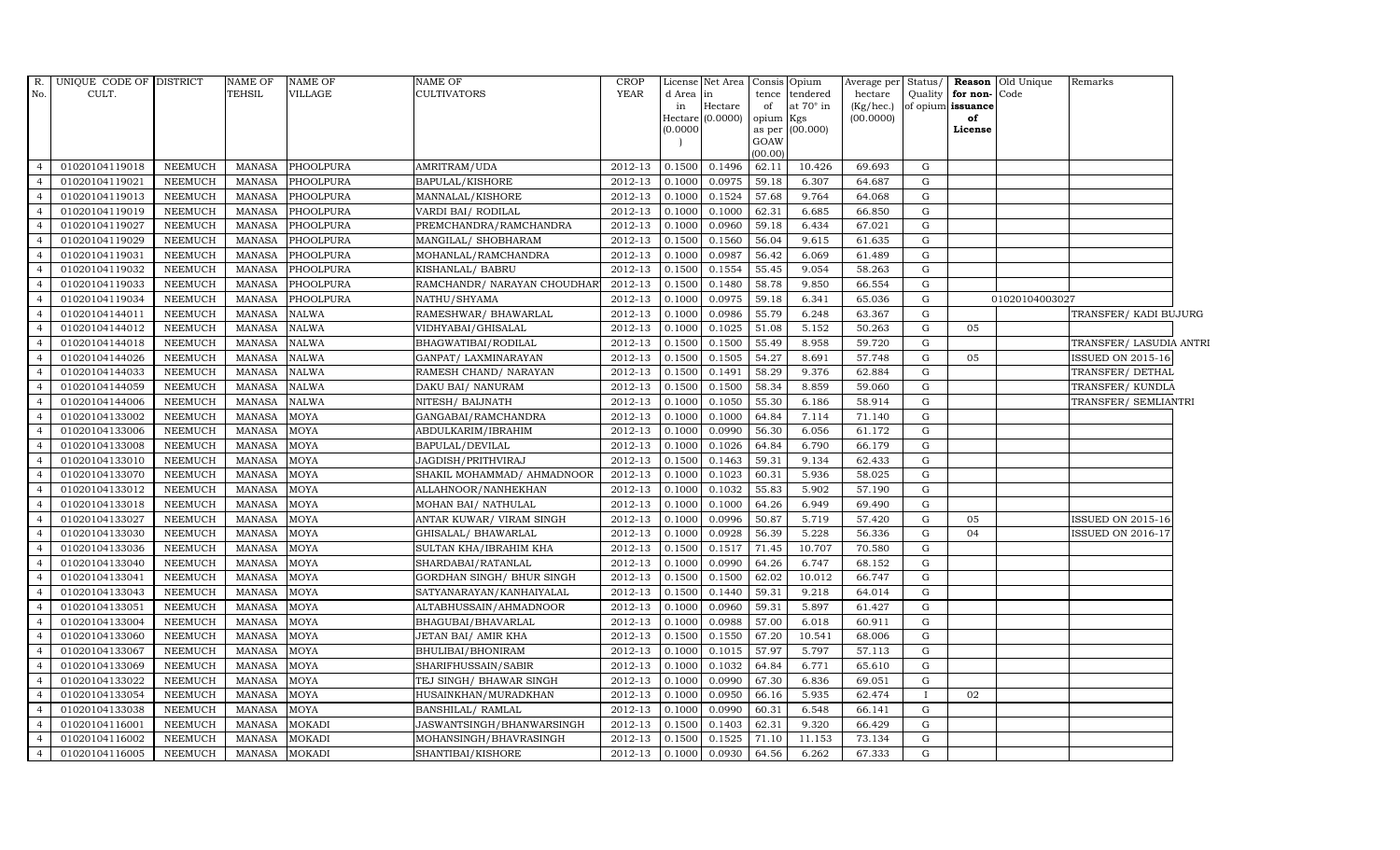| R.                               | UNIQUE CODE OF DISTRICT          |                           | <b>NAME OF</b>                 | <b>NAME OF</b>             | NAME OF                               | <b>CROP</b>        |                  | License Net Area            |                  | Consis Opium          | Average per                            | Status/      |                                   | Reason Old Unique | Remarks                  |  |
|----------------------------------|----------------------------------|---------------------------|--------------------------------|----------------------------|---------------------------------------|--------------------|------------------|-----------------------------|------------------|-----------------------|----------------------------------------|--------------|-----------------------------------|-------------------|--------------------------|--|
| No.                              | CULT.                            |                           | <b>TEHSIL</b>                  | <b>VILLAGE</b>             | <b>CULTIVATORS</b>                    | <b>YEAR</b>        | d Area           | in                          | tence            | tendered<br>at 70° in | hectare<br>$\left({\rm Kg/hc.}\right)$ | Quality      | for non-Code<br>of opium issuance |                   |                          |  |
|                                  |                                  |                           |                                |                            |                                       |                    | in               | Hectare<br>Hectare (0.0000) | of<br>opium Kgs  |                       | (00.0000)                              |              | of                                |                   |                          |  |
|                                  |                                  |                           |                                |                            |                                       |                    | (0.0000)         |                             |                  | as per (00.000)       |                                        |              | License                           |                   |                          |  |
|                                  |                                  |                           |                                |                            |                                       |                    |                  |                             | GOAW             |                       |                                        |              |                                   |                   |                          |  |
| $\overline{4}$                   | 01020104119018                   | NEEMUCH                   | MANASA                         | PHOOLPURA                  | AMRITRAM/UDA                          | 2012-13            | 0.1500           | 0.1496                      | (00.00)<br>62.11 | 10.426                | 69.693                                 | G            |                                   |                   |                          |  |
| $\overline{4}$                   | 01020104119021                   | <b>NEEMUCH</b>            | <b>MANASA</b>                  | PHOOLPURA                  | BAPULAL/KISHORE                       | 2012-13            | 0.1000           | 0.0975                      | 59.18            | 6.307                 | 64.687                                 | G            |                                   |                   |                          |  |
| $\overline{4}$                   | 01020104119013                   | <b>NEEMUCH</b>            | MANASA                         | PHOOLPURA                  | MANNALAL/KISHORE                      | 2012-13            | 0.1000           | 0.1524                      | 57.68            | 9.764                 | 64.068                                 | G            |                                   |                   |                          |  |
| $\overline{4}$                   | 01020104119019                   | <b>NEEMUCH</b>            | <b>MANASA</b>                  | PHOOLPURA                  | VARDI BAI / RODILAL                   | 2012-13            | 0.1000           | 0.1000                      | 62.31            | 6.685                 | 66.850                                 | G            |                                   |                   |                          |  |
| $\overline{4}$                   | 01020104119027                   | <b>NEEMUCH</b>            | <b>MANASA</b>                  | PHOOLPURA                  | PREMCHANDRA/RAMCHANDRA                | 2012-13            | 0.1000           | 0.0960                      | 59.18            | 6.434                 | 67.021                                 | $\mathbf G$  |                                   |                   |                          |  |
| $\overline{4}$                   | 01020104119029                   | NEEMUCH                   | <b>MANASA</b>                  | PHOOLPURA                  | MANGILAL/ SHOBHARAM                   | 2012-13            | 0.1500           | 0.1560                      | 56.04            | 9.615                 | 61.635                                 | G            |                                   |                   |                          |  |
| $\overline{4}$                   | 01020104119031                   | <b>NEEMUCH</b>            | <b>MANASA</b>                  | PHOOLPURA                  | MOHANLAL/RAMCHANDRA                   | 2012-13            | 0.1000           | 0.0987                      | 56.42            | 6.069                 | 61.489                                 | G            |                                   |                   |                          |  |
| $\overline{4}$                   | 01020104119032                   | <b>NEEMUCH</b>            | <b>MANASA</b>                  | PHOOLPURA                  | KISHANLAL/ BABRU                      | 2012-13            | 0.1500           | 0.1554                      | 55.45            | 9.054                 | 58.263                                 | G            |                                   |                   |                          |  |
| $\overline{4}$                   | 01020104119033                   | <b>NEEMUCH</b>            | <b>MANASA</b>                  | PHOOLPURA                  | RAMCHANDR/ NARAYAN CHOUDHAR           | 2012-13            | 0.1500           | 0.1480                      | 58.78            | 9.850                 | 66.554                                 | G            |                                   |                   |                          |  |
| $\overline{4}$                   | 01020104119034                   | <b>NEEMUCH</b>            | <b>MANASA</b>                  | PHOOLPURA                  | NATHU/SHYAMA                          | 2012-13            | 0.1000           | 0.0975                      | 59.18            | 6.341                 | 65.036                                 | G            |                                   | 01020104003027    |                          |  |
| $\overline{4}$                   | 01020104144011                   | <b>NEEMUCH</b>            | <b>MANASA</b>                  | <b>NALWA</b>               | RAMESHWAR/ BHAWARLAL                  | 2012-13            | 0.1000           | 0.0986                      | 55.79            | 6.248                 | 63.367                                 | G            |                                   |                   | TRANSFER/ KADI BUJURG    |  |
| $\overline{4}$                   | 01020104144012                   | <b>NEEMUCH</b>            | <b>MANASA</b>                  | <b>NALWA</b>               | VIDHYABAI/GHISALAL                    | 2012-13            | 0.1000           | 0.1025                      | 51.08            | 5.152                 | 50.263                                 | G            | 05                                |                   |                          |  |
| $\overline{4}$                   | 01020104144018                   | NEEMUCH                   | <b>MANASA</b>                  | <b>NALWA</b>               | BHAGWATIBAI/RODILAL                   | 2012-13            | 0.1500           | 0.1500                      | 55.49            | 8.958                 | 59.720                                 | G            |                                   |                   | TRANSFER/ LASUDIA ANTRI  |  |
| $\overline{4}$                   | 01020104144026                   | <b>NEEMUCH</b>            | <b>MANASA</b>                  | <b>NALWA</b>               | GANPAT/ LAXMINARAYAN                  | 2012-13            | 0.1500           | 0.1505                      | 54.27            | 8.691                 | 57.748                                 | G            | 05                                |                   | <b>ISSUED ON 2015-16</b> |  |
| $\overline{4}$                   | 01020104144033                   | <b>NEEMUCH</b>            | <b>MANASA</b>                  | <b>NALWA</b>               | RAMESH CHAND/ NARAYAN                 | 2012-13            | 0.1500           | 0.1491                      | 58.29            | 9.376                 | 62.884                                 | G            |                                   |                   | TRANSFER/ DETHAL         |  |
| $\overline{4}$                   | 01020104144059                   | <b>NEEMUCH</b>            | <b>MANASA</b>                  | <b>NALWA</b>               |                                       | 2012-13            | 0.1500           | 0.1500                      | 58.34            | 8.859                 | 59.060                                 | ${\rm G}$    |                                   |                   | TRANSFER/KUNDLA          |  |
| $\overline{4}$                   | 01020104144006                   | <b>NEEMUCH</b>            | <b>MANASA</b>                  | <b>NALWA</b>               | DAKU BAI/ NANURAM<br>NITESH/ BAIJNATH | 2012-13            | 0.1000           | 0.1050                      | 55.30            | 6.186                 | 58.914                                 | G            |                                   |                   | TRANSFER/ SEMLIANTRI     |  |
| $\overline{4}$                   |                                  |                           |                                |                            |                                       |                    |                  |                             |                  |                       |                                        |              |                                   |                   |                          |  |
| $\overline{4}$                   | 01020104133002                   | <b>NEEMUCH</b>            | <b>MANASA</b>                  | <b>MOYA</b>                | GANGABAI/RAMCHANDRA                   | 2012-13            | 0.1000           | 0.1000                      | 64.84            | 7.114                 | 71.140                                 | G<br>G       |                                   |                   |                          |  |
| $\overline{4}$                   | 01020104133006                   | <b>NEEMUCH</b>            | <b>MANASA</b>                  | <b>MOYA</b>                | ABDULKARIM/IBRAHIM                    | 2012-13            | 0.1000           | 0.0990                      | 56.30            | 6.056                 | 61.172                                 |              |                                   |                   |                          |  |
|                                  | 01020104133008                   | <b>NEEMUCH</b>            | <b>MANASA</b>                  | MOYA                       | BAPULAL/DEVILAL                       | 2012-13            | 0.1000           | 0.1026                      | 64.84            | 6.790                 | 66.179                                 | G            |                                   |                   |                          |  |
| $\overline{4}$<br>$\overline{4}$ | 01020104133010<br>01020104133070 | NEEMUCH<br><b>NEEMUCH</b> | <b>MANASA</b><br><b>MANASA</b> | <b>MOYA</b><br><b>MOYA</b> | JAGDISH/PRITHVIRAJ                    | 2012-13<br>2012-13 | 0.1500<br>0.1000 | 0.1463<br>0.1023            | 59.31<br>60.31   | 9.134<br>5.936        | 62.433<br>58.025                       | G            |                                   |                   |                          |  |
| $\overline{4}$                   |                                  |                           |                                |                            | SHAKIL MOHAMMAD/ AHMADNOOR            |                    |                  |                             |                  |                       |                                        | G            |                                   |                   |                          |  |
|                                  | 01020104133012                   | <b>NEEMUCH</b>            | <b>MANASA</b>                  | <b>MOYA</b>                | ALLAHNOOR/NANHEKHAN                   | 2012-13            | 0.1000           | 0.1032                      | 55.83            | 5.902                 | 57.190                                 | G            |                                   |                   |                          |  |
| $\overline{4}$                   | 01020104133018                   | <b>NEEMUCH</b>            | <b>MANASA</b>                  | <b>MOYA</b>                | MOHAN BAI/ NATHULAL                   | 2012-13            | 0.1000           | 0.1000                      | 64.26            | 6.949                 | 69.490                                 | G            |                                   |                   |                          |  |
| $\overline{4}$                   | 01020104133027                   | <b>NEEMUCH</b>            | <b>MANASA</b>                  | <b>MOYA</b>                | ANTAR KUWAR/ VIRAM SINGH              | 2012-13            | 0.1000           | 0.0996                      | 50.87            | 5.719                 | 57.420                                 | G            | 05                                |                   | <b>ISSUED ON 2015-16</b> |  |
| $\overline{4}$                   | 01020104133030                   | <b>NEEMUCH</b>            | <b>MANASA</b>                  | <b>MOYA</b>                | GHISALAL/ BHAWARLAL                   | 2012-13            | 0.1000           | 0.0928                      | 56.39            | 5.228                 | 56.336                                 | $\mathbf G$  | 04                                |                   | ISSUED ON 2016-17        |  |
| $\overline{4}$                   | 01020104133036                   | <b>NEEMUCH</b>            | <b>MANASA</b>                  | <b>MOYA</b>                | SULTAN KHA/IBRAHIM KHA                | 2012-13            | 0.1500           | 0.1517                      | 71.45            | 10.707                | 70.580                                 | G            |                                   |                   |                          |  |
| $\overline{4}$                   | 01020104133040                   | <b>NEEMUCH</b>            | <b>MANASA</b>                  | <b>MOYA</b>                | SHARDABAI/RATANLAL                    | 2012-13            | 0.1000           | 0.0990                      | 64.26            | 6.747                 | 68.152                                 | G            |                                   |                   |                          |  |
| $\overline{4}$                   | 01020104133041                   | <b>NEEMUCH</b>            | <b>MANASA</b>                  | <b>MOYA</b>                | GORDHAN SINGH/ BHUR SINGH             | 2012-13            | 0.1500           | 0.1500                      | 62.02            | 10.012                | 66.747                                 | G            |                                   |                   |                          |  |
| $\overline{4}$                   | 01020104133043                   | <b>NEEMUCH</b>            | <b>MANASA</b>                  | <b>MOYA</b>                | SATYANARAYAN/KANHAIYALAL              | 2012-13            | 0.1500           | 0.1440                      | 59.31            | 9.218                 | 64.014                                 | G            |                                   |                   |                          |  |
| $\overline{4}$                   | 01020104133051                   | <b>NEEMUCH</b>            | <b>MANASA</b>                  | <b>MOYA</b>                | ALTABHUSSAIN/AHMADNOOR                | 2012-13            | 0.1000           | 0.0960                      | 59.31            | 5.897                 | 61.427                                 | G            |                                   |                   |                          |  |
| $\overline{4}$                   | 01020104133004                   | <b>NEEMUCH</b>            | <b>MANASA</b>                  | <b>MOYA</b>                | BHAGUBAI/BHAVARLAL                    | 2012-13            | 0.1000           | 0.0988                      | 57.00            | 6.018                 | 60.911                                 | G            |                                   |                   |                          |  |
| $\overline{4}$                   | 01020104133060                   | <b>NEEMUCH</b>            | <b>MANASA</b>                  | <b>MOYA</b>                | JETAN BAI/ AMIR KHA                   | 2012-13            | 0.1500           | 0.1550                      | 67.20            | 10.541                | 68.006                                 | G            |                                   |                   |                          |  |
| $\overline{4}$                   | 01020104133067                   | <b>NEEMUCH</b>            | <b>MANASA</b>                  | <b>MOYA</b>                | BHULIBAI/BHONIRAM                     | 2012-13            | 0.1000           | 0.1015                      | 57.97            | 5.797                 | 57.113                                 | G            |                                   |                   |                          |  |
| $\overline{4}$                   | 01020104133069                   | <b>NEEMUCH</b>            | <b>MANASA</b>                  | <b>MOYA</b>                | SHARIFHUSSAIN/SABIR                   | 2012-13            | 0.1000           | 0.1032                      | 64.84            | 6.771                 | 65.610                                 | G            |                                   |                   |                          |  |
| $\overline{4}$                   | 01020104133022                   | <b>NEEMUCH</b>            | <b>MANASA</b>                  | <b>MOYA</b>                | TEJ SINGH/ BHAWAR SINGH               | 2012-13            | 0.1000           | 0.0990                      | 67.30            | 6.836                 | 69.051                                 | G            |                                   |                   |                          |  |
| $\overline{4}$                   | 01020104133054                   | <b>NEEMUCH</b>            | <b>MANASA</b>                  | <b>MOYA</b>                | HUSAINKHAN/MURADKHAN                  | 2012-13            | 0.1000           | 0.0950                      | 66.16            | 5.935                 | 62.474                                 | $\mathbf{I}$ | 02                                |                   |                          |  |
| $\overline{4}$                   | 01020104133038                   | <b>NEEMUCH</b>            | <b>MANASA</b>                  | <b>MOYA</b>                | BANSHILAL/ RAMLAL                     | 2012-13            | 0.1000           | 0.0990                      | 60.31            | 6.548                 | 66.141                                 | G            |                                   |                   |                          |  |
| $\overline{4}$                   | 01020104116001                   | <b>NEEMUCH</b>            | <b>MANASA</b>                  | <b>MOKADI</b>              | JASWANTSINGH/BHANWARSINGH             | 2012-13            | 0.1500           | 0.1403                      | 62.31            | 9.320                 | 66.429                                 | G            |                                   |                   |                          |  |
| $\overline{4}$                   | 01020104116002                   | <b>NEEMUCH</b>            | <b>MANASA</b>                  | <b>MOKADI</b>              | MOHANSINGH/BHAVRASINGH                | 2012-13            | 0.1500           | 0.1525                      | 71.10            | 11.153                | 73.134                                 | G            |                                   |                   |                          |  |
| $\overline{4}$                   | 01020104116005                   | <b>NEEMUCH</b>            | MANASA                         | <b>MOKADI</b>              | SHANTIBAI/KISHORE                     | 2012-13            | 0.1000           | 0.0930                      | 64.56            | 6.262                 | 67.333                                 | G            |                                   |                   |                          |  |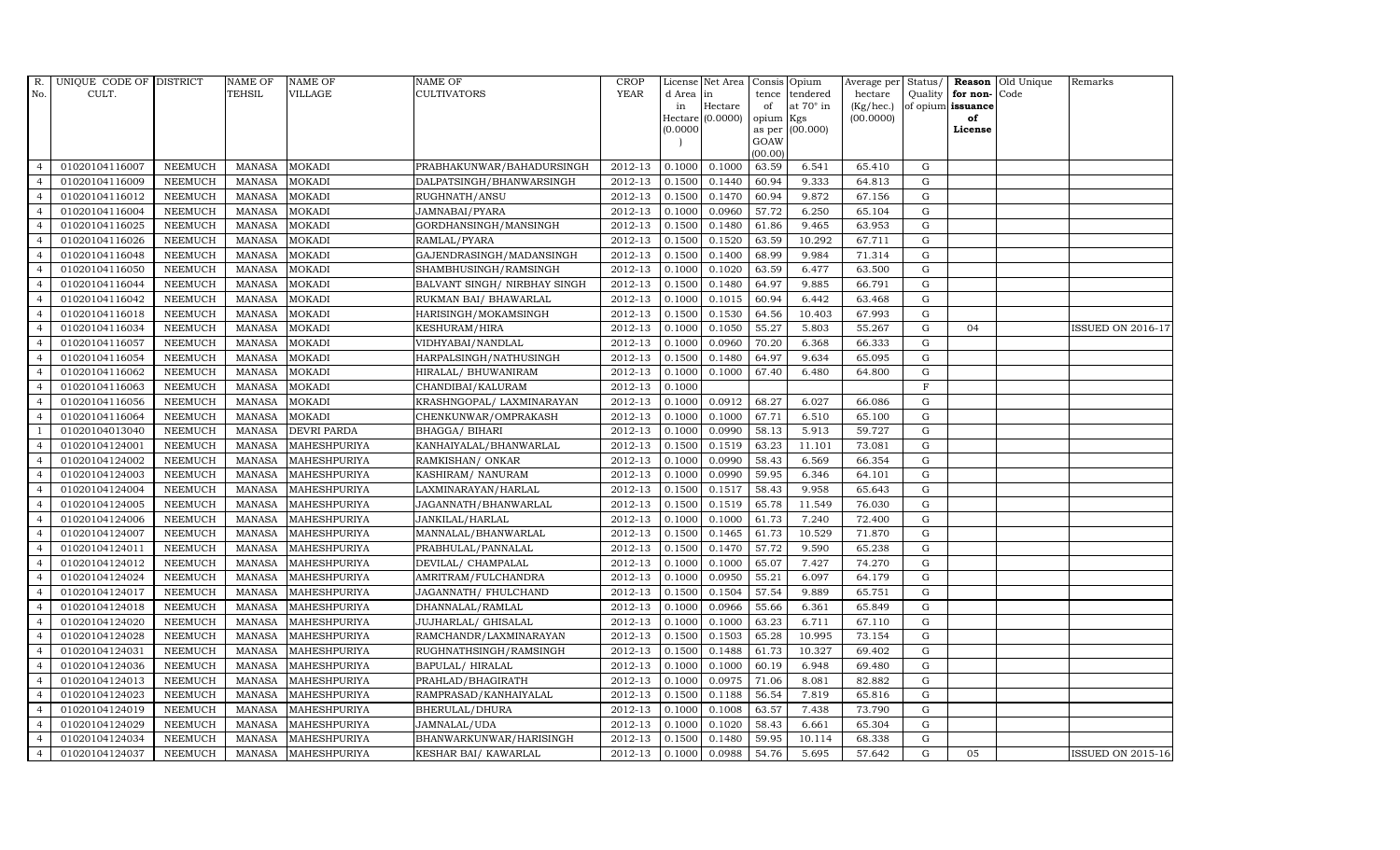| R.             | UNIQUE CODE OF DISTRICT |                | <b>NAME OF</b> | <b>NAME OF</b>      | <b>NAME OF</b>               | <b>CROP</b> |           | License Net Area Consis Opium |           |                  | Average per Status/ |             |                         | <b>Reason</b> Old Unique | Remarks                  |
|----------------|-------------------------|----------------|----------------|---------------------|------------------------------|-------------|-----------|-------------------------------|-----------|------------------|---------------------|-------------|-------------------------|--------------------------|--------------------------|
| No.            | CULT.                   |                | <b>TEHSIL</b>  | <b>VILLAGE</b>      | <b>CULTIVATORS</b>           | <b>YEAR</b> | d Area in |                               |           | tence tendered   | hectare             |             | Quality   for non- Code |                          |                          |
|                |                         |                |                |                     |                              |             | in        | Hectare                       | of        | at $70^\circ$ in | (Kg/hec.)           |             | of opium issuance       |                          |                          |
|                |                         |                |                |                     |                              |             | (0.0000)  | Hectare (0.0000)              | opium Kgs | as per (00.000)  | (00.0000)           |             | of<br>License           |                          |                          |
|                |                         |                |                |                     |                              |             |           |                               | GOAW      |                  |                     |             |                         |                          |                          |
|                |                         |                |                |                     |                              |             |           |                               | (00.00)   |                  |                     |             |                         |                          |                          |
| $\overline{4}$ | 01020104116007          | <b>NEEMUCH</b> | MANASA         | <b>MOKADI</b>       | PRABHAKUNWAR/BAHADURSINGH    | 2012-13     | 0.1000    | 0.1000                        | 63.59     | 6.541            | 65.410              | G           |                         |                          |                          |
| $\overline{4}$ | 01020104116009          | <b>NEEMUCH</b> | <b>MANASA</b>  | <b>MOKADI</b>       | DALPATSINGH/BHANWARSINGH     | 2012-13     | 0.1500    | 0.1440                        | 60.94     | 9.333            | 64.813              | $\mathbf G$ |                         |                          |                          |
| $\overline{4}$ | 01020104116012          | <b>NEEMUCH</b> | <b>MANASA</b>  | <b>MOKADI</b>       | RUGHNATH/ANSU                | 2012-13     | 0.1500    | 0.1470                        | 60.94     | 9.872            | 67.156              | G           |                         |                          |                          |
| $\overline{4}$ | 01020104116004          | <b>NEEMUCH</b> | <b>MANASA</b>  | <b>MOKADI</b>       | JAMNABAI/PYARA               | 2012-13     | 0.1000    | 0.0960                        | 57.72     | 6.250            | 65.104              | $\mathbf G$ |                         |                          |                          |
| $\overline{4}$ | 01020104116025          | <b>NEEMUCH</b> | <b>MANASA</b>  | <b>MOKADI</b>       | GORDHANSINGH/MANSINGH        | 2012-13     | 0.1500    | 0.1480                        | 61.86     | 9.465            | 63.953              | $\mathbf G$ |                         |                          |                          |
| $\overline{4}$ | 01020104116026          | <b>NEEMUCH</b> | <b>MANASA</b>  | <b>MOKADI</b>       | RAMLAL/PYARA                 | $2012 - 13$ | 0.1500    | 0.1520                        | 63.59     | 10.292           | 67.711              | $\mathbf G$ |                         |                          |                          |
| $\overline{4}$ | 01020104116048          | <b>NEEMUCH</b> | <b>MANASA</b>  | <b>MOKADI</b>       | GAJENDRASINGH/MADANSINGH     | 2012-13     | 0.1500    | 0.1400                        | 68.99     | 9.984            | 71.314              | $\mathbf G$ |                         |                          |                          |
| $\overline{4}$ | 01020104116050          | <b>NEEMUCH</b> | <b>MANASA</b>  | <b>MOKADI</b>       | SHAMBHUSINGH/RAMSINGH        | 2012-13     | 0.1000    | 0.1020                        | 63.59     | 6.477            | 63.500              | $\mathbf G$ |                         |                          |                          |
| $\overline{4}$ | 01020104116044          | <b>NEEMUCH</b> | <b>MANASA</b>  | <b>MOKADI</b>       | BALVANT SINGH/ NIRBHAY SINGH | 2012-13     | 0.1500    | 0.1480                        | 64.97     | 9.885            | 66.791              | G           |                         |                          |                          |
| $\overline{4}$ | 01020104116042          | <b>NEEMUCH</b> | <b>MANASA</b>  | <b>MOKADI</b>       | RUKMAN BAI/ BHAWARLAL        | 2012-13     | 0.1000    | 0.1015                        | 60.94     | 6.442            | 63.468              | $\mathbf G$ |                         |                          |                          |
| $\overline{4}$ | 01020104116018          | <b>NEEMUCH</b> | <b>MANASA</b>  | <b>MOKADI</b>       | HARISINGH/MOKAMSINGH         | 2012-13     | 0.1500    | 0.1530                        | 64.56     | 10.403           | 67.993              | $\mathbf G$ |                         |                          |                          |
| $\overline{4}$ | 01020104116034          | <b>NEEMUCH</b> | <b>MANASA</b>  | <b>MOKADI</b>       | KESHURAM/HIRA                | 2012-13     | 0.1000    | 0.1050                        | 55.27     | 5.803            | 55.267              | ${\rm G}$   | 04                      |                          | <b>ISSUED ON 2016-17</b> |
| $\overline{4}$ | 01020104116057          | <b>NEEMUCH</b> | <b>MANASA</b>  | <b>MOKADI</b>       | VIDHYABAI/NANDLAL            | 2012-13     | 0.1000    | 0.0960                        | 70.20     | 6.368            | 66.333              | G           |                         |                          |                          |
| $\overline{4}$ | 01020104116054          | <b>NEEMUCH</b> | <b>MANASA</b>  | <b>MOKADI</b>       | HARPALSINGH/NATHUSINGH       | 2012-13     | 0.1500    | 0.1480                        | 64.97     | 9.634            | 65.095              | $\mathbf G$ |                         |                          |                          |
| $\overline{4}$ | 01020104116062          | <b>NEEMUCH</b> | <b>MANASA</b>  | <b>MOKADI</b>       | HIRALAL/ BHUWANIRAM          | 2012-13     | 0.1000    | 0.1000                        | 67.40     | 6.480            | 64.800              | ${\rm G}$   |                         |                          |                          |
| $\overline{4}$ | 01020104116063          | <b>NEEMUCH</b> | <b>MANASA</b>  | <b>MOKADI</b>       | CHANDIBAI/KALURAM            | 2012-13     | 0.1000    |                               |           |                  |                     | $\rm F$     |                         |                          |                          |
| $\overline{4}$ | 01020104116056          | <b>NEEMUCH</b> | <b>MANASA</b>  | <b>MOKADI</b>       | KRASHNGOPAL/ LAXMINARAYAN    | 2012-13     | 0.1000    | 0.0912                        | 68.27     | 6.027            | 66.086              | $\mathbf G$ |                         |                          |                          |
| $\overline{4}$ | 01020104116064          | <b>NEEMUCH</b> | <b>MANASA</b>  | <b>MOKADI</b>       | CHENKUNWAR/OMPRAKASH         | 2012-13     | 0.1000    | 0.1000                        | 67.71     | 6.510            | 65.100              | G           |                         |                          |                          |
|                | 01020104013040          | <b>NEEMUCH</b> | <b>MANASA</b>  | <b>DEVRI PARDA</b>  | <b>BHAGGA/ BIHARI</b>        | $2012 - 13$ | 0.1000    | 0.0990                        | 58.13     | 5.913            | 59.727              | G           |                         |                          |                          |
|                | 01020104124001          | NEEMUCH        | <b>MANASA</b>  | MAHESHPURIYA        | KANHAIYALAL/BHANWARLAL       | 2012-13     | 0.1500    | 0.1519                        | 63.23     | 11.101           | 73.081              | $\mathbf G$ |                         |                          |                          |
| $\overline{4}$ | 01020104124002          | <b>NEEMUCH</b> | <b>MANASA</b>  | MAHESHPURIYA        | RAMKISHAN/ONKAR              | 2012-13     | 0.1000    | 0.0990                        | 58.43     | 6.569            | 66.354              | $\mathbf G$ |                         |                          |                          |
| $\overline{4}$ | 01020104124003          | <b>NEEMUCH</b> | <b>MANASA</b>  | MAHESHPURIYA        | KASHIRAM/ NANURAM            | 2012-13     | 0.1000    | 0.0990                        | 59.95     | 6.346            | 64.101              | G           |                         |                          |                          |
| $\overline{4}$ | 01020104124004          | <b>NEEMUCH</b> | <b>MANASA</b>  | MAHESHPURIYA        | LAXMINARAYAN/HARLAL          | 2012-13     | 0.1500    | 0.1517                        | 58.43     | 9.958            | 65.643              | ${\rm G}$   |                         |                          |                          |
| $\overline{4}$ | 01020104124005          | <b>NEEMUCH</b> | <b>MANASA</b>  | MAHESHPURIYA        | JAGANNATH/BHANWARLAL         | 2012-13     | 0.1500    | 0.1519                        | 65.78     | 11.549           | 76.030              | $\mathbf G$ |                         |                          |                          |
| $\overline{4}$ | 01020104124006          | <b>NEEMUCH</b> | <b>MANASA</b>  | <b>MAHESHPURIYA</b> | JANKILAL/HARLAL              | 2012-13     | 0.1000    | 0.1000                        | 61.73     | 7.240            | 72.400              | $\mathbf G$ |                         |                          |                          |
| $\overline{4}$ | 01020104124007          | <b>NEEMUCH</b> | <b>MANASA</b>  | MAHESHPURIYA        | MANNALAL/BHANWARLAL          | 2012-13     | 0.1500    | 0.1465                        | 61.73     | 10.529           | 71.870              | ${\rm G}$   |                         |                          |                          |
| $\overline{4}$ | 01020104124011          | <b>NEEMUCH</b> | <b>MANASA</b>  | MAHESHPURIYA        | PRABHULAL/PANNALAL           | 2012-13     | 0.1500    | 0.1470                        | 57.72     | 9.590            | 65.238              | $\mathbf G$ |                         |                          |                          |
| $\overline{4}$ | 01020104124012          | <b>NEEMUCH</b> | MANASA         | MAHESHPURIYA        | DEVILAL/ CHAMPALAL           | 2012-13     | 0.1000    | 0.1000                        | 65.07     | 7.427            | 74.270              | ${\rm G}$   |                         |                          |                          |
| $\overline{4}$ | 01020104124024          | <b>NEEMUCH</b> | <b>MANASA</b>  | MAHESHPURIYA        | AMRITRAM/FULCHANDRA          | 2012-13     | 0.1000    | 0.0950                        | 55.21     | 6.097            | 64.179              | ${\rm G}$   |                         |                          |                          |
| $\overline{4}$ | 01020104124017          | NEEMUCH        | <b>MANASA</b>  | MAHESHPURIYA        | JAGANNATH / FHULCHAND        | 2012-13     | 0.1500    | 0.1504                        | 57.54     | 9.889            | 65.751              | G           |                         |                          |                          |
| $\overline{4}$ | 01020104124018          | <b>NEEMUCH</b> | <b>MANASA</b>  | <b>MAHESHPURIYA</b> | DHANNALAL/RAMLAL             | 2012-13     | 0.1000    | 0.0966                        | 55.66     | 6.361            | 65.849              | $\mathbf G$ |                         |                          |                          |
| $\overline{4}$ | 01020104124020          | <b>NEEMUCH</b> | <b>MANASA</b>  | MAHESHPURIYA        | JUJHARLAL/ GHISALAL          | 2012-13     | 0.1000    | 0.1000                        | 63.23     | 6.711            | 67.110              | ${\rm G}$   |                         |                          |                          |
| $\overline{4}$ | 01020104124028          | <b>NEEMUCH</b> | <b>MANASA</b>  | MAHESHPURIYA        | RAMCHANDR/LAXMINARAYAN       | 2012-13     | 0.1500    | 0.1503                        | 65.28     | 10.995           | 73.154              | G           |                         |                          |                          |
| $\overline{4}$ | 01020104124031          | <b>NEEMUCH</b> | <b>MANASA</b>  | MAHESHPURIYA        | RUGHNATHSINGH/RAMSINGH       | 2012-13     | 0.1500    | 0.1488                        | 61.73     | 10.327           | 69.402              | ${\rm G}$   |                         |                          |                          |
| $\overline{4}$ | 01020104124036          | <b>NEEMUCH</b> | <b>MANASA</b>  | MAHESHPURIYA        | BAPULAL/HIRALAL              | 2012-13     | 0.1000    | 0.1000                        | 60.19     | 6.948            | 69.480              | $\mathbf G$ |                         |                          |                          |
| $\overline{4}$ | 01020104124013          | <b>NEEMUCH</b> | <b>MANASA</b>  | MAHESHPURIYA        | PRAHLAD/BHAGIRATH            | 2012-13     | 0.1000    | 0.0975                        | 71.06     | 8.081            | 82.882              | G           |                         |                          |                          |
| $\overline{4}$ | 01020104124023          | <b>NEEMUCH</b> | <b>MANASA</b>  | MAHESHPURIYA        | RAMPRASAD/KANHAIYALAL        | 2012-13     | 0.1500    | 0.1188                        | 56.54     | 7.819            | 65.816              | G           |                         |                          |                          |
| $\overline{4}$ | 01020104124019          | <b>NEEMUCH</b> | <b>MANASA</b>  | MAHESHPURIYA        | BHERULAL/DHURA               | 2012-13     | 0.1000    | 0.1008                        | 63.57     | 7.438            | 73.790              | ${\rm G}$   |                         |                          |                          |
| $\overline{4}$ | 01020104124029          | <b>NEEMUCH</b> | <b>MANASA</b>  | MAHESHPURIYA        | JAMNALAL/UDA                 | 2012-13     | 0.1000    | 0.1020                        | 58.43     | 6.661            | 65.304              | $\mathbf G$ |                         |                          |                          |
| $\overline{4}$ | 01020104124034          | <b>NEEMUCH</b> | <b>MANASA</b>  | MAHESHPURIYA        | BHANWARKUNWAR/HARISINGH      | 2012-13     | 0.1500    | 0.1480                        | 59.95     | 10.114           | 68.338              | $\mathbf G$ |                         |                          |                          |
| $\overline{4}$ | 01020104124037          | <b>NEEMUCH</b> |                | MANASA MAHESHPURIYA | KESHAR BAI/ KAWARLAL         | 2012-13     | 0.1000    | 0.0988                        | 54.76     | 5.695            | 57.642              | G           | 05                      |                          | <b>ISSUED ON 2015-16</b> |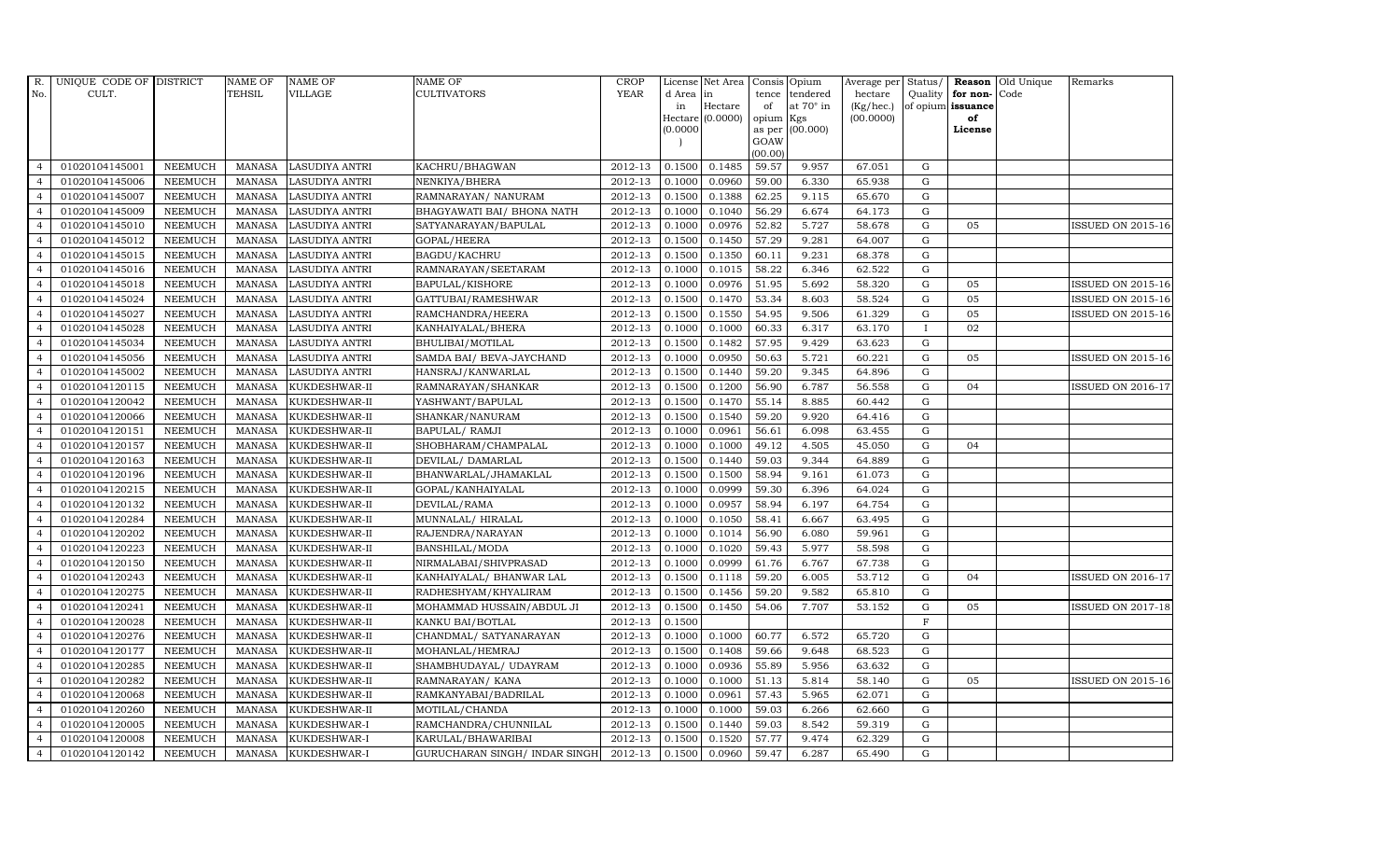| R.             | UNIQUE CODE OF DISTRICT |                | <b>NAME OF</b> | <b>NAME OF</b>        | <b>NAME OF</b>                 | CROP        |          | License Net Area   |           | Consis Opium     | Average per Status/ |              |                      | <b>Reason</b> Old Unique | Remarks                  |
|----------------|-------------------------|----------------|----------------|-----------------------|--------------------------------|-------------|----------|--------------------|-----------|------------------|---------------------|--------------|----------------------|--------------------------|--------------------------|
| No.            | CULT.                   |                | TEHSIL         | VILLAGE               | <b>CULTIVATORS</b>             | <b>YEAR</b> | d Area   | in                 | tence     | tendered         | hectare             |              | Quality $ $ for non- | Code                     |                          |
|                |                         |                |                |                       |                                |             | in       | Hectare            | of        | at $70^\circ$ in | (Kg/hec.)           |              | of opium issuance    |                          |                          |
|                |                         |                |                |                       |                                |             | (0.0000) | $Hectare$ (0.0000) | opium Kgs | as per (00.000)  | (00.0000)           |              | of<br>License        |                          |                          |
|                |                         |                |                |                       |                                |             |          |                    | GOAW      |                  |                     |              |                      |                          |                          |
|                |                         |                |                |                       |                                |             |          |                    | (00.00)   |                  |                     |              |                      |                          |                          |
| $\overline{4}$ | 01020104145001          | <b>NEEMUCH</b> | MANASA         | LASUDIYA ANTRI        | KACHRU/BHAGWAN                 | 2012-13     | 0.1500   | 0.1485             | 59.57     | 9.957            | 67.051              | G            |                      |                          |                          |
| $\overline{a}$ | 01020104145006          | <b>NEEMUCH</b> | MANASA         | <b>LASUDIYA ANTRI</b> | NENKIYA/BHERA                  | 2012-13     | 0.1000   | 0.0960             | 59.00     | 6.330            | 65.938              | ${\rm G}$    |                      |                          |                          |
| $\overline{4}$ | 01020104145007          | <b>NEEMUCH</b> | <b>MANASA</b>  | <b>LASUDIYA ANTRI</b> | RAMNARAYAN/ NANURAM            | 2012-13     | 0.1500   | 0.1388             | 62.25     | 9.115            | 65.670              | G            |                      |                          |                          |
| $\overline{4}$ | 01020104145009          | <b>NEEMUCH</b> | MANASA         | <b>LASUDIYA ANTRI</b> | BHAGYAWATI BAI/ BHONA NATH     | 2012-13     | 0.1000   | 0.1040             | 56.29     | 6.674            | 64.173              | G            |                      |                          |                          |
| $\overline{4}$ | 01020104145010          | <b>NEEMUCH</b> | <b>MANASA</b>  | <b>LASUDIYA ANTRI</b> | SATYANARAYAN/BAPULAL           | 2012-13     | 0.1000   | 0.0976             | 52.82     | 5.727            | 58.678              | G            | 05                   |                          | <b>ISSUED ON 2015-16</b> |
| $\overline{4}$ | 01020104145012          | <b>NEEMUCH</b> | MANASA         | <b>LASUDIYA ANTRI</b> | GOPAL/HEERA                    | 2012-13     | 0.1500   | 0.1450             | 57.29     | 9.281            | 64.007              | G            |                      |                          |                          |
| $\overline{4}$ | 01020104145015          | <b>NEEMUCH</b> | MANASA         | <b>LASUDIYA ANTRI</b> | BAGDU/KACHRU                   | 2012-13     | 0.1500   | 0.1350             | 60.11     | 9.231            | 68.378              | ${\bf G}$    |                      |                          |                          |
| $\overline{4}$ | 01020104145016          | <b>NEEMUCH</b> | <b>MANASA</b>  | <b>LASUDIYA ANTRI</b> | RAMNARAYAN/SEETARAM            | 2012-13     | 0.1000   | 0.1015             | 58.22     | 6.346            | 62.522              | G            |                      |                          |                          |
| $\overline{4}$ | 01020104145018          | <b>NEEMUCH</b> | <b>MANASA</b>  | <b>LASUDIYA ANTRI</b> | BAPULAL/KISHORE                | 2012-13     | 0.1000   | 0.0976             | 51.95     | 5.692            | 58.320              | G            | 05                   |                          | <b>ISSUED ON 2015-16</b> |
| $\overline{4}$ | 01020104145024          | <b>NEEMUCH</b> | <b>MANASA</b>  | <b>LASUDIYA ANTRI</b> | GATTUBAI/RAMESHWAR             | 2012-13     | 0.1500   | 0.1470             | 53.34     | 8.603            | 58.524              | ${\bf G}$    | 05                   |                          | <b>ISSUED ON 2015-16</b> |
| $\overline{4}$ | 01020104145027          | <b>NEEMUCH</b> | <b>MANASA</b>  | LASUDIYA ANTRI        | RAMCHANDRA/HEERA               | 2012-13     | 0.1500   | 0.1550             | 54.95     | 9.506            | 61.329              | G            | 05                   |                          | <b>ISSUED ON 2015-16</b> |
| $\overline{4}$ | 01020104145028          | <b>NEEMUCH</b> | MANASA         | <b>LASUDIYA ANTRI</b> | KANHAIYALAL/BHERA              | 2012-13     | 0.1000   | 0.1000             | 60.33     | 6.317            | 63.170              | $\mathbf{I}$ | 02                   |                          |                          |
| $\overline{4}$ | 01020104145034          | <b>NEEMUCH</b> | <b>MANASA</b>  | <b>LASUDIYA ANTRI</b> | BHULIBAI/MOTILAL               | 2012-13     | 0.1500   | 0.1482             | 57.95     | 9.429            | 63.623              | $\mathbf G$  |                      |                          |                          |
| $\overline{4}$ | 01020104145056          | <b>NEEMUCH</b> | <b>MANASA</b>  | <b>LASUDIYA ANTRI</b> | SAMDA BAI/ BEVA-JAYCHAND       | 2012-13     | 0.1000   | 0.0950             | 50.63     | 5.721            | 60.221              | $\mathbf G$  | 05                   |                          | <b>ISSUED ON 2015-16</b> |
| $\overline{4}$ | 01020104145002          | <b>NEEMUCH</b> | MANASA         | <b>LASUDIYA ANTRI</b> | HANSRAJ/KANWARLAL              | 2012-13     | 0.1500   | 0.1440             | 59.20     | 9.345            | 64.896              | G            |                      |                          |                          |
| $\overline{4}$ | 01020104120115          | <b>NEEMUCH</b> | <b>MANASA</b>  | KUKDESHWAR-II         | RAMNARAYAN/SHANKAR             | 2012-13     | 0.1500   | 0.1200             | 56.90     | 6.787            | 56.558              | G            | 04                   |                          | ISSUED ON 2016-17        |
| $\overline{4}$ | 01020104120042          | <b>NEEMUCH</b> | MANASA         | KUKDESHWAR-II         | YASHWANT/BAPULAL               | 2012-13     | 0.1500   | 0.1470             | 55.14     | 8.885            | 60.442              | G            |                      |                          |                          |
| $\overline{4}$ | 01020104120066          | <b>NEEMUCH</b> | MANASA         | KUKDESHWAR-II         | SHANKAR/NANURAM                | 2012-13     | 0.1500   | 0.1540             | 59.20     | 9.920            | 64.416              | G            |                      |                          |                          |
| $\overline{4}$ | 01020104120151          | <b>NEEMUCH</b> | <b>MANASA</b>  | KUKDESHWAR-II         | BAPULAL/ RAMJI                 | 2012-13     | 0.1000   | 0.0961             | 56.61     | 6.098            | 63.455              | G            |                      |                          |                          |
| $\overline{4}$ | 01020104120157          | <b>NEEMUCH</b> | <b>MANASA</b>  | KUKDESHWAR-II         | SHOBHARAM/CHAMPALAL            | 2012-13     | 0.1000   | 0.1000             | 49.12     | 4.505            | 45.050              | G            | 04                   |                          |                          |
| $\overline{4}$ | 01020104120163          | <b>NEEMUCH</b> | <b>MANASA</b>  | KUKDESHWAR-II         | DEVILAL/ DAMARLAL              | 2012-13     | 0.1500   | 0.1440             | 59.03     | 9.344            | 64.889              | G            |                      |                          |                          |
| $\overline{4}$ | 01020104120196          | <b>NEEMUCH</b> | <b>MANASA</b>  | KUKDESHWAR-II         | BHANWARLAL/JHAMAKLAL           | 2012-13     | 0.1500   | 0.1500             | 58.94     | 9.161            | 61.073              | ${\rm G}$    |                      |                          |                          |
| $\overline{4}$ | 01020104120215          | <b>NEEMUCH</b> | MANASA         | KUKDESHWAR-II         | GOPAL/KANHAIYALAL              | 2012-13     | 0.1000   | 0.0999             | 59.30     | 6.396            | 64.024              | G            |                      |                          |                          |
| $\overline{4}$ | 01020104120132          | <b>NEEMUCH</b> | <b>MANASA</b>  | KUKDESHWAR-II         | DEVILAL/RAMA                   | 2012-13     | 0.1000   | 0.0957             | 58.94     | 6.197            | 64.754              | $\mathbf G$  |                      |                          |                          |
| $\overline{4}$ | 01020104120284          | <b>NEEMUCH</b> | <b>MANASA</b>  | KUKDESHWAR-II         | MUNNALAL/HIRALAL               | 2012-13     | 0.1000   | 0.1050             | 58.41     | 6.667            | 63.495              | G            |                      |                          |                          |
| $\overline{4}$ | 01020104120202          | <b>NEEMUCH</b> | <b>MANASA</b>  | KUKDESHWAR-II         | RAJENDRA/NARAYAN               | 2012-13     | 0.1000   | 0.1014             | 56.90     | 6.080            | 59.961              | G            |                      |                          |                          |
| $\overline{4}$ | 01020104120223          | <b>NEEMUCH</b> | <b>MANASA</b>  | KUKDESHWAR-II         | <b>BANSHILAL/MODA</b>          | 2012-13     | 0.1000   | 0.1020             | 59.43     | 5.977            | 58.598              | G            |                      |                          |                          |
| $\overline{4}$ | 01020104120150          | <b>NEEMUCH</b> | MANASA         | KUKDESHWAR-II         | NIRMALABAI/SHIVPRASAD          | 2012-13     | 0.1000   | 0.0999             | 61.76     | 6.767            | 67.738              | G            |                      |                          |                          |
| $\overline{4}$ | 01020104120243          | <b>NEEMUCH</b> | <b>MANASA</b>  | KUKDESHWAR-II         | KANHAIYALAL/ BHANWAR LAL       | 2012-13     | 0.1500   | 0.1118             | 59.20     | 6.005            | 53.712              | $\mathbf G$  | 04                   |                          | ISSUED ON 2016-17        |
| $\overline{4}$ | 01020104120275          | <b>NEEMUCH</b> | <b>MANASA</b>  | KUKDESHWAR-II         | RADHESHYAM/KHYALIRAM           | 2012-13     | 0.1500   | 0.1456             | 59.20     | 9.582            | 65.810              | $\mathbf G$  |                      |                          |                          |
| $\overline{4}$ | 01020104120241          | <b>NEEMUCH</b> | <b>MANASA</b>  | KUKDESHWAR-II         | MOHAMMAD HUSSAIN/ABDUL JI      | 2012-13     | 0.1500   | 0.1450             | 54.06     | 7.707            | 53.152              | G            | 05                   |                          | ISSUED ON 2017-18        |
| $\overline{4}$ | 01020104120028          | <b>NEEMUCH</b> | <b>MANASA</b>  | KUKDESHWAR-II         | KANKU BAI/BOTLAL               | 2012-13     | 0.1500   |                    |           |                  |                     | $\mathbf F$  |                      |                          |                          |
| $\overline{4}$ | 01020104120276          | <b>NEEMUCH</b> | <b>MANASA</b>  | KUKDESHWAR-II         | CHANDMAL/ SATYANARAYAN         | 2012-13     | 0.1000   | 0.1000             | 60.77     | 6.572            | 65.720              | ${\rm G}$    |                      |                          |                          |
| $\overline{4}$ | 01020104120177          | <b>NEEMUCH</b> | <b>MANASA</b>  | KUKDESHWAR-II         | MOHANLAL/HEMRAJ                | 2012-13     | 0.1500   | 0.1408             | 59.66     | 9.648            | 68.523              | $\mathbf G$  |                      |                          |                          |
| $\overline{4}$ | 01020104120285          | <b>NEEMUCH</b> | <b>MANASA</b>  | KUKDESHWAR-II         | SHAMBHUDAYAL/ UDAYRAM          | 2012-13     | 0.1000   | 0.0936             | 55.89     | 5.956            | 63.632              | $\mathbf G$  |                      |                          |                          |
| $\overline{4}$ | 01020104120282          | <b>NEEMUCH</b> | <b>MANASA</b>  | KUKDESHWAR-II         | RAMNARAYAN/ KANA               | 2012-13     | 0.1000   | 0.1000             | 51.13     | 5.814            | 58.140              | G            | 05                   |                          | <b>ISSUED ON 2015-16</b> |
| $\overline{4}$ | 01020104120068          | <b>NEEMUCH</b> | <b>MANASA</b>  | KUKDESHWAR-II         | RAMKANYABAI/BADRILAL           | 2012-13     | 0.1000   | 0.0961             | 57.43     | 5.965            | 62.071              | G            |                      |                          |                          |
| $\overline{4}$ | 01020104120260          | <b>NEEMUCH</b> | <b>MANASA</b>  | KUKDESHWAR-II         | MOTILAL/CHANDA                 | 2012-13     | 0.1000   | 0.1000             | 59.03     | 6.266            | 62.660              | ${\rm G}$    |                      |                          |                          |
| $\overline{4}$ | 01020104120005          | <b>NEEMUCH</b> | <b>MANASA</b>  | KUKDESHWAR-I          | RAMCHANDRA/CHUNNILAL           | 2012-13     | 0.1500   | 0.1440             | 59.03     | 8.542            | 59.319              | G            |                      |                          |                          |
| $\overline{4}$ | 01020104120008          | <b>NEEMUCH</b> | <b>MANASA</b>  | KUKDESHWAR-I          | KARULAL/BHAWARIBAI             | 2012-13     | 0.1500   | 0.1520             | 57.77     | 9.474            | 62.329              | $\mathbf G$  |                      |                          |                          |
| $\overline{4}$ | 01020104120142          | <b>NEEMUCH</b> |                | MANASA KUKDESHWAR-I   | GURUCHARAN SINGH / INDAR SINGH | 2012-13     | 0.1500   | 0.0960             | 59.47     | 6.287            | 65.490              | G            |                      |                          |                          |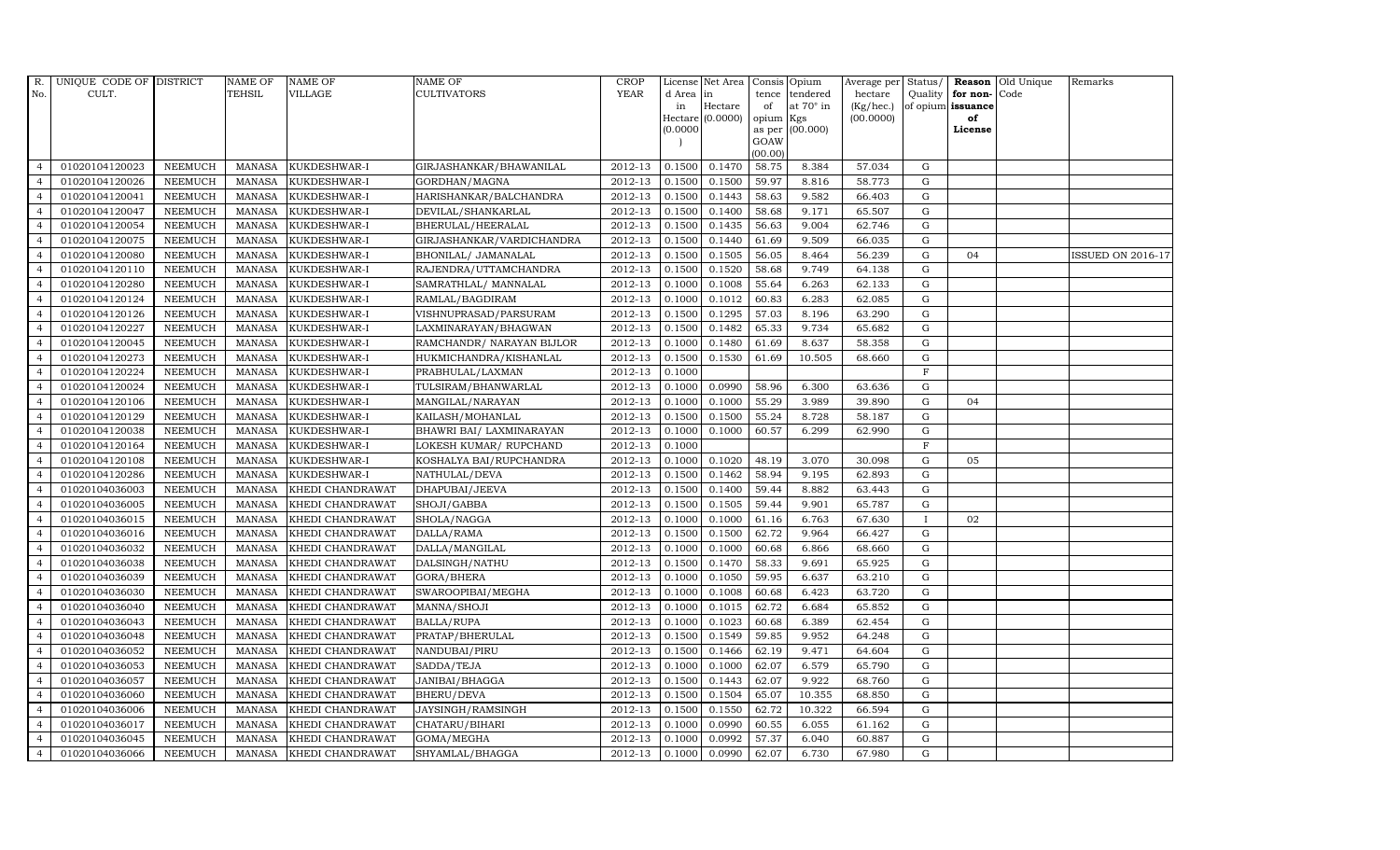| R.             | UNIQUE CODE OF DISTRICT |                | <b>NAME OF</b> | <b>NAME OF</b>   | <b>NAME OF</b>            | CROP    |           | License Net Area   Consis   Opium |           |                  | Average per Status/ |             |                   | <b>Reason</b> Old Unique | Remarks                  |
|----------------|-------------------------|----------------|----------------|------------------|---------------------------|---------|-----------|-----------------------------------|-----------|------------------|---------------------|-------------|-------------------|--------------------------|--------------------------|
| No.            | CULT.                   |                | <b>TEHSIL</b>  | VILLAGE          | <b>CULTIVATORS</b>        | YEAR    | d Area in |                                   |           | tence tendered   | hectare             | Quality     | for non-          | Code                     |                          |
|                |                         |                |                |                  |                           |         | in        | Hectare                           | of        | at $70^\circ$ in | (Kg/hec.)           |             | of opium issuance |                          |                          |
|                |                         |                |                |                  |                           |         |           | Hectare (0.0000)                  | opium Kgs |                  | (00.0000)           |             | of                |                          |                          |
|                |                         |                |                |                  |                           |         | (0.0000)  |                                   | GOAW      | as per (00.000)  |                     |             | License           |                          |                          |
|                |                         |                |                |                  |                           |         |           |                                   | (00.00)   |                  |                     |             |                   |                          |                          |
| $\overline{4}$ | 01020104120023          | <b>NEEMUCH</b> | MANASA         | KUKDESHWAR-I     | GIRJASHANKAR/BHAWANILAL   | 2012-13 | 0.1500    | 0.1470                            | 58.75     | 8.384            | 57.034              | $\mathbf G$ |                   |                          |                          |
| $\overline{a}$ | 01020104120026          | <b>NEEMUCH</b> | MANASA         | KUKDESHWAR-I     | GORDHAN/MAGNA             | 2012-13 | 0.1500    | 0.1500                            | 59.97     | 8.816            | 58.773              | $\mathbf G$ |                   |                          |                          |
| $\overline{4}$ | 01020104120041          | <b>NEEMUCH</b> | <b>MANASA</b>  | KUKDESHWAR-I     | HARISHANKAR/BALCHANDRA    | 2012-13 | 0.1500    | 0.1443                            | 58.63     | 9.582            | 66.403              | G           |                   |                          |                          |
| $\overline{4}$ | 01020104120047          | <b>NEEMUCH</b> | <b>MANASA</b>  | KUKDESHWAR-I     | DEVILAL/SHANKARLAL        | 2012-13 | 0.1500    | 0.1400                            | 58.68     | 9.171            | 65.507              | $\mathbf G$ |                   |                          |                          |
| $\overline{4}$ | 01020104120054          | <b>NEEMUCH</b> | <b>MANASA</b>  | KUKDESHWAR-I     | BHERULAL/HEERALAL         | 2012-13 | 0.1500    | 0.1435                            | 56.63     | 9.004            | 62.746              | ${\rm G}$   |                   |                          |                          |
| $\overline{4}$ | 01020104120075          | <b>NEEMUCH</b> | <b>MANASA</b>  | KUKDESHWAR-I     | GIRJASHANKAR/VARDICHANDRA | 2012-13 | 0.1500    | 0.1440                            | 61.69     | 9.509            | 66.035              | $\mathbf G$ |                   |                          |                          |
| $\overline{4}$ | 01020104120080          | <b>NEEMUCH</b> | <b>MANASA</b>  | KUKDESHWAR-I     | BHONILAL/ JAMANALAL       | 2012-13 | 0.1500    | 0.1505                            | 56.05     | 8.464            | 56.239              | $\mathbf G$ | 04                |                          | <b>ISSUED ON 2016-17</b> |
| $\overline{4}$ | 01020104120110          | <b>NEEMUCH</b> | <b>MANASA</b>  | KUKDESHWAR-I     | RAJENDRA/UTTAMCHANDRA     | 2012-13 | 0.1500    | 0.1520                            | 58.68     | 9.749            | 64.138              | $\mathbf G$ |                   |                          |                          |
| $\overline{4}$ | 01020104120280          | <b>NEEMUCH</b> | <b>MANASA</b>  | KUKDESHWAR-I     | SAMRATHLAL/ MANNALAL      | 2012-13 | 0.1000    | 0.1008                            | 55.64     | 6.263            | 62.133              | G           |                   |                          |                          |
| $\overline{4}$ | 01020104120124          | <b>NEEMUCH</b> | <b>MANASA</b>  | KUKDESHWAR-I     | RAMLAL/BAGDIRAM           | 2012-13 | 0.1000    | 0.1012                            | 60.83     | 6.283            | 62.085              | ${\bf G}$   |                   |                          |                          |
| $\overline{4}$ | 01020104120126          | <b>NEEMUCH</b> | <b>MANASA</b>  | KUKDESHWAR-I     | VISHNUPRASAD/PARSURAM     | 2012-13 | 0.1500    | 0.1295                            | 57.03     | 8.196            | 63.290              | ${\rm G}$   |                   |                          |                          |
| $\overline{4}$ | 01020104120227          | <b>NEEMUCH</b> | <b>MANASA</b>  | KUKDESHWAR-I     | LAXMINARAYAN/BHAGWAN      | 2012-13 | 0.1500    | 0.1482                            | 65.33     | 9.734            | 65.682              | $\mathbf G$ |                   |                          |                          |
| $\overline{4}$ | 01020104120045          | <b>NEEMUCH</b> | <b>MANASA</b>  | KUKDESHWAR-I     | RAMCHANDR/ NARAYAN BIJLOR | 2012-13 | 0.1000    | 0.1480                            | 61.69     | 8.637            | 58.358              | $\mathbf G$ |                   |                          |                          |
| $\overline{4}$ | 01020104120273          | <b>NEEMUCH</b> | <b>MANASA</b>  | KUKDESHWAR-I     | HUKMICHANDRA/KISHANLAL    | 2012-13 | 0.1500    | 0.1530                            | 61.69     | 10.505           | 68.660              | G           |                   |                          |                          |
| $\overline{4}$ | 01020104120224          | <b>NEEMUCH</b> | <b>MANASA</b>  | KUKDESHWAR-I     | PRABHULAL/LAXMAN          | 2012-13 | 0.1000    |                                   |           |                  |                     | $_{\rm F}$  |                   |                          |                          |
| $\overline{4}$ | 01020104120024          | <b>NEEMUCH</b> | <b>MANASA</b>  | KUKDESHWAR-I     | TULSIRAM/BHANWARLAL       | 2012-13 | 0.1000    | 0.0990                            | 58.96     | 6.300            | 63.636              | G           |                   |                          |                          |
| $\overline{4}$ | 01020104120106          | <b>NEEMUCH</b> | <b>MANASA</b>  | KUKDESHWAR-I     | MANGILAL/NARAYAN          | 2012-13 | 0.1000    | 0.1000                            | 55.29     | 3.989            | 39.890              | G           | 04                |                          |                          |
| $\overline{4}$ | 01020104120129          | <b>NEEMUCH</b> | MANASA         | KUKDESHWAR-I     | KAILASH/MOHANLAL          | 2012-13 | 0.1500    | 0.1500                            | 55.24     | 8.728            | 58.187              | G           |                   |                          |                          |
| $\overline{4}$ | 01020104120038          | <b>NEEMUCH</b> | <b>MANASA</b>  | KUKDESHWAR-I     | BHAWRI BAI/ LAXMINARAYAN  | 2012-13 | 0.1000    | 0.1000                            | 60.57     | 6.299            | 62.990              | $\mathbf G$ |                   |                          |                          |
| $\overline{4}$ | 01020104120164          | <b>NEEMUCH</b> | <b>MANASA</b>  | KUKDESHWAR-I     | LOKESH KUMAR/ RUPCHAND    | 2012-13 | 0.1000    |                                   |           |                  |                     | $\mathbf F$ |                   |                          |                          |
| 4              | 01020104120108          | <b>NEEMUCH</b> | <b>MANASA</b>  | KUKDESHWAR-I     | KOSHALYA BAI/RUPCHANDRA   | 2012-13 | 0.1000    | 0.1020                            | 48.19     | 3.070            | 30.098              | ${\rm G}$   | 05                |                          |                          |
| $\overline{4}$ | 01020104120286          | <b>NEEMUCH</b> | <b>MANASA</b>  | KUKDESHWAR-I     | NATHULAL/DEVA             | 2012-13 | 0.1500    | 0.1462                            | 58.94     | 9.195            | 62.893              | $\mathbf G$ |                   |                          |                          |
| $\overline{4}$ | 01020104036003          | <b>NEEMUCH</b> | MANASA         | KHEDI CHANDRAWAT | DHAPUBAI/JEEVA            | 2012-13 | 0.1500    | 0.1400                            | 59.44     | 8.882            | 63.443              | G           |                   |                          |                          |
| $\overline{4}$ | 01020104036005          | <b>NEEMUCH</b> | <b>MANASA</b>  | KHEDI CHANDRAWAT | SHOJI/GABBA               | 2012-13 | 0.1500    | 0.1505                            | 59.44     | 9.901            | 65.787              | $\mathbf G$ |                   |                          |                          |
| $\overline{4}$ | 01020104036015          | <b>NEEMUCH</b> | <b>MANASA</b>  | KHEDI CHANDRAWAT | SHOLA/NAGGA               | 2012-13 | 0.1000    | 0.1000                            | 61.16     | 6.763            | 67.630              |             | 02                |                          |                          |
| $\overline{4}$ | 01020104036016          | <b>NEEMUCH</b> | <b>MANASA</b>  | KHEDI CHANDRAWAT | DALLA/RAMA                | 2012-13 | 0.1500    | 0.1500                            | 62.72     | 9.964            | 66.427              | G           |                   |                          |                          |
| $\overline{4}$ | 01020104036032          | <b>NEEMUCH</b> | <b>MANASA</b>  | KHEDI CHANDRAWAT | DALLA/MANGILAL            | 2012-13 | 0.1000    | 0.1000                            | 60.68     | 6.866            | 68.660              | ${\rm G}$   |                   |                          |                          |
| $\overline{4}$ | 01020104036038          | <b>NEEMUCH</b> | <b>MANASA</b>  | KHEDI CHANDRAWAT | DALSINGH/NATHU            | 2012-13 | 0.1500    | 0.1470                            | 58.33     | 9.691            | 65.925              | G           |                   |                          |                          |
| $\overline{4}$ | 01020104036039          | <b>NEEMUCH</b> | <b>MANASA</b>  | KHEDI CHANDRAWAT | GORA/BHERA                | 2012-13 | 0.1000    | 0.1050                            | 59.95     | 6.637            | 63.210              | $\mathbf G$ |                   |                          |                          |
| $\overline{4}$ | 01020104036030          | <b>NEEMUCH</b> | <b>MANASA</b>  | KHEDI CHANDRAWAT | SWAROOPIBAI/MEGHA         | 2012-13 | 0.1000    | 0.1008                            | 60.68     | 6.423            | 63.720              | $\mathbf G$ |                   |                          |                          |
| $\overline{4}$ | 01020104036040          | <b>NEEMUCH</b> | <b>MANASA</b>  | KHEDI CHANDRAWAT | MANNA/SHOJI               | 2012-13 | 0.1000    | 0.1015                            | 62.72     | 6.684            | 65.852              | G           |                   |                          |                          |
| $\overline{4}$ | 01020104036043          | <b>NEEMUCH</b> | <b>MANASA</b>  | KHEDI CHANDRAWAT | <b>BALLA/RUPA</b>         | 2012-13 | 0.1000    | 0.1023                            | 60.68     | 6.389            | 62.454              | ${\rm G}$   |                   |                          |                          |
| $\overline{4}$ | 01020104036048          | <b>NEEMUCH</b> | MANASA         | KHEDI CHANDRAWAT | PRATAP/BHERULAL           | 2012-13 | 0.1500    | 0.1549                            | 59.85     | 9.952            | 64.248              | $\mathbf G$ |                   |                          |                          |
| $\overline{4}$ | 01020104036052          | <b>NEEMUCH</b> | <b>MANASA</b>  | KHEDI CHANDRAWAT | NANDUBAI/PIRU             | 2012-13 | 0.1500    | 0.1466                            | 62.19     | 9.471            | 64.604              | $\mathbf G$ |                   |                          |                          |
| $\overline{4}$ | 01020104036053          | <b>NEEMUCH</b> | <b>MANASA</b>  | KHEDI CHANDRAWAT | SADDA/TEJA                | 2012-13 | 0.1000    | 0.1000                            | 62.07     | 6.579            | 65.790              | $\mathbf G$ |                   |                          |                          |
| $\overline{4}$ | 01020104036057          | <b>NEEMUCH</b> | <b>MANASA</b>  | KHEDI CHANDRAWAT | JANIBAI/BHAGGA            | 2012-13 | 0.1500    | 0.1443                            | 62.07     | 9.922            | 68.760              | ${\rm G}$   |                   |                          |                          |
| $\overline{4}$ | 01020104036060          | <b>NEEMUCH</b> | <b>MANASA</b>  | KHEDI CHANDRAWAT | <b>BHERU/DEVA</b>         | 2012-13 | 0.1500    | 0.1504                            | 65.07     | 10.355           | 68.850              | ${\rm G}$   |                   |                          |                          |
| $\overline{4}$ | 01020104036006          | <b>NEEMUCH</b> | <b>MANASA</b>  | KHEDI CHANDRAWAT | JAYSINGH/RAMSINGH         | 2012-13 | 0.1500    | 0.1550                            | 62.72     | 10.322           | 66.594              | $\mathbf G$ |                   |                          |                          |
| $\overline{4}$ | 01020104036017          | <b>NEEMUCH</b> | <b>MANASA</b>  | KHEDI CHANDRAWAT | CHATARU/BIHARI            | 2012-13 | 0.1000    | 0.0990                            | 60.55     | 6.055            | 61.162              | $\mathbf G$ |                   |                          |                          |
| $\overline{4}$ | 01020104036045          | <b>NEEMUCH</b> | <b>MANASA</b>  | KHEDI CHANDRAWAT | GOMA/MEGHA                | 2012-13 | 0.1000    | 0.0992                            | 57.37     | 6.040            | 60.887              | $\mathbf G$ |                   |                          |                          |
| $\overline{4}$ | 01020104036066          | <b>NEEMUCH</b> | MANASA         | KHEDI CHANDRAWAT | SHYAMLAL/BHAGGA           | 2012-13 | 0.1000    | 0.0990                            | 62.07     | 6.730            | 67.980              | G           |                   |                          |                          |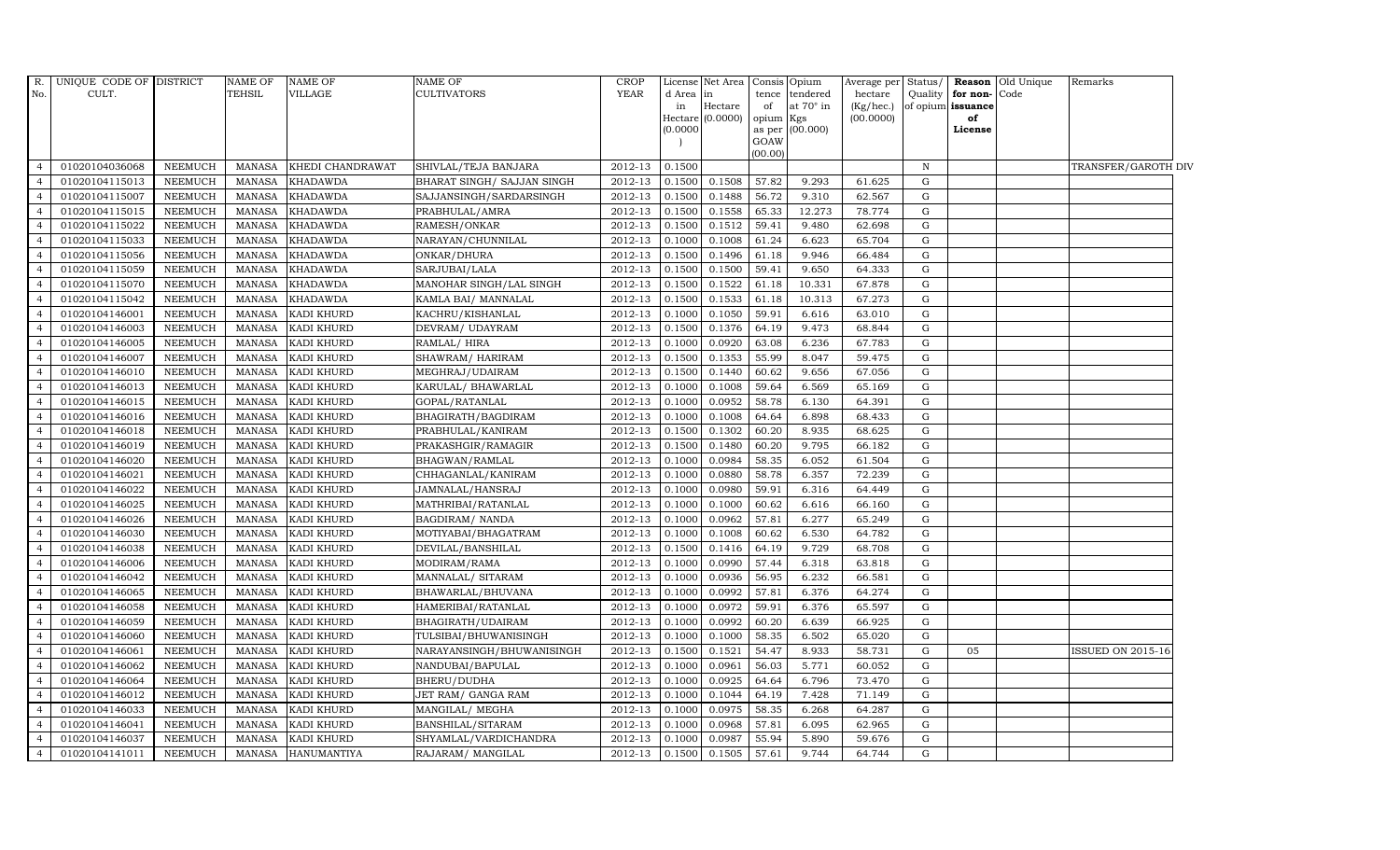| $R$ .          | UNIQUE CODE OF DISTRICT |                | <b>NAME OF</b> | <b>NAME OF</b>     | <b>NAME OF</b>             | <b>CROP</b> |           | License Net Area            |         | Consis Opium                    | Average per | Status/      |                         | <b>Reason</b> Old Unique | Remarks                  |  |
|----------------|-------------------------|----------------|----------------|--------------------|----------------------------|-------------|-----------|-----------------------------|---------|---------------------------------|-------------|--------------|-------------------------|--------------------------|--------------------------|--|
| No.            | CULT.                   |                | TEHSIL         | VILLAGE            | <b>CULTIVATORS</b>         | <b>YEAR</b> | d Area in |                             | tence   | tendered                        | hectare     | Quality      | for non-Code            |                          |                          |  |
|                |                         |                |                |                    |                            |             | in        | Hectare<br>Hectare (0.0000) | of      | at $70^\circ$ in                | (Kg/hec.)   |              | of opium issuance<br>of |                          |                          |  |
|                |                         |                |                |                    |                            |             | (0.0000)  |                             | opium   | $_{\rm Kgs}$<br>as per (00.000) | (00.0000)   |              | License                 |                          |                          |  |
|                |                         |                |                |                    |                            |             |           |                             | GOAW    |                                 |             |              |                         |                          |                          |  |
|                |                         |                |                |                    |                            |             |           |                             | (00.00) |                                 |             |              |                         |                          |                          |  |
| $\overline{4}$ | 01020104036068          | <b>NEEMUCH</b> | MANASA         | KHEDI CHANDRAWAT   | SHIVLAL/TEJA BANJARA       | 2012-13     | 0.1500    |                             |         |                                 |             | $\, {\rm N}$ |                         |                          | TRANSFER/GAROTH DIV      |  |
|                | 01020104115013          | <b>NEEMUCH</b> | <b>MANASA</b>  | <b>KHADAWDA</b>    | BHARAT SINGH/ SAJJAN SINGH | 2012-13     | 0.1500    | 0.1508                      | 57.82   | 9.293                           | 61.625      | G            |                         |                          |                          |  |
|                | 01020104115007          | <b>NEEMUCH</b> | <b>MANASA</b>  | <b>KHADAWDA</b>    | SAJJANSINGH/SARDARSINGH    | 2012-13     | 0.1500    | 0.1488                      | 56.72   | 9.310                           | 62.567      | G            |                         |                          |                          |  |
|                | 01020104115015          | <b>NEEMUCH</b> | <b>MANASA</b>  | <b>KHADAWDA</b>    | PRABHULAL/AMRA             | 2012-13     | 0.1500    | 0.1558                      | 65.33   | 12.273                          | 78.774      | $\mathbf G$  |                         |                          |                          |  |
| 4              | 01020104115022          | <b>NEEMUCH</b> | <b>MANASA</b>  | <b>KHADAWDA</b>    | RAMESH/ONKAR               | 2012-13     | 0.1500    | 0.1512                      | 59.41   | 9.480                           | 62.698      | $\mathbf G$  |                         |                          |                          |  |
| $\overline{4}$ | 01020104115033          | <b>NEEMUCH</b> | <b>MANASA</b>  | <b>KHADAWDA</b>    | NARAYAN/CHUNNILAL          | 2012-13     | 0.1000    | 0.1008                      | 61.24   | 6.623                           | 65.704      | $\mathbf G$  |                         |                          |                          |  |
| $\overline{a}$ | 01020104115056          | <b>NEEMUCH</b> | <b>MANASA</b>  | <b>KHADAWDA</b>    | ONKAR/DHURA                | 2012-13     | 0.1500    | 0.1496                      | 61.18   | 9.946                           | 66.484      | $\mathbf G$  |                         |                          |                          |  |
|                | 01020104115059          | <b>NEEMUCH</b> | <b>MANASA</b>  | <b>KHADAWDA</b>    | SARJUBAI/LALA              | 2012-13     | 0.1500    | 0.1500                      | 59.41   | 9.650                           | 64.333      | G            |                         |                          |                          |  |
|                | 01020104115070          | <b>NEEMUCH</b> | <b>MANASA</b>  | <b>KHADAWDA</b>    | MANOHAR SINGH/LAL SINGH    | 2012-13     | 0.1500    | 0.1522                      | 61.18   | 10.331                          | 67.878      | $\mathbf G$  |                         |                          |                          |  |
| 4              | 01020104115042          | <b>NEEMUCH</b> | <b>MANASA</b>  | <b>KHADAWDA</b>    | KAMLA BAI/ MANNALAL        | 2012-13     | 0.1500    | 0.1533                      | 61.18   | 10.313                          | 67.273      | $\mathbf G$  |                         |                          |                          |  |
| $\overline{4}$ | 01020104146001          | <b>NEEMUCH</b> | <b>MANASA</b>  | KADI KHURD         | KACHRU/KISHANLAL           | 2012-13     | 0.1000    | 0.1050                      | 59.91   | 6.616                           | 63.010      | $\mathbf G$  |                         |                          |                          |  |
| $\overline{4}$ | 01020104146003          | <b>NEEMUCH</b> | <b>MANASA</b>  | KADI KHURD         | DEVRAM/ UDAYRAM            | 2012-13     | 0.1500    | 0.1376                      | 64.19   | 9.473                           | 68.844      | $\mathbf G$  |                         |                          |                          |  |
|                | 01020104146005          | <b>NEEMUCH</b> | <b>MANASA</b>  | <b>KADI KHURD</b>  | RAMLAL/HIRA                | 2012-13     | 0.1000    | 0.0920                      | 63.08   | 6.236                           | 67.783      | G            |                         |                          |                          |  |
|                | 01020104146007          | <b>NEEMUCH</b> | <b>MANASA</b>  | KADI KHURD         | SHAWRAM/HARIRAM            | 2012-13     | 0.1500    | 0.1353                      | 55.99   | 8.047                           | 59.475      | $\mathbf G$  |                         |                          |                          |  |
|                | 01020104146010          | <b>NEEMUCH</b> | <b>MANASA</b>  | KADI KHURD         | MEGHRAJ/UDAIRAM            | 2012-13     | 0.1500    | 0.1440                      | 60.62   | 9.656                           | 67.056      | $\mathbf G$  |                         |                          |                          |  |
| $\overline{4}$ | 01020104146013          | <b>NEEMUCH</b> | <b>MANASA</b>  | KADI KHURD         | KARULAL/ BHAWARLAL         | 2012-13     | 0.1000    | 0.1008                      | 59.64   | 6.569                           | 65.169      | $\mathbf G$  |                         |                          |                          |  |
| $\overline{4}$ | 01020104146015          | <b>NEEMUCH</b> | <b>MANASA</b>  | KADI KHURD         | GOPAL/RATANLAL             | 2012-13     | 0.1000    | 0.0952                      | 58.78   | 6.130                           | 64.391      | $\mathbf G$  |                         |                          |                          |  |
|                | 01020104146016          | <b>NEEMUCH</b> | <b>MANASA</b>  | <b>KADI KHURD</b>  | BHAGIRATH/BAGDIRAM         | 2012-13     | 0.1000    | 0.1008                      | 64.64   | 6.898                           | 68.433      | $\mathbf G$  |                         |                          |                          |  |
|                | 01020104146018          | <b>NEEMUCH</b> | <b>MANASA</b>  | KADI KHURD         | PRABHULAL/KANIRAM          | 2012-13     | 0.1500    | 0.1302                      | 60.20   | 8.935                           | 68.625      | $\mathbf G$  |                         |                          |                          |  |
| $\overline{4}$ | 01020104146019          | <b>NEEMUCH</b> | <b>MANASA</b>  | KADI KHURD         | PRAKASHGIR/RAMAGIR         | 2012-13     | 0.1500    | 0.1480                      | 60.20   | 9.795                           | 66.182      | $\mathbf G$  |                         |                          |                          |  |
| 4              | 01020104146020          | <b>NEEMUCH</b> | <b>MANASA</b>  | KADI KHURD         | BHAGWAN/RAMLAL             | 2012-13     | 0.1000    | 0.0984                      | 58.35   | 6.052                           | 61.504      | $\mathbf G$  |                         |                          |                          |  |
| $\overline{4}$ | 01020104146021          | <b>NEEMUCH</b> | <b>MANASA</b>  | KADI KHURD         | CHHAGANLAL/KANIRAM         | 2012-13     | 0.1000    | 0.0880                      | 58.78   | 6.357                           | 72.239      | $\mathbf G$  |                         |                          |                          |  |
|                | 01020104146022          | <b>NEEMUCH</b> | <b>MANASA</b>  | KADI KHURD         | JAMNALAL/HANSRAJ           | 2012-13     | 0.1000    | 0.0980                      | 59.91   | 6.316                           | 64.449      | $\mathbf G$  |                         |                          |                          |  |
|                | 01020104146025          | <b>NEEMUCH</b> | <b>MANASA</b>  | KADI KHURD         | MATHRIBAI/RATANLAL         | 2012-13     | 0.1000    | 0.1000                      | 60.62   | 6.616                           | 66.160      | $\mathbf G$  |                         |                          |                          |  |
| $\overline{4}$ | 01020104146026          | <b>NEEMUCH</b> | <b>MANASA</b>  | KADI KHURD         | <b>BAGDIRAM/ NANDA</b>     | 2012-13     | 0.1000    | 0.0962                      | 57.81   | 6.277                           | 65.249      | G            |                         |                          |                          |  |
| $\overline{4}$ | 01020104146030          | <b>NEEMUCH</b> | <b>MANASA</b>  | KADI KHURD         | MOTIYABAI/BHAGATRAM        | 2012-13     | 0.1000    | 0.1008                      | 60.62   | 6.530                           | 64.782      | $\mathbf G$  |                         |                          |                          |  |
| $\overline{4}$ | 01020104146038          | <b>NEEMUCH</b> | <b>MANASA</b>  | KADI KHURD         | DEVILAL/BANSHILAL          | 2012-13     | 0.1500    | 0.1416                      | 64.19   | 9.729                           | 68.708      | $\mathbf G$  |                         |                          |                          |  |
| $\overline{4}$ | 01020104146006          | <b>NEEMUCH</b> | <b>MANASA</b>  | KADI KHURD         | MODIRAM/RAMA               | 2012-13     | 0.1000    | 0.0990                      | 57.44   | 6.318                           | 63.818      | $\mathbf G$  |                         |                          |                          |  |
|                | 01020104146042          | <b>NEEMUCH</b> | <b>MANASA</b>  | <b>KADI KHURD</b>  | MANNALAL/ SITARAM          | 2012-13     | 0.1000    | 0.0936                      | 56.95   | 6.232                           | 66.581      | $\mathbf G$  |                         |                          |                          |  |
| 4              | 01020104146065          | <b>NEEMUCH</b> | <b>MANASA</b>  | KADI KHURD         | BHAWARLAL/BHUVANA          | 2012-13     | 0.1000    | 0.0992                      | 57.81   | 6.376                           | 64.274      | G            |                         |                          |                          |  |
| $\overline{4}$ | 01020104146058          | <b>NEEMUCH</b> | <b>MANASA</b>  | KADI KHURD         | HAMERIBAI/RATANLAL         | 2012-13     | 0.1000    | 0.0972                      | 59.91   | 6.376                           | 65.597      | G            |                         |                          |                          |  |
| $\overline{4}$ | 01020104146059          | <b>NEEMUCH</b> | <b>MANASA</b>  | KADI KHURD         | BHAGIRATH/UDAIRAM          | 2012-13     | 0.1000    | 0.0992                      | 60.20   | 6.639                           | 66.925      | $\mathbf G$  |                         |                          |                          |  |
|                | 01020104146060          | <b>NEEMUCH</b> | <b>MANASA</b>  | KADI KHURD         | TULSIBAI/BHUWANISINGH      | 2012-13     | 0.1000    | 0.1000                      | 58.35   | 6.502                           | 65.020      | $\mathbf G$  |                         |                          |                          |  |
|                | 01020104146061          | <b>NEEMUCH</b> | <b>MANASA</b>  | KADI KHURD         | NARAYANSINGH/BHUWANISINGH  | 2012-13     | 0.1500    | 0.1521                      | 54.47   | 8.933                           | 58.731      | $\mathbf G$  | 05                      |                          | <b>ISSUED ON 2015-16</b> |  |
| $\overline{4}$ | 01020104146062          | <b>NEEMUCH</b> | <b>MANASA</b>  | KADI KHURD         | NANDUBAI/BAPULAL           | 2012-13     | 0.1000    | 0.0961                      | 56.03   | 5.771                           | 60.052      | $\mathbf G$  |                         |                          |                          |  |
| $\overline{4}$ | 01020104146064          | <b>NEEMUCH</b> | <b>MANASA</b>  | KADI KHURD         | BHERU/DUDHA                | 2012-13     | 0.1000    | 0.0925                      | 64.64   | 6.796                           | 73.470      | G            |                         |                          |                          |  |
| $\overline{4}$ | 01020104146012          | <b>NEEMUCH</b> | <b>MANASA</b>  | KADI KHURD         | JET RAM/ GANGA RAM         | 2012-13     | 0.1000    | 0.1044                      | 64.19   | 7.428                           | 71.149      | $\mathbf G$  |                         |                          |                          |  |
| $\overline{a}$ | 01020104146033          | <b>NEEMUCH</b> | <b>MANASA</b>  | KADI KHURD         | MANGILAL/ MEGHA            | 2012-13     | 0.1000    | 0.0975                      | 58.35   | 6.268                           | 64.287      | G            |                         |                          |                          |  |
|                | 01020104146041          | <b>NEEMUCH</b> | <b>MANASA</b>  | KADI KHURD         | BANSHILAL/SITARAM          | 2012-13     | 0.1000    | 0.0968                      | 57.81   | 6.095                           | 62.965      | $\mathbf G$  |                         |                          |                          |  |
| $\overline{4}$ | 01020104146037          | <b>NEEMUCH</b> | <b>MANASA</b>  | KADI KHURD         | SHYAMLAL/VARDICHANDRA      | 2012-13     | 0.1000    | 0.0987                      | 55.94   | 5.890                           | 59.676      | $\mathbf G$  |                         |                          |                          |  |
| $\overline{4}$ | 01020104141011          | <b>NEEMUCH</b> |                | MANASA HANUMANTIYA | RAJARAM / MANGILAL         | 2012-13     | 0.1500    | 0.1505                      | 57.61   | 9.744                           | 64.744      | $\mathbf G$  |                         |                          |                          |  |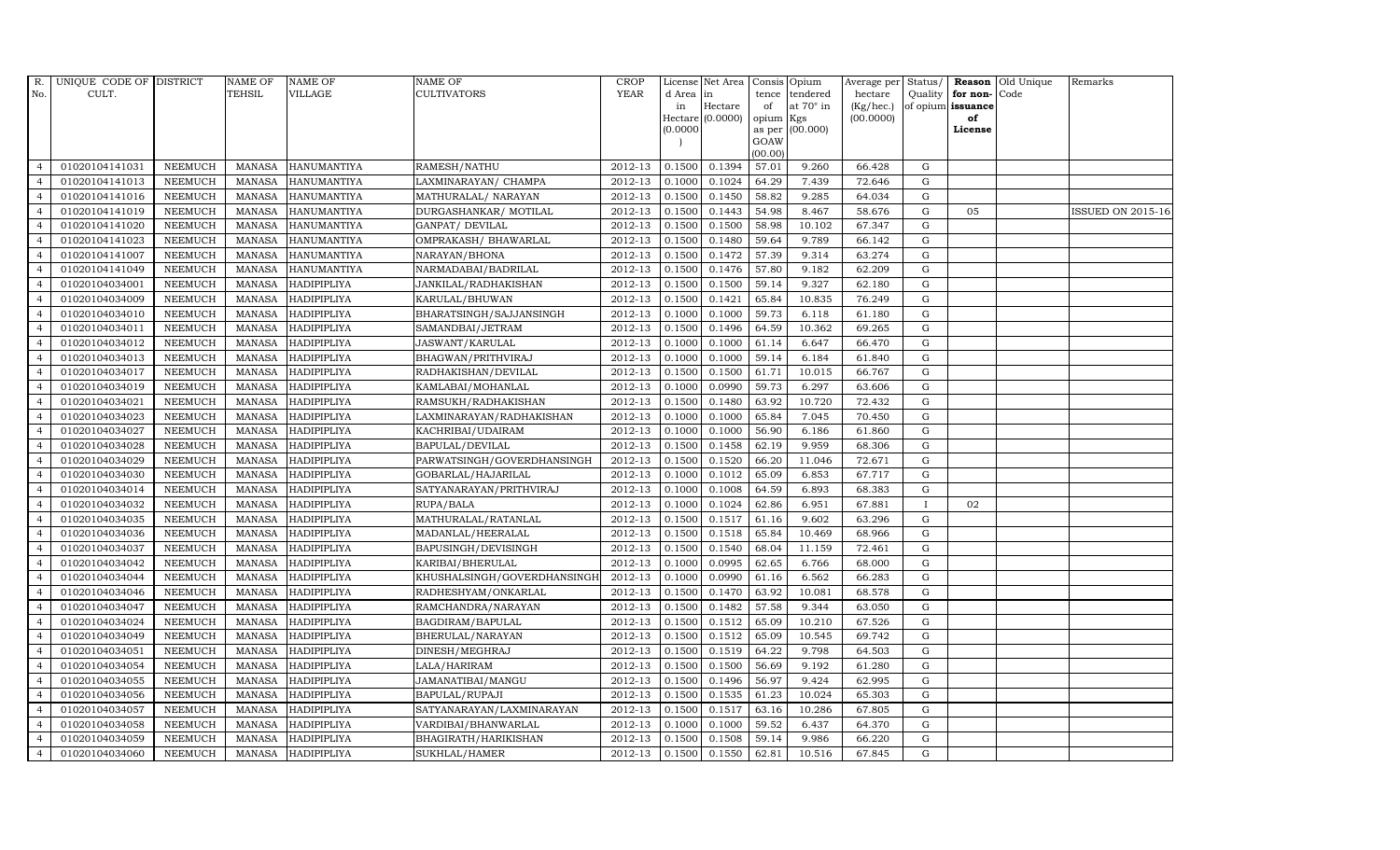| R.             | UNIQUE CODE OF DISTRICT |                | <b>NAME OF</b> | <b>NAME OF</b>     | <b>NAME OF</b>              | CROP    |           | License Net Area Consis Opium |           |                  | Average per | Status/      |                   | <b>Reason</b> Old Unique | Remarks                  |
|----------------|-------------------------|----------------|----------------|--------------------|-----------------------------|---------|-----------|-------------------------------|-----------|------------------|-------------|--------------|-------------------|--------------------------|--------------------------|
| No.            | CULT.                   |                | <b>TEHSIL</b>  | <b>VILLAGE</b>     | <b>CULTIVATORS</b>          | YEAR    | d Area in |                               |           | tence tendered   | hectare     | Quality      | for non-          | Code                     |                          |
|                |                         |                |                |                    |                             |         | in        | Hectare                       | of        | at $70^\circ$ in | (Kg/hec.)   |              | of opium issuance |                          |                          |
|                |                         |                |                |                    |                             |         |           | Hectare (0.0000)              | opium Kgs |                  | (00.0000)   |              | of                |                          |                          |
|                |                         |                |                |                    |                             |         | (0.0000)  |                               | GOAW      | as per (00.000)  |             |              | License           |                          |                          |
|                |                         |                |                |                    |                             |         |           |                               | (00.00)   |                  |             |              |                   |                          |                          |
| $\overline{4}$ | 01020104141031          | <b>NEEMUCH</b> | MANASA         | <b>HANUMANTIYA</b> | RAMESH/NATHU                | 2012-13 | 0.1500    | 0.1394                        | 57.01     | 9.260            | 66.428      | $\mathbf G$  |                   |                          |                          |
| $\overline{a}$ | 01020104141013          | <b>NEEMUCH</b> | MANASA         | <b>HANUMANTIYA</b> | LAXMINARAYAN / CHAMPA       | 2012-13 | 0.1000    | 0.1024                        | 64.29     | 7.439            | 72.646      | ${\rm G}$    |                   |                          |                          |
| $\overline{4}$ | 01020104141016          | <b>NEEMUCH</b> | <b>MANASA</b>  | <b>HANUMANTIYA</b> | MATHURALAL/ NARAYAN         | 2012-13 | 0.1500    | 0.1450                        | 58.82     | 9.285            | 64.034      | G            |                   |                          |                          |
|                | 01020104141019          | <b>NEEMUCH</b> | MANASA         | <b>HANUMANTIYA</b> | DURGASHANKAR/ MOTILAL       | 2012-13 | 0.1500    | 0.1443                        | 54.98     | 8.467            | 58.676      | $\mathbf G$  | 05                |                          | <b>ISSUED ON 2015-16</b> |
| $\overline{4}$ | 01020104141020          | <b>NEEMUCH</b> | <b>MANASA</b>  | HANUMANTIYA        | GANPAT/ DEVILAL             | 2012-13 | 0.1500    | 0.1500                        | 58.98     | 10.102           | 67.347      | ${\rm G}$    |                   |                          |                          |
| $\overline{4}$ | 01020104141023          | <b>NEEMUCH</b> | <b>MANASA</b>  | HANUMANTIYA        | OMPRAKASH / BHAWARLAL       | 2012-13 | 0.1500    | 0.1480                        | 59.64     | 9.789            | 66.142      | $\mathbf G$  |                   |                          |                          |
| $\overline{4}$ | 01020104141007          | <b>NEEMUCH</b> | <b>MANASA</b>  | <b>HANUMANTIYA</b> | NARAYAN/BHONA               | 2012-13 | 0.1500    | 0.1472                        | 57.39     | 9.314            | 63.274      | ${\rm G}$    |                   |                          |                          |
| $\overline{4}$ | 01020104141049          | <b>NEEMUCH</b> | <b>MANASA</b>  | <b>HANUMANTIYA</b> | NARMADABAI/BADRILAL         | 2012-13 | 0.1500    | 0.1476                        | 57.80     | 9.182            | 62.209      | $\mathbf G$  |                   |                          |                          |
| $\overline{4}$ | 01020104034001          | <b>NEEMUCH</b> | <b>MANASA</b>  | HADIPIPLIYA        | JANKILAL/RADHAKISHAN        | 2012-13 | 0.1500    | 0.1500                        | 59.14     | 9.327            | 62.180      | $\mathbf G$  |                   |                          |                          |
| $\overline{4}$ | 01020104034009          | <b>NEEMUCH</b> | <b>MANASA</b>  | HADIPIPLIYA        | KARULAL/BHUWAN              | 2012-13 | 0.1500    | 0.1421                        | 65.84     | 10.835           | 76.249      | ${\rm G}$    |                   |                          |                          |
| $\overline{4}$ | 01020104034010          | <b>NEEMUCH</b> | <b>MANASA</b>  | HADIPIPLIYA        | BHARATSINGH/SAJJANSINGH     | 2012-13 | 0.1000    | 0.1000                        | 59.73     | 6.118            | 61.180      | ${\rm G}$    |                   |                          |                          |
| $\overline{4}$ | 01020104034011          | <b>NEEMUCH</b> | MANASA         | HADIPIPLIYA        | SAMANDBAI/JETRAM            | 2012-13 | 0.1500    | 0.1496                        | 64.59     | 10.362           | 69.265      | $\mathbf G$  |                   |                          |                          |
| $\overline{4}$ | 01020104034012          | <b>NEEMUCH</b> | <b>MANASA</b>  | HADIPIPLIYA        | <b>JASWANT/KARULAL</b>      | 2012-13 | 0.1000    | 0.1000                        | 61.14     | 6.647            | 66.470      | $\mathbf G$  |                   |                          |                          |
| $\overline{4}$ | 01020104034013          | <b>NEEMUCH</b> | MANASA         | HADIPIPLIYA        | BHAGWAN/PRITHVIRAJ          | 2012-13 | 0.1000    | 0.1000                        | 59.14     | 6.184            | 61.840      | $\mathbf G$  |                   |                          |                          |
| $\overline{4}$ | 01020104034017          | <b>NEEMUCH</b> | <b>MANASA</b>  | HADIPIPLIYA        | RADHAKISHAN/DEVILAL         | 2012-13 | 0.1500    | 0.1500                        | 61.71     | 10.015           | 66.767      | G            |                   |                          |                          |
| $\overline{4}$ | 01020104034019          | <b>NEEMUCH</b> | MANASA         | HADIPIPLIYA        | KAMLABAI/MOHANLAL           | 2012-13 | 0.1000    | 0.0990                        | 59.73     | 6.297            | 63.606      | ${\rm G}$    |                   |                          |                          |
| $\overline{4}$ | 01020104034021          | <b>NEEMUCH</b> | MANASA         | HADIPIPLIYA        | RAMSUKH/RADHAKISHAN         | 2012-13 | 0.1500    | 0.1480                        | 63.92     | 10.720           | 72.432      | G            |                   |                          |                          |
| $\overline{4}$ | 01020104034023          | <b>NEEMUCH</b> | MANASA         | <b>HADIPIPLIYA</b> | LAXMINARAYAN/RADHAKISHAN    | 2012-13 | 0.1000    | 0.1000                        | 65.84     | 7.045            | 70.450      | G            |                   |                          |                          |
| $\overline{4}$ | 01020104034027          | <b>NEEMUCH</b> | MANASA         | <b>HADIPIPLIYA</b> | KACHRIBAI/UDAIRAM           | 2012-13 | 0.1000    | 0.1000                        | 56.90     | 6.186            | 61.860      | $\mathbf G$  |                   |                          |                          |
| $\overline{4}$ | 01020104034028          | <b>NEEMUCH</b> | <b>MANASA</b>  | <b>HADIPIPLIYA</b> | BAPULAL/DEVILAL             | 2012-13 | 0.1500    | 0.1458                        | 62.19     | 9.959            | 68.306      | G            |                   |                          |                          |
| 4              | 01020104034029          | <b>NEEMUCH</b> | <b>MANASA</b>  | HADIPIPLIYA        | PARWATSINGH/GOVERDHANSINGH  | 2012-13 | 0.1500    | 0.1520                        | 66.20     | 11.046           | 72.671      | ${\rm G}$    |                   |                          |                          |
| $\overline{4}$ | 01020104034030          | <b>NEEMUCH</b> | <b>MANASA</b>  | HADIPIPLIYA        | GOBARLAL/HAJARILAL          | 2012-13 | 0.1000    | 0.1012                        | 65.09     | 6.853            | 67.717      | ${\rm G}$    |                   |                          |                          |
| $\overline{4}$ | 01020104034014          | <b>NEEMUCH</b> | MANASA         | HADIPIPLIYA        | SATYANARAYAN/PRITHVIRAJ     | 2012-13 | 0.1000    | 0.1008                        | 64.59     | 6.893            | 68.383      | G            |                   |                          |                          |
| $\overline{4}$ | 01020104034032          | <b>NEEMUCH</b> | <b>MANASA</b>  | HADIPIPLIYA        | RUPA/BALA                   | 2012-13 | 0.1000    | 0.1024                        | 62.86     | 6.951            | 67.881      | $\mathbf{I}$ | 02                |                          |                          |
| $\overline{4}$ | 01020104034035          | <b>NEEMUCH</b> | <b>MANASA</b>  | HADIPIPLIYA        | MATHURALAL/RATANLAL         | 2012-13 | 0.1500    | 0.1517                        | 61.16     | 9.602            | 63.296      | $\mathbf G$  |                   |                          |                          |
| $\overline{4}$ | 01020104034036          | <b>NEEMUCH</b> | <b>MANASA</b>  | <b>HADIPIPLIYA</b> | MADANLAL/HEERALAL           | 2012-13 | 0.1500    | 0.1518                        | 65.84     | 10.469           | 68.966      | G            |                   |                          |                          |
| $\overline{4}$ | 01020104034037          | <b>NEEMUCH</b> | <b>MANASA</b>  | HADIPIPLIYA        | BAPUSINGH/DEVISINGH         | 2012-13 | 0.1500    | 0.1540                        | 68.04     | 11.159           | 72.461      | ${\rm G}$    |                   |                          |                          |
| $\overline{4}$ | 01020104034042          | <b>NEEMUCH</b> | MANASA         | HADIPIPLIYA        | KARIBAI/BHERULAL            | 2012-13 | 0.1000    | 0.0995                        | 62.65     | 6.766            | 68.000      | $\mathbf G$  |                   |                          |                          |
| $\overline{4}$ | 01020104034044          | <b>NEEMUCH</b> | <b>MANASA</b>  | HADIPIPLIYA        | KHUSHALSINGH/GOVERDHANSINGH | 2012-13 | 0.1000    | 0.0990                        | 61.16     | 6.562            | 66.283      | $\mathbf G$  |                   |                          |                          |
| $\overline{4}$ | 01020104034046          | <b>NEEMUCH</b> | <b>MANASA</b>  | <b>HADIPIPLIYA</b> | RADHESHYAM/ONKARLAL         | 2012-13 | 0.1500    | 0.1470                        | 63.92     | 10.081           | 68.578      | $\mathbf G$  |                   |                          |                          |
| $\overline{4}$ | 01020104034047          | <b>NEEMUCH</b> | MANASA         | <b>HADIPIPLIYA</b> | RAMCHANDRA/NARAYAN          | 2012-13 | 0.1500    | 0.1482                        | 57.58     | 9.344            | 63.050      | G            |                   |                          |                          |
| $\overline{4}$ | 01020104034024          | <b>NEEMUCH</b> | MANASA         | HADIPIPLIYA        | BAGDIRAM/BAPULAL            | 2012-13 | 0.1500    | 0.1512                        | 65.09     | 10.210           | 67.526      | ${\rm G}$    |                   |                          |                          |
| $\overline{4}$ | 01020104034049          | <b>NEEMUCH</b> | <b>MANASA</b>  | <b>HADIPIPLIYA</b> | BHERULAL/NARAYAN            | 2012-13 | 0.1500    | 0.1512                        | 65.09     | 10.545           | 69.742      | $\mathbf G$  |                   |                          |                          |
| $\overline{4}$ | 01020104034051          | <b>NEEMUCH</b> | <b>MANASA</b>  | HADIPIPLIYA        | DINESH/MEGHRAJ              | 2012-13 | 0.1500    | 0.1519                        | 64.22     | 9.798            | 64.503      | $\mathbf G$  |                   |                          |                          |
| $\overline{4}$ | 01020104034054          | <b>NEEMUCH</b> | <b>MANASA</b>  | <b>HADIPIPLIYA</b> | LALA/HARIRAM                | 2012-13 | 0.1500    | 0.1500                        | 56.69     | 9.192            | 61.280      | $\mathbf G$  |                   |                          |                          |
| $\overline{4}$ | 01020104034055          | <b>NEEMUCH</b> | <b>MANASA</b>  | <b>HADIPIPLIYA</b> | JAMANATIBAI/MANGU           | 2012-13 | 0.1500    | 0.1496                        | 56.97     | 9.424            | 62.995      | ${\rm G}$    |                   |                          |                          |
| $\overline{4}$ | 01020104034056          | <b>NEEMUCH</b> | <b>MANASA</b>  | HADIPIPLIYA        | BAPULAL/RUPAJI              | 2012-13 | 0.1500    | 0.1535                        | 61.23     | 10.024           | 65.303      | ${\rm G}$    |                   |                          |                          |
| $\overline{4}$ | 01020104034057          | <b>NEEMUCH</b> | MANASA         | <b>HADIPIPLIYA</b> | SATYANARAYAN/LAXMINARAYAN   | 2012-13 | 0.1500    | 0.1517                        | 63.16     | 10.286           | 67.805      | $\mathbf G$  |                   |                          |                          |
| $\overline{4}$ | 01020104034058          | <b>NEEMUCH</b> | <b>MANASA</b>  | HADIPIPLIYA        | VARDIBAI/BHANWARLAL         | 2012-13 | 0.1000    | 0.1000                        | 59.52     | 6.437            | 64.370      | G            |                   |                          |                          |
| $\overline{4}$ | 01020104034059          | <b>NEEMUCH</b> | <b>MANASA</b>  | <b>HADIPIPLIYA</b> | BHAGIRATH/HARIKISHAN        | 2012-13 | 0.1500    | 0.1508                        | 59.14     | 9.986            | 66.220      | $\mathbf G$  |                   |                          |                          |
| $\overline{4}$ | 01020104034060          | <b>NEEMUCH</b> |                | MANASA HADIPIPLIYA | SUKHLAL/HAMER               | 2012-13 | 0.1500    | 0.1550                        | 62.81     | 10.516           | 67.845      | G            |                   |                          |                          |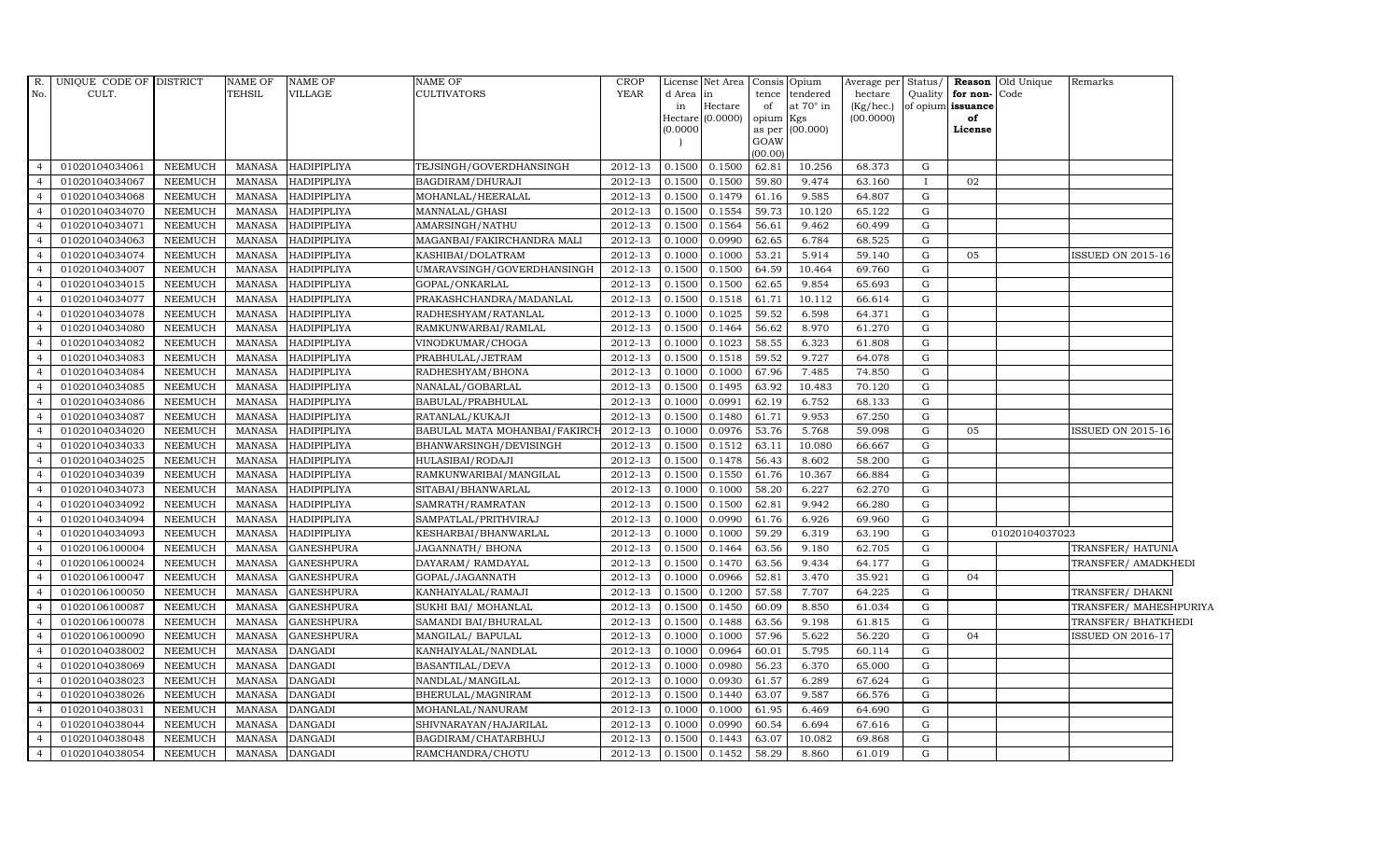| R.             | UNIQUE CODE OF DISTRICT |                | <b>NAME OF</b> | <b>NAME OF</b>     | NAME OF                       | <b>CROP</b> |           | License Net Area |                 | Consis Opium     | Average per | Status/      |                   | <b>Reason</b> Old Unique | Remarks                  |
|----------------|-------------------------|----------------|----------------|--------------------|-------------------------------|-------------|-----------|------------------|-----------------|------------------|-------------|--------------|-------------------|--------------------------|--------------------------|
| No.            | CULT.                   |                | <b>TEHSIL</b>  | VILLAGE            | CULTIVATORS                   | <b>YEAR</b> | d Area in |                  |                 | tence tendered   | hectare     | Quality      | for non-Code      |                          |                          |
|                |                         |                |                |                    |                               |             | in        | Hectare          | of              | at $70^\circ$ in | (Kg/hec.)   |              | of opium issuance |                          |                          |
|                |                         |                |                |                    |                               |             |           | Hectare (0.0000) | opium Kgs       |                  | (00.0000)   |              | of                |                          |                          |
|                |                         |                |                |                    |                               |             | (0.0000)  |                  |                 | as per (00.000)  |             |              | License           |                          |                          |
|                |                         |                |                |                    |                               |             |           |                  | GOAW<br>(00.00) |                  |             |              |                   |                          |                          |
| $\overline{4}$ | 01020104034061          | <b>NEEMUCH</b> | MANASA         | <b>HADIPIPLIYA</b> | TEJSINGH/GOVERDHANSINGH       | 2012-13     | 0.1500    | 0.1500           | 62.81           | 10.256           | 68.373      | G            |                   |                          |                          |
| $\overline{a}$ | 01020104034067          | <b>NEEMUCH</b> | <b>MANASA</b>  | <b>HADIPIPLIYA</b> | BAGDIRAM/DHURAJI              | 2012-13     | 0.1500    | 0.1500           | 59.80           | 9.474            | 63.160      | $\mathbf{I}$ | 02                |                          |                          |
|                | 01020104034068          | <b>NEEMUCH</b> | <b>MANASA</b>  | <b>HADIPIPLIYA</b> | MOHANLAL/HEERALAL             | 2012-13     | 0.1500    | 0.1479           | 61.16           | 9.585            | 64.807      | G            |                   |                          |                          |
|                | 01020104034070          | <b>NEEMUCH</b> | <b>MANASA</b>  | HADIPIPLIYA        | MANNALAL/GHASI                | 2012-13     | 0.1500    | 0.1554           | 59.73           | 10.120           | 65.122      | G            |                   |                          |                          |
| $\overline{4}$ | 01020104034071          | <b>NEEMUCH</b> | <b>MANASA</b>  | <b>HADIPIPLIYA</b> | AMARSINGH/NATHU               | 2012-13     | 0.1500    | 0.1564           | 56.61           | 9.462            | 60.499      | ${\rm G}$    |                   |                          |                          |
| $\overline{4}$ | 01020104034063          | <b>NEEMUCH</b> | MANASA         | HADIPIPLIYA        | MAGANBAI/FAKIRCHANDRA MALI    | 2012-13     | 0.1000    | 0.0990           | 62.65           | 6.784            | 68.525      | G            |                   |                          |                          |
| $\overline{4}$ | 01020104034074          | <b>NEEMUCH</b> | <b>MANASA</b>  | <b>HADIPIPLIYA</b> | KASHIBAI/DOLATRAM             | 2012-13     | 0.1000    | 0.1000           | 53.21           | 5.914            | 59.140      | $\mathbf G$  | 05                |                          | ISSUED ON 2015-16        |
|                | 01020104034007          | <b>NEEMUCH</b> | <b>MANASA</b>  | <b>HADIPIPLIYA</b> | UMARAVSINGH/GOVERDHANSINGH    | 2012-13     | 0.1500    | 0.1500           | 64.59           | 10.464           | 69.760      | G            |                   |                          |                          |
|                | 01020104034015          | <b>NEEMUCH</b> | <b>MANASA</b>  | HADIPIPLIYA        | GOPAL/ONKARLAL                | 2012-13     | 0.1500    | 0.1500           | 62.65           | 9.854            | 65.693      | G            |                   |                          |                          |
| 4              | 01020104034077          | <b>NEEMUCH</b> | <b>MANASA</b>  | <b>HADIPIPLIYA</b> | PRAKASHCHANDRA/MADANLAL       | 2012-13     | 0.1500    | 0.1518           | 61.71           | 10.112           | 66.614      | ${\rm G}$    |                   |                          |                          |
| $\overline{4}$ | 01020104034078          | <b>NEEMUCH</b> | <b>MANASA</b>  | HADIPIPLIYA        | RADHESHYAM/RATANLAL           | 2012-13     | 0.1000    | 0.1025           | 59.52           | 6.598            | 64.371      | ${\rm G}$    |                   |                          |                          |
| $\overline{4}$ | 01020104034080          | <b>NEEMUCH</b> | <b>MANASA</b>  | <b>HADIPIPLIYA</b> | RAMKUNWARBAI/RAMLAL           | 2012-13     | 0.1500    | 0.1464           | 56.62           | 8.970            | 61.270      | G            |                   |                          |                          |
| $\Delta$       | 01020104034082          | <b>NEEMUCH</b> | <b>MANASA</b>  | <b>HADIPIPLIYA</b> | VINODKUMAR/CHOGA              | 2012-13     | 0.1000    | 0.1023           | 58.55           | 6.323            | 61.808      | G            |                   |                          |                          |
|                | 01020104034083          | <b>NEEMUCH</b> | <b>MANASA</b>  | HADIPIPLIYA        | PRABHULAL/JETRAM              | 2012-13     | 0.1500    | 0.1518           | 59.52           | 9.727            | 64.078      | G            |                   |                          |                          |
| $\overline{a}$ | 01020104034084          | <b>NEEMUCH</b> | MANASA         | <b>HADIPIPLIYA</b> | RADHESHYAM/BHONA              | 2012-13     | 0.1000    | 0.1000           | 67.96           | 7.485            | 74.850      | G            |                   |                          |                          |
| $\overline{4}$ | 01020104034085          | <b>NEEMUCH</b> | <b>MANASA</b>  | HADIPIPLIYA        | NANALAL/GOBARLAL              | 2012-13     | 0.1500    | 0.1495           | 63.92           | 10.483           | 70.120      | G            |                   |                          |                          |
| $\overline{4}$ | 01020104034086          | <b>NEEMUCH</b> | <b>MANASA</b>  | <b>HADIPIPLIYA</b> | BABULAL/PRABHULAL             | 2012-13     | 0.1000    | 0.0991           | 62.19           | 6.752            | 68.133      | G            |                   |                          |                          |
| $\overline{4}$ | 01020104034087          | <b>NEEMUCH</b> | MANASA         | <b>HADIPIPLIYA</b> | RATANLAL/KUKAJI               | 2012-13     | 0.1500    | 0.1480           | 61.71           | 9.953            | 67.250      | $\mathbf G$  |                   |                          |                          |
|                | 01020104034020          | <b>NEEMUCH</b> | <b>MANASA</b>  | <b>HADIPIPLIYA</b> | BABULAL MATA MOHANBAI/FAKIRCI | 2012-13     | 0.1000    | 0.0976           | 53.76           | 5.768            | 59.098      | $\mathbf G$  | 05                |                          | ISSUED ON 2015-16        |
|                | 01020104034033          | <b>NEEMUCH</b> | <b>MANASA</b>  | <b>HADIPIPLIYA</b> | BHANWARSINGH/DEVISINGH        | 2012-13     | 0.1500    | 0.1512           | 63.11           | 10.080           | 66.667      | G            |                   |                          |                          |
| 4              | 01020104034025          | <b>NEEMUCH</b> | <b>MANASA</b>  | <b>HADIPIPLIYA</b> | HULASIBAI/RODAJI              | 2012-13     | 0.1500    | 0.1478           | 56.43           | 8.602            | 58.200      | G            |                   |                          |                          |
| $\overline{4}$ | 01020104034039          | <b>NEEMUCH</b> | <b>MANASA</b>  | HADIPIPLIYA        | RAMKUNWARIBAI/MANGILAL        | 2012-13     | 0.1500    | 0.1550           | 61.76           | 10.367           | 66.884      | G            |                   |                          |                          |
| $\overline{4}$ | 01020104034073          | <b>NEEMUCH</b> | <b>MANASA</b>  | <b>HADIPIPLIYA</b> | SITABAI/BHANWARLAL            | 2012-13     | 0.1000    | 0.1000           | 58.20           | 6.227            | 62.270      | G            |                   |                          |                          |
| $\Delta$       | 01020104034092          | <b>NEEMUCH</b> | <b>MANASA</b>  | <b>HADIPIPLIYA</b> | SAMRATH / RAMRATAN            | 2012-13     | 0.1500    | 0.1500           | 62.81           | 9.942            | 66.280      | G            |                   |                          |                          |
|                | 01020104034094          | <b>NEEMUCH</b> | MANASA         | HADIPIPLIYA        | SAMPATLAL/PRITHVIRAJ          | 2012-13     | 0.1000    | 0.0990           | 61.76           | 6.926            | 69.960      | ${\rm G}$    |                   |                          |                          |
| $\overline{a}$ | 01020104034093          | <b>NEEMUCH</b> | <b>MANASA</b>  | <b>HADIPIPLIYA</b> | KESHARBAI/BHANWARLAL          | 2012-13     | 0.1000    | 0.1000           | 59.29           | 6.319            | 63.190      | G            |                   | 01020104037023           |                          |
| $\overline{4}$ | 01020106100004          | <b>NEEMUCH</b> | <b>MANASA</b>  | <b>GANESHPURA</b>  | JAGANNATH/ BHONA              | 2012-13     | 0.1500    | 0.1464           | 63.56           | 9.180            | 62.705      | G            |                   |                          | TRANSFER/ HATUNIA        |
| $\overline{4}$ | 01020106100024          | <b>NEEMUCH</b> | <b>MANASA</b>  | <b>GANESHPURA</b>  | DAYARAM/ RAMDAYAL             | 2012-13     | 0.1500    | 0.1470           | 63.56           | 9.434            | 64.177      | G            |                   |                          | TRANSFER/ AMADKHEDI      |
|                | 01020106100047          | <b>NEEMUCH</b> | <b>MANASA</b>  | <b>GANESHPURA</b>  | GOPAL/JAGANNATH               | 2012-13     | 0.1000    | 0.0966           | 52.81           | 3.470            | 35.921      | $\mathbf G$  | 04                |                          |                          |
|                | 01020106100050          | <b>NEEMUCH</b> | <b>MANASA</b>  | <b>GANESHPURA</b>  | KANHAIYALAL/RAMAJI            | 2012-13     | 0.1500    | 0.1200           | 57.58           | 7.707            | 64.225      | $\mathbf G$  |                   |                          | TRANSFER/ DHAKNI         |
| $\overline{a}$ | 01020106100087          | <b>NEEMUCH</b> | <b>MANASA</b>  | GANESHPURA         | SUKHI BAI/ MOHANLAL           | 2012-13     | 0.1500    | 0.1450           | 60.09           | 8.850            | 61.034      | G            |                   |                          | TRANSFER/ MAHESHPURIYA   |
| $\overline{4}$ | 01020106100078          | <b>NEEMUCH</b> | <b>MANASA</b>  | <b>GANESHPURA</b>  | SAMANDI BAI/BHURALAL          | $2012 - 13$ | 0.1500    | 0.1488           | 63.56           | 9.198            | 61.815      | G            |                   |                          | TRANSFER/ BHATKHEDI      |
| $\overline{4}$ | 01020106100090          | <b>NEEMUCH</b> | <b>MANASA</b>  | <b>GANESHPURA</b>  | MANGILAL/ BAPULAL             | 2012-13     | 0.1000    | 0.1000           | 57.96           | 5.622            | 56.220      | G            | 04                |                          | <b>ISSUED ON 2016-17</b> |
| $\overline{a}$ | 01020104038002          | <b>NEEMUCH</b> | <b>MANASA</b>  | <b>DANGADI</b>     | KANHAIYALAL/NANDLAL           | 2012-13     | 0.1000    | 0.0964           | 60.01           | 5.795            | 60.114      | G            |                   |                          |                          |
|                | 01020104038069          | <b>NEEMUCH</b> | <b>MANASA</b>  | <b>DANGADI</b>     | BASANTILAL/DEVA               | 2012-13     | 0.1000    | 0.0980           | 56.23           | 6.370            | 65.000      | G            |                   |                          |                          |
| $\overline{a}$ | 01020104038023          | <b>NEEMUCH</b> | MANASA         | <b>DANGADI</b>     | NANDLAL/MANGILAL              | 2012-13     | 0.1000    | 0.0930           | 61.57           | 6.289            | 67.624      | ${\rm G}$    |                   |                          |                          |
| $\overline{4}$ | 01020104038026          | <b>NEEMUCH</b> | <b>MANASA</b>  | <b>DANGADI</b>     | BHERULAL/MAGNIRAM             | 2012-13     | 0.1500    | 0.1440           | 63.07           | 9.587            | 66.576      | ${\rm G}$    |                   |                          |                          |
| $\overline{4}$ | 01020104038031          | <b>NEEMUCH</b> | <b>MANASA</b>  | <b>DANGADI</b>     | MOHANLAL/NANURAM              | 2012-13     | 0.1000    | 0.1000           | 61.95           | 6.469            | 64.690      | G            |                   |                          |                          |
| $\overline{4}$ | 01020104038044          | <b>NEEMUCH</b> | <b>MANASA</b>  | <b>DANGADI</b>     | SHIVNARAYAN/HAJARILAL         | 2012-13     | 0.1000    | 0.0990           | 60.54           | 6.694            | 67.616      | G            |                   |                          |                          |
|                | 01020104038048          | <b>NEEMUCH</b> | <b>MANASA</b>  | <b>DANGADI</b>     | BAGDIRAM/CHATARBHUJ           | 2012-13     | 0.1500    | 0.1443           | 63.07           | 10.082           | 69.868      | G            |                   |                          |                          |
| $\overline{4}$ | 01020104038054          | <b>NEEMUCH</b> | MANASA         | <b>DANGADI</b>     | RAMCHANDRA/CHOTU              | 2012-13     | 0.1500    | 0.1452           | 58.29           | 8.860            | 61.019      | G            |                   |                          |                          |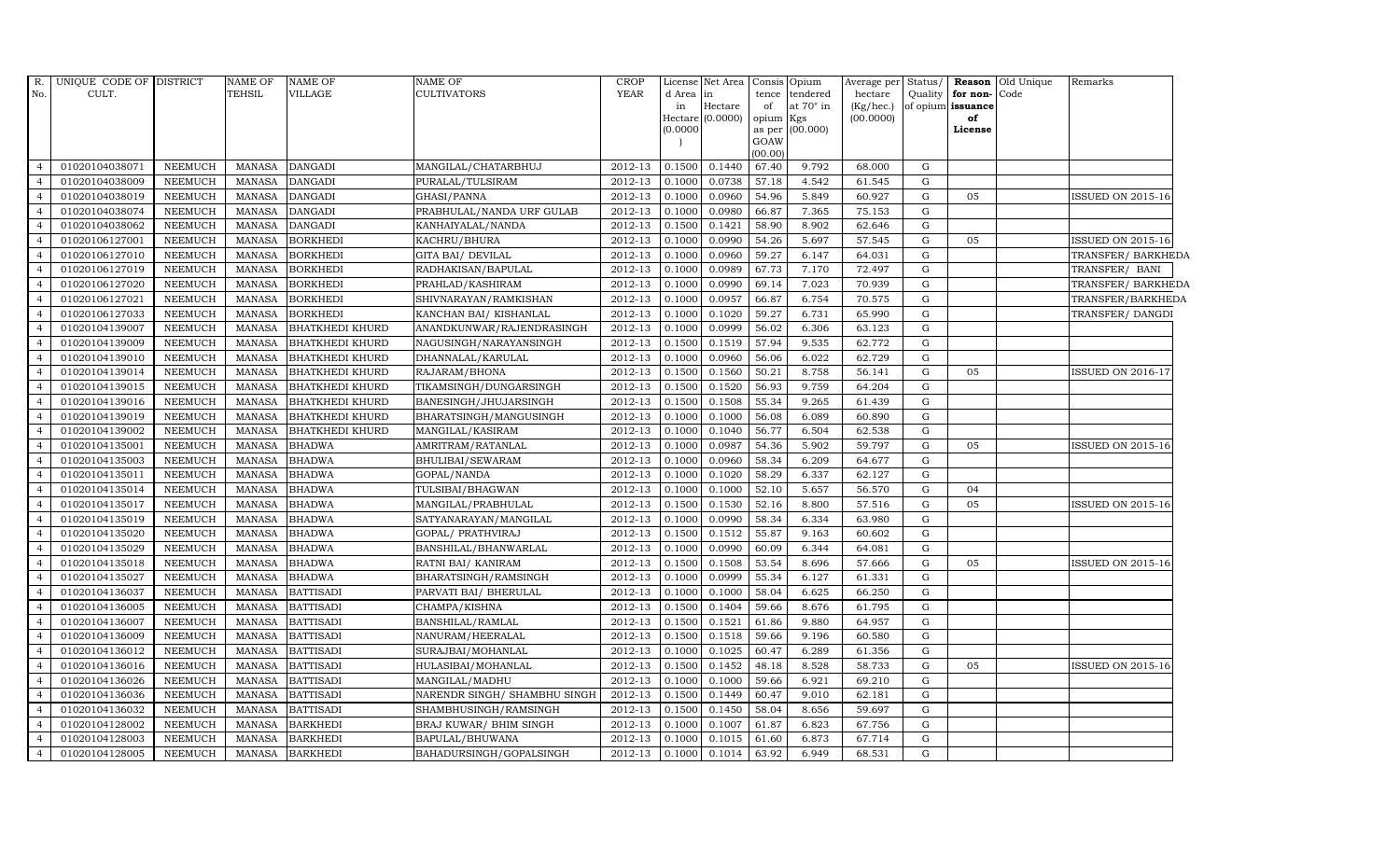| R.             | UNIQUE CODE OF DISTRICT |                | <b>NAME OF</b> | <b>NAME OF</b>         | NAME OF                      | CROP        |           | License Net Area            |           | Consis Opium     | Average per            | Status/     |                         | <b>Reason</b> Old Unique | Remarks                  |
|----------------|-------------------------|----------------|----------------|------------------------|------------------------------|-------------|-----------|-----------------------------|-----------|------------------|------------------------|-------------|-------------------------|--------------------------|--------------------------|
| No.            | CULT.                   |                | <b>TEHSIL</b>  | VILLAGE                | <b>CULTIVATORS</b>           | <b>YEAR</b> | d Area in |                             |           | tence tendered   | hectare                | Quality     | for non-                | Code                     |                          |
|                |                         |                |                |                        |                              |             | in        | Hectare<br>Hectare (0.0000) | of        | at $70^\circ$ in | (Kg/hec.)<br>(00.0000) |             | of opium issuance<br>of |                          |                          |
|                |                         |                |                |                        |                              |             | (0.0000)  |                             | opium Kgs | as per (00.000)  |                        |             | License                 |                          |                          |
|                |                         |                |                |                        |                              |             |           |                             | GOAW      |                  |                        |             |                         |                          |                          |
|                |                         |                |                |                        |                              |             |           |                             | (00.00)   |                  |                        |             |                         |                          |                          |
| 4              | 01020104038071          | <b>NEEMUCH</b> | <b>MANASA</b>  | <b>DANGADI</b>         | MANGILAL/CHATARBHUJ          | 2012-13     | 0.1500    | 0.1440                      | 67.40     | 9.792            | 68.000                 | G           |                         |                          |                          |
| $\overline{4}$ | 01020104038009          | <b>NEEMUCH</b> | <b>MANASA</b>  | <b>DANGADI</b>         | PURALAL/TULSIRAM             | 2012-13     | 0.1000    | 0.0738                      | 57.18     | 4.542            | 61.545                 | G           |                         |                          |                          |
| $\overline{4}$ | 01020104038019          | <b>NEEMUCH</b> | <b>MANASA</b>  | <b>DANGADI</b>         | GHASI/PANNA                  | 2012-13     | 0.1000    | 0.0960                      | 54.96     | 5.849            | 60.927                 | G           | 05                      |                          | ISSUED ON 2015-16        |
| $\overline{a}$ | 01020104038074          | <b>NEEMUCH</b> | <b>MANASA</b>  | <b>DANGADI</b>         | PRABHULAL/NANDA URF GULAB    | 2012-13     | 0.1000    | 0.0980                      | 66.87     | 7.365            | 75.153                 | G           |                         |                          |                          |
| $\overline{4}$ | 01020104038062          | <b>NEEMUCH</b> | <b>MANASA</b>  | <b>DANGADI</b>         | KANHAIYALAL/NANDA            | 2012-13     | 0.1500    | 0.1421                      | 58.90     | 8.902            | 62.646                 | $\mathbf G$ |                         |                          |                          |
| $\overline{4}$ | 01020106127001          | <b>NEEMUCH</b> | <b>MANASA</b>  | <b>BORKHEDI</b>        | KACHRU/BHURA                 | 2012-13     | 0.1000    | 0.0990                      | 54.26     | 5.697            | 57.545                 | G           | 05                      |                          | <b>ISSUED ON 2015-16</b> |
| $\overline{4}$ | 01020106127010          | <b>NEEMUCH</b> | <b>MANASA</b>  | <b>BORKHEDI</b>        | GITA BAI / DEVILAL           | 2012-13     | 0.1000    | 0.0960                      | 59.27     | 6.147            | 64.031                 | ${\rm G}$   |                         |                          | TRANSFER/ BARKHEDA       |
| $\overline{a}$ | 01020106127019          | <b>NEEMUCH</b> | <b>MANASA</b>  | <b>BORKHEDI</b>        | RADHAKISAN/BAPULAL           | 2012-13     | 0.1000    | 0.0989                      | 67.73     | 7.170            | 72.497                 | G           |                         |                          | TRANSFER/ BANI           |
|                | 01020106127020          | <b>NEEMUCH</b> | <b>MANASA</b>  | <b>BORKHEDI</b>        | PRAHLAD/KASHIRAM             | 2012-13     | 0.1000    | 0.0990                      | 69.14     | 7.023            | 70.939                 | G           |                         |                          | TRANSFER/ BARKHEDA       |
|                | 01020106127021          | <b>NEEMUCH</b> | <b>MANASA</b>  | <b>BORKHEDI</b>        | SHIVNARAYAN/RAMKISHAN        | 2012-13     | 0.1000    | 0.0957                      | 66.87     | 6.754            | 70.575                 | ${\rm G}$   |                         |                          | TRANSFER/BARKHEDA        |
| 4              | 01020106127033          | <b>NEEMUCH</b> | <b>MANASA</b>  | <b>BORKHEDI</b>        | KANCHAN BAI/KISHANLAL        | 2012-13     | 0.1000    | 0.1020                      | 59.27     | 6.731            | 65.990                 | G           |                         |                          | TRANSFER/DANGDI          |
| $\overline{4}$ | 01020104139007          | <b>NEEMUCH</b> | <b>MANASA</b>  | <b>BHATKHEDI KHURD</b> | ANANDKUNWAR/RAJENDRASINGH    | 2012-13     | 0.1000    | 0.0999                      | 56.02     | 6.306            | 63.123                 | G           |                         |                          |                          |
| $\overline{4}$ | 01020104139009          | <b>NEEMUCH</b> | <b>MANASA</b>  | <b>BHATKHEDI KHURD</b> | NAGUSINGH/NARAYANSINGH       | 2012-13     | 0.1500    | 0.1519                      | 57.94     | 9.535            | 62.772                 | G           |                         |                          |                          |
| $\overline{4}$ | 01020104139010          | <b>NEEMUCH</b> | <b>MANASA</b>  | <b>BHATKHEDI KHURD</b> | DHANNALAL/KARULAL            | 2012-13     | 0.1000    | 0.0960                      | 56.06     | 6.022            | 62.729                 | G           |                         |                          |                          |
|                | 01020104139014          | <b>NEEMUCH</b> | <b>MANASA</b>  | <b>BHATKHEDI KHURD</b> | RAJARAM/BHONA                | 2012-13     | 0.1500    | 0.1560                      | 50.21     | 8.758            | 56.141                 | ${\rm G}$   | 05                      |                          | ISSUED ON 2016-1         |
| $\overline{4}$ | 01020104139015          | <b>NEEMUCH</b> | <b>MANASA</b>  | <b>BHATKHEDI KHURD</b> | TIKAMSINGH/DUNGARSINGH       | 2012-13     | 0.1500    | 0.1520                      | 56.93     | 9.759            | 64.204                 | G           |                         |                          |                          |
| $\overline{4}$ | 01020104139016          | <b>NEEMUCH</b> | <b>MANASA</b>  | <b>BHATKHEDI KHURD</b> | BANESINGH/JHUJARSINGH        | 2012-13     | 0.1500    | 0.1508                      | 55.34     | 9.265            | 61.439                 | G           |                         |                          |                          |
| $\overline{4}$ | 01020104139019          | <b>NEEMUCH</b> | <b>MANASA</b>  | <b>BHATKHEDI KHURD</b> | BHARATSINGH/MANGUSINGH       | 2012-13     | 0.1000    | 0.1000                      | 56.08     | 6.089            | 60.890                 | G           |                         |                          |                          |
| $\overline{4}$ | 01020104139002          | <b>NEEMUCH</b> | <b>MANASA</b>  | <b>BHATKHEDI KHURD</b> | MANGILAL/KASIRAM             | 2012-13     | 0.1000    | 0.1040                      | 56.77     | 6.504            | 62.538                 | G           |                         |                          |                          |
|                | 01020104135001          | <b>NEEMUCH</b> | <b>MANASA</b>  | <b>BHADWA</b>          | AMRITRAM/RATANLAL            | 2012-13     | 0.1000    | 0.0987                      | 54.36     | 5.902            | 59.797                 | ${\rm G}$   | 05                      |                          | ISSUED ON 2015-16        |
| $\overline{4}$ | 01020104135003          | <b>NEEMUCH</b> | <b>MANASA</b>  | <b>BHADWA</b>          | BHULIBAI/SEWARAM             | 2012-13     | 0.1000    | 0.0960                      | 58.34     | 6.209            | 64.677                 | G           |                         |                          |                          |
| $\overline{4}$ | 01020104135011          | <b>NEEMUCH</b> | <b>MANASA</b>  | <b>BHADWA</b>          | GOPAL/NANDA                  | 2012-13     | 0.1000    | 0.1020                      | 58.29     | 6.337            | 62.127                 | G           |                         |                          |                          |
| $\overline{4}$ | 01020104135014          | <b>NEEMUCH</b> | <b>MANASA</b>  | <b>BHADWA</b>          | TULSIBAI/BHAGWAN             | 2012-13     | 0.1000    | 0.1000                      | 52.10     | 5.657            | 56.570                 | G           | 04                      |                          |                          |
| $\overline{4}$ | 01020104135017          | <b>NEEMUCH</b> | <b>MANASA</b>  | <b>BHADWA</b>          | MANGILAL/PRABHULAL           | 2012-13     | 0.1500    | 0.1530                      | 52.16     | 8.800            | 57.516                 | $\mathbf G$ | 05                      |                          | <b>ISSUED ON 2015-16</b> |
|                | 01020104135019          | <b>NEEMUCH</b> | <b>MANASA</b>  | <b>BHADWA</b>          | SATYANARAYAN/MANGILAL        | 2012-13     | 0.1000    | 0.0990                      | 58.34     | 6.334            | 63.980                 | G           |                         |                          |                          |
| $\overline{4}$ | 01020104135020          | <b>NEEMUCH</b> | <b>MANASA</b>  | <b>BHADWA</b>          | GOPAL/ PRATHVIRAJ            | 2012-13     | 0.1500    | 0.1512                      | 55.87     | 9.163            | 60.602                 | G           |                         |                          |                          |
| 4              | 01020104135029          | <b>NEEMUCH</b> | <b>MANASA</b>  | <b>BHADWA</b>          | BANSHILAL/BHANWARLAL         | 2012-13     | 0.1000    | 0.0990                      | 60.09     | 6.344            | 64.081                 | G           |                         |                          |                          |
| $\overline{4}$ | 01020104135018          | <b>NEEMUCH</b> | <b>MANASA</b>  | <b>BHADWA</b>          | RATNI BAI/KANIRAM            | 2012-13     | 0.1500    | 0.1508                      | 53.54     | 8.696            | 57.666                 | G           | 05                      |                          | ISSUED ON 2015-16        |
| $\overline{4}$ | 01020104135027          | <b>NEEMUCH</b> | <b>MANASA</b>  | <b>BHADWA</b>          | BHARATSINGH/RAMSINGH         | 2012-13     | 0.1000    | 0.0999                      | 55.34     | 6.127            | 61.331                 | G           |                         |                          |                          |
|                | 01020104136037          | <b>NEEMUCH</b> | <b>MANASA</b>  | <b>BATTISADI</b>       | PARVATI BAI/ BHERULAL        | 2012-13     | 0.1000    | 0.1000                      | 58.04     | 6.625            | 66.250                 | G           |                         |                          |                          |
| $\overline{4}$ | 01020104136005          | <b>NEEMUCH</b> | <b>MANASA</b>  | <b>BATTISADI</b>       | CHAMPA/KISHNA                | 2012-13     | 0.1500    | 0.1404                      | 59.66     | 8.676            | 61.795                 | G           |                         |                          |                          |
| $\overline{4}$ | 01020104136007          | <b>NEEMUCH</b> | <b>MANASA</b>  | <b>BATTISADI</b>       | BANSHILAL/RAMLAL             | 2012-13     | 0.1500    | 0.1521                      | 61.86     | 9.880            | 64.957                 | G           |                         |                          |                          |
| $\overline{4}$ | 01020104136009          | <b>NEEMUCH</b> | <b>MANASA</b>  | <b>BATTISADI</b>       | NANURAM/HEERALAL             | 2012-13     | 0.1500    | 0.1518                      | 59.66     | 9.196            | 60.580                 | G           |                         |                          |                          |
| $\overline{4}$ | 01020104136012          | <b>NEEMUCH</b> | <b>MANASA</b>  | <b>BATTISADI</b>       | SURAJBAI/MOHANLAL            | 2012-13     | 0.1000    | 0.1025                      | 60.47     | 6.289            | 61.356                 | G           |                         |                          |                          |
|                | 01020104136016          | <b>NEEMUCH</b> | <b>MANASA</b>  | <b>BATTISADI</b>       | HULASIBAI/MOHANLAL           | 2012-13     | 0.1500    | 0.1452                      | 48.18     | 8.528            | 58.733                 | G           | 05                      |                          | ISSUED ON 2015-16        |
| $\overline{4}$ | 01020104136026          | <b>NEEMUCH</b> | <b>MANASA</b>  | <b>BATTISADI</b>       | MANGILAL/MADHU               | 2012-13     | 0.1000    | 0.1000                      | 59.66     | 6.921            | 69.210                 | G           |                         |                          |                          |
| $\overline{4}$ | 01020104136036          | <b>NEEMUCH</b> | <b>MANASA</b>  | <b>BATTISADI</b>       | NARENDR SINGH/ SHAMBHU SINGH | 2012-13     | 0.1500    | 0.1449                      | 60.47     | 9.010            | 62.181                 | G           |                         |                          |                          |
| $\overline{4}$ | 01020104136032          | <b>NEEMUCH</b> | <b>MANASA</b>  | <b>BATTISADI</b>       | SHAMBHUSINGH/RAMSINGH        | 2012-13     | 0.1500    | 0.1450                      | 58.04     | 8.656            | 59.697                 | G           |                         |                          |                          |
| $\overline{4}$ | 01020104128002          | <b>NEEMUCH</b> | <b>MANASA</b>  | <b>BARKHEDI</b>        | BRAJ KUWAR/ BHIM SINGH       | 2012-13     | 0.1000    | 0.1007                      | 61.87     | 6.823            | 67.756                 | $\mathbf G$ |                         |                          |                          |
| $\overline{4}$ | 01020104128003          | <b>NEEMUCH</b> | <b>MANASA</b>  | <b>BARKHEDI</b>        | BAPULAL/BHUWANA              | 2012-13     | 0.1000    | 0.1015                      | 61.60     | 6.873            | 67.714                 | G           |                         |                          |                          |
| $\overline{4}$ | 01020104128005          | <b>NEEMUCH</b> | MANASA         | <b>BARKHEDI</b>        | BAHADURSINGH/GOPALSINGH      | 2012-13     | 0.1000    | 0.1014                      | 63.92     | 6.949            | 68.531                 | G           |                         |                          |                          |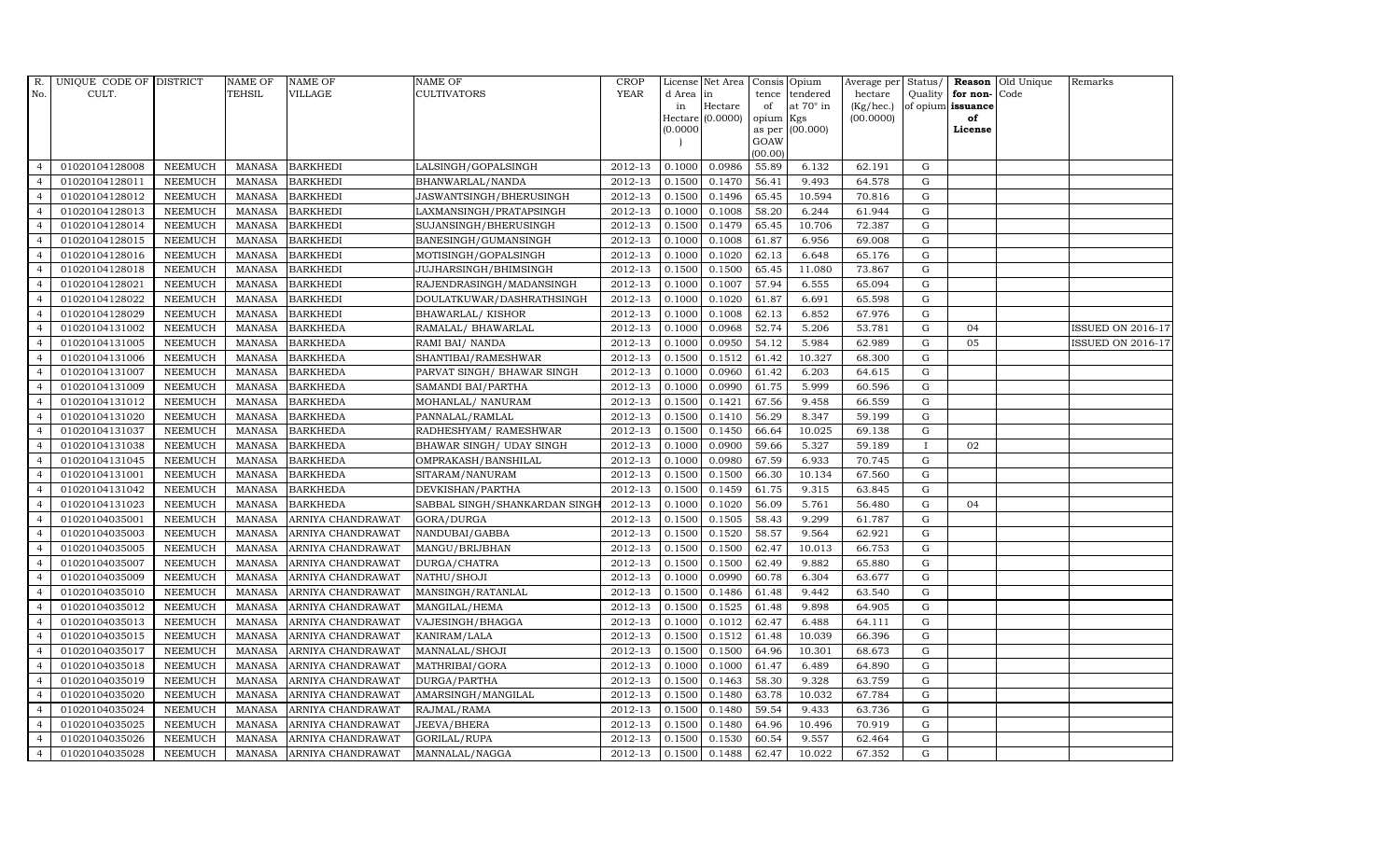| R.             | UNIQUE CODE OF DISTRICT |                | <b>NAME OF</b> | <b>NAME OF</b>    | <b>NAME OF</b>                | CROP        |           | License Net Area   Consis   Opium |           |                  | Average per | Status/      | Reason            | Old Unique | Remarks                  |
|----------------|-------------------------|----------------|----------------|-------------------|-------------------------------|-------------|-----------|-----------------------------------|-----------|------------------|-------------|--------------|-------------------|------------|--------------------------|
| No.            | CULT.                   |                | <b>TEHSIL</b>  | <b>VILLAGE</b>    | <b>CULTIVATORS</b>            | <b>YEAR</b> | d Area in |                                   |           | tence tendered   | hectare     | Quality      | for non-          | Code       |                          |
|                |                         |                |                |                   |                               |             | in        | Hectare                           | of        | at $70^\circ$ in | (Kg/hec.)   |              | of opium issuance |            |                          |
|                |                         |                |                |                   |                               |             |           | Hectare (0.0000)                  | opium Kgs |                  | (00.0000)   |              | of                |            |                          |
|                |                         |                |                |                   |                               |             | (0.0000)  |                                   | GOAW      | as per (00.000)  |             |              | License           |            |                          |
|                |                         |                |                |                   |                               |             |           |                                   | (00.00)   |                  |             |              |                   |            |                          |
| $\overline{4}$ | 01020104128008          | <b>NEEMUCH</b> | MANASA         | <b>BARKHEDI</b>   | LALSINGH/GOPALSINGH           | 2012-13     | 0.1000    | 0.0986                            | 55.89     | 6.132            | 62.191      | ${\rm G}$    |                   |            |                          |
| $\overline{a}$ | 01020104128011          | <b>NEEMUCH</b> | MANASA         | <b>BARKHEDI</b>   | BHANWARLAL/NANDA              | 2012-13     | 0.1500    | 0.1470                            | 56.41     | 9.493            | 64.578      | ${\rm G}$    |                   |            |                          |
| $\overline{4}$ | 01020104128012          | <b>NEEMUCH</b> | <b>MANASA</b>  | <b>BARKHEDI</b>   | JASWANTSINGH/BHERUSINGH       | 2012-13     | 0.1500    | 0.1496                            | 65.45     | 10.594           | 70.816      | G            |                   |            |                          |
| $\overline{4}$ | 01020104128013          | <b>NEEMUCH</b> | <b>MANASA</b>  | <b>BARKHEDI</b>   | LAXMANSINGH/PRATAPSINGH       | 2012-13     | 0.1000    | 0.1008                            | 58.20     | 6.244            | 61.944      | $\mathbf G$  |                   |            |                          |
| $\overline{4}$ | 01020104128014          | <b>NEEMUCH</b> | <b>MANASA</b>  | <b>BARKHEDI</b>   | SUJANSINGH/BHERUSINGH         | 2012-13     | 0.1500    | 0.1479                            | 65.45     | 10.706           | 72.387      | ${\rm G}$    |                   |            |                          |
| $\overline{4}$ | 01020104128015          | <b>NEEMUCH</b> | <b>MANASA</b>  | <b>BARKHEDI</b>   | BANESINGH/GUMANSINGH          | 2012-13     | 0.1000    | 0.1008                            | 61.87     | 6.956            | 69.008      | $\mathbf G$  |                   |            |                          |
| $\overline{4}$ | 01020104128016          | <b>NEEMUCH</b> | MANASA         | <b>BARKHEDI</b>   | MOTISINGH/GOPALSINGH          | $2012 - 13$ | 0.1000    | 0.1020                            | 62.13     | 6.648            | 65.176      | ${\rm G}$    |                   |            |                          |
| $\overline{4}$ | 01020104128018          | <b>NEEMUCH</b> | <b>MANASA</b>  | <b>BARKHEDI</b>   | JUJHARSINGH/BHIMSINGH         | 2012-13     | 0.1500    | 0.1500                            | 65.45     | 11.080           | 73.867      | $\mathbf G$  |                   |            |                          |
| $\overline{4}$ | 01020104128021          | <b>NEEMUCH</b> | MANASA         | <b>BARKHEDI</b>   | RAJENDRASINGH/MADANSINGH      | 2012-13     | 0.1000    | 0.1007                            | 57.94     | 6.555            | 65.094      | G            |                   |            |                          |
| $\overline{4}$ | 01020104128022          | <b>NEEMUCH</b> | <b>MANASA</b>  | <b>BARKHEDI</b>   | DOULATKUWAR/DASHRATHSINGH     | 2012-13     | 0.1000    | 0.1020                            | 61.87     | 6.691            | 65.598      | ${\rm G}$    |                   |            |                          |
| $\overline{4}$ | 01020104128029          | <b>NEEMUCH</b> | <b>MANASA</b>  | <b>BARKHEDI</b>   | <b>BHAWARLAL/ KISHOR</b>      | 2012-13     | 0.1000    | 0.1008                            | 62.13     | 6.852            | 67.976      | G            |                   |            |                          |
| $\overline{4}$ | 01020104131002          | <b>NEEMUCH</b> | MANASA         | <b>BARKHEDA</b>   | RAMALAL/ BHAWARLAL            | 2012-13     | 0.1000    | 0.0968                            | 52.74     | 5.206            | 53.781      | $\mathbf G$  | 04                |            | <b>ISSUED ON 2016-17</b> |
| $\overline{4}$ | 01020104131005          | <b>NEEMUCH</b> | MANASA         | <b>BARKHEDA</b>   | RAMI BAI/ NANDA               | 2012-13     | 0.1000    | 0.0950                            | 54.12     | 5.984            | 62.989      | $\mathbf G$  | 05                |            | <b>ISSUED ON 2016-17</b> |
|                | 01020104131006          | <b>NEEMUCH</b> | <b>MANASA</b>  | <b>BARKHEDA</b>   | SHANTIBAI/RAMESHWAR           | 2012-13     | 0.1500    | 0.1512                            | 61.42     | 10.327           | 68.300      | G            |                   |            |                          |
| $\overline{4}$ | 01020104131007          | <b>NEEMUCH</b> | <b>MANASA</b>  | <b>BARKHEDA</b>   | PARVAT SINGH/ BHAWAR SINGH    | 2012-13     | 0.1000    | 0.0960                            | 61.42     | 6.203            | 64.615      | ${\rm G}$    |                   |            |                          |
| $\overline{4}$ | 01020104131009          | <b>NEEMUCH</b> | <b>MANASA</b>  | <b>BARKHEDA</b>   | SAMANDI BAI/PARTHA            | 2012-13     | 0.1000    | 0.0990                            | 61.75     | 5.999            | 60.596      | G            |                   |            |                          |
| $\overline{4}$ | 01020104131012          | <b>NEEMUCH</b> | <b>MANASA</b>  | <b>BARKHEDA</b>   | MOHANLAL/ NANURAM             | 2012-13     | 0.1500    | 0.1421                            | 67.56     | 9.458            | 66.559      | $\mathbf G$  |                   |            |                          |
| $\overline{4}$ | 01020104131020          | <b>NEEMUCH</b> | <b>MANASA</b>  | <b>BARKHEDA</b>   | PANNALAL/RAMLAL               | 2012-13     | 0.1500    | 0.1410                            | 56.29     | 8.347            | 59.199      | $\mathbf G$  |                   |            |                          |
| $\overline{4}$ | 01020104131037          | <b>NEEMUCH</b> | <b>MANASA</b>  | <b>BARKHEDA</b>   | RADHESHYAM / RAMESHWAR        | 2012-13     | 0.1500    | 0.1450                            | 66.64     | 10.025           | 69.138      | G            |                   |            |                          |
| $\overline{4}$ | 01020104131038          | <b>NEEMUCH</b> | <b>MANASA</b>  | <b>BARKHEDA</b>   | BHAWAR SINGH / UDAY SINGH     | 2012-13     | 0.1000    | 0.0900                            | 59.66     | 5.327            | 59.189      | $\mathbf{I}$ | 02                |            |                          |
| $\overline{4}$ | 01020104131045          | <b>NEEMUCH</b> | <b>MANASA</b>  | <b>BARKHEDA</b>   | OMPRAKASH/BANSHILAL           | 2012-13     | 0.1000    | 0.0980                            | 67.59     | 6.933            | 70.745      | $\mathbf G$  |                   |            |                          |
| $\overline{4}$ | 01020104131001          | <b>NEEMUCH</b> | <b>MANASA</b>  | <b>BARKHEDA</b>   | SITARAM/NANURAM               | 2012-13     | 0.1500    | 0.1500                            | 66.30     | 10.134           | 67.560      | ${\rm G}$    |                   |            |                          |
| $\overline{4}$ | 01020104131042          | <b>NEEMUCH</b> | <b>MANASA</b>  | <b>BARKHEDA</b>   | DEVKISHAN/PARTHA              | 2012-13     | 0.1500    | 0.1459                            | 61.75     | 9.315            | 63.845      | G            |                   |            |                          |
| $\overline{4}$ | 01020104131023          | <b>NEEMUCH</b> | <b>MANASA</b>  | <b>BARKHEDA</b>   | SABBAL SINGH/SHANKARDAN SINGH | 2012-13     | 0.1000    | 0.1020                            | 56.09     | 5.761            | 56.480      | $\mathbf G$  | 04                |            |                          |
| $\overline{4}$ | 01020104035001          | <b>NEEMUCH</b> | <b>MANASA</b>  | ARNIYA CHANDRAWAT | GORA/DURGA                    | 2012-13     | 0.1500    | 0.1505                            | 58.43     | 9.299            | 61.787      | $\mathbf G$  |                   |            |                          |
| $\overline{4}$ | 01020104035003          | <b>NEEMUCH</b> | <b>MANASA</b>  | ARNIYA CHANDRAWAT | NANDUBAI/GABBA                | 2012-13     | 0.1500    | 0.1520                            | 58.57     | 9.564            | 62.921      | ${\rm G}$    |                   |            |                          |
| $\overline{4}$ | 01020104035005          | <b>NEEMUCH</b> | <b>MANASA</b>  | ARNIYA CHANDRAWAT | MANGU/BRIJBHAN                | 2012-13     | 0.1500    | 0.1500                            | 62.47     | 10.013           | 66.753      | ${\rm G}$    |                   |            |                          |
| $\overline{4}$ | 01020104035007          | <b>NEEMUCH</b> | <b>MANASA</b>  | ARNIYA CHANDRAWAT | DURGA/CHATRA                  | 2012-13     | 0.1500    | 0.1500                            | 62.49     | 9.882            | 65.880      | G            |                   |            |                          |
| $\overline{4}$ | 01020104035009          | <b>NEEMUCH</b> | <b>MANASA</b>  | ARNIYA CHANDRAWAT | NATHU/SHOJI                   | 2012-13     | 0.1000    | 0.0990                            | 60.78     | 6.304            | 63.677      | G            |                   |            |                          |
| $\overline{4}$ | 01020104035010          | <b>NEEMUCH</b> | <b>MANASA</b>  | ARNIYA CHANDRAWAT | MANSINGH/RATANLAL             | 2012-13     | 0.1500    | 0.1486                            | 61.48     | 9.442            | 63.540      | $\mathbf G$  |                   |            |                          |
| $\overline{4}$ | 01020104035012          | <b>NEEMUCH</b> | <b>MANASA</b>  | ARNIYA CHANDRAWAT | MANGILAL/HEMA                 | 2012-13     | 0.1500    | 0.1525                            | 61.48     | 9.898            | 64.905      | ${\rm G}$    |                   |            |                          |
| $\overline{4}$ | 01020104035013          | <b>NEEMUCH</b> | <b>MANASA</b>  | ARNIYA CHANDRAWAT | VAJESINGH/BHAGGA              | 2012-13     | 0.1000    | 0.1012                            | 62.47     | 6.488            | 64.111      | G            |                   |            |                          |
| $\overline{4}$ | 01020104035015          | <b>NEEMUCH</b> | <b>MANASA</b>  | ARNIYA CHANDRAWAT | KANIRAM/LALA                  | 2012-13     | 0.1500    | 0.1512                            | 61.48     | 10.039           | 66.396      | $\mathbf G$  |                   |            |                          |
| $\overline{4}$ | 01020104035017          | <b>NEEMUCH</b> | <b>MANASA</b>  | ARNIYA CHANDRAWAT | MANNALAL/SHOJI                | 2012-13     | 0.1500    | 0.1500                            | 64.96     | 10.301           | 68.673      | $\mathbf G$  |                   |            |                          |
| $\overline{4}$ | 01020104035018          | <b>NEEMUCH</b> | <b>MANASA</b>  | ARNIYA CHANDRAWAT | MATHRIBAI/GORA                | 2012-13     | 0.1000    | 0.1000                            | 61.47     | 6.489            | 64.890      | ${\rm G}$    |                   |            |                          |
| $\overline{4}$ | 01020104035019          | <b>NEEMUCH</b> | <b>MANASA</b>  | ARNIYA CHANDRAWAT | DURGA/PARTHA                  | 2012-13     | 0.1500    | 0.1463                            | 58.30     | 9.328            | 63.759      | ${\rm G}$    |                   |            |                          |
| $\overline{4}$ | 01020104035020          | <b>NEEMUCH</b> | <b>MANASA</b>  | ARNIYA CHANDRAWAT | AMARSINGH/MANGILAL            | 2012-13     | 0.1500    | 0.1480                            | 63.78     | 10.032           | 67.784      | ${\rm G}$    |                   |            |                          |
| $\overline{4}$ | 01020104035024          | <b>NEEMUCH</b> | <b>MANASA</b>  | ARNIYA CHANDRAWAT | RAJMAL/RAMA                   | 2012-13     | 0.1500    | 0.1480                            | 59.54     | 9.433            | 63.736      | $\mathbf G$  |                   |            |                          |
| $\overline{4}$ | 01020104035025          | <b>NEEMUCH</b> | <b>MANASA</b>  | ARNIYA CHANDRAWAT | JEEVA/BHERA                   | 2012-13     | 0.1500    | 0.1480                            | 64.96     | 10.496           | 70.919      | G            |                   |            |                          |
| $\overline{4}$ | 01020104035026          | <b>NEEMUCH</b> | <b>MANASA</b>  | ARNIYA CHANDRAWAT | GORILAL/RUPA                  | 2012-13     | 0.1500    | 0.1530                            | 60.54     | 9.557            | 62.464      | G            |                   |            |                          |
| $\overline{4}$ | 01020104035028          | <b>NEEMUCH</b> | MANASA         | ARNIYA CHANDRAWAT | MANNALAL/NAGGA                | 2012-13     | 0.1500    | 0.1488                            | 62.47     | 10.022           | 67.352      | $\mathbf G$  |                   |            |                          |